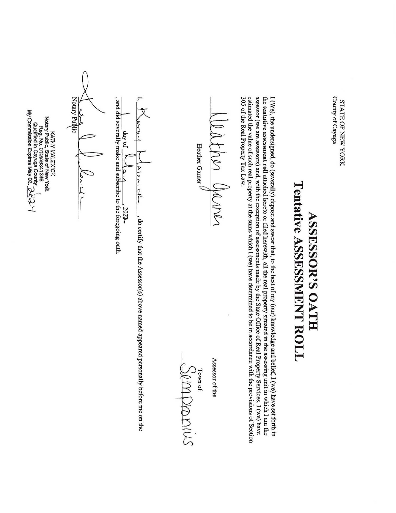| uno <sup>-</sup> | ะ<br>7                  |
|------------------|-------------------------|
| Ξ                | ŗ<br>旧                  |
| )<br>B<br>Aug:   | $\mathcal{Q}$<br>z<br>ᡛ |
|                  | ì                       |

## ASSESSOR'S OATH Tentative ASSESSMENT ROLL

I (We), the undersigned, ಕಿ (severally) depose and swear that, ಕ the  $\mathbb{R}^2$ best ቧ<br>አ my (our) knowledge and belief, I (we) have set forth in the tentative assessment roll attached hereto or filed herewith,  $\Xi$  $\frac{1}{16}$ real property situated i. the assessing unit E. which I am the assessor (we are assessors) and, with  $\frac{4}{10}$ exception of assessments made by the State Office ቧ<br> Real Property Services, I (we) have estimated the correct  $\mathbb{R}^2$ value of such real property  $\vec{a}$ the sums which I (we) have determined ಕ be i. accordance with the provisions of Section 305 of the  $\mathbb{R}^2$ Real Property Tax Law.

oath Oaaner Heather Gamer J 

Assessor of the

|

Town JUNO of SMIN US

, and did severally make and subscribe to the foregoing oath I, ay of  $\sqrt{a} \sqrt{a}$ ,  $\sqrt{2\pi}$ <br>and did severally make and subscribe to the foregoing  $\overline{a}$ 4 r<br>f<br>f<br>f day of i) Alen ्<br>२ ef 3025 .<br>8 certify  $\frac{1}{\pi}$ the Assessor(s) above named appeared personally before me on the

KATP MALENICK Notary Public, State g New York Reg. z<br>õ 01MA6241346  $\ddot{\phantom{1}}$ Qusilified in Cayuga County \_.  $\forall$  Commission Express May 02,  $\sum_{i=1}^N$  Commission Expires  $\theta$ 

A)

**Solution**<br>Notary Public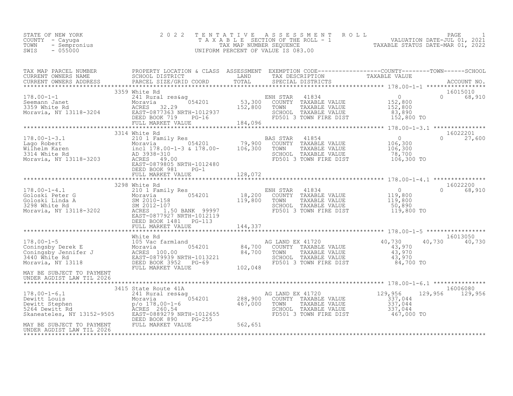| 2022 TENTATIVE ASSESSMENT ROLL<br>STATE OF NEW YORK<br>TAXABLE SECTION OF THE ROLL - 1<br>COUNTY - Cayuqa<br>TOWN - Sempronius<br>TAX MAP NUMBER SEOUENCE<br>$-055000$<br>SWIS<br>UNIFORM PERCENT OF VALUE IS 083.00 | PAGE<br>VALUATION DATE-JUL 01, 2021<br>TAXABLE STATUS DATE-MAR 01, 2022 |
|----------------------------------------------------------------------------------------------------------------------------------------------------------------------------------------------------------------------|-------------------------------------------------------------------------|
|----------------------------------------------------------------------------------------------------------------------------------------------------------------------------------------------------------------------|-------------------------------------------------------------------------|

| TAX MAP PARCEL NUMBER<br>TAX MAP PARCES NOWERS ADDRESS FROM DISTRICT COORD TOTAL THAT DESCRIPTION TAXABLE VALUE<br>CURRENT OWNERS ADDRESS SCHOOL DISTRICT TOTAL TAND TAXABLE VALUE TRANSFORM TAXABLE VALUE<br>CURRENT OWNERS ADDRESS PARCEL SIZE/GRID COORD T    | PROPERTY LOCATION & CLASS ASSESSMENT EXEMPTION CODE----------------COUNTY-------TOWN------SCHOOL |         |           |                           |
|------------------------------------------------------------------------------------------------------------------------------------------------------------------------------------------------------------------------------------------------------------------|--------------------------------------------------------------------------------------------------|---------|-----------|---------------------------|
|                                                                                                                                                                                                                                                                  |                                                                                                  |         |           |                           |
|                                                                                                                                                                                                                                                                  | 3359 White Rd                                                                                    |         |           | 16015010                  |
|                                                                                                                                                                                                                                                                  | 3314 White Rd                                                                                    |         |           | 16022201                  |
| 178.00-1-3.1<br>Lago Robert 210 1 Family Res BAS STAR 41854 0<br>Moravia, NY 13118-3203 MORES 49.00<br>Moravia, NY 13118-3203 EAST-0879805 NRTH-1012480 FD501 3 TOWN FIRE DIST 106,300 TO<br>EAST-0879805 NRTH-1012480 FD501 3 TOWN F                            | DEED BOOK 981<br>$PG-1$                                                                          |         |           | $\overline{0}$<br>27,600  |
|                                                                                                                                                                                                                                                                  |                                                                                                  |         |           |                           |
|                                                                                                                                                                                                                                                                  | 3298 White Rd                                                                                    |         |           | 16022200                  |
|                                                                                                                                                                                                                                                                  |                                                                                                  |         |           |                           |
|                                                                                                                                                                                                                                                                  |                                                                                                  |         |           |                           |
| White Rd<br>20178.00-1-5<br>20178.00-1-5<br>2017 Moravia US Vac farmland<br>2018 Moravia 2018<br>2018 Moravia 2019939 NRTH-1013221<br>202,048<br>202,048<br>202,048<br>202,048<br>202,048<br>202,048<br>202,048<br>202,048<br>202,048<br>202,048<br>202,048<br>2 |                                                                                                  |         | 84,700 TO | 16013050<br>40,730 40,730 |
| MAY BE SUBJECT TO PAYMENT<br>UNDER AGDIST LAW TIL 2026                                                                                                                                                                                                           |                                                                                                  |         |           |                           |
|                                                                                                                                                                                                                                                                  | 3415 State Route 41A                                                                             |         |           | 16006080                  |
| 178.00-1-6.1 3415 State Route 41A<br>288,900 COUNTY TAXABLE VALUE 337,044<br>288,900 COUNTY TAXABLE VALUE 337,044<br>288,900 COUNTY TAXABLE VALUE 337,044<br>288,900 COUNTY TAXABLE VALUE 337,044<br>288,900 COUNTY TAXABLE VALUE 337,04                         | $PG-255$                                                                                         |         |           |                           |
| DEED BOOK 890<br>MAY BE SUBJECT TO PAYMENT FULL MARKET VALUE<br>UNDER AGDIST LAW TIL 2026                                                                                                                                                                        |                                                                                                  | 562,651 |           |                           |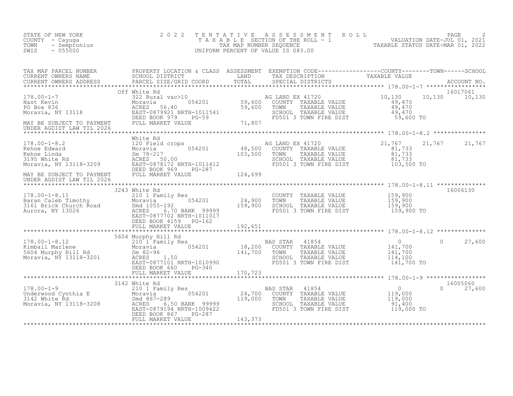| STATE OF NEW YORK<br>COUNTY - Cayuga<br>TOWN - Sempronius<br>SWIS - 055000                                                                                                                                                                                                                                                                                                                                  | 2 0 2 2                                      |          |                                                                                                                                                                   | TENTATIVE ASSESSMENT ROLL PACE PAGE 2<br>TAXABLE SECTION OF THE ROLL - 1 VALUATION DATE-JUL 01, 2021<br>TAX MAP NUMBER SEQUENCE TAXABLE STATUS DATE-MAR 01, 2022<br>UNIFORM PERCENT OF VALUE IS 083.00 |                           |
|-------------------------------------------------------------------------------------------------------------------------------------------------------------------------------------------------------------------------------------------------------------------------------------------------------------------------------------------------------------------------------------------------------------|----------------------------------------------|----------|-------------------------------------------------------------------------------------------------------------------------------------------------------------------|--------------------------------------------------------------------------------------------------------------------------------------------------------------------------------------------------------|---------------------------|
| TAX MAP PARCEL NUMBER PROPERTY LOCATION & CLASS ASSESSMENT EXEMPTION CODE----------------COUNTY--------TOWN------SCHOOL SCHOOL DISTRICT LAND TAX DESCRIPTION TAXABLE VALUE<br>CURRENT OWNERS ADDRESS PARCEL SIZE/GRID COORD TOTAL                                                                                                                                                                           |                                              |          |                                                                                                                                                                   |                                                                                                                                                                                                        |                           |
|                                                                                                                                                                                                                                                                                                                                                                                                             | Off White Rd                                 |          |                                                                                                                                                                   |                                                                                                                                                                                                        | 16017061                  |
| UNDER AGDIST LAW TIL 2026                                                                                                                                                                                                                                                                                                                                                                                   |                                              |          |                                                                                                                                                                   |                                                                                                                                                                                                        |                           |
| $\begin{array}{lllllllllll} 178.00-1-8.11 & 3243 \text{ White Rd} & \text{COUNTY TAXABLE VALUE} & 159,900 \\ \text{Baran Caleb Timothy} & \text{Moravia} & 054201 & 70\text{WIN} & \text{TXABLE VALUE} & 159,900 \\ \text{3161 Briefk Church Road} & \text{Smed } & 169,900 & 159,900 \\ \text{Aurora, NY } 13026 & \text{ACRES} & 6.70 BANK & 99999 & 159,900 \\ \text{Aurora, NY } 13026 & \text{EAST} &$ | DEED BOOK 4159 PG-162                        |          |                                                                                                                                                                   |                                                                                                                                                                                                        | 16006130                  |
|                                                                                                                                                                                                                                                                                                                                                                                                             | DEED BOOK 660 PG-340                         |          |                                                                                                                                                                   | $\Omega$                                                                                                                                                                                               | 27,600                    |
| 178.00-1-9<br>Underwood Cynthia E 210 1 Family Res<br>1142 White Rd<br>24,700<br>Moravia, NY 13118-3208<br>Moravia, NY 13118-3208<br>EAST-08791941 NRTH-1009422<br>EAST-08791941 NRTH-1009422<br>24,700<br>EAST-08791941 NRTH-1009422                                                                                                                                                                       | DEED BOOK 867<br>PG-287<br>FULL MARKET VALUE | 143, 373 | AS STAR 41854<br>COUNTY TAXABLE VALUE 119,000<br>TOWN TAXABLE VALUE 119,000<br>SCHOOL TAXABLE VALUE 91,400<br>FD501 3 TOWN FIRE DIST 119,000 TO<br>BAS STAR 41854 |                                                                                                                                                                                                        | 16005060<br>$0 \t 27,600$ |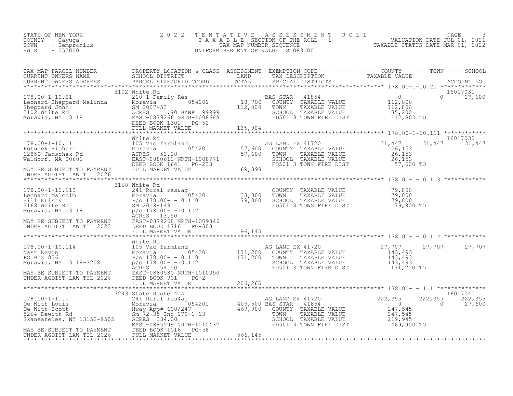| P NEW YORK<br>- Cayuga<br>- Sempronius<br>- 055000<br>STATE OF NEW YORK<br>COUNTY - Cayuga<br>TOWN<br>SWIS                                                                                                                                       | 2022 |  | TENTATIVE ASSESSMENT ROLL PAGE 3<br>TAXABLE SECTION OF THE ROLL - 1 VALUATION DATE-JUL 01, 2021<br>TAX MAP NUMBER SEQUENCE TAXABLE STATUS DATE-MAR 01, 2022<br>UNIFORM PERCENT OF VALUE IS 083.00 |  |
|--------------------------------------------------------------------------------------------------------------------------------------------------------------------------------------------------------------------------------------------------|------|--|---------------------------------------------------------------------------------------------------------------------------------------------------------------------------------------------------|--|
|                                                                                                                                                                                                                                                  |      |  |                                                                                                                                                                                                   |  |
|                                                                                                                                                                                                                                                  |      |  |                                                                                                                                                                                                   |  |
|                                                                                                                                                                                                                                                  |      |  |                                                                                                                                                                                                   |  |
|                                                                                                                                                                                                                                                  |      |  |                                                                                                                                                                                                   |  |
|                                                                                                                                                                                                                                                  |      |  |                                                                                                                                                                                                   |  |
|                                                                                                                                                                                                                                                  |      |  |                                                                                                                                                                                                   |  |
|                                                                                                                                                                                                                                                  |      |  |                                                                                                                                                                                                   |  |
|                                                                                                                                                                                                                                                  |      |  |                                                                                                                                                                                                   |  |
|                                                                                                                                                                                                                                                  |      |  |                                                                                                                                                                                                   |  |
| 178.00-1-10.114<br>178.00-1-10.114<br>Notavia Montevia Monte Rd<br>Moravia NY 13118-3208<br>Moravia NY 13118-3208<br>Moravia NY 13118-3208<br>Moravia NY 13118-3208<br>Moravia NY 13118-3208<br>MORE SALTER TO POLOTIC DEED BOOK 901 FG-2<br>UND |      |  |                                                                                                                                                                                                   |  |
|                                                                                                                                                                                                                                                  |      |  |                                                                                                                                                                                                   |  |
|                                                                                                                                                                                                                                                  |      |  |                                                                                                                                                                                                   |  |
|                                                                                                                                                                                                                                                  |      |  |                                                                                                                                                                                                   |  |
|                                                                                                                                                                                                                                                  |      |  |                                                                                                                                                                                                   |  |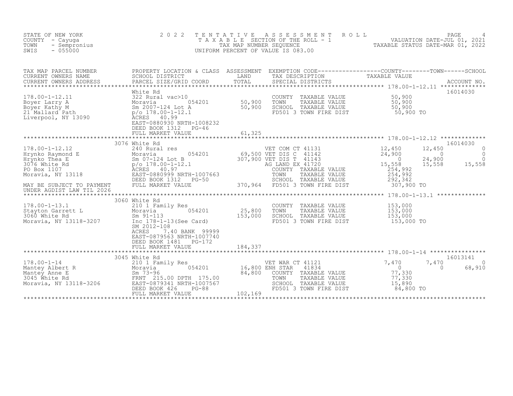| STATE OF NEW YORK<br>COUNTY - Cayuga<br>TOWN<br>- Sempronius<br>SWIS<br>$-055000$                                                                                                                                                                               | 2 0 2 2<br>TAXABLE                                                                                                                                                                                                                                                                                                                                                                                   | T E N T A T I V E<br>TAX MAP NUMBER SEQUENCE | ROLL<br>A S S E S S M E N T<br>SECTION OF THE ROLL - 1<br>UNIFORM PERCENT OF VALUE IS 083.00                                                                                                                                                                                                               | 1<br>VALUATION DATE-JUL 01, 2021<br>TAXABLE STATUS DATE-MAR 01 2022                                                                                                                                                                                 | PAGE                                            |
|-----------------------------------------------------------------------------------------------------------------------------------------------------------------------------------------------------------------------------------------------------------------|------------------------------------------------------------------------------------------------------------------------------------------------------------------------------------------------------------------------------------------------------------------------------------------------------------------------------------------------------------------------------------------------------|----------------------------------------------|------------------------------------------------------------------------------------------------------------------------------------------------------------------------------------------------------------------------------------------------------------------------------------------------------------|-----------------------------------------------------------------------------------------------------------------------------------------------------------------------------------------------------------------------------------------------------|-------------------------------------------------|
| TAX MAP PARCEL NUMBER<br>CURRENT OWNERS NAME<br>CURRENT OWNERS ADDRESS                                                                                                                                                                                          | SCHOOL DISTRICT<br>PARCEL SIZE/GRID COORD                                                                                                                                                                                                                                                                                                                                                            | LAND<br>TOTAL                                | PROPERTY LOCATION & CLASS ASSESSMENT EXEMPTION CODE----------------COUNTY-------TOWN------SCHOOL<br>TAX DESCRIPTION<br>SPECIAL DISTRICTS                                                                                                                                                                   | TAXABLE VALUE                                                                                                                                                                                                                                       | ACCOUNT NO.                                     |
| $178.00 - 1 - 12.11$<br>Boyer Larry A<br>Boyer Kathy M<br>21 <sup>'</sup> Mallard <sup>'</sup> Path<br>Liverpool, NY 13090                                                                                                                                      | White Rd<br>322 Rural vac>10<br>054201<br>Moravia<br>Sm 2007-124 Lot A<br>$p$ /o 178.00-1-12.1<br><b>ACRES</b><br>40.99<br>EAST-0880930 NRTH-1008232<br>DEED BOOK 1312 PG-46<br>FULL MARKET VALUE                                                                                                                                                                                                    | 50,900<br>50,900<br>61,325                   | COUNTY TAXABLE VALUE<br>TOWN<br>TAXABLE VALUE<br>SCHOOL TAXABLE VALUE<br>FD501 3 TOWN FIRE DIST                                                                                                                                                                                                            | 50,900<br>50,900<br>50,900<br>50,900 TO                                                                                                                                                                                                             | 16014030                                        |
|                                                                                                                                                                                                                                                                 |                                                                                                                                                                                                                                                                                                                                                                                                      | ************                                 | ******************************** 178.00-1-12.12 *************                                                                                                                                                                                                                                              |                                                                                                                                                                                                                                                     |                                                 |
| $178.00 - 1 - 12.12$<br>Hrynko Raymond E<br>Hrynko Thea E<br>3076 White Rd<br>PO Box 1107<br>Moravia, NY 13118<br>MAY BE SUBJECT TO PAYMENT<br>UNDER AGDIST LAW TIL 2026<br>$178.00 - 1 - 13.1$<br>Stayton Garrett L<br>3060 White Rd<br>Moravia, NY 13118-3207 | 3076 White Rd<br>240 Rural res<br>054201<br>E Moravia 0!<br>Sm 07-124 Lot B<br>p/o 178.00-1-12.1<br>ACRES 40.97<br>EAST-0880999 NRTH-1007663<br>DEED BOOK 1312<br>PG-50<br>FULL MARKET VALUE<br>3060 White Rd<br>210 1 Family Res<br>054201<br>Moravia<br>$Sm$ 91-113<br>Inc 178-1-13 (See Card)<br>SM 2012-108<br>ACRES<br>7.40 BANK 99999<br>EAST-0879563 NRTH-1007740<br>DEED BOOK 1481<br>PG-172 | 25,800<br>153,000                            | VET COM CT 41131<br>69,500 VET DIS C 41142<br>307,900 VET DIS T 41143<br>AG LAND EX 41720<br>COUNTY TAXABLE VALUE<br>TOWN<br>TAXABLE VALUE<br>SCHOOL TAXABLE VALUE<br>370,964 FD501 3 TOWN FIRE DIST<br>COUNTY<br>TAXABLE VALUE<br>TOWN<br>TAXABLE VALUE<br>SCHOOL TAXABLE VALUE<br>FD501 3 TOWN FIRE DIST | $\frac{12}{24}$ , 450<br>12,450<br>24,900<br>$\overline{0}$<br>$\overline{0}$<br>24,900<br>15,558<br>15,558<br>254,992<br>254,992<br>292,342<br>307,900 TO<br>********* 178.00-1-13.1 **************<br>153,000<br>153,000<br>153,000<br>153,000 TO | 16014030<br>0<br>$\Omega$<br>$\Omega$<br>15,558 |
| 178.00-1-14<br>Mantey Albert R<br>Mantey Anne E<br>3045 White Rd<br>Moravia, NY 13118-3206<br>Moravia, NY 13118-3206<br>Moravia, NY 13118-3206<br>Moravia, NY 13118-3206<br>Moravia, NY 13118-3206<br>Moravia, NY 13118-3206<br>Moravia, NY 13118-              | FULL MARKET VALUE<br>3045 White Rd                                                                                                                                                                                                                                                                                                                                                                   | 184,337<br>84,800                            | VET WAR CT 41121<br>16,800 ENH STAR<br>41834<br>COUNTY TAXABLE VALUE<br>TOWN<br>TAXABLE VALUE<br>SCHOOL TAXABLE VALUE                                                                                                                                                                                      | 7,470<br>7,470<br>$\bigcirc$<br>77,330<br>77,330<br>15,890                                                                                                                                                                                          | 16013141<br>$\Omega$<br>$\Omega$<br>68,910      |
|                                                                                                                                                                                                                                                                 | DEED BOOK 426<br>$PG-88$<br>FULL MARKET VALUE                                                                                                                                                                                                                                                                                                                                                        | 102,169                                      | FD501 3 TOWN FIRE DIST                                                                                                                                                                                                                                                                                     | 84,800 TO                                                                                                                                                                                                                                           |                                                 |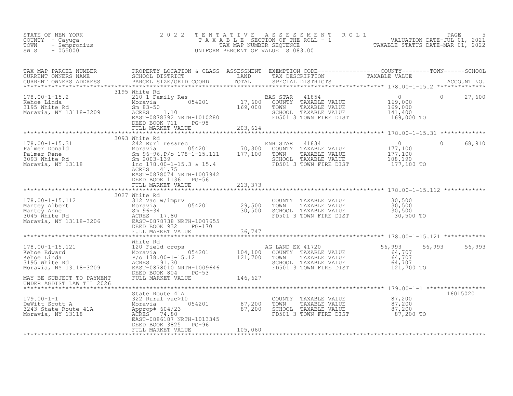| STATE OF NEW YORK<br>COUNTY - Cayuga<br>- Sempronius<br>TOWN<br>$-055000$<br>SWIS                                                                                                                                                                      | 2 0 2 2                                                   | TENTATIVE<br>UNIFORM PERCENT OF VALUE IS 083.00 |                                                                                                                   | TENTATIVE ASSESSMENT ROLL<br>TAXABLE SECTION OF THE ROLL - 1 VALUATION DATE-JUL 01, 2021<br>TAX MAP NUMBER SEQUENCE TAXABLE STATUS DATE-MAR 01, 2022<br>JNIFORM PERCENT OF VALUE IS 083.00 |               |          |
|--------------------------------------------------------------------------------------------------------------------------------------------------------------------------------------------------------------------------------------------------------|-----------------------------------------------------------|-------------------------------------------------|-------------------------------------------------------------------------------------------------------------------|--------------------------------------------------------------------------------------------------------------------------------------------------------------------------------------------|---------------|----------|
|                                                                                                                                                                                                                                                        | PARCEL SIZE/GRID COORD                                    |                                                 |                                                                                                                   |                                                                                                                                                                                            |               |          |
| 178.00-1-15.2<br>Kehoe Linda 2195 White Kd<br>210 17,600 COUNTY TAXABLE VALUE<br>3195 White Rd Sm 83-50<br>Moravia, NY 13118-3209 ACRES 1.10<br>Moravia, NY 13118-3209 ACRES 1.10<br>EAS STAR 41854<br>Sm 83-50<br>EAS 169,000 TOWN TAXABLE VA         | 3195 White Rd<br>DEED BOOK 711 PG-98<br>FULL MARKET VALUE | 203,614                                         |                                                                                                                   | $\overline{0}$<br>169,000<br>169,000<br>141,400<br>169,000 TO                                                                                                                              |               | 27,600   |
|                                                                                                                                                                                                                                                        |                                                           |                                                 |                                                                                                                   |                                                                                                                                                                                            |               |          |
| 178.00-1-15.31<br>Palmer Donald Moravia (1834<br>Moravia (1834<br>Moravia (1834<br>2003 White Rd Sm 2003-139<br>Moravia, NY 13118 (178.00-1-15.3 & 15.4<br>ACRES 41.75<br>2003 Moravia, NY 13118<br>ACRES 41.75                                        | EAST-0878074 NRTH-1007942<br>DEED BOOK 1136 PG-56         |                                                 | SCHOOL TAXABLE VALUE<br>FD501 3 TOWN FIRE DIST                                                                    | $\overline{0}$<br>177,100<br>177,100<br>108,190<br>177,100 TO                                                                                                                              | $\Omega$      | 68,910   |
|                                                                                                                                                                                                                                                        | FULL MARKET VALUE                                         | 213,373                                         |                                                                                                                   |                                                                                                                                                                                            |               |          |
|                                                                                                                                                                                                                                                        |                                                           |                                                 |                                                                                                                   |                                                                                                                                                                                            |               |          |
| 178.00-1-15.112<br>Mantey Albert 312 Vac w/imprv<br>Mantey Albert 29,500<br>Mantey Anne Sm 96-34<br>3045 White Rd ACRES 17.80<br>Moravia, NY 13118-3206 EAST-0878738 NRTH-1007655<br>DEED BOOK 932 PG-170<br>TULL MARKET VALUE<br>TULL MARKET          | 3027 White Rd                                             |                                                 | COUNTY TAXABLE VALUE 30,500<br>TOWN TAXABLE VALUE 30,500<br>SCHOOL TAXABLE VALUE 30,500<br>FD501 3 TOWN FIRE DIST | 30,500 TO                                                                                                                                                                                  |               |          |
|                                                                                                                                                                                                                                                        |                                                           |                                                 |                                                                                                                   |                                                                                                                                                                                            |               |          |
|                                                                                                                                                                                                                                                        | White Rd                                                  |                                                 |                                                                                                                   |                                                                                                                                                                                            |               |          |
| White Rd<br>Mite Rd AG LAND EX 41720<br>Rehoe Edward Moravia (120 Field crops (104,100 COUNTY TAXABLE VALUE<br>Rehoe Linda $P/0 178.00-1-15.12$ (104,100 COUNTY TAXABLE VALUE<br>Rehoe Linda $P/0 178.00-1-15.12$ 121,700 TOWN TAXABL                  | DEED BOOK 804 PG-53                                       |                                                 |                                                                                                                   | 56,993<br>64,707<br>64,707<br>64,707<br>121,700 TO                                                                                                                                         | 56,993 56,993 |          |
| MAY BE SUBJECT TO PAYMENT<br>UNDER AGDIST LAW TIL 2026                                                                                                                                                                                                 | FULL MARKET VALUE                                         | 146,627                                         |                                                                                                                   |                                                                                                                                                                                            |               |          |
|                                                                                                                                                                                                                                                        | State Route 41A                                           |                                                 |                                                                                                                   |                                                                                                                                                                                            |               | 16015020 |
| 179.00-1-1<br>DeWitt Scott A<br>322 Rural vac>10<br>Moravia 054201<br>Moravia 054201<br>87,200 TOWN TAXABLE VALUE<br>TAXABLE VALUE<br>Moravia, NY 13118<br>Moravia, NY 13118<br>Moravia, NY 13118<br>ACRES<br>ACRES 74.80<br>EAST-0886187 NRTH-1013345 | DEED BOOK 3825 PG-96                                      |                                                 | COUNTY TAXABLE VALUE 87,200<br>TOWN TAXABLE VALUE 87,200                                                          | 87,200<br>87,200 TO                                                                                                                                                                        |               |          |
|                                                                                                                                                                                                                                                        | FULL MARKET VALUE                                         | 105,060                                         |                                                                                                                   |                                                                                                                                                                                            |               |          |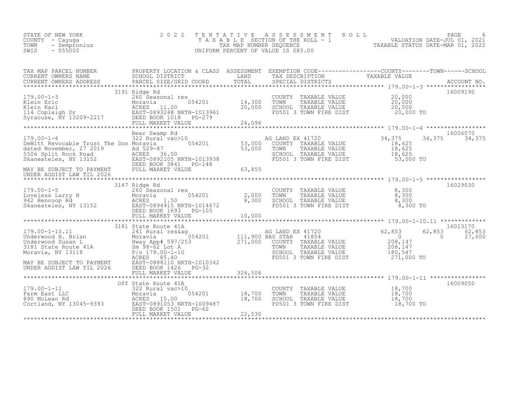| STATE OF NEW YORK<br>COUNTY - Cayuga<br>TOWN<br>- Sempronius<br>$-055000$<br>SWIS | 2022 TENTATIVE ASSESSMENT ROLL<br>T A X A B L E SECTION OF THE ROLL - 1<br>TAX MAP NUMBER SEOUENCE<br>UNIFORM PERCENT OF VALUE IS 083.00 | TAXABLE STATUS DATE-MAR 01, 2022 | PAGE<br>VALUATION DATE-JUL 01, 2021 | 6 |
|-----------------------------------------------------------------------------------|------------------------------------------------------------------------------------------------------------------------------------------|----------------------------------|-------------------------------------|---|
|                                                                                   |                                                                                                                                          |                                  |                                     |   |

| TAX MAP PARCEL NUMBER                                                                                                                                                                                                                                                                                                                          | PROPERTY LOCATION & CLASS ASSESSMENT EXEMPTION CODE----------------COUNTY-------TOWN-----SCHOOL |                         |                                                                                                   |                      |          |
|------------------------------------------------------------------------------------------------------------------------------------------------------------------------------------------------------------------------------------------------------------------------------------------------------------------------------------------------|-------------------------------------------------------------------------------------------------|-------------------------|---------------------------------------------------------------------------------------------------|----------------------|----------|
| CURRENT OWNERS NAME<br>CURRENT OWNERS NAME SCHOOL DISTRICT - - ----- LAND TAX DESCRIPTION TAXABLE VALUE<br>CURRENT OWNERS ADDRESS PARCEL SIZE/GRID COORD TOTAL SPECIAL DISTRICTS ACCOUNT NO.                                                                                                                                                   |                                                                                                 |                         |                                                                                                   |                      |          |
|                                                                                                                                                                                                                                                                                                                                                |                                                                                                 |                         |                                                                                                   |                      |          |
|                                                                                                                                                                                                                                                                                                                                                | 3191 Ridge Rd                                                                                   |                         |                                                                                                   |                      | 16009190 |
| 179.00-1-3<br>Klein Eric Moravia 054201<br>Klein Karl Moravia 054201<br>114 Copleigh Dr EAST-0893248 NRTH-1013961<br>Syracuse, NY 13209-2217<br>EED BOOK 1018 PG-279<br>FULL MARKET VALUE                                                                                                                                                      |                                                                                                 |                         |                                                                                                   |                      |          |
|                                                                                                                                                                                                                                                                                                                                                |                                                                                                 | s<br>054201 14,300 TOWN | COUNTY TAXABLE VALUE $20,000$<br>TOWN TAXABLE VALUE $20,000$<br>SCHOOL TAXABLE VALUE $20,000$     |                      |          |
|                                                                                                                                                                                                                                                                                                                                                |                                                                                                 | 20,000                  |                                                                                                   |                      |          |
|                                                                                                                                                                                                                                                                                                                                                |                                                                                                 |                         | FD501 3 TOWN FIRE DIST 20,000 TO                                                                  |                      |          |
|                                                                                                                                                                                                                                                                                                                                                |                                                                                                 |                         |                                                                                                   |                      |          |
|                                                                                                                                                                                                                                                                                                                                                |                                                                                                 |                         |                                                                                                   |                      |          |
|                                                                                                                                                                                                                                                                                                                                                |                                                                                                 |                         |                                                                                                   |                      |          |
| Bear Swamp Rd<br>Bear Swamp Rd<br>24,375 = 34,375 = 34,375 = 34,375 = 34,375 = 34,375<br>DeWitt Revocable Trust The Don Moravia = 054201<br>dated November, 27 2019 = Ad 529-87 = 054201<br>Saneateles, NY 13152 = 2022105.NRTH-1013938<br>                                                                                                    | Bear Swamp Rd                                                                                   |                         |                                                                                                   |                      | 16006070 |
|                                                                                                                                                                                                                                                                                                                                                |                                                                                                 |                         |                                                                                                   |                      |          |
|                                                                                                                                                                                                                                                                                                                                                |                                                                                                 |                         |                                                                                                   |                      |          |
|                                                                                                                                                                                                                                                                                                                                                |                                                                                                 |                         |                                                                                                   |                      |          |
|                                                                                                                                                                                                                                                                                                                                                |                                                                                                 |                         |                                                                                                   |                      |          |
|                                                                                                                                                                                                                                                                                                                                                |                                                                                                 |                         |                                                                                                   |                      |          |
|                                                                                                                                                                                                                                                                                                                                                |                                                                                                 | 63,855                  |                                                                                                   |                      |          |
| ewick November, 27 2019<br>dated November, 27 2019<br>53,<br>5506 Split Rock Road<br>Skaneateles, NY 13152<br>MAY BE SUBJECT TO PAYMENT<br>MAY BE SUBJECT TO PAYMENT<br>MAY BE SUBJECT TO PAYMENT<br>TULL MARKET VALUE<br>FULL MARKET VALUE<br>FUL                                                                                             |                                                                                                 |                         |                                                                                                   |                      |          |
|                                                                                                                                                                                                                                                                                                                                                |                                                                                                 |                         |                                                                                                   |                      |          |
|                                                                                                                                                                                                                                                                                                                                                | 3147 Ridge Rd                                                                                   |                         |                                                                                                   |                      | 16029030 |
|                                                                                                                                                                                                                                                                                                                                                |                                                                                                 |                         |                                                                                                   | 8,300                |          |
|                                                                                                                                                                                                                                                                                                                                                |                                                                                                 | $054201$ 2,000          |                                                                                                   | 8,300                |          |
|                                                                                                                                                                                                                                                                                                                                                |                                                                                                 | 8,300                   |                                                                                                   | 8,300                |          |
| 179.00-1-5<br>Loveless Larry N<br>942 Hencoop Rd<br>Skaneateles, NY 13152<br>EAST-0894915 NRTH-1014672<br>DEED BOOK 1693<br>PG-105                                                                                                                                                                                                             |                                                                                                 |                         | COUNTY TAXABLE VALUE<br>TOWN    TAXABLE VALUE<br>SCHOOL   TAXABLE VALUE<br>FD501 3 TOWN FIRE DIST | 8,300 TO             |          |
|                                                                                                                                                                                                                                                                                                                                                |                                                                                                 |                         |                                                                                                   |                      |          |
|                                                                                                                                                                                                                                                                                                                                                |                                                                                                 |                         |                                                                                                   |                      |          |
|                                                                                                                                                                                                                                                                                                                                                | 3181 State Route 41A                                                                            |                         |                                                                                                   |                      | 16013170 |
| 179.00-1-10.11<br>$\begin{array}{ccccccccc}\n 179.00-1-10.11 & 3101 \text{ S}41 \text{ Rural res\& 054201 & 111,900 \text{ BAS STAR} & 41854 \text{ Underwood } \text{B.} & 6 & 0.000 \text{ F.} & 0.000 \text{ F.} & 0.000 \text{ F.} & 0.000 \text{ F.} & 0.000 \text{ F.} & 0.000 \text{ F.} & 0.000 \text{ F.} & 0.000 \text{ F.} & 0.000$ |                                                                                                 |                         | AG LAND EX 41720<br>Pas star 41854                                                                | 62,853<br>62,853     | 62,853   |
|                                                                                                                                                                                                                                                                                                                                                |                                                                                                 |                         |                                                                                                   | $\overline{0}$       | 27,600   |
|                                                                                                                                                                                                                                                                                                                                                |                                                                                                 |                         |                                                                                                   |                      |          |
|                                                                                                                                                                                                                                                                                                                                                |                                                                                                 |                         |                                                                                                   | $208,147$<br>208,147 |          |
|                                                                                                                                                                                                                                                                                                                                                |                                                                                                 |                         |                                                                                                   | 180,547              |          |
|                                                                                                                                                                                                                                                                                                                                                |                                                                                                 |                         |                                                                                                   | 271,000 TO           |          |
|                                                                                                                                                                                                                                                                                                                                                |                                                                                                 |                         |                                                                                                   |                      |          |
|                                                                                                                                                                                                                                                                                                                                                |                                                                                                 |                         |                                                                                                   |                      |          |
|                                                                                                                                                                                                                                                                                                                                                | FULL MARKET VALUE                                                                               | 326,506                 |                                                                                                   |                      |          |
|                                                                                                                                                                                                                                                                                                                                                |                                                                                                 |                         |                                                                                                   |                      | 16009050 |
| $179.00 - 1 - 11$                                                                                                                                                                                                                                                                                                                              | Off State Route 41A<br>322 Rural vac>10                                                         |                         |                                                                                                   |                      |          |
| 179.00-1-11<br>Farm East LLC Moravia 054201<br>890 McLean Rd ACRES 15.00<br>Cortland, NY 13045-9393 EAST-0891053 NRTH-1009487                                                                                                                                                                                                                  |                                                                                                 | 054201 18,700           | COUNTY TAXABLE VALUE 18,700<br>TOWN TAXABLE VALUE 18,700<br>TOWN                                  |                      |          |
|                                                                                                                                                                                                                                                                                                                                                |                                                                                                 |                         | TOWN TAAADDE WALLE<br>SCHOOL TAXABLE VALUE<br>CLOSS TOWN FIRE DIST                                | 18,700               |          |
|                                                                                                                                                                                                                                                                                                                                                | 18,700<br>RTH-1009487<br>PG-62                                                                  |                         |                                                                                                   | 18,700 TO            |          |
|                                                                                                                                                                                                                                                                                                                                                | DEED BOOK 1501    PG-62                                                                         |                         |                                                                                                   |                      |          |
|                                                                                                                                                                                                                                                                                                                                                |                                                                                                 |                         |                                                                                                   |                      |          |
|                                                                                                                                                                                                                                                                                                                                                |                                                                                                 |                         |                                                                                                   |                      |          |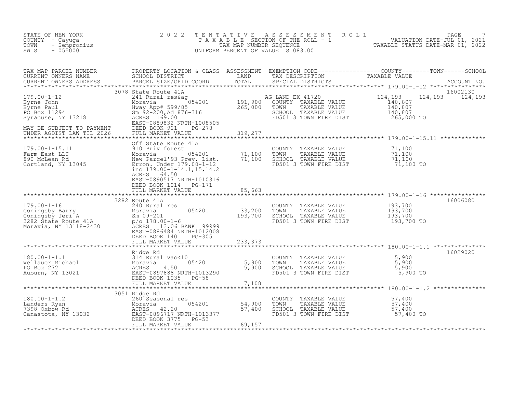| STATE OF NEW YORK<br>COUNTY - Cayuga<br>- Sempronius<br>TOWN<br>$-055000$<br>SWIS                                                                                                                                         | 2 0 2 2                                                                                                     | TENTATIVE | A S S E S S M E N T A O L L<br>UNIFORM PERCENT OF VALUE IS 083.00                                           | PAGE<br>TAXABLE SECTION OF THE ROLL - 1 WALUATION DATE-JUL 01, 2021                                                                                                                                                                                                                                                                                                                                                                                     |
|---------------------------------------------------------------------------------------------------------------------------------------------------------------------------------------------------------------------------|-------------------------------------------------------------------------------------------------------------|-----------|-------------------------------------------------------------------------------------------------------------|---------------------------------------------------------------------------------------------------------------------------------------------------------------------------------------------------------------------------------------------------------------------------------------------------------------------------------------------------------------------------------------------------------------------------------------------------------|
|                                                                                                                                                                                                                           |                                                                                                             |           |                                                                                                             |                                                                                                                                                                                                                                                                                                                                                                                                                                                         |
|                                                                                                                                                                                                                           |                                                                                                             |           |                                                                                                             | $\begin{tabular}{lllllllllllllllllllll} \textsc{rank} & \textsc{PROE1 NUMBER} & \textsc{PROPERY LOCATION & \textsc{CLASS} & \textsc{SSESSMENT} & \textsc{EXEMPTION COD} & \textsc{CORD} & \textsc{TANABLE} & \textsc{VANDENS} & \textsc{NAMDENS} & \textsc{NAMDENS} & \textsc{NAMDENS} & \textsc{NAMDENS} & \textsc{PARCEI. SIEZ (GRTD COOD & \textsc{LMD} & \textsc{TOLN} & \textsc{SSESMENT} & \textsc{NAMDENS} & \textsc{NAMDENS} & \textsc{NAMDENS$ |
| 179.00-1-15.11 910 Priv forest<br>Farm East LLC 910 Priv forest<br>890 McLean Rd Moravia Mew Parcel'93 Prev. List. 71,100<br>Cortland, NY 13045 Erron. Under 179.00-1-12<br>inc 179.00-1-14.1,15,14.2                     | Off State Route 41A<br>910 Priv forest<br>ACRES 64.50<br>EAST-0890517 NRTH-1010316<br>DEED BOOK 1014 PG-171 |           | COUNTY TAXABLE VALUE<br>TOWN      TAXABLE VALUE<br>SCHOOL TAXABLE VALUE<br>FD501 3 TOWN FIRE DIST 71,100 TO | 71,100<br>$71,100$<br>$71,100$<br>$71,100$                                                                                                                                                                                                                                                                                                                                                                                                              |
|                                                                                                                                                                                                                           | FULL MARKET VALUE                                                                                           | 85,663    |                                                                                                             |                                                                                                                                                                                                                                                                                                                                                                                                                                                         |
| 1/9.00-1-16<br>Coningsby Barry 240 Rural res<br>Coningsby Jeri A Sm 09-201 33,200<br>33,200<br>33,200<br>282 State Route 41A p/o 178.00-1-6<br>Moravia, NY 13118-2430 ACRES 13.06 BANK 99999<br>EAST-0886484 NRTH-1012008 | DEED BOOK 1401 PG-305                                                                                       |           | COUNTY TAXABLE VALUE<br>TOWN<br>TAXABLE VALUE<br>SCHOOL TAXABLE VALUE<br>FD501 3 TOWN FIRE DIST             | 16006080<br>193,700<br>193,700<br>193,700<br>193,700 TO                                                                                                                                                                                                                                                                                                                                                                                                 |
|                                                                                                                                                                                                                           | FULL MARKET VALUE                                                                                           | 233,373   |                                                                                                             |                                                                                                                                                                                                                                                                                                                                                                                                                                                         |
| 180.00-1-1.1<br>Wellauer Michael Moravia (10)<br>PO Box 272<br>Auburn, NY 13021 (13021 EAST-0897888 NRTH-1013290 5,900<br>EED BOOK 1035 PG-58<br>FULL MARKET VALUE 7,108                                                  |                                                                                                             |           | COUNTY TAXABLE VALUE<br>TOWN TAXABLE VALUE 5,900<br>TOWN THE VALUE 5,900<br>FD501 3 TOWN FIRE DIST          | 16029020<br>5,900 TO                                                                                                                                                                                                                                                                                                                                                                                                                                    |
|                                                                                                                                                                                                                           | 3051 Ridge Rd                                                                                               |           |                                                                                                             |                                                                                                                                                                                                                                                                                                                                                                                                                                                         |
| 180.00-1-1.2<br>Landers Ryan 260 Seasonal res<br>7398 Oxbow Rd ACRES 42.20<br>Canastota, NY 13032<br>Canastota, NY 13032<br>PEED BOOK 3775 PC-53<br>PEED BOOK 3775 PC-53                                                  | FULL MARKET VALUE                                                                                           | 69,157    | COUNTY TAXABLE VALUE<br>TOWN<br>TAXABLE VALUE<br>SCHOOL TAXABLE VALUE<br>FD501 3 TOWN FIRE DIST             | 57,400<br>57,400<br>57,400<br>$57,400$ TO                                                                                                                                                                                                                                                                                                                                                                                                               |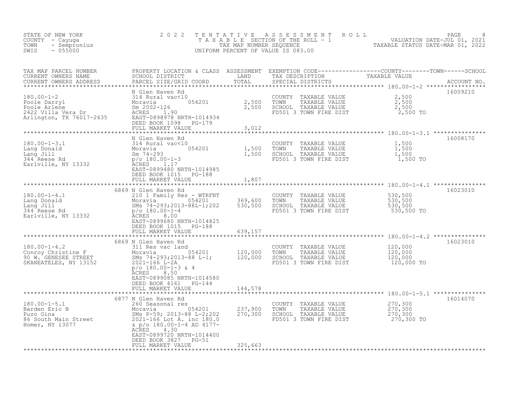| STATE OF NEW YORK<br>COUNTY - Cayuga<br>- Sempronius<br>TOWN<br>$-055000$<br>SWIS                                        | 2 0 2 2                                                                                                                                                                                                                                                         | TENTATIVE                     | ASSESSMENT ROLL<br>UNIFORM PERCENT OF VALUE IS 083.00                                           | T A X A B L E SECTION OF THE ROLL - 1 VALUATION DATE-JUL 01, 2021                                                                                                                    | PAGE        |
|--------------------------------------------------------------------------------------------------------------------------|-----------------------------------------------------------------------------------------------------------------------------------------------------------------------------------------------------------------------------------------------------------------|-------------------------------|-------------------------------------------------------------------------------------------------|--------------------------------------------------------------------------------------------------------------------------------------------------------------------------------------|-------------|
| TAX MAP PARCEL NUMBER<br>CURRENT OWNERS NAME<br>CURRENT OWNERS ADDRESS                                                   | PARCEL SIZE/GRID COORD                                                                                                                                                                                                                                          | TOTAL                         | SPECIAL DISTRICTS                                                                               | PROPERTY LOCATION & CLASS ASSESSMENT EXEMPTION CODE-----------------COUNTY--------TOWN------SCHOOL<br>SCHOOL DISTRICT_________________LAND TAX_DESCRIPTION_____________TAXABLE_VALUE | ACCOUNT NO. |
| $180.00 - 1 - 2$<br>Poole Darryl<br>Poole Arlene<br>2422 Villa Vera Dr<br>2422 Villa Vera Dr<br>Arlington, TX 76017-2635 | N Glen Haven Rd<br>314 Rural vac<10<br>054201<br>Moravia<br>Sm 2002-126<br>ACRES 1.90<br>EAST-0898978 NRTH-1014934<br>DEED BOOK 1098 PG-179<br>FULL MARKET VALUE                                                                                                | 2,500<br>2,500<br>3,012       | COUNTY TAXABLE VALUE<br>TOWN<br>TAXABLE VALUE<br>SCHOOL TAXABLE VALUE<br>FD501 3 TOWN FIRE DIST | 2,500<br>2,500<br>2,500<br>2,500 TO                                                                                                                                                  | 16009210    |
|                                                                                                                          |                                                                                                                                                                                                                                                                 |                               |                                                                                                 |                                                                                                                                                                                      |             |
| $180.00 - 1 - 3.1$<br>180.00-1-3.1<br>Lang Donald<br>Lang Jill<br>344 Reese Rd<br>Earlville, NY 13332                    | N Glen Haven Rd<br>314 Rural vac<10<br>$\begin{array}{r} 0.54201 \\ 1,500 \\ 1,500 \end{array}$<br>Moravia<br>Sm $74 - 293$<br>$p$ /o 180.00-1-3<br>1.17<br>ACRES<br>EAST-0899480 NRTH-1014985                                                                  |                               | COUNTY TAXABLE VALUE<br>TAXABLE VALUE<br>TOWN<br>SCHOOL TAXABLE VALUE<br>FD501 3 TOWN FIRE DIST | 1,500<br>$\frac{1}{1}$ , 500<br>1, 500<br>1,500 TO                                                                                                                                   | 16008170    |
|                                                                                                                          | DEED BOOK 1015 PG-188<br>FULL MARKET VALUE                                                                                                                                                                                                                      | 1,807                         |                                                                                                 |                                                                                                                                                                                      |             |
| $180.00 - 1 - 4.1$<br>Lang Donald<br>Lang Jill<br>344 Reese Rd<br>Earlville, NY 13332                                    | 6869 N Glen Haven Rd<br>210 1 Family Res - WTRFNT<br>$\frac{1}{25}$ - WTREN <sub>1</sub><br>Moravia<br>SMs 74-293;2013-88L-1;202<br>$p/\circ 180.00 - 1 - 4$<br>8.00<br><b>ACRES</b><br>EAST-0899680 NRTH-1014825<br>DEED BOOK 1015 PG-188<br>FULL MARKET VALUE | 369,600<br>530,500<br>639,157 | COUNTY TAXABLE VALUE<br>TOWN<br>TAXABLE VALUE<br>SCHOOL TAXABLE VALUE<br>FD501 3 TOWN FIRE DIST | 530,500<br>530,500<br>530,500<br>530,500 TO                                                                                                                                          | 16023010    |
|                                                                                                                          |                                                                                                                                                                                                                                                                 | * * * * * * * * * * * * * *   |                                                                                                 | ***************** 180.00-1-4.2 ***************                                                                                                                                       |             |
| $180.00 - 1 - 4.2$<br>Conroy Christine F<br>90 W. GENESEE STREET<br>SKANEATELES, NY 13152                                | 6869 N Glen Haven Rd<br>311 Res vac land<br>vac Ianu<br>054201 120,000<br>93;2013-88 L-1; 120,000<br>Moravia<br>SMs 74-293;2013-88 L-1;<br>2021-166 L-2A<br>$p$ /o 180.00-1-3 & 4<br><b>ACRES</b><br>8.50                                                       |                               | COUNTY TAXABLE VALUE<br>TOWN<br>TAXABLE VALUE<br>SCHOOL TAXABLE VALUE<br>FD501 3 TOWN FIRE DIST | 120,000<br>120,000<br>120,000<br>120,000 TO                                                                                                                                          | 16023010    |
|                                                                                                                          | EAST-0899085 NRTH-1014580<br>DEED BOOK 4161 PG-144<br>FULL MARKET VALUE                                                                                                                                                                                         | 144,578                       |                                                                                                 |                                                                                                                                                                                      |             |
| $180.00 - 1 - 5.1$<br>$180.00 - 1$<br>Barden Eric B<br>86 South Main Street<br>Homer NY 13077<br>Homer, NY 13077         | 6877 N Glen Haven Rd<br>260 Seasonal res<br>Moravia $054201$<br>SMs P-59; 2013-88 L-2;202<br>2021-166 Lot A. inc 180.0<br>& p/o 180.00-1-4 AD 4177-<br>ACRES<br>4.30<br>EAST-0899720 NRTH-1014400<br>DEED BOOK 3827 PG-51<br>FULL MARKET VALUE                  | 237,900<br>270,300<br>325,663 | COUNTY TAXABLE VALUE<br>TOWN<br>TAXABLE VALUE<br>SCHOOL TAXABLE VALUE<br>FD501 3 TOWN FIRE DIST | 270,300<br>270,300<br>270,300<br>270,300 TO                                                                                                                                          | 16014070    |
|                                                                                                                          |                                                                                                                                                                                                                                                                 |                               |                                                                                                 |                                                                                                                                                                                      |             |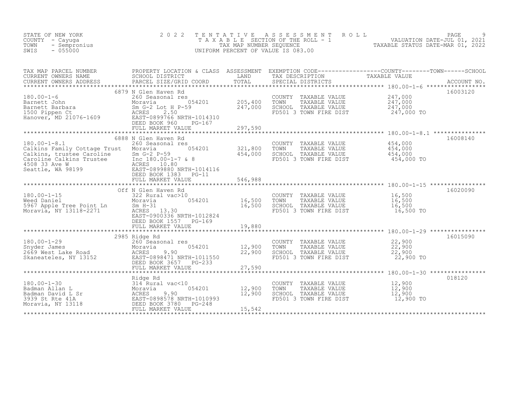| STATE OF NEW YORK<br>COUNTY - Cayuga<br>TOWN<br>- Sempronius<br>SWIS<br>$-055000$                                                                                                                                                                                                                        | 2 0 2 2                                                                                                                                                                                                 | TENTATIVE                                 | A S S E S S M E N T<br>ROLL<br>UNIFORM PERCENT OF VALUE IS 083.00                               | PAGE<br>T A X A B L E SECTION OF THE ROLL - 1<br>VALUATION DATE-JUL 01, 2021<br>TAXABLE STATUS DATE-MAR 01. 2022              |
|----------------------------------------------------------------------------------------------------------------------------------------------------------------------------------------------------------------------------------------------------------------------------------------------------------|---------------------------------------------------------------------------------------------------------------------------------------------------------------------------------------------------------|-------------------------------------------|-------------------------------------------------------------------------------------------------|-------------------------------------------------------------------------------------------------------------------------------|
| TAX MAP PARCEL NUMBER<br>CURRENT OWNERS NAME<br>CURRENT OWNERS ADDRESS                                                                                                                                                                                                                                   | PARCEL SIZE/GRID COORD                                                                                                                                                                                  | TOTAL                                     | SPECIAL DISTRICTS                                                                               | PROPERTY LOCATION & CLASS ASSESSMENT EXEMPTION CODE----------------COUNTY-------TOWN------SCHOOL SCHOOL SCHOOL<br>ACCOUNT NO. |
| $180.00 - 1 - 6$<br>180.00-1-6<br>Barnett John<br>Barnett Barbara<br>1500 Pippen Ct<br>Hanover, MD 21076-1609                                                                                                                                                                                            | 6879 N Glen Haven Rd<br>260 Seasonal res<br>054201<br>Moravia<br>Sm $G-2$ Lot H $P-59$<br>ACRES<br>2.50<br>EAST-0899766 NRTH-1014310<br>DEED BOOK 960<br>PG-167<br>FULL MARKET VALUE                    | 205,400<br>247,000<br>297,590             | COUNTY TAXABLE VALUE<br>TAXABLE VALUE<br>TOWN<br>SCHOOL TAXABLE VALUE<br>FD501 3 TOWN FIRE DIST | 16003120<br>247,000<br>247,000<br>247,000<br>247,000 TO                                                                       |
| $180.00 - 1 - 8.1$<br>Calkins Family Cottage Trust Moravia<br>Calkins raming coccage in the Caroline<br>Caroline Sm G-2 P-59<br>Caroline Calkins Trustee Inc 180.00-1-7 & 8<br>4508 33 Ave W ACRES 10.80<br>Seattle, WA 98199 BAST-0899880 NRTH-1014116<br>FAST-0899880 NRTH-1014116<br>FAST-0899880 NRT | ************************<br>6888 N Glen Haven Rd<br>260 Seasonal res<br>054201<br>DEED BOOK 1383 PG-11<br>FULL MARKET VALUE                                                                             | 321,800<br>454,000<br>546,988             | COUNTY TAXABLE VALUE<br>TOWN<br>TAXABLE VALUE<br>SCHOOL TAXABLE VALUE<br>FD501 3 TOWN FIRE DIST | 16008140<br>454,000<br>454,000<br>454,000<br>454,000 TO                                                                       |
| $180.00 - 1 - 15$<br>Weed Daniel<br>5967 Apple Tree Point Ln<br>Moraria NY 12119 2271<br>Moravia, NY 13118-2271                                                                                                                                                                                          | *************************<br>Off N Glen Haven Rd<br>322 Rural vac>10<br>054201<br>Moravia<br>$Sm$ $H-31$<br>ACRES 13.30<br>EAST-0900336 NRTH-1012824<br>DEED BOOK 1557 PG-169                           | 16,500<br>16,500                          | COUNTY TAXABLE VALUE<br>TOWN<br>TAXABLE VALUE<br>SCHOOL TAXABLE VALUE<br>FD501 3 TOWN FIRE DIST | **************************************580.00-1-15 *****************<br>16020090<br>16,500<br>16,500<br>16,500<br>16,500 TO    |
| $180.00 - 1 - 29$                                                                                                                                                                                                                                                                                        | 2985 Ridge Rd<br>DEED BOOK 3657 PG-233<br>FULL MARKET VALUE                                                                                                                                             | 12,900<br>22,900<br>27,590<br>*********** | COUNTY TAXABLE VALUE<br>TOWN<br>TAXABLE VALUE<br>SCHOOL TAXABLE VALUE<br>FD501 3 TOWN FIRE DIST | 16015090<br>22,900<br>22,900<br>22,900<br>22,900 TO                                                                           |
| $180.00 - 1 - 30$<br>Badman Allan L<br>Badman David L Sr<br>2020 St Rto 41A<br>3939 St Rte 41A<br>Moravia, NY 13118                                                                                                                                                                                      | Ridge Rd<br>314 Rural vac<10<br>Ally Aural vac<1<br>Moravia<br>ACRES 9.90<br>EAST-0898578 NF<br>DEED BOOK 3780<br>FIII MAPYET WAT<br>054201<br>EAST-0898578 NRTH-1010993<br>PG-248<br>FULL MARKET VALUE | 12,900<br>12,900<br>15,542                | COUNTY TAXABLE VALUE<br>TOWN<br>TAXABLE VALUE<br>SCHOOL TAXABLE VALUE<br>FD501 3 TOWN FIRE DIST | 018120<br>12,900<br>12,900<br>12,900<br>12,900 TO                                                                             |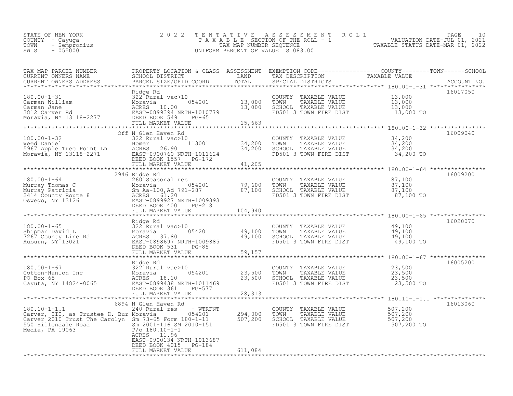| F NEW YORK<br>- Cayuga<br>- Sempronius<br>- 055000<br>STATE OF NEW YORK<br>COUNTY - Cayuga<br>TOWN<br>SWIS                                                                                                                                            | 2 0 2 2                                            |         | TENTATIVE ASSESSMENT ROLL PAGE 10<br>TAXABLE SECTION OF THE ROLL - 1 VALUATION DATE-JUL 01, 2021<br>TAX MAP NUMBER SEQUENCE TAXABLE STATUS DATE-MAR 01, 2022<br>UNIFORM PERCENT OF VALUE IS 083.00 |          |
|-------------------------------------------------------------------------------------------------------------------------------------------------------------------------------------------------------------------------------------------------------|----------------------------------------------------|---------|----------------------------------------------------------------------------------------------------------------------------------------------------------------------------------------------------|----------|
| TAX MAP PARCEL NUMBER BROPERTY LOCATION & CLASS ASSESSMENT EXEMPTION CODE-----------------COUNTY--------TOWN------SCHOOL CURRENT OWNERS NAME SCHOOL DISTRICT LAND TAX DESCRIPTION TAXABLE VALUE<br>CURRENT OWNERS ADDRESS PARCEL                      |                                                    |         |                                                                                                                                                                                                    |          |
|                                                                                                                                                                                                                                                       |                                                    |         | COUNTY TAXABLE VALUE $13,000$<br>TOWN TAXABLE VALUE $13,000$<br>SCHOOL TAXABLE VALUE $13,000$<br>FD501 3 TOWN FIRE DIST $13,000$                                                                   | 16017050 |
|                                                                                                                                                                                                                                                       |                                                    |         |                                                                                                                                                                                                    | 16009040 |
|                                                                                                                                                                                                                                                       | Off N Glen Haven Rd                                |         |                                                                                                                                                                                                    |          |
|                                                                                                                                                                                                                                                       |                                                    |         |                                                                                                                                                                                                    |          |
| 180.00-1-64<br>180.00-1-64<br>2946 Ridge Rd<br>2946 Ridge Rd<br>200 Seasonal res<br>Murray Phomas C<br>Murray Patricia Sn Aaraloo, Ad 791-287<br>2414 County TAXABLE VALUE<br>2414 County Ramagnetics<br>2414 County Report of the Sn AcRES<br>241    |                                                    |         |                                                                                                                                                                                                    | 16009200 |
|                                                                                                                                                                                                                                                       |                                                    |         |                                                                                                                                                                                                    | 16020070 |
| Ridge Rd<br>180.00-1-65<br>Shipman David L<br>7267 County Line Rd<br>Auburn, NY 13021<br>RULL MARKET VALUE 59,157<br>FULL MARKET VALUE 59,157<br>FULL MARKET VALUE 59,157<br>FULL MARKET VALUE 59,157<br>FULL MARKET VALUE 59,157<br>FULL MARKET      |                                                    |         | COUNTY TAXABLE VALUE 49,100<br>TOWN TAXABLE VALUE 49,100<br>SCHOOL TAXABLE VALUE 49,100<br>FD501 3 TOWN FIRE DIST 49,100 TO                                                                        |          |
|                                                                                                                                                                                                                                                       |                                                    |         |                                                                                                                                                                                                    |          |
| Ridge Rd 23,500<br>Cotton-Hanlon Inc 23,500<br>Cotton-Hanlon Inc 23,500<br>PO Box 65<br>Cayuta, NY 14824-0065<br>Cayuta, NY 14824-0065<br>Call DEED BOOK 361<br>CEED BOOK 361<br>CEED BOOK 361<br>PO BOX 23,500<br>DEED BOOK 361<br>PO BOX 65<br>PULL | FULL MARKET VALUE                                  | 28,313  |                                                                                                                                                                                                    | 16005200 |
|                                                                                                                                                                                                                                                       |                                                    |         |                                                                                                                                                                                                    |          |
| 00.10-1-1.1<br>Carver, III, as Trustee H. Bur Moravia<br>Carver 2010 Trust The Carolyn Sm 73-65 Form 180-1-11<br>Media, PA 19063<br>Media, PA 19063<br>CARES 11.96<br>CARES 11.96<br>CARES 11.96                                                      | EAST-0900134 NRTH-1013687<br>DEED BOOK 4015 PG-184 |         |                                                                                                                                                                                                    | 16013060 |
|                                                                                                                                                                                                                                                       | FULL MARKET VALUE                                  | 611,084 |                                                                                                                                                                                                    |          |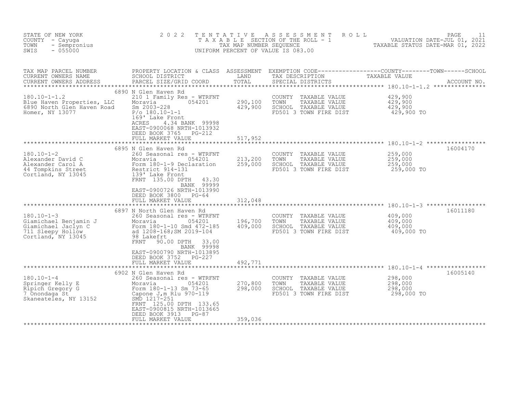| STATE OF NEW YORK<br>COUNTY - Cayuga<br>TOWN<br>- Sempronius<br>$-055000$<br>SWIS                                                                                       | 2 0 2 2                                                                                                                                                                                                                                      | TENTATIVE<br>TAX MAP NUMBER SEQUENCE | A S S E S S M E N T<br>TAXABLE SECTION OF THE ROLL - 1<br>UNIFORM PERCENT OF VALUE IS 083.00    | R O L L<br>VALUATION DATE-JUL 01, 2021<br>TAXABLE STATUS DATE-MAR 01, 2022 | PAGE<br>11 |
|-------------------------------------------------------------------------------------------------------------------------------------------------------------------------|----------------------------------------------------------------------------------------------------------------------------------------------------------------------------------------------------------------------------------------------|--------------------------------------|-------------------------------------------------------------------------------------------------|----------------------------------------------------------------------------|------------|
| TAX MAP PARCEL NUMBER<br>CURRENT OWNERS NAME<br>CURRENT OWNERS ADDRESS                                                                                                  | PARCEL SIZE/GRID COORD                                                                                                                                                                                                                       | TOTAL                                | SPECIAL DISTRICTS                                                                               |                                                                            |            |
| $180.10 - 1 - 1.2$<br>Blue Haven Properties, LLC<br>6890 North Glen Haven Road<br>Homer, NY 13077                                                                       | 6890 N Glen Haven Rd<br>210 1 Family Res - WTRFNT<br>054201<br>Moravia<br>Sm 2003-228<br>$P/O$ 180.10-1-1<br>169' Lake Front<br>4.34 BANK 99998<br>ACRES<br>EAST-0900068 NRTH-1013932<br>DEED BOOK 3765 PG-212<br>FULL MARKET VALUE          | 290,100<br>429,900<br>517,952        | COUNTY TAXABLE VALUE<br>TOWN<br>TAXABLE VALUE<br>SCHOOL TAXABLE VALUE<br>FD501 3 TOWN FIRE DIST | 429,900<br>429,900<br>429,900<br>429,900 TO                                |            |
|                                                                                                                                                                         |                                                                                                                                                                                                                                              |                                      |                                                                                                 |                                                                            |            |
| $180.10 - 1 - 2$<br>Alexander David C<br>Alexander Carol A<br>44 Tompkins Street<br>Cortland, NY 13045                                                                  | 6895 N Glen Haven Rd<br>260 Seasonal res - WTRFNT<br>054201<br>Moravia<br>USPALL<br>Form 180-1-9 Declaration<br>Restrict 914 121<br>Restrict 914-131<br>139' Lake Front<br>FRNT 135.00 DPTH 43.30<br>BANK 99999<br>EAST-0900726 NRTH-1013990 | 213,200<br>259,000                   | COUNTY TAXABLE VALUE<br>TOWN<br>TAXABLE VALUE<br>SCHOOL TAXABLE VALUE<br>FD501 3 TOWN FIRE DIST | 259,000<br>259,000<br>259,000<br>259,000 TO                                | 16004170   |
|                                                                                                                                                                         | DEED BOOK 3800 PG-64                                                                                                                                                                                                                         |                                      |                                                                                                 |                                                                            |            |
|                                                                                                                                                                         | FULL MARKET VALUE                                                                                                                                                                                                                            | 312,048                              |                                                                                                 |                                                                            |            |
| 180.10-1-3<br>Giamichael Benjamin J Moravia USALED Moravia<br>Giamichael Jaclyn C Form 180-1-10 Smd 472-185<br>711 Sleepy Hollow ad 1208-168; SM 2019-104<br>98 Lakefrt | 6897 N North Glen Haven Rd<br>FRNT<br>90.00 DPTH<br>33.00                                                                                                                                                                                    | 196,700<br>409,000                   | COUNTY TAXABLE VALUE<br>TOWN<br>TAXABLE VALUE<br>SCHOOL TAXABLE VALUE<br>FD501 3 TOWN FIRE DIST | 409,000<br>409,000<br>409,000<br>409,000 TO                                | 16011180   |
|                                                                                                                                                                         | BANK 99998<br>EAST-0900790 NRTH-1013895<br>DEED BOOK 3752 PG-227<br>FULL MARKET VALUE                                                                                                                                                        | 492,771                              |                                                                                                 |                                                                            |            |
| $180.10 - 1 - 4$                                                                                                                                                        | 6902 N Glen Haven Rd<br>260 Seasonal res - WTRFNT<br>054201<br>FRNT 125.00 DPTH 133.65<br>EAST-0900815 NRTH-1013665<br>DEED BOOK 3913<br>PG-87                                                                                               | 270,800<br>298,000                   | COUNTY TAXABLE VALUE<br>TAXABLE VALUE<br>TOWN<br>SCHOOL TAXABLE VALUE<br>FD501 3 TOWN FIRE DIST | 298,000<br>298,000<br>298,000<br>298,000 TO                                | 16005140   |
|                                                                                                                                                                         | FULL MARKET VALUE                                                                                                                                                                                                                            | 359,036                              |                                                                                                 |                                                                            |            |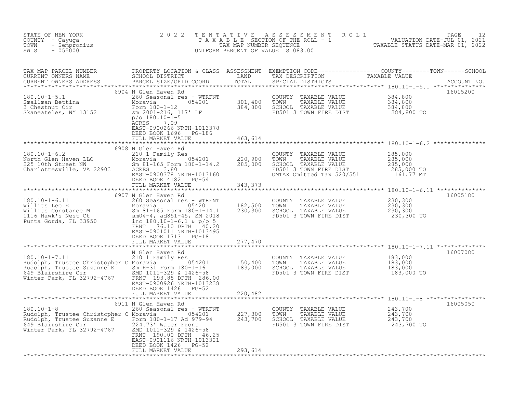| STATE OF NEW YORK<br>COUNTY - Cayuga<br>- Sempronius<br>TOWN<br>$-055000$<br>SWIS                                                                                                                                                                       | 2 0 2 2                                                                                                                                                                                                                            |                               | UNIFORM PERCENT OF VALUE IS 083.00                                                                                                                                             | TENTATIVE ASSESSMENT ROLL PACE 12<br>TAXABLE SECTION OF THE ROLL - 1 VALUATION DATE-JUL 01, 2021<br>TAX MAP NUMBER SEQUENCE TAXABLE STATUS DATE-MAR 01, 2022<br>UNIFORM PERCENT OF VALUE IS 083.00 |  |
|---------------------------------------------------------------------------------------------------------------------------------------------------------------------------------------------------------------------------------------------------------|------------------------------------------------------------------------------------------------------------------------------------------------------------------------------------------------------------------------------------|-------------------------------|--------------------------------------------------------------------------------------------------------------------------------------------------------------------------------|----------------------------------------------------------------------------------------------------------------------------------------------------------------------------------------------------|--|
|                                                                                                                                                                                                                                                         |                                                                                                                                                                                                                                    |                               |                                                                                                                                                                                |                                                                                                                                                                                                    |  |
| 180.10-1-5.1 260 Seasonal res - WTRFNT COUNTY TAXABLE VALUE 384,800<br>Smallman Bettina Moravia 054201 301,400 TOWN TAXABLE VALUE 384,800<br>3 Chestnut Cir Form 180-1-12 384,800 SCHOOL TAXABLE VALUE 384,800<br>Skaneateles, NY 13                    | 6904 N Glen Haven Rd<br><b>ACRES</b><br>7.09<br>EAST-0900266 NRTH-1013378<br>DEED BOOK 1696 PG-186<br>FULL MARKET VALUE                                                                                                            | 463,614                       |                                                                                                                                                                                | 16015200<br>384,800 TO                                                                                                                                                                             |  |
| $180.10 - 1 - 6.2$<br>180.10-1-6.2<br>North Glen Haven LLC<br>225 10th Street NW<br>Charlottesville, VA 22903                                                                                                                                           | 6908 N Glen Haven Rd<br>210 1 Family Res<br>Moravia 054201 220,900<br>Sm 81-165 Form 180-1-14.2 285,000<br>ACRES 380<br>ACRES 3.80<br>ACRES 3.80<br>EAST-0900378_NRTH-1013160<br>DEED BOOK 4182 PG-54<br>FULL MARKET VALUE 343,373 |                               | COUNTY TAXABLE VALUE $285,000$<br>TOWN TAXABLE VALUE $285,000$<br>SCHOOL TAXABLE VALUE $285,000$<br>FD501 3 TOWN FIRE DIST $285,000$ TO<br>OMTAX Omitted Tax 520/551 161.77 MT |                                                                                                                                                                                                    |  |
| $180.10 - 1 - 6.11$<br>180.10-1-6.11 260 Seasonal res - WTRFNT<br>Willits Lee E Moravia 054201<br>Willits Constance M Sm 81-165 Form 180-1-14.1<br>1116 Hawk's Nest Ct sm04-4, ad851-45, SM 2018<br>Punta Gorda, FL 33950 inc_man 180.10-1-6.1 & p/o 50 | 6907 N Glen Haven Rd<br>260 Seasonal res - WTRFNT<br>FRNT 76.10 DPTH 40.20<br>EAST-0901011 NRTH-1013495<br>DEED BOOK 1713 PG-18<br>FULL MARKET VALUE                                                                               | 182,500<br>230,300<br>277,470 | COUNTY TAXABLE VALUE $230,300$<br>TOWN TAXABLE VALUE $230,300$<br>SCHOOL TAXABLE VALUE $230,300$<br>FD501 3 TOWN FIRE DIST $230,300$                                           | 16005180                                                                                                                                                                                           |  |
| ANALy Kes Christopher C Moravia (954201 50,400<br>Rudolph, Trustee Suzanne E Sm H-31 Form 180-1-16 183,000<br>649 Blairshire Cir SMD 1011-329 & 1426-58<br>Winter Park, FL 32792-4767 FRNT 193.88 DPTH 286.00<br>EAST-0900926 NRTH-101                  | N Glen Haven Rd<br>210 1 Family Res<br>DEED BOOK 1426 PG-52<br>FULL MARKET VALUE                                                                                                                                                   | 220,482                       | COUNTY TAXABLE VALUE<br>TOWN     TAXABLE VALUE<br>SCHOOL TAXABLE VALUE<br>FD501 3 TOWN FIRE DIST                                                                               | 16007080<br>183,000<br>183,000<br>183,000<br>183,000 TO                                                                                                                                            |  |
|                                                                                                                                                                                                                                                         | 6911 N Glen Haven Rd                                                                                                                                                                                                               |                               |                                                                                                                                                                                | 16005050                                                                                                                                                                                           |  |
| 180.10-1-8<br>Rudolph, Trustee Christopher C Moravia 180-1-17 Ad 979-94<br>Rudolph, Trustee Suzanne E Form 180-1-17 Ad 979-94<br>649 Blairshire Cir 182792-4767<br>Winter Park, FL 32792-4767<br>SMD 1011-329 & 1426-58<br>FRNT 190.00 DPT              | FRNT 190.00 DPTH 46.25<br>EAST-0901116 NRTH-1013321<br>DEED BOOK 1426 PG-52<br>FULL MARKET VALUE                                                                                                                                   | 293,614                       | COUNTY TAXABLE VALUE $243,700$<br>TOWN TAXABLE VALUE $243,700$<br>SCHOOL TAXABLE VALUE $243,700$<br>FD501 3 TOWN FIRE DIST $243,700$                                           |                                                                                                                                                                                                    |  |
|                                                                                                                                                                                                                                                         |                                                                                                                                                                                                                                    |                               |                                                                                                                                                                                |                                                                                                                                                                                                    |  |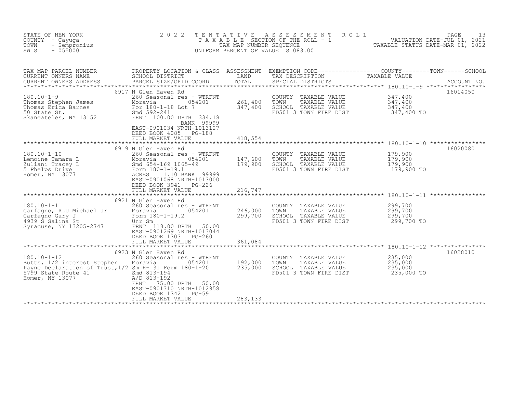| STATE OF NEW YORK<br>COUNTY - Cayuga<br>- Sempronius<br>TOWN<br>SWIS<br>$-055000$                                                                                                   | 2 0 2 2                                                                                                                                                                                                                                 | TENTATIVE<br>TAX MAP NUMBER SEQUENCE | ASSESSMENT<br>T A X A B L E SECTION OF THE ROLL - 1<br>UNIFORM PERCENT OF VALUE IS 083.00       | $\begin{tabular}{ccccc} 1 & & - & - & \text{VALUATION DATE–JUL 01, 2021} \\ & & \text{YALUATION DATE–JUL 01, 2021} \\ & & \text{TXABLE STATIVE DAMPIN DAMP.} \end{tabular}$ | 13          |
|-------------------------------------------------------------------------------------------------------------------------------------------------------------------------------------|-----------------------------------------------------------------------------------------------------------------------------------------------------------------------------------------------------------------------------------------|--------------------------------------|-------------------------------------------------------------------------------------------------|-----------------------------------------------------------------------------------------------------------------------------------------------------------------------------|-------------|
| TAX MAP PARCEL NUMBER<br>CURRENT OWNERS NAME<br>CURRENT OWNERS ADDRESS                                                                                                              | SCHOOL DISTRICT<br>PARCEL SIZE/GRID COORD                                                                                                                                                                                               | LAND<br>TOTAL                        | TAX DESCRIPTION<br>SPECIAL DISTRICTS                                                            | PROPERTY LOCATION & CLASS ASSESSMENT EXEMPTION CODE----------------COUNTY-------TOWN------SCHOOL<br>TAXABLE VALUE                                                           | ACCOUNT NO. |
| $180.10 - 1 - 9$<br>Thomas Stephen James<br>Thomas Erica Barnes<br>Thomas Erica Barnes<br>Thomas Erica Barnes<br>So State St.<br>Skaneateles, NY 13152<br>FRNT 100.00 DPTH 334.18   | 6917 N Glen Haven Rd<br>260 Seasonal res - WTRFNT<br>BANK 99999<br>EAST-0901034 NRTH-1013127<br>DEED BOOK 4085 PG-188<br>FULL MARKET VALUE                                                                                              | 261,400<br>347,400<br>418,554        | COUNTY TAXABLE VALUE<br>TAXABLE VALUE<br>TOWN<br>SCHOOL TAXABLE VALUE<br>FD501 3 TOWN FIRE DIST | 16014050<br>347,400<br>347,400<br>347,400<br>347,400 TO                                                                                                                     |             |
| $180.10 - 1 - 10$<br>Lemoine Tamara L<br>Zuliani Tracey L<br>5 Phelps Drive<br>Homer, NY 13077                                                                                      | 6919 N Glen Haven Rd<br>260 Seasonal res - WTRFNT<br>054201<br>0542<br>Smd 654-169 1065-49<br>Form 180-1-19.1<br>ACRES 1.10 BANK<br>ACRES<br>1.10 BANK 99999<br>EAST-0901068 NRTH-1013000<br>DEED BOOK 3941 PG-226<br>FULL MARKET VALUE | 147,600<br>179,900<br>216,747        | COUNTY TAXABLE VALUE<br>TOWN<br>TAXABLE VALUE<br>SCHOOL TAXABLE VALUE<br>FD501 3 TOWN FIRE DIST | 16020080<br>179,900<br>179,900<br>179,900<br>179,900 TO                                                                                                                     |             |
| $180.10 - 1 - 11$<br>Carfagno, RLU Michael Jr<br>Carfagno Gary J<br>4939 S Salina St<br>Syracuse, NY 13205-2747                                                                     | 6921 N Glen Haven Rd<br>260 Seasonal res - WTRFNT<br>054201<br>Unr Sm<br>FRNT 118.00 DPTH 50.00<br>EAST-0901269 NRTH-1013044<br>DEED BOOK 1303 PG-260<br>FULL MARKET VALUE                                                              | 246,000<br>299,700<br>361,084        | COUNTY TAXABLE VALUE<br>TOWN<br>TAXABLE VALUE<br>SCHOOL TAXABLE VALUE<br>FD501 3 TOWN FIRE DIST | 299,700<br>299,700<br>299,700<br>299,700 TO                                                                                                                                 |             |
| $180.10 - 1 - 12$<br>Butts, 1/2 interest Stephen<br>Payne Declaration of Trust, 1/2 Sm H- 31 Form 180-1-20<br>5799 State Route 41<br>an an Aonaichte<br>Bailtean<br>Homer, NY 13077 | 6923 N Glen Haven Rd<br>260 Seasonal res - WTRFNT<br>Moravia<br>054201<br>Smd 813-194<br>A/D 813-192<br>75.00 DPTH 50.00<br>FRNT<br>EAST-0901310 NRTH-1012958<br>PG-59<br>DEED BOOK 1342<br>FULL MARKET VALUE                           | 192,000<br>235,000<br>283,133        | COUNTY TAXABLE VALUE<br>TOWN<br>TAXABLE VALUE<br>SCHOOL TAXABLE VALUE<br>FD501 3 TOWN FIRE DIST | 16028010<br>235,000<br>235,000<br>235,000<br>235,000 TO                                                                                                                     |             |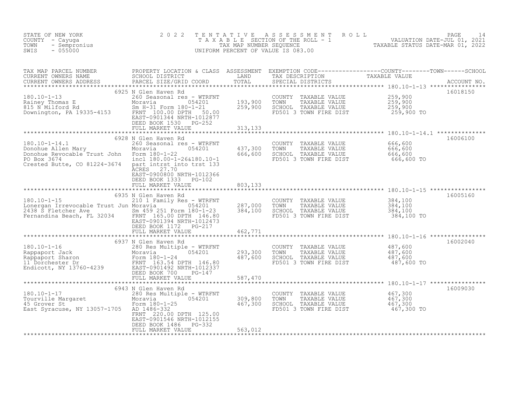| STATE OF NEW YORK<br>COUNTY - Cayuga<br>- Sempronius<br>TOWN<br>SWIS<br>$-055000$                                                                                                  | 2 0 2 2                                                                                                                                                                            | TENTATIVE                     | ASSESSMENT ROLL<br>UNIFORM PERCENT OF VALUE IS 083.00                                                         | PAGE<br>14<br>TAXABLE SECTION OF THE ROLL - 1<br>TAXABLE STATUS DATE-JUL 01, 2021<br>NIEODM PERCENT OF WILLIAMS CORRECTED 2022 |
|------------------------------------------------------------------------------------------------------------------------------------------------------------------------------------|------------------------------------------------------------------------------------------------------------------------------------------------------------------------------------|-------------------------------|---------------------------------------------------------------------------------------------------------------|--------------------------------------------------------------------------------------------------------------------------------|
| CURRENT OWNERS ADDRESS                                                                                                                                                             |                                                                                                                                                                                    |                               |                                                                                                               |                                                                                                                                |
| 180.10-1-13<br>Rainey Thomas E Moravia 054201<br>815 N Milford Rd Sm H-31 Form 180-1-21<br>Downington, PA 19335-4153<br>EAST-0901344 NRTH-100.00 PPH                               | 6925 N Glen Haven Rd<br>DEED BOOK 1530 PG-252<br>FULL MARKET VALUE                                                                                                                 | 193,900<br>259,900<br>313,133 | COUNTY TAXABLE VALUE<br>TAXABLE VALUE<br>TOWN<br>SCHOOL TAXABLE VALUE<br>FD501 3 TOWN FIRE DIST               | 16018150<br>259,900<br>259,900<br>259,900<br>259,900 TO                                                                        |
|                                                                                                                                                                                    |                                                                                                                                                                                    |                               |                                                                                                               |                                                                                                                                |
| 180.10-1-14.1<br>Donohue Allen Mary<br>Donohue Revocable Trust John Form 180-1-22<br>PO Box 3674<br>Allen List intrst in<br>Crested Butte, CO 81224-3674 part intrst into trst 133 | 6928 N Glen Haven Rd<br>260 Seasonal res - WTRFNT<br>Moravia<br>054201<br>incl 180.00-1-26&180.10-1<br>ACRES<br>27.70<br>EAST-0900800 NRTH-1012366                                 | 437,300<br>666,600            | COUNTY TAXABLE VALUE<br>TOWN<br>TAXABLE VALUE<br>SCHOOL TAXABLE VALUE<br>FD501 3 TOWN FIRE DIST               | 16006100<br>666,600<br>666,600<br>666,600<br>666,600 TO                                                                        |
|                                                                                                                                                                                    | DEED BOOK 1333 PG-102<br>FULL MARKET VALUE                                                                                                                                         | 803,133                       |                                                                                                               |                                                                                                                                |
|                                                                                                                                                                                    |                                                                                                                                                                                    |                               |                                                                                                               |                                                                                                                                |
| $180.10 - 1 - 15$<br>Lonergan Irrevocable Trust Jun Moravia<br>2438 S Fletcher Ave Sm 459 251 Form 180-1-23<br>Fernandina Beach, FL 32034 FRNT 165.00 DPTH 146.80                  | 6935 N Glen Haven Rd<br>210 1 Family Res - WTRFNT<br>054201<br>EAST-0901394 NRTH-1012473<br>DEED BOOK 1172    PG-217                                                               | 287,000<br>384,100            | COUNTY TAXABLE VALUE<br>TOWN<br>TAXABLE VALUE<br>SCHOOL TAXABLE VALUE<br>FD501 3 TOWN FIRE DIST               | 16005160<br>384,100<br>384,100<br>384,100<br>384,100 TO                                                                        |
|                                                                                                                                                                                    | FULL MARKET VALUE                                                                                                                                                                  | 462,771                       |                                                                                                               |                                                                                                                                |
|                                                                                                                                                                                    | 6937 N Glen Haven Rd<br>FULL MARKET VALUE                                                                                                                                          | 293,300<br>487,600<br>587,470 | COUNTY TAXABLE VALUE<br>TAXABLE VALUE<br>TOWN<br>TOWN TAAADDE VALUE<br>SCHOOL TAXABLE VALUE<br>TAAL TERE DIST | 16002040<br>487,600<br>487,600<br>487,600<br>487,600 TO                                                                        |
|                                                                                                                                                                                    |                                                                                                                                                                                    |                               |                                                                                                               |                                                                                                                                |
| Tourville Margaret<br>Tourville Margaret<br>45 Grover St<br>East Syracuse (1990) 1990<br>East Syracuse (1990)<br>East Syracuse, NY 13057-1705 AD 1486-332                          | 6943 N Glen Haven Rd<br>280 Res Multiple - WTRFNT<br>054201<br>Form 180-1-25<br>FRNT 220.00 DPTH 125.00<br>EAST-0901546 NRTH-1012155<br>DEED BOOK 1486 PG-332<br>FULL MARKET VALUE | 309,800<br>467,300<br>563,012 | COUNTY TAXABLE VALUE<br>TOWN<br>TAXABLE VALUE<br>SCHOOL TAXABLE VALUE<br>FD501 3 TOWN FIRE DIST               | 16009030<br>467,300<br>$\frac{467}{67}$ , 300<br>$\frac{467}{67}$<br>467,300 TO                                                |
|                                                                                                                                                                                    |                                                                                                                                                                                    |                               |                                                                                                               |                                                                                                                                |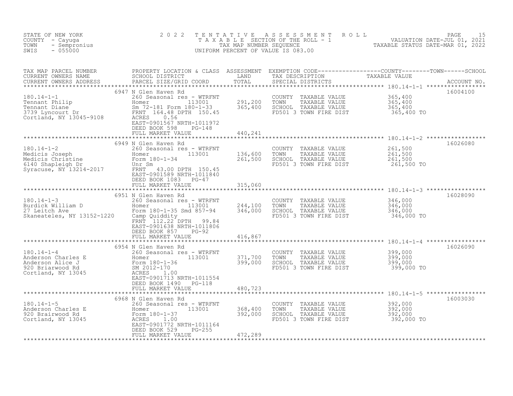| STATE OF NEW YORK<br>COUNTY - Cayuga<br>- Sempronius<br>TOWN<br>SWIS<br>$-055000$                                                                                                                                                                 | 2 0 2 2                                                                                                                                                                                               | T E N T A T I V E  | A S S E S S M E N T A O L L<br>T A X A B L E SECTION OF THE ROLL - 1 WALUATION DATE-JUL 01, 2021<br>UNIFORM PERCENT OF VALUE IS 083.00 |                                             | 15<br>PAGE  |
|---------------------------------------------------------------------------------------------------------------------------------------------------------------------------------------------------------------------------------------------------|-------------------------------------------------------------------------------------------------------------------------------------------------------------------------------------------------------|--------------------|----------------------------------------------------------------------------------------------------------------------------------------|---------------------------------------------|-------------|
| TAX MAP PARCEL NUMBER<br>CURRENT OWNERS NAME<br>CURRENT OWNERS ADDRESS PARCEL SIZE/GRID COORD<br>CURRENT OWNERS ADDRESS                                                                                                                           |                                                                                                                                                                                                       |                    | SPECIAL DISTRICTS                                                                                                                      |                                             | ACCOUNT NO. |
| 180.14-1-1<br>Tennant Philip<br>Tennant Diane<br>3739 Lyncourt Dr<br>Cortland, NY 13045-9108<br>Tennant Diane<br>260 Seasonal res - WTRFNT<br>260 Seasonal res - WTRFNT<br>260 Seasonal res - WTRFNT<br>260 Seasonal res - WTRFNT<br>260 Seasonal | 6947 N Glen Haven Rd<br>Homer 113001<br>Sm 72-181 Form 180-1-33 365,400<br>EAST-0901567 NRTH-1011972<br>DEED BOOK 598<br>$PG-148$<br>FULL MARKET VALUE                                                | 291,200<br>440,241 | COUNTY TAXABLE VALUE<br>TAXABLE VALUE<br>TOWN<br>SCHOOL TAXABLE VALUE<br>FD501 3 TOWN FIRE DIST                                        | 365,400<br>365,400<br>365,400<br>365,400 TO | 16004100    |
| 180.14-1-2<br>Medicis Joseph<br>Medicis Christine<br>Medicis Christine<br>6140 Shapleigh Dr<br>Syracuse, NY 13214-2017<br>TRNT 343.00 DRN                                                                                                         | 6949 N Glen Haven Rd<br>260 Seasonal res - WTRFNT<br>isonal res - WTRFNT<br>13001 136,600<br>FRNT 43.00 DPTH 150.45<br>EAST-0901589 NRTH-1011840<br>DEED BOOK 1083 PG-47<br>FULL MARKET VALUE         | 261,500<br>315,060 | COUNTY TAXABLE VALUE<br>TAXABLE VALUE<br>TOWN<br>SCHOOL TAXABLE VALUE<br>FD501 3 TOWN FIRE DIST                                        | 261,500<br>261,500<br>261,500<br>261,500 TO | 16026080    |
| $180.14 - 1 - 3$<br>27 Leitch Ave<br>Skaneateles, NY 13152-1220 Camp Quiddity                                                                                                                                                                     | 6951 N Glen Haven Rd<br>260 Seasonal res - WTRFNT<br>Form 180-1-35 Smd 857-94<br>FRNT 112.22 DPTH 99.84<br>EAST-0901638 NRTH-1011806<br>DEED BOOK 857<br>PG-92                                        | 244,100<br>346,000 | COUNTY TAXABLE VALUE<br>TOWN<br>TAXABLE VALUE<br>SCHOOL TAXABLE VALUE<br>FD501 3 TOWN FIRE DIST                                        | 346,000<br>346,000<br>346,000<br>346,000 TO | 16028090    |
|                                                                                                                                                                                                                                                   | FULL MARKET VALUE                                                                                                                                                                                     | 416,867            |                                                                                                                                        |                                             |             |
| $180.14 - 1 - 4$<br>180.14-1-4<br>Anderson Charles E Homer<br>Anderson Alice J Homer<br>920 Briarwood Rd SM 2012-170<br>Cortland, NY 13045<br>ACRES                                                                                               | 6954 N Glen Haven Rd<br>260 Seasonal res - WTRFNT<br>113001<br>Homer <b>Home</b><br>EAST-0901713 NRTH-1011554<br>DEED BOOK 1490 PG-118                                                                | 371,700<br>399,000 | COUNTY TAXABLE VALUE<br>TOWN      TAXABLE VALUE<br>SCHOOL   TAXABLE VALUE<br>FD501 3 TOWN FIRE DIST                                    | 399,000<br>399,000<br>399,000<br>399,000 TO | 16026090    |
|                                                                                                                                                                                                                                                   | FULL MARKET VALUE                                                                                                                                                                                     | 480,723            |                                                                                                                                        |                                             |             |
| $180.14 - 1 - 5$<br>Anderson Charles E<br>920 Brairwood Rd<br>Cortland, NY 13045                                                                                                                                                                  | 6968 N Glen Haven Rd<br>260 Seasonal res - WTRFNT<br>113001<br>Homer<br>nomer<br>Form 180-1-37<br>ACRES 1.00<br>EAST-0901772 N<br>The Company<br>EAST-0901772 NRTH-1011164<br>PG-255<br>DEED BOOK 529 | 368,400<br>392,000 | COUNTY TAXABLE VALUE<br>TOWN<br>TAXABLE VALUE<br>SCHOOL TAXABLE VALUE<br>FD501 3 TOWN FIRE DIST                                        | 392,000<br>392,000<br>392,000<br>392,000 TO | 16003030    |
|                                                                                                                                                                                                                                                   | FULL MARKET VALUE                                                                                                                                                                                     | 472,289            |                                                                                                                                        |                                             |             |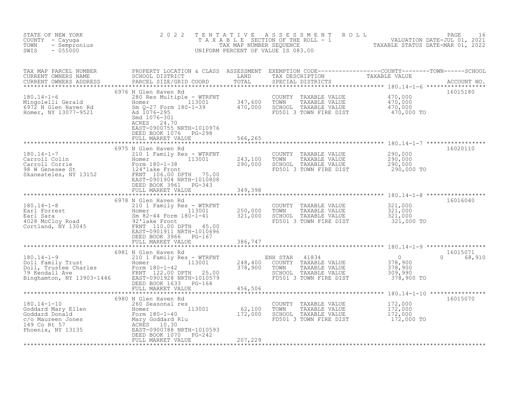| STATE OF NEW YORK<br>COUNTY - Cayuga<br>- Sempronius<br>TOWN<br>SWIS<br>$-055000$                                                                                                                                                                                        | 2 0 2 2                                                           |         | TENTATIVE ASSESSMENT ROLL PAGE 16<br>TAXABLE SECTION OF THE ROLL - 1 VALUATION DATE-JUL 01, 2021<br>TAXABLE STATUS DATE-MAR 01, 2022<br>INIFORM PERCENT OF VALUE IS 083 00<br>UNIFORM PERCENT OF VALUE IS 083.00 |                      |
|--------------------------------------------------------------------------------------------------------------------------------------------------------------------------------------------------------------------------------------------------------------------------|-------------------------------------------------------------------|---------|------------------------------------------------------------------------------------------------------------------------------------------------------------------------------------------------------------------|----------------------|
|                                                                                                                                                                                                                                                                          | 6976 N Glen Haven Rd                                              |         |                                                                                                                                                                                                                  | 16015180             |
| 180.14-1-6<br>Mingolelli Gerald<br>Mingolelli Gerald<br>Ele - WTRFNT<br>Mingolelli Gerald<br>Ele - WTRFNT<br>280 ROMER 113001<br>2970 Momer, NY 13077-9521<br>201076-295<br>201076-301<br>201076-301<br>201076-301<br>201076-301<br>201076-301<br>2010                   | ACRES 24.70<br>EAST-0900755 NRTH-1010976<br>DEED BOOK 1076 PG-298 | 566,265 | COUNTY TAXABLE VALUE $\begin{array}{ccc} 470,000 \ 1000 \ 2000 \ 1000 \ 1000 \ 2000 \ 3000 \ 1000 \ 1000 \ 1000 \ 1000 \ 1000 \ 1000 \ 1000 \ 1000 \ 1000 \ 1000 \ 100 \end{array}$                              |                      |
|                                                                                                                                                                                                                                                                          | FULL MARKET VALUE                                                 |         |                                                                                                                                                                                                                  |                      |
| 180.14-1-7<br>Carroll Colin<br>Carroll Corrie 113001<br>Power 180-1-38<br>243,100<br>243,100<br>243,100<br>243,100<br>243,100<br>243,100<br>25101 Family Res - WTRFNT<br>290,000<br>290,000<br>290,000<br>290,000<br>EAST-0901904 NRTH-1010808                           | 6975 N Glen Haven Rd<br>DEED BOOK 3961 PG-343                     |         | COUNTY TAXABLE VALUE $290,000$<br>TOWN TAXABLE VALUE $290,000$<br>SCHOOL TAXABLE VALUE $290,000$<br>FD501 3 TOWN FIRE DIST $290,000$ TO                                                                          | 16020110             |
|                                                                                                                                                                                                                                                                          | FULL MARKET VALUE                                                 | 349,398 |                                                                                                                                                                                                                  |                      |
|                                                                                                                                                                                                                                                                          | 6978 N Glen Haven Rd                                              |         |                                                                                                                                                                                                                  | 16016040             |
| 180.14-1-8<br>Earl Forrest<br>Earl Sara<br>4028 McCloy Road<br>Cortland, NY 13045<br>Earl Sara<br>250,000<br>250,000<br>250,000<br>250,000<br>250,000<br>250,000<br>250,000<br>250,000<br>250,000<br>250,000<br>250,000<br>250,000<br>250,000<br>250,000<br>250,000<br>2 | DEED BOOK 3966 PG-167                                             |         | COUNTY TAXABLE VALUE 321,000<br>TOWN TAXABLE VALUE 321,000<br>SCHOOL TAXABLE VALUE 321,000<br>FD501 3 TOWN FIRE DIST 321,000 TO<br>TOWN                                                                          |                      |
|                                                                                                                                                                                                                                                                          | FULL MARKET VALUE                                                 | 386,747 |                                                                                                                                                                                                                  |                      |
|                                                                                                                                                                                                                                                                          | 6981 N Glen Haven Rd                                              | 456,506 | NH STAR 41834<br>COUNTY TAXABLE VALUE 378,900<br>TOWN TAXABLE VALUE 378,900<br>SCHOOL TAXABLE VALUE 309,990<br>FD501 3 TOWN FIRE DIST 378,900 TO                                                                 | 16015071<br>0 68,910 |
|                                                                                                                                                                                                                                                                          |                                                                   |         |                                                                                                                                                                                                                  | 16015070             |
|                                                                                                                                                                                                                                                                          |                                                                   |         | COUNTY TAXABLE VALUE $172,000$<br>TOWN TAXABLE VALUE $172,000$<br>SCHOOL TAXABLE VALUE $172,000$<br>FD501 3 TOWN FIRE DIST 172,000 TO                                                                            |                      |
|                                                                                                                                                                                                                                                                          |                                                                   |         |                                                                                                                                                                                                                  |                      |
|                                                                                                                                                                                                                                                                          |                                                                   |         |                                                                                                                                                                                                                  |                      |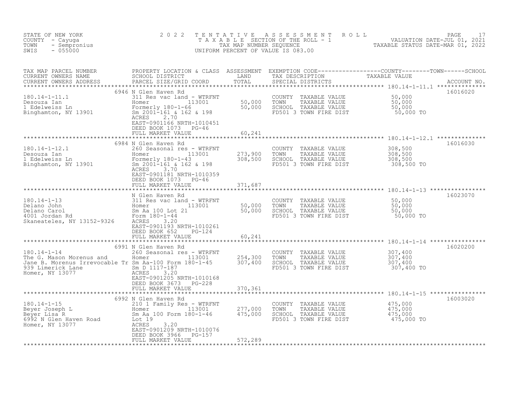| STATE OF NEW YORK<br>COUNTY - Cayuga<br>- Sempronius<br>TOWN<br>$-055000$<br>SWIS                                                               | 2 0 2 2                                                                                                                                                                                                                    | TENTATIVE                     | A S S E S S M E N T R O L L<br>T A X A B L E SECTION OF THE ROLL - 1 VALUATION DATE-JUL 01, 2021<br>UNIFORM PERCENT OF VALUE IS 083.00 | TAXABLE STATUS DATE-MAR 01, 2022                                   | PAGE<br>17  |
|-------------------------------------------------------------------------------------------------------------------------------------------------|----------------------------------------------------------------------------------------------------------------------------------------------------------------------------------------------------------------------------|-------------------------------|----------------------------------------------------------------------------------------------------------------------------------------|--------------------------------------------------------------------|-------------|
| TAX MAP PARCEL NUMBER<br>CURRENT OWNERS NAME<br>CURRENT OWNERS ADDRESS                                                                          | PROPERTY LOCATION & CLASS ASSESSMENT EXEMPTION CODE----------------COUNTY-------TOWN-----SCHOOL<br>SCHOOL DISTRICT<br>PARCEL SIZE/GRID COORD                                                                               | LAND<br>TOTAL                 | TAX DESCRIPTION TAXABLE VALUE<br>SPECIAL DISTRICTS                                                                                     |                                                                    | ACCOUNT NO. |
| $180.14 - 1 - 11.1$<br>Desouza Ian<br>1 Edelweiss Ln<br>Binghamton, NY 13901                                                                    | 6946 N Glen Haven Rd<br>311 Res vac land - WTRFNT<br>Homer 113001<br>Formerly 180-1-66<br>Sm 2001-161 & 162 & 198<br>2.70<br>ACRES<br>EAST-0901166 NRTH-1010451<br>DEED BOOK 1073<br>$PG-46$                               | $50,000$<br>$50,000$          | COUNTY TAXABLE VALUE<br>TOWN<br>TAXABLE VALUE<br>SCHOOL TAXABLE VALUE<br>FD501 3 TOWN FIRE DIST                                        | 50,000<br>50,000<br>50,000<br>50,000 TO                            | 16016020    |
|                                                                                                                                                 | FULL MARKET VALUE                                                                                                                                                                                                          | 60,241<br>* * * * * * * * *   |                                                                                                                                        | *************************************180.14-1-12.1 *************** |             |
| $180.14 - 1 - 12.1$<br>Desouza Ian<br>1 Edelweiss Ln<br>Binghamton, NY 13901                                                                    | 6984 N Glen Haven Rd<br>260 Seasonal res - WTRFNT<br>113001<br>Homer<br>Formerly 180-1-43<br>Sm 2001-161 & 162 & 198<br>ACRES<br>3.70<br>EAST-0901181 NRTH-1010359<br>DEED BOOK 1073<br>$PG-46$                            | 273,900<br>308,500            | COUNTY<br>TAXABLE VALUE<br>TAXABLE VALUE<br>TOWN<br>SCHOOL TAXABLE VALUE<br>FD501 3 TOWN FIRE DIST                                     | 308,500<br>308,500<br>308,500<br>308,500 TO                        | 16016030    |
|                                                                                                                                                 | FULL MARKET VALUE                                                                                                                                                                                                          | 371,687                       |                                                                                                                                        |                                                                    |             |
|                                                                                                                                                 |                                                                                                                                                                                                                            | * * * * * * * * * * * * * *   |                                                                                                                                        |                                                                    |             |
| $180.14 - 1 - 13$<br>Delano John<br>Delano Carol<br>4001 Jordan Rd<br>Skaneateles, NY 13152-9326                                                | N Glen Haven Rd<br>311 Res vac land - WTRFNT<br>113001 50,000<br>Lot 21 50,000<br>Homer<br>Sm Aa 100 Lot 21<br>Form 180-1-44<br>ACRES<br>3.20<br>EAST-0901193 NRTH-1010261<br>DEED BOOK 652<br>PG-124<br>FULL MARKET VALUE | 60,241                        | COUNTY<br>TAXABLE VALUE<br>TOWN<br>TAXABLE VALUE<br>SCHOOL TAXABLE VALUE<br>FD501 3 TOWN FIRE DIST                                     | 50,000<br>50,000<br>50,000<br>50,000 TO                            | 16023070    |
|                                                                                                                                                 |                                                                                                                                                                                                                            |                               |                                                                                                                                        |                                                                    |             |
| $180.14 - 1 - 14$<br>The G. Mason Morenus and<br>Jane B. Morenus Irrevocable Tr Sm Aa-100 Form 180-1-45<br>939 Limerick Lane<br>Homer, NY 13077 | 6991 N Glen Haven Rd<br>260 Seasonal res - WTRFNT<br>$113001$<br>180-1-45<br>Homer<br>Sm D 1117-187<br>ACRES<br>3.20<br>EAST-0901205 NRTH-1010168<br>DEED BOOK 3673<br>PG-228<br>FULL MARKET VALUE                         | 254,300<br>307,400<br>370,361 | COUNTY<br>TAXABLE VALUE<br>TOWN<br>TAXABLE VALUE<br>SCHOOL TAXABLE VALUE<br>FD501 3 TOWN FIRE DIST                                     | 307,400<br>$\frac{307}{307}$ , 400<br>307, 400<br>307,400 TO       | 16020200    |
|                                                                                                                                                 |                                                                                                                                                                                                                            |                               |                                                                                                                                        |                                                                    |             |
| $180.14 - 1 - 15$<br>Beyer Joseph L<br>Beyer Lisa R<br>6992 N Glen Haven Road<br>6992 N Glen Haven Road<br>Homer, NY 13077                      | 6992 N Glen Haven Rd<br>210 1 Family Res - WTRFNT<br>$^{13001}$<br>Homer<br>Sm Aa 100 Form 180-1-46<br>Lot 19<br>ACRES<br>3.20<br>EAST-0901209 NRTH-1010076<br>DEED BOOK 3966<br>$PG-157$                                  | 277,000<br>475,000            | COUNTY TAXABLE VALUE<br>TOWN<br>TAXABLE VALUE<br>SCHOOL TAXABLE VALUE<br>FD501 3 TOWN FIRE DIST                                        | 475,000<br>475,000<br>475,000<br>475,000 TO                        | 16003020    |
|                                                                                                                                                 | FULL MARKET VALUE                                                                                                                                                                                                          | 572,289                       | *****************************                                                                                                          |                                                                    |             |
|                                                                                                                                                 |                                                                                                                                                                                                                            |                               |                                                                                                                                        |                                                                    |             |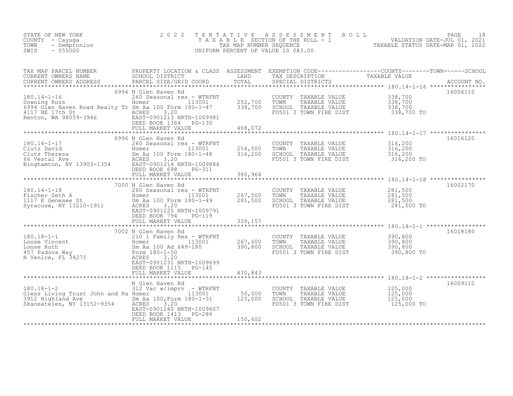| STATE OF NEW YORK<br>COUNTY - Cayuga<br>TOWN<br>- Sempronius<br>$-055000$<br>SWIS                                                                                                              | 2 0 2 2                                                                                                                                                                                                                        | TENTATIVE                                | ASSESSMENT ROLL<br>T A X A B L E SECTION OF THE ROLL - 1<br>TAX MAP NUMBER SEQUENCE OF THE ROLL - 1<br>TAXABLE STATUS DATE-MAR 01, 2022<br>UNIFORM PERCENT OF VALUE IS 083.00 |                                                | PAGE<br>18 |
|------------------------------------------------------------------------------------------------------------------------------------------------------------------------------------------------|--------------------------------------------------------------------------------------------------------------------------------------------------------------------------------------------------------------------------------|------------------------------------------|-------------------------------------------------------------------------------------------------------------------------------------------------------------------------------|------------------------------------------------|------------|
| TAX MAP PARCEL NUMBER<br>CURRENT OWNERS NAME<br>CURRENT OWNERS ADDRESS                                                                                                                         | PROPERTY LOCATION & CLASS ASSESSMENT EXEMPTION CODE-----------------COUNTY--------TOWN------SCHOOL<br>SCHOOL DISTRICT LAND TAX DESCRIPTION TAXABLE VALUE<br>PARCEL SIZE/GRID COORD TOTAL SPECIAL DISTRICTS                     |                                          |                                                                                                                                                                               |                                                |            |
| 200 Seasonal res - WTRFNT<br>113001 252,700<br>6994 Glen Haven Road Realty Tr Sm Aa 100 Form 180-1-47 338,700<br>4117 NE 17th St ACRES 3.20<br>Renton, WA 98059-3946 EAST-0901213 NRTH-1009981 | 6994 N Glen Haven Rd<br>FULL MARKET VALUE                                                                                                                                                                                      | 408,072                                  | COUNTY TAXABLE VALUE<br>TOWN<br>TAXABLE VALUE<br>SCHOOL TAXABLE VALUE<br>FD501 3 TOWN FIRE DIST                                                                               | 338,700<br>338,700<br>338,700<br>338,700 TO    | 16006110   |
|                                                                                                                                                                                                |                                                                                                                                                                                                                                | 254,500<br>316,200                       | COUNTY TAXABLE VALUE<br>TOWN<br>TAXABLE VALUE<br>SCHOOL TAXABLE VALUE<br>FD501 3 TOWN FIRE DIST                                                                               | 316, 200<br>316, 200<br>316, 200<br>316,200 TO | 16016120   |
| $180.14 - 1 - 18$<br>180.14-1-18<br>Fischer Seth A<br>1117 E Genesee St<br>Syracuse, NY 13210-1911<br>ACRES 2001225 NPTH-1009791                                                               | 7000 N Glen Haven Rd<br>EAST-0901225 NRTH-1009791<br>DEED BOOK 794<br>PG-119<br>FULL MARKET VALUE                                                                                                                              | 380,964<br>267,500<br>281,500<br>339,157 | COUNTY TAXABLE VALUE $281,500$<br>TOWN TAXABLE VALUE $281,500$<br>SCHOOL TAXABLE VALUE $281,500$<br>FD501 3 TOWN FIRE DIST $281,500$ TO                                       |                                                | 16002170   |
| 180.18-1-1<br>Loose Vincent<br>Loose Ruth<br>457 Padova Way<br>N Venice, FL 34275<br>210 1 Family I<br>Homer<br>Sm Aa 100 Ad (Form 180-1-50<br>ACRES                                           | 7002 N Glen Haven Rd<br>N Gien naven is<br>210 1 Family Res - WTRFNT<br>Homer 113001 267,600<br>267,600 390,800<br>$\frac{5m}{2}$ Aa 100 Ad 649-180<br>EAST-0901231 NRTH-1009699<br>DEED BOOK 1115 PG-145<br>FULL MARKET VALUE | 267,600<br>470,843                       | TOWN<br>SCHOOL TAXABLE VALUE<br>FD501 3 TOWN FIRE DIST                                                                                                                        | 390,800<br>390,800 TO                          | 16018180   |
| 312 Vac w/imprv - WTRFNT<br>Giess Living Trust John and Ka Homer 113001 50,000<br>3912 Highland Ave Sm Aa 100, Form 180-1-51 125,000<br>Skaneateles, NY 13152-9354 ACRES 3.20                  | N Glen Haven Rd<br>EAST-0901240 NRTH-1009607<br>PG-286<br>DEED BOOK 1413<br>FULL MARKET VALUE                                                                                                                                  | 150,602                                  | COUNTY TAXABLE VALUE<br>TOWN<br>TAXABLE VALUE<br>SCHOOL TAXABLE VALUE<br>FD501 3 TOWN FIRE DIST                                                                               | 125,000<br>125,000<br>125,000<br>125,000 TO    | 16009110   |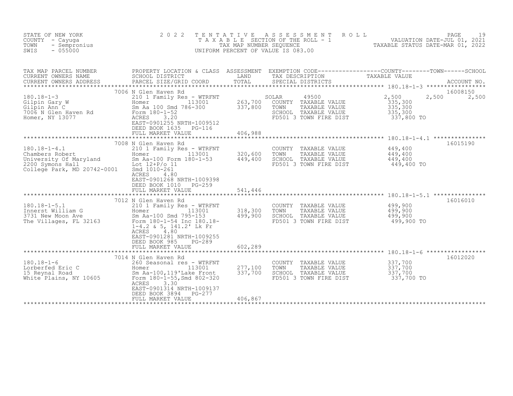| STATE OF NEW YORK<br>COUNTY - Cayuga<br>TOWN<br>- Sempronius<br>$-055000$<br>SWIS                                  | 2 0 2 2<br>T E N T A T I V E                                                                                                                                                                                                                        | TAX MAP NUMBER SEQUENCE       | A S S E S S M E N T<br>ROLL<br>T A X A B L E SECTION OF THE ROLL - 1 THE TRANSPORT ON DATE-JUL 01, 2021<br>UNIFORM PERCENT OF VALUE IS 083.00 | TAXABLE STATUS DATE-MAR 01, 2022                              | PAGE<br>19        |
|--------------------------------------------------------------------------------------------------------------------|-----------------------------------------------------------------------------------------------------------------------------------------------------------------------------------------------------------------------------------------------------|-------------------------------|-----------------------------------------------------------------------------------------------------------------------------------------------|---------------------------------------------------------------|-------------------|
| TAX MAP PARCEL NUMBER<br>CURRENT OWNERS NAME<br>CURRENT OWNERS ADDRESS                                             | PROPERTY LOCATION & CLASS ASSESSMENT EXEMPTION CODE----------------COUNTY-------TOWN-----SCHOOL<br>SCHOOL DISTRICT<br>PARCEL SIZE/GRID COORD                                                                                                        | LAND<br>TOTAL                 | TAX DESCRIPTION<br>SPECIAL DISTRICTS                                                                                                          | TAXABLE VALUE                                                 | ACCOUNT NO.       |
| $180.18 - 1 - 3$<br>Gilpin Gary W<br>Gilpin Ann C<br>7006 N Glen Haven Rd<br>Homer, NY 13077                       | 7006 N Glen Haven Rd<br>210 1 Family Res - WTRFNT<br>113001<br>Homer<br>Sm Aa 100 Smd 786-300<br>Form 180-1-52<br>ACRES<br>3.20<br>EAST-0901255 NRTH-1009512<br>DEED BOOK 1635<br>$PG-116$<br>FULL MARKET VALUE                                     | 263,700<br>337,800<br>406,988 | SOLAR<br>49500<br>COUNTY TAXABLE VALUE<br>TOWN<br>TAXABLE VALUE<br>SCHOOL TAXABLE VALUE<br>FD501 3 TOWN FIRE DIST                             | 2,500<br>2,500<br>335,300<br>335,300<br>335,300<br>337,800 TO | 16008150<br>2,500 |
| $180.18 - 1 - 4.1$<br>Chambers Robert<br>University Of Maryland<br>2200 Symons Hall<br>College Park, MD 20742-0001 | 7008 N Glen Haven Rd<br>210 1 Family Res - WTRFNT<br>113001<br>Homer<br>Sm Aa-100 Form 180-1-53<br>Lot 12+P/o 11<br>Smd 1010-261<br><b>ACRES</b><br>4.80<br>EAST-0901268 NRTH-1009398<br>DEED BOOK 1010<br>PG-259<br>FULL MARKET VALUE              | 320,600<br>449,400<br>541,446 | COUNTY TAXABLE VALUE<br>TOWN<br>TAXABLE VALUE<br>SCHOOL TAXABLE VALUE<br>FD501 3 TOWN FIRE DIST                                               | 449,400<br>449,400<br>449,400<br>449,400 TO                   | 16015190          |
| $180.18 - 1 - 5.1$<br>Innerst William G<br>3731 New Moon Ave<br>The Villages, FL 32163                             | 7012 N Glen Haven Rd<br>210 1 Family Res - WTRFNT<br>113001<br>Homer<br>Sm Aa-100 Smd 795-153<br>Form 180-1-54 Inc 180.18-<br>1-4.2 & 5, 141.2' Lk Fr<br>ACRES<br>4.80<br>EAST-0901281 NRTH-1009255<br>DEED BOOK 985<br>PG-289<br>FULL MARKET VALUE | 318,300<br>499,900<br>602,289 | COUNTY TAXABLE VALUE<br>TOWN<br>TAXABLE VALUE<br>SCHOOL TAXABLE VALUE<br>FD501 3 TOWN FIRE DIST                                               | 499,900<br>499,900<br>499,900<br>499,900 TO                   | 16016010          |
| $180.18 - 1 - 6$<br>Lorberfed Eric C<br>15 Reynal Road<br>White Plains, NY 10605                                   | 7014 N Glen Haven Rd<br>260 Seasonal res - WTRFNT<br>Homer 113001<br>Sm Aa-100, 119'Lake Front<br>Form 180-1-55, Smd 802-320<br>3.30<br>ACRES<br>EAST-0901314 NRTH-1009137<br>DEED BOOK 3894<br>$PG-277$<br>FULL MARKET VALUE                       | 277,100<br>337,700<br>406,867 | COUNTY TAXABLE VALUE<br>TOWN<br>TAXABLE VALUE<br>SCHOOL TAXABLE VALUE<br>FD501 3 TOWN FIRE DIST                                               | 337,700<br>337,700<br>337,700<br>337,700 TO                   | 16012020          |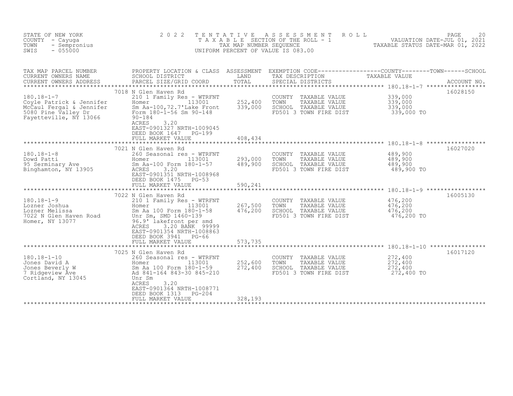| STATE OF NEW YORK<br>COUNTY - Cayuga<br>- Sempronius<br>TOWN<br>SWIS<br>$-055000$                     | 2 0 2 2                                                                                                                                                                                                                          | TENTATIVE<br>TAX MAP NUMBER SEQUENCE | ASSESSMENT<br>ROLL<br>T A X A B L E SECTION OF THE ROLL - 1<br>UNIFORM PERCENT OF VALUE IS 083.00                                                               | VALUATION DATE-JUL 01, 2021<br>TAXABLE STATUS DATE-MAR 01, 2022 | PAGE<br>20              |
|-------------------------------------------------------------------------------------------------------|----------------------------------------------------------------------------------------------------------------------------------------------------------------------------------------------------------------------------------|--------------------------------------|-----------------------------------------------------------------------------------------------------------------------------------------------------------------|-----------------------------------------------------------------|-------------------------|
| TAX MAP PARCEL NUMBER<br>CURRENT OWNERS NAME<br>CURRENT OWNERS ADDRESS<br>$180.18 - 1 - 7$            | SCHOOL DISTRICT<br>PARCEL SIZE/GRID COORD<br>7018 N Glen Haven Rd<br>210 1 Family Res - WTRFNT                                                                                                                                   | LAND<br>TOTAL                        | PROPERTY LOCATION & CLASS ASSESSMENT EXEMPTION CODE----------------COUNTY-------TOWN-----SCHOOL<br>TAX DESCRIPTION<br>SPECIAL DISTRICTS<br>COUNTY TAXABLE VALUE | TAXABLE VALUE<br>339,000                                        | ACCOUNT NO.<br>16028150 |
| Coyle Patrick & Jennifer<br>McCaul Fergal & Jennifer<br>5080 Pine Valley Dr<br>Fayetteville, NY 13066 | 113001<br>Homer<br>Sm Aa-100, 72.7'Lake Front<br>Form 180-1-56 Sm 90-148<br>$90 - 184$<br>3.20<br>ACRES<br>EAST-0901327 NRTH-1009045<br>DEED BOOK 1647 PG-199<br>FULL MARKET VALUE                                               | 252,400<br>339,000<br>408,434        | TOWN<br>TAXABLE VALUE<br>SCHOOL TAXABLE VALUE<br>FD501 3 TOWN FIRE DIST                                                                                         | 339,000<br>339,000<br>339,000 TO                                |                         |
| $180.18 - 1 - 8$                                                                                      | *************************<br>7021 N Glen Haven Rd<br>260 Seasonal res - WTRFNT                                                                                                                                                   |                                      | COUNTY TAXABLE VALUE                                                                                                                                            | 489,900                                                         | 16027020                |
| Dowd Patti<br>95 Serminary Ave<br>Binghamton, NY 13905                                                | Homer<br>113001<br>Sm Aa-100 Form 180-1-57<br>ACRES<br>3.20<br>EAST-0901351 NRTH-1008968<br>DEED BOOK 1475<br>$PG-53$<br>FULL MARKET VALUE                                                                                       | 293,000<br>489,900<br>590,241        | TOWN<br>TAXABLE VALUE<br>SCHOOL TAXABLE VALUE<br>FD501 3 TOWN FIRE DIST                                                                                         | 489,900<br>489,900<br>489,900 TO                                |                         |
|                                                                                                       | 7022 N Glen Haven Rd                                                                                                                                                                                                             |                                      |                                                                                                                                                                 |                                                                 | 16005130                |
| $180.18 - 1 - 9$<br>Lozner Joshua<br>Lozner Melissa<br>7022 N Glen Haven Road<br>Homer, NY 13077      | 210 1 Family Res - WTRFNT<br>113001<br>Homer<br>Sm Aa 100 Form 180-1-58<br>Unr Sm, SMD 1460-139<br>96.9' lakefront per smd<br>3.20 BANK 99999<br>ACRES<br>EAST-0901354 NRTH-1008863<br>DEED BOOK 3941 PG-66<br>FULL MARKET VALUE | 267,500<br>476,200<br>573,735        | COUNTY TAXABLE VALUE<br>TOWN<br>TAXABLE VALUE<br>SCHOOL TAXABLE VALUE<br>FD501 3 TOWN FIRE DIST                                                                 | 476,200<br>476,200<br>476,200<br>476,200 TO                     |                         |
|                                                                                                       |                                                                                                                                                                                                                                  |                                      |                                                                                                                                                                 |                                                                 |                         |
| $180.18 - 1 - 10$<br>Jones David A<br>Jones Beverly W<br>7 Ridgeview Ave<br>Cortland, NY 13045        | 7025 N Glen Haven Rd<br>260 Seasonal res - WTRFNT<br>113001<br>Homer<br>Sm Aa 100 Form 180-1-59<br>Ad 841-164 843-30 845-210<br>Unr Sm<br>3.20<br>ACRES<br>EAST-0901364 NRTH-1008771                                             | 252,600<br>272,400                   | COUNTY TAXABLE VALUE<br>TOWN<br>TAXABLE VALUE<br>SCHOOL TAXABLE VALUE<br>FD501 3 TOWN FIRE DIST                                                                 | 272,400<br>272,400<br>272,400<br>272,400 TO                     | 16017120                |
|                                                                                                       | DEED BOOK 1313<br>$PG-204$<br>FULL MARKET VALUE                                                                                                                                                                                  | 328,193                              |                                                                                                                                                                 |                                                                 |                         |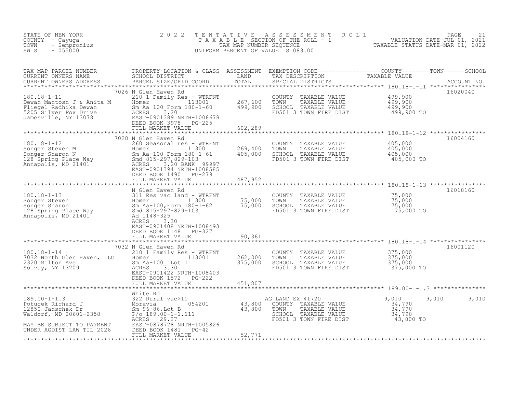| STATE OF NEW YORK<br>COUNTY - Cayuga<br>- Sempronius<br>TOWN<br>$-055000$<br>SWIS                                                                                                                                                       | 2 0 2 2                                                                                                                                                                                                                                                      | TENTATIVE                      | ASSESSMENT ROLL<br>T A X A B L E SECTION OF THE ROLL - 1 VALUATION DATE-JUL 01, 2021<br>TAXABLE STATUS DATE-MAR 01, 2022<br>UNIFORM PERCENT OF VALUE IS 083.00 | TAXABLE STATUS DATE-MAR 01, 2022                 | PAGE<br>21              |
|-----------------------------------------------------------------------------------------------------------------------------------------------------------------------------------------------------------------------------------------|--------------------------------------------------------------------------------------------------------------------------------------------------------------------------------------------------------------------------------------------------------------|--------------------------------|----------------------------------------------------------------------------------------------------------------------------------------------------------------|--------------------------------------------------|-------------------------|
| TAX MAP PARCEL NUMBER<br>CURRENT OWNERS NAME<br>CURRENT OWNERS ADDRESS<br>$180.18 - 1 - 11$<br>Dewan Mantosh J & Anita M                                                                                                                | PROPERTY LOCATION & CLASS ASSESSMENT EXEMPTION CODE----------------COUNTY-------TOWN------SCHOOL SCHOOL SCHOOL OUSTRICT LAND TAX DESCRIPTION TAXABLE VALUE<br>PARCEL SIZE/GRID COORD<br>7026 N Glen Haven Rd<br>210 1 Family Res - WTRFNT<br>113001<br>Homer | TOTAL<br>**********<br>267,600 | SPECIAL DISTRICTS<br>COUNTY<br>TAXABLE VALUE<br>TOWN<br>TAXABLE VALUE                                                                                          | 499,900<br>499,900                               | ACCOUNT NO.<br>16020040 |
| Fliegel Radhika Dewan<br>5205 Silver Fox Drive<br>Jamesville, NY 13078                                                                                                                                                                  | Sm Aa 100 Form 180-1-60<br>ACRES<br>3.20<br>EAST-0901389 NRTH-1008678<br>DEED BOOK 3978<br>PG-225<br>FULL MARKET VALUE                                                                                                                                       | 499,900<br>602,289             | SCHOOL TAXABLE VALUE<br>FD501 3 TOWN FIRE DIST                                                                                                                 | 499,900<br>499,900 TO                            |                         |
|                                                                                                                                                                                                                                         | 7028 N Glen Haven Rd                                                                                                                                                                                                                                         |                                |                                                                                                                                                                |                                                  | 16004160                |
| $180.18 - 1 - 12$<br>180.18-1-12<br>Songer Steven M (1130)<br>128 Spring Place Way (1180-100 Form 180-1<br>128 Spring Place Way (1180-297,829-103<br>Annapolis, MD 21401 (1285-0901394 NRTH-10)                                         | 260 Seasonal res - WTRFNT<br>113001<br>Sm Aa-100 Form 180-1-61<br>ACRES 3.20 BANK 99997<br>EAST-0901394 NRTH-1008585<br>DEED BOOK 1490 PG-279                                                                                                                | 269,400<br>405,000             | COUNTY TAXABLE VALUE<br>TOWN<br>TAXABLE VALUE<br>SCHOOL TAXABLE VALUE<br>FD501 3 TOWN FIRE DIST                                                                | 405,000<br>405,000<br>405,000<br>405,000 TO      |                         |
|                                                                                                                                                                                                                                         | FULL MARKET VALUE                                                                                                                                                                                                                                            | 487,952                        |                                                                                                                                                                |                                                  |                         |
| All Res vac land - WTRFN1<br>13001<br>13001<br>28 Spring Place Way<br>21401<br>28 Annapolis, MD 21401<br>29 Annapolis, MD 21401<br>29 Annapolis, MD 21401<br>29 Annapolis, MD 21401<br>20 Annapolis, MD 21401<br>20 Annapolis, MD 21401 | Sm Aa-100,Form 180-1-62<br>DEED BOOK 1148 PG-327                                                                                                                                                                                                             | 75,000<br>75,000               | COUNTY TAXABLE VALUE<br>TOWN<br>TAXABLE VALUE<br>SCHOOL TAXABLE VALUE<br>FD501 3 TOWN FIRE DIST                                                                | 75,000<br>75,000<br>75,000<br>75,000 TO          | 16018160                |
|                                                                                                                                                                                                                                         | FULL MARKET VALUE                                                                                                                                                                                                                                            | 90,361                         |                                                                                                                                                                |                                                  |                         |
| $180.18 - 1 - 14$<br>7032 North Glen Haven, LLC<br>2320 Milton Ave<br>Solvay, NY 13209                                                                                                                                                  | 7032 N Glen Haven Rd<br>210 1 Family Res - WTRFNT<br>113001<br>Homer<br>Sm Aa-100 Lot 1<br>3.30<br>ACRES<br>EAST-0901422 NRTH-1008403<br>DEED BOOK 1572 PG-222                                                                                               | 262,000<br>375,000             | COUNTY TAXABLE VALUE<br>TOWN<br>TAXABLE VALUE<br>SCHOOL TAXABLE VALUE<br>FD501 3 TOWN FIRE DIST                                                                | 375,000<br>375,000<br>375,000<br>375,000 TO      | 16001120                |
|                                                                                                                                                                                                                                         | FULL MARKET VALUE                                                                                                                                                                                                                                            | 451,807                        |                                                                                                                                                                |                                                  |                         |
| $189.00 - 1 - 1.3$<br>Potucek Richard J<br>12850 Janschek Dr<br>Waldorf, MD 20601-2358<br>MAY BE SUBJECT TO PAYMENT                                                                                                                     | White Rd<br>322 Rural vac>10<br>054201<br>Moravia<br>Sm 96-86, Lot B<br>$P/O$ 189.00-1-1.111<br>ACRES<br>29.27<br>EAST-0878728 NRTH-1005826                                                                                                                  | 43,800<br>43,800               | AG LAND EX 41720<br>COUNTY TAXABLE VALUE<br>TAXABLE VALUE<br>TOWN<br>SCHOOL TAXABLE VALUE<br>FD501 3 TOWN FIRE DIST                                            | 9,010<br>34,790<br>34,790<br>34,790<br>43,800 TO | 9,010<br>9,010          |
| UNDER AGDIST LAW TIL 2026                                                                                                                                                                                                               | DEED BOOK 1481 PG-42<br>FULL MARKET VALUE                                                                                                                                                                                                                    | 52,771                         |                                                                                                                                                                |                                                  |                         |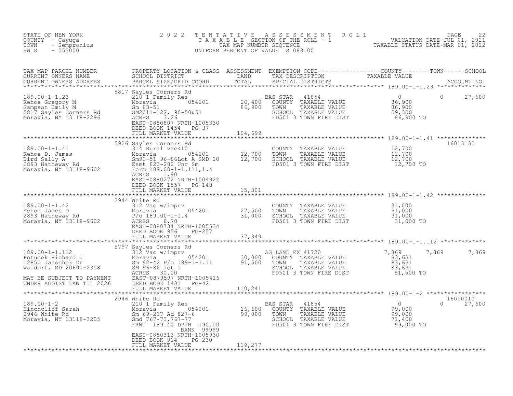| NEW YORK<br>- Cayuga<br>- Sempronius<br>- CESOO<br>STATE OF NEW YORK<br>COUNTY - Cayuqa<br>TOWN<br>SWIS | 2 0 2 2                                                                                                                                                                                                                                                                                                                                                |         |                                                                                                                                     | TENTATIVE ASSESSMENT ROLL PACE 22<br>TAXABLE SECTION OF THE ROLL - 1 VALUATION DATE-JUL 01, 2021<br>TAX MAP NUMBER SEQUENCE TAXABLE STATUS DATE-MAR 01, 2022<br>UNIFORM PERCENT OF VALUE IS 083.00 |  |
|---------------------------------------------------------------------------------------------------------|--------------------------------------------------------------------------------------------------------------------------------------------------------------------------------------------------------------------------------------------------------------------------------------------------------------------------------------------------------|---------|-------------------------------------------------------------------------------------------------------------------------------------|----------------------------------------------------------------------------------------------------------------------------------------------------------------------------------------------------|--|
|                                                                                                         |                                                                                                                                                                                                                                                                                                                                                        |         |                                                                                                                                     |                                                                                                                                                                                                    |  |
|                                                                                                         | 5817 Sayles Corners Rd<br>EAST-0880807 NRTH-1005330<br>DEED BOOK 1454 PG-37<br>FULL MARKET VALUE                                                                                                                                                                                                                                                       | 104,699 |                                                                                                                                     | $\circ$<br>27,600                                                                                                                                                                                  |  |
|                                                                                                         | 5926 Sayles Corners Rd<br>189.00-1-1.41<br>Example 189.00-1-1.41<br>Example 12,700 TOWN TAXABLE VALUE<br>Eird Sally A<br>2893 Hatheway Rd<br>Moravia, NY 13118-9602<br>Esmt 823-282 Unr Sm<br>Esmt 823-282 Unr Sm<br>Esmt 823-282 Unr Sm<br>2893 Hatheway Rd<br>Esmt 823-28<br>EAST-0880272 NRTH-1004922<br>DEED BOOK 1557 PG-148<br>FULL MARKET VALUE | 15,301  | COUNTY TAXABLE VALUE $12,700$<br>TOWN TAXABLE VALUE $12,700$<br>SCHOOL TAXABLE VALUE $12,700$<br>FD501 3 TOWN FIRE DIST $12,700$ TO | 16013130                                                                                                                                                                                           |  |
|                                                                                                         | 2944 White Rd<br>189.00-1-1.42<br>Kehoe James D<br>27,500<br>2893 Hatheway Rd<br>Moravia, NY 13118-9602<br>Moravia, NY 13118-9602<br>Moravia, NY 13118-9602<br>EAST-0880734 NRTH-1005524<br>DEED BOOK 956 PG-257<br>FULL MARKET VALUE                                                                                                                  | 37,349  | COUNTY TAXABLE VALUE $31,000$<br>TOWN TAXABLE VALUE $31,000$<br>SCHOOL TAXABLE VALUE $31,000$<br>FD501 3 TOWN FIRE DIST $31,000$    |                                                                                                                                                                                                    |  |
|                                                                                                         |                                                                                                                                                                                                                                                                                                                                                        |         | COUNTY TAXABLE VALUE 783,631<br>TOWN TAXABLE VALUE 83,631<br>SCHOOL TAXABLE VALUE 83,631<br>FD501 3 TOWN FIRE DIST 91,500 TO        | 7,869<br>7,869<br>7,869                                                                                                                                                                            |  |
|                                                                                                         | 2946 White Rd<br>2940 WILLE Rd<br>2940 Hinchcliff Sarah 2940 Moravia 2010 1 Family Res<br>2946 White Rd Sm 69-237 Ad 827-6 99,000 TOWN TAXABLE VALUE 99,000<br>2946 White Rd Sm 69-237 Ad 827-6 99,000 TOWN TAXABLE VALUE 99,000<br>2946 White Rd Sm 69<br>BANK 99999<br>EAST-0880313 NRTH-1005930<br>DEED BOOK 914 PG-230<br>FULL MARKET VALUE        | 119,277 |                                                                                                                                     | 16010010<br>$0 \frac{1}{27,600}$                                                                                                                                                                   |  |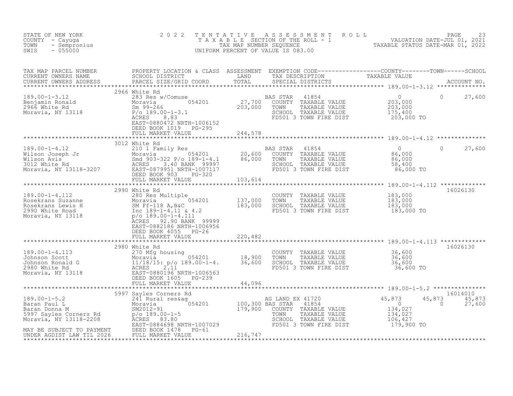| STATE OF NEW YORK<br>COUNTY - Cayuga<br>TOWN<br>- Sempronius<br>$-055000$<br>SWIS | 2 0 2 2                                                                                                                                                                                                                                                                                                                                                                     |                 | TENTATIVE ASSESSMENT ROLL PACE 23<br>TAXABLE SECTION OF THE ROLL - 1 VALUATION DATE-JUL 01, 2021<br>TAX MAP NUMBER SEQUENCE TAXABLE STATUS DATE-MAR 01, 2022<br>UNIFORM PERCENT OF VALUE IS 083.00 |                    |                              |
|-----------------------------------------------------------------------------------|-----------------------------------------------------------------------------------------------------------------------------------------------------------------------------------------------------------------------------------------------------------------------------------------------------------------------------------------------------------------------------|-----------------|----------------------------------------------------------------------------------------------------------------------------------------------------------------------------------------------------|--------------------|------------------------------|
|                                                                                   |                                                                                                                                                                                                                                                                                                                                                                             |                 |                                                                                                                                                                                                    |                    |                              |
|                                                                                   | DEED BOOK 1019 PG-295                                                                                                                                                                                                                                                                                                                                                       |                 |                                                                                                                                                                                                    |                    | $\Omega$<br>27,600           |
|                                                                                   | FULL MARKET VALUE 255 244,578                                                                                                                                                                                                                                                                                                                                               |                 |                                                                                                                                                                                                    |                    |                              |
|                                                                                   | 3012 White Rd                                                                                                                                                                                                                                                                                                                                                               |                 |                                                                                                                                                                                                    |                    | 27,600<br>$\circ$            |
|                                                                                   |                                                                                                                                                                                                                                                                                                                                                                             |                 |                                                                                                                                                                                                    |                    |                              |
|                                                                                   | 2990 White Rd<br>189.00-1-4.112<br>Rosekrans Suzanne<br>Rosekrans Lewis H<br>Rosekrans Lewis H<br>2990 White Road<br>2990 White Road<br>2990 White Road<br>2990 White Road<br>2990 White Road<br>2990 White Road<br>2990 White Road<br>2990 White Road<br>2990 White Ro<br>EAST-0882186 NRTH-1006956<br>DEED BOOK 4055 PG-26                                                |                 |                                                                                                                                                                                                    |                    | 16026130                     |
|                                                                                   | FULL MARKET VALUE                                                                                                                                                                                                                                                                                                                                                           | 220,482         |                                                                                                                                                                                                    |                    |                              |
|                                                                                   | 2980 White Rd<br>189.00-1-4.113<br>Johnson Scott<br>Johnson Ronald G<br>2980 White Rd<br>Moravia, NY 13118<br>Moravia, NY 13118<br>CEED BOOK 1605 PG-239<br>PULL MARKET VALUE<br>2980 PULL MARKET VALUE<br>2980 PULL MARKET VALUE<br>2980 PULL MARKET VALUE<br>2980 P                                                                                                       |                 | COUNTY TAXABLE VALUE 36,600<br>TOWN TAXABLE VALUE 36,600<br>SCHOOL TAXABLE VALUE 36,600<br>FD501 3 TOWN FIRE DIST                                                                                  | 36,600 TO          | 16026130                     |
|                                                                                   | FULL MARKET VALUE 44,096                                                                                                                                                                                                                                                                                                                                                    |                 |                                                                                                                                                                                                    |                    |                              |
|                                                                                   |                                                                                                                                                                                                                                                                                                                                                                             |                 |                                                                                                                                                                                                    |                    |                              |
|                                                                                   | 189.00-1-5.2 5997 Sayles Corners Rd<br>Moravia Magnet Corners (100,300 BAS STAR 41720 45,873 45<br>Baran Paul L Moravia 954201 100,300 BAS STAR 41854 9<br>Sayles Corners Rd p/o 189.00-1-5<br>Moravia, NY 13118-2208 ACRES 83.80<br>Mor<br>EAST-0004050 NAMEL 100-1004050<br>MAY BE SUBJECT TO PAYMENT DEED BOOK 1478 PG-61<br>INDER AGDIST LAW TIL 2026 FULL MARKET VALUE | $PG-61$ 216,747 |                                                                                                                                                                                                    | 45,873<br>$\sim$ 0 | 16014010<br>45,873<br>27,600 |
|                                                                                   |                                                                                                                                                                                                                                                                                                                                                                             |                 |                                                                                                                                                                                                    |                    |                              |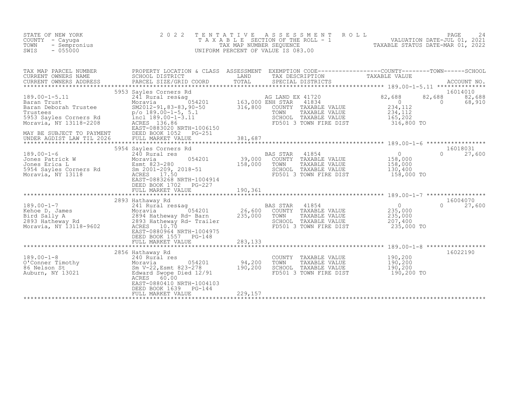| STATE OF NEW YORK<br>COUNTY - Cayuga<br>TOWN<br>- Sempronius<br>$-055000$<br>SWIS                                                                                                 | 2 0 2 2<br>T E N T A T I V E                                                                                                                                                                                                                                     |                                   | $\begin{tabular}{lllllllllllllllllll} \hline r_E&N\; T\; A\; T\; I\; V\; E\; &A\; S\; S\; E\; S\; S\; M\; E\; N\; T\; &R\; O\; L\; &\qquad \qquad \text{VALUATION DATE-JUL 01, 2021}\\ \hline \text{TA}\; X\; A\; B\; L\; E\; SECTION OF THE ROLL-1 &\qquad \qquad \qquad \text{VALUATION DATE-MAR 01, 2022}\\ \hline \text{TNIFORM PERCENT OF VALUE IS 083.00} &\qquad \qquad \text{TAXABLE STATUS DATE-MAR 01,$<br>UNIFORM PERCENT OF VALUE IS 083.00 |                                                                                                    |                              |
|-----------------------------------------------------------------------------------------------------------------------------------------------------------------------------------|------------------------------------------------------------------------------------------------------------------------------------------------------------------------------------------------------------------------------------------------------------------|-----------------------------------|---------------------------------------------------------------------------------------------------------------------------------------------------------------------------------------------------------------------------------------------------------------------------------------------------------------------------------------------------------------------------------------------------------------------------------------------------------|----------------------------------------------------------------------------------------------------|------------------------------|
| TAX MAP PARCEL NUMBER<br>CURRENT OWNERS NAME                                                                                                                                      | SCHOOL DISTRICT                                                                                                                                                                                                                                                  |                                   | LAND TAX DESCRIPTION                                                                                                                                                                                                                                                                                                                                                                                                                                    | TAXABLE VALUE                                                                                      |                              |
| 189.00-1-5.11<br>Baran Trust<br>Baran Deborah Trustee<br>Trustees<br>5953 Sayles Corners Rd<br>Moravia, NY 13118-2208<br>MAY BE SUBJECT TO PAYMENT<br>UNDER AGDIST LAW TIL 2026   | 5953 Sayles Corners Rd<br>241 Rural res&ag<br>Moravia 054201 163,000 L.<br>SM2012-91,83-83,90-50 316,800<br>p/o 189.00-1-5, 5.1<br>incl 189.00-1-3.11<br>ACRES 136.86<br>ACRES 083030<br>EAST-0883020 NRTH-1006150<br>DEED BOOK 1052 PG-251<br>FULL MARKET VALUE | 381,687                           | COUNTY TAXABLE VALUE<br>TOWN<br>TAXABLE VALUE<br>SCHOOL TAXABLE VALUE<br>FD501 3 TOWN FIRE DIST                                                                                                                                                                                                                                                                                                                                                         | 82,688<br>$\overline{0}$<br>$\Omega$<br>234, 112<br>234, 112<br>165,202<br>316,800 TO              | 16014010<br>82,688<br>68,910 |
|                                                                                                                                                                                   |                                                                                                                                                                                                                                                                  |                                   |                                                                                                                                                                                                                                                                                                                                                                                                                                                         |                                                                                                    |                              |
| 189.00-1-6<br>Jones Patrick W 340 Rural res<br>Jones Erica L Esmt 823-280<br>5954 Sayles Corners Rd Sm 2001-209, 2018-51<br>Moravia, NY 13118<br>ACRES 17.50<br>Moravia, NY 13118 | 5954 Sayles Corners Rd<br>054201 39,000<br>EAST-0883268 NRTH-1004914<br>DEED BOOK 1702 PG-227                                                                                                                                                                    | 158,000                           | BAS STAR 41854<br>COUNTY TAXABLE VALUE<br>TOWN<br>TAXABLE VALUE<br>SCHOOL TAXABLE VALUE<br>FD501 3 TOWN FIRE DIST                                                                                                                                                                                                                                                                                                                                       | $\overline{0}$<br>$\Omega$<br>158,000<br>158,000<br>130,400<br>158,000 TO                          | 16018031<br>27,600           |
|                                                                                                                                                                                   | FULL MARKET VALUE                                                                                                                                                                                                                                                | 190,361                           |                                                                                                                                                                                                                                                                                                                                                                                                                                                         |                                                                                                    |                              |
|                                                                                                                                                                                   | 2893 Hathaway Rd                                                                                                                                                                                                                                                 |                                   |                                                                                                                                                                                                                                                                                                                                                                                                                                                         |                                                                                                    | 16004070                     |
| $189.00 - 1 - 7$<br>189.00-1-7<br>Xehoe D. James<br>Bird Sally A<br>2893 Hatheway Rd<br>Moravia, NY 13118-9602<br>ACRES 0000407 NDTH 1004075                                      | 241 Rural res&ag<br>EAST-0880964 NRTH-1004975<br>DEED BOOK 1557 PG-148                                                                                                                                                                                           | $26,600$ <sup>BP</sup><br>235,000 | BAS STAR 41854<br>COUNTY TAXABLE VALUE<br>TOWN<br>TAXABLE VALUE<br>SCHOOL TAXABLE VALUE<br>FD501 3 TOWN FIRE DIST                                                                                                                                                                                                                                                                                                                                       | $\begin{smallmatrix}&&0\&235,000\end{smallmatrix}$<br>$\Omega$<br>235,000<br>207,400<br>235,000 TO | 27,600                       |
|                                                                                                                                                                                   | FULL MARKET VALUE                                                                                                                                                                                                                                                | 283,133                           |                                                                                                                                                                                                                                                                                                                                                                                                                                                         |                                                                                                    |                              |
| 189.00-1-8<br>0'Conner Timothy<br>86 Nelson St Sm V-22, Esmt 823-278<br>240 Rural res<br>190,200<br>200 Edward Swope Died 12/91<br>200,200<br>200 Edward Swope Died 12/91         | 2856 Hathaway Rd                                                                                                                                                                                                                                                 |                                   | COUNTY TAXABLE VALUE<br>TOWN<br>TAXABLE VALUE<br>SCHOOL TAXABLE VALUE                                                                                                                                                                                                                                                                                                                                                                                   | 190,200<br>190,200<br>190,200                                                                      | 16022190                     |
|                                                                                                                                                                                   | EAST-0880410 NRTH-1004103<br>DEED BOOK 1639<br>PG-144<br>FULL MARKET VALUE                                                                                                                                                                                       | 229,157                           | FD501 3 TOWN FIRE DIST                                                                                                                                                                                                                                                                                                                                                                                                                                  | 190,200 TO                                                                                         |                              |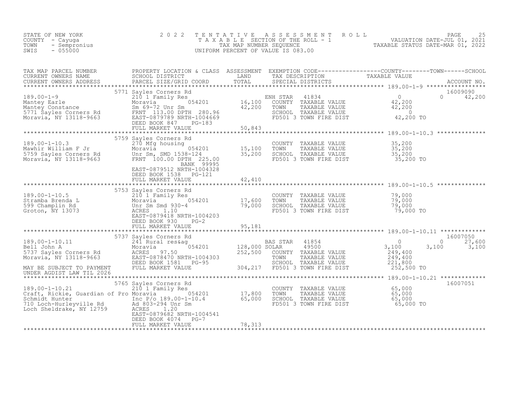| STATE OF NEW YORK<br>COUNTY - Cayuga<br>- Sempronius<br>TOWN<br>SWIS<br>$-055000$                                                                                                                                                                      | 2 0 2 2                                                                 | TENTATIVE | UNIFORM PERCENT OF VALUE IS 083.00                                                                                                                                                                   | TENTATIVE ASSESSMENT ROLL<br>TAXABLE SECTION OF THE ROLL - 1 VALUATION DATE-JUL 01, 2021<br>TAX MAP NUMBER SEQUENCE TAXABLE STATUS DATE-MAR 01, 2022<br>INIFORM PERCENT OF VALUE IS 083.00 |
|--------------------------------------------------------------------------------------------------------------------------------------------------------------------------------------------------------------------------------------------------------|-------------------------------------------------------------------------|-----------|------------------------------------------------------------------------------------------------------------------------------------------------------------------------------------------------------|--------------------------------------------------------------------------------------------------------------------------------------------------------------------------------------------|
|                                                                                                                                                                                                                                                        |                                                                         |           |                                                                                                                                                                                                      |                                                                                                                                                                                            |
|                                                                                                                                                                                                                                                        |                                                                         |           |                                                                                                                                                                                                      |                                                                                                                                                                                            |
|                                                                                                                                                                                                                                                        |                                                                         |           |                                                                                                                                                                                                      |                                                                                                                                                                                            |
| 189.00-1-10.3<br>Mawhir William F Jr 270 Mfg housing<br>5759 Sayles Corners Rd Unr Sm, SMD 1538-124 35,200<br>Moravia, NY 13118-9663 FRNT 100.00 DPTH 225.00<br>EANK 99995                                                                             | 5759 Sayles Corners Rd                                                  |           | COUNTY TAXABLE VALUE $35,200$<br>TOWN TAXABLE VALUE $35,200$<br>SCHOOL TAXABLE VALUE $35,200$<br>FD501 3 TOWN FIRE DIST $35,200$                                                                     |                                                                                                                                                                                            |
|                                                                                                                                                                                                                                                        | EAST-0879512 NRTH-1004328<br>DEED BOOK 1538 PG-121<br>FULL MARKET VALUE | 42,410    |                                                                                                                                                                                                      |                                                                                                                                                                                            |
| 189.00-1-10.5<br>Stramba Brenda L<br>5753 Sayles Corners Rd<br>210 1 Family Res<br>Moravia Moravia 1930-4<br>599 Champlin Rd<br>Groton, NY 13073<br>6753 Sayles Corners Rd<br>210 I Family Res<br>Moravia 2014<br>17,600<br>599 Champlin Rd<br>679.000 |                                                                         |           | COUNTY TAXABLE VALUE $\begin{array}{ccc} 79,000 \ \text{TOWN} & \text{TAXABLE VALUE} & 79,000 \ \text{SCHOOL} & \text{TAXABLE VALUE} & 79,000 \ \text{FD501 3 TOWN FIRE DIST} & 79,000\ \end{array}$ |                                                                                                                                                                                            |
|                                                                                                                                                                                                                                                        |                                                                         |           |                                                                                                                                                                                                      |                                                                                                                                                                                            |
| UNDER AGDIST LAW TIL 2026                                                                                                                                                                                                                              |                                                                         |           |                                                                                                                                                                                                      | 16007050<br>$0 \t 27,600$<br>3,100                                                                                                                                                         |
|                                                                                                                                                                                                                                                        | EAST-0879682 NRTH-1004541<br>DEED BOOK 4074 PG-7<br>FULL MARKET VALUE   | 78, 313   |                                                                                                                                                                                                      | 16007051                                                                                                                                                                                   |
|                                                                                                                                                                                                                                                        |                                                                         |           |                                                                                                                                                                                                      |                                                                                                                                                                                            |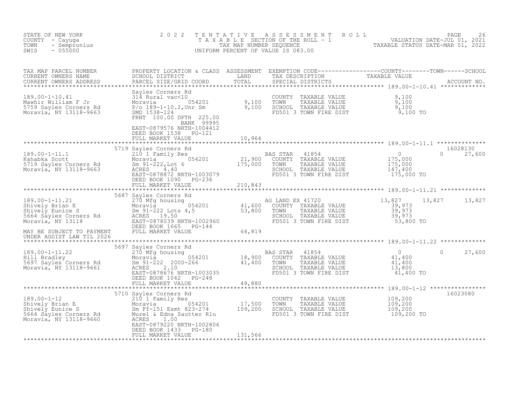| STATE OF NEW YORK<br>COUNTY - Cayuga<br>- Sempronius<br>TOWN<br>$-055000$<br>SWIS                                                                                                                              | 2 0 2 2<br>TAXABLE                                                                                                                                                                                                                         | TENTATIVE<br>TAX MAP NUMBER SEQUENCE | A S S E S S M E N T<br>UNIFORM PERCENT OF VALUE IS 083.00                                                               | ROLL<br>SECTION OF THE ROLL - 1 THE TRANSLE STATUS DATE-JUL 01, 2021 | PAGE<br>26                     |
|----------------------------------------------------------------------------------------------------------------------------------------------------------------------------------------------------------------|--------------------------------------------------------------------------------------------------------------------------------------------------------------------------------------------------------------------------------------------|--------------------------------------|-------------------------------------------------------------------------------------------------------------------------|----------------------------------------------------------------------|--------------------------------|
| TAX MAP PARCEL NUMBER<br>CURRENT OWNERS NAME<br>CURRENT OWNERS ADDRESS<br>***********************                                                                                                              | PROPERTY LOCATION & CLASS ASSESSMENT<br>SCHOOL DISTRICT<br>PARCEL SIZE/GRID COORD                                                                                                                                                          | LAND<br>TOTAL                        |                                                                                                                         |                                                                      |                                |
| $189.00 - 1 - 10.41$<br>Mawhir William F Jr<br>5759 Sayles Corners Rd<br>Moravia, NY 13118-9663                                                                                                                | Sayles Corners Rd<br>$31\overline{4}$ Rural vac<10<br>Moravia 054201 9,100<br>P/o 189-1-10.2, Unr Sm 9,100<br>SMD 1538-124<br>FRNT 100.00 DPTH 225.00<br>BANK 99995                                                                        | 9,100                                | COUNTY TAXABLE VALUE<br>TOWN<br>TAXABLE VALUE<br>SCHOOL TAXABLE VALUE<br>FD501 3 TOWN FIRE DIST                         | 9,100<br>9,100<br>9,100<br>9,100 TO                                  |                                |
|                                                                                                                                                                                                                | EAST-0879576 NRTH-1004412<br>DEED BOOK 1538 PG-121<br>FULL MARKET VALUE                                                                                                                                                                    | 10,964                               |                                                                                                                         |                                                                      |                                |
| 189.00-1-11.1<br>Kahabka Scott<br>5719 Sayles Corners Rd<br>Moravia, NY 13118-9663<br>Moravia, NY 13118-9663                                                                                                   | 5719 Sayles Corners Rd<br>DEED BOOK 1090 PG-236                                                                                                                                                                                            |                                      | BAS STAR<br>41854<br>COUNTY TAXABLE VALUE<br>TAXABLE VALUE<br>TOWN<br>SCHOOL TAXABLE VALUE<br>FD501 3 TOWN FIRE DIST    | $\overline{0}$<br>$175,000$<br>$175,000$<br>147,400<br>175,000 TO    | 16028130<br>$\Omega$<br>27,600 |
|                                                                                                                                                                                                                | FULL MARKET VALUE                                                                                                                                                                                                                          | 210,843                              |                                                                                                                         |                                                                      |                                |
| 189.00-1-11.21<br>189.00-1-11.21 270 Mfg housir<br>Shively Brian E Moravia<br>Shively Eunice S<br>5664 Sayles Corners Rd<br>Moravia, NY 13118 EAST-0878039 Noravia, NY 13118<br>EAST-0878039 Noravia, NY 13118 | Sayles Corners Rd<br>270 Mfg housing<br>Moravia 054201 41,600<br>Sm 91-222 Lots 4,5 53,800<br>ACRES 19.50<br>EAST-0878039 NRTH-1002960<br>5687 Sayles Corners Rd<br>DEED BOOK 1665 PG-144                                                  |                                      | AG LAND EX 41720<br>COUNTY TAXABLE VALUE<br>TAXABLE VALUE<br>TOWN<br>SCHOOL TAXABLE VALUE<br>FD501 3 TOWN FIRE DIST     | 13,827<br>39,973<br>39,973<br>39,973<br>53,800 TO                    | 13,827<br>13,827               |
| MAY BE SUBJECT TO PAYMENT<br>UNDER AGDIST LAW TIL 2026                                                                                                                                                         | FULL MARKET VALUE                                                                                                                                                                                                                          | 64,819                               |                                                                                                                         |                                                                      |                                |
| 189.00-1-11.22<br>Hill Bradley<br>5697 Sayles Corners Rd<br>Moravia NY 10116.664<br>Moravia, NY 13118-9661                                                                                                     | 5697 Sayles Corners Rd<br>270 Mfg housing<br>Moravia 054201<br>Sm 91-222 2000-266<br>ACRES 2.10<br>Moravia 18,900<br>Sm 91-222 2000-266 41,400<br>ACRES 2.10<br>EAST-0878676 NRTH-1003035<br>DEED BOOK 1042<br>PG-248<br>FULL MARKET VALUE | 49,880                               | BAS STAR<br>41854<br>TAXABLE VALUE<br>COUNTY<br>TAXABLE VALUE<br>TOWN<br>SCHOOL TAXABLE VALUE<br>FD501 3 TOWN FIRE DIST | $\overline{0}$<br>41,400<br>41,400<br>13,800<br>41,400 TO            | $\Omega$<br>27,600             |
|                                                                                                                                                                                                                |                                                                                                                                                                                                                                            |                                      |                                                                                                                         |                                                                      |                                |
| 189.00-1-12<br>Shively Brian E<br>Shively Eunice S<br>5664 Sayles Corners Rd<br>Moravia, NY 13118-9660                                                                                                         | 5710 Sayles Corners Rd<br>210 1 Family Res<br>210 1 Family Res<br>Moravia 054201 17,500<br>Sm Ff-151 Esmt 823-274 109,200<br>Murel & Edna Sautter Rlu<br>ACRES<br>1.00                                                                     |                                      | COUNTY TAXABLE VALUE<br>TAXABLE VALUE<br>TOWN<br>SCHOOL TAXABLE VALUE<br>FD501 3 TOWN FIRE DIST                         | 109,200<br>109,200<br>109,200<br>109,200 TO                          | 16023080                       |
|                                                                                                                                                                                                                | EAST-0879220 NRTH-1002806                                                                                                                                                                                                                  |                                      |                                                                                                                         |                                                                      |                                |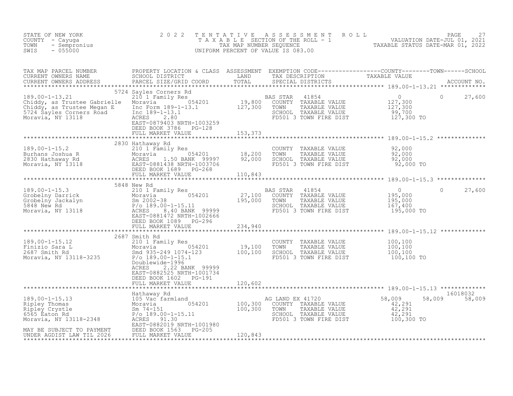| STATE OF NEW YORK<br>COUNTY - Cayuga<br>TOWN<br>- Sempronius<br>$-055000$<br>SWIS                                                                                                                                                                          | 2 0 2 2<br>TENTATIVE                                                                                               |         | UNIFORM PERCENT OF VALUE IS 083.00                                                                                                                          | $\begin{tabular}{lllllllllllllllllllllll} \multicolumn{4}{c}{\begin{tabular}{l} \multicolumn{4}{c}{\begin{tabular}{l} \multicolumn{4}{c}{\begin{tabular}{l} \multicolumn{4}{c}{\begin{tabular}{l} \multicolumn{4}{c}{\begin{tabular}{l} \multicolumn{4}{c}{\begin{tabular}{l} \multicolumn{4}{c}{\begin{tabular}{l} \multicolumn{4}{c}{\begin{tabular}{l} \multicolumn{4}{c}{\begin{tabular}{l} \multicolumn{4}{c}{\begin{tabular}{l} \multicolumn{4}{c}{\begin{tabular}{c} \multicolumn{4}{c}{\begin{tabular}{$ |
|------------------------------------------------------------------------------------------------------------------------------------------------------------------------------------------------------------------------------------------------------------|--------------------------------------------------------------------------------------------------------------------|---------|-------------------------------------------------------------------------------------------------------------------------------------------------------------|------------------------------------------------------------------------------------------------------------------------------------------------------------------------------------------------------------------------------------------------------------------------------------------------------------------------------------------------------------------------------------------------------------------------------------------------------------------------------------------------------------------|
|                                                                                                                                                                                                                                                            |                                                                                                                    |         |                                                                                                                                                             |                                                                                                                                                                                                                                                                                                                                                                                                                                                                                                                  |
| 39.00-1-13.21<br>210 1 Family Res<br>210 1 Family Res<br>210 1 Family Res<br>210 1 Family Res<br>210 1 Family Res<br>210 1 Family Res<br>210 1 Family Res<br>210 1 Family Res<br>210 1 Family Res<br>210 19,800 COUNTY TAXABLE VALUE<br>27,300<br>227,     | 5724 Sayles Corners Rd<br>EAST-0879403 NRTH-1003259<br>DEED BOOK 3786 PG-128<br>FULL MARKET VALUE 1153, 373        |         |                                                                                                                                                             | $\Omega$<br>27,600                                                                                                                                                                                                                                                                                                                                                                                                                                                                                               |
|                                                                                                                                                                                                                                                            |                                                                                                                    |         |                                                                                                                                                             |                                                                                                                                                                                                                                                                                                                                                                                                                                                                                                                  |
| 189.00-1-15.2<br>Burhans Joshua R<br>2830 Hathaway Rd<br>2830 Hathaway Rd<br>Moravia, NY 13118<br>Moravia, NY 13118<br>2830 Hathaway Rd<br>2830 Hathaway Rd<br>2830 ACRES<br>2830 Hang RGES<br>2830 Hang RGES<br>2830 Hang RGES<br>2830 Hang RGES<br>29    | 2830 Hathaway Rd                                                                                                   |         | COUNTY TAXABLE VALUE $92,000$<br>TOWN TAXABLE VALUE $92,000$<br>SCHOOL TAXABLE VALUE $92,000$<br>FD501 3 TOWN FIRE DIST 92,000 TO<br>FD501 3 TOWN FIRE DIST |                                                                                                                                                                                                                                                                                                                                                                                                                                                                                                                  |
|                                                                                                                                                                                                                                                            |                                                                                                                    |         |                                                                                                                                                             |                                                                                                                                                                                                                                                                                                                                                                                                                                                                                                                  |
|                                                                                                                                                                                                                                                            | DEED BOOK 1089 PG-296                                                                                              |         |                                                                                                                                                             | $\overline{0}$<br>27,600<br>$\Omega$<br>$\begin{array}{c} 0 \\ 195,000 \\ 195,000 \\ 167,400 \end{array}$<br>195,000 TO                                                                                                                                                                                                                                                                                                                                                                                          |
|                                                                                                                                                                                                                                                            |                                                                                                                    |         |                                                                                                                                                             |                                                                                                                                                                                                                                                                                                                                                                                                                                                                                                                  |
| 189.00-1-15.12<br>Finizio Sara L<br>2607 Smith Rd<br>2687 Smith Rd<br>2687 Smith Rd<br>2687 Smith Rd<br>2687 Smith Rd<br>2687 Smith Rd<br>2687 Smith Rd<br>2687 Smith Rd<br>269.00-1-15.1<br>269.00-1-15.1<br>269.00-1-15.1<br>269.00-1-15.1<br>269.00-1-1 | 2687 Smith Rd<br>Doublewide-1996<br>ACRES<br>2.22 BANK 99999<br>EAST-0882525 NRTH-1001734<br>DEED BOOK 1602 PG-191 |         | COUNTY TAXABLE VALUE<br>TAXABLE VALUE<br>TOWN<br>SCHOOL TAXABLE VALUE<br>FD501 3 TOWN FIRE DIST                                                             | $100, 100$<br>$100, 100$<br>$100, 100$<br>$100, 100$ TO                                                                                                                                                                                                                                                                                                                                                                                                                                                          |
|                                                                                                                                                                                                                                                            | FULL MARKET VALUE                                                                                                  | 120,602 |                                                                                                                                                             |                                                                                                                                                                                                                                                                                                                                                                                                                                                                                                                  |
| MAY BE SUBJECT TO PAYMENT THE BOOK 1563 PG-205<br>UNDER AGDIST LAW TIL 2026 FULL MARKET VALUE<br>UNDER AGDIST LAW TIL 2026                                                                                                                                 | EAST-0882019 NRTH-1001980<br>FULL MARKET VALUE                                                                     | 120,843 | AG LAND EX 41720<br>COUNTY TAXABLE VALUE<br>TAXABLE VALUE<br>TOWN<br>SCHOOL TAXABLE VALUE<br>FD501 3 TOWN FIRE DIST 100,300 TO                              | 16018032<br>58,009<br>58,009<br>58,009<br>$\frac{42,291}{42,291}$<br>42,291                                                                                                                                                                                                                                                                                                                                                                                                                                      |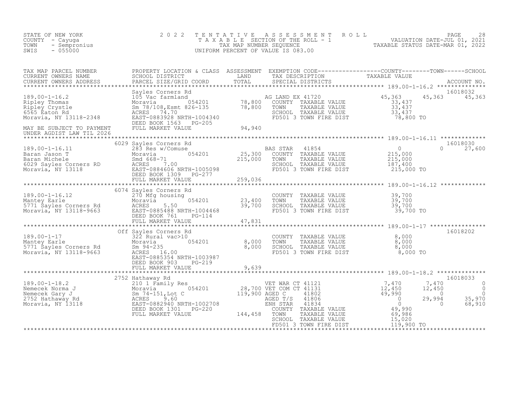| STATE OF NEW YORK<br>COUNTY - Cayuga<br>- Sempronius<br>TOWN<br>SWIS<br>$-055000$                                                                                                                                                                                                                                                                                                                                                                   | 2 0 2 2                |                                                                                                                                                                                                | TENTATIVE ASSESSMENT ROLL PACE 28<br>TAXABLE SECTION OF THE ROLL - 1 VALUATION DATE-JUL 01, 2021<br>TAX MAP NUMBER SEQUENCE TAXABLE STATUS DATE-MAR 01, 2022<br>UNIFORM PERCENT OF VALUE IS 083.00                                |  |
|-----------------------------------------------------------------------------------------------------------------------------------------------------------------------------------------------------------------------------------------------------------------------------------------------------------------------------------------------------------------------------------------------------------------------------------------------------|------------------------|------------------------------------------------------------------------------------------------------------------------------------------------------------------------------------------------|-----------------------------------------------------------------------------------------------------------------------------------------------------------------------------------------------------------------------------------|--|
|                                                                                                                                                                                                                                                                                                                                                                                                                                                     |                        |                                                                                                                                                                                                | TAX MAP PARCEL NUMBER PROPERTY LOCATION & CLASS ASSESSMENT EXEMPTION CODE-----------------COUNTY--------TOWN------SCHOOL SCHOOL DISTRICT LAND TAX DESCRIPTION TAXABLE VALUE<br>CURRENT OWNERS ADDRESS PARCEL SIZE/GRID COORD TOTA |  |
|                                                                                                                                                                                                                                                                                                                                                                                                                                                     |                        |                                                                                                                                                                                                | 16018032<br>45, 363 45, 363                                                                                                                                                                                                       |  |
| UNDER AGDIST LAW TIL 2026<br>$\begin{tabular}{lllllllllllllllllllll} \text{189.00-1-16.11} & 6029\ \texttt{Bayl} & \texttt{B28.Re} & \texttt{BAS STAR} & 41854 & 0 \\ \texttt{Baran Jason T} & 283\ \texttt{Res} & \texttt{MOravi} & 054201 & 25,300 & \texttt{COUNTY} & \texttt{TAXABLE VALUE} & 215,000 \\ \texttt{Baran Michele} & 6029\ \texttt{Sayles Conners RD} & \texttt{ACRES} & 7.00 & 215,000 & \texttt{TONIN} & \texttt{TAXABLE VALUE}$ | 6029 Sayles Corners Rd |                                                                                                                                                                                                | 16018030<br>$0 \t 27,600$<br>************************ 189.00-1-16.12 *************                                                                                                                                                |  |
| 189.00-1-16.12<br>Mantey Earle 23,400<br>Moravia, NY 13118-9663<br>The Extreme Section of the Moravia Case of the Moravia Case of the Moravia Case of the Moravia Case of the Moravia<br>Moravia, NY 13118-9663<br>TOLED BOOK 761 PG-114                                                                                                                                                                                                            |                        |                                                                                                                                                                                                |                                                                                                                                                                                                                                   |  |
| 189.00-1-17<br>Mantey Earle<br>5771 Sayles Corners Rd<br>Moravia, NY 13118-9663<br>Moravia Barry Barry 235<br>Moravia, NY 13118-9663<br>EAST-0885354 NRTH-1003987<br>Moravia, NY 13118-9663<br>EAST-0885354 NRTH-1003987<br>PERS 16.00<br>EAST-088                                                                                                                                                                                                  | DEED BOOK 903 PG-219   | COUNTY TAXABLE VALUE $\begin{array}{cccc} 8,000\ \text{TOWN} & \text{TAXABLE VALUE} & 8,000\ \text{SCHOOL} & \text{TAXABLE VALUE} & 8,000\ \text{FD501 3 TOWN FIRE DIST} & 8,000\ \end{array}$ | 16018202                                                                                                                                                                                                                          |  |
|                                                                                                                                                                                                                                                                                                                                                                                                                                                     |                        |                                                                                                                                                                                                |                                                                                                                                                                                                                                   |  |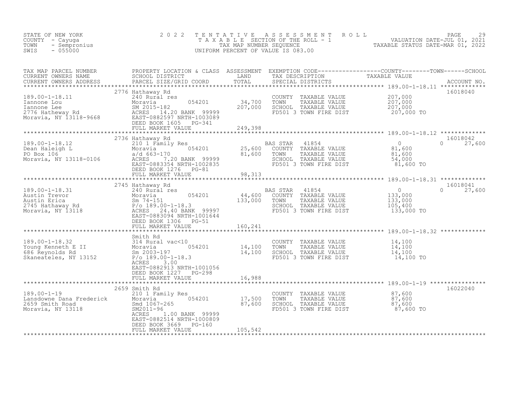| STATE OF NEW YORK<br>COUNTY - Cayuga<br>- Sempronius<br>TOWN<br>$-055000$<br>SWIS                                                                                                                                                                  | 2 0 2 2                                                                                                                                                               | TENTATIVE                                   | UNIFORM PERCENT OF VALUE IS 083.00                                                                                   | FENTATIVE ASSESSMENT ROLL<br>TAXABLE SECTION OF THE ROLL - 1 VALUATION DATE-JUL 01, 2021<br>TAX MAP NUMBER SEQUENCE TAXABLE STATUS DATE-MAR 01, 2022<br>INIFORM PERCENT OF VALUE IS 002.00 |
|----------------------------------------------------------------------------------------------------------------------------------------------------------------------------------------------------------------------------------------------------|-----------------------------------------------------------------------------------------------------------------------------------------------------------------------|---------------------------------------------|----------------------------------------------------------------------------------------------------------------------|--------------------------------------------------------------------------------------------------------------------------------------------------------------------------------------------|
| CURRENT OWNERS ADDRESS                                                                                                                                                                                                                             |                                                                                                                                                                       |                                             |                                                                                                                      |                                                                                                                                                                                            |
| 189.00-1-18.11 240 Rural res<br>Iannone Lou Moravia 054201<br>2776 Hatheway Rd ACRES 14.20 BANK 99999<br>Moravia, NY 13118-9668 EAST-0882597 NRTH-1003089<br>EAST-0882597 NRTH-10082597 NRTH-1003089                                               | 2776 Hathaway Rd<br>054201<br>DEED BOOK 1605 PG-341<br>FULL MARKET VALUE                                                                                              | 34,700<br>207,000<br>207,000<br>249,398     | COUNTY TAXABLE VALUE<br>TOWN<br>TAXABLE VALUE<br>SCHOOL TAXABLE VALUE<br>FD501 3 TOWN FIRE DIST                      | 16018040<br>207,000<br>$\frac{207,000}{207,000}$<br>207,000 TO                                                                                                                             |
|                                                                                                                                                                                                                                                    |                                                                                                                                                                       |                                             |                                                                                                                      | 16018042                                                                                                                                                                                   |
| 189.00-1-18.12<br>Dean Haleigh L<br>PO Box 106<br>Moravia, NY 13118-0106<br>Moravia, NY 13118-0106<br>Moravia, NY 13118-0106<br>Moravia, NY 13118-0106<br>Moravia, NY 13118-0106<br>Moravia, NY 13118-0106<br>Moravia, NY 13118-0106<br>Maximum Mo | 2736 Hathaway Rd<br>DEED BOOK 1276 PG-81                                                                                                                              |                                             | BAS STAR<br>41854<br>COUNTY TAXABLE VALUE<br>TAXABLE VALUE<br>TOWN<br>SCHOOL TAXABLE VALUE<br>FD501 3 TOWN FIRE DIST | $\Omega$<br>$0 \t 27,600$<br>$81,600$<br>81,600<br>54,000<br>81,600 TO                                                                                                                     |
|                                                                                                                                                                                                                                                    | FULL MARKET VALUE<br>**************************                                                                                                                       | 98,313<br>*****************                 |                                                                                                                      |                                                                                                                                                                                            |
| 189.00-1-18.31<br>189.00-1-18.31<br>Austin Trevor<br>Austin Erica and Sm 74-151<br>2745 Hathaway Rd 80 P/0-189.00-1-18.3<br>Moravia, NY 13118 P/0-189.00-1-18.3<br>EAST-0883094 NRTH-1001644                                                       | 2745 Hathaway Rd<br>240 Rural res<br>EAST-0883094 NRTH-1001644<br>DEED BOOK 1306 PG-51<br>FULL MARKET VALUE                                                           | 44,600<br>$1\bar{3}\bar{3}$ ,000<br>160,241 | BAS STAR 41854<br>COUNTY TAXABLE VALUE<br>TOWN<br>TAXABLE VALUE<br>SCHOOL TAXABLE VALUE<br>FD501 3 TOWN FIRE DIST    | 16018041<br>$\overline{0}$<br>$\Omega$<br>27,600<br>133,000<br>133,000<br>105,400<br>133,000 TO                                                                                            |
|                                                                                                                                                                                                                                                    |                                                                                                                                                                       |                                             |                                                                                                                      |                                                                                                                                                                                            |
| 189.00-1-18.32 314 Rural vac<10<br>Young Kenneth E II Moravia 054201 14,100<br>686 Reynolds Rd Sm 2003-197 14,100<br>Skaneateles, NY 13152 P/o 189.00-1-18.3<br>Skaneateles, NY 13152                                                              | Smith Rd<br>ACRES 3.00<br>EAST-0882913 NRTH-1001056<br>DEED BOOK 1227 PG-298                                                                                          |                                             | COUNTY TAXABLE VALUE<br>TOWN<br>TAXABLE VALUE<br>SCHOOL TAXABLE VALUE<br>FD501 3 TOWN FIRE DIST                      | 14,100<br>14,100<br>14,100<br>14,100 TO                                                                                                                                                    |
|                                                                                                                                                                                                                                                    | FULL MARKET VALUE                                                                                                                                                     | 16,988                                      |                                                                                                                      |                                                                                                                                                                                            |
|                                                                                                                                                                                                                                                    |                                                                                                                                                                       | *********************                       |                                                                                                                      |                                                                                                                                                                                            |
| $189.00 - 1 - 19$ 2659<br>Lansdowne Dana Frederick<br>2659 Smith Road<br>Moravia, NY 13118                                                                                                                                                         | 2659 Smith Rd<br>210 1 Family Res<br>054201<br>Moravia<br>Smd 1067-265<br>SM2011-96<br>1.00 BANK 99999<br>ACRES<br>EAST-0882514 NRTH-1000809<br>DEED BOOK 3669 PG-160 | 17,500<br>87,600<br>87,600                  | COUNTY TAXABLE VALUE<br>TOWN<br>TAXABLE VALUE<br>SCHOOL TAXABLE VALUE<br>FD501 3 TOWN FIRE DIST                      | 16022040<br>87,600<br>$\frac{87}{600}$<br>$\frac{87}{600}$<br>87,600 TO                                                                                                                    |
|                                                                                                                                                                                                                                                    | FULL MARKET VALUE                                                                                                                                                     | 105,542                                     |                                                                                                                      |                                                                                                                                                                                            |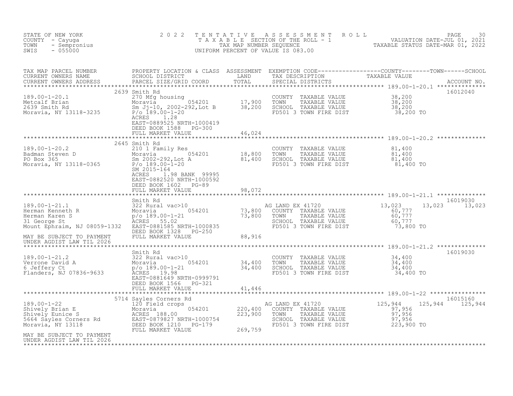| NEW YORK<br>- Cayuga<br>- Sempronius<br>Asson<br>STATE OF NEW YORK<br>COUNTY - Cayuga<br>TOWN<br>SWIS                                                                                                                                                                                                                                                                                                      | 2 0 2 2                                                                                                             |                                     |                                                                                                                                                                                                                                                                                                                                                                                                                              | TENTATIVE ASSESSMENT ROLL PALUATION DATE-JUL 01, 2021<br>TAXABLE SECTION OF THE ROLL - 1 VALUATION DATE-JUL 01, 2021<br>UNIFORM PERCENT OF VALUE IS 083.00<br>UNIFORM PERCENT OF VALUE IS 083.00 |                           |
|------------------------------------------------------------------------------------------------------------------------------------------------------------------------------------------------------------------------------------------------------------------------------------------------------------------------------------------------------------------------------------------------------------|---------------------------------------------------------------------------------------------------------------------|-------------------------------------|------------------------------------------------------------------------------------------------------------------------------------------------------------------------------------------------------------------------------------------------------------------------------------------------------------------------------------------------------------------------------------------------------------------------------|--------------------------------------------------------------------------------------------------------------------------------------------------------------------------------------------------|---------------------------|
| TAX MAP PARCEL NUMBER PROPERTY LOCATION & CLASS ASSESSMENT EXEMPTION CODE----------------COUNTY--------TOWN------SCHOOL CURRENT OWNERS NAME SCHOOL DISTRICT LAND TAX DESCRIPTION TAXABLE VALUE CURRENT OWNERS ADDRESS PARCEL S                                                                                                                                                                             |                                                                                                                     |                                     |                                                                                                                                                                                                                                                                                                                                                                                                                              |                                                                                                                                                                                                  |                           |
| $\begin{array}{lllllllllllllll} 189.00-1-20.1 & & & & 2039\; \text{smin}\; \text{ra} & & & & & 270\; \text{Mfg housing} & & & & & & 054201 \\\text{Metcal Erian} & & & & & 270\; \text{Mfg housing} & & & & 054201 & & & 17,900 & \text{TOWN} & \text{TAXABLE VALUE} & \text{NAUE} & & 38,200 \\\text{Moravia} & & & & & & 054201 & & & 17,900 & \text{TOWN} & \text{TAXABLE VALUE} & \text{NAUE} & & 38,$ | 2639 Smith Rd<br>EAST-0889525 NRTH-1000419<br>DEED BOOK 1588 PG-300<br>FULL MARKET VALUE 46,024                     |                                     |                                                                                                                                                                                                                                                                                                                                                                                                                              |                                                                                                                                                                                                  | 16012040                  |
| 2645 Smith Rd<br>2645 Smith Rd<br>210 18,800 TOWN TAXABLE VALUE<br>Badman Steven D<br>2002-292,Lot A<br>Moravia, NY 13118-0365 P/o 189.00-1-20<br>2015-164<br>2015-164<br>2015-164<br>20215-164<br>20215-164<br>20215-164<br>20215-164<br>2022 CONG CHOO                                                                                                                                                   | 2645 Smith Rd<br>1.98 BANK 99995<br>ACRES<br>EAST-0882520 NRTH-1000592<br>DEED BOOK 1602 PG-89<br>FULL MARKET VALUE | * * * * * * * * * * * * *<br>98,072 |                                                                                                                                                                                                                                                                                                                                                                                                                              |                                                                                                                                                                                                  |                           |
|                                                                                                                                                                                                                                                                                                                                                                                                            |                                                                                                                     |                                     |                                                                                                                                                                                                                                                                                                                                                                                                                              |                                                                                                                                                                                                  |                           |
|                                                                                                                                                                                                                                                                                                                                                                                                            |                                                                                                                     |                                     | $\begin{tabular}{lllllllllll} \texttt{AG} & \texttt{LAND} & \texttt{EX} & 41720 & & & & 13,023 & & 13\\ \texttt{COUNTY} & \texttt{TAXABLE} & \texttt{VALUE} & & & & 60,777\\ \texttt{TOWN} & \texttt{TAXABLE} & \texttt{VALUE} & & & 60,777\\ \texttt{SCHOOL} & \texttt{TAXABLE} & \texttt{VALUE} & & & 60,777\\ \texttt{FD501} & 3 & \texttt{TOWN} & \texttt{FIRE} & \texttt{DIST} & & & 73,800 & \texttt{TO} \end{tabular$ |                                                                                                                                                                                                  | 16019030<br>13,023 13,023 |
| MAY BE SUBJECT TO PAYMENT<br>UNDER AGDIST LAW TIL 2006                                                                                                                                                                                                                                                                                                                                                     |                                                                                                                     |                                     |                                                                                                                                                                                                                                                                                                                                                                                                                              |                                                                                                                                                                                                  |                           |
| 34,400<br>189.00-1-21.2<br>Verrone David A<br>6 Jeffery Ct (189.00-1-21 (189.00-1-21 (189.00-1-21 (189.00-1-21 (189.00-1-21 (189.00-1-21 (189.00-1-21 (189.00-1-21 (189.00-1-21 (189.00-1-21 (189.00-1-21 (189.00-1-21 (189.00-1-21                                                                                                                                                                        | DEED BOOK 1566 PG-321<br>FULL MARKET VALUE 41,446                                                                   |                                     |                                                                                                                                                                                                                                                                                                                                                                                                                              |                                                                                                                                                                                                  | 16019030                  |
|                                                                                                                                                                                                                                                                                                                                                                                                            |                                                                                                                     |                                     |                                                                                                                                                                                                                                                                                                                                                                                                                              |                                                                                                                                                                                                  | 16015160                  |
| 3714 Sayles Corners Rd<br>3714 Sayles Corners Rd<br>3714 Sayles Corners Rd<br>37,956<br>Shively Brian E<br>37,956<br>Shively Euli Market Value<br>37,956<br>Sead Sayles Corners Rd<br>37,956<br>223,900 TOWN TAXABLE VALUE<br>37,956<br>223,900 TOWN T                                                                                                                                                     |                                                                                                                     |                                     |                                                                                                                                                                                                                                                                                                                                                                                                                              | 125,944 125,944                                                                                                                                                                                  |                           |
| MAY BE SUBJECT TO PAYMENT<br>UNDER AGDIST LAW TIL 2026                                                                                                                                                                                                                                                                                                                                                     |                                                                                                                     |                                     |                                                                                                                                                                                                                                                                                                                                                                                                                              |                                                                                                                                                                                                  |                           |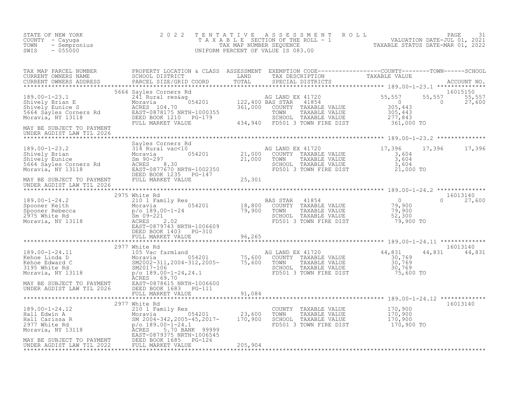| STATE OF NEW YORK<br>COUNTY - Cayuga<br>TOWN<br>- Sempronius<br>SWIS<br>$-055000$                                                                                                                                                                                                                                                                                    | 2 0 2 2                                    |        |                                                                                                                                 | TENTATIVE ASSESSMENT ROLL PAGE 31<br>TAXABLE SECTION OF THE ROLL - 1 VALUATION DATE-JUL 01, 2021<br>TAX MAP NUMBER SEQUENCE TAXABLE STATUS DATE-MAR 01, 2022<br>UNIFORM PERCENT OF VALUE IS 083.00 |                                     |
|----------------------------------------------------------------------------------------------------------------------------------------------------------------------------------------------------------------------------------------------------------------------------------------------------------------------------------------------------------------------|--------------------------------------------|--------|---------------------------------------------------------------------------------------------------------------------------------|----------------------------------------------------------------------------------------------------------------------------------------------------------------------------------------------------|-------------------------------------|
| TAX MAP PARCEL NUMBER BROPERTY LOCATION & CLASS ASSESSMENT EXEMPTION CODE-----------------COUNTY--------TOWN-----SCHOOL CURRENT OWNERS NAME SCHOOL DISTRICT LAND TAX DESCRIPTION TAXABLE VALUE<br>CURRENT OWNERS ADDRESS PARCEL S                                                                                                                                    |                                            |        |                                                                                                                                 |                                                                                                                                                                                                    |                                     |
| 305,443<br>Moravia, NY 13118<br>Primary Saved Bayles Corners Rd<br>Moravia, NY 13118<br>Primary Saved Bayles Corners Rd<br>Moravia, NY 13118<br>Primary Saved Bayles Corners Rd<br>Primary Saved Based Bayles Corners Rd<br>Moravia, NY 13118<br><br>MAY BE SUBJECT TO PAYMENT                                                                                       |                                            |        |                                                                                                                                 | $\overline{0}$                                                                                                                                                                                     | 16015150<br>55,557 55,557<br>27,600 |
|                                                                                                                                                                                                                                                                                                                                                                      |                                            |        |                                                                                                                                 |                                                                                                                                                                                                    |                                     |
| $\begin{tabular}{lllllllllllll} \textbf{189.00-1-23.2} & \textbf{Sayles Conners Rd} & \textbf{314 Rural vac} & \textbf{21,000} & \textbf{21,000} & \textbf{21,000} & \textbf{17,396} & \textbf{17,000} & \textbf{17,000} & \textbf{189.00-1-23} & \textbf{21,000} & \textbf{21,000} & \textbf{21,000} & \textbf{21,000} & \textbf{17,000} & \textbf{21,000} & \text$ |                                            |        |                                                                                                                                 |                                                                                                                                                                                                    | 17,396 17,396                       |
|                                                                                                                                                                                                                                                                                                                                                                      |                                            |        |                                                                                                                                 |                                                                                                                                                                                                    |                                     |
|                                                                                                                                                                                                                                                                                                                                                                      |                                            |        |                                                                                                                                 |                                                                                                                                                                                                    | 16013140                            |
|                                                                                                                                                                                                                                                                                                                                                                      | DEED BOOK 1403 PG-310<br>FULL MARKET VALUE | 96,265 |                                                                                                                                 | 79,900 TO                                                                                                                                                                                          | $0 \t 27,600$                       |
|                                                                                                                                                                                                                                                                                                                                                                      |                                            |        |                                                                                                                                 |                                                                                                                                                                                                    |                                     |
|                                                                                                                                                                                                                                                                                                                                                                      | 2977 White Rd                              |        |                                                                                                                                 |                                                                                                                                                                                                    | 16013140<br>44,831 44,831           |
|                                                                                                                                                                                                                                                                                                                                                                      |                                            |        |                                                                                                                                 |                                                                                                                                                                                                    |                                     |
|                                                                                                                                                                                                                                                                                                                                                                      | 2977 White Rd                              |        |                                                                                                                                 |                                                                                                                                                                                                    | 16013140                            |
| 189.00-1-24.12<br>Hall Edwin A<br>Moravia 210 1 Family Res<br>Moravia 054201 23,600<br>2977 White Rd<br>2977 White Rd<br>2977 White Rd<br>2977 White Rd<br>2977 White Rd<br>2977 White Rd<br>2977 White Rd<br>2970 B9.00-1-24.1<br>2022<br>2022 FULL MAR                                                                                                             |                                            |        | COUNTY TAXABLE VALUE 170,900<br>TOWN TAXABLE VALUE 170,900<br>SCHOOL TAXABLE VALUE 170,900<br>FD501 3 TOWN FIRE DIST 170,900 TO |                                                                                                                                                                                                    |                                     |
|                                                                                                                                                                                                                                                                                                                                                                      |                                            |        |                                                                                                                                 |                                                                                                                                                                                                    |                                     |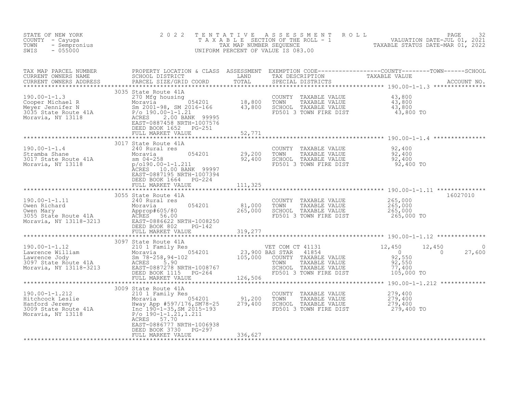| STATE OF NEW YORK<br>COUNTY - Cayuga<br>- Sempronius<br>TOWN<br>SWIS<br>$-055000$                                                                                                                                                                                | 2 0 2 2                                                         | T E N T A T I V E | TENTATIVE ASSESSMENT ROLL UNLUATION DATE-JUL 01, 2021<br>TAXABLE SECTION OF THE ROLL - 1 VALUATION DATE-JUL 01, 2021<br>TAXABLE STATUS DATE-MAR 01, 2022<br>JNIFORM PERCENT OF VALUE IS 083.00<br>UNIFORM PERCENT OF VALUE IS 083.00 |                                             |             |
|------------------------------------------------------------------------------------------------------------------------------------------------------------------------------------------------------------------------------------------------------------------|-----------------------------------------------------------------|-------------------|--------------------------------------------------------------------------------------------------------------------------------------------------------------------------------------------------------------------------------------|---------------------------------------------|-------------|
|                                                                                                                                                                                                                                                                  |                                                                 |                   |                                                                                                                                                                                                                                      |                                             |             |
| 190.00-1-1.3<br>Cooper Michael R<br>Moravia 270 Mfg housing<br>Moravia 054201 18,800 TOWNTY TAXABLE VALUE 43,800<br>Moravia 5.000 198, SM 2016-166 43,800 SCHOOL TAXABLE VALUE 43,800<br>Moravia, NY 13118 ACRES 2.00 BANK 99995<br>Morav                        | DEED BOOK 1652 PG-251<br>FULL MARKET VALUE                      | 52,771            |                                                                                                                                                                                                                                      |                                             |             |
|                                                                                                                                                                                                                                                                  |                                                                 |                   |                                                                                                                                                                                                                                      |                                             |             |
| 190.00-1-1.4<br>Stramba Shane<br>3017 State Route 41A<br>3017 State Route 41A<br>3017 State Route 41A<br>3017 State Route 41A<br>3017 State Route 41A<br>29,200<br>29,200<br>29,400<br>29,400<br>29,400<br>29,400<br>29,400<br>29,400<br>29,400<br>29,400<br>29, | 3017 State Route 41A<br>EAST-0887195 NRTH-1007394               |                   | COUNTY TAXABLE VALUE $92,400$<br>TOWN TAXABLE VALUE $92,400$<br>SCHOOL TAXABLE VALUE $92,400$<br>FD501 3 TOWN FIRE DIST $92,400$ TO                                                                                                  |                                             |             |
|                                                                                                                                                                                                                                                                  | DEED BOOK 1664 PG-224<br>FULL MARKET VALUE                      | 111,325           |                                                                                                                                                                                                                                      |                                             |             |
|                                                                                                                                                                                                                                                                  |                                                                 |                   |                                                                                                                                                                                                                                      |                                             |             |
|                                                                                                                                                                                                                                                                  | 054201 81,000<br>265,000<br>3TH-1008250<br><sub>IT</sub> PG-142 |                   | COUNTY TAXABLE VALUE<br>TOWN TAXABLE VALUE<br>SCHOOL TAXABLE VALUE<br>FD501 3 TOWN FIRE DIST                                                                                                                                         | 265,000<br>265,000<br>265,000<br>265,000 TO | 16027010    |
|                                                                                                                                                                                                                                                                  | 3097 State Route 41A                                            | **************    |                                                                                                                                                                                                                                      |                                             |             |
| 190.00-1-1.12<br>190.00-1-1.12<br>Lawrence William 2097 State Route 41A<br>Lawrence Jody 5m 78-258, 94-102<br>23, 900 BAS STAR<br>23, 900 BAS STAR<br>23, 900 BAS STAR<br>23, 900 BAS STAR<br>23, 900 BAS STAR<br>23, 900 BAS STAR<br>23, 900 BAS                |                                                                 |                   | VET COM CT 41131 12,450<br>00 BAS STAR 41854 0<br>00 COUNTY TAXABLE VALUE 92,550<br>TOWN TAXABLE VALUE 92,550<br>2010 COUNTY TAXABLE VALUE 97,4400<br>FD501 3 TOWN FIRE DIST                                                         | 12,450<br>105,000 TO                        | 0<br>27,600 |
|                                                                                                                                                                                                                                                                  |                                                                 |                   |                                                                                                                                                                                                                                      |                                             |             |
| 190.00-1-1.212<br>Hitchcock Leslie<br>Hitchcock Leslie<br>Hanford Jeremy and Hang App #597/176, SM78-25<br>3009 State Route 41A<br>Moravia, NY 13118<br>Moravia, NY 13118<br>Moravia, NY 13118<br>ACRES 57.70<br>The Booth Capp #597/176, SM78-2                 | DEED BOOK 3730 PG-297<br>FULL MARKET VALUE                      | 336,627           | COUNTY TAXABLE VALUE $279,400$<br>TOWN TAXABLE VALUE $279,400$<br>SCHOOL TAXABLE VALUE $279,400$<br>FD501 3 TOWN FIDE DIGT<br>FD501 3 TOWN FIRE DIST                                                                                 | $279,400$ TO                                |             |
|                                                                                                                                                                                                                                                                  |                                                                 |                   |                                                                                                                                                                                                                                      |                                             |             |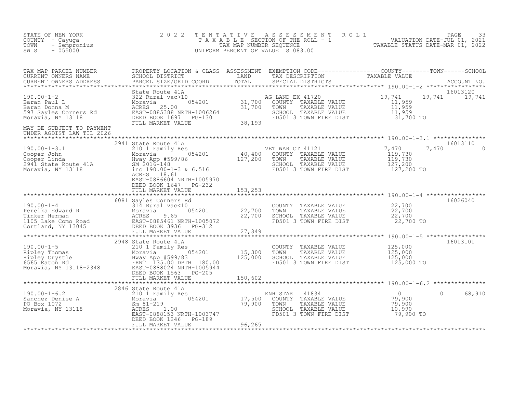| STATE OF NEW YORK<br>COUNTY - Cayuga<br>- Sempronius<br>TOWN<br>$-055000$<br>SWIS                                                                                                                                                                                                                                                                                                                                                                            | 2 0 2 2                                                                    |         | TENTATIVE ASSESSMENT ROLL PAGE 33<br>TAXABLE SECTION OF THE ROLL - 1 VALUATION DATE-JUL 01, 2021<br>TAX MAP NUMBER SEQUENCE TAXABLE STATUS DATE-MAR 01, 2022<br>UNIFORM PERCENT OF VALUE IS 083.00 |                |                    |
|--------------------------------------------------------------------------------------------------------------------------------------------------------------------------------------------------------------------------------------------------------------------------------------------------------------------------------------------------------------------------------------------------------------------------------------------------------------|----------------------------------------------------------------------------|---------|----------------------------------------------------------------------------------------------------------------------------------------------------------------------------------------------------|----------------|--------------------|
|                                                                                                                                                                                                                                                                                                                                                                                                                                                              |                                                                            |         |                                                                                                                                                                                                    |                |                    |
| $\begin{tabular}{lllllllllllllllllllllll} \textsc{TAX} & \textsc{MAP} & \textsc{PROBERTY} & \textsc{DCAITION} & \textsc{GLES} & \textsc{SSESSMENT} & \textsc{EXEMENT} & \textsc{DCED--------------COUNTY------TOWN-----SCHOOL} \\ \textsc{CUREENT} & \textsc{NWERS} & \textsc{RADEED} & \textsc{PASCED} & \textsc{TRZED} & \textsc{TRZED} & \textsc{TRZED} & \textsc{TRZED} \\ \textsc{CUREENT} & \textsc{NWERS} & \textsc{ADRESS} & \textsc{PARGE} & \text$ |                                                                            |         |                                                                                                                                                                                                    |                |                    |
| MAY BE SUBJECT TO PAYMENT<br>UNDER AGDIST LAW TIL 2026                                                                                                                                                                                                                                                                                                                                                                                                       |                                                                            |         |                                                                                                                                                                                                    |                |                    |
| $\begin{array}{lllllllllll} 190.00-1-3.1 & 2941 \text{ State Route 41A} & \text{VET WAR CT 41121} \\ \text{Cooper John} & \text{Moravia} & 054201 & 40,400 & \text{COUNTY TAXABLE VALUE} \\ \text{Cooper Linda} & \text{Hway App #599/86} & 127,200 & \text{TOWN} & \text{TAXABLE VALUE} \\ 2941 \text{ State Route 41A} & \text{SM 2016-148} & \text{SCHOOI TAXABLE VALUE} & \text{SCHOOL TAXABLE VALUE} \\ \text{Moravia, NY 13118} & \$                   | 2941 State Route 41A<br>EAST-0886604 NRTH-1005970<br>DEED BOOK 1647 PG-232 |         | ET WAR CT 41121 7,470 7<br>COUNTY TAXABLE VALUE 119,730<br>TOWN TAXABLE VALUE 119,730<br>SCHOOL TAXABLE VALUE 127,200<br>FD501 3 TOWN FIRE DIST 127,200 TO                                         | 7,470          | 16013110           |
|                                                                                                                                                                                                                                                                                                                                                                                                                                                              | FULL MARKET VALUE                                                          | 153,253 |                                                                                                                                                                                                    |                |                    |
|                                                                                                                                                                                                                                                                                                                                                                                                                                                              | 6081 Sayles Corners Rd                                                     |         |                                                                                                                                                                                                    |                | 16026040           |
|                                                                                                                                                                                                                                                                                                                                                                                                                                                              |                                                                            |         |                                                                                                                                                                                                    |                |                    |
|                                                                                                                                                                                                                                                                                                                                                                                                                                                              | 2948 State Route 41A                                                       |         |                                                                                                                                                                                                    |                | 16013101           |
|                                                                                                                                                                                                                                                                                                                                                                                                                                                              |                                                                            |         |                                                                                                                                                                                                    |                |                    |
| 190.00-1-6.2<br>Sanchez Denise A<br>Sanchez Denise A<br>Moravia Moravia (17,500 EN<br>Moravia, NY 13118<br>Moravia, NY 13118<br>Moravia (190.00-1-6.20 EAST-0888152 NRTH-1003747<br>Moravia, NY 13118<br>Moravia (190.00-1246 PG-189<br>EULL MA                                                                                                                                                                                                              | 2846 State Route 41A                                                       |         | ENH STAR<br>41834<br>NH STAR 41834<br>COUNTY TAXABLE VALUE 19,900<br>TOWN TAXABLE VALUE 19,900<br>SCHOOL TAXABLE VALUE 10,990<br>FD501 3 TOWN FIRE DIST 19,900 TO<br>TOWN                          | $\overline{0}$ | $\Omega$<br>68,910 |
|                                                                                                                                                                                                                                                                                                                                                                                                                                                              |                                                                            |         |                                                                                                                                                                                                    |                |                    |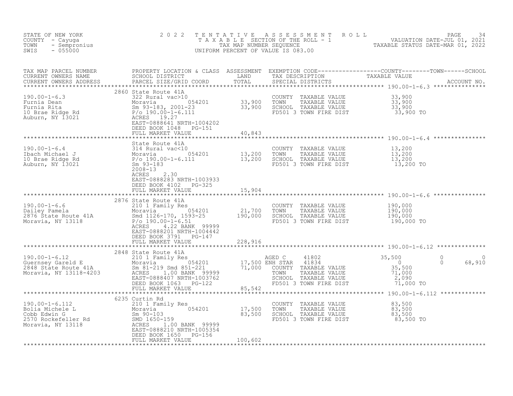| STATE OF NEW YORK 2022<br>COUNTY - Cayuga<br>TOWN - Sempronius<br>SWIS - 055000                                                                                                                                                                                                                                                                   |                                                                         |        | TENTATIVE ASSESSMENT ROLL PAGE 34<br>TAXABLE SECTION OF THE ROLL - 1 VALUATION DATE-JUL 01, 2021<br>TAX MAP NUMBER SEQUENCE TAXABLE STATUS DATE-MAR 01, 2022<br>UNIFORM PERCENT OF VALUE IS 083.00 |
|---------------------------------------------------------------------------------------------------------------------------------------------------------------------------------------------------------------------------------------------------------------------------------------------------------------------------------------------------|-------------------------------------------------------------------------|--------|----------------------------------------------------------------------------------------------------------------------------------------------------------------------------------------------------|
|                                                                                                                                                                                                                                                                                                                                                   |                                                                         |        |                                                                                                                                                                                                    |
|                                                                                                                                                                                                                                                                                                                                                   |                                                                         |        |                                                                                                                                                                                                    |
| 190.00-1-6.4<br>190.00-1-6.4<br>190.00-1-6.4<br>190.00-1-6.4<br>190.00-1-6.4<br>2008-13<br>2008-13<br>2008-13<br>2008-13<br>2008-13<br>2008-13<br>2008-13<br>2008-13<br>2008-13<br>2008-13<br>2008-13<br>2008-13<br>2008-13<br>2008-13<br>2008-13<br>2008-13<br>2008-13<br>                                                                       | EAST-0888283 NRTH-1003933<br>DEED BOOK 4102 PG-325<br>FULL MARKET VALUE | 15,904 |                                                                                                                                                                                                    |
| $\begin{tabular}{lllllllllllll} 190.00-1-6.6 & 2876 \text{ State Route 41A} & 054201 & 000-100 & 0000 & 0000 \\ \text{Daily Panel} & & 054201 & 0000 & 0000 & 0000 \\ 2876 \text{ State Route 41A} & & 054201 & 21,700 & 0000 & 0000 \\ 2876 \text{ State Route 41A} & & 054201 & 21,700 & 0000 & 0000 \\ 2876 \text{ State Route 41A} & & 05420$ | DEED BOOK 3791 PG-147<br>FULL MARKET VALUE 147 228,916                  |        |                                                                                                                                                                                                    |
|                                                                                                                                                                                                                                                                                                                                                   |                                                                         |        |                                                                                                                                                                                                    |
|                                                                                                                                                                                                                                                                                                                                                   |                                                                         |        |                                                                                                                                                                                                    |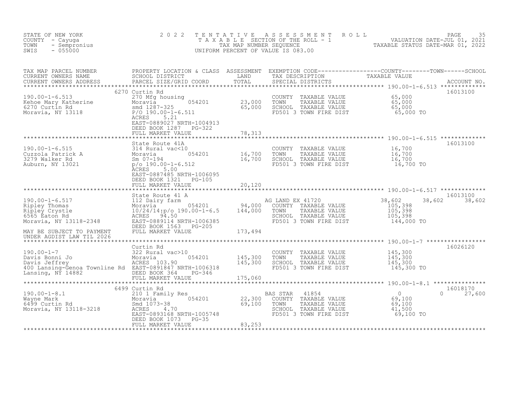| STATE OF NEW YORK<br>COUNTY - Cayuga<br>- Sempronius<br>TOWN<br>$-055000$<br>SWIS                                                                                                                                                                              | 2 0 2 2                                                                                                                                                                                                        | TENTATIVE                          | A S S E S S M E N T R O L L<br>UNIFORM PERCENT OF VALUE IS 083.00                                                                                   | T A X A B L E SECTION OF THE ROLL - 1<br>TAX MAP NUMBER SEQUENCE - 1 VALUATION DATE-JUL 01, 2021<br>INIEOPM PERCENT OF VALUE IS 083 | PAGE<br>35                |
|----------------------------------------------------------------------------------------------------------------------------------------------------------------------------------------------------------------------------------------------------------------|----------------------------------------------------------------------------------------------------------------------------------------------------------------------------------------------------------------|------------------------------------|-----------------------------------------------------------------------------------------------------------------------------------------------------|-------------------------------------------------------------------------------------------------------------------------------------|---------------------------|
| TAX MAP PARCEL NUMBER<br>CURRENT OWNERS NAME<br>CURRENT OWNERS ADDRESS                                                                                                                                                                                         |                                                                                                                                                                                                                |                                    |                                                                                                                                                     |                                                                                                                                     |                           |
| 190.00-1-6.513<br>Kehoe Mary Katherine Moravia Moravia 0542<br>6270 Curtin Rd Moravia 9542<br>Moravia, NY 13118 P/O 190.00-1-6.511<br>ACRES 5.21                                                                                                               | 6270 Curtin Rd<br>COUNT<br>270 Mfg housing<br>Moravia 054201 23,000 TOWN<br>smd 1287-325 65,000 SCHOC<br>P/DES 190.00-1-6.511 FD501<br>EAST-0889027 NRTH-1004913<br>DEED BOOK 1287 PG-322<br>FULL MARKET VALUE | 78,313                             | COUNTY TAXABLE VALUE 65,000<br>TOWN TAXABLE VALUE 65,000<br>SCHOOL TAXABLE VALUE 65,000<br>FD501 3 TOWN FIRE DIST 65,000 TO                         |                                                                                                                                     | 16013100                  |
| 190.00-1-6.515<br>Cuzzola Patrick A 314 Rural vac<10<br>3279 Walker Rd 5m 07-194<br>Auburn, NY 13021 p/o 190.00-1-6.512                                                                                                                                        | State Route 41A<br>ACRES 5.00<br>EAST-0887485 NRTH-1006095<br>DEED BOOK 1321 PG-105                                                                                                                            | $0$<br>054201 16,700<br>512 16,700 | COUNTY TAXABLE VALUE 16,700<br>TOWN TAXABLE VALUE 16,700<br>SCHOOL TAXABLE VALUE 16,700<br>SCHOOL TAXABLE VALUE<br>FD501 3 TOWN FIRE DIST 16,700 TO |                                                                                                                                     | 16013100                  |
| 190.00-1-6.517<br>Ripley Thomas<br>Ripley Thomas<br>Moravia<br>Ripley Crystle<br>State Moravia<br>Moravia, NY 13118-2348<br>Moravia, NY 13118-2348<br>BEED BOOK 1563 PG-205<br>DEED BOOK 1563 PG-205<br>MAY BE SUBJECT TO PAYMENT<br>UNDER AGDIST LAW TIL 2026 | FULL MARKET VALUE<br>State Route 41 A<br>DEED BOOK 1563 PG-205<br>DEED BOOK 1563 – F<br>FULL MARKET VALUE                                                                                                      | 20,120<br>173,494                  | AG LAND EX 41720<br>COUNTY TAXABLE VALUE<br>TAXABLE VALUE<br>TOWN<br>SCHOOL TAXABLE VALUE<br>FD501 3 TOWN FIRE DIST                                 | 38,602<br>38,602<br>$105, 398$<br>$105, 398$<br>$105, 398$<br>144,000 TO                                                            | 16013100<br>38,602        |
| 190.00-1-7<br>Davis Bonni Jo<br>Davis Jeffrey (1990) 2008 201 2013<br>Davis Jeffrey (1990) 2008 2013<br>2008 2014 2013<br>2013<br>2013<br>2013<br>2013<br>2013<br>2013<br>400 Lansing-Genoa Townline Rd EAST-0891847 NRTH-1006318<br>Lansing, NY 14882         | $054201$ $145,300$ $145,300$<br>DEED BOOK 364 PG-346<br>FULL MARKET VALUE                                                                                                                                      | 145,300<br>175,060                 | COUNTY TAXABLE VALUE 145,300<br>TOWN TAXABLE VALUE 145,300<br>SCHOOL TAXABLE VALUE 145,300<br>FD501 3 TOWN FIRE DIST                                | 145,300 TO                                                                                                                          | 16026120                  |
| 190.00-1-8.1<br>Wayne Mark Moravia 054201 22,300<br>6499 Curtin Rd 5md 1073-38 69,100<br>Moravia, NY 13118-3218 ACRES 2004.70                                                                                                                                  | 6499 Curtin Rd<br>ACRES 4.70<br>EAST-0893168 NRTH-1005748<br>DEED BOOK 1073<br>DEED BOOK 1073 PG-35<br>FULL MARKET VALUE                                                                                       | 83,253                             | BAS STAR<br>41854<br>TAXABLE VALUE<br>COUNTY<br>TAXABLE VALUE<br>TOWN<br>SCHOOL TAXABLE VALUE<br>FD501 3 TOWN FIRE DIST                             | $\overline{0}$<br>$69,100$<br>$69,100$<br>41,500<br>$69,100$ TO                                                                     | 16018170<br>$0 \t 27,600$ |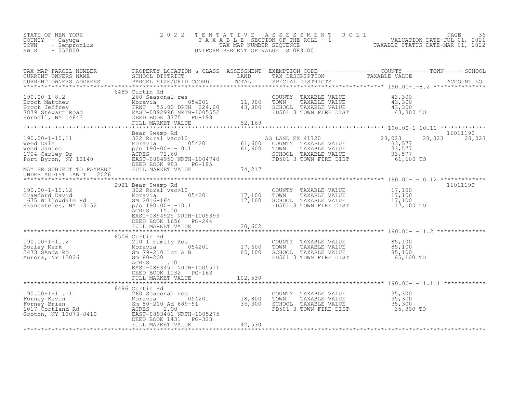| STATE OF NEW YORK<br>COUNTY - Cayuga<br>TOWN<br>SWIS                                                                                                                                                                                                      | 2 0 2 2                                                                                       |         |                                                                                                                                     | FAXABLE SECTION OF THE ROLL 5 M MODEL TAXABLE SECTION OF THE ROLL 5 TAXABLE STATUS DATE-JUL 01, 2021<br>TAXABLE STATUS DATE-MAR 01, 2022<br>UNIFORM PERCENT OF VALUE IS 083.00                                                                                                                                                                        |
|-----------------------------------------------------------------------------------------------------------------------------------------------------------------------------------------------------------------------------------------------------------|-----------------------------------------------------------------------------------------------|---------|-------------------------------------------------------------------------------------------------------------------------------------|-------------------------------------------------------------------------------------------------------------------------------------------------------------------------------------------------------------------------------------------------------------------------------------------------------------------------------------------------------|
|                                                                                                                                                                                                                                                           |                                                                                               |         |                                                                                                                                     |                                                                                                                                                                                                                                                                                                                                                       |
|                                                                                                                                                                                                                                                           | 6485 Curtin Rd                                                                                |         |                                                                                                                                     | $\begin{array}{lllllllllllllllllllll} \text{190.00-1-8.2} & \text{6485 Curtin Rd} & \text{260000} & \text{260000} & \text{260000} & \text{260000} & \text{26000} & \text{26000} & \text{26000} & \text{26000} & \text{26000} & \text{26000} & \text{26000} & \text{26000} & \text{26000} & \text{26000} & \text{26000} & \text{26000} & \text{26000}$ |
| MAY BE SUBJECT TO PAYMENT                                                                                                                                                                                                                                 | Bear Swamp Rd<br>FULL MARKET VALUE 74, 217                                                    |         |                                                                                                                                     | 16011190<br>28,023<br>28,023<br>61,600 TO                                                                                                                                                                                                                                                                                                             |
| UNDER AGDIST LAW TIL 2026                                                                                                                                                                                                                                 |                                                                                               |         |                                                                                                                                     |                                                                                                                                                                                                                                                                                                                                                       |
| 190.00-1-10.12<br>Crawford David<br>Crawford David<br>Moravid David Moravid Moravid Moravid David Moravid Moravid David<br>Moravid David SM 2016-164<br>Moravid David David SM 2016-164<br>Political David David SM 2016-164<br>Political Da              | 2921 Bear Swamp Rd<br>EAST-0894925 NRTH-1005393<br>DEED BOOK 1656 PG-244<br>FULL MARKET VALUE | 20,602  | COUNTY TAXABLE VALUE $17,100$<br>TOWN TAXABLE VALUE $17,100$<br>SCHOOL TAXABLE VALUE $17,100$<br>FD501 3 TOWN FIRE DIST 17,100 TO   | 16011190                                                                                                                                                                                                                                                                                                                                              |
|                                                                                                                                                                                                                                                           |                                                                                               |         |                                                                                                                                     |                                                                                                                                                                                                                                                                                                                                                       |
| 190.00-1-11.2<br>Bouley Mark<br>3473 SAnds Rd<br>Aurora, NY 13026<br>Aurora, NY 13026<br>Aurora, NY 13026<br>Aurora, NY 13026<br>Aurora, NY 13026<br>Aurora, NY 13026<br>Aurora, NY 13026<br>Aurora, NY 13026<br>Aurora, NY 13026<br>Aurora, NY 13026<br> | 6506 Curtin Rd<br>ACRES<br>1.10<br>EAST-0893451 NRTH-1005511<br>DEED BOOK 1032 PG-163         |         | COUNTY TAXABLE VALUE $85,100$<br>TOWN TAXABLE VALUE $85,100$<br>SCHOOL TAXABLE VALUE $85,100$<br>FD501 3 TOWN FIRE DIST $85,100$ TO |                                                                                                                                                                                                                                                                                                                                                       |
|                                                                                                                                                                                                                                                           | FULL MARKET VALUE                                                                             | 102,530 |                                                                                                                                     |                                                                                                                                                                                                                                                                                                                                                       |
| 190.00-1-11.111 6930 CHEEN SCREEN MORE TO BE SARABORAL TRIP 18,800<br>Forney Brian Moravia 054201 18,800<br>Torney Brian Sm 80-200 Ad 689-51 35,300<br>1017 Cortland Rd ACRES 2.00<br>Groton, NY 13073-8410 EAST-0893401 NRTH-1005275<br>                 | 6496 Curtin Rd<br>FULL MARKET VALUE                                                           | 42,530  | COUNTY TAXABLE VALUE $35,300$<br>TOWN TAXABLE VALUE $35,300$<br>SCHOOL TAXABLE VALUE $35,300$<br>FD501 3 TOWN FIRE DIST $35,300$    |                                                                                                                                                                                                                                                                                                                                                       |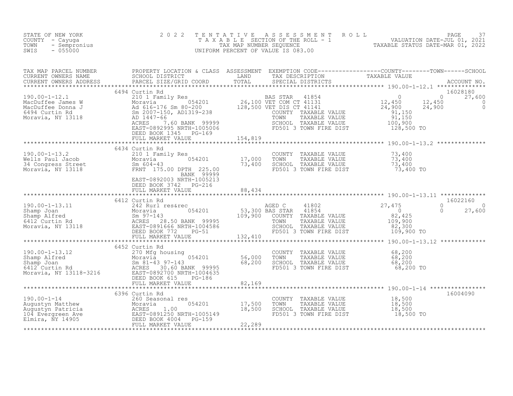| STATE OF NEW YORK<br>COUNTY - Cayuga<br>TOWN<br>- Sempronius<br>$-055000$<br>SWIS                                                                                                                                                                                                                                                                                         | 2 0 2 2                                            |        |  |          |
|---------------------------------------------------------------------------------------------------------------------------------------------------------------------------------------------------------------------------------------------------------------------------------------------------------------------------------------------------------------------------|----------------------------------------------------|--------|--|----------|
| TAX MAP PARCEL NUMBER PROPERTY LOCATION & CLASS ASSESSMENT EXEMPTION CODE-----------------COUNTY--------TOWN------SCHOOL SCHOOL DISTRICT LAND TAX DESCRIPTION TAXABLE VALUE<br>CURRENT OWNERS ADDRESS PARCEL SIZE/GRID COORD TOTA                                                                                                                                         |                                                    |        |  |          |
|                                                                                                                                                                                                                                                                                                                                                                           |                                                    |        |  |          |
|                                                                                                                                                                                                                                                                                                                                                                           | DEED BOOK 1345 PG-169<br>FULL MARKET VALUE 154,819 |        |  |          |
|                                                                                                                                                                                                                                                                                                                                                                           |                                                    |        |  |          |
|                                                                                                                                                                                                                                                                                                                                                                           |                                                    |        |  |          |
| 190.00-1-13.2 6434 Curtin Rd<br>Wells Paul Jacob 210 1 Family Res<br>Moravia 054201 17,000 TOWN TAXABLE VALUE 73,400<br>34 Congress Street 5m 604-43<br>Moravia, NY 13118 FRNT 175.00 DPTH 225.00<br>BANK 99999<br>EAST-0892003 NRTH-1005                                                                                                                                 |                                                    |        |  |          |
|                                                                                                                                                                                                                                                                                                                                                                           | FULL MARKET VALUE                                  | 88,434 |  |          |
| $\begin{array}{cccccccc} 190.00-1-13.11 & 6412 & \text{Curtin Rd} & 27,475 & 0 & 16022160 \\ \text{Shamp Joan} & 242 & \text{Rult} & 0 & 27,600 \\ \text{Shamp Joan} & 242 & \text{Rult} & 0 & 27,600 \\ \text{Shamp A} & 242 & \text{Rult} & 0 & 27,600 \\ \text{S12 Curtin Rd} & 82,425 & 28,50 BANK & 9995 & 109,900 & \text{COMNT TAXABLE VALUE} & 109,900 \\ \text{$ | 6412 Curtin Rd                                     |        |  | 16022160 |
|                                                                                                                                                                                                                                                                                                                                                                           |                                                    |        |  |          |
|                                                                                                                                                                                                                                                                                                                                                                           |                                                    |        |  |          |
|                                                                                                                                                                                                                                                                                                                                                                           | 6452 Curtin Rd                                     |        |  |          |
|                                                                                                                                                                                                                                                                                                                                                                           |                                                    |        |  |          |
|                                                                                                                                                                                                                                                                                                                                                                           |                                                    |        |  |          |
|                                                                                                                                                                                                                                                                                                                                                                           |                                                    |        |  |          |
|                                                                                                                                                                                                                                                                                                                                                                           |                                                    |        |  |          |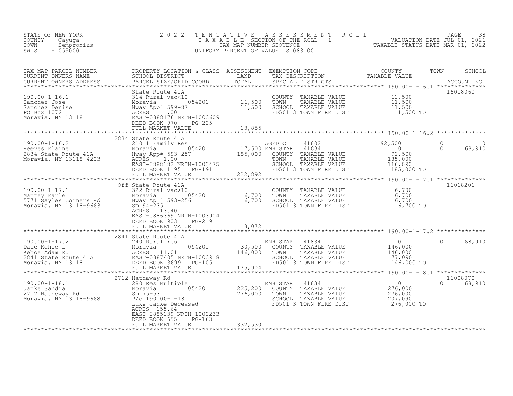| STATE OF NEW YORK<br>COUNTY - Cayuga<br>TOWN - Sempronius<br>TITO - 055000 |                                                                                                                                                                                                                                                                                                                                                                                                                                                            | TENTATIVE ASSESSMENT ROLL PAGE 38<br>TAXABLE SECTION OF THE ROLL - 1 VALUATION DATE-JUL 01, 2021<br>TAX MAP NUMBER SEQUENCE TAXABLE STATUS DATE-MAR 01, 2022<br>UNIFORM PERCENT OF VALUE IS 083.00 |          |
|----------------------------------------------------------------------------|------------------------------------------------------------------------------------------------------------------------------------------------------------------------------------------------------------------------------------------------------------------------------------------------------------------------------------------------------------------------------------------------------------------------------------------------------------|----------------------------------------------------------------------------------------------------------------------------------------------------------------------------------------------------|----------|
|                                                                            | TAX MAP PARCEL NUMBER PROPERTY LOCATION & CLASS ASSESSMENT EXEMPTION CODE-----------------COUNTY--------TOWN------SCHOOL CURRENT OWNERS NAME SCHOOL DISTRICT LAND TAX DESCRIPTION TAXABLE VALUE ACCOUNT NO.<br>CURRENT OWNERS ADD                                                                                                                                                                                                                          |                                                                                                                                                                                                    |          |
|                                                                            |                                                                                                                                                                                                                                                                                                                                                                                                                                                            |                                                                                                                                                                                                    | 16018060 |
|                                                                            |                                                                                                                                                                                                                                                                                                                                                                                                                                                            |                                                                                                                                                                                                    |          |
|                                                                            | 2834 State Route 41A<br>$\begin{array}{cccccccc} 190.00-1-16.2 & 2834 \text{ State Route 41A} & 2834 \text{ State Route 41B} & 2834 \text{ State Route 41B} & 2834 \text{ State Route 41B} & 2834 \text{ State Route 41B} & 2834 \text{ State Route 41B} & 2834 \text{ State Route 41B} & 2834 \text{ State Route 41B} & 2834 \text{ State Route 41B} & 2834 \text{ State Route 41B} & 2834 \text{ State Route 41B} & 2834 \text{ State Route 41B} & 2834$ |                                                                                                                                                                                                    |          |
|                                                                            |                                                                                                                                                                                                                                                                                                                                                                                                                                                            |                                                                                                                                                                                                    |          |
|                                                                            | EAST-0886369 NRTH-1003904<br>DEED BOOK 903 PG-219                                                                                                                                                                                                                                                                                                                                                                                                          |                                                                                                                                                                                                    | 16018201 |
|                                                                            |                                                                                                                                                                                                                                                                                                                                                                                                                                                            |                                                                                                                                                                                                    |          |
|                                                                            |                                                                                                                                                                                                                                                                                                                                                                                                                                                            |                                                                                                                                                                                                    |          |
|                                                                            |                                                                                                                                                                                                                                                                                                                                                                                                                                                            |                                                                                                                                                                                                    |          |
|                                                                            | 190.00-1-18.1 2712 Hatheway Rd<br>190.00-1-18.1 280 Res Multiple ENH STAR 41834 0<br>2712 Hatheway Rd<br>2712 Hatheway Rd<br>2712 Hatheway Rd<br>2712 Hatheway Rd<br>276,000 TOWN TAXABLE VALUE 276,000<br>276,000 276,000<br>276,000 276,000<br><br>EAST-0885139 NRTH-1002233<br>DEED BOOK 655 PG-163<br>FULL MARKET VALUE 332,530                                                                                                                        |                                                                                                                                                                                                    | 0 68,910 |
|                                                                            |                                                                                                                                                                                                                                                                                                                                                                                                                                                            |                                                                                                                                                                                                    |          |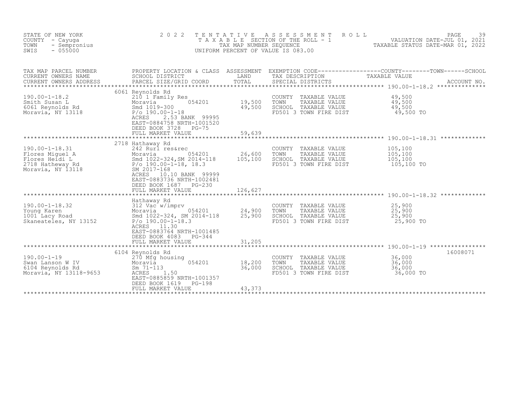| STATE OF NEW YORK<br>COUNTY - Cayuga<br>TOWN<br>- Sempronius<br>SWIS<br>$-055000$                  | 2 0 2 2                                                                                                                                                                                                                          | T E N T A T I V E            | A S S E S S M E N T<br>ROLL<br>UNIFORM PERCENT OF VALUE IS 083.00                                  | PAGE<br>39<br>T A X A B L E SECTION OF THE ROLL - 1 VALUATION DATE-JUL 01, 2021<br>TAX MAP NUMBER SEQUENCE TAXABLE STATUS DATE-MAR 01, 2022<br>TAXABLE STATUS DATE-MAR 01, 2022 |
|----------------------------------------------------------------------------------------------------|----------------------------------------------------------------------------------------------------------------------------------------------------------------------------------------------------------------------------------|------------------------------|----------------------------------------------------------------------------------------------------|---------------------------------------------------------------------------------------------------------------------------------------------------------------------------------|
| TAX MAP PARCEL NUMBER<br>CURRENT OWNERS NAME<br>CURRENT OWNERS ADDRESS                             | SCHOOL DISTRICT<br>PARCEL SIZE/GRID COORD                                                                                                                                                                                        | LAND<br>TOTAL                | TAX DESCRIPTION<br>SPECIAL DISTRICTS                                                               | PROPERTY LOCATION & CLASS ASSESSMENT EXEMPTION CODE----------------COUNTY-------TOWN------SCHOOL<br>TAXABLE VALUE<br>ACCOUNT NO.                                                |
| $190.00 - 1 - 18.2$<br>Smith Susan L<br>6061 Reynolds Rd<br>Moravia William<br>Moravia, NY 13118   | 6061 Reynolds Rd<br>210 1 Family Res<br>054201<br>Moravia<br>Smd 1019-300<br>$P/O$ 190.00-1-18<br>ACRES<br>2.53 BANK 99995<br>EAST-0884758 NRTH-1001520<br>DEED BOOK 3728<br>$PG-75$<br>FULL MARKET VALUE                        | 19,500<br>49,500<br>59,639   | COUNTY TAXABLE VALUE<br>TOWN<br>TAXABLE VALUE<br>SCHOOL TAXABLE VALUE<br>FD501 3 TOWN FIRE DIST    | 49,500<br>$\frac{49,500}{49,500}$<br>49,500 TO                                                                                                                                  |
|                                                                                                    | 2718 Hathaway Rd                                                                                                                                                                                                                 |                              |                                                                                                    |                                                                                                                                                                                 |
| $190.00 - 1 - 18.31$<br>Flores Miquel A<br>Flores Heidi L<br>2718 Hatheway Rd<br>Moravia, NY 13118 | 242 Rurl res&rec<br>242 Nuit 100.<br>Moravia 054201<br>Smd 1022-324, SM 2014-118<br>P/o 190.00-1-18, 18.3<br>SM 2017-168<br>ACRES<br>10.10 BANK 99999<br>EAST-0883736 NRTH-1002481<br>DEED BOOK 1687 PG-230<br>FULL MARKET VALUE | 26,600<br>105,100<br>126,627 | COUNTY<br>TAXABLE VALUE<br>TOWN<br>TAXABLE VALUE<br>SCHOOL TAXABLE VALUE<br>FD501 3 TOWN FIRE DIST | 105,100<br>105,100<br>105,100<br>105,100 TO                                                                                                                                     |
|                                                                                                    |                                                                                                                                                                                                                                  |                              |                                                                                                    |                                                                                                                                                                                 |
| $190.00 - 1 - 18.32$<br>Young Karen<br>1001 Lacy Road<br>Skaneateles, NY 13152                     | Hathaway Rd<br>312 Vac w/imprv<br>Moravia<br>Smd 1000<br>054201<br>Smd 1022-324, SM 2014-118<br>$P/O$ 190.00-1-18.3<br>ACRES 11.30<br>EAST-0883764 NRTH-1001485<br>DEED BOOK 4083<br>$PG-344$                                    | 24,900<br>25,900             | COUNTY<br>TAXABLE VALUE<br>TOWN<br>TAXABLE VALUE<br>SCHOOL TAXABLE VALUE<br>FD501 3 TOWN FIRE DIST | 25,900<br>25,900<br>25,900<br>25,900 TO                                                                                                                                         |
|                                                                                                    | FULL MARKET VALUE                                                                                                                                                                                                                | 31,205                       |                                                                                                    |                                                                                                                                                                                 |
| $190.00 - 1 - 19$<br>Swan Lanson W IV<br>6104 Reynolds Rd<br>Moravia, NY 13118-9653                | 6104 Reynolds Rd<br>270 Mfg housing<br>054201<br>Moravia<br>$Sm$ 71-113<br>ACRES<br>1.50<br>EAST-0885859 NRTH-1001357<br>DEED BOOK 1619<br>$PG-198$                                                                              | 18,200<br>36,000             | COUNTY TAXABLE VALUE<br>TOWN<br>TAXABLE VALUE<br>SCHOOL TAXABLE VALUE<br>FD501 3 TOWN FIRE DIST    | 16008071<br>36,000<br>36,000<br>36,000<br>36,000 TO                                                                                                                             |
|                                                                                                    | FULL MARKET VALUE                                                                                                                                                                                                                | 43,373                       |                                                                                                    |                                                                                                                                                                                 |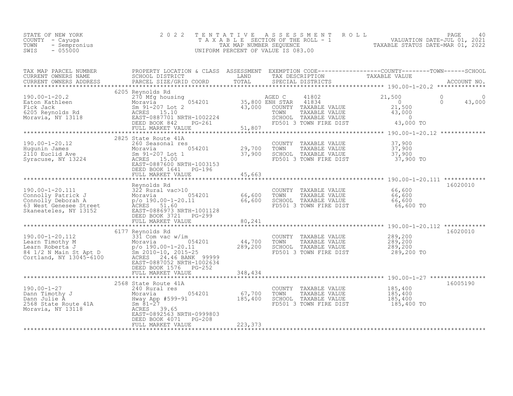| STATE OF NEW YORK<br>COUNTY - Cayuga<br>TOWN<br>- Sempronius<br>SWIS<br>$-055000$                                                                                                                                                                      | 2 0 2 2<br>TAXABLE                                                                                              | TENTATIVE<br>TAX MAP NUMBER SEQUENCE | A S S E S S M E N T R O L L<br>UNIFORM PERCENT OF VALUE IS 083.00                                                                                         | SECTION OF THE ROLL - 1<br>NUMBER SEQUENCE CORRECTED MALUATION DATE-JUL 01, 2021<br>TAXABLE STATUS DATE-MAR 01, 2022                                                     | PAGE<br>40 |
|--------------------------------------------------------------------------------------------------------------------------------------------------------------------------------------------------------------------------------------------------------|-----------------------------------------------------------------------------------------------------------------|--------------------------------------|-----------------------------------------------------------------------------------------------------------------------------------------------------------|--------------------------------------------------------------------------------------------------------------------------------------------------------------------------|------------|
| TAX MAP PARCEL NUMBER<br>CURRENT OWNERS NAME<br>CURRENT OWNERS ADDRESS                                                                                                                                                                                 | PARCEL SIZE/GRID COORD                                                                                          |                                      |                                                                                                                                                           | PROPERTY LOCATION & CLASS ASSESSMENT EXEMPTION CODE-----------------COUNTY--------TOWN------SCHOOL SCHOOL SCHOOL DISTRICT LAND TAX DESCRIPTION TAXABLE VALUE ACCOUNT NO. |            |
|                                                                                                                                                                                                                                                        | 6205 Reynolds Rd                                                                                                |                                      |                                                                                                                                                           |                                                                                                                                                                          |            |
| 190.00-1-20.2<br>Eaton Kathleen<br>Fick Jack Moravia Sm 91-207 Lot 2<br>6205 Reynolds Rd ACRES 15.10<br>Moravia, NY 13118<br>205 Reynolds Rd ACRES 15.10<br>205 Reynolds Rd ACRES 15.10<br>205 Reynolds Rd ACRES 15.10<br>206 Bern BOOK 842<br>2       |                                                                                                                 |                                      | 41802<br>$41802$<br>$41834$<br><b>BED CONTRACT 41834<br/>COUNTY TAXABLE VALUE<br/>TOWN TAXABLE VALUE<br/>SCHOOL TAXABLE VALUE<br/>TOEOL TAXABLE VALUE</b> | 21,500<br>$\overline{\phantom{0}}$<br>$\overline{0}$<br>$\overline{0}$<br>$21,500$<br>43,000<br>43,000 TO                                                                | 43,000     |
|                                                                                                                                                                                                                                                        | FULL MARKET VALUE                                                                                               | 51,807                               |                                                                                                                                                           | *************** 190.00-1-20.12 **************                                                                                                                            |            |
| $190.00 - 1 - 20.12$<br>190.00-1-20.12<br>Hugunin James Moravia<br>2110 Euclid Ave Sm 91-207 Lot 1<br>Syracuse, NY 13224<br>ACRES 15.00                                                                                                                | 2825 State Route 41A<br>260 Seasonal res<br>EAST-0887600 NRTH-1003153<br>DEED BOOK 1641 PG-196                  | $054201$ 29,700<br>37,900            | COUNTY TAXABLE VALUE 37,900<br>TOWN TAXABLE VALUE 37,900<br>SCHOOL TAXABLE VALUE 37,900<br>FD501 3 TOWN FIRE DIST                                         | 37,900 TO                                                                                                                                                                |            |
|                                                                                                                                                                                                                                                        | FULL MARKET VALUE                                                                                               | 45,663                               |                                                                                                                                                           |                                                                                                                                                                          |            |
| 190.00-1-20.111<br>Connolly Patrick J<br>Connolly Patrick J<br>Connolly Deborah A<br>66,600<br>66,600<br>66,600<br>Skaneateles, NY 13152<br>EAST-0886973 NRTH-1001128                                                                                  | DEED BOOK 3721 PG-299                                                                                           |                                      | COUNTY TAXABLE VALUE 66,600<br>TOWN TAXABLE VALUE 66,600<br>SCHOOL TAXABLE VALUE<br>FD501 3 TOWN FIRE DIST                                                | 66,600<br>$66,600$ TO                                                                                                                                                    | 16020010   |
|                                                                                                                                                                                                                                                        |                                                                                                                 |                                      |                                                                                                                                                           |                                                                                                                                                                          |            |
| 190.00-1-20.112<br>190.00-1-20.11<br>Learn Fimothy M<br>Learn Roberta J<br>84 1/2 N Main St Apt D<br>Cortland, NY 13045-6100<br>2010-10, 2015-25<br>24.46 BANK<br>2020-10, 2015-25<br>24.46 BANK<br>2020-10, 2015-25                                   | 6177 Reynolds Rd<br>331 Com vac w/im<br>EAST-0887052 NRTH-1002634<br>DEED BOOK 1576 PG-252<br>FULL MARKET VALUE | 44,700<br>289,200<br>348,434         | COUNTY TAXABLE VALUE<br>TOWN<br>TAXABLE VALUE<br>SCHOOL TAXABLE VALUE<br>FD501 3 TOWN FIRE DIST                                                           | 289,200<br>289,200<br>289,200<br>289,200 TO                                                                                                                              | 16020010   |
|                                                                                                                                                                                                                                                        |                                                                                                                 | ************                         |                                                                                                                                                           | ********************************* 190.00-1-27 ****************                                                                                                           |            |
| 190.00-1-27<br>Dann Timothy J<br>Dann Julie A<br>Dann Julie A<br>Dann Julie A<br>2500 240 Rural res<br>Moravia Bonn 165,400<br>Moravia, NY 13118<br>Moravia, NY 13118<br>Moravia, NY 13118<br>Moravia, NY 13118<br>Moravia, NY 13118<br>Moravia, NY 13 | 2568 State Route 41A<br>DEED BOOK 4071 PG-208<br>FULL MARKET VALUE                                              | 223,373                              | COUNTY TAXABLE VALUE<br>TOWN<br>TAXABLE VALUE<br>SCHOOL TAXABLE VALUE<br>FD501 3 TOWN FIRE DIST                                                           | 185,400<br>185,400<br>185,400<br>185,400 TO                                                                                                                              | 16005190   |
|                                                                                                                                                                                                                                                        |                                                                                                                 |                                      |                                                                                                                                                           |                                                                                                                                                                          |            |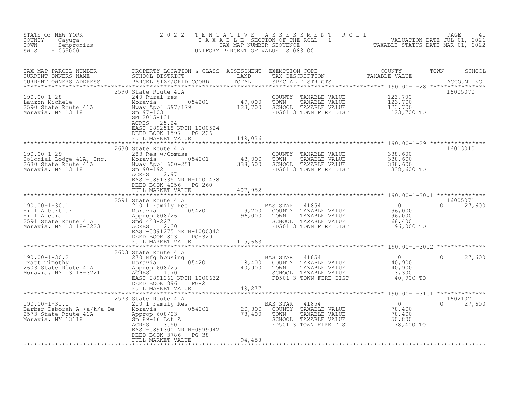| STATE OF NEW YORK<br>COUNTY - Cayuga<br>- Sempronius<br>TOWN<br>$-055000$<br>SWIS                                                                                                                                                                                                                                                                                                                                                                                                            | 2 0 2 2                                                                 |         |                                                                                                                                       | TENTATIVE ASSESSMENT ROLL PACE 41<br>TAXABLE SECTION OF THE ROLL - 1 VALUATION DATE-JUL 01, 2021<br>TAX MAP NUMBER SEQUENCE TAXABLE STATUS DATE-MAR 01, 2022<br>UNIFORM PERCENT OF VALUE IS 083.00 |                           |
|----------------------------------------------------------------------------------------------------------------------------------------------------------------------------------------------------------------------------------------------------------------------------------------------------------------------------------------------------------------------------------------------------------------------------------------------------------------------------------------------|-------------------------------------------------------------------------|---------|---------------------------------------------------------------------------------------------------------------------------------------|----------------------------------------------------------------------------------------------------------------------------------------------------------------------------------------------------|---------------------------|
|                                                                                                                                                                                                                                                                                                                                                                                                                                                                                              |                                                                         |         |                                                                                                                                       |                                                                                                                                                                                                    |                           |
| 2590 State Route 41A                                                                                                                                                                                                                                                                                                                                                                                                                                                                         | EAST-0892518 NRTH-1000524<br>DEED BOOK 1597 PG-226<br>FULL MARKET VALUE | 149,036 |                                                                                                                                       |                                                                                                                                                                                                    | 16005070                  |
|                                                                                                                                                                                                                                                                                                                                                                                                                                                                                              |                                                                         |         |                                                                                                                                       |                                                                                                                                                                                                    |                           |
| 190.00-1-29<br>Colonial Lodge 41A, Inc.<br>283 Res w/Comuse<br>2630 State Route 41A<br>Moravia, NY 13118<br>2630 State Route 41A<br>2630 State Route 41A<br>2630 Sm 90-192<br>2.97<br>2.97<br>2.97<br>2.97<br>2.97<br>2.97                                                                                                                                                                                                                                                                   | DEED BOOK 4056 PG-260                                                   |         | COUNTY TAXABLE VALUE $338,600$<br>TOWN TAXABLE VALUE $338,600$<br>SCHOOL TAXABLE VALUE $338,600$<br>FD501 3 TOWN FIRE DIST 338,600 TO |                                                                                                                                                                                                    | 16013010                  |
|                                                                                                                                                                                                                                                                                                                                                                                                                                                                                              | FULL MARKET VALUE 407, 952                                              |         |                                                                                                                                       |                                                                                                                                                                                                    |                           |
|                                                                                                                                                                                                                                                                                                                                                                                                                                                                                              |                                                                         |         |                                                                                                                                       |                                                                                                                                                                                                    | $0 \t 27,600$             |
|                                                                                                                                                                                                                                                                                                                                                                                                                                                                                              | DEED BOOK 803 PG-329<br>FULL MARKET VALUE 115,663                       |         |                                                                                                                                       |                                                                                                                                                                                                    |                           |
|                                                                                                                                                                                                                                                                                                                                                                                                                                                                                              |                                                                         |         |                                                                                                                                       |                                                                                                                                                                                                    |                           |
| $\begin{tabular}{lllllllllllllll} \multicolumn{3}{l}{} & 2603 \text{ State Route 41A} & \multicolumn{3}{l}{} & \multicolumn{3}{l}{} & \multicolumn{3}{l}{} & \multicolumn{3}{l}{} & \multicolumn{3}{l}{} & \multicolumn{3}{l}{} & \multicolumn{3}{l}{} & \multicolumn{3}{l}{} & \multicolumn{3}{l}{} & \multicolumn{3}{l}{} & \multicolumn{3}{l}{} & \multicolumn{3}{l}{} & \multicolumn{3}{l}{} & \multicolumn{3}{l}{} & \multicolumn{3}{l}{} & \multicolumn{3}{l}{} & \mult$               | 2603 State Route 41A                                                    |         |                                                                                                                                       |                                                                                                                                                                                                    |                           |
|                                                                                                                                                                                                                                                                                                                                                                                                                                                                                              |                                                                         |         |                                                                                                                                       |                                                                                                                                                                                                    |                           |
| $\begin{tabular}{l c c c c c} \multicolumn{3}{c}{\text{\small\it{\textbf{X}}}}\multicolumn{3}{c}{\text{\small\it{\textbf{X}}}}\multicolumn{3}{c}{\text{\small\it{\textbf{X}}}}\multicolumn{3}{c}{\text{\small\it{X}}} & \multicolumn{3}{c}{\text{\small\it{X}}} & \multicolumn{3}{c}{\text{\small\it{X}}} & \multicolumn{3}{c}{\text{\small\it{X}}} & \multicolumn{3}{c}{\text{\small\it{X}}} & \multicolumn{3}{c}{\text{\small\it{X}}} & \multicolumn{3}{c}{\text{\small\it{X}}} & \multic$ |                                                                         |         |                                                                                                                                       |                                                                                                                                                                                                    | 16021021<br>$0 \t 27,600$ |
|                                                                                                                                                                                                                                                                                                                                                                                                                                                                                              |                                                                         |         |                                                                                                                                       |                                                                                                                                                                                                    |                           |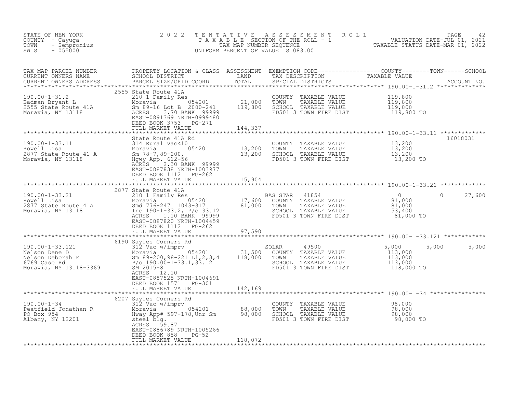| ' NEW YORK<br>- Cayuga<br>- Sempronius<br>- CESOO<br>STATE OF NEW YORK<br>COUNTY - Cayuga<br>TOWN<br>SWIS                                                                                                                                                                                                                                                                                                                                                          | 2 0 2 2                                                                  | T E N T A T I V E       | TENTATIVE ASSESSMENT ROLL UNLUATION DATE-JUL 01, 2021<br>TAXABLE SECTION OF THE ROLL - 1 VALUATION DATE-JUL 01, 2021<br>TAXABLE STATUS DATE-MAR 01, 2022<br>JNIFORM PERCENT OF VALUE IS 083.00<br>UNIFORM PERCENT OF VALUE IS 083.00 |                                                                                     |                |
|--------------------------------------------------------------------------------------------------------------------------------------------------------------------------------------------------------------------------------------------------------------------------------------------------------------------------------------------------------------------------------------------------------------------------------------------------------------------|--------------------------------------------------------------------------|-------------------------|--------------------------------------------------------------------------------------------------------------------------------------------------------------------------------------------------------------------------------------|-------------------------------------------------------------------------------------|----------------|
|                                                                                                                                                                                                                                                                                                                                                                                                                                                                    |                                                                          |                         |                                                                                                                                                                                                                                      |                                                                                     |                |
| 190.00-1-31.2<br>Badman Bryant L<br>2000 Moravia, NY 13118<br>2000-241 Moravia, NY 13118<br>2000-241<br>2000-241<br>21,000 TOWN TAXABLE VALUE<br>21,000 TOWN TAXABLE VALUE<br>21,000 TOWN TAXABLE VALUE<br>21,000 TOWN TAXABLE VALUE<br>21,000 TO                                                                                                                                                                                                                  | 2555 State Route 41A<br>FULL MARKET VALUE                                | 144,337                 | COUNTY TAXABLE VALUE 119,800<br>TOWN TAXABLE VALUE 119,800<br>SCHOOL TAXABLE VALUE 119,800<br>FD501 3 TOWN FIRE DIST 119,800 TO                                                                                                      |                                                                                     |                |
|                                                                                                                                                                                                                                                                                                                                                                                                                                                                    |                                                                          |                         |                                                                                                                                                                                                                                      |                                                                                     |                |
| 190.00-1-33.11<br>State Route 41A Rd<br>2877 State Route 41 A Moravia 054201<br>2877 State Route 41 A Smrty 29-200, 13,200 TOWN TAXABLE VALUE 13,200<br>Moravia, NY 13118 Horse Hopp. 612-56<br>2877 State Route 41 A Smrty App. 612-56<br>                                                                                                                                                                                                                        | EAST-0887838 NRTH-1003977                                                |                         |                                                                                                                                                                                                                                      |                                                                                     | 16018031       |
|                                                                                                                                                                                                                                                                                                                                                                                                                                                                    | DEED BOOK 1112 PG-262<br>FULL MARKET VALUE                               | 15,904<br>************* |                                                                                                                                                                                                                                      |                                                                                     |                |
|                                                                                                                                                                                                                                                                                                                                                                                                                                                                    | 2877 State Route 41A                                                     |                         |                                                                                                                                                                                                                                      |                                                                                     |                |
| 190.00-1-33.21<br>Rowell Lisa<br>2877 State Route 41A<br>Moravia, NY 13118                                                                                                                                                                                                                                                                                                                                                                                         | DEED BOOK 1112 PG-262                                                    |                         |                                                                                                                                                                                                                                      |                                                                                     | $0 \t 27,600$  |
|                                                                                                                                                                                                                                                                                                                                                                                                                                                                    | FULL MARKET VALUE                                                        | 97,590                  |                                                                                                                                                                                                                                      |                                                                                     |                |
|                                                                                                                                                                                                                                                                                                                                                                                                                                                                    |                                                                          |                         |                                                                                                                                                                                                                                      |                                                                                     |                |
|                                                                                                                                                                                                                                                                                                                                                                                                                                                                    | ACRES 12.10<br>EAST-0887525 NRTH-1004691<br>DEED BOOK 1571 PG-301        |                         | COUNTY TAXABLE VALUE<br>TOWN     TAXABLE VALUE                                                                                                                                                                                       | 5,000<br>$\begin{array}{c} 113,000 \\ 113,000 \\ 113,000 \end{array}$<br>118,000 TO | 5,000<br>5,000 |
|                                                                                                                                                                                                                                                                                                                                                                                                                                                                    |                                                                          |                         |                                                                                                                                                                                                                                      |                                                                                     |                |
| $\begin{array}{llllll} \text{190.00--1--34} & & & & \text{6207} \text{ Sayless Corresponds} & \text{6207} & \text{Sayless Corresponds} & \text{6208} & \text{6209} & \text{Sayless Corresponds} \\ & & & & \text{312} \text{ Vac w/imprv} & & & & \text{COUNTY} & \text{TAXABLE VALUE} \\ \text{Peatfield Jonathan R} & & & & \text{Moravia} & 054201 & & 88,000 & \text{TOWN} & \text{TAXABLE VALUE} \\ \text{PO Box 954} & & & \text{Hway App# 597--178, Unr Sm$ | EAST-0886789 NRTH-1005266<br>DEED BOOK 858<br>PG-52<br>FULL MARKET VALUE | 118,072                 | COUNTY TAXABLE VALUE $98,000$<br>TOWN TAXABLE VALUE 98,000<br>SCHOOL TAXABLE VALUE 98,000<br>FD501 3 TOWN FIRE DIST 98,000 TO                                                                                                        |                                                                                     |                |
|                                                                                                                                                                                                                                                                                                                                                                                                                                                                    |                                                                          |                         |                                                                                                                                                                                                                                      |                                                                                     |                |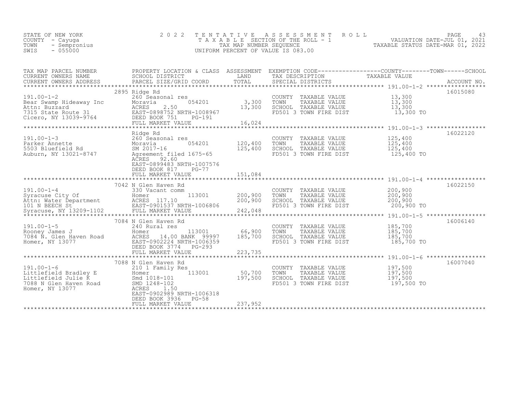| TAX MAP PARCEL NUMBER<br>CURRENT OWNERS NAME                                                                                                            | PROPERTY LOCATION & CLASS ASSESSMENT EXEMPTION CODE----------------COUNTY-------TOWN-----SCHOOL<br>SCHOOL DISTRICT<br><b>EXAMPLE TERMS</b>                                                                                                                                  |         | TAX DESCRIPTION                                                                                                      | TAXABLE VALUE                    |          |
|---------------------------------------------------------------------------------------------------------------------------------------------------------|-----------------------------------------------------------------------------------------------------------------------------------------------------------------------------------------------------------------------------------------------------------------------------|---------|----------------------------------------------------------------------------------------------------------------------|----------------------------------|----------|
| $191.00 - 1 - 2$                                                                                                                                        | 2895 Ridge Rd<br>260 Seasonal res<br>191.00-1-2<br>Bear Swamp Hideaway Inc Moravia 054201 3,300 FONN TAXABLE VALUE<br>Ath: Buzzard ACRES 2.50 13,300 SCHOOL TAXABLE VALUE 13,300<br>TAXABLE VALUE 13,300 TO<br>TEED BOOK 751 PG-191 16,024 16,024 16,024 16,024 16,024 11,0 |         | COUNTY TAXABLE VALUE $13,300$<br>TOWN TAXABLE VALUE $13,300$<br>SCHOOL TAXABLE VALUE $13,300$                        |                                  | 16015080 |
| 191.00-1-3<br>Parker Annette<br>5503 Bluefield Rd<br>Auburn, NY 13021-8747<br>Auburn, NY 13021-8747<br>Auburn, NY 13021-8747<br>Agreement filed 1675-65 | Ridge Rd<br>$054201$ $120,400$<br>ACRES 92.60<br>EAST-0899483 NRTH-1007576<br>DEED BOOK 817<br>$PG-77$                                                                                                                                                                      | 125,400 | COUNTY TAXABLE VALUE 125,400<br>TOWN<br>TAXABLE VALUE<br>SCHOOL TAXABLE VALUE<br>FD501 3 TOWN FIRE DIST              | 125,400<br>125,400<br>125,400 TO | 16022120 |
|                                                                                                                                                         | 7042 N Glen Haven Rd<br>191.00-1-4<br>Syncuse City Of The Sale of The Mathropology of the Mathropology of Homer<br>Ath: Water Department ACRES 117.10<br>ACRES 117.10 200,900 SCHOOL TAXABLE VALUE 200,900<br>Syncuse, NY 13209-1102 ENLL MARKET VALUE 242,048              |         | COUNTY TAXABLE VALUE $200,900$<br>TOWN TAXABLE VALUE $200,900$<br>SCHOOL TAXABLE VALUE $200,900$                     |                                  | 16022150 |
|                                                                                                                                                         | 7084 N Glen Haven Rd<br>191.00-1-5<br>Rooney James J<br>7084 N. Glen Haven Road<br>Homer, NY 13077<br>Homer, NY 13077<br>Homer, NY 13077<br>Homer, NY 13077<br>PG-293<br>113001 66,900                                                                                      | 185,700 | COUNTY TAXABLE VALUE 185,700<br>TOWN<br>TAXABLE VALUE<br>SCHOOL TAXABLE VALUE<br>FD501 3 TOWN FIRE DIST              | 185,700<br>185,700<br>185,700 TO | 16006140 |
|                                                                                                                                                         | 7088 N Glen Haven Rd<br>210 1 Family Res<br>$113001$ 50,700<br>197,500<br>EAST-0902989 NRTH-1006318<br>DEED BOOK 3936 PG-58<br>FULL MARKET VALUE                                                                                                                            | 237,952 | COUNTY TAXABLE VALUE 197,500<br>TOWN TAXABLE VALUE 197,500<br>TOWN<br>SCHOOL TAXABLE VALUE<br>FD501 3 TOWN FIRE DIST | 197,500<br>197,500 TO            | 16007040 |
|                                                                                                                                                         |                                                                                                                                                                                                                                                                             |         |                                                                                                                      |                                  |          |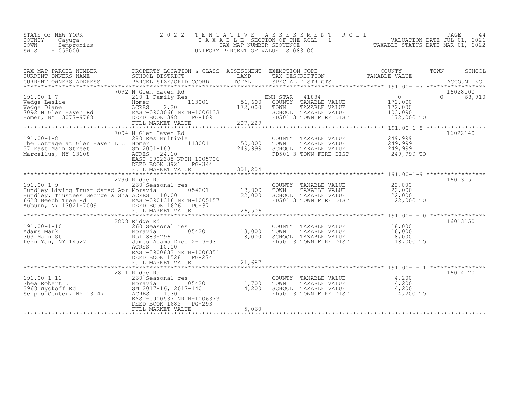| STATE OF NEW YORK    | 2022 TENTATIVE ASSESSMENT ROLL     |                                  | PAGE                        |  |
|----------------------|------------------------------------|----------------------------------|-----------------------------|--|
| COUNTY – Cayuga      | TAXABLE SECTION OF THE ROLL - 1    |                                  | VALUATION DATE-JUL 01, 2021 |  |
| TOWN<br>- Sempronius | TAX MAP NUMBER SEOUENCE            | TAXABLE STATUS DATE-MAR 01, 2022 |                             |  |
| SWIS<br>$-055000$    | UNIFORM PERCENT OF VALUE IS 083.00 |                                  |                             |  |
|                      |                                    |                                  |                             |  |

| TAX MAP PARCEL NUMBER<br>CURRENT OWNERS NAME                                                                                                                                | PROPERTY LOCATION & CLASS ASSESSMENT EXEMPTION CODE----------------COUNTY-------TOWN-----SCHOOL<br>SCHOOL DISTRICT                                                                                                                                                                                                             | LAND                                         | TAX DESCRIPTION                                                                                                                                                                                  | TAXABLE VALUE |                      |
|-----------------------------------------------------------------------------------------------------------------------------------------------------------------------------|--------------------------------------------------------------------------------------------------------------------------------------------------------------------------------------------------------------------------------------------------------------------------------------------------------------------------------|----------------------------------------------|--------------------------------------------------------------------------------------------------------------------------------------------------------------------------------------------------|---------------|----------------------|
|                                                                                                                                                                             |                                                                                                                                                                                                                                                                                                                                |                                              |                                                                                                                                                                                                  |               |                      |
|                                                                                                                                                                             | 7092 N Glen Haven Rd<br>191.00-1-7<br>Wedge Leslie 210 1 Family Res<br>Medge Leslie 2.20 1 Family Res<br>Medge Diane 2.20 172,000 50<br>Medge Diane 2.20 172,000 50<br>Medge Diane 2.20 172,000 50<br>Medge Diane 2.20 172,000 50<br>Medge Diane 2.20 172,000 50<br>M                                                          |                                              |                                                                                                                                                                                                  |               | 16028100<br>0 68,910 |
| $191.00 - 1 - 8$                                                                                                                                                            | 7094 N Glen Haven Rd<br>280 Res Multiple<br>The Cottage at Glen Haven LLC Homer<br>37 East Main Street<br>Marcellus, NY 13108 MCRES 24.10 249,999<br>EAST-0902385 NRTH-1005706<br>DEED BOOK 3921 PG-344                                                                                                                        |                                              |                                                                                                                                                                                                  |               | 16022140             |
| $191.00 - 1 - 9$<br>Hundley Living Trust dated Apr Moravia                                                                                                                  | Ridge Rd<br>260 Seasonal res<br>2790 Ridge Rd<br>054201 13,000 TOWN<br>Hundley IIVIng Trust dated Apr Future 10.00<br>Hundley Tustes George & Sha ACRES 10.00<br>6628 Beech Tree Rd BAST-0901316 NRTH-1005157<br>Auburn, NY 13021-7009 BEED BOOK 1626 PG-37<br>FULL MARKET VALUE 26,506<br>********************                |                                              | COUNTY TAXABLE VALUE $22,000$<br>TOWN TAXABLE VALUE $22,000$<br>SCHOOL TAXABLE VALUE $22,000$<br>FD501 3 TOWN FIRE DIST $22,000$ TO                                                              |               | 16013151             |
| 191.00-1-10<br>Adams Mark 260 Seasonal res<br>303 Main St<br>Penn Yan, NY 14527<br>2808 Ridge Rd<br>260 Seasonal res<br>Moravia<br>83-296<br>261 883-296<br>26 Mark 2-19-93 | ACRES 10.00<br>EAST-0900833 NRTH-1006351<br>DEED BOOK 1528 PG-274                                                                                                                                                                                                                                                              | *****<br>$054201$ 13,000<br>18,000<br>18,000 | COUNTY TAXABLE VALUE $18,000$<br>TOWN TAXABLE VALUE $18,000$<br>SCHOOL TAXABLE VALUE $18,000$<br>FD501 3 TOWN FIRE DIST 18,000 TO                                                                |               | 16013150             |
|                                                                                                                                                                             | 191.00-1-11<br>2811 Ridge Rd<br>260 Seasonal res<br>3968 Wyckoff Rd<br>Scipio Center, NY 13147<br>2017-16, 2017-140<br>2017-140<br>2017-140<br>2017-140<br>2017-140<br>2017-140<br>2017-140<br>2017-140<br>2017-140<br>2017-140<br>2017-140<br>2018<br>EAST-0900537 NRTH-1006373<br>DEED BOOK 1682 PG-293<br>FULL MARKET VALUE | 5,060                                        | COUNTY TAXABLE VALUE $\begin{array}{cccc} 4,200 \ \text{TOWN} & \text{TAXABLE VALUE} & 4,200 \ \text{SCHOOL} & \text{TAXABLE VALUE} & 4,200 \ \text{FD501 3 TOWN FIRE DIST} & 4,200 \end{array}$ |               | 16014120             |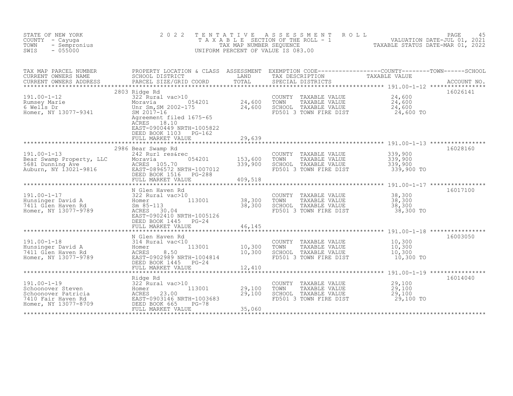| STATE OF NEW YORK<br>COUNTY<br>- Cayuqa<br>TOWN<br>- Sempronius<br>$-055000$<br>SWIS                        | 2 0 2 2                                                                                                                                                                                                             | TENTATIVE<br>TAX MAP NUMBER SEQUENCE | A S S E S S M E N T<br>ROLL<br>TAXABLE SECTION OF THE ROLL - 1<br>UNIFORM PERCENT OF VALUE IS 083.00                                   | VALUATION DATE-JUL 01, 2021<br>TAXABLE STATUS DATE-MAR 01, 2022 | PAGE<br>45  |
|-------------------------------------------------------------------------------------------------------------|---------------------------------------------------------------------------------------------------------------------------------------------------------------------------------------------------------------------|--------------------------------------|----------------------------------------------------------------------------------------------------------------------------------------|-----------------------------------------------------------------|-------------|
| TAX MAP PARCEL NUMBER<br>CURRENT OWNERS NAME<br>CURRENT OWNERS ADDRESS                                      | PROPERTY LOCATION & CLASS ASSESSMENT<br>SCHOOL DISTRICT<br>PARCEL SIZE/GRID COORD                                                                                                                                   | LAND<br>TOTAL                        | EXEMPTION CODE------------------COUNTY-------TOWN------SCHOOL<br>TAX DESCRIPTION TAXABLE VALUE<br>TAX DESCRIPTION<br>SPECIAL DISTRICTS | TAXABLE VALUE                                                   | ACCOUNT NO. |
| $191.00 - 1 - 12$<br>Rumsey Marie<br>6 Wells Dr<br>Homer, NY 13077-9341                                     | 2803 Ridge Rd<br>322 Rural vac>10<br>054201<br>Moravia<br>Unr Sm, SM 2002-175<br>SM 2017-16<br>Agreement filed 1675-65<br>ACRES 18.10<br>EAST-0900449 NRTH-1005822<br>DEED BOOK 1103<br>PG-162<br>FULL MARKET VALUE | 24,600<br>24,600<br>29,639           | COUNTY<br>TAXABLE VALUE<br>TOWN<br>TAXABLE VALUE<br>SCHOOL TAXABLE VALUE<br>FD501 3 TOWN FIRE DIST                                     | 24,600<br>24,600<br>24,600<br>24,600 TO                         | 16026141    |
|                                                                                                             | 2986 Bear Swamp Rd                                                                                                                                                                                                  | ***********                          |                                                                                                                                        |                                                                 | 16028160    |
| $191.00 - 1 - 13$<br>Bear Swamp Property, LLC<br>5681 Dunning Ave<br>Auburn, NY 13021-9816                  | 242 Rurl res&rec<br>Moravia<br>054201<br>ACRES 105.70<br>EAST-0896572 NRTH-1007012<br>DEED BOOK 1516<br>$PG-288$<br>FULL MARKET VALUE                                                                               | 153,600<br>339,900<br>409,518        | COUNTY<br>TAXABLE VALUE<br>TOWN<br>TAXABLE VALUE<br>SCHOOL TAXABLE VALUE<br>FD501 3 TOWN FIRE DIST                                     | 339,900<br>339,900<br>339,900<br>339,900 TO                     |             |
|                                                                                                             | N Glen Haven Rd                                                                                                                                                                                                     | **********                           |                                                                                                                                        | ****************** 191.00-1-17 ****************                 | 16017100    |
| $191.00 - 1 - 17$<br>Hunsinger David A<br>7411 Glen Haven Rd<br>Homer, NY 13077-9789                        | 322 Rural vac>10<br>113001<br>Homer<br>$Sm$ 85-113<br>ACRES 30.04<br>EAST-0902410 NRTH-1005126<br>DEED BOOK 1445 PG-24<br>FULL MARKET VALUE                                                                         | 38,300<br>38,300<br>46,145           | TAXABLE VALUE<br>COUNTY<br>TOWN<br>TAXABLE VALUE<br>SCHOOL TAXABLE VALUE<br>FD501 3 TOWN FIRE DIST                                     | 38,300<br>38,300<br>38,300<br>38,300 TO                         |             |
|                                                                                                             |                                                                                                                                                                                                                     |                                      |                                                                                                                                        |                                                                 |             |
| $191.00 - 1 - 18$<br>Hunsinger David A<br>7411 Glen Haven Rd<br>Homer, NY 13077-9789                        | N Glen Haven Rd<br>314 Rural vac<10<br>113001<br>Homer<br>8.50<br>ACRES<br>EAST-0902989 NRTH-1004814<br>DEED BOOK 1445<br>$PG-24$                                                                                   | 10,300<br>10,300                     | COUNTY<br>TAXABLE VALUE<br>TAXABLE VALUE<br>TOWN<br>SCHOOL TAXABLE VALUE<br>FD501 3 TOWN FIRE DIST                                     | 10,300<br>10,300<br>10,300<br>10,300 TO                         | 16003050    |
|                                                                                                             | FULL MARKET VALUE                                                                                                                                                                                                   | 12,410<br>********                   |                                                                                                                                        | ******************* 191.00-1-19 *****************               |             |
|                                                                                                             | Ridge Rd                                                                                                                                                                                                            |                                      |                                                                                                                                        |                                                                 | 16014040    |
| $191.00 - 1 - 19$<br>Schoonover Steven<br>Schoonover Patricia<br>7410 Fair Haven Rd<br>Homer, NY 13077-8709 | 322 Rural vac>10<br>113001<br>Homer<br>ACRES<br>23.00<br>EAST-0903146 NRTH-1003683<br>DEED BOOK 665<br>$PG-78$                                                                                                      | 29,100<br>29,100                     | TAXABLE VALUE<br>COUNTY<br>TOWN<br>TAXABLE VALUE<br>SCHOOL TAXABLE VALUE<br>FD501 3 TOWN FIRE DIST                                     | 29,100<br>29,100<br>29,100<br>29,100 TO                         |             |
|                                                                                                             | FULL MARKET VALUE                                                                                                                                                                                                   | 35,060                               |                                                                                                                                        |                                                                 |             |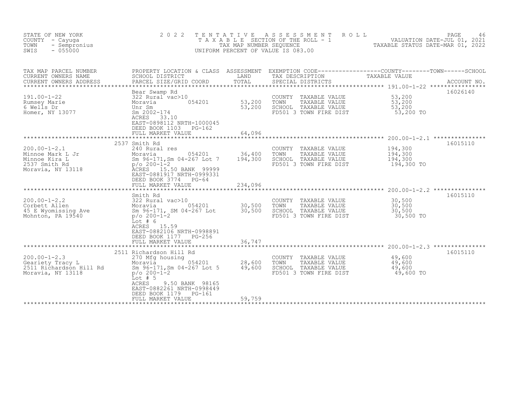| STATE OF NEW YORK<br>COUNTY - Cayuga<br>- Sempronius<br>TOWN<br>SWIS<br>$-055000$             | 2 0 2 2<br>TAXABLE                                                                                                                                                                                                                                                             | TENTATIVE<br>TAX MAP NUMBER SEQUENCE     | ASSESSMENT<br>ROLL<br>SECTION OF THE ROLL - 1<br>UNIFORM PERCENT OF VALUE IS 083.00                                                     | VALUATION DATE-JUL 01, 2021<br>TAXABLE STATUS DATE-MAR 01, 2022 | PAGE<br>46  |
|-----------------------------------------------------------------------------------------------|--------------------------------------------------------------------------------------------------------------------------------------------------------------------------------------------------------------------------------------------------------------------------------|------------------------------------------|-----------------------------------------------------------------------------------------------------------------------------------------|-----------------------------------------------------------------|-------------|
| TAX MAP PARCEL NUMBER<br>CURRENT OWNERS NAME<br>CURRENT OWNERS ADDRESS                        | SCHOOL DISTRICT<br>PARCEL SIZE/GRID COORD                                                                                                                                                                                                                                      | LAND<br>TOTAL                            | PROPERTY LOCATION & CLASS ASSESSMENT EXEMPTION CODE----------------COUNTY-------TOWN-----SCHOOL<br>TAX DESCRIPTION<br>SPECIAL DISTRICTS | TAXABLE VALUE                                                   | ACCOUNT NO. |
| $191.00 - 1 - 22$<br>Rumsey Marie<br>6 Wells Dr<br>Homer, NY 13077                            | Bear Swamp Rd<br>322 Rural vac>10<br>054201<br>Moravia<br>Unr Sm<br>Sm 2002-174<br>ACRES<br>33.10<br>EAST-0898112 NRTH-1000045<br>DEED BOOK 1103<br>$PG-162$<br>FULL MARKET VALUE                                                                                              | 53,200<br>53,200<br>64,096<br>********** | COUNTY TAXABLE VALUE<br>TAXABLE VALUE<br>TOWN<br>SCHOOL TAXABLE VALUE<br>FD501 3 TOWN FIRE DIST                                         | 53,200<br>53,200<br>53,200<br>53,200 TO                         | 16026140    |
| $200.00 - 1 - 2.1$<br>Minnoe Mark L Jr<br>Minnoe Kira L<br>2537 Smith Rd<br>Moravia, NY 13118 | 2537 Smith Rd<br>240 Rural res<br>054201<br>Moravia<br>Sm 96-171, Sm 04-267 Lot 7<br>$p/\circ 200 - 1 - 2$<br>ACRES 15.50 BANK 99999<br>EAST-0881917 NRTH-0999331<br>DEED BOOK 3774<br>$PG-64$<br>FULL MARKET VALUE                                                            | 36,400<br>194,300<br>234,096             | COUNTY TAXABLE VALUE<br>TAXABLE VALUE<br>TOWN<br>SCHOOL TAXABLE VALUE<br>FD501 3 TOWN FIRE DIST                                         | 194,300<br>194,300<br>194,300<br>194,300 TO                     | 16015110    |
| $200.00 - 1 - 2.2$<br>Corbett Allen<br>45 E Wyomissing Ave<br>Mohnton, PA 19540               | Smith Rd<br>322 Rural vac>10<br>054201<br>Moravia<br>Sm 96-171, SM 04-267 Lot<br>$p/O 200-1-2$<br>Lot $# 6$<br>ACRES 15.59<br>EAST-0882106 NRTH-0998891<br>DEED BOOK 1177 PG-256<br>FULL MARKET VALUE                                                                          | 30,500<br>30,500<br>36,747               | COUNTY TAXABLE VALUE<br>TOWN<br>TAXABLE VALUE<br>SCHOOL TAXABLE VALUE<br>FD501 3 TOWN FIRE DIST                                         | 30,500<br>30,500<br>30,500<br>30,500 TO                         | 16015110    |
| $200.00 - 1 - 2.3$<br>Geariety Tracy L<br>2511 Richardson Hill Rd<br>Moravia, NY 13118        | *****************************<br>2511 Richardson Hill Rd<br>270 Mfg housing<br>Moravia<br>054201<br>Sm 96-171, Sm 04-267 Lot 5<br>$p/\circ 200 - 1 - 2$<br>Lot $# 5$<br>ACRES<br>9.50 BANK 98165<br>EAST-0882261 NRTH-0998449<br>DEED BOOK 1179<br>PG-161<br>FULL MARKET VALUE | 28,600<br>49,600<br>59,759               | COUNTY<br>TAXABLE VALUE<br>TOWN<br>TAXABLE VALUE<br>SCHOOL TAXABLE VALUE<br>FD501 3 TOWN FIRE DIST                                      | 49,600<br>49,600<br>49,600<br>49,600 TO                         | 16015110    |
|                                                                                               |                                                                                                                                                                                                                                                                                |                                          |                                                                                                                                         |                                                                 |             |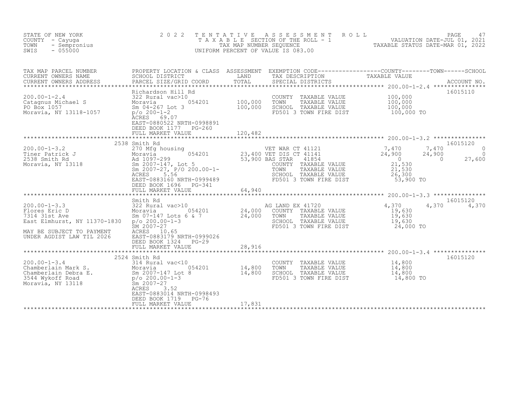| STATE OF NEW YORK<br>COUNTY - Cayuga<br>- Sempronius<br>TOWN<br>SWIS<br>$-055000$                                                                                                       | 2 0 2 2                                                                                                                                                                                                                                                                 | TENTATIVE | ASSESSMENT ROLL<br>TA'XABLE SECTION OF THE ROLL - 1 WALUATION DATE-JUL 01, 2021<br>TAXABLE STATUS DATE-MAR 01, 2022<br>UNIFORM PERCENT OF VALUE IS 083.00 |                                                                                                     | PAGE<br>47                                       |
|-----------------------------------------------------------------------------------------------------------------------------------------------------------------------------------------|-------------------------------------------------------------------------------------------------------------------------------------------------------------------------------------------------------------------------------------------------------------------------|-----------|-----------------------------------------------------------------------------------------------------------------------------------------------------------|-----------------------------------------------------------------------------------------------------|--------------------------------------------------|
| TAX MAP PARCEL NUMBER<br>CURRENT OWNERS NAME<br>CURRENT OWNERS ADDRESS                                                                                                                  | PROPERTY LOCATION & CLASS ASSESSMENT EXEMPTION CODE----------------COUNTY--------TOWN------SCHOOL<br>SCHOOL DISTRICT               LAND       TAX DESCRIPTION         TAXABLE VALUE<br>PARCEL SIZE/GRID COORD       TOTAL     SPECIA<br>PARCEL SIZE/GRID COORD          |           | SPECIAL DISTRICTS                                                                                                                                         |                                                                                                     |                                                  |
| $200.00 - 1 - 2.4$<br>Catagnus Michael S<br>nael S<br>PO Box 1057<br>Moravia, NY 13118-1057                                                                                             | Richardson Hill Rd<br>322 Rural vac>10<br>$p/O 200-1-2$<br>ACRES 69.07<br>EAST-0880522 NRTH-0998891<br>DEED BOOK 1177 PG-260                                                                                                                                            |           | COUNTY TAXABLE VALUE 100,000<br>TOWN<br>TAXABLE VALUE<br>SCHOOL TAXABLE VALUE<br>FD501 3 TOWN FIRE DIST                                                   | 100,000<br>100,000<br>100,000 TO                                                                    | 16015110                                         |
|                                                                                                                                                                                         | 2538 Smith Rd                                                                                                                                                                                                                                                           |           | COUNTY TAXABLE VALUE<br>TAXABLE VALUE                                                                                                                     | $\frac{7}{24}$ , 470<br>7,470<br>24,900<br>$\overline{0}$<br>$\overline{0}$<br>$21,330$<br>$21,530$ | 16015120<br>$\Omega$<br>$\overline{0}$<br>27,600 |
|                                                                                                                                                                                         | DEED BOOK 1696    PG-341<br>FULL MARKET VALUE                                                                                                                                                                                                                           | 64,940    | $SCHOOL$ TAXABLE VALUE $26,300$<br>FD501 3 TOWN FIRE DIST                                                                                                 | $53,900$ TO                                                                                         |                                                  |
| $200.00 - 1 - 3.3$<br>Flores Eric D<br>7314 31st Ave<br>East Elmhurst, NY 11370-1830    p/o 200.00-1-3<br>MAY BE SUBJECT TO PAYMENT                                                     | Smith Rd<br>SILARID EX 41720<br>Moravia 054201 24,000 COUNTY TAXABLE VALUE<br>Sm 07-147 Lots 6 & 7 24,000 TOWN TAXABLE VALUE<br>p/o 200.00-1-3 24,000 TOWN TAXABLE VALUE<br>SCHOOL TAXABLE VALUE<br>SCHOOL TAXABLE VALUE<br>SCHOOL TAXABLE VALUE<br>SCHO<br>ACRES 10.65 |           | AG LAND EX 41720                                                                                                                                          | $4,370$<br>$19,630$<br>4,370<br>19,630<br>19,630<br>24,000 TO                                       | 16015120<br>4,370                                |
| UNDER AGDIST LAW TIL 2026                                                                                                                                                               | EAST-0883179 NRTH-0999026<br>DEED BOOK 1324<br>$PG-29$<br>FULL MARKET VALUE                                                                                                                                                                                             | 28,916    |                                                                                                                                                           |                                                                                                     |                                                  |
|                                                                                                                                                                                         | 2524 Smith Rd                                                                                                                                                                                                                                                           |           |                                                                                                                                                           |                                                                                                     | 16015120                                         |
| 200.00-1-3.4<br>Chamberlain Mark S.<br>Chamberlain Debra E.<br>3544 Wykoff Road<br>Moravia, NY 13118<br>2007-147 Lot 8<br>2007-147 Lot 8<br>2007-147 Lot 8<br>2007-147 Lot 8<br>2007-27 | -147 Lot 8 14,800<br>-147 Lot 8 14,800<br>3.52<br>ACRES<br>EAST-0883014 NRTH-0998493                                                                                                                                                                                    |           | COUNTY TAXABLE VALUE 14,800<br>TOWN<br>TAXABLE VALUE<br>SCHOOL TAXABLE VALUE<br>FD501 3 TOWN FIRE DIST                                                    | $\frac{14}{14}$ , 800<br>14,800 TO                                                                  |                                                  |
|                                                                                                                                                                                         | DEED BOOK 1719<br>PG-76<br>FULL MARKET VALUE                                                                                                                                                                                                                            | 17,831    |                                                                                                                                                           |                                                                                                     |                                                  |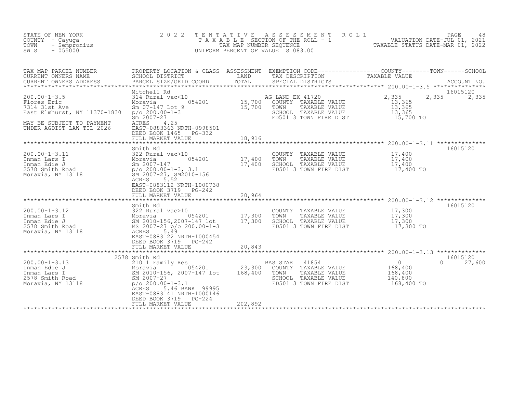| STATE OF NEW YORK<br>COUNTY - Cayuga<br>TOWN<br>- Sempronius<br>$-055000$<br>SWIS                                                                                           | 2 0 2 2<br>TAXABLE                                                                                                                                                                                                              | TENTATIVE<br>TAX MAP NUMBER SEQUENCE       | A S S E S S M E N T<br>R O L L<br>UNIFORM PERCENT OF VALUE IS 083.00                                                 | PAGE<br>48<br>SECTION OF THE ROLL - 1 VALUATION DATE-JUL 01, 2021<br>NUMBER SEQUENCE                     TAXABLE STATUS DATE-MAR 01, 2022 |
|-----------------------------------------------------------------------------------------------------------------------------------------------------------------------------|---------------------------------------------------------------------------------------------------------------------------------------------------------------------------------------------------------------------------------|--------------------------------------------|----------------------------------------------------------------------------------------------------------------------|-------------------------------------------------------------------------------------------------------------------------------------------|
| TAX MAP PARCEL NUMBER<br>CURRENT OWNERS NAME<br>CURRENT OWNERS ADDRESS<br>******************************                                                                    | SCHOOL DISTRICT<br><b>EXAMPLE DESCRIPTION OF STREET AND SERVICE STREET AND SERVICE STREET AND SERVICE STREET AND SERVICE STREET AND</b><br>PARCEL SIZE/GRID COORD                                                               | TOTAL                                      | TAX DESCRIPTION<br>SPECIAL DISTRICTS                                                                                 | PROPERTY LOCATION & CLASS ASSESSMENT EXEMPTION CODE----------------COUNTY-------TOWN-----SCHOOL<br>TAXABLE VALUE<br>ACCOUNT NO.           |
| $200.00 - 1 - 3.5$<br>Flores Eric<br>7314 31st Ave<br>East Elmhurst, NY 11370-1830<br>MAY BE SUBJECT TO PAYMENT<br>UNDER AGDIST LAW TIL 2026                                | Mitchell Rd<br>314 Rural vac<10<br>$\frac{10}{9}$ 054201 15,700<br>Moravia<br>Sm 07-147 Lot 9<br>$p/o 200.00-1-3$<br>$Sm 2007 - 27$<br>ACRES<br>4.25<br>EAST-0883363 NRTH-0998501<br>DEED BOOK 1465 PG-332<br>FULL MARKET VALUE | 18,916                                     | AG LAND EX 41720<br>COUNTY TAXABLE VALUE<br>TOWN<br>TAXABLE VALUE<br>SCHOOL TAXABLE VALUE<br>FD501 3 TOWN FIRE DIST  | 16015120<br>2,335<br>2,335<br>2,335<br>13,365<br>13,365<br>13,365<br>15,700 TO                                                            |
| $200.00 - 1 - 3.11$<br>200.00-1-3.11 322 Rural vac>10<br>Inman Lars I Moravia 0542<br>Inman Edie J Sm 2007-147<br>2578 Smith Road<br>Moravia, NY 13118 5M 2007-27, SM2010-1 | Smith Rd<br>322 Rural vac>10<br>054201<br>SM 2007-27, SM2010-156<br>ACRES<br>5.52<br>EAST-0883112 NRTH-1000738<br>DEED BOOK 3719 PG-242<br>FULL MARKET VALUE                                                                    | 17,400<br>17,400<br>20,964                 | COUNTY TAXABLE VALUE<br>TAXABLE VALUE<br>TOWN<br>SCHOOL TAXABLE VALUE<br>FD501 3 TOWN FIRE DIST                      | 16015120<br>17,400<br>$\frac{17}{17}$ , 400<br>17,400 TO                                                                                  |
| 200.00-1-3.12<br>Inman Lars I 322 Rural vac>10<br>Inman Edie J 578 Smith Road<br>Moravia 32010-156,2007-147 lot<br>2578 Smith Road<br>Moravia, NY 13118 ACRES               | Smith Rd<br>EAST-0883122 NRTH-1000454<br>DEED BOOK 3719 PG-242<br>FULL MARKET VALUE                                                                                                                                             | ************<br>17,300<br>17,300<br>20,843 | COUNTY TAXABLE VALUE<br>TOWN<br>TAXABLE VALUE<br>SCHOOL TAXABLE VALUE<br>FD501 3 TOWN FIRE DIST                      | 16015120<br>17,300<br>17,300<br>17,300<br>17,300 TO                                                                                       |
| $200.00 - 1 - 3.13$<br>200.00-1-3.13<br>Inman Edie J<br>Inman Lars I Moravia 054201<br>2578 Smith Road<br>Moravia, NY 13118<br>26.007-27<br>26.007-27<br>200.00-1-3.1       | 2578 Smith Rd<br>Moravia 054201<br><b>ACRES</b><br>5.46 BANK 99995<br>EAST-0883141 NRTH-1000146<br>DEED BOOK 3719<br>PG-224<br>FULL MARKET VALUE                                                                                | 23,300<br>168,400<br>202,892               | 41854<br>BAS STAR<br>COUNTY TAXABLE VALUE<br>TAXABLE VALUE<br>TOWN<br>SCHOOL TAXABLE VALUE<br>FD501 3 TOWN FIRE DIST | 16015120<br>$\overline{0}$<br>$\Omega$<br>27,600<br>168,400<br>168,400<br>140,800<br>168,400 TO                                           |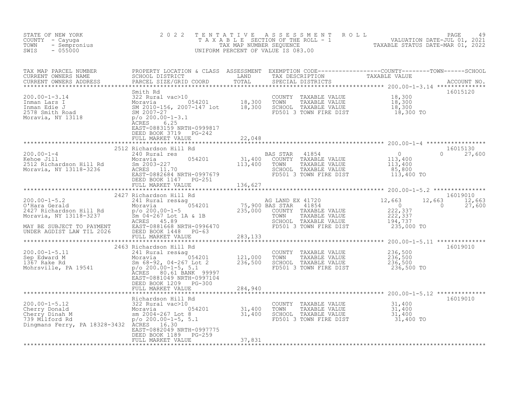| STATE OF NEW YORK<br>COUNTY - Cayuga<br>- Sempronius<br>TOWN<br>SWIS<br>$-055000$                                                                                                                                                                                                                                                                                                                                                                        | 2 0 2 2                                                                      |        | TENTATIVE ASSESSMENT ROLL PACE 49<br>TAXABLE SECTION OF THE ROLL - 1 VALUATION DATE-JUL 01, 2021<br>TAX MAP NUMBER SEQUENCE TAXABLE STATUS DATE-MAR 01, 2022<br>UNIFORM PERCENT OF VALUE IS 083.00 |               |
|----------------------------------------------------------------------------------------------------------------------------------------------------------------------------------------------------------------------------------------------------------------------------------------------------------------------------------------------------------------------------------------------------------------------------------------------------------|------------------------------------------------------------------------------|--------|----------------------------------------------------------------------------------------------------------------------------------------------------------------------------------------------------|---------------|
| TAX MAP PARCEL NUMBER PROPERTY LOCATION & CLASS ASSESSMENT EXEMPTION CODE-----------------COUNTY--------TOWN------SCHOOL CURRENT OWNERS NAME SCHOOL DISTRICT LAND TAX DESCRIPTION TAXABLE VALUE<br>CURRENT OWNERS ADDRESS PARCEL                                                                                                                                                                                                                         |                                                                              |        |                                                                                                                                                                                                    |               |
|                                                                                                                                                                                                                                                                                                                                                                                                                                                          | EAST-0883159 NRTH-0999817                                                    |        |                                                                                                                                                                                                    | 16015120      |
|                                                                                                                                                                                                                                                                                                                                                                                                                                                          | DEED BOOK 3719 PG-242<br>FULL MARKET VALUE                                   | 22,048 |                                                                                                                                                                                                    |               |
|                                                                                                                                                                                                                                                                                                                                                                                                                                                          | DEED BOOK 1147 PG-251<br>FULL MARKET VALUE 136,627                           |        |                                                                                                                                                                                                    | $0 \t 27,600$ |
|                                                                                                                                                                                                                                                                                                                                                                                                                                                          |                                                                              |        |                                                                                                                                                                                                    |               |
| $\begin{tabular}{lllllllllll} 200.00-1-5.2 & 2427 \text{ Richardson Hill Rd} & 240.00-1-5.2 & 12.663 \\\ \text{O'Hara Gerald} & 241 \text{ Rurl} & 2427 \text{ Richardson Hill} & 2427 \text{ Richardson Hill} & 2427 \text{Richardson Hill} & 12.663 & 12.663 \\\ \text{O'Hara Gerald} & 2427 \text{ Richardson Hill} & 2427 \text{Richardson Hill} & 2427 \text{Richardson Hill} & 2427 \text{Richardson Hill} & 2427 \text{Richardson Hill} & 2427 \$ |                                                                              |        |                                                                                                                                                                                                    |               |
|                                                                                                                                                                                                                                                                                                                                                                                                                                                          |                                                                              |        |                                                                                                                                                                                                    |               |
| 200.00-1-5.11 2463 Richardson Hill Rd<br>2463 Richardson Hill Rd<br>241 Rural res&ag 236,500<br>Moravia 054201 121,000 TOWN TAXABLE VALUE 236,500<br>367 Rake Rd Sm 68-92, 04-267 Lot 2 236,500 SCHOOL TAXABLE VALUE 236,500<br>Mohrsvil                                                                                                                                                                                                                 | ACRES 80.61 BANK 99997<br>EAST-0881049 NRTH-0997104<br>DEED BOOK 1209 PG-300 |        |                                                                                                                                                                                                    | 16019010      |
|                                                                                                                                                                                                                                                                                                                                                                                                                                                          |                                                                              |        |                                                                                                                                                                                                    |               |
| Dingmans Ferry, PA 18328-3432 ACRES 16.30                                                                                                                                                                                                                                                                                                                                                                                                                | EAST-0882049 NRTH-0997775                                                    |        |                                                                                                                                                                                                    | 16019010      |
|                                                                                                                                                                                                                                                                                                                                                                                                                                                          | DEED BOOK 1189 PG-259<br>FULL MARKET VALUE                                   | 37,831 |                                                                                                                                                                                                    |               |
|                                                                                                                                                                                                                                                                                                                                                                                                                                                          |                                                                              |        |                                                                                                                                                                                                    |               |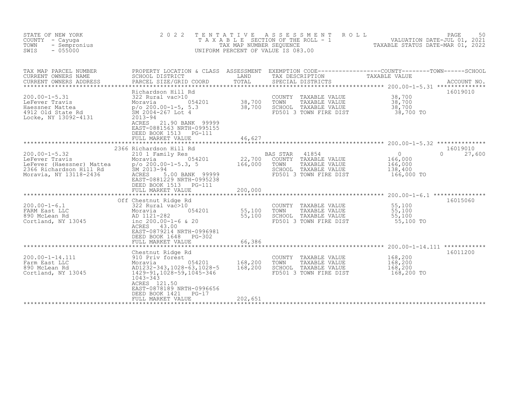| STATE OF NEW YORK<br>COUNTY<br>- Cayuqa<br>- Sempronius<br>TOWN<br>$-055000$<br>SWIS                                                     | 2 0 2 2                                                                                                                                                                                                                                                          | T E N T A T I V E<br>TAX MAP NUMBER SEQUENCE | A S S E S S M E N T<br>ROLL<br>T A X A B L E SECTION OF THE ROLL - 1<br>UNIFORM PERCENT OF VALUE IS 083.00           | PAGE<br>50<br>VALUATION DATE-JUL 01, 2021<br>TAXABLE STATUS DATE-MAR 01, 2022                                                   |
|------------------------------------------------------------------------------------------------------------------------------------------|------------------------------------------------------------------------------------------------------------------------------------------------------------------------------------------------------------------------------------------------------------------|----------------------------------------------|----------------------------------------------------------------------------------------------------------------------|---------------------------------------------------------------------------------------------------------------------------------|
| TAX MAP PARCEL NUMBER<br>CURRENT OWNERS NAME<br>CURRENT OWNERS ADDRESS                                                                   | SCHOOL DISTRICT<br>PARCEL SIZE/GRID COORD                                                                                                                                                                                                                        | LAND<br>TOTAL                                | TAX DESCRIPTION<br>SPECIAL DISTRICTS                                                                                 | PROPERTY LOCATION & CLASS ASSESSMENT EXEMPTION CODE----------------COUNTY-------TOWN-----SCHOOL<br>TAXABLE VALUE<br>ACCOUNT NO. |
| $200.00 - 1 - 5.31$<br>LeFever Travis<br>Haessner Mattea<br>4912 Old State Rd<br>Locke, NY 13092-4131                                    | Richardson Hill Rd<br>322 Rural vac>10<br>054201<br>Moravia<br>p/o 200.00-1-5, 5.3<br>SM 2004-267 Lot 4<br>$2013 - 94$<br>ACRES 21.90 BANK 99999<br>EAST-0881563 NRTH-0995155<br>DEED BOOK 1513<br>PG-111<br>FULL MARKET VALUE                                   | 38,700<br>38,700<br>46,627                   | COUNTY TAXABLE VALUE<br>TOWN<br>TAXABLE VALUE<br>SCHOOL TAXABLE VALUE<br>FD501 3 TOWN FIRE DIST                      | 16019010<br>38,700<br>38,700<br>38,700<br>38,700 TO                                                                             |
| $200.00 - 1 - 5.32$<br>200.00-1-5.32<br>LeFever Travis<br>LeFever (Haessner) Mattea<br>2366 Richardson Hill Rd<br>Moravia, NY 13118-2436 | 2366 Richardson Hill Rd<br>210 1 Family Res<br>054201<br>Moravia<br>$p/o 200.00-1-5.3, 5$<br>SM 2013-94<br>5.00 BANK 99999<br>ACRES<br>EAST-0881229 NRTH-0995238<br>DEED BOOK 1513<br><b>PG-111</b><br>FULL MARKET VALUE                                         | 22,700<br>166,000<br>200,000                 | BAS STAR<br>41854<br>COUNTY TAXABLE VALUE<br>TOWN<br>TAXABLE VALUE<br>SCHOOL TAXABLE VALUE<br>FD501 3 TOWN FIRE DIST | 16019010<br>$\Omega$<br>27,600<br>$\Omega$<br>166,000<br>166,000<br>138,400<br>166,000 TO                                       |
| $200.00 - 1 - 6.1$<br>FARM East LLC<br>890 McLean Rd<br>Cortland, NY 13045                                                               | Off Chestnut Ridge Rd<br>322 Rural vac>10<br>SASSANT Ri<br>322 Rural v<br>Moravia<br>AD 1121-282<br>inc 200 00<br>054201<br>inc $200.00 - 1 - 6$ & 20<br>43.00<br>ACRES<br>EAST-0879214 NRTH-0996981<br>DEED BOOK 1648<br>PG-302<br>FULL MARKET VALUE            | 55,100<br>55,100<br>66,386                   | COUNTY<br>TAXABLE VALUE<br>TOWN<br>TAXABLE VALUE<br>SCHOOL TAXABLE VALUE<br>FD501 3 TOWN FIRE DIST                   | 16015060<br>55,100<br>55,100<br>55,100<br>55,100 TO                                                                             |
| 200.00-1-14.111<br>Farm East LLC<br>890 McLean Rd<br>Cortland, NY 13045                                                                  | ***************************<br>Chestnut Ridge Rd<br>910 Priv forest<br>054201<br>Moravia<br>AD1232-343, 1028-63, 1028-5<br>1429-91, 1028-59, 1045-346<br>1043-343<br>ACRES 121.50<br>EAST-0878189 NRTH-0996656<br>DEED BOOK 1421<br>$PG-17$<br>FULL MARKET VALUE | 168,200<br>168,200<br>202,651                | COUNTY TAXABLE VALUE<br>TOWN<br>TAXABLE VALUE<br>SCHOOL TAXABLE VALUE<br>FD501 3 TOWN FIRE DIST                      | 16011200<br>168,200<br>168,200<br>168,200<br>168,200 TO                                                                         |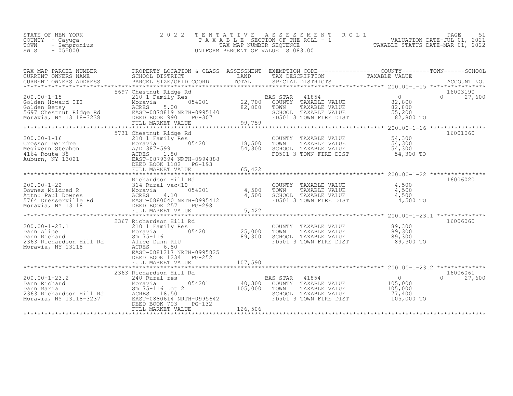| STATE OF NEW YORK    | 2022 TENTATIVE ASSESSMENT ROLL        |                                  | PAGE                        |  |
|----------------------|---------------------------------------|----------------------------------|-----------------------------|--|
| COUNTY - Cayuqa      | T A X A B L E SECTION OF THE ROLL - 1 |                                  | VALUATION DATE-JUL 01, 2021 |  |
| TOWN<br>- Sempronius | TAX MAP NUMBER SEOUENCE               | TAXABLE STATUS DATE-MAR 01, 2022 |                             |  |
| $-055000$<br>SWIS    | UNIFORM PERCENT OF VALUE IS 083.00    |                                  |                             |  |

| TAX MAP PARCEL NUMBER                                                                                                                                                                                                                                                                                                                                                                                                          | PROPERTY LOCATION & CLASS ASSESSMENT EXEMPTION CODE----------------COUNTY-------TOWN------SCHOOL             |                                                                                                                                                                                                                                  |            |                           |
|--------------------------------------------------------------------------------------------------------------------------------------------------------------------------------------------------------------------------------------------------------------------------------------------------------------------------------------------------------------------------------------------------------------------------------|--------------------------------------------------------------------------------------------------------------|----------------------------------------------------------------------------------------------------------------------------------------------------------------------------------------------------------------------------------|------------|---------------------------|
|                                                                                                                                                                                                                                                                                                                                                                                                                                | 5697 Chestnut Ridge Rd                                                                                       |                                                                                                                                                                                                                                  |            | 16003190                  |
| 200.00-1-15<br>Colden Howard III Moravia 22,700<br>Solden Betsy ACRES 5.00<br>5697 Chestnut Ridge Rd EAST-0878819 NRTH-0995140<br>Moravia, NY 13118-3238 FULL MARKET VALUE<br>FULL MARKET VALUE<br>FULL MARKET VALUE                                                                                                                                                                                                           |                                                                                                              | Rd<br>S<br>054201 22,700 COUNTY TAXABLE VALUE<br>82,800 TOWN TAXABLE VALUE<br>82,800 SCHOOL TAXABLE VALUE<br>PG-307 PC-307 PD501 3 TOWN FIRE DIST<br>20.750 PD501 3 TOWN FIRE DIST<br>20.750 PD501 3 TOWN FIRE DIST<br>82,800 TO |            | $0 \t 27,600$             |
|                                                                                                                                                                                                                                                                                                                                                                                                                                | 5731 Chestnut Ridge Rd                                                                                       |                                                                                                                                                                                                                                  |            | 16001060                  |
|                                                                                                                                                                                                                                                                                                                                                                                                                                | Ridge Rd<br>mily Res<br>054201 18,500<br>54,300<br>1.80<br>1.80                                              |                                                                                                                                                                                                                                  |            |                           |
|                                                                                                                                                                                                                                                                                                                                                                                                                                |                                                                                                              |                                                                                                                                                                                                                                  |            |                           |
|                                                                                                                                                                                                                                                                                                                                                                                                                                |                                                                                                              |                                                                                                                                                                                                                                  |            |                           |
|                                                                                                                                                                                                                                                                                                                                                                                                                                | 2367 Richardson Hill Rd                                                                                      |                                                                                                                                                                                                                                  |            | 16006060                  |
| 200.00-1-23.1<br>Dann Alice 2363<br>Dann Richard 2363<br>Richardson Hill Rd<br>Moravia, NY 13118<br>2363<br>2363<br>2363<br>2363<br>2363<br>2363<br>2363<br>2363<br>2363<br>2363<br>2363<br>2363<br>2363<br>2363<br>2363<br>2363<br>2363<br>2363<br>2310<br>2363<br>2363<br>2310<br>                                                                                                                                           | ******<br>i Hill Rd<br>ily Res 054201 25,000<br>89,300<br>EAST-0881217 NRTH-0995825<br>DEED BOOK 1234 PG-252 | COUNTY TAXABLE VALUE $89,300$<br>TOWN TAXABLE VALUE $89,300$<br>SCHOOL TAXABLE VALUE $89,300$<br>FD501 3 TOWN FIRE DIST $89,300$ TO                                                                                              |            |                           |
|                                                                                                                                                                                                                                                                                                                                                                                                                                |                                                                                                              |                                                                                                                                                                                                                                  |            |                           |
| $\begin{array}{cccccccc} \texttt{200.00-1-23.2} & & \texttt{2563\text{ Kichardson Hill Rd}} & & & \texttt{BAS STAR} & 41854 & & & \texttt{2563-000} \\ \texttt{Dann Richard} & & \texttt{Moravia} & & 054201 & & 40,300 & \texttt{COMNT} & \texttt{TAXABLE VALUE} & & 0 \\ \texttt{Dann Maria} & & \texttt{Sm 75-116\text{ Lot 2}} & & 105,000 & & \texttt{TOWN} & \texttt{TAXABLE VALUE} & & 105,000 \\ \texttt{2363\text{ R$ |                                                                                                              |                                                                                                                                                                                                                                  | 105,000 TO | 16006061<br>$0 \t 27,600$ |
|                                                                                                                                                                                                                                                                                                                                                                                                                                |                                                                                                              |                                                                                                                                                                                                                                  |            |                           |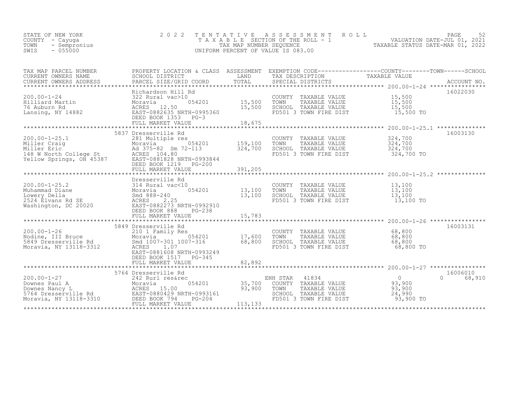| STATE OF NEW YORK<br>COUNTY<br>- Cayuga<br>- Sempronius<br>TOWN<br>- 055000<br>SWIS |                                                                              | TAX MAP NUMBER SEOUENCE | TENTATIVE ASSESSMENT ROLL<br>T A X A B L E SECTION OF THE ROLL - 1<br>UNIFORM PERCENT OF VALUE IS 083.00 |                  | 52<br>PAGE<br>2021<br>VALUATION DATE-JUL 01,<br>TAXABLE STATUS DATE-MAR 01, 2022 |
|-------------------------------------------------------------------------------------|------------------------------------------------------------------------------|-------------------------|----------------------------------------------------------------------------------------------------------|------------------|----------------------------------------------------------------------------------|
| TAX MAP PARCEL NUMBER<br>CURRENT OWNERS NAME<br>CURRENT OWNERS ADDRESS              | PROPERTY LOCATION & CLASS<br>SCHOOL DISTRICT<br>PARCEL SIZE/GRID COORD TOTAL | ASSESSMENT<br>LAND      | EXEMPTION CODE-----------------COUNTY-------TOWN------SCHOOL<br>TAX DESCRIPTION<br>SPECIAL DISTRICTS     | TAXABLE VALUE    | ACCOUNT NO.                                                                      |
| $200.00 - 1 - 24$<br>Hilliard Martin                                                | Richardson Hill Rd<br>322 Rural vac>10<br>054201<br>Moravia                  | 15,500                  | COUNTY<br>TAXABLE VALUE<br>TOWN<br>TAXABLE VALUE                                                         | 15,500<br>15,500 | 16022030                                                                         |

| 76 Auburn Rd                                   | 12.50<br>ACRES                           | 15,500                  | SCHOOL   | TAXABLE VALUE                                  | 15,500              |                  |
|------------------------------------------------|------------------------------------------|-------------------------|----------|------------------------------------------------|---------------------|------------------|
| Lansing, NY 14882                              | EAST-0882635 NRTH-0995360                |                         |          | FD501 3 TOWN FIRE DIST                         | 15,500 TO           |                  |
|                                                | DEED BOOK 1353<br>$PG-3$                 |                         |          |                                                |                     |                  |
|                                                | FULL MARKET VALUE                        | 18,675                  |          |                                                |                     |                  |
|                                                |                                          |                         |          |                                                | $200.00 - 1 - 25.1$ |                  |
|                                                | 5837 Dresserville Rd                     |                         |          |                                                |                     | 16003130         |
| $200.00 - 1 - 25.1$                            | 281 Multiple res                         |                         |          | COUNTY TAXABLE VALUE                           | 324,700             |                  |
| Miller Craig                                   | 054201<br>Moravia                        | 159,100                 | TOWN     | TAXABLE VALUE                                  | 324,700             |                  |
| Miller Eric                                    | Ad 375-82 Sm 72-113                      | 324,700                 |          | SCHOOL TAXABLE VALUE                           | 324,700             |                  |
| 148 W North College St                         | ACRES 104.80                             |                         |          | FD501 3 TOWN FIRE DIST                         | 324,700 TO          |                  |
| Yellow Springs, OH 45387                       | EAST-0881828 NRTH-0993844                |                         |          |                                                |                     |                  |
|                                                | DEED BOOK 1219<br>$PG-200$               |                         |          |                                                |                     |                  |
|                                                | FULL MARKET VALUE<br>******************  | 391,205<br>************ |          |                                                |                     | **************   |
|                                                |                                          |                         |          | ****************** 200.00-1-25.2               |                     |                  |
| $200.00 - 1 - 25.2$                            | Dresserville Rd<br>314 Rural vac<10      |                         |          |                                                | 13,100              |                  |
| Muhammad Diane                                 | 054201                                   | 13,100                  | TOWN     | COUNTY TAXABLE VALUE<br>TAXABLE VALUE          | 13,100              |                  |
| Lowery Della                                   | Moravia<br>Smd 888-240                   | 13,100                  |          | SCHOOL TAXABLE VALUE                           | 13,100              |                  |
| 2524 Elvans Rd SE                              | ACRES 2.25                               |                         |          | FD501 3 TOWN FIRE DIST                         | 13,100 TO           |                  |
| Washington, DC 20020                           | EAST-0882273 NRTH-0992910                |                         |          |                                                |                     |                  |
|                                                | DEED BOOK 888<br>$PG-238$                |                         |          |                                                |                     |                  |
|                                                | FULL MARKET VALUE                        | 15,783                  |          |                                                |                     |                  |
|                                                |                                          |                         |          |                                                |                     |                  |
|                                                | 5849 Dresserville Rd                     |                         |          |                                                |                     | 16003131         |
| $200.00 - 1 - 26$                              | 210 1 Family Res                         |                         |          | COUNTY TAXABLE VALUE                           | 68,800              |                  |
| Nodine, III Bruce                              | 054201<br>Moravia                        | 17,600                  | TOWN     | TAXABLE VALUE                                  | 68,800              |                  |
| 5849 Dresserville Rd                           | Smd 1007-301 1007-316                    | 68,800                  |          | SCHOOL TAXABLE VALUE                           | 68,800              |                  |
| Moravia, NY 13118-3312                         | ACRES<br>1.07                            |                         |          | FD501 3 TOWN FIRE DIST                         | 68,800 TO           |                  |
|                                                | EAST-0881608 NRTH-0993249                |                         |          |                                                |                     |                  |
|                                                | DEED BOOK 1517<br>PG-345                 |                         |          |                                                |                     |                  |
|                                                | FULL MARKET VALUE                        | 82,892                  |          |                                                |                     |                  |
|                                                |                                          |                         |          |                                                |                     | **************** |
|                                                | 5764 Dresserville Rd                     |                         |          |                                                |                     | 16006010         |
| $200.00 - 1 - 27$                              | 242 Rurl res&rec                         |                         | ENH STAR | 41834                                          | $\Omega$            | 68,910<br>0      |
| Downes Paul A                                  | 054201<br>Moravia                        | 35,700                  |          | COUNTY TAXABLE VALUE                           | 93,900              |                  |
| Downes Nancy L                                 | ACRES 15.00<br>EAST-0880429 NRTH-0993161 | 93,900                  | TOWN     | TAXABLE VALUE                                  | 93,900<br>24,990    |                  |
| 5764 Dresserville Rd<br>Moravia, NY 13118-3310 | DEED BOOK 794<br>$PG-204$                |                         |          | SCHOOL TAXABLE VALUE<br>FD501 3 TOWN FIRE DIST | 93,900 TO           |                  |
|                                                | FULL MARKET VALUE                        | 113,133                 |          |                                                |                     |                  |
|                                                |                                          |                         |          |                                                |                     |                  |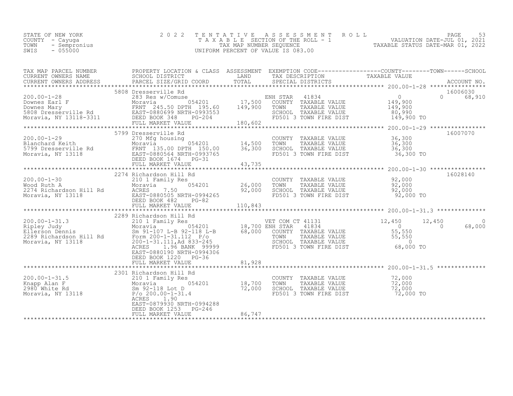| STATE OF NEW YORK    | 2022 TENTATIVE ASSESSMENT ROLL     |                                  | PAGE                        |  |
|----------------------|------------------------------------|----------------------------------|-----------------------------|--|
| COUNTY - Cayuqa      | TAXABLE SECTION OF THE ROLL - 1    |                                  | VALUATION DATE-JUL 01, 2021 |  |
| TOWN<br>- Sempronius | TAX MAP NUMBER SEOUENCE            | TAXABLE STATUS DATE-MAR 01, 2022 |                             |  |
| SWIS<br>$-055000$    | UNIFORM PERCENT OF VALUE IS 083.00 |                                  |                             |  |

| TAX MAP PARCEL NUMBER PROPERTY LOCATION & CLASS ASSESSMENT EXEMPTION CODE----------------COUNTY-------TOWN-----SCHOOL                                                                                                                                                                                                                                                                                                                                          |                                                                                                                                   |                      |
|----------------------------------------------------------------------------------------------------------------------------------------------------------------------------------------------------------------------------------------------------------------------------------------------------------------------------------------------------------------------------------------------------------------------------------------------------------------|-----------------------------------------------------------------------------------------------------------------------------------|----------------------|
|                                                                                                                                                                                                                                                                                                                                                                                                                                                                |                                                                                                                                   |                      |
| 5799 Dresserville Rd                                                                                                                                                                                                                                                                                                                                                                                                                                           |                                                                                                                                   | 16007070             |
| 16028140<br>200.00-1-30<br>200.00-1-30<br>200.00-1-30<br>200.00-1-30<br>200.00-1-30<br>200.00-1-30<br>200.00-1-31<br>200.00-1-31<br>200.00-1-31<br>200.00-1-31<br>200.00-1-31<br>200.00-1-31<br>200.00-1-31<br>200.00-1-31<br>200.00-1-31<br>200.00-1-31<br>200.                                                                                                                                                                                               |                                                                                                                                   |                      |
| 200.00-1-31.3<br>200.00-1-31.3<br>200.00-1-31.3<br>200.00-1-31.3<br>200.00-1-31.3<br>200.00-1-31.3<br>200.00-1-31.3<br>200.00-1-31.11<br>200.00-1-31.11<br>200-1-31.11<br>200-1-31.11<br>200-1-31.11<br>200-1-31.11<br>200-1-31.11<br>200-1-31.11<br>200-1-3<br>EAST-0880190 NRTH-0994306<br>DEED BOOK 1220 PG-36                                                                                                                                              |                                                                                                                                   | $\bigcirc$<br>68,000 |
| 2301 Richardson Hill Rd<br>2301 Aichardson Hill Rd<br>210 1 Family Res<br>2980 White Rd<br>2980 White Rd<br>2980 White Rd<br>2980 White Rd<br>2980 White Rd<br>2980 White Rd<br>2980 White Rd<br>2980 White Rd<br>2980 Moravia, NY 13118<br>20200-0-1-<br>ACRES 1.90<br>EAST-0879930 NRTH-0994288<br>DEED BOOK 1253 PG-246<br>${\small \quad FULL} {\tiny \begin{array}{l} \text{FULL} \text{MARKET} \end{array}} {\tiny \begin{array}{l} 86,747 \end{array}}$ | COUNTY TAXABLE VALUE $72,000$<br>TOWN TAXABLE VALUE $72,000$<br>SCHOOL TAXABLE VALUE $72,000$<br>FD501 3 TOWN FIRE DIST 72,000 TO |                      |
|                                                                                                                                                                                                                                                                                                                                                                                                                                                                |                                                                                                                                   |                      |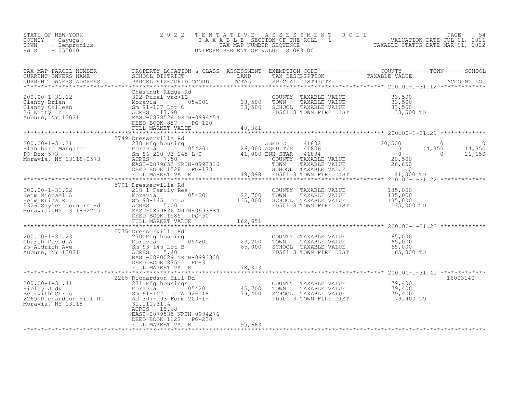| STATE OF NEW YORK<br>F NEW YORK 2002<br>- Cayuga 2003<br>- Sempronius<br>- 055000<br>COUNTY - Cayuga<br>TOWN<br>SWIS                                                                                                                             | 2 0 2 2                                         |         |                                                                                                                                       | TENTATIVE ASSESSMENT ROLL PAGE 54<br>TAXABLE SECTION OF THE ROLL - 1 VALUATION DATE-JUL 01, 2021<br>TAX MAP NUMBER SEQUENCE TAXABLE STATUS DATE-MAR 01, 2022<br>UNIFORM PERCENT OF VALUE IS 083.00                                |
|--------------------------------------------------------------------------------------------------------------------------------------------------------------------------------------------------------------------------------------------------|-------------------------------------------------|---------|---------------------------------------------------------------------------------------------------------------------------------------|-----------------------------------------------------------------------------------------------------------------------------------------------------------------------------------------------------------------------------------|
|                                                                                                                                                                                                                                                  |                                                 |         |                                                                                                                                       | TAX MAP PARCEL NUMBER PROPERTY LOCATION & CLASS ASSESSMENT EXEMPTION CODE----------------COUNTY--------TOWN------SCHOOL CURRENT OWNERS NAME SCHOOL DISTRICT LAND TAX DESCRIPTION TAXABLE VALUE<br>CURRENT OWNERS ADDRESS PARCEL S |
|                                                                                                                                                                                                                                                  | FULL MARKET VALUE 40,361                        |         |                                                                                                                                       |                                                                                                                                                                                                                                   |
|                                                                                                                                                                                                                                                  |                                                 |         |                                                                                                                                       |                                                                                                                                                                                                                                   |
|                                                                                                                                                                                                                                                  | 5749 Dresserville Rd                            |         |                                                                                                                                       |                                                                                                                                                                                                                                   |
|                                                                                                                                                                                                                                                  |                                                 |         |                                                                                                                                       |                                                                                                                                                                                                                                   |
| 200.00-1-31.22<br>Heim Michael A 210 1 Family Res<br>Moravia, NY 13118-2205<br>Moravia, NY 13118-2205<br>Moravia, NY 13118-2205<br>Moravia, NY 13118-2205<br>Moravia, NY 13118-2205<br>Moravia, NY 13118-2205<br>Moravia, NY 13118-2205<br>Morav | 5791 Dresserville Rd                            | 162,651 | COUNTY TAXABLE VALUE $135,000$<br>TOWN TAXABLE VALUE $135,000$<br>SCHOOL TAXABLE VALUE $135,000$<br>FD501 3 TOWN FIRE DIST 135,000 TO |                                                                                                                                                                                                                                   |
|                                                                                                                                                                                                                                                  | 5775 Dresserville Rd                            |         |                                                                                                                                       |                                                                                                                                                                                                                                   |
|                                                                                                                                                                                                                                                  |                                                 |         |                                                                                                                                       |                                                                                                                                                                                                                                   |
|                                                                                                                                                                                                                                                  | DEED BOOK 875 PG-3<br>FULL MARKET VALUE 78, 313 |         |                                                                                                                                       |                                                                                                                                                                                                                                   |
|                                                                                                                                                                                                                                                  |                                                 |         |                                                                                                                                       |                                                                                                                                                                                                                                   |
| 200.00-1-31.41<br>200.00-1-31.41<br>2265 Richardson Hill Rd<br>2265 Richardson Hill Rd<br>2365 Richardson Hill Rd<br>2365 Richardson Hill Rd<br>2365 Richardson Hill Rd<br>2365 Richardson Hill Rd<br>2365 Richardson Hill Rd<br>2365 Richardson | EAST-0879535 NRTH-0994276                       |         |                                                                                                                                       | 16003140                                                                                                                                                                                                                          |
|                                                                                                                                                                                                                                                  | DEED BOOK 1122 PG-230<br>FULL MARKET VALUE      | 95,663  |                                                                                                                                       |                                                                                                                                                                                                                                   |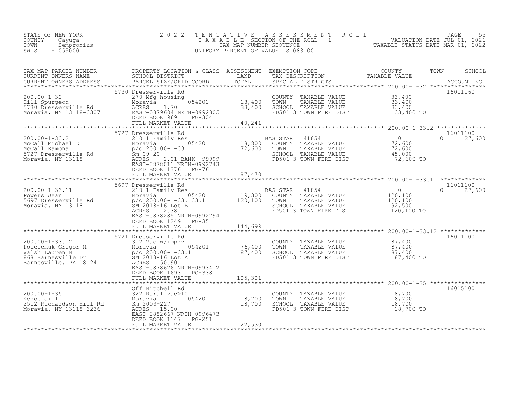| STATE OF NEW YORK<br>COUNTY – Cayuga<br>TOWN - Sempronius<br>SWIS<br>$-055000$ |                                                                        |                             | 2022 TENTATIVE ASSESSMENT ROLL<br>TAXABLE SECTION OF THE ROLL - 1<br>TAX MAP NUMBER SEQUENCE<br>UNIFORM PERCENT OF VALUE IS 083.00 |                                                                               | 55<br>PAGE<br>VALUATION DATE-JUL 01, 2021<br>TAXABLE STATUS DATE-MAR 01, 2022 |
|--------------------------------------------------------------------------------|------------------------------------------------------------------------|-----------------------------|------------------------------------------------------------------------------------------------------------------------------------|-------------------------------------------------------------------------------|-------------------------------------------------------------------------------|
| TAX MAP PARCEL NUMBER<br>CURRENT OWNERS NAME<br>CURRENT OWNERS ADDRESS         | PROPERTY LOCATION & CLASS<br>SCHOOL DISTRICT<br>PARCEL SIZE/GRID COORD | ASSESSMENT<br>LAND<br>TOTAL | TAX DESCRIPTION<br>SPECIAL DISTRICTS                                                                                               | EXEMPTION CODE-----------------COUNTY-------TOWN------SCHOOL<br>TAXABLE VALUE | ACCOUNT NO.                                                                   |

| 5730 Dresserville Rd<br>16011160<br>$200.00 - 1 - 32$<br>33,400<br>270 Mfg housing<br>COUNTY TAXABLE VALUE<br>18,400<br>054201<br>TAXABLE VALUE<br>33,400<br>Hill Spurgeon<br>TOWN<br>Moravia<br>1.70<br>33,400<br>5730 Dresserville Rd<br>ACRES<br>SCHOOL TAXABLE VALUE<br>33,400<br>33,400 TO<br>Moravia, NY 13118-3307<br>EAST-0879604 NRTH-0992805<br>FD501 3 TOWN FIRE DIST<br>DEED BOOK 969<br>$PG-304$<br>40,241<br>FULL MARKET VALUE<br>******************* 200.00-1-33.2<br>**********<br>**************<br>16011100<br>5727 Dresserville Rd<br>$\circ$<br>$200.00 - 1 - 33.2$<br><b>BAS STAR</b><br>41854<br>27,600<br>210 1 Family Res<br>$\Omega$<br>054201<br>18,800<br>72,600<br>McCall Michael D<br>COUNTY TAXABLE VALUE<br>Moravia<br>$p$ /o 200.00-1-33<br>72,600<br>72,600<br>McCall Ramona<br>TOWN<br>TAXABLE VALUE<br>5727 Dresserville Rd<br>SCHOOL TAXABLE VALUE<br>45,000<br>$Sm$ 09-20<br>72,600 TO<br>Moravia, NY 13118<br>ACRES<br>2.01 BANK 99999<br>FD501 3 TOWN FIRE DIST<br>EAST-0878011 NRTH-0992743<br>DEED BOOK 1376 PG-76<br>87,470<br>FULL MARKET VALUE<br>16011100<br>5697 Dresserville Rd<br>$\circ$<br>$\cap$<br>27,600<br>$200.00 - 1 - 33.11$<br>41854<br>210 1 Family Res<br>BAS STAR<br>19,300<br>054201<br>COUNTY TAXABLE VALUE<br>120,100<br>Powers Jean<br>Moravia<br>120,100<br>$p$ /o 200.00-1-33. 33.1<br>TOWN<br>120,100<br>5697 Dresserville Rd<br>TAXABLE VALUE<br>92,500<br>Moravia, NY 13118<br>SM 2018-16 Lot B<br>SCHOOL TAXABLE VALUE<br>ACRES<br>FD501 3 TOWN FIRE DIST<br>120,100 TO<br>2.38<br>EAST-0878285 NRTH-0992794<br>DEED BOOK 1249<br>$PG-35$<br>144,699<br>FULL MARKET VALUE<br>*********************** 200.00-1-33.12 *************<br>*************************<br>16011100<br>5721 Dresserville Rd<br>$200.00 - 1 - 33.12$<br>87,400<br>COUNTY TAXABLE VALUE<br>312 Vac w/imprv<br>76,400<br>TOWN<br>87,400<br>Poleschuk Gregor M<br>054201<br>TAXABLE VALUE<br>87,400<br>87,400<br>Walsh Lauren M<br>SCHOOL TAXABLE VALUE<br>SM 2018-16 Lot A<br>87,400 TO<br>868 Barnesville Dr<br>FD501 3 TOWN FIRE DIST<br>Barnesville, PA 18124<br>ACRES 50.90<br>EAST-0878626 NRTH-0993412<br>DEED BOOK 1693<br>PG-338<br>105,301<br>FULL MARKET VALUE<br>16015100<br>Off Mitchell Rd<br>$200.00 - 1 - 35$<br>18,700<br>322 Rural vac>10<br>COUNTY TAXABLE VALUE<br>TAXABLE VALUE<br>18,700<br>Kehoe Jill<br>054201<br>18,700<br>TOWN<br>Moravia<br>2512 Richardson Hill Rd<br>18,700<br>SCHOOL TAXABLE VALUE<br>18,700<br>Sm 2003-227<br>ACRES 15.00<br>FD501 3 TOWN FIRE DIST<br>18,700 TO<br>Moravia, NY 13118-3236<br>EAST-0882667 NRTH-0996473<br>DEED BOOK 1147<br>PG-251<br>22,530<br>FULL MARKET VALUE<br>*********************** |  |  | 200.00-1-32 ***************** |  |
|--------------------------------------------------------------------------------------------------------------------------------------------------------------------------------------------------------------------------------------------------------------------------------------------------------------------------------------------------------------------------------------------------------------------------------------------------------------------------------------------------------------------------------------------------------------------------------------------------------------------------------------------------------------------------------------------------------------------------------------------------------------------------------------------------------------------------------------------------------------------------------------------------------------------------------------------------------------------------------------------------------------------------------------------------------------------------------------------------------------------------------------------------------------------------------------------------------------------------------------------------------------------------------------------------------------------------------------------------------------------------------------------------------------------------------------------------------------------------------------------------------------------------------------------------------------------------------------------------------------------------------------------------------------------------------------------------------------------------------------------------------------------------------------------------------------------------------------------------------------------------------------------------------------------------------------------------------------------------------------------------------------------------------------------------------------------------------------------------------------------------------------------------------------------------------------------------------------------------------------------------------------------------------------------------------------------------------------------------------------------------------------------------------------------------------------------------------------------------------------------------------------------------------------------------------------------------------------------------------------------------------------------------------------------------------------------------------|--|--|-------------------------------|--|
|                                                                                                                                                                                                                                                                                                                                                                                                                                                                                                                                                                                                                                                                                                                                                                                                                                                                                                                                                                                                                                                                                                                                                                                                                                                                                                                                                                                                                                                                                                                                                                                                                                                                                                                                                                                                                                                                                                                                                                                                                                                                                                                                                                                                                                                                                                                                                                                                                                                                                                                                                                                                                                                                                                        |  |  |                               |  |
|                                                                                                                                                                                                                                                                                                                                                                                                                                                                                                                                                                                                                                                                                                                                                                                                                                                                                                                                                                                                                                                                                                                                                                                                                                                                                                                                                                                                                                                                                                                                                                                                                                                                                                                                                                                                                                                                                                                                                                                                                                                                                                                                                                                                                                                                                                                                                                                                                                                                                                                                                                                                                                                                                                        |  |  |                               |  |
|                                                                                                                                                                                                                                                                                                                                                                                                                                                                                                                                                                                                                                                                                                                                                                                                                                                                                                                                                                                                                                                                                                                                                                                                                                                                                                                                                                                                                                                                                                                                                                                                                                                                                                                                                                                                                                                                                                                                                                                                                                                                                                                                                                                                                                                                                                                                                                                                                                                                                                                                                                                                                                                                                                        |  |  |                               |  |
|                                                                                                                                                                                                                                                                                                                                                                                                                                                                                                                                                                                                                                                                                                                                                                                                                                                                                                                                                                                                                                                                                                                                                                                                                                                                                                                                                                                                                                                                                                                                                                                                                                                                                                                                                                                                                                                                                                                                                                                                                                                                                                                                                                                                                                                                                                                                                                                                                                                                                                                                                                                                                                                                                                        |  |  |                               |  |
|                                                                                                                                                                                                                                                                                                                                                                                                                                                                                                                                                                                                                                                                                                                                                                                                                                                                                                                                                                                                                                                                                                                                                                                                                                                                                                                                                                                                                                                                                                                                                                                                                                                                                                                                                                                                                                                                                                                                                                                                                                                                                                                                                                                                                                                                                                                                                                                                                                                                                                                                                                                                                                                                                                        |  |  |                               |  |
|                                                                                                                                                                                                                                                                                                                                                                                                                                                                                                                                                                                                                                                                                                                                                                                                                                                                                                                                                                                                                                                                                                                                                                                                                                                                                                                                                                                                                                                                                                                                                                                                                                                                                                                                                                                                                                                                                                                                                                                                                                                                                                                                                                                                                                                                                                                                                                                                                                                                                                                                                                                                                                                                                                        |  |  |                               |  |
|                                                                                                                                                                                                                                                                                                                                                                                                                                                                                                                                                                                                                                                                                                                                                                                                                                                                                                                                                                                                                                                                                                                                                                                                                                                                                                                                                                                                                                                                                                                                                                                                                                                                                                                                                                                                                                                                                                                                                                                                                                                                                                                                                                                                                                                                                                                                                                                                                                                                                                                                                                                                                                                                                                        |  |  |                               |  |
|                                                                                                                                                                                                                                                                                                                                                                                                                                                                                                                                                                                                                                                                                                                                                                                                                                                                                                                                                                                                                                                                                                                                                                                                                                                                                                                                                                                                                                                                                                                                                                                                                                                                                                                                                                                                                                                                                                                                                                                                                                                                                                                                                                                                                                                                                                                                                                                                                                                                                                                                                                                                                                                                                                        |  |  |                               |  |
|                                                                                                                                                                                                                                                                                                                                                                                                                                                                                                                                                                                                                                                                                                                                                                                                                                                                                                                                                                                                                                                                                                                                                                                                                                                                                                                                                                                                                                                                                                                                                                                                                                                                                                                                                                                                                                                                                                                                                                                                                                                                                                                                                                                                                                                                                                                                                                                                                                                                                                                                                                                                                                                                                                        |  |  |                               |  |
|                                                                                                                                                                                                                                                                                                                                                                                                                                                                                                                                                                                                                                                                                                                                                                                                                                                                                                                                                                                                                                                                                                                                                                                                                                                                                                                                                                                                                                                                                                                                                                                                                                                                                                                                                                                                                                                                                                                                                                                                                                                                                                                                                                                                                                                                                                                                                                                                                                                                                                                                                                                                                                                                                                        |  |  |                               |  |
|                                                                                                                                                                                                                                                                                                                                                                                                                                                                                                                                                                                                                                                                                                                                                                                                                                                                                                                                                                                                                                                                                                                                                                                                                                                                                                                                                                                                                                                                                                                                                                                                                                                                                                                                                                                                                                                                                                                                                                                                                                                                                                                                                                                                                                                                                                                                                                                                                                                                                                                                                                                                                                                                                                        |  |  |                               |  |
|                                                                                                                                                                                                                                                                                                                                                                                                                                                                                                                                                                                                                                                                                                                                                                                                                                                                                                                                                                                                                                                                                                                                                                                                                                                                                                                                                                                                                                                                                                                                                                                                                                                                                                                                                                                                                                                                                                                                                                                                                                                                                                                                                                                                                                                                                                                                                                                                                                                                                                                                                                                                                                                                                                        |  |  |                               |  |
|                                                                                                                                                                                                                                                                                                                                                                                                                                                                                                                                                                                                                                                                                                                                                                                                                                                                                                                                                                                                                                                                                                                                                                                                                                                                                                                                                                                                                                                                                                                                                                                                                                                                                                                                                                                                                                                                                                                                                                                                                                                                                                                                                                                                                                                                                                                                                                                                                                                                                                                                                                                                                                                                                                        |  |  |                               |  |
|                                                                                                                                                                                                                                                                                                                                                                                                                                                                                                                                                                                                                                                                                                                                                                                                                                                                                                                                                                                                                                                                                                                                                                                                                                                                                                                                                                                                                                                                                                                                                                                                                                                                                                                                                                                                                                                                                                                                                                                                                                                                                                                                                                                                                                                                                                                                                                                                                                                                                                                                                                                                                                                                                                        |  |  |                               |  |
|                                                                                                                                                                                                                                                                                                                                                                                                                                                                                                                                                                                                                                                                                                                                                                                                                                                                                                                                                                                                                                                                                                                                                                                                                                                                                                                                                                                                                                                                                                                                                                                                                                                                                                                                                                                                                                                                                                                                                                                                                                                                                                                                                                                                                                                                                                                                                                                                                                                                                                                                                                                                                                                                                                        |  |  |                               |  |
|                                                                                                                                                                                                                                                                                                                                                                                                                                                                                                                                                                                                                                                                                                                                                                                                                                                                                                                                                                                                                                                                                                                                                                                                                                                                                                                                                                                                                                                                                                                                                                                                                                                                                                                                                                                                                                                                                                                                                                                                                                                                                                                                                                                                                                                                                                                                                                                                                                                                                                                                                                                                                                                                                                        |  |  |                               |  |
|                                                                                                                                                                                                                                                                                                                                                                                                                                                                                                                                                                                                                                                                                                                                                                                                                                                                                                                                                                                                                                                                                                                                                                                                                                                                                                                                                                                                                                                                                                                                                                                                                                                                                                                                                                                                                                                                                                                                                                                                                                                                                                                                                                                                                                                                                                                                                                                                                                                                                                                                                                                                                                                                                                        |  |  |                               |  |
|                                                                                                                                                                                                                                                                                                                                                                                                                                                                                                                                                                                                                                                                                                                                                                                                                                                                                                                                                                                                                                                                                                                                                                                                                                                                                                                                                                                                                                                                                                                                                                                                                                                                                                                                                                                                                                                                                                                                                                                                                                                                                                                                                                                                                                                                                                                                                                                                                                                                                                                                                                                                                                                                                                        |  |  |                               |  |
|                                                                                                                                                                                                                                                                                                                                                                                                                                                                                                                                                                                                                                                                                                                                                                                                                                                                                                                                                                                                                                                                                                                                                                                                                                                                                                                                                                                                                                                                                                                                                                                                                                                                                                                                                                                                                                                                                                                                                                                                                                                                                                                                                                                                                                                                                                                                                                                                                                                                                                                                                                                                                                                                                                        |  |  |                               |  |
|                                                                                                                                                                                                                                                                                                                                                                                                                                                                                                                                                                                                                                                                                                                                                                                                                                                                                                                                                                                                                                                                                                                                                                                                                                                                                                                                                                                                                                                                                                                                                                                                                                                                                                                                                                                                                                                                                                                                                                                                                                                                                                                                                                                                                                                                                                                                                                                                                                                                                                                                                                                                                                                                                                        |  |  |                               |  |
|                                                                                                                                                                                                                                                                                                                                                                                                                                                                                                                                                                                                                                                                                                                                                                                                                                                                                                                                                                                                                                                                                                                                                                                                                                                                                                                                                                                                                                                                                                                                                                                                                                                                                                                                                                                                                                                                                                                                                                                                                                                                                                                                                                                                                                                                                                                                                                                                                                                                                                                                                                                                                                                                                                        |  |  |                               |  |
|                                                                                                                                                                                                                                                                                                                                                                                                                                                                                                                                                                                                                                                                                                                                                                                                                                                                                                                                                                                                                                                                                                                                                                                                                                                                                                                                                                                                                                                                                                                                                                                                                                                                                                                                                                                                                                                                                                                                                                                                                                                                                                                                                                                                                                                                                                                                                                                                                                                                                                                                                                                                                                                                                                        |  |  |                               |  |
|                                                                                                                                                                                                                                                                                                                                                                                                                                                                                                                                                                                                                                                                                                                                                                                                                                                                                                                                                                                                                                                                                                                                                                                                                                                                                                                                                                                                                                                                                                                                                                                                                                                                                                                                                                                                                                                                                                                                                                                                                                                                                                                                                                                                                                                                                                                                                                                                                                                                                                                                                                                                                                                                                                        |  |  |                               |  |
|                                                                                                                                                                                                                                                                                                                                                                                                                                                                                                                                                                                                                                                                                                                                                                                                                                                                                                                                                                                                                                                                                                                                                                                                                                                                                                                                                                                                                                                                                                                                                                                                                                                                                                                                                                                                                                                                                                                                                                                                                                                                                                                                                                                                                                                                                                                                                                                                                                                                                                                                                                                                                                                                                                        |  |  |                               |  |
|                                                                                                                                                                                                                                                                                                                                                                                                                                                                                                                                                                                                                                                                                                                                                                                                                                                                                                                                                                                                                                                                                                                                                                                                                                                                                                                                                                                                                                                                                                                                                                                                                                                                                                                                                                                                                                                                                                                                                                                                                                                                                                                                                                                                                                                                                                                                                                                                                                                                                                                                                                                                                                                                                                        |  |  |                               |  |
|                                                                                                                                                                                                                                                                                                                                                                                                                                                                                                                                                                                                                                                                                                                                                                                                                                                                                                                                                                                                                                                                                                                                                                                                                                                                                                                                                                                                                                                                                                                                                                                                                                                                                                                                                                                                                                                                                                                                                                                                                                                                                                                                                                                                                                                                                                                                                                                                                                                                                                                                                                                                                                                                                                        |  |  |                               |  |
|                                                                                                                                                                                                                                                                                                                                                                                                                                                                                                                                                                                                                                                                                                                                                                                                                                                                                                                                                                                                                                                                                                                                                                                                                                                                                                                                                                                                                                                                                                                                                                                                                                                                                                                                                                                                                                                                                                                                                                                                                                                                                                                                                                                                                                                                                                                                                                                                                                                                                                                                                                                                                                                                                                        |  |  |                               |  |
|                                                                                                                                                                                                                                                                                                                                                                                                                                                                                                                                                                                                                                                                                                                                                                                                                                                                                                                                                                                                                                                                                                                                                                                                                                                                                                                                                                                                                                                                                                                                                                                                                                                                                                                                                                                                                                                                                                                                                                                                                                                                                                                                                                                                                                                                                                                                                                                                                                                                                                                                                                                                                                                                                                        |  |  |                               |  |
|                                                                                                                                                                                                                                                                                                                                                                                                                                                                                                                                                                                                                                                                                                                                                                                                                                                                                                                                                                                                                                                                                                                                                                                                                                                                                                                                                                                                                                                                                                                                                                                                                                                                                                                                                                                                                                                                                                                                                                                                                                                                                                                                                                                                                                                                                                                                                                                                                                                                                                                                                                                                                                                                                                        |  |  |                               |  |
|                                                                                                                                                                                                                                                                                                                                                                                                                                                                                                                                                                                                                                                                                                                                                                                                                                                                                                                                                                                                                                                                                                                                                                                                                                                                                                                                                                                                                                                                                                                                                                                                                                                                                                                                                                                                                                                                                                                                                                                                                                                                                                                                                                                                                                                                                                                                                                                                                                                                                                                                                                                                                                                                                                        |  |  |                               |  |
|                                                                                                                                                                                                                                                                                                                                                                                                                                                                                                                                                                                                                                                                                                                                                                                                                                                                                                                                                                                                                                                                                                                                                                                                                                                                                                                                                                                                                                                                                                                                                                                                                                                                                                                                                                                                                                                                                                                                                                                                                                                                                                                                                                                                                                                                                                                                                                                                                                                                                                                                                                                                                                                                                                        |  |  |                               |  |
|                                                                                                                                                                                                                                                                                                                                                                                                                                                                                                                                                                                                                                                                                                                                                                                                                                                                                                                                                                                                                                                                                                                                                                                                                                                                                                                                                                                                                                                                                                                                                                                                                                                                                                                                                                                                                                                                                                                                                                                                                                                                                                                                                                                                                                                                                                                                                                                                                                                                                                                                                                                                                                                                                                        |  |  |                               |  |
|                                                                                                                                                                                                                                                                                                                                                                                                                                                                                                                                                                                                                                                                                                                                                                                                                                                                                                                                                                                                                                                                                                                                                                                                                                                                                                                                                                                                                                                                                                                                                                                                                                                                                                                                                                                                                                                                                                                                                                                                                                                                                                                                                                                                                                                                                                                                                                                                                                                                                                                                                                                                                                                                                                        |  |  |                               |  |
|                                                                                                                                                                                                                                                                                                                                                                                                                                                                                                                                                                                                                                                                                                                                                                                                                                                                                                                                                                                                                                                                                                                                                                                                                                                                                                                                                                                                                                                                                                                                                                                                                                                                                                                                                                                                                                                                                                                                                                                                                                                                                                                                                                                                                                                                                                                                                                                                                                                                                                                                                                                                                                                                                                        |  |  |                               |  |
|                                                                                                                                                                                                                                                                                                                                                                                                                                                                                                                                                                                                                                                                                                                                                                                                                                                                                                                                                                                                                                                                                                                                                                                                                                                                                                                                                                                                                                                                                                                                                                                                                                                                                                                                                                                                                                                                                                                                                                                                                                                                                                                                                                                                                                                                                                                                                                                                                                                                                                                                                                                                                                                                                                        |  |  |                               |  |
|                                                                                                                                                                                                                                                                                                                                                                                                                                                                                                                                                                                                                                                                                                                                                                                                                                                                                                                                                                                                                                                                                                                                                                                                                                                                                                                                                                                                                                                                                                                                                                                                                                                                                                                                                                                                                                                                                                                                                                                                                                                                                                                                                                                                                                                                                                                                                                                                                                                                                                                                                                                                                                                                                                        |  |  |                               |  |
|                                                                                                                                                                                                                                                                                                                                                                                                                                                                                                                                                                                                                                                                                                                                                                                                                                                                                                                                                                                                                                                                                                                                                                                                                                                                                                                                                                                                                                                                                                                                                                                                                                                                                                                                                                                                                                                                                                                                                                                                                                                                                                                                                                                                                                                                                                                                                                                                                                                                                                                                                                                                                                                                                                        |  |  |                               |  |
|                                                                                                                                                                                                                                                                                                                                                                                                                                                                                                                                                                                                                                                                                                                                                                                                                                                                                                                                                                                                                                                                                                                                                                                                                                                                                                                                                                                                                                                                                                                                                                                                                                                                                                                                                                                                                                                                                                                                                                                                                                                                                                                                                                                                                                                                                                                                                                                                                                                                                                                                                                                                                                                                                                        |  |  |                               |  |
|                                                                                                                                                                                                                                                                                                                                                                                                                                                                                                                                                                                                                                                                                                                                                                                                                                                                                                                                                                                                                                                                                                                                                                                                                                                                                                                                                                                                                                                                                                                                                                                                                                                                                                                                                                                                                                                                                                                                                                                                                                                                                                                                                                                                                                                                                                                                                                                                                                                                                                                                                                                                                                                                                                        |  |  |                               |  |
|                                                                                                                                                                                                                                                                                                                                                                                                                                                                                                                                                                                                                                                                                                                                                                                                                                                                                                                                                                                                                                                                                                                                                                                                                                                                                                                                                                                                                                                                                                                                                                                                                                                                                                                                                                                                                                                                                                                                                                                                                                                                                                                                                                                                                                                                                                                                                                                                                                                                                                                                                                                                                                                                                                        |  |  |                               |  |
|                                                                                                                                                                                                                                                                                                                                                                                                                                                                                                                                                                                                                                                                                                                                                                                                                                                                                                                                                                                                                                                                                                                                                                                                                                                                                                                                                                                                                                                                                                                                                                                                                                                                                                                                                                                                                                                                                                                                                                                                                                                                                                                                                                                                                                                                                                                                                                                                                                                                                                                                                                                                                                                                                                        |  |  |                               |  |
|                                                                                                                                                                                                                                                                                                                                                                                                                                                                                                                                                                                                                                                                                                                                                                                                                                                                                                                                                                                                                                                                                                                                                                                                                                                                                                                                                                                                                                                                                                                                                                                                                                                                                                                                                                                                                                                                                                                                                                                                                                                                                                                                                                                                                                                                                                                                                                                                                                                                                                                                                                                                                                                                                                        |  |  |                               |  |
|                                                                                                                                                                                                                                                                                                                                                                                                                                                                                                                                                                                                                                                                                                                                                                                                                                                                                                                                                                                                                                                                                                                                                                                                                                                                                                                                                                                                                                                                                                                                                                                                                                                                                                                                                                                                                                                                                                                                                                                                                                                                                                                                                                                                                                                                                                                                                                                                                                                                                                                                                                                                                                                                                                        |  |  |                               |  |
|                                                                                                                                                                                                                                                                                                                                                                                                                                                                                                                                                                                                                                                                                                                                                                                                                                                                                                                                                                                                                                                                                                                                                                                                                                                                                                                                                                                                                                                                                                                                                                                                                                                                                                                                                                                                                                                                                                                                                                                                                                                                                                                                                                                                                                                                                                                                                                                                                                                                                                                                                                                                                                                                                                        |  |  |                               |  |
|                                                                                                                                                                                                                                                                                                                                                                                                                                                                                                                                                                                                                                                                                                                                                                                                                                                                                                                                                                                                                                                                                                                                                                                                                                                                                                                                                                                                                                                                                                                                                                                                                                                                                                                                                                                                                                                                                                                                                                                                                                                                                                                                                                                                                                                                                                                                                                                                                                                                                                                                                                                                                                                                                                        |  |  |                               |  |
|                                                                                                                                                                                                                                                                                                                                                                                                                                                                                                                                                                                                                                                                                                                                                                                                                                                                                                                                                                                                                                                                                                                                                                                                                                                                                                                                                                                                                                                                                                                                                                                                                                                                                                                                                                                                                                                                                                                                                                                                                                                                                                                                                                                                                                                                                                                                                                                                                                                                                                                                                                                                                                                                                                        |  |  |                               |  |
|                                                                                                                                                                                                                                                                                                                                                                                                                                                                                                                                                                                                                                                                                                                                                                                                                                                                                                                                                                                                                                                                                                                                                                                                                                                                                                                                                                                                                                                                                                                                                                                                                                                                                                                                                                                                                                                                                                                                                                                                                                                                                                                                                                                                                                                                                                                                                                                                                                                                                                                                                                                                                                                                                                        |  |  |                               |  |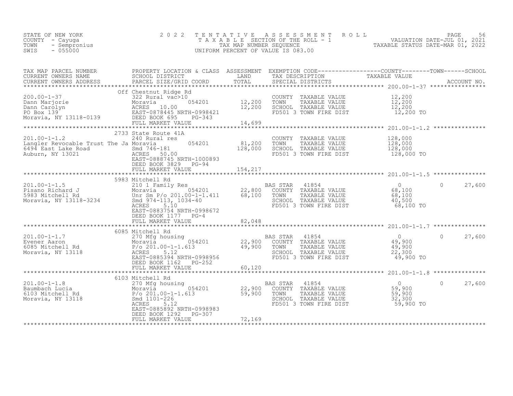| STATE OF NEW YORK<br>COUNTY<br>- Cayuqa<br>TOWN<br>- Sempronius<br>SWIS<br>$-055000$ | $\begin{array}{ccccccccc} \text{lius} & & & & & & \mathbb{I} & \mathbb{A} & \mathbb{I} \\ & & & & & & \mathbb{T} & \mathbb{A} & \mathbb{I} \\ & & & & & & & \mathbb{U} \mathbb{N} \mathbb{I} \mathbb{F} & \end{array}$<br>2022 TENTATIVE                                                                                                          |         |                                                                                                                                  | TENTATIVE ASSESSMENT ROLL PAGE 56<br>TAXABLE SECTION OF THE ROLL - 1 VALUATION DATE-JUL 01, 2021<br>TAX MAP NUMBER SEQUENCE TAXABLE STATUS DATE-MAR 01, 2022<br>UNIFORM PERCENT OF VALUE IS 083.00                                |
|--------------------------------------------------------------------------------------|---------------------------------------------------------------------------------------------------------------------------------------------------------------------------------------------------------------------------------------------------------------------------------------------------------------------------------------------------|---------|----------------------------------------------------------------------------------------------------------------------------------|-----------------------------------------------------------------------------------------------------------------------------------------------------------------------------------------------------------------------------------|
|                                                                                      |                                                                                                                                                                                                                                                                                                                                                   |         |                                                                                                                                  | TAX MAP PARCEL NUMBER PROPERTY LOCATION & CLASS ASSESSMENT EXEMPTION CODE-----------------COUNTY--------TOWN------SCHOOL SCHOOL DISTRICT LAND TAX DESCRIPTION TAXABLE VALUE<br>CURRENT OWNERS NAME SCHOOL DISTRICT LAND TAX DESCR |
|                                                                                      | Off Chestnut Ridge Rd<br>054201<br>- ATTLE 12, 200 TOWN<br>- 054201 12, 200 TOWN<br>- 098421 12, 200 SCHO<br>011 CHESTRIC NAVE NO USE CONTRACT ON MOTORS 10.00<br>Dann Carolyn Moravia 054201<br>PO Box 139<br>Moravia, NY 13118-0139<br>Moravia, NY 13118-0139<br>PO Box 139<br>Moravia, NY 13118-0139<br>PULL MARKET VALUE<br>PULL MARKET VALUE |         | COUNTY TAXABLE VALUE $12,200$<br>TOWN TAXABLE VALUE $12,200$<br>SCHOOL TAXABLE VALUE $12,200$<br>FD501 3 TOWN FIRE DIST $12,200$ |                                                                                                                                                                                                                                   |
|                                                                                      | 2733 State Route 41A<br>201.00-1-1.2 201.00-1-1.2 201.00-1-1.2 240 Rural res 054201 600MT<br>Langler Revocable Trust The Ja Moravia 054201 81,200 TOWN<br>6494 East Lake Road 1994 Smd 746-181<br>Auburn, NY 13021 ACRES 50.00<br>EAST-0888745 NRTH-1000893                                                                                       | 128,000 | COUNTY TAXABLE VALUE 128,000<br>TAXABLE VALUE 128,000<br>SCHOOL TAXABLE VALUE<br>FD501 3 TOWN FIRE DIST                          | 128,000<br>128,000 TO                                                                                                                                                                                                             |
|                                                                                      | DEED BOOK 1177 PG-4<br>FULL MARKET VALUE                                                                                                                                                                                                                                                                                                          | 82,048  |                                                                                                                                  | $\Omega$<br>27,600<br>68,100 TO                                                                                                                                                                                                   |
|                                                                                      |                                                                                                                                                                                                                                                                                                                                                   |         |                                                                                                                                  |                                                                                                                                                                                                                                   |

|                                                                               | 6085 Mitchell Rd                                                                                                                                    |                                                                 |                                                                                    | $201.00 - 1 - 1.1$                      |        |
|-------------------------------------------------------------------------------|-----------------------------------------------------------------------------------------------------------------------------------------------------|-----------------------------------------------------------------|------------------------------------------------------------------------------------|-----------------------------------------|--------|
| 201.00-1-1.7<br>Evener Aaron<br>6085 Mitchell Rd<br>Moravia, NY 13118         | 270 Mfg housing<br>054201<br>Moravia<br>$P/O 201.00-1-1.613$<br>5.12<br>ACRES<br>EAST-0885394 NRTH-0998956<br>DEED BOOK 1162 PG-252                 | <b>BAS STAR</b><br>22,900<br>COUNTY<br>49,900<br>TOWN<br>SCHOOL | 41854<br>TAXABLE VALUE<br>TAXABLE VALUE<br>TAXABLE VALUE<br>FD501 3 TOWN FIRE DIST | 49,900<br>49,900<br>22,300<br>49,900 TO | 27,600 |
|                                                                               | FULL MARKET VALUE                                                                                                                                   | 60,120                                                          |                                                                                    |                                         |        |
|                                                                               | 6103 Mitchell Rd                                                                                                                                    |                                                                 |                                                                                    |                                         |        |
| $201.00 - 1 - 1.8$<br>Baumbach Lucia<br>6103 Mitchell Rd<br>Moravia, NY 13118 | 270 Mfg housing<br>054201<br>Moravia<br>$P/O 201.00-1-1.613$<br>Smd 1101-226<br>5.12<br>ACRES<br>EAST-0885892 NRTH-0998983<br>DEED BOOK 1292 PG-307 | <b>BAS STAR</b><br>22,900<br>COUNTY<br>59,900<br>TOWN<br>SCHOOL | 41854<br>TAXABLE VALUE<br>TAXABLE VALUE<br>TAXABLE VALUE<br>FD501 3 TOWN FIRE DIST | 59,900<br>59,900<br>32,300<br>59,900 TO | 27,600 |
|                                                                               | FULL MARKET VALUE                                                                                                                                   | 72,169                                                          |                                                                                    |                                         |        |

\*\*\*\*\*\*\*\*\*\*\*\*\*\*\*\*\*\*\*\*\*\*\*\*\*\*\*\*\*\*\*\*\*\*\*\*\*\*\*\*\*\*\*\*\*\*\*\*\*\*\*\*\*\*\*\*\*\*\*\*\*\*\*\*\*\*\*\*\*\*\*\*\*\*\*\*\*\*\*\*\*\*\*\*\*\*\*\*\*\*\*\*\*\*\*\*\*\*\*\*\*\*\*\*\*\*\*\*\*\*\*\*\*\*\*\*\*\*\*\*\*\*\*\*\*\*\*\*\*\*\*\*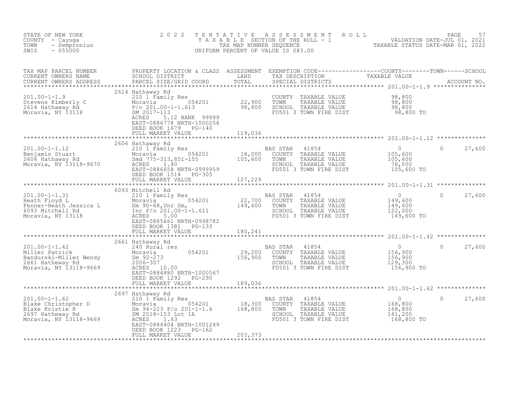| STATE OF NEW YORK<br>COUNTY - Cayuga<br>- Sempronius<br>TOWN<br>SWIS<br>$-055000$                                                                                                                                                                            | 2 0 2 2                                                                                          |         | TENTATIVE ASSESSMENT ROLL PACE 57<br>TAXABLE SECTION OF THE ROLL - 1 VALUATION DATE-JUL 01, 2021<br>TAX MAP NUMBER SEQUENCE TAXABLE STATUS DATE-MAR 01, 2022<br>UNIFORM PERCENT OF VALUE IS 083.00 |                                                                                 |                    |
|--------------------------------------------------------------------------------------------------------------------------------------------------------------------------------------------------------------------------------------------------------------|--------------------------------------------------------------------------------------------------|---------|----------------------------------------------------------------------------------------------------------------------------------------------------------------------------------------------------|---------------------------------------------------------------------------------|--------------------|
| TAX MAP PARCEL NUMBER PROPERTY LOCATION & CLASS ASSESSMENT EXEMPTION CODE----------------COUNTY--------TOWN------SCHOOL CURRENT OWNERS NAME SCHOOL DISTRICT LAND TAX DESCRIPTION TAXABLE VALUE CURRENT OWNERS ADDRESS PARCEL S                               |                                                                                                  |         |                                                                                                                                                                                                    |                                                                                 |                    |
| 201.00-1-1.9<br>201.00-1-1.9<br>210 1 Family Res<br>22,900 TOWN<br>2614 Hathaway Rd<br>2614 Hathaway Rd<br>27,900 TOWN<br>2614 Hathaway Rd<br>27,900 TOWN<br>27,900 TOWN<br>27,900 TOWN<br>27,900 TOWN<br>27,900 TOWN<br>27,900 TOWN<br>27,900 TOWN<br>27,80 | ACRES 5.12 BANK 99999<br>EAST-0886778 NRTH-1000256<br>DEED BOOK 1679 PG-140<br>FULL MARKET VALUE | 119,036 |                                                                                                                                                                                                    |                                                                                 |                    |
|                                                                                                                                                                                                                                                              |                                                                                                  |         |                                                                                                                                                                                                    |                                                                                 |                    |
| $\begin{array}{cccccccc} 201.00-1-1.12 & 2606\text{ Hathaway Rd} & 210.00-1-1.12 & 210.00& 210.00& 210.00& 210.00& 210.00& 210.00& 210.00& 210.00& 210.00& 210.00& 210.00& 210.00& 210.00& 210.00& 210.00& 210.00& 210.00& 210.00& 210.00& 210.00& 210.00&$  | 2606 Hathaway Rd                                                                                 |         |                                                                                                                                                                                                    |                                                                                 | 27,600<br>$\circ$  |
|                                                                                                                                                                                                                                                              |                                                                                                  |         |                                                                                                                                                                                                    |                                                                                 |                    |
| 201.00-1-1.31<br>Heath Floyd L.<br>Eenner-Heath Jessica L.<br>Moravia Moravia D. S. (101 Family Res<br>Moravia Sm 90-68, Unr Sm, 22, 700 COUNTY TAXABLE VALUE<br>Moravia, NY 13118<br>Moravia, NY 13118<br>Moravia, NY 13118<br>EAS STAR 41854               | 6093 Mitchell Rd<br>DEED BOOK 1381    PG-133<br>FULL MARKET VALUE 180,241                        |         | 41854 11854 1254 0<br>COUNTY TAXABLE VALUE 149,600<br>TOWN TAXABLE VALUE 149,600<br>SCHOOL TAXABLE VALUE 122,000<br>FD501 3 TOWN FIRE DIST 149,600 TO                                              |                                                                                 | 27,600             |
|                                                                                                                                                                                                                                                              |                                                                                                  |         |                                                                                                                                                                                                    |                                                                                 |                    |
|                                                                                                                                                                                                                                                              | DEED BOOK 1292 PG-290                                                                            |         |                                                                                                                                                                                                    | $\begin{array}{c} 0 \\ 156,900 \\ 156,900 \\ 129,300 \end{array}$<br>156,900 TO | $\Omega$<br>27,600 |
|                                                                                                                                                                                                                                                              | FULL MARKET VALUE                                                                                | 189,036 |                                                                                                                                                                                                    |                                                                                 |                    |
| 201.00-1-1.62<br>2697 Hathaway Rd<br>2697 Hathaway Rd<br>Blake Christopher D<br>2697 Hathaway Rd<br>2697 Hathaway Rd<br>2697 Hathaway Rd<br>2697 Hathaway Rd<br>2697 Hathaway Rd<br>2697 Hathaway Rd<br>2697 Hathaway Rd<br>2697 Hathaway Rd<br>2697 H       | EAST-0884404 NRTH-1001249<br>DEED BOOK 1223 PG-162                                               |         |                                                                                                                                                                                                    |                                                                                 | $\circ$<br>27,600  |
|                                                                                                                                                                                                                                                              | FULL MARKET VALUE                                                                                | 203,373 |                                                                                                                                                                                                    |                                                                                 |                    |
|                                                                                                                                                                                                                                                              |                                                                                                  |         |                                                                                                                                                                                                    |                                                                                 |                    |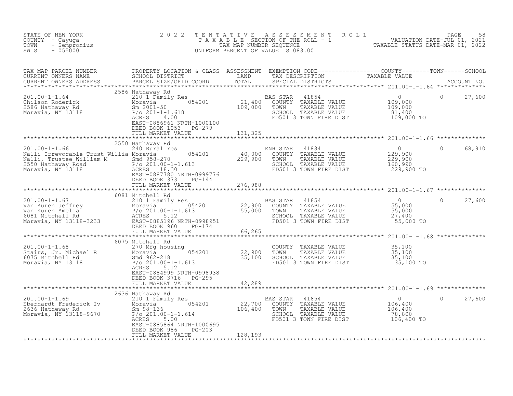| STATE OF NEW YORK<br>COUNTY - Cayuga<br>- Sempronius<br>TOWN<br>SWIS<br>$-055000$                                                                                                                                                                                       | 2 0 2 2                                                                                     | T E N T A T I V E<br>UNIFORM PERCENT OF VALUE IS 083.00 |                            |                                                                                                                        | TENTATIVE ASSESSMENT ROLL<br>TAXABLE SECTION OF THE ROLL - 1 VALUATION DATE-JUL 01, 2021<br>TAX MAP NUMBER SEQUENCE TAXABLE STATUS DATE-MAR 01, 2022<br>JNIFORM PERCENT OF VALUE IS 083.00 |                |        |
|-------------------------------------------------------------------------------------------------------------------------------------------------------------------------------------------------------------------------------------------------------------------------|---------------------------------------------------------------------------------------------|---------------------------------------------------------|----------------------------|------------------------------------------------------------------------------------------------------------------------|--------------------------------------------------------------------------------------------------------------------------------------------------------------------------------------------|----------------|--------|
|                                                                                                                                                                                                                                                                         |                                                                                             |                                                         |                            |                                                                                                                        |                                                                                                                                                                                            |                |        |
|                                                                                                                                                                                                                                                                         | 2586 Hathaway Rd<br>EAST-0886961 NRTH-1000100<br>DEED BOOK 1053 PG-279<br>FULL MARKET VALUE | 131, 325                                                |                            |                                                                                                                        | 109,000 TO                                                                                                                                                                                 |                | 27,600 |
|                                                                                                                                                                                                                                                                         |                                                                                             |                                                         |                            |                                                                                                                        |                                                                                                                                                                                            |                |        |
|                                                                                                                                                                                                                                                                         | 2550 Hathaway Rd<br>EAST-0887780 NRTH-0999776<br>DEED BOOK 3731 PG-144                      |                                                         |                            |                                                                                                                        |                                                                                                                                                                                            | $\circ$        | 68,910 |
|                                                                                                                                                                                                                                                                         | FULL MARKET VALUE                                                                           | 276,988                                                 |                            |                                                                                                                        |                                                                                                                                                                                            |                |        |
|                                                                                                                                                                                                                                                                         |                                                                                             |                                                         |                            |                                                                                                                        |                                                                                                                                                                                            |                |        |
| 301.00-1-1.67<br>201.00-1-1.67<br>201.00-1-1.67<br>201.00-1-1.67<br>201.00-1-1.67<br>201.00-1-1.67<br>201.00-1-1.67<br>201.00-1-1.67<br>201.00-1-1.67<br>201.00-1-1.67<br>201.00-1-1.61<br>22,900 COUNTY TAXABLE VALUE<br>22,900 COUNTY TAXABLE VALUE<br>               | FULL MARKET VALUE                                                                           | 66,265                                                  |                            |                                                                                                                        |                                                                                                                                                                                            | $\overline{0}$ | 27,600 |
|                                                                                                                                                                                                                                                                         |                                                                                             | ******************                                      |                            |                                                                                                                        |                                                                                                                                                                                            |                |        |
| 201.00-1-1.68<br>Stairs, Jr. Michael R<br>6075 Mitchell Rd<br>6075 Mitchell Rd<br>8 Small 962-218<br>7/0 22,900<br>7/0 1-1.613<br>7/0 1-1.613<br>7/0 1-1.613<br>7/0 1-1.613                                                                                             | 6075 Mitchell Rd<br>ACRES<br>5.12<br>EAST-0884999 NRTH-0998938<br>DEED BOOK 3716 PG-295     |                                                         |                            |                                                                                                                        | COUNTY TAXABLE VALUE $35,100$<br>TOWN TAXABLE VALUE $35,100$<br>SCHOOL TAXABLE VALUE $35,100$<br>FD501 3 TOWN FIRE DIST $35,100$                                                           |                |        |
|                                                                                                                                                                                                                                                                         |                                                                                             |                                                         |                            |                                                                                                                        |                                                                                                                                                                                            |                |        |
| 2636 Hathaway Rd<br>2636 Hathaway Rd<br>210 1 Family Res<br>2636 Hatheway Rd<br>2636 Hatheway Rd<br>22,700<br>22,700<br>22,700<br>22,700<br>22,700<br>22,700<br>22,700<br>22,700<br>22,700<br>22,700<br>22,700<br>22,700<br>22,700<br>22,800<br>22,800<br>22,800<br>22, | EAST-0885864 NRTH-1000695<br>$PG-203$<br>DEED BOOK 986<br>FULL MARKET VALUE                 | 128,193                                                 | BAS STAR<br>COUNTY<br>TOWN | 41854 0<br>TAXABLE VALUE 106,400<br>TAXABLE VALUE 106,400<br>178.800<br>SCHOOL TAXABLE VALUE<br>FD501 3 TOWN FIRE DIST | 78,800<br>78,800<br>106,400 TO                                                                                                                                                             | $\circ$        | 27,600 |
|                                                                                                                                                                                                                                                                         |                                                                                             |                                                         |                            |                                                                                                                        |                                                                                                                                                                                            |                |        |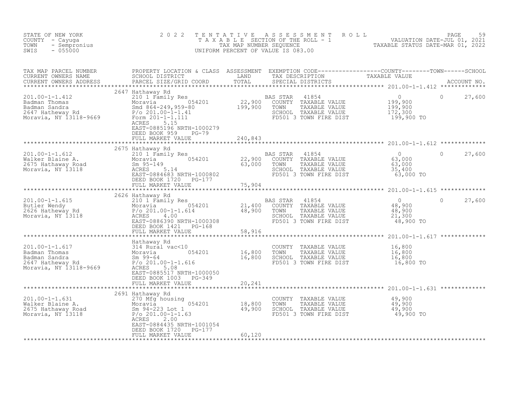| TAX MAP PARCEL NUMBER PROPERTY LOCATION & CLASS ASSESSMENT EXEMPTION CODE----------------COUNTY--------TOWN------SCHOOL CURRENT OWNERS NAME SCHOOL DISTRICT LAND TAX DESCRIPTION TAXABLE VALUE<br>CURRENT OWNERS ADDRESS PARCEL S<br>2647 Hathaway Rd<br>$\begin{array}{lcccccc} 201.00-1-1.412 & & & 201 & \text{neut,} & \text{neut,} & \text{one } & \text{max,} & \text{max,} & \text{max,} \\ \text{Badman Thomas} & & & 210 & 1 & \text{Family Res} & & & 22,900 & \text{COUNTY} & \text{TAXABLE VALUE} & & 199,900 \\ \text{Badman Sandra} & & & 804 & 864-249,959-80 & & & 199,900 & \text{TOWN} & \text{TAXABLE VALUE} & & 199,900 \\ \text{2647 Hatheway Rd} & & & 2$<br>$\Omega$<br>27,600<br>EAST-0885196 NRTH-1000279<br>DEED BOOK 959 PG-79<br>FULL MARKET VALUE<br>240,843<br>2675 Hathaway Rd<br>201.00-1-1.612<br>Walker Blaine A. 226/5 Hathaway Road<br>201.00-1-1.612<br>201.00-1-1.612<br>201.00-1-1.612<br>201.00-1-1.612<br>201.00-1-1.612<br>201.00-1-1.612<br>201.00-1-201.00-1-1.000802<br>22,900 COUNTY TAXABLE VALUE<br>22,900 COUNTY<br>$\begin{array}{c} 0 \\ 63,000 \\ 63,000 \\ 35,400 \\ \end{array}$<br>$\Omega$<br>27,600<br>SCHOOL TAXABLE VALUE<br>63,000 TO<br>******************<br>$\circ$<br>27,600<br>48,900 TO<br>FULL MARKET VALUE<br>58,916<br>DEED BOOK 1003 PG-349<br>FULL MARKET VALUE<br>20,241<br>2691 Hathaway Rd<br>201.00-1-1.631<br>Walker Blaine A. 270 Mfg housing<br>2691 Hathaway Ro<br>2691 Hathaway Roman 201 18,800<br>2675 Hathaway Road<br>2691 Horavia 201.00-1-1.63<br>2694 Horavia 201.00-1-1.63<br>269201.00-1-1.63<br>COUNTY TAXABLE VALUE 49,900<br>TOWN TAXABLE VALUE 49,900<br>SCHOOL TAXABLE VALUE 49,900<br>FD501 3 TOWN FIRE DIST 49,900 TO<br>ACRES<br>2.00<br>EAST-0884435 NRTH-1001054<br>DEED BOOK 1720 PG-177<br>60,120<br>FULL MARKET VALUE | STATE OF NEW YORK<br>COUNTY - Cayuga<br>- Sempronius<br>TOWN<br>SWIS<br>$-055000$ | 2 0 2 2 |  | TENTATIVE ASSESSMENT ROLL PACE 59<br>TAXABLE SECTION OF THE ROLL - 1 VALUATION DATE-JUL 01, 2021<br>TAX MAP NUMBER SEQUENCE TAXABLE STATUS DATE-MAR 01, 2022<br>UNIFORM PERCENT OF VALUE IS 083.00 |  |
|-----------------------------------------------------------------------------------------------------------------------------------------------------------------------------------------------------------------------------------------------------------------------------------------------------------------------------------------------------------------------------------------------------------------------------------------------------------------------------------------------------------------------------------------------------------------------------------------------------------------------------------------------------------------------------------------------------------------------------------------------------------------------------------------------------------------------------------------------------------------------------------------------------------------------------------------------------------------------------------------------------------------------------------------------------------------------------------------------------------------------------------------------------------------------------------------------------------------------------------------------------------------------------------------------------------------------------------------------------------------------------------------------------------------------------------------------------------------------------------------------------------------------------------------------------------------------------------------------------------------------------------------------------------------------------------------------------------------------------------------------------------------------------------------------------------------------------|-----------------------------------------------------------------------------------|---------|--|----------------------------------------------------------------------------------------------------------------------------------------------------------------------------------------------------|--|
|                                                                                                                                                                                                                                                                                                                                                                                                                                                                                                                                                                                                                                                                                                                                                                                                                                                                                                                                                                                                                                                                                                                                                                                                                                                                                                                                                                                                                                                                                                                                                                                                                                                                                                                                                                                                                             |                                                                                   |         |  |                                                                                                                                                                                                    |  |
|                                                                                                                                                                                                                                                                                                                                                                                                                                                                                                                                                                                                                                                                                                                                                                                                                                                                                                                                                                                                                                                                                                                                                                                                                                                                                                                                                                                                                                                                                                                                                                                                                                                                                                                                                                                                                             |                                                                                   |         |  |                                                                                                                                                                                                    |  |
|                                                                                                                                                                                                                                                                                                                                                                                                                                                                                                                                                                                                                                                                                                                                                                                                                                                                                                                                                                                                                                                                                                                                                                                                                                                                                                                                                                                                                                                                                                                                                                                                                                                                                                                                                                                                                             |                                                                                   |         |  |                                                                                                                                                                                                    |  |
|                                                                                                                                                                                                                                                                                                                                                                                                                                                                                                                                                                                                                                                                                                                                                                                                                                                                                                                                                                                                                                                                                                                                                                                                                                                                                                                                                                                                                                                                                                                                                                                                                                                                                                                                                                                                                             |                                                                                   |         |  |                                                                                                                                                                                                    |  |
|                                                                                                                                                                                                                                                                                                                                                                                                                                                                                                                                                                                                                                                                                                                                                                                                                                                                                                                                                                                                                                                                                                                                                                                                                                                                                                                                                                                                                                                                                                                                                                                                                                                                                                                                                                                                                             |                                                                                   |         |  |                                                                                                                                                                                                    |  |
|                                                                                                                                                                                                                                                                                                                                                                                                                                                                                                                                                                                                                                                                                                                                                                                                                                                                                                                                                                                                                                                                                                                                                                                                                                                                                                                                                                                                                                                                                                                                                                                                                                                                                                                                                                                                                             |                                                                                   |         |  |                                                                                                                                                                                                    |  |
|                                                                                                                                                                                                                                                                                                                                                                                                                                                                                                                                                                                                                                                                                                                                                                                                                                                                                                                                                                                                                                                                                                                                                                                                                                                                                                                                                                                                                                                                                                                                                                                                                                                                                                                                                                                                                             |                                                                                   |         |  |                                                                                                                                                                                                    |  |
|                                                                                                                                                                                                                                                                                                                                                                                                                                                                                                                                                                                                                                                                                                                                                                                                                                                                                                                                                                                                                                                                                                                                                                                                                                                                                                                                                                                                                                                                                                                                                                                                                                                                                                                                                                                                                             |                                                                                   |         |  |                                                                                                                                                                                                    |  |
|                                                                                                                                                                                                                                                                                                                                                                                                                                                                                                                                                                                                                                                                                                                                                                                                                                                                                                                                                                                                                                                                                                                                                                                                                                                                                                                                                                                                                                                                                                                                                                                                                                                                                                                                                                                                                             |                                                                                   |         |  |                                                                                                                                                                                                    |  |
|                                                                                                                                                                                                                                                                                                                                                                                                                                                                                                                                                                                                                                                                                                                                                                                                                                                                                                                                                                                                                                                                                                                                                                                                                                                                                                                                                                                                                                                                                                                                                                                                                                                                                                                                                                                                                             |                                                                                   |         |  |                                                                                                                                                                                                    |  |
|                                                                                                                                                                                                                                                                                                                                                                                                                                                                                                                                                                                                                                                                                                                                                                                                                                                                                                                                                                                                                                                                                                                                                                                                                                                                                                                                                                                                                                                                                                                                                                                                                                                                                                                                                                                                                             |                                                                                   |         |  |                                                                                                                                                                                                    |  |
|                                                                                                                                                                                                                                                                                                                                                                                                                                                                                                                                                                                                                                                                                                                                                                                                                                                                                                                                                                                                                                                                                                                                                                                                                                                                                                                                                                                                                                                                                                                                                                                                                                                                                                                                                                                                                             |                                                                                   |         |  |                                                                                                                                                                                                    |  |
|                                                                                                                                                                                                                                                                                                                                                                                                                                                                                                                                                                                                                                                                                                                                                                                                                                                                                                                                                                                                                                                                                                                                                                                                                                                                                                                                                                                                                                                                                                                                                                                                                                                                                                                                                                                                                             |                                                                                   |         |  |                                                                                                                                                                                                    |  |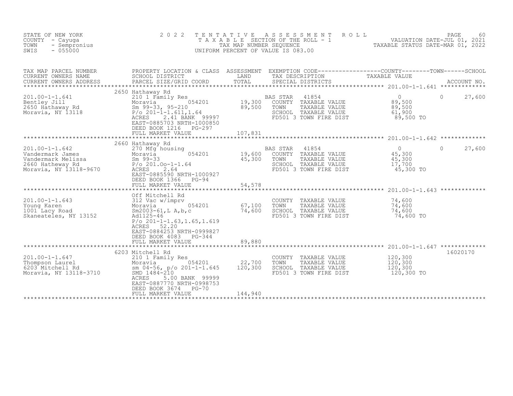| STATE OF NEW YORK<br>COUNTY - Cayuga<br>TOWN<br>- Sempronius<br>SWIS<br>$-055000$                            | 2 0 2 2<br>TENTATIVE<br>TAXABLE<br>UNIFORM PERCENT OF VALUE IS 083.00                                                                                                                                                   | TAX MAP NUMBER SEQUENCE      | A S S E S S M E N T | ROLL                                                                                             | SECTION OF THE ROLL - 1 1 2021<br>NUMBER SEQUENCE TAXABLE STATUS DATE-MAR 01, 2022<br>TAXABLE STATUS DATE-MAR 01, 2022 | PAGE<br>60         |
|--------------------------------------------------------------------------------------------------------------|-------------------------------------------------------------------------------------------------------------------------------------------------------------------------------------------------------------------------|------------------------------|---------------------|--------------------------------------------------------------------------------------------------|------------------------------------------------------------------------------------------------------------------------|--------------------|
| TAX MAP PARCEL NUMBER<br>CURRENT OWNERS NAME<br>CURRENT OWNERS ADDRESS<br>************************           | PROPERTY LOCATION & CLASS ASSESSMENT EXEMPTION CODE----------------COUNTY-------TOWN-----SCHOOL<br>SCHOOL DISTRICT<br>PARCEL SIZE/GRID COORD                                                                            | LAND<br>TOTAL                | TAX DESCRIPTION     | SPECIAL DISTRICTS                                                                                | TAXABLE VALUE                                                                                                          | ACCOUNT NO.        |
| $201.00 - 1 - 1.641$<br>Bentley Jill<br>2650 Hathaway Rd<br>Moravia, NY 13118                                | 2650 Hathaway Rd<br>210 1 Family Res<br>054201<br>Moravia<br>Sm $99-33$ , $95-210$<br>$P/O 201-1-1.611, 1.64$<br>2.41 BANK 99997<br>ACRES<br>EAST-0885703 NRTH-1000850<br>DEED BOOK 1216<br>PG-297<br>FULL MARKET VALUE | 19,300<br>89,500<br>107,831  | BAS STAR<br>TOWN    | 41854<br>COUNTY TAXABLE VALUE<br>TAXABLE VALUE<br>SCHOOL TAXABLE VALUE<br>FD501 3 TOWN FIRE DIST | $\Omega$<br>89,500<br>89,500<br>61,900<br>89,500 TO                                                                    | 27,600<br>$\Omega$ |
|                                                                                                              |                                                                                                                                                                                                                         |                              |                     |                                                                                                  |                                                                                                                        |                    |
| $201.00 - 1 - 1.642$<br>Vandermark James<br>Vandermark Melissa<br>2660 Hatheway Rd<br>Moravia, NY 13118-9670 | 2660 Hathaway Rd<br>270 Mfg housing<br>054201<br>Moravia<br>$Sm$ 99-33<br>$P/O 201.00-1-1.64$<br>2.64<br>ACRES<br>EAST-0885590 NRTH-1000927<br>DEED BOOK 1366<br>PG-94                                                  | 19,600<br>45,300             | BAS STAR<br>TOWN    | 41854<br>COUNTY TAXABLE VALUE<br>TAXABLE VALUE<br>SCHOOL TAXABLE VALUE<br>FD501 3 TOWN FIRE DIST | $\overline{0}$<br>45,300<br>45,300<br>17,700<br>45,300 TO                                                              | $\Omega$<br>27,600 |
|                                                                                                              | FULL MARKET VALUE                                                                                                                                                                                                       | 54,578                       |                     |                                                                                                  |                                                                                                                        |                    |
| $201.00 - 1 - 1.643$<br>Young Karen<br>1001 Lacy Road<br>Skaneateles, NY 13152                               | Off Mitchell Rd<br>312 Vac w/imprv<br>054201<br>Moravia<br>$Sm2003-61, L A, b, c$<br>Ad1125-46<br>$P$ /o 201-1-1.63, 1.65, 1.619<br>ACRES<br>52.20<br>EAST-0884253 NRTH-0999827<br>DEED BOOK 4083<br>PG-344             | 67,100<br>74,600             | TOWN                | COUNTY TAXABLE VALUE<br>TAXABLE VALUE<br>SCHOOL TAXABLE VALUE<br>FD501 3 TOWN FIRE DIST          | *********************** 201.00-1-1.643 *************<br>74,600<br>74,600<br>74,600<br>74,600 TO                        |                    |
|                                                                                                              | FULL MARKET VALUE                                                                                                                                                                                                       | 89,880                       |                     |                                                                                                  |                                                                                                                        |                    |
| $201.00 - 1 - 1.647$<br>Thompson Laurel<br>6203 Mitchell Rd<br>Moravia, NY 13118-3710                        | 6203 Mitchell Rd<br>210 1 Family Res<br>054201<br>Moravia<br>sm $04-56$ , $p/O$ 201-1-1.645<br>SMD 1484-210<br>ACRES<br>5.00 BANK 99999<br>EAST-0887770 NRTH-0998753<br>DEED BOOK 3674<br>PG-70<br>FULL MARKET VALUE    | 22,700<br>120,300<br>144,940 | TOWN                | COUNTY TAXABLE VALUE<br>TAXABLE VALUE<br>SCHOOL TAXABLE VALUE<br>FD501 3 TOWN FIRE DIST          | 120,300<br>120,300<br>120,300<br>120,300 TO                                                                            | 16020170           |
|                                                                                                              |                                                                                                                                                                                                                         |                              |                     |                                                                                                  |                                                                                                                        |                    |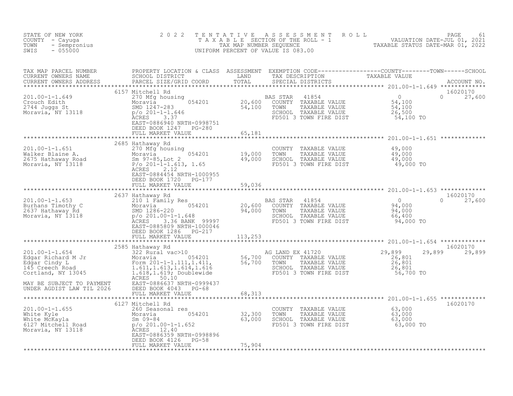| STATE OF NEW YORK<br>COUNTY - Cayuga<br>- Sempronius<br>TOWN<br>$-055000$<br>SWIS                                                                                                                                                                                                                                                                                                                                                                                                           | 2 0 2 2                                                                                             |        |                                                                                                                                                      | TENTATIVE ASSESSMENT ROLL PACE 61<br>TAXABLE SECTION OF THE ROLL - 1 VALUATION DATE-JUL 01, 2021<br>TAX MAP NUMBER SEQUENCE TAXABLE STATUS DATE-MAR 01, 2022<br>UNIFORM PERCENT OF VALUE IS 083.00                               |
|---------------------------------------------------------------------------------------------------------------------------------------------------------------------------------------------------------------------------------------------------------------------------------------------------------------------------------------------------------------------------------------------------------------------------------------------------------------------------------------------|-----------------------------------------------------------------------------------------------------|--------|------------------------------------------------------------------------------------------------------------------------------------------------------|----------------------------------------------------------------------------------------------------------------------------------------------------------------------------------------------------------------------------------|
|                                                                                                                                                                                                                                                                                                                                                                                                                                                                                             |                                                                                                     |        |                                                                                                                                                      | TAX MAP PARCEL NUMBER PROPERTY LOCATION & CLASS ASSESSMENT EXEMPTION CODE-----------------COUNTY--------TOWN------SCHOOL CURRENT OWNERS NAME SCHOOL DISTRICT LAND TAX DESCRIPTION TAXABLE VALUE<br>CURRENT OWNERS ADDRESS PARCEL |
|                                                                                                                                                                                                                                                                                                                                                                                                                                                                                             | 6157 Mitchell Rd<br>DEED BOOK 1247 PG-280<br>FULL MARKET VALUE 65,181                               |        |                                                                                                                                                      | 16020170<br>$0 \t 27,600$                                                                                                                                                                                                        |
|                                                                                                                                                                                                                                                                                                                                                                                                                                                                                             |                                                                                                     |        |                                                                                                                                                      |                                                                                                                                                                                                                                  |
| 100-1-1.651<br>Walker Blaine A. (270 Mg housing 054201 19,000 TOWN TAXABLE VALUE 49,000<br>2675 Hathaway Road (201-1-1.613, 1.65 49,000 SCHOOL TAXABLE VALUE 49,000<br>Moravia, NY 13118 (201-1-1.613, 1.65 5)<br>2675 Hathaway Road                                                                                                                                                                                                                                                        | 2685 Hathaway Rd<br>EAST-0884454 NRTH-1000955<br>DEED BOOK 1720 PG-177                              |        |                                                                                                                                                      |                                                                                                                                                                                                                                  |
|                                                                                                                                                                                                                                                                                                                                                                                                                                                                                             | FULL MARKET VALUE 59,036                                                                            |        |                                                                                                                                                      |                                                                                                                                                                                                                                  |
|                                                                                                                                                                                                                                                                                                                                                                                                                                                                                             | 2637 Hathaway Rd<br>EAST-0885809 NRTH-1000046<br>DEED BOOK 1286 PG-217<br>FULL MARKET VALUE 113,253 |        | AS STAR 41854<br>COUNTY TAXABLE VALUE $94,000$<br>TOWN TAXABLE VALUE $94,000$<br>SCHOOL TAXABLE VALUE $94,000$<br>FD501 3 TOWN FIRE DIST $94,000$ TO | 16020170<br>$0 \t 27,600$                                                                                                                                                                                                        |
|                                                                                                                                                                                                                                                                                                                                                                                                                                                                                             | 2585 Hathaway Rd                                                                                    |        |                                                                                                                                                      | 16020170                                                                                                                                                                                                                         |
| $\begin{array}{cccc} 201.00-1-1.654 & 2585 \text{ hathaway Rd} & 322 \text{ Rural vac}>10 & 322 \text{ Rural vac}>10 & 56,700 \text{ COUNTY} \text{ TAXABLE VALUE} & 29,899 & 29,891 \text{ Eddgar Richard M Jr} & 054201 & 56,700 \text{ COUNTY} \text{ TAXABLE VALUE} & 26,801 \text{ Form 201-1-1.111, 1.411,} & 56,700 \text{ TAXABLE VALUE} & 26,801 \text{ Foch Road} & 1.618,1.$<br>MAY BE SUBJECT TO PAYMENT<br>UNDER AGDIST LAW TIL 2026 DEED BOOK 4043 PG-68<br>FULL MARKET VALUE | ACRES 50.10                                                                                         | 68,313 |                                                                                                                                                      | 29,899 29,899                                                                                                                                                                                                                    |
|                                                                                                                                                                                                                                                                                                                                                                                                                                                                                             |                                                                                                     |        |                                                                                                                                                      |                                                                                                                                                                                                                                  |
| 201.00-1-1.655<br>White Kyle<br>White Kyle<br>White Kyle<br>Moravia 32,300<br>Moravia, NY 13118<br>Moravia, NY 13118<br>Moravia, NY 13118<br>Moravia, NY 13118<br>Moravia, NY 13118<br>Moravia, NY 13118<br>Moravia, NY 13118<br>Moravia, NY 13118<br>Mo                                                                                                                                                                                                                                    | DEED BOOK 4126 PG-58<br>FULL MARKET VALUE                                                           | 75,904 | COUNTY TAXABLE VALUE 63,000<br>TOWN TAXABLE VALUE 63,000<br>SCHOOL TAXABLE VALUE 63,000<br>FD501 3 TOWN FIRE DIST 63,000 TO                          | 16020170                                                                                                                                                                                                                         |
|                                                                                                                                                                                                                                                                                                                                                                                                                                                                                             |                                                                                                     |        |                                                                                                                                                      |                                                                                                                                                                                                                                  |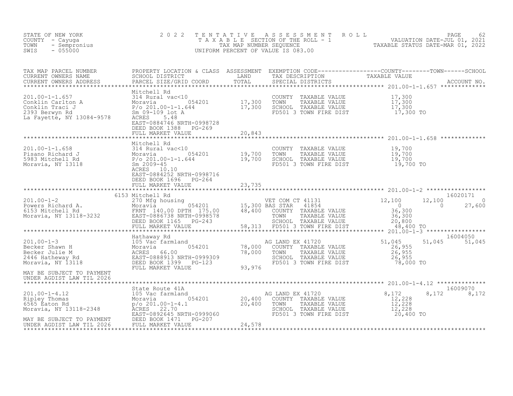| F NEW YORK<br>- Cayuga<br>- Sempronius<br>- 055000<br>STATE OF NEW YORK<br>COUNTY - Cayuga<br>TOWN<br>SWIS                                                                                                                                                 |                                            |        | TENTATIVE ASSESSMENT ROLL PAGE 62<br>TAXABLE SECTION OF THE ROLL - 1 VALUATION DATE-JUL 01, 2021<br>TAX MAP NUMBER SEQUENCE TAXABLE STATUS DATE-MAR 01, 2022<br>UNIFORM PERCENT OF VALUE IS 083.00 |                         |
|------------------------------------------------------------------------------------------------------------------------------------------------------------------------------------------------------------------------------------------------------------|--------------------------------------------|--------|----------------------------------------------------------------------------------------------------------------------------------------------------------------------------------------------------|-------------------------|
| TAX MAP PARCEL NUMBER BROPERTY LOCATION & CLASS ASSESSMENT EXEMPTION CODE----------------COUNTY--------TOWN------SCHOOL CURRENT OWNERS NAME SCHOOL DISTRICT LAND TAX DESCRIPTION TAXABLE VALUE<br>CURRENT OWNERS ADDRESS PARCEL S                          |                                            |        |                                                                                                                                                                                                    |                         |
|                                                                                                                                                                                                                                                            | DEED BOOK 1388 PG-269                      |        |                                                                                                                                                                                                    |                         |
|                                                                                                                                                                                                                                                            |                                            |        |                                                                                                                                                                                                    |                         |
|                                                                                                                                                                                                                                                            |                                            |        |                                                                                                                                                                                                    |                         |
|                                                                                                                                                                                                                                                            | DEED BOOK 1696 PG-264<br>FULL MARKET VALUE | 23,735 |                                                                                                                                                                                                    |                         |
| 16020171<br>201.00-1-2 6153 Mitchell Rd<br>270 Mfg housing<br>270 Mfg housing<br>270 Mfg housing<br>270 Mfg housing<br>270 Mg housing<br>276 Mitchell Rd<br>276 Mitchell Rd<br>276 Moravia BULLE<br>201.00-1-2 20,300<br>27,600<br>27,600<br>27,600<br>27, |                                            |        |                                                                                                                                                                                                    |                         |
|                                                                                                                                                                                                                                                            |                                            |        |                                                                                                                                                                                                    |                         |
|                                                                                                                                                                                                                                                            |                                            |        |                                                                                                                                                                                                    | 51,045 51,045           |
| UNDER AGDIST LAW TIL 2026                                                                                                                                                                                                                                  |                                            |        |                                                                                                                                                                                                    |                         |
|                                                                                                                                                                                                                                                            |                                            |        |                                                                                                                                                                                                    | 16009070<br>8,172 8,172 |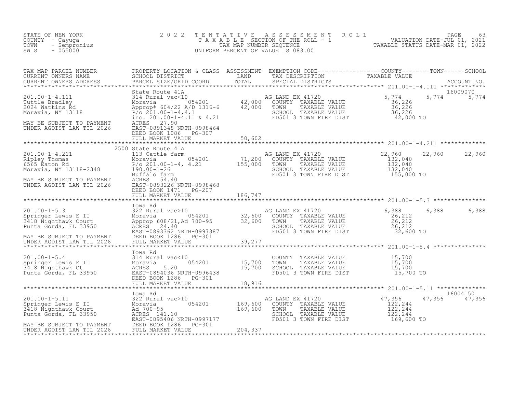| STATE OF NEW YORK<br>- NEW IVKK<br>- Cayuga<br>- Sempronius<br>- 055000<br>COUNTY - Cayuga<br>TOWN<br>SWIS                                                                                                                                                                                                                                                          | 2 0 2 2              | TENTATIVE ASSESSMENT ROLL PAGE 63<br>TAXABLE SECTION OF THE ROLL - 1 VALUATION DATE-JUL 01, 2021<br>TAX MAP NUMBER SEQUENCE TAXABLE STATUS DATE-MAR 01, 2022<br>UNIFORM PERCENT OF VALUE IS 083.00 |                           |
|---------------------------------------------------------------------------------------------------------------------------------------------------------------------------------------------------------------------------------------------------------------------------------------------------------------------------------------------------------------------|----------------------|----------------------------------------------------------------------------------------------------------------------------------------------------------------------------------------------------|---------------------------|
|                                                                                                                                                                                                                                                                                                                                                                     |                      |                                                                                                                                                                                                    |                           |
|                                                                                                                                                                                                                                                                                                                                                                     |                      |                                                                                                                                                                                                    |                           |
|                                                                                                                                                                                                                                                                                                                                                                     | 2500 State Route 41A |                                                                                                                                                                                                    |                           |
|                                                                                                                                                                                                                                                                                                                                                                     |                      |                                                                                                                                                                                                    |                           |
|                                                                                                                                                                                                                                                                                                                                                                     |                      |                                                                                                                                                                                                    |                           |
| $\begin{tabular}{lllllllllllll} 201.00-1-5.3 & \mbox{Iowa Rd} & \mbox{AG LAND EX 41720} & \mbox{AG LAND EX 41720} & \mbox{AG LAND EX 41720} & \mbox{AG LAND EX 41720} & \mbox{AG LAND EX 41720} & \mbox{AG LAND EX 41720} & \mbox{AG LAND EX 41720} & \mbox{AG LAND EX 41720} & \mbox{AG LAND EX 41720} & \mbox{AG LADUE} & \mbox{AG CONITY TAXABLE VALUE} & \mbox$ |                      |                                                                                                                                                                                                    | 6,388 6,388               |
|                                                                                                                                                                                                                                                                                                                                                                     |                      |                                                                                                                                                                                                    |                           |
|                                                                                                                                                                                                                                                                                                                                                                     |                      |                                                                                                                                                                                                    |                           |
|                                                                                                                                                                                                                                                                                                                                                                     |                      |                                                                                                                                                                                                    |                           |
| 201.00-1-5.11<br>Springer Lewis E II 322 Rural vac>10 and<br>3418 Nighthawk Court Moravia 054201 169,600<br>Punta Gorda, FL 33950 Ad 700-95 169,600<br>Punta Gorda, FL 33950 ACRES<br>MAY BE SUBJECT TO PAYMENT DEED BOOK 1286 PG-301<br>                                                                                                                           |                      | AG LAND EX 41720<br>COUNTY TAXABLE VALUE 122,244<br>TOWN TAXABLE VALUE 122,244<br>SCHOOL TAXABLE VALUE 122,244<br>FD501 3 TOWN FIRE DIST 169,600 TO                                                | 16004150<br>47,356 47,356 |
|                                                                                                                                                                                                                                                                                                                                                                     |                      |                                                                                                                                                                                                    |                           |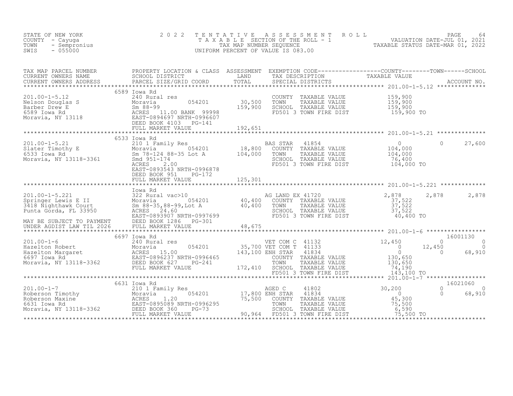| STATE OF NEW YORK<br>COUNTY - Cayuga<br>- Sempronius<br>TOWN<br>$-055000$<br>SWIS                                                                                                                                                                            | 2 0 2 2                                                       |                | TENTATIVE ASSESSMENT ROLL PACE 64<br>TAXABLE SECTION OF THE ROLL - 1 VALUATION DATE-JUL 01, 2021<br>TAX MAP NUMBER SEQUENCE TAXABLE STATUS DATE-MAR 01, 2022<br>UNIFORM PERCENT OF VALUE IS 083.00 |                                              |                    |
|--------------------------------------------------------------------------------------------------------------------------------------------------------------------------------------------------------------------------------------------------------------|---------------------------------------------------------------|----------------|----------------------------------------------------------------------------------------------------------------------------------------------------------------------------------------------------|----------------------------------------------|--------------------|
| TAX MAP PARCEL NUMBER PROPERTY LOCATION & CLASS ASSESSMENT EXEMPTION CODE-----------------COUNTY--------TOWN------SCHOOL SCHOOL DISTRICT LAND TAX DESCRIPTION TAXABLE VALUE<br>CURRENT OWNERS ADDRESS PARCEL SIZE/GRID COORD TOTA                            |                                                               |                |                                                                                                                                                                                                    |                                              |                    |
|                                                                                                                                                                                                                                                              |                                                               |                |                                                                                                                                                                                                    |                                              |                    |
|                                                                                                                                                                                                                                                              |                                                               |                |                                                                                                                                                                                                    |                                              |                    |
| 201.00-1-5.21 6533 IOWA RA<br>Slater Timothy E 210 1 Family Res<br>Moravia, NY 13118-3361 Moravia 210 BASS 2.00<br>Moravia, NY 13118-3361 BASS 2.00<br>EAST-0893543 NRTH-0996878                                                                             | 6533 Iowa Rd                                                  | BAS STAR 41854 | AS STAR 41854 0<br>COUNTY TAXABLE VALUE 104,000<br>TOWN TAXABLE VALUE 104,000<br>SCHOOL TAXABLE VALUE 76,400<br>FD501 3 TOWN FIRE DIST 104,000 TO                                                  |                                              | $0 \t 27,600$      |
|                                                                                                                                                                                                                                                              | DEED BOOK 951 PG-172<br>************************************* |                |                                                                                                                                                                                                    |                                              |                    |
|                                                                                                                                                                                                                                                              |                                                               |                |                                                                                                                                                                                                    |                                              |                    |
|                                                                                                                                                                                                                                                              |                                                               |                |                                                                                                                                                                                                    |                                              |                    |
|                                                                                                                                                                                                                                                              |                                                               |                |                                                                                                                                                                                                    |                                              |                    |
| 16001130<br>201.00-1-6<br>201.00-1-6<br>240 Rural res<br>Moravia Adviser 1996237 NRTH-0996465<br>201.00-1-6<br>240 Rural res<br>201.00-1-6<br>240 Rural res<br>201.00-1-6<br>240 Rural res<br>201.00-1-6<br>240 Rural res<br>201.00-1-6<br>201.00-1-6<br>201 |                                                               |                |                                                                                                                                                                                                    |                                              |                    |
|                                                                                                                                                                                                                                                              |                                                               |                |                                                                                                                                                                                                    |                                              |                    |
|                                                                                                                                                                                                                                                              |                                                               |                |                                                                                                                                                                                                    | 16021060<br>$\overline{0}$<br>$\overline{0}$ | $\Omega$<br>68,910 |
|                                                                                                                                                                                                                                                              |                                                               |                |                                                                                                                                                                                                    |                                              |                    |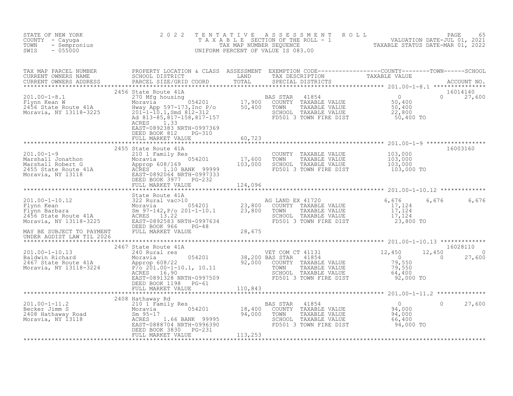| STATE OF NEW YORK<br>COUNTY - Cayuga<br>- Sempronius<br>TOWN<br>$-055000$<br>SWIS                                                                                                                                                                                                                                                                         | 2 0 2 2<br>TENTATIVE                                           |         | UNIFORM PERCENT OF VALUE IS 083.00 | TENTATIVE ASSESSMENT ROLL UNIVERSITY PAGE 65<br>TAXABLE SECTION OF THE ROLL - 1 VALUATION DATE-JUL 01, 2021<br>TAXABLE STATUS DATE-MAR 01, 2022<br>UNIFORM PERCENT OF VALUE IS 083.00 |
|-----------------------------------------------------------------------------------------------------------------------------------------------------------------------------------------------------------------------------------------------------------------------------------------------------------------------------------------------------------|----------------------------------------------------------------|---------|------------------------------------|---------------------------------------------------------------------------------------------------------------------------------------------------------------------------------------|
|                                                                                                                                                                                                                                                                                                                                                           |                                                                |         |                                    |                                                                                                                                                                                       |
| $\begin{tabular}{lllllllllllll} 201.00-1-8.1 & \multicolumn{3}{c}{201.00-1-8.1} & \multicolumn{3}{c}{201.00-1-8.1} & \multicolumn{3}{c}{201.00-1-8.1} & \multicolumn{3}{c}{201.00-1-8.1} & \multicolumn{3}{c}{201.00-1-8.1} & \multicolumn{3}{c}{201.00-1-8.1} & \multicolumn{3}{c}{201.00-1-8.1} & \multicolumn{3}{c}{201.00-1-8.1} & \multicolumn{3}{c$ | EAST-0892383 NRTH-0997369<br>DEED BOOK 812 PG-310              |         |                                    | 16014140<br>$0 \t 27,600$                                                                                                                                                             |
|                                                                                                                                                                                                                                                                                                                                                           | FULL MARKET VALUE                                              | 60,723  |                                    |                                                                                                                                                                                       |
| 201.00-1-9<br>Marshall Jonathon 210 215 Marshall Robert G<br>2455 State Route 41A<br>Moravia, NY 13118<br>2457-0892064 NRTH-0997333<br>2685 1.10 BANK 99999<br>2685 1.10 BANK 99999<br>2685 1.10 BANK 99999<br>2685 1.10 BANK 99999<br>2685 1.10                                                                                                          | 2455 State Route 41A                                           |         |                                    | 16003160<br>COUNTY TAXABLE VALUE $103,000$<br>TOWN TAXABLE VALUE $103,000$<br>SCHOOL TAXABLE VALUE $103,000$<br>FD501 3 TOWN FIRE DIST $103,000$ TO                                   |
|                                                                                                                                                                                                                                                                                                                                                           |                                                                |         |                                    |                                                                                                                                                                                       |
|                                                                                                                                                                                                                                                                                                                                                           |                                                                |         |                                    |                                                                                                                                                                                       |
|                                                                                                                                                                                                                                                                                                                                                           |                                                                |         |                                    |                                                                                                                                                                                       |
|                                                                                                                                                                                                                                                                                                                                                           |                                                                |         |                                    | 6,676 6,676                                                                                                                                                                           |
|                                                                                                                                                                                                                                                                                                                                                           |                                                                |         |                                    |                                                                                                                                                                                       |
|                                                                                                                                                                                                                                                                                                                                                           | 2467 State Route 41A                                           |         |                                    | 16028110<br>12,450<br>$\Omega$<br>$\sim$ 0<br>27,600                                                                                                                                  |
|                                                                                                                                                                                                                                                                                                                                                           | DEED BOOK 1198 PG-61                                           |         |                                    | 12,450<br>$79,550$<br>$79,550$<br>$64,400$<br>$64,400$<br>TOWN TAXABLE VALUE<br>SCHOOL TAXABLE VALUE 64,400<br>FD501 3 TOWN FIRE DIST 92,000 TO                                       |
|                                                                                                                                                                                                                                                                                                                                                           | FULL MARKET VALUE 110,843                                      |         |                                    |                                                                                                                                                                                       |
|                                                                                                                                                                                                                                                                                                                                                           | 2408 Hathaway Rd<br>DEED BOOK 3830 PG-231<br>FULL MARKET VALUE | 113,253 | SCHOOL TAXABLE VALUE               | $0$ $94,000$ $94,000$<br>27,600<br>$66,400$<br>94,000 TO                                                                                                                              |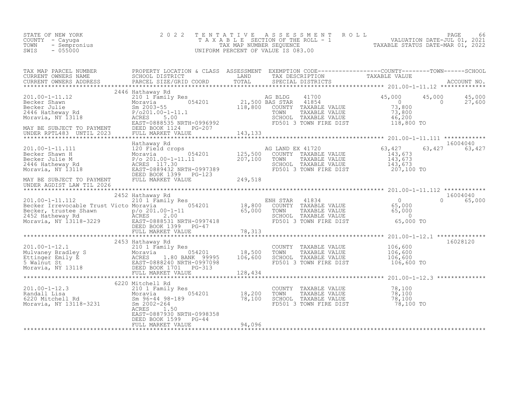| STATE OF NEW YORK<br>COUNTY - Cayuqa<br>- Sempronius<br>TOWN<br>$-055000$<br>SWIS                                                                                                                                             | 2022                                      |        | TENTATIVE ASSESSMENT ROLL PAGE 66<br>TAXABLE SECTION OF THE ROLL - 1 VALUATION DATE-JUL 01, 2021<br>TAX MAP NUMBER SEQUENCE TAXABLE STATUS DATE-MAR 01, 2022<br>UNIFORM PERCENT OF VALUE IS 083.00                                                                                                                                                                     |               |          |
|-------------------------------------------------------------------------------------------------------------------------------------------------------------------------------------------------------------------------------|-------------------------------------------|--------|------------------------------------------------------------------------------------------------------------------------------------------------------------------------------------------------------------------------------------------------------------------------------------------------------------------------------------------------------------------------|---------------|----------|
|                                                                                                                                                                                                                               |                                           |        |                                                                                                                                                                                                                                                                                                                                                                        |               |          |
| 2446 Hathaway Rd                                                                                                                                                                                                              |                                           |        |                                                                                                                                                                                                                                                                                                                                                                        |               |          |
|                                                                                                                                                                                                                               |                                           |        |                                                                                                                                                                                                                                                                                                                                                                        |               |          |
|                                                                                                                                                                                                                               |                                           |        | $\begin{tabular}{lllllllllllll} \text{G} & \text{LAND} & \text{EX} & 41720 & & & & & 63,427 & & 63\\ \text{COUNTY} & \text{TAXABLE VALUE} & & & & 143,673\\ \text{TOWN} & \text{TAXABLE VALUE} & & & 143,673\\ \text{SCHOL} & \text{TAXABLE VALUE} & & & 143,673\\ \text{FD501} & \text{3} & \text{TOMN} & \text{FIRE DIST} & & & 207,100 & \text{TO}\\ \end{tabular}$ | 63,427 63,427 | 16004040 |
|                                                                                                                                                                                                                               |                                           |        |                                                                                                                                                                                                                                                                                                                                                                        |               |          |
|                                                                                                                                                                                                                               |                                           |        |                                                                                                                                                                                                                                                                                                                                                                        |               |          |
|                                                                                                                                                                                                                               |                                           |        |                                                                                                                                                                                                                                                                                                                                                                        |               |          |
|                                                                                                                                                                                                                               | 2453 Hathaway Rd                          |        | COUNTY TAXABLE VALUE $106,600$<br>TOWN TAXABLE VALUE $106,600$<br>SCHOOL TAXABLE VALUE $106,600$<br>FD501 3 TOWN FIRE DIST $106,600$ TO                                                                                                                                                                                                                                |               | 16028120 |
|                                                                                                                                                                                                                               |                                           |        |                                                                                                                                                                                                                                                                                                                                                                        |               |          |
| 18,200 Mitchell Rd<br>201.00-1-12.3 210 1 Family Res<br>Randall Lisa 210 1 Family Res<br>6220 Mitchell Rd<br>6220 Mitchell Rd<br>6220 Mitchell Rd<br>5002-264<br>806-44 98-189<br>78,100<br>78,100<br>806-44 98-189<br>78,100 | ACRES 1.50<br>EAST-0887930 NRTH-0998358   |        | COUNTY TAXABLE VALUE $78,100$<br>TOWN TAXABLE VALUE 78,100<br>SCHOOL TAXABLE VALUE 78,100<br>FD501 3 TOWN FIRE DIST 78,100 TO                                                                                                                                                                                                                                          |               |          |
|                                                                                                                                                                                                                               | DEED BOOK 1599 PG-44<br>FULL MARKET VALUE | 94,096 |                                                                                                                                                                                                                                                                                                                                                                        |               |          |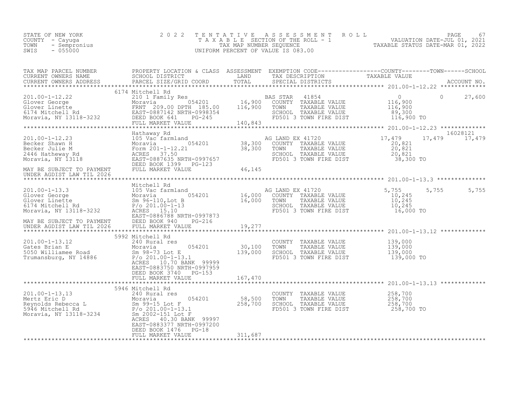| STATE OF NEW YORK<br>COUNTY - Cayuga<br>TOWN<br>- Sempronius<br>SWIS<br>$-055000$ | 2022 TENTATIVE ASSESSMENT ROLL<br>T A X A B L E SECTION OF THE ROLL - 1<br>TAX MAP NUMBER SEOUENCE<br>UNIFORM PERCENT OF VALUE IS 083.00 | 67<br>PAGE<br>VALUATION DATE-JUL 01, 2021<br>TAXABLE STATUS DATE-MAR 01, 2022 |
|-----------------------------------------------------------------------------------|------------------------------------------------------------------------------------------------------------------------------------------|-------------------------------------------------------------------------------|
|-----------------------------------------------------------------------------------|------------------------------------------------------------------------------------------------------------------------------------------|-------------------------------------------------------------------------------|

| TAX MAP PARCEL NUMBER                                                                                                                                                                                                                                                                                                                                                                                | PROPERTY LOCATION & CLASS ASSESSMENT EXEMPTION CODE----------------COUNTY-------TOWN------SCHOOL |         |  |               |          |
|------------------------------------------------------------------------------------------------------------------------------------------------------------------------------------------------------------------------------------------------------------------------------------------------------------------------------------------------------------------------------------------------------|--------------------------------------------------------------------------------------------------|---------|--|---------------|----------|
| TA MAP PARCES FRIEND FOR DESCRIPTION & CALCORER TO THE CONFERENT OWNERS NOTES SCHOOL DISTRICT TO THE TRIM THE CON<br>CURRENT OWNERS ADDRESS BARCEL SIZE/GRID COORD TOTAL SPECIAL DISTRICTS ACCOUNT NO.<br>**************************                                                                                                                                                                 |                                                                                                  |         |  |               |          |
|                                                                                                                                                                                                                                                                                                                                                                                                      |                                                                                                  |         |  |               |          |
|                                                                                                                                                                                                                                                                                                                                                                                                      | 6174 Mitchell Rd                                                                                 |         |  |               | 27,600   |
|                                                                                                                                                                                                                                                                                                                                                                                                      |                                                                                                  |         |  |               |          |
|                                                                                                                                                                                                                                                                                                                                                                                                      |                                                                                                  |         |  | 17,479 17,479 | 16028121 |
|                                                                                                                                                                                                                                                                                                                                                                                                      |                                                                                                  |         |  |               |          |
|                                                                                                                                                                                                                                                                                                                                                                                                      |                                                                                                  |         |  |               |          |
| $\begin{tabular}{l c c c c c} \multicolumn{1}{c}{\text{\textbf{16,100}}}\hline &\multicolumn{1}{c}{\textbf{16,100}}&\multicolumn{1}{c}{\textbf{16,100}}&\multicolumn{1}{c}{\textbf{16,100}}&\multicolumn{1}{c}{\textbf{16,100}}&\multicolumn{1}{c}{\textbf{16,100}}&\multicolumn{1}{c}{\textbf{16,100}}&\multicolumn{1}{c}{\textbf{16,100}}&\multicolumn{1}{c}{\textbf{16,100}}&\multicolumn{1}{c}{$ |                                                                                                  |         |  |               |          |
|                                                                                                                                                                                                                                                                                                                                                                                                      |                                                                                                  |         |  |               |          |
| 5992 Mitchell Rd<br>240 Rural res<br>COUNTY TAXABLE VALUE<br>COUNTY TAXABLE VALUE<br>COUNTY TAXABLE VALUE<br>TO 201.00-1-13.1<br>5050 Williamee Road<br>5050 Williamee Road<br>5050 Williamee Road<br>5050 Williamee Road<br>5070 ROBERS<br>201.00-1                                                                                                                                                 | 5992 Mitchell Rd<br>ACRES 10.70 BANK 99999                                                       |         |  |               |          |
|                                                                                                                                                                                                                                                                                                                                                                                                      | EAST-0883750 NRTH-0997959<br>DEED BOOK 3740 PG-153                                               |         |  |               |          |
|                                                                                                                                                                                                                                                                                                                                                                                                      | 5946 Mitchell Rd                                                                                 |         |  |               |          |
| 201.00-1-13.13<br>Mertz Eric D<br>Moravia 210 Rural res<br>Moravia 258,500 TOWN TAXABLE VALUE 258,700<br>Sm 99-15 Lot F<br>258,700 201.00-1-13.1<br>Moravia, NY 13118-3234 Sm 2002-151 Lot F<br>Moravia, NY 13118-3234 Sm 2002-151 Lot F<br>A                                                                                                                                                        | 40.30 BANK 99997<br>ACRES<br>EAST-0883377 NRTH-0997200                                           |         |  |               |          |
|                                                                                                                                                                                                                                                                                                                                                                                                      | DEED BOOK 1476 PG-18<br>FULL MARKET VALUE                                                        | 311,687 |  |               |          |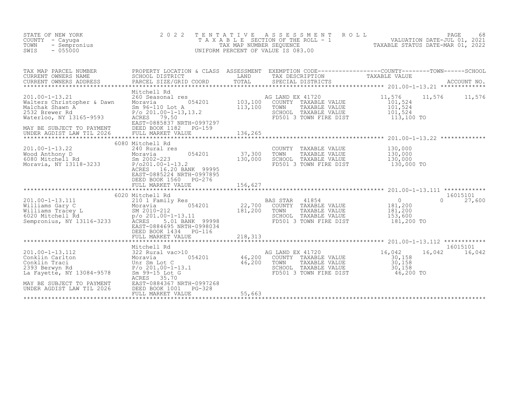| STATE OF NEW YORK<br>COUNTY<br>- Cayuqa<br>TOWN<br>- Sempronius<br>$-055000$<br>SWIS                                                                                                                                                                              |                                          | 2022 TENTATIVE ASSESSMENT ROLL<br>UNIFORM PERCENT OF VALUE IS 083.00                               | 68<br>PAGE<br>T A X A B L E SECTION OF THE ROLL - 1 VALUATION DATE-JUL 01, 2021<br>TAX MAP NUMBER SEQUENCE TAXABLE STATUS DATE-MAR 01, 2022                                                                                                                                                             |  |
|-------------------------------------------------------------------------------------------------------------------------------------------------------------------------------------------------------------------------------------------------------------------|------------------------------------------|----------------------------------------------------------------------------------------------------|---------------------------------------------------------------------------------------------------------------------------------------------------------------------------------------------------------------------------------------------------------------------------------------------------------|--|
| TAX MAP PARCEL NUMBER                                                                                                                                                                                                                                             | PROPERTY LOCATION & CLASS ASSESSMENT     |                                                                                                    | EXEMPTION CODE-----------------COUNTY-------TOWN------SCHOOL<br>CURRENT OWNERS NAME<br>CURRENT OWNERS NAME SCHOOL DISTRICT - ------- ------- TAND TAX DESCRIPTION TAXABLE VALUE<br>CURRENT OWNERS ADDRESS PARCEL SIZE/GRID COORD TOTAL SPECIAL DISTRICTS ACCOUNT NO.<br>******************************* |  |
| 201.00-1-13.21 260 Seasonal res<br>Walters Christopher & Dawn Moravia 6054201 103,100 COUNTY TAXABLE VALUE 101,524<br>Malchak Shawn A<br>2532 Brewer Rd<br>2532 Brewer Rd<br>2532 Brewer Rd<br>2532 Brewer Rd<br>279.50<br>201.00-1-13,13.2<br>20201.00-1-13,13.2 | Mitchell Rd<br>EAST-0885837 NRTH-0997297 | TOWN TAXABLE VALUE 101,524<br>SCHOOL TAXABLE VALUE 101,524<br>FD501 3 TOWN FIRE DIST 113,100 TO    | 11,576 11,576 11,576                                                                                                                                                                                                                                                                                    |  |
|                                                                                                                                                                                                                                                                   |                                          |                                                                                                    |                                                                                                                                                                                                                                                                                                         |  |
| 201.00-1-13.22<br>Wood Anthony D<br>6080 Mitchell Rd<br>Moravia 37,300<br>Moravia, NY 13118-3233<br>P/o201.00-1-13.2<br>P/o201.00-1-13.2                                                                                                                          | 6080 Mitchell Rd<br>240 Rural res        | COUNTY<br>TAXABLE VALUE<br>TAXABLE VALUE<br>TOWN<br>SCHOOL TAXABLE VALUE<br>FD501 3 TOWN FIRE DIST | 130,000<br>130,000<br>130,000<br>130,000 TO                                                                                                                                                                                                                                                             |  |

ACRES 16.20 BANK 99995

|                           | EAST-0885224 NRTH-0997895<br>DEED BOOK 1560<br>PG-276<br>FULL MARKET VALUE | 156,627 |                  |                        | 201.00-1-13.111 |        | ************       |
|---------------------------|----------------------------------------------------------------------------|---------|------------------|------------------------|-----------------|--------|--------------------|
|                           | 6020 Mitchell Rd                                                           |         |                  |                        |                 |        | 16015101           |
| 201.00-1-13.111           | 210 1 Family Res                                                           |         | BAS STAR         | 41854                  | $\mathbf{0}$    |        | 27,600             |
| Williams Gary C           | 054201<br>Moravia                                                          | 22,700  | COUNTY           | TAXABLE VALUE          | 181,200         |        |                    |
| Williams Tracey L         | SM 2010-212                                                                | 181,200 | TOWN             | TAXABLE VALUE          | 181,200         |        |                    |
| 6020 Mitchell Rd          | $p$ /o 201.00-1-13.11                                                      |         | SCHOOL           | TAXABLE VALUE          | 153,600         |        |                    |
| Sempronius, NY 13116-3233 | 99998<br>5.01 BANK<br>ACRES                                                |         |                  | FD501 3 TOWN FIRE DIST | 181,200 TO      |        |                    |
|                           | EAST-0884695 NRTH-0998034                                                  |         |                  |                        |                 |        |                    |
|                           | DEED BOOK 1434<br>PG-116                                                   |         |                  |                        |                 |        |                    |
|                           | FULL MARKET VALUE<br>*************************                             | 218,313 |                  |                        |                 |        | ************       |
|                           |                                                                            |         |                  |                        | 201.00-1-13.112 |        |                    |
| 201.00-1-13.112           | Mitchell Rd<br>322 Rural vac>10                                            |         | AG LAND EX 41720 |                        | 16,042          | 16,042 | 16015101<br>16,042 |
| Conklin Carlton           | 054201<br>Moravia                                                          | 46,200  | COUNTY           | TAXABLE VALUE          | 30,158          |        |                    |
| Conklin Traci             | Unr Sm Lot C                                                               | 46,200  | TOWN             | TAXABLE VALUE          | 30,158          |        |                    |
| 2393 Berwyn Rd            | $P/O 201.00 - 1 - 13.1$                                                    |         | SCHOOL           | TAXABLE VALUE          | 30,158          |        |                    |
| La Fayette, NY 13084-9578 | Sm 99-15 Lot G                                                             |         |                  | FD501 3 TOWN FIRE DIST | 46,200 TO       |        |                    |
|                           | 35.70<br>ACRES                                                             |         |                  |                        |                 |        |                    |
| MAY BE SUBJECT TO PAYMENT | EAST-0884367 NRTH-0997268                                                  |         |                  |                        |                 |        |                    |
| UNDER AGDIST LAW TIL 2026 | DEED BOOK 1001<br>PG-328                                                   |         |                  |                        |                 |        |                    |
|                           | FULL MARKET VALUE                                                          | 55,663  |                  |                        |                 |        |                    |
|                           |                                                                            |         |                  |                        |                 |        |                    |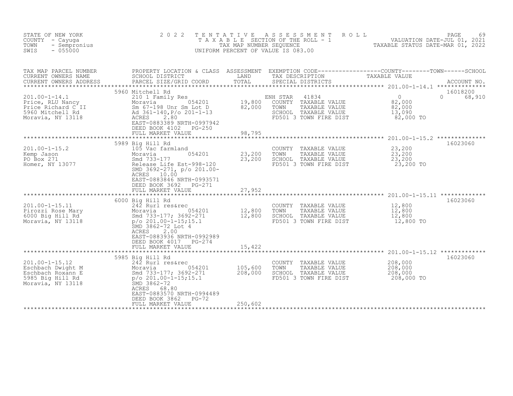| STATE OF NEW YORK<br>COUNTY - Cayuga<br>- Sempronius<br>TOWN<br>$-055000$<br>SWIS                                                                                                | 2 0 2 2<br>T E N T A T I V E                                                                                                                                                                                                                                                                                                                                                                                                                              | TAX MAP NUMBER SEQUENCE     | A S S E S S M E N T<br>ROLL<br>TAXABLE SECTION OF THE ROLL - 1<br>UNIFORM PERCENT OF VALUE IS 083.00                                         | VALUATION DATE-JUL 01, 2021<br>TAXABLE STATUS DATE-MAR 01, 2022 | PAGE<br>69                     |
|----------------------------------------------------------------------------------------------------------------------------------------------------------------------------------|-----------------------------------------------------------------------------------------------------------------------------------------------------------------------------------------------------------------------------------------------------------------------------------------------------------------------------------------------------------------------------------------------------------------------------------------------------------|-----------------------------|----------------------------------------------------------------------------------------------------------------------------------------------|-----------------------------------------------------------------|--------------------------------|
| TAX MAP PARCEL NUMBER<br>CURRENT OWNERS NAME<br>CURRENT OWNERS ADDRESS<br>$201.00 - 1 - 14.1$<br>Price, RLU Nancy<br>Price Richard C II<br>5960 Mitchell Rd<br>Moravia, NY 13118 | PROPERTY LOCATION & CLASS ASSESSMENT EXEMPTION CODE----------------COUNTY-------TOWN------SCHOOL<br>SCHOOL DISTRICT       LAND     TAX DESCRIPTION     TAXABLE VALUE<br>PARCEL SIZE/GRID COORD     TOTAL     SPECIAL DISTRICTS<br>PARCEL SIZE/GRID COORD<br>5960 Mitchell Rd<br>210 1 Family Res<br>054201<br>Moravia<br>Sm 67-198 Unr Sm Lot D<br>Ad 361-140, P/o 201-1-13<br>ACRES 280<br>2.80<br>EAST-0883389 NRTH-0997942<br>DEED BOOK 4102<br>PG-250 | 19,800<br>82,000            | SPECIAL DISTRICTS<br>ENH STAR<br>41834<br>TAXABLE VALUE<br>COUNTY<br>TOWN<br>TAXABLE VALUE<br>SCHOOL TAXABLE VALUE<br>FD501 3 TOWN FIRE DIST | $\overline{0}$<br>82,000<br>82,000<br>13,090<br>82,000 TO       | 16018200<br>$\Omega$<br>68,910 |
|                                                                                                                                                                                  | FULL MARKET VALUE                                                                                                                                                                                                                                                                                                                                                                                                                                         | 98,795                      |                                                                                                                                              |                                                                 |                                |
| $201.00 - 1 - 15.2$<br>Kemp Jason<br>PO Box 271<br>Homer, NY 13077                                                                                                               | *************************************<br>5989 Big Hill Rd<br>105 Vac farmland<br>054201<br>Moravia<br>Smd 733-177<br>Release Life Est-998-120<br>SMD 3692-271, p/o 201.00-<br>ACRES 10.00<br>EAST-0883846 NRTH-0993571<br>DEED BOOK 3692<br>PG-271<br>FULL MARKET VALUE                                                                                                                                                                                   | 23,200<br>23,200<br>27,952  | COUNTY<br>TAXABLE VALUE<br>TAXABLE VALUE<br>TOWN<br>SCHOOL TAXABLE VALUE<br>FD501 3 TOWN FIRE DIST                                           | 23,200<br>23,200<br>23,200<br>23,200 TO                         | 16023060                       |
|                                                                                                                                                                                  | *************************                                                                                                                                                                                                                                                                                                                                                                                                                                 | * * * * * * * * * * * * * * |                                                                                                                                              |                                                                 |                                |
| $201.00 - 1 - 15.11$<br>Pirozzi Rose Mary<br>6000 Big Hill Rd<br>Moravia, NY 13118                                                                                               | 6000 Big Hill Rd<br>242 Rurl res&rec<br>054201<br>Moravia<br>Smd 733-177; 3692-271<br>$p$ /o 201.00-1-15;15.1<br>SMD 3862-72 Lot 4<br>2.00<br>ACRES<br>EAST-0883936 NRTH-0992989<br>DEED BOOK 4017<br>PG-274<br>FULL MARKET VALUE                                                                                                                                                                                                                         | 12,800<br>12,800<br>15,422  | COUNTY TAXABLE VALUE<br>TOWN<br>TAXABLE VALUE<br>SCHOOL TAXABLE VALUE<br>FD501 3 TOWN FIRE DIST                                              | 12,800<br>12,800<br>12,800<br>12,800 TO                         | 16023060                       |
|                                                                                                                                                                                  |                                                                                                                                                                                                                                                                                                                                                                                                                                                           |                             |                                                                                                                                              |                                                                 |                                |
| $201.00 - 1 - 15.12$<br>Eschbach Dwight M<br>Eschbach Roxann E<br>5985 Big Hill Rd<br>Moravia, NY 13118                                                                          | 5985 Big Hill Rd<br>242 Rurl res&rec<br>054201<br>Moravia<br>Smd 733-177; 3692-271<br>$p$ /o 201.00-1-15;15.1<br>SMD 3862-72<br>ACRES<br>68.80<br>EAST-0883570 NRTH-0994489<br>DEED BOOK 3862<br>PG-72                                                                                                                                                                                                                                                    | 105,600<br>208,000          | COUNTY<br>TAXABLE VALUE<br>TOWN<br>TAXABLE VALUE<br>SCHOOL TAXABLE VALUE<br>FD501 3 TOWN FIRE DIST                                           | 208,000<br>208,000<br>208,000<br>208,000 TO                     | 16023060                       |
|                                                                                                                                                                                  | FULL MARKET VALUE                                                                                                                                                                                                                                                                                                                                                                                                                                         | 250,602                     |                                                                                                                                              |                                                                 |                                |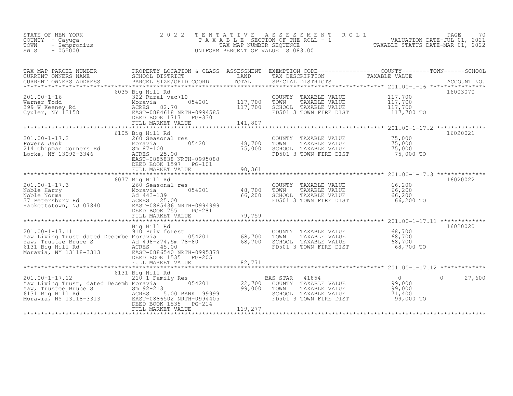| STATE OF NEW YORK<br>COUNTY – Cayuga<br>TOWN<br>- Sempronius | 2022 TENTATIVE ASSESSMENT ROLL<br>TAXABLE SECTION OF THE ROLL - 1<br>TAX MAP NUMBER SEOUENCE | 70<br>PAGE<br>VALUATION DATE-JUL 01, 2021<br>TAXABLE STATUS DATE-MAR 01, 2022 |
|--------------------------------------------------------------|----------------------------------------------------------------------------------------------|-------------------------------------------------------------------------------|
| $-055000$<br>SWIS                                            | UNIFORM PERCENT OF VALUE IS 083.00                                                           |                                                                               |

| TAX MAP PARCEL NUMBER<br>CURRENT OWNERS NAME                                                                                                                                                                                                             | PROPERTY LOCATION & CLASS ASSESSMENT EXEMPTION CODE----------------COUNTY-------TOWN-----SCHOOL<br>SCHOOL DISTRICT | LAND    | TAX DESCRIPTION                                                                                                              | TAXABLE VALUE  |                    |
|----------------------------------------------------------------------------------------------------------------------------------------------------------------------------------------------------------------------------------------------------------|--------------------------------------------------------------------------------------------------------------------|---------|------------------------------------------------------------------------------------------------------------------------------|----------------|--------------------|
|                                                                                                                                                                                                                                                          |                                                                                                                    |         |                                                                                                                              |                |                    |
|                                                                                                                                                                                                                                                          |                                                                                                                    |         |                                                                                                                              |                | 16003070           |
|                                                                                                                                                                                                                                                          | 322 Rural vac>10<br>Moravia 62 10 054201 117,700                                                                   |         | COUNTY TAXABLE VALUE $117,700$<br>TOWN TAXABLE VALUE $117,700$<br>SCHOOL TAXABLE VALUE $117,700$                             |                |                    |
|                                                                                                                                                                                                                                                          |                                                                                                                    |         |                                                                                                                              |                |                    |
|                                                                                                                                                                                                                                                          |                                                                                                                    | 117,700 |                                                                                                                              |                |                    |
|                                                                                                                                                                                                                                                          |                                                                                                                    |         | TOWN TAAADDE VALUE<br>SCHOOL TAXABLE VALUE 117,700 TO                                                                        |                |                    |
|                                                                                                                                                                                                                                                          | FULL MARKET VALUE                                                                                                  | 141,807 |                                                                                                                              |                |                    |
|                                                                                                                                                                                                                                                          |                                                                                                                    |         |                                                                                                                              |                |                    |
|                                                                                                                                                                                                                                                          | 6105 Big Hill Rd<br>260 Seasonal res                                                                               |         |                                                                                                                              |                | 16020021           |
| 201.00-1-17.2<br>Powers Jack Moravia<br>214 Chipman Corners Rd Sm 87-100<br>Locke, NY 13092-3346 ACRES 25                                                                                                                                                | $054201$ 48,700 TOWN                                                                                               |         | COUNTY TAXABLE VALUE $75,000$<br>TOWN TAXABLE VALUE $75,000$<br>SCHOOL TAXABLE VALUE 75,000<br>FD501 3 TOWN FIRE DIST 75,000 |                |                    |
|                                                                                                                                                                                                                                                          |                                                                                                                    | 75,000  |                                                                                                                              |                |                    |
|                                                                                                                                                                                                                                                          | ACRES 25.00                                                                                                        |         |                                                                                                                              | 75,000 TO      |                    |
|                                                                                                                                                                                                                                                          | EAST-0885838 NRTH-0995088                                                                                          |         |                                                                                                                              |                |                    |
|                                                                                                                                                                                                                                                          | DEED BOOK 1597 PG-101                                                                                              |         |                                                                                                                              |                |                    |
|                                                                                                                                                                                                                                                          | FULL MARKET VALUE                                                                                                  | 90,361  |                                                                                                                              |                |                    |
|                                                                                                                                                                                                                                                          |                                                                                                                    |         |                                                                                                                              |                |                    |
|                                                                                                                                                                                                                                                          | 6077 Big Hill Rd                                                                                                   |         |                                                                                                                              |                | 16020022           |
|                                                                                                                                                                                                                                                          |                                                                                                                    |         |                                                                                                                              |                |                    |
|                                                                                                                                                                                                                                                          | 054201 48,700 TOWN                                                                                                 |         |                                                                                                                              |                |                    |
|                                                                                                                                                                                                                                                          |                                                                                                                    | 66,200  |                                                                                                                              |                |                    |
|                                                                                                                                                                                                                                                          |                                                                                                                    |         |                                                                                                                              | 66,200 TO      |                    |
| 201.00-1-17.3<br>Noble Harry<br>Noble Norma<br>37 Petersburg Rd<br>Hackettstown, NJ 07840<br>ACRES 25.00<br>Hackettstown, NJ 07840<br>REAG PO854396<br>Hackettstown, NJ 07840<br>PERS 25.00<br>REAG PO854396<br>PERS 25.00<br>PERS 25.00<br>PERS PO85439 | DEED BOOK 755<br>PG-281                                                                                            |         |                                                                                                                              |                |                    |
|                                                                                                                                                                                                                                                          | FULL MARKET VALUE                                                                                                  | 79,759  |                                                                                                                              |                |                    |
|                                                                                                                                                                                                                                                          |                                                                                                                    |         |                                                                                                                              |                |                    |
|                                                                                                                                                                                                                                                          | Big Hill Rd                                                                                                        |         |                                                                                                                              |                | 16020020           |
| $201.00 - 1 - 17.11$                                                                                                                                                                                                                                     | 910 Priv forest<br>910 Priv forest                                                                                 |         |                                                                                                                              |                |                    |
| Yaw Living Trust dated Decembe Moravia                                                                                                                                                                                                                   | 054201 68,700 TOWN                                                                                                 |         |                                                                                                                              |                |                    |
|                                                                                                                                                                                                                                                          |                                                                                                                    |         |                                                                                                                              |                |                    |
| Yaw, Trustee Bruce S<br>68,700<br>6131 Big Hill Rd<br>Moravia, NY 13118-3313<br>Moravia, NY 13118-3313<br>EAST-0886540 NRTH-0995378                                                                                                                      |                                                                                                                    |         | COUNTY TAXABLE VALUE 68,700<br>TOWN TAXABLE VALUE 68,700<br>SCHOOL TAXABLE VALUE 68,700<br>FD501 3 TOWN FIRE DIST 68,700     | 68,700 TO      |                    |
|                                                                                                                                                                                                                                                          |                                                                                                                    |         |                                                                                                                              |                |                    |
|                                                                                                                                                                                                                                                          | DEED BOOK 1535 PG-205                                                                                              |         |                                                                                                                              |                |                    |
|                                                                                                                                                                                                                                                          |                                                                                                                    |         |                                                                                                                              |                |                    |
|                                                                                                                                                                                                                                                          | 6131 Big Hill Rd                                                                                                   |         |                                                                                                                              |                |                    |
| $201.00 - 1 - 17.12$                                                                                                                                                                                                                                     | Big Hill Rd<br>210 1 Family Res                                                                                    |         | BAS STAR 41854                                                                                                               | $\overline{0}$ | $\Omega$<br>27,600 |
| Yaw Living Trust, dated Decemb Moravia                                                                                                                                                                                                                   |                                                                                                                    |         |                                                                                                                              |                |                    |
|                                                                                                                                                                                                                                                          |                                                                                                                    |         |                                                                                                                              |                |                    |
|                                                                                                                                                                                                                                                          |                                                                                                                    |         |                                                                                                                              |                |                    |
| xaw, Trustee Bruce S<br>6131 Big Hill Rd<br>Moravia, NY 13118-3313<br>Moravia, NY 13118-3313<br>Moravia, NY 13118-3313<br>Moravia, NY 13118-3313<br>Moravia, NY 13118-3313<br>Moravia, NY 13118-3313                                                     |                                                                                                                    |         |                                                                                                                              |                |                    |
|                                                                                                                                                                                                                                                          | DEED BOOK 1535 PG-214                                                                                              |         |                                                                                                                              |                |                    |
|                                                                                                                                                                                                                                                          |                                                                                                                    |         |                                                                                                                              |                |                    |
|                                                                                                                                                                                                                                                          |                                                                                                                    |         |                                                                                                                              |                |                    |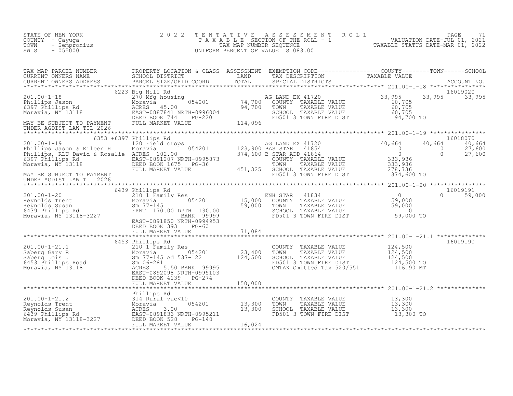| STATE OF NEW YORK<br>COUNTY - Cayuga<br>- Sempronius<br>TOWN<br>$-055000$<br>SWIS                                                                                                                                                        | 2 0 2 2                                         |  |                           |
|------------------------------------------------------------------------------------------------------------------------------------------------------------------------------------------------------------------------------------------|-------------------------------------------------|--|---------------------------|
|                                                                                                                                                                                                                                          |                                                 |  |                           |
|                                                                                                                                                                                                                                          |                                                 |  | 16019020<br>33,995 33,995 |
| 16018070<br>201.00-1-19 6353 +6397 Phillips Rd<br>201.00-1-19 6353 +6397 Phillips Rd<br>20 Field crops 120,900 BASSINAR 41720<br>27,600 BEED BOOK 1675 PG-36 700 PHILIPS Jason & Eleen H Moravia & Rosalie ACRES<br>27,600 BEED BOOK 167 |                                                 |  |                           |
|                                                                                                                                                                                                                                          | DEED BOOK 393 PG-60<br>FULL MARKET VALUE 71,084 |  | 16019191<br>0 59,000      |
|                                                                                                                                                                                                                                          |                                                 |  |                           |
|                                                                                                                                                                                                                                          |                                                 |  |                           |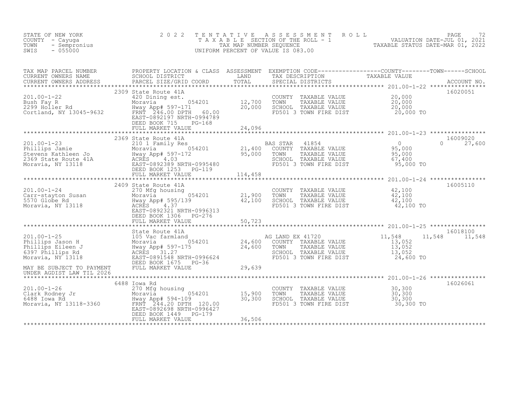| STATE OF NEW YORK<br>COUNTY - Cayuga<br>- Sempronius<br>TOWN<br>$-055000$<br>SWIS                                                                                                                                                                                                                                                                                                          | 2 0 2 2                                                                                               |                            |  | TENTATIVE ASSESSMENT ROLL PAGE 72<br>TAXABLE SECTION OF THE ROLL - 1 VALUATION DATE-JUL 01, 2021<br>TAX MAP NUMBER SEQUENCE TAXABLE STATUS DATE-MAR 01, 2022<br>UNIFORM PERCENT OF VALUE IS 083.00 |                           |
|--------------------------------------------------------------------------------------------------------------------------------------------------------------------------------------------------------------------------------------------------------------------------------------------------------------------------------------------------------------------------------------------|-------------------------------------------------------------------------------------------------------|----------------------------|--|----------------------------------------------------------------------------------------------------------------------------------------------------------------------------------------------------|---------------------------|
| TAX MAP PARCEL NUMBER PROPERTY LOCATION & CLASS ASSESSMENT EXEMPTION CODE-----------------COUNTY--------TOWN------SCHOOL CURRENT OWNERS NAME SCHOOL DISTRICT LAND TAX DESCRIPTION TAXABLE VALUE<br>CURRENT OWNERS ADDRESS PARCEL                                                                                                                                                           |                                                                                                       |                            |  |                                                                                                                                                                                                    |                           |
| 201.00-1-22<br>Bush Fay R<br>2299 Holler Rd<br>Cortland, NY 13045-9632<br>Cortland, NY 13045-9632<br>EAST-0892197 NRTH-0994789                                                                                                                                                                                                                                                             | 2309 State Route 41A<br>EAST-0892197 NRTH-0994789<br>DEED BOOK 715 PG-168<br>FULL MARKET VALUE 24,096 |                            |  | COUNTY TAXABLE VALUE $20,000$<br>TOWN TAXABLE VALUE $20,000$<br>SCHOOL TAXABLE VALUE $20,000$<br>FD501 3 TOWN FIRE DIST $20,000$ TO                                                                | 16020051                  |
|                                                                                                                                                                                                                                                                                                                                                                                            |                                                                                                       |                            |  |                                                                                                                                                                                                    |                           |
|                                                                                                                                                                                                                                                                                                                                                                                            | 2369 State Route 41A                                                                                  |                            |  |                                                                                                                                                                                                    | 16009020                  |
|                                                                                                                                                                                                                                                                                                                                                                                            | FULL MARKET VALUE 114,458                                                                             |                            |  |                                                                                                                                                                                                    |                           |
| $\begin{array}{llllll} 201.00-1-24 & & & 2409 \text{ State Route 41A} & & & & 270 \text{ Mg} \text{ house 41B} & & & & 270 \text{ Mg} \text{ housing} & & & & 054201 & & & 21,900 \text{ Jg} \text{Gor} \text{Globe Rd} & & & \text{Hway App# } 595/139 & & & 42,100 \text{ Moravia}, & \text{NY 13118} & & & \text{EASES} & 4.37 & & \text{ERTH-0996313} & & \text{DEED BOOK 1306} & & \$ | 2409 State Route 41A<br>DEED BOOK 1306 PG-276                                                         |                            |  | COUNTY TAXABLE VALUE 42,100<br>TOWN TAXABLE VALUE 42,100<br>SCHOOL TAXABLE VALUE 42,100<br>SCHOOL TAXABLE VALUE 42,100<br>FD501 3 TOWN FIRE DIST 42,100 TO                                         | 16005110                  |
|                                                                                                                                                                                                                                                                                                                                                                                            | FULL MARKET VALUE                                                                                     | 50,723<br>**************** |  |                                                                                                                                                                                                    |                           |
| 201.00-1-25<br>Phillips Jason H 105 Vac farmland<br>Moravia, NY 13118<br>Moravia, NY 13118<br>Moravia, NY 13118<br>Moravia, NY 13118<br>Moravia, NY 13118<br>Moravia, NY 13118<br>Moravia, NY 13118<br>Moravia, NY 13118<br>Moravia, NY 13118<br>Mor                                                                                                                                       | State Route 41A<br>DEED BOOK 1675 PG-36                                                               | 29,639                     |  | 11,548<br>COUNTY TAXABLE VALUE<br>TOWN TAXABLE VALUE 13,052<br>SCHOOL TAXABLE VALUE 13,052<br>FD501 3 TOWN FIRE DIST 24,600 TO                                                                     | 16018100<br>11,548 11,548 |
| MAY BE SUBJECT TO PAYMENT<br>UNDER AGDIST LAW TIL 2026                                                                                                                                                                                                                                                                                                                                     | FULL MARKET VALUE                                                                                     |                            |  |                                                                                                                                                                                                    |                           |
|                                                                                                                                                                                                                                                                                                                                                                                            | 6488 Iowa Rd                                                                                          |                            |  |                                                                                                                                                                                                    | 16026061                  |
| 201.00-1-26<br>Clark Rodney Jr 270 Mfg housing<br>6488 Iowa Rd Hway App# 594-109 30,300<br>Moravia, NY 13118-3360 ERST-0892698 NRTH-0996427                                                                                                                                                                                                                                                | EAST-0892698 NRTH-0996427<br>DEED BOOK 1449 PG-179                                                    |                            |  | COUNTY TAXABLE VALUE $30,300$<br>TOWN TAXABLE VALUE $30,300$<br>SCHOOL TAXABLE VALUE $30,300$<br>FD501 3 TOWN FIRE DIST $30,300$ TO                                                                |                           |
|                                                                                                                                                                                                                                                                                                                                                                                            | FULL MARKET VALUE                                                                                     | 36,506                     |  |                                                                                                                                                                                                    |                           |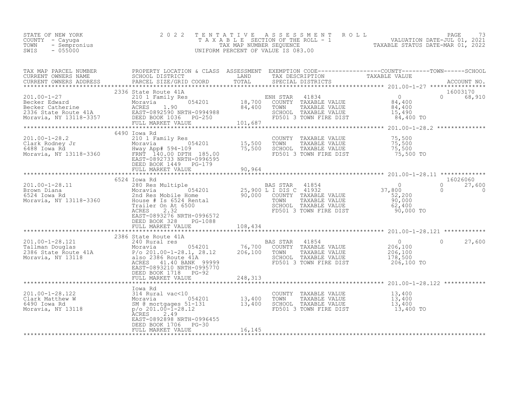| TAX MAP PARCEL NUMBER                                                                                                                                                                                                                                                                                                                                                                                    | PROPERTY LOCATION & CLASS ASSESSMENT EXEMPTION CODE-----------------COUNTY-------TOWN------SCHOOL |        |            |                       |                     |
|----------------------------------------------------------------------------------------------------------------------------------------------------------------------------------------------------------------------------------------------------------------------------------------------------------------------------------------------------------------------------------------------------------|---------------------------------------------------------------------------------------------------|--------|------------|-----------------------|---------------------|
|                                                                                                                                                                                                                                                                                                                                                                                                          |                                                                                                   |        |            |                       |                     |
| $\begin{array}{cccccccc} 201.00-1-27 & 2336 \text{ State Route 41A} & 210 & 210 & 0 & 68,910 \\ \text{Becker Edward} & 210 & 210 & 1 & 1 & 0 & 68,910 \\ \text{Becker Catherine} & \text{ACRES} & 1.90 & 21 & 84,400 & \text{TONN} & \text{TXABLE VALUE} & 84,400 \\ \text{2336 State Route 41A} & \text{EARES} & 1.90 & 84,400 & \text{TONN} & \text{TXABLE VALUE} & 84,400 \\ \text{2336 State Route $ | 2336 State Route 41A                                                                              |        |            | 16003170              |                     |
|                                                                                                                                                                                                                                                                                                                                                                                                          | 6490 Iowa Rd                                                                                      |        |            |                       |                     |
|                                                                                                                                                                                                                                                                                                                                                                                                          | DEED BOOK 1449 PG-179                                                                             |        |            |                       |                     |
|                                                                                                                                                                                                                                                                                                                                                                                                          |                                                                                                   |        |            |                       |                     |
|                                                                                                                                                                                                                                                                                                                                                                                                          | 6524 Iowa Rd                                                                                      |        |            | 16026060              |                     |
| 100-1-28.11 6524 Iowa Rd<br>280 Res Multiple 25,900 L I DIS C 41932 37,800<br>27,800 Moravia, NY 13118-3360 Moravia 25,900 Moravia 2010 11<br>25,900 L I DIS C 41932 37,800<br>25,900 L I DIS C 41932 37,800<br>25,900 L I DIS C 41932 3                                                                                                                                                                 | EAST-0893276 NRTH-0996572<br>DEED BOOK 328 PG-1088                                                |        |            | $\Omega$<br>$\bigcap$ | 27,600<br>$\bigcap$ |
|                                                                                                                                                                                                                                                                                                                                                                                                          | FULL MARKET VALUE 108,434                                                                         |        |            |                       |                     |
|                                                                                                                                                                                                                                                                                                                                                                                                          |                                                                                                   |        |            |                       |                     |
| 201.00-1-28.121 2386 State Route 41A<br>2486 State Route 41A<br>2486 State Route 41A<br>206,100 201.00-1-28.1, 28.12 206,100 TOWNT TAXABLE VALUE<br>206,100 201.00-1-28.1, 28.12 206,100 TOWN TAXABLE VALUE 206,100<br>206,100 201.00-1-                                                                                                                                                                 | 2386 State Route 41A<br>EAST-0893210 NRTH-0995770<br>DEED BOOK 1718 PG-92                         |        | 206,100 TO | $\circ$               | 27,600              |
|                                                                                                                                                                                                                                                                                                                                                                                                          |                                                                                                   |        |            |                       |                     |
|                                                                                                                                                                                                                                                                                                                                                                                                          |                                                                                                   |        |            |                       |                     |
|                                                                                                                                                                                                                                                                                                                                                                                                          | EAST-0892898 NRTH-0996455<br>DEED BOOK 1706 PG-30                                                 |        |            |                       |                     |
|                                                                                                                                                                                                                                                                                                                                                                                                          | FULL MARKET VALUE                                                                                 | 16,145 |            |                       |                     |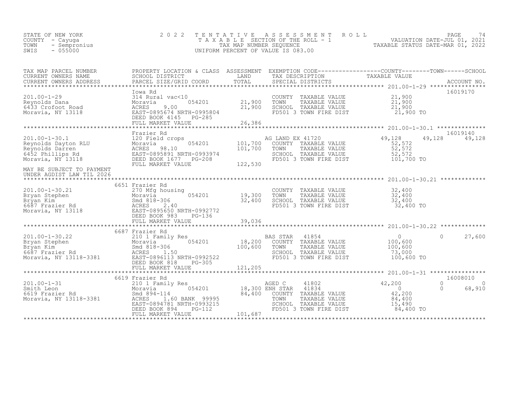| STATE OF NEW YORK<br>COUNTY – Cayuga<br>TOWN<br>- Sempronius<br>SWIS<br>$-055000$ | 2022 TENTATIVE ASSESSMENT ROLL<br>TAXABLE SECTION OF THE ROLL - 1<br>TAX MAP NUMBER SEOUENCE<br>UNIFORM PERCENT OF VALUE IS 083.00 | TAXABLE STATUS DATE-MAR 01, 2022 | PAGE<br>VALUATION DATE-JUL 01, 2021 |  |
|-----------------------------------------------------------------------------------|------------------------------------------------------------------------------------------------------------------------------------|----------------------------------|-------------------------------------|--|
|                                                                                   |                                                                                                                                    |                                  |                                     |  |

| TAX MAP PARCEL NUMBER<br>CURRENT OWNERS NAME                                                                                                                                                                                                   | PROPERTY LOCATION & CLASS ASSESSMENT EXEMPTION CODE----------------COUNTY-------TOWN-----SCHOOL<br>SCHOOL DISTRICT | LAND    | TAX DESCRIPTION                                                                                                                                                      | TAXABLE VALUE                                                       |                                                        |
|------------------------------------------------------------------------------------------------------------------------------------------------------------------------------------------------------------------------------------------------|--------------------------------------------------------------------------------------------------------------------|---------|----------------------------------------------------------------------------------------------------------------------------------------------------------------------|---------------------------------------------------------------------|--------------------------------------------------------|
| CURRENT OWNERS ADDRESS PAR                                                                                                                                                                                                                     |                                                                                                                    |         |                                                                                                                                                                      |                                                                     |                                                        |
|                                                                                                                                                                                                                                                | Iowa Rd                                                                                                            | 21,900  | COUNTY TAXABLE VALUE 21,900<br>TOWN<br>TAXABLE VALUE<br>FD501 3 TOWN FIRE DIST                                                                                       | 21,900<br>21,900 TO                                                 | 16019170                                               |
|                                                                                                                                                                                                                                                | FULL MARKET VALUE                                                                                                  | 26,386  |                                                                                                                                                                      |                                                                     |                                                        |
|                                                                                                                                                                                                                                                |                                                                                                                    |         |                                                                                                                                                                      |                                                                     | 16019140                                               |
| 101.00-1-30.1<br>Reynolds Dayton RLU 120 Field crops<br>Reynolds Dayton RLU 101,700<br>Reynolds Darren ACRES 98.10<br>6452 Phillips Rd EAST-0895891 NRTH-0993974<br>Moravia, NY 13118<br>Moravia, NY 13118<br>Moravia, NY 13118<br>PEED BOOK 1 | FULL MARKET VALUE                                                                                                  | 122,530 | AG LAND EX 41720<br>COUNTY TAXABLE VALUE 52,572<br>TOWN TAXABLE VALUE 52,572<br>SCHOOL TAXABLE VALUE 52,572<br>SCHOOL TAXABLE VALUE 52,572<br>FD501 3 TOWN FIRE DIST | $52,572$<br>52,572<br>52, 572<br>101,700 TO                         | 49,128<br>49,128                                       |
| MAY BE SUBJECT TO PAYMENT<br>UNDER AGDIST LAW TIL 2026                                                                                                                                                                                         |                                                                                                                    |         |                                                                                                                                                                      |                                                                     |                                                        |
| 201.00-1-30.21<br>Bryan Stephen Moravia 054201<br>Bryan Kim Smd 818-306 32,400<br>6687 Frazier Rd ACRES 2.40<br>Moravia, NY 13118<br>EAST-0895650 NRTH-0992772<br>DEED BOOK 983<br>DEED BOOK 983<br>DEED BOOK 983<br>PG-136<br>29.036          | 6651 Frazier Rd                                                                                                    | 32,400  | COUNTY TAXABLE VALUE<br>TOWN<br>TAXABLE VALUE<br>SCHOOL TAXABLE VALUE<br>FD501 3 TOWN FIRE DIST                                                                      | 32,400<br>32,400<br>32,400<br>32,400 TO                             |                                                        |
|                                                                                                                                                                                                                                                | 6687 Frazier Rd                                                                                                    |         |                                                                                                                                                                      |                                                                     |                                                        |
| 201.00-1-30.22<br>Bryan Stephen 210 1 Family Res<br>Bryan Kim Moravia 518-306<br>6687 Frazier Rd ACRES 1.50<br>Moravia, NY 13118-3381<br>201.00-1-30.22<br>EAST-0896113 NRTH-0992522                                                           | DEED BOOK 818<br>$PG-305$                                                                                          |         | BAS STAR 41854<br>18,200 COUNTY TAXABLE VALUE<br>100,600 TOWN TAXABLE VALUE<br>SCHOOL TAXABLE VALUE<br>FD501 3 TOWN FIRE DIST                                        | $\overline{0}$<br>100,600<br>100,600<br>73,000<br>100,600 TO        | $\Omega$<br>27,600                                     |
|                                                                                                                                                                                                                                                |                                                                                                                    |         |                                                                                                                                                                      |                                                                     |                                                        |
| 201.00-1-31 201.00-1-31 201.00-1-31 201.00-1-31 201.00-1-31 201.00-1-31 201.00-1-31 201.00-1-31 201.000-1-31 201.000-1-31 201.000-1-31 201.000-1-31 201.000-1-31 201.000-1-31 201.000-1-31 201.000-1-31 201.000-1-31 201.000-1                 | 6619 Frazier Rd<br>EAST-0894781 NRTH-0993215<br>DEED BOOK 894<br>PG-112<br>FULL MARKET VALUE                       | 101,687 | 84,400 COUNTY TAXABLE VALUE<br>TAXABLE VALUE<br>SCHOOL TAXABLE VALUE<br>FD501 3 TOWN FIRE DIST                                                                       | 42,200<br>$\overline{0}$<br>42,200<br>84,400<br>15,490<br>84,400 TO | 16008010<br>$\Omega$<br>$\Omega$<br>$\Omega$<br>68,910 |
|                                                                                                                                                                                                                                                |                                                                                                                    |         |                                                                                                                                                                      |                                                                     |                                                        |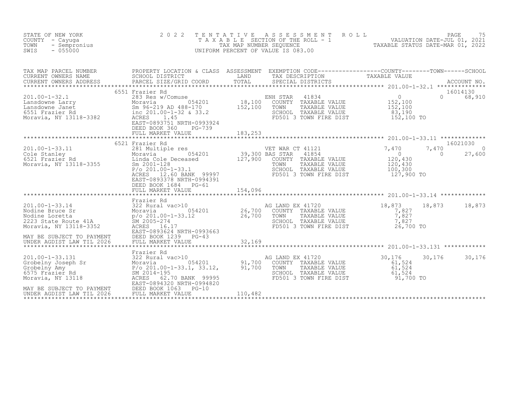| STATE OF NEW YORK<br>COUNTY - Cayuga<br>TOWN<br>- Sempronius<br>$-055000$<br>SWIS                                                                                                                                            | 2 0 2 2<br>TAXABLE                                                                                                                                                                                                               | TENTATIVE<br>TAX MAP NUMBER SEQUENCE  | A S S E S S M E N T<br>UNIFORM PERCENT OF VALUE IS 083.00                | ROLL                                                                     | PAGE 75<br>NUMBER OLL - 1 VALUATION DATE-JUL 01, 2021<br>NUMBER SEQUENCE 7: TAXABLE STATUS DATE-MAR 01. 2022 |                   | PAGE<br>75                     |
|------------------------------------------------------------------------------------------------------------------------------------------------------------------------------------------------------------------------------|----------------------------------------------------------------------------------------------------------------------------------------------------------------------------------------------------------------------------------|---------------------------------------|--------------------------------------------------------------------------|--------------------------------------------------------------------------|--------------------------------------------------------------------------------------------------------------|-------------------|--------------------------------|
| TAX MAP PARCEL NUMBER<br>CURRENT OWNERS NAME<br>CURRENT OWNERS ADDRESS<br>**************************************                                                                                                             | PROPERTY LOCATION & CLASS ASSESSMENT EXEMPTION CODE-----------------COUNTY--------TOWN------SCHOOL<br>SCHOOL DISTRICT<br>PARCEL SIZE/GRID COORD                                                                                  | LAND<br>$_{\tt TOTAL}$                | TAX DESCRIPTION<br>SPECIAL DISTRICTS                                     |                                                                          | TAXABLE VALUE                                                                                                |                   | ACCOUNT NO.                    |
| $201.00 - 1 - 32.1$<br>Analyon Correspondence Correspondence Correspondence Correspondence CASS1 Fraction CASS1 Fraction CORP (CORPS)<br>Moravia CASS1 Fraction Rd (CORP) 10 100-1-32 & 33.2<br>Moravia, NY 13118-3382 ACRES | 6551 Frazier Rd<br>283 Res w/Comuse<br>054201<br>Sm 96-219 AD 488-170<br>EAST-0893751 NRTH-0993924<br>DEED BOOK 360<br>PG-739<br>FULL MARKET VALUE                                                                               | 18,100<br>152,100<br>183,253          | ENH STAR<br>TOWN<br>SCHOOL TAXABLE VALUE                                 | 41834<br>COUNTY TAXABLE VALUE<br>TAXABLE VALUE<br>FD501 3 TOWN FIRE DIST | $\overline{0}$<br>152,100<br>152,100<br>83,190<br>152,100 TO                                                 | $\Omega$          | 16014130<br>68,910             |
|                                                                                                                                                                                                                              |                                                                                                                                                                                                                                  |                                       |                                                                          |                                                                          |                                                                                                              |                   |                                |
| $201.00 - 1 - 33.11$<br>6521 Frazier Rd<br>Moravia, NY 13118-3355                                                                                                                                                            | 6521 Frazier Rd<br>281 Multiple res<br>054201<br>Moravia<br>Linda Cole Deceased<br>Sm 2001-128<br>$P/O 201.00 - 1 - 33.1$<br>ACRES 12.60 BANK 99997<br>EAST-0893378 NRTH-0994391<br>DEED BOOK 1684<br>PG-61<br>FULL MARKET VALUE | 39,300 BAS STAR<br>127,900<br>154,096 | VET WAR CT 41121<br>COUNTY TAXABLE VALUE<br>TOWN<br>SCHOOL TAXABLE VALUE | 41854<br>TAXABLE VALUE<br>FD501 3 TOWN FIRE DIST                         | 7,470<br>$\overline{0}$<br>120,430<br>120,430<br>100,300<br>127,900 TO                                       | 7,470<br>$\Omega$ | 16021030<br>$\Omega$<br>27,600 |
|                                                                                                                                                                                                                              |                                                                                                                                                                                                                                  | ***********                           |                                                                          |                                                                          |                                                                                                              |                   |                                |
| $201.00 - 1 - 33.14$<br>Nodine Bruce Sr<br>Nodine Loretta<br>2223 State Route 41A<br>Moravia, NY 13118-3352                                                                                                                  | Frazier Rd<br>322 Rural vac>10<br>054201<br>Moravia<br>$p$ /o 201.00-1-33.12 26,700<br>SM 2005-274<br>ACRES<br>16.17<br>EAST-0893624 NRTH-0993663                                                                                | 26,700                                | AG LAND EX 41720<br>COUNTY TAXABLE VALUE<br>TOWN<br>SCHOOL TAXABLE VALUE | TAXABLE VALUE<br>FD501 3 TOWN FIRE DIST                                  | 18,873<br>7,827<br>7,827<br>7,827<br>26,700 TO                                                               | 18,873            | 18,873                         |
| MAY BE SUBJECT TO PAYMENT<br>UNDER AGDIST LAW TIL 2026                                                                                                                                                                       | DEED BOOK 1239<br>$PG-43$<br>FULL MARKET VALUE                                                                                                                                                                                   | 32,169                                |                                                                          |                                                                          |                                                                                                              |                   |                                |
| $201.00 - 1 - 33.131$<br>Grobelny Joseph Sr<br>Grobelny Amy<br>6575 Frazier Rd<br>Moravia, NY 13118<br>MAY BE SUBJECT TO PAYMENT                                                                                             | Frazier Rd<br>322 Rural vac>10<br>054201<br>ACRES<br>62.70 BANK 99995<br>EAST-0894320 NRTH-0994820<br>DEED BOOK 1063<br>$PG-10$                                                                                                  | 91,700<br>91,700                      | AG LAND EX 41720<br>COUNTY TAXABLE VALUE<br>TOWN<br>SCHOOL TAXABLE VALUE | TAXABLE VALUE<br>FD501 3 TOWN FIRE DIST                                  | 30,176<br>61,524<br>61,524<br>61,524<br>91,700 TO                                                            | 30,176            | 30,176                         |
| UNDER AGDIST LAW TIL 2026                                                                                                                                                                                                    | FULL MARKET VALUE                                                                                                                                                                                                                | 110,482                               |                                                                          |                                                                          |                                                                                                              |                   |                                |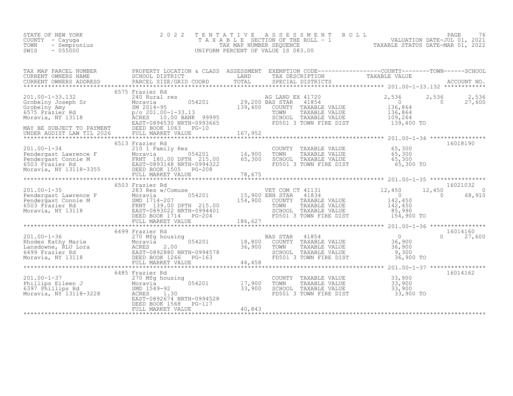| STATE OF NEW YORK |              | 2022 TENTATIVE ASSESSMENT ROLL |                                    |  |                                  | PAGE                        |  |
|-------------------|--------------|--------------------------------|------------------------------------|--|----------------------------------|-----------------------------|--|
| COUNTY - Cayuga   |              |                                | TAXABLE SECTION OF THE ROLL - 1    |  |                                  | VALUATION DATE-JUL 01, 2021 |  |
| TOWN              | - Sempronius |                                | TAX MAP NUMBER SEOUENCE            |  | TAXABLE STATUS DATE-MAR 01, 2022 |                             |  |
| SWIS<br>$-055000$ |              |                                | UNIFORM PERCENT OF VALUE IS 083.00 |  |                                  |                             |  |
|                   |              |                                |                                    |  |                                  |                             |  |

| TAX MAP PARCEL NUMBER<br>A MARY PARCES SCHOOL DISTRICT<br>CURRENT OWNERS ADDRESS BARCEL SIZE/GRID COORD TOTAL SPECIAL DISTRICTS ACCOUNT NO.<br>CURRENT OWNERS ADDRESS PARCEL SIZE/GRID COORD TOTAL SPECIAL DISTRICTS ACCOUNT NO.<br>****************************                                                                                                                              | PROPERTY LOCATION & CLASS ASSESSMENT EXEMPTION CODE----------------COUNTY-------TOWN-----SCHOOL |                                                                                                                                                                           |           |                           |
|-----------------------------------------------------------------------------------------------------------------------------------------------------------------------------------------------------------------------------------------------------------------------------------------------------------------------------------------------------------------------------------------------|-------------------------------------------------------------------------------------------------|---------------------------------------------------------------------------------------------------------------------------------------------------------------------------|-----------|---------------------------|
|                                                                                                                                                                                                                                                                                                                                                                                               |                                                                                                 |                                                                                                                                                                           |           |                           |
|                                                                                                                                                                                                                                                                                                                                                                                               | 6575 Frazier Rd                                                                                 |                                                                                                                                                                           |           |                           |
| 1001-0-1-34<br>Pendergast Lawrence F 210 1 Family Res<br>Pendergast Connie M FRNT 180.00 DPTH 215.00 65,300 SCHOOL TAXABLE VALUE 65,300<br>FRNT 180.00 DPTH 215.00 65,300 SCHOOL TAXABLE VALUE 65,300<br>FOSO Frazier Rd<br>Moravia, NY                                                                                                                                                       | 6513 Frazier Rd                                                                                 | COUNTY TAXABLE VALUE 65,300<br>TOWN TAXABLE VALUE 65,300<br>SCHOOL TAXABLE VALUE 65,300<br>FD501 3 TOWN FIRE DIST 65,300 TO                                               |           | 16018190                  |
| $\begin{tabular}{lllllllllllllllllllll} \hline & & & & & & & & & 16021032 \\ 201.00-1-35 && 283\text{ Res} \; \text{WComuse} & & & & & & 15,900\text{ ENR STAR} & 41834 && 0 \\ \hline \text{Pendergast Lawrence F} && 283\text{ Res} \; \text{WDM} & & & & & & 15,900\text{ ENR STAR} & 41834 && 0 & 0 \\ \text{Pendergast Comnie M} && SMD 1714-207 && 15,900\text{ ENR STAR} & 41834 && 0$ | 6503 Frazier Rd                                                                                 |                                                                                                                                                                           |           | 16021032                  |
|                                                                                                                                                                                                                                                                                                                                                                                               | 6499 Frazier Rd                                                                                 |                                                                                                                                                                           |           | 16014160<br>$0 \t 27,600$ |
|                                                                                                                                                                                                                                                                                                                                                                                               | EAST-0892674 NRTH-0994528<br>DEED BOOK 1568 PG-117                                              | sing<br>054201 17,900 TOWN TAXABLE VALUE 33,900<br>33,900 SCHOOL TAXABLE VALUE 33,900<br>30 FD501 3 TOWN FIRE DIST 33,900<br>4 NRTH-0994528 FD501 3 TOWN FIRE DIST 33,900 | 33,900 TO | 16014162                  |
|                                                                                                                                                                                                                                                                                                                                                                                               |                                                                                                 |                                                                                                                                                                           |           |                           |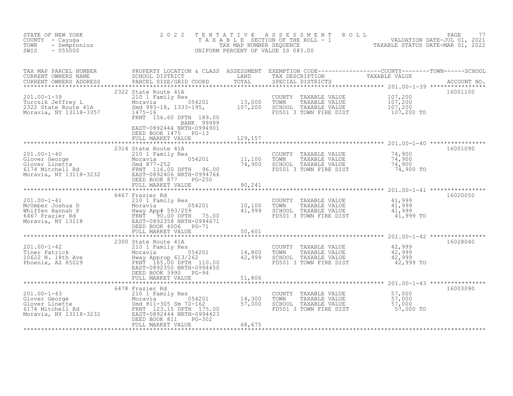| STATE OF NEW YORK<br>COUNTY - Cayuga<br>- Sempronius<br>TOWN<br>$-055000$<br>SWIS                                                                                                                                                                  | 2 0 2 2                                                           | TENTATIVE | TAXABLE SECTION OF THE ROLL - 1<br>TAXAB NUMBER SEQUENCE THE ROLL - 1<br>TAXABLE STATUS DATE-MAR 01, 2021<br>JNIFORM PERCENT OF VALUE IS 083.00<br>UNIFORM PERCENT OF VALUE IS 083.00                                                                                                                                                                                                                                   |                                      |          |
|----------------------------------------------------------------------------------------------------------------------------------------------------------------------------------------------------------------------------------------------------|-------------------------------------------------------------------|-----------|-------------------------------------------------------------------------------------------------------------------------------------------------------------------------------------------------------------------------------------------------------------------------------------------------------------------------------------------------------------------------------------------------------------------------|--------------------------------------|----------|
|                                                                                                                                                                                                                                                    | 2322 State Route 41A                                              |           |                                                                                                                                                                                                                                                                                                                                                                                                                         |                                      | 16001100 |
| 201.00-1-39<br>Turcsik Jeffrey L<br>210 1 Family Res<br>2322 State Route 41A<br>2322 State Route 41A<br>2322 State Route 41A<br>2322 State Route 41A<br>2322 State Route 41A<br>2322 State Route 41A<br>2322 State Route 41A<br>2322 State Route 4 | BANK 99999<br>EAST-0892444 NRTH-0994901<br>DEED BOOK 1475 PG-13   |           | COUNTY TAXABLE VALUE $107,200$<br>TOWN TAXABLE VALUE $107,200$<br>SCHOOL TAXABLE VALUE $107,200$<br>FD501 3 TOWN FIRE DIST $107,200$                                                                                                                                                                                                                                                                                    |                                      |          |
|                                                                                                                                                                                                                                                    |                                                                   |           |                                                                                                                                                                                                                                                                                                                                                                                                                         |                                      | 16001090 |
| 201.00-1-40<br>Glover George<br>Glover Linette Moravia (11,100<br>Show the Moravia (11,100<br>Moravia, NY 13118-3232<br>Moravia, NY 13118-3232<br>SHOW MORE (116.00 DPTH 96.00<br>EAST-0892406 NRTH-0994766<br>DEED BOOK 877<br>FIIT MADVET VALU   | 2314 State Route 41A<br>FULL MARKET VALUE                         | 90,241    | COUNTY TAXABLE VALUE $74,900$<br>TOWN TAXABLE VALUE 74,900<br>SCHOOL TAXABLE VALUE 74,900<br>FD501 3 TOWN FIRE DIST 74,900 TO                                                                                                                                                                                                                                                                                           |                                      |          |
|                                                                                                                                                                                                                                                    | 6467 Frazier Rd                                                   |           |                                                                                                                                                                                                                                                                                                                                                                                                                         |                                      | 16020050 |
|                                                                                                                                                                                                                                                    |                                                                   |           | COUNTY TAXABLE VALUE 41,999<br>TOWN TAXABLE VALUE 41,999<br>SCHOOL TAXABLE VALUE 44,999<br>FD501 3 TOWN FIRE DIST                                                                                                                                                                                                                                                                                                       | 41,999 TO                            |          |
|                                                                                                                                                                                                                                                    |                                                                   |           |                                                                                                                                                                                                                                                                                                                                                                                                                         |                                      |          |
| 201.00-1-42<br>Tiner Patrick 210 1 Family Res<br>Tiner Patrick 201.00-1-42<br>201.00-2 Noravia 054201<br>201.00-2 Noravia 054201<br>201.00-22 Noravia 93/262<br>201.00-2350 NRTH-0994450<br>202350 NRTH-0994450<br>202350 NRTH-0994450<br>EAST-0   | 2300 State Route 41A<br>DEED BOOK 3990 PG-94<br>FULL MARKET VALUE | 51,806    | COUNTY TAXABLE VALUE $\begin{array}{cccc} 42,999 \ \text{TOWN} & \text{TAXABLE VALUE} & 42,999 \ \text{SCHOOL} & \text{TAXABLE VALUE} & 42,999 \ \text{FD501} & 3 & \text{TOWN FIRE DIST} & 42,999 \ \text{FD501} & 3 & \text{TOWN FIRE DIST} & 42,999 \ \text{TO} & 3 & \text{TOWI FIRE DIST} & 3 & \text{TOWI FIRE DIST} & 3 & \text{TOWI FIRE DIST} & 3 & \text{TOWI FIRE DIST} & 3 & \text{TOWI FIRE DIST} & 3 & \$ |                                      | 16028040 |
|                                                                                                                                                                                                                                                    |                                                                   |           |                                                                                                                                                                                                                                                                                                                                                                                                                         |                                      |          |
| 201.00-1-43<br>Glover George<br>Glover Linette Moravia 210 1 Family Res<br>Moravia, NY 13118-3232<br>Character Moravia 211-305 Sm 72-162<br>FRNT 123.15 DPTH 175.00<br>EAST-0892444 NRTH-0994423<br>DEED BOOK 811 PG-302<br>FULL MARKET VALUE      | 6478 Frazier Rd                                                   |           | COUNTY TAXABLE VALUE $\begin{array}{ccc} 57,000 \ 70WN & TAXABLE VALUE & 57,000 \ SCHOOL & TAXABLE VALUE & 57,000 \  FD501 3 TOWN FIRE DIST & 57,000 TO \end{array}$                                                                                                                                                                                                                                                    | ************************************ | 16003090 |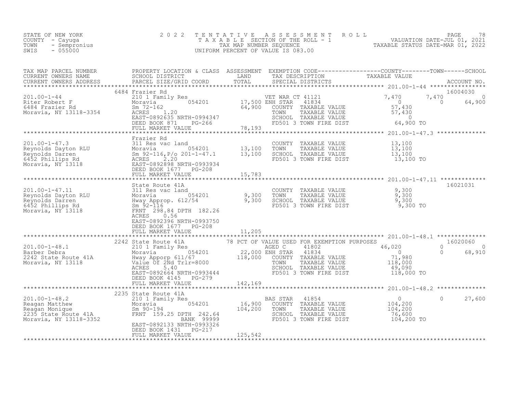| STATE OF NEW YORK<br>COUNTY - Cayuga<br>TOWN - Sempronius<br>SWIS<br>- 055000 | 2022 TENTATIVE ASSESSMENT ROLL<br>TAXABLE SECTION OF THE ROLL - 1<br>TAX MAP NUMBER SEOUENCE<br>UNIFORM PERCENT OF VALUE IS 083.00 |  | PAGE<br>VALUATION DATE-JUL 01, 2021<br>TAXABLE STATUS DATE-MAR 01, 2022 | 78 |
|-------------------------------------------------------------------------------|------------------------------------------------------------------------------------------------------------------------------------|--|-------------------------------------------------------------------------|----|
|-------------------------------------------------------------------------------|------------------------------------------------------------------------------------------------------------------------------------|--|-------------------------------------------------------------------------|----|

| Frazier Rd                                                              |         |  |          |
|-------------------------------------------------------------------------|---------|--|----------|
|                                                                         |         |  |          |
| EAST-0892396 NRTH-0993750<br>DEED BOOK 1677 PG-208<br>FULL MARKET VALUE | 11,205  |  | 16021031 |
|                                                                         |         |  |          |
| DEED BOOK 4145 PG-279                                                   |         |  |          |
|                                                                         |         |  |          |
| EAST-0892133 NRTH-0993326<br>DEED BOOK 1431    PG-217                   |         |  |          |
| FULL MARKET VALUE                                                       | 125,542 |  |          |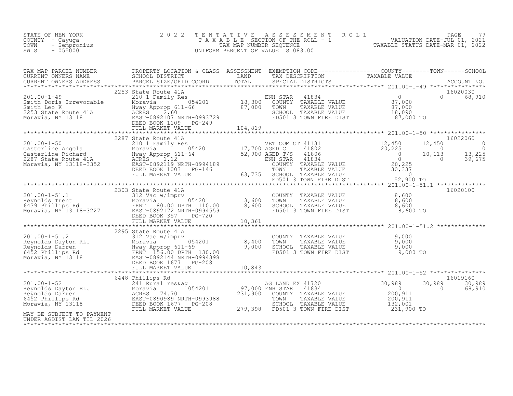| OF NEW YORK 202<br>1 - Cayuga 202<br>- Sempronius<br>- 055000<br>STATE OF NEW YORK<br>COUNTY - Cayuga<br>TOWN<br>SWIS                                                                                                                                                                                                                                                                                                                                           | 2 0 2 2              |  |  | TENTATIVE ASSESSMENT ROLL PAGE 79<br>TAXABLE SECTION OF THE ROLL - 1 VALUATION DATE-JUL 01, 2021<br>TAX MAP NUMBER SEQUENCE TAXABLE STATUS DATE-MAR 01, 2022<br>UNIFORM PERCENT OF VALUE IS 083.00 |
|-----------------------------------------------------------------------------------------------------------------------------------------------------------------------------------------------------------------------------------------------------------------------------------------------------------------------------------------------------------------------------------------------------------------------------------------------------------------|----------------------|--|--|----------------------------------------------------------------------------------------------------------------------------------------------------------------------------------------------------|
| $\begin{tabular}{l c c c c c} \texttt{TAX} \texttt{MAP} \texttt{PACEL} \texttt{ NUMBER} & \texttt{PROBERT toCATION 6 CLASS} \texttt{ASSESSMENT} & \texttt{EXEMENT ONNERS} & \texttt{TAXABLE VALUE} & \texttt{TAXABLE VALUE} & \texttt{TAXABLE VALUE} & \texttt{CURRENT ONNERS} & \texttt{SEDRENT ONNERS} & \texttt{RRCELI SITER1CT} & \texttt{TAXBLE VALUE} & \texttt{CUCRERNT ONNERS} & \texttt{ACCOUNT NO} & \texttt{LADR} & \texttt{RACEL SITER1CT} & \text$ |                      |  |  |                                                                                                                                                                                                    |
|                                                                                                                                                                                                                                                                                                                                                                                                                                                                 |                      |  |  |                                                                                                                                                                                                    |
| 16020100<br>2303 State Route 41A<br>2303 State Route 41A<br>2303 State Route 41A<br>2303 State Route 41A<br>2303 State Route 41A<br>2303 State Route 41A<br>2303 State Route 41A<br>2303 State Route 41A<br>2303 State Route 41A<br>2303 State Rou                                                                                                                                                                                                              |                      |  |  |                                                                                                                                                                                                    |
|                                                                                                                                                                                                                                                                                                                                                                                                                                                                 | 2295 State Route 41A |  |  |                                                                                                                                                                                                    |
| 301.00-1-52<br>201.00-1-52<br>241 Rural res&ag<br>Reynolds Dayton RLU<br>Moravia<br>231.900 COUNH STAR 41834<br>231.900 COUNT TAXABLE VALUE<br>200,911<br>231.900 COUNT TAXABLE VALUE<br>200,911<br>231.900 COUNT TAXABLE VALUE<br>200,911<br>200,911<br><br>MAY BE SUBJECT TO PAYMENT<br>UNDER AGDIST LAW TIL 2026                                                                                                                                             |                      |  |  |                                                                                                                                                                                                    |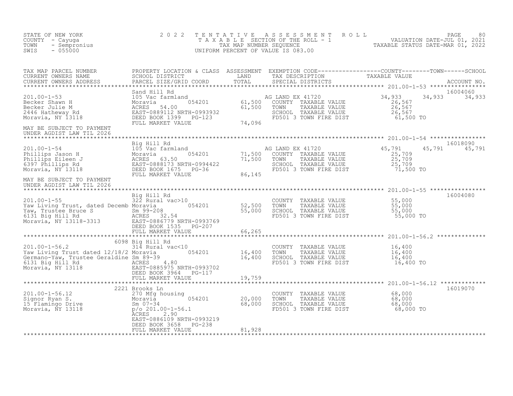| STATE OF NEW YORK<br>COUNTY - Cayuga<br>TOWN<br>- Sempronius<br>$-055000$<br>SWIS                                                                                                                                                                     | 2 0 2 2                                                                               | T E N T A T I V E | UNIFORM PERCENT OF VALUE IS 083.00                                                                                                  | PAGE 80<br>TAXABLE SECTION OF THE ROLL - 1 VALUATION DATE-JUL 01, 2021<br>TAX MAP NUMBER SEQUENCE TAXABLE STATUS DATE-MAR 01, 2022<br>NIFORM PERCENT OF VALUE IS 083.00 |
|-------------------------------------------------------------------------------------------------------------------------------------------------------------------------------------------------------------------------------------------------------|---------------------------------------------------------------------------------------|-------------------|-------------------------------------------------------------------------------------------------------------------------------------|-------------------------------------------------------------------------------------------------------------------------------------------------------------------------|
| TAX MAP PARCEL NUMBER                                                                                                                                                                                                                                 |                                                                                       |                   |                                                                                                                                     | PROPERTY LOCATION & CLASS ASSESSMENT EXEMPTION CODE-----------------COUNTY--------TOWN------SCHOOL SCHOOL DISTRICT LAND TAX DESCRIPTION TAXABLE VALUE ACCOUNT NO.       |
| 301.00-1-53<br>201.00-1-53<br>201.00-1-53<br>201.00-1-53<br>201.00-1-53<br>201.00-1-53<br>201.00-1-53<br>201.00-1-53<br>201.005<br>201.005<br>201.005<br>201.005<br>201.005<br>201.005<br>201.005<br>201.005<br>201.005<br>201.005<br>201.001<br>     | FULL MARKET VALUE                                                                     | 74,096            |                                                                                                                                     | 16004060<br>34,933 34,933                                                                                                                                               |
| MAY BE SUBJECT TO PAYMENT<br>UNDER AGDIST LAW TIL 2026                                                                                                                                                                                                |                                                                                       |                   |                                                                                                                                     |                                                                                                                                                                         |
| 201.00-1-54<br>Phillips Jason H 105 Vac farmland<br>Phillips Eileen J Moravia 054201 71,500<br>For Phillips Rd EAST-0888173 NRTH-0994422<br>Moravia, NY 13118 DEED BOOK 1675 PG-36<br>PHILL MARKET VALUE                                              |                                                                                       |                   | AG LAND EX 41720<br>COUNTY TAXABLE VALUE<br>TOWN TAXABLE VALUE<br>SCHOOL TAXABLE VALUE<br>FD501 3 TOWN FIRE DIST 71,500 TO          | 16018090<br>45,791<br>45,791 45,791<br>$\begin{array}{r} 25,709 \\ 25,709 \\ 25,709 \\ 25,709 \end{array}$                                                              |
| MAY BE SUBJECT TO PAYMENT<br>UNDER AGDIST LAW TIL 2026                                                                                                                                                                                                |                                                                                       | 86,145            |                                                                                                                                     |                                                                                                                                                                         |
| Xou.co-1-00<br>Yaw Living Trust, dated Decemb Moravia (954201 52,500<br>Yaw, Trustee Bruce S 5m 99-208 55,000<br>6131 Big Hill Rd ACRES 32.54<br>Moravia, NY 13118-3313 EAST-0886779 NRTH-0993769<br>DEED BOOK 1535 PG-207<br>************            | Big Hill Rd<br>$322$ Rural vac > 10                                                   |                   | COUNTY TAXABLE VALUE 55,000<br>TOWN TAXABLE VALUE 55,000<br>SCHOOL TAXABLE VALUE 55,000<br>FD501 3 TOWN FIRE DIST 55,000 TO         | 16004080                                                                                                                                                                |
|                                                                                                                                                                                                                                                       | *************************                                                             | ************      |                                                                                                                                     |                                                                                                                                                                         |
| $201.00 - 1 - 56.2$<br>Xaw Living Trust dated 12/18/2 Moravia (154201 16,400 Germano-Yaw Trustee Geraldine Sm 89-39 16,400 16,400 16,400 16,400 16,400 16,400 16,400 16,400 16,400 16,400 16,400 16,400 16,400 16,400 16,400 16,400 16,400 16,400 16, | 6098 Big Hill Rd<br>Big mill kd<br>314 Rural vac<10<br>DEED BOOK 3964 PG-117          |                   | COUNTY TAXABLE VALUE $16,400$<br>TOWN TAXABLE VALUE $16,400$<br>SCHOOL TAXABLE VALUE $16,400$<br>FD501 3 TOWN FIRE DIST $16,400$ TO |                                                                                                                                                                         |
|                                                                                                                                                                                                                                                       | FULL MARKET VALUE                                                                     | 19,759            |                                                                                                                                     |                                                                                                                                                                         |
| 201.00-1-56.12<br>Signor Ryan S.<br>15 Flamingo Drive<br>Moravia (1970 Mfg housing 054201 20,000<br>Sm 07-34<br>P/o 201.00-1-56.1 68,000<br>P/o 201.00-1-56.1 68,000                                                                                  | 2221 Brooks Ln<br>2.90<br>ACRES<br>EAST-0886109 NRTH-0993219<br>DEED BOOK 3658 PG-238 |                   | TOWN - ANAPAR VALUE 68,000<br>TOWN TAXABLE VALUE 68,000<br>SCHOOL TAXABLE VALUE 68,000<br>FD501 3 TOWN FIRE DIST 68,000             | 16019070<br>68,000 TO                                                                                                                                                   |
|                                                                                                                                                                                                                                                       | FULL MARKET VALUE                                                                     | 81,928            |                                                                                                                                     |                                                                                                                                                                         |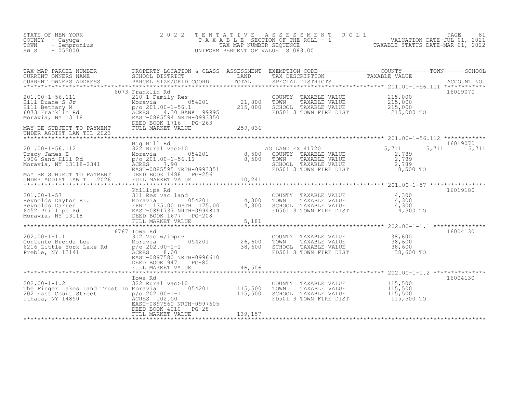| STATE OF NEW YORK<br>COUNTY - Cayuga<br>TOWN<br>- Sempronius<br>SWIS<br>$-055000$                                                                                                                                                                                            | 2 0 2 2<br>TENTATIVE                                                                                                                                                                                                           |                                   | ASSESSMENT ROLL<br>UNIFORM PERCENT OF VALUE IS 083.00                                                                                     | T A X A B L E SECTION OF THE ROLL - 1<br>TAX MAP NUMBER SEQUENCE ROLL - 1 VALUATION DATE-JUL 01, 2021<br>INIFORM PERCENT OF VALUE IS 082.00 | PAGE<br>81        |
|------------------------------------------------------------------------------------------------------------------------------------------------------------------------------------------------------------------------------------------------------------------------------|--------------------------------------------------------------------------------------------------------------------------------------------------------------------------------------------------------------------------------|-----------------------------------|-------------------------------------------------------------------------------------------------------------------------------------------|---------------------------------------------------------------------------------------------------------------------------------------------|-------------------|
| TAX MAP PARCEL NUMBER<br>CURRENT OWNERS NAME<br>CURRENT OWNERS ADDRESS<br>**********                                                                                                                                                                                         | PROPERTY LOCATION & CLASS ASSESSMENT EXEMPTION CODE----------------COUNTY-------TOWN------SCHOOL<br>SCHOOL DISTRICT                         LAND         TAX DESCRIPTION               TAXABLE VALUE<br>PARCEL SIZE/GRID COORD | TOTAL                             | SPECIAL DISTRICTS                                                                                                                         | ****************** 201.00-1-56.111 *************                                                                                            | ACCOUNT NO.       |
| 201.00-1-56.111<br>201.00-1-30.111<br>Hill Dethany M<br>Hill Bethany M<br>6073 Franklin Rd<br>Moravia, NY 13118<br>Moravia, NY 13118<br>EAST-0885594 NRTH-0993350<br>DEED BOOK 1716 PG-263<br>MAY BE SUBJECT TO PAYMENT<br>UNDER AGDIST LAW TIL 2023                         | 6073 Franklin Rd<br>210 1 Family Res<br>DEED BOOK 1716 PG-263<br>FULL MARKET VALUE                                                                                                                                             | 21,800<br>215,000<br>259,036      | COUNTY TAXABLE VALUE<br>FOWN TAXABLE VALUE 215,000<br>SCHOOL TAXABLE VALUE 215,000<br>FD501 3 TOWN FIRE DIST                              | 215,000<br>215,000 TO                                                                                                                       | 16019070          |
| 201.00-1-56.112<br>Tracy James E 322 Rural vac>10<br>1906 Sand Hill Rd p/o 201.00-1-56.11<br>Moravia, NY 13118-2341<br>Moravia, NY 13118-2341<br>ACRES<br>MAY BE SUBJECT TO PAYMENT                                                                                          | Big Hill Rd<br>0<br>054201 8,500<br>p/o 201.00-1-56.11 8,500<br>ACRES 7.90<br>EAST-0885595 NRTH-0993351<br>DEED BOOK 1488 PG-256                                                                                               |                                   | AG LAND EX 41720<br>COUNTY TAXABLE VALUE<br>TAXABLE VALUE<br>TOWN<br>SCHOOL TAXABLE VALUE<br>FD501 3 TOWN FIRE DIST                       | 5,711<br>5,711<br>2,789<br>2,789<br>$\frac{2}{2}$ , 789<br>8,500 TO                                                                         | 16019070<br>5,711 |
| UNDER AGDIST LAW TIL 2026<br>201.00-1-57<br>Reynolds Dayton RLU<br>Reynolds Darren Moravia 135.00 DPTH 175.00<br>6452 Phillips Rd<br>Moravia, NY 13118<br>TERNT 135.00 DPTH 175.00<br>EAST-0891737 NRTH-0994814<br>DEED BOOK 1677 PG-208<br>FULL MARKET VALUE<br>FULL MARKET | FULL MARKET VALUE<br>Phillips Rd                                                                                                                                                                                               | 10,241<br>4,300<br>4,300<br>5,181 | COUNTY TAXABLE VALUE<br>TOWN      TAXABLE VALUE<br>TOWN TAXABLE VALUE 4, 500<br>SCHOOL TAXABLE VALUE 4, 500<br>A TOMN FIRE DIST 4, 300 TO | 4,300<br>$\frac{4}{300}$ , 300                                                                                                              | 16019180          |
| 202.00-1-1.1<br>Contento Brenda Lee<br>Contento Brenda Lee Rd<br>Preble, NY 13141                                                                                                                                                                                            | 6767 Iowa Rd<br>312 Vac w/imprv<br>054201<br>Moravia<br>$p$ /o 202.00-1-1<br>ACRES 8.00<br>EAST-0897580 NRTH-0996610<br>DEED BOOK 947<br>PG-80<br>FULL MARKET VALUE                                                            | 26,600<br>38,600<br>46,506        | COUNTY TAXABLE VALUE<br>FD501 3 TOWN FIRE DIST                                                                                            | 38,600<br>38,600 TO                                                                                                                         | 16004130          |
| $202.00 - 1 - 1.2$<br>The Finger Lakes Land Trust In Moravia<br>202 East Court Street<br>Thaca, NY 14850<br>EAST-0897560 NE<br>EAST-0897560 NE                                                                                                                               | Iowa Rd<br>322 Rural vac>10<br>054201<br>EAST-0897560 NRTH-0997605<br>DEED BOOK 4010<br>$PG-28$<br>FULL MARKET VALUE                                                                                                           | 115,500<br>115,500<br>139,157     | COUNTY TAXABLE VALUE<br>TOWN<br>TAXABLE VALUE<br>SCHOOL TAXABLE VALUE<br>FD501 3 TOWN FIRE DIST                                           | 115,500<br>115,500<br>115,500<br>115,500 TO                                                                                                 | 16004130          |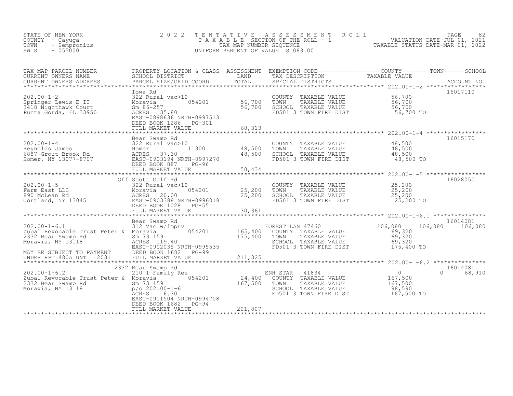| STATE OF NEW YORK<br>COUNTY - Cayuga<br>- Sempronius<br>TOWN<br>$-055000$<br>SWIS                                                                                         | 2 0 2 2<br>TAXABLE                                                                                                                                         | TENTATIVE<br>TAX MAP NUMBER SEQUENCE | A S S E S S M E N T<br>SECTION OF THE ROLL - 1 1999 VALUATION DATE-JUL 01, 2021<br>NUMBER SEQUENCE 1.1 TAXABLE STATUS DATE-MAR 01, 2022<br>UNIFORM PERCENT OF VALUE IS 083.00 | ROLL                                                           | PAGE<br>82          |
|---------------------------------------------------------------------------------------------------------------------------------------------------------------------------|------------------------------------------------------------------------------------------------------------------------------------------------------------|--------------------------------------|-------------------------------------------------------------------------------------------------------------------------------------------------------------------------------|----------------------------------------------------------------|---------------------|
| TAX MAP PARCEL NUMBER<br>CURRENT OWNERS NAME<br>CURRENT OWNERS ADDRESS<br>*******************                                                                             | PROPERTY LOCATION & CLASS ASSESSMENT EXEMPTION CODE----------------COUNTY-------TOWN------SCHOOL SCHOOL SCHOOL OUSTRICT LAND TAX DESCRIPTION TAXABLE VALUE |                                      |                                                                                                                                                                               |                                                                |                     |
| $202.00 - 1 - 2$<br>322 Rura<br>Springer Lewis E II Moravia<br>3418 Nighthawk Court Sm 86-25<br>Punta Gorda, FL 33950 ACRES                                               | Iowa Rd<br>322 Rural vac>10<br>Sm 86-257<br>ACRES 35.80<br>EAST-0898636 NRTH-0997513<br>DEED BOOK 1286 PG-301                                              | 054201 56,700<br>56,700              | COUNTY<br>TAXABLE VALUE<br>TAXABLE VALUE<br>TOWN<br>SCHOOL TAXABLE VALUE<br>FD501 3 TOWN FIRE DIST                                                                            | 56,700<br>56,700<br>56,700<br>56,700 TO                        | 16017110            |
|                                                                                                                                                                           | FULL MARKET VALUE                                                                                                                                          | 68,313                               |                                                                                                                                                                               |                                                                |                     |
| 202.00-1-4<br>Reynolds James<br>6887 Grout Brook Rd<br>Homer, NY 13077-8707<br>Homer, NY 13077-8707<br>EAST-0903194 NRTH-0997270                                          | Bear Swamp Rd<br>DEED BOOK 887<br>PG-96                                                                                                                    | 48,500<br>48,500                     | COUNTY<br>TAXABLE VALUE<br>TOWN<br>TAXABLE VALUE<br>SCHOOL TAXABLE VALUE<br>FD501 3 TOWN FIRE DIST                                                                            | $48,500$<br>$48,500$<br>48,500<br>48,500 TO                    | 16015170            |
|                                                                                                                                                                           | FULL MARKET VALUE                                                                                                                                          | 58,434<br>*************              |                                                                                                                                                                               | ************************ 202.00-1-5 ******************         |                     |
| $202.00 - 1 - 5$<br>202.00-1-5<br>Farm East LLC Moravia 054201<br>890 McLean Rd (ACRES 20.00<br>Cortland, NY 13045 EAST-0903388 NRTH-0996018<br>EAST-0908388 NRTH-0996018 | Off Scott Gulf Rd<br>322 Rural vac>10<br>054201<br>DEED BOOK 1028<br>$PG-55$<br>FULL MARKET VALUE                                                          | 25,200<br>25,200<br>30,361           | COUNTY<br>TAXABLE VALUE<br>TOWN<br>TAXABLE VALUE<br>SCHOOL TAXABLE VALUE<br>FD501 3 TOWN FIRE DIST                                                                            | 25,200<br>25, 200<br>25,200<br>25,200 TO                       | 16028050            |
|                                                                                                                                                                           |                                                                                                                                                            |                                      |                                                                                                                                                                               | ******************* 202.00-1-6.1 ****************              |                     |
| $202.00 - 1 - 6.1$<br>Zubal Revocable Trust Peter & Moravia<br>2332 Bear Swamp Rd<br>Moravia, NY 13118<br>MAY BE SUBJECT TO PAYMENT<br>UNDER RPTL480A UNTIL 2031          | Bear Swamp Rd<br>312 Vac w/imprv<br>054201<br>Sm 73 159<br>ACRES 119.40<br>EAST-0902035 NRTH-0995535<br>DEED BOOK 1682 PG-99<br>FULL MARKET VALUE          | 165,400<br>175,400<br>211,325        | FOREST LAN 47460<br>COUNTY TAXABLE VALUE<br>TAXABLE VALUE<br>TOWN<br>SCHOOL TAXABLE VALUE<br>FD501 3 TOWN FIRE DIST                                                           | 106,080<br>106,080<br>69,320<br>69,320<br>69,320<br>175,400 TO | 16014081<br>106,080 |
|                                                                                                                                                                           | 2332 Bear Swamp Rd                                                                                                                                         |                                      |                                                                                                                                                                               |                                                                | 16014081            |
| $202.00 - 1 - 6.2$<br>Zubal Revocable Trust Peter & Moravia 1 054201<br>2332 Bear Swamp Rd<br>Moravia, NY 13118                                                           | 210 1 Family Res<br>Sm 73 159<br>$p/O 202.00-1-6$<br>ACRES<br>6.30<br>EAST-0901504 NRTH-0994708<br>DEED BOOK 1682<br>PG-94                                 | 24,400<br>167,500                    | 41834<br>ENH STAR<br>COUNTY TAXABLE VALUE<br>TOWN<br>TAXABLE VALUE<br>SCHOOL TAXABLE VALUE<br>FD501 3 TOWN FIRE DIST                                                          | $\overline{0}$<br>167,500<br>167,500<br>98,590<br>167,500 TO   | $\Omega$<br>68,910  |
|                                                                                                                                                                           | FULL MARKET VALUE                                                                                                                                          | 201,807                              |                                                                                                                                                                               |                                                                |                     |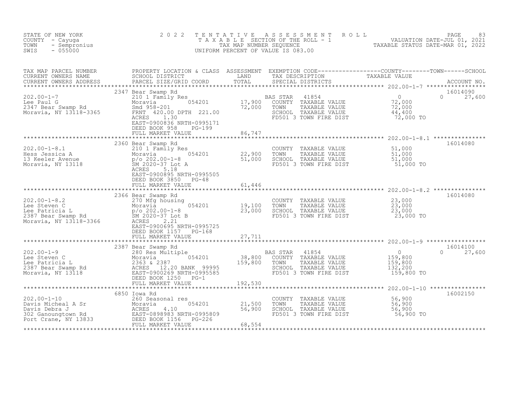| STATE OF NEW YORK<br>COUNTY - Cayuga<br>- Sempronius<br>TOWN<br>SWIS<br>$-055000$                                                                                                                                                                                      | 2 0 2 2                                                                    |                                | TENTATIVE ASSESSMENT ROLL PACE 83<br>TAXABLE SECTION OF THE ROLL - 1 VALUATION DATE-JUL 01, 2021<br>TAX MAP NUMBER SEQUENCE TAXABLE STATUS DATE-MAR 01, 2022<br>UNIFORM PERCENT OF VALUE IS 083.00 |                           |
|------------------------------------------------------------------------------------------------------------------------------------------------------------------------------------------------------------------------------------------------------------------------|----------------------------------------------------------------------------|--------------------------------|----------------------------------------------------------------------------------------------------------------------------------------------------------------------------------------------------|---------------------------|
| TAX MAP PARCEL NUMBER PROPERTY LOCATION & CLASS ASSESSMENT EXEMPTION CODE-----------------COUNTY--------TOWN------SCHOOL CURRENT OWNERS NAME SCHOOL DISTRICT LAND TAX DESCRIPTION TAXABLE VALUE<br>CURRENT OWNERS ADDRESS PARCEL                                       |                                                                            |                                |                                                                                                                                                                                                    |                           |
| 202.00-1-7 2347 Bear Swamp Rd<br>202.00-1-7 210 210 Family Res<br>Moravia 054201 17,900 COUNTY TAXABLE VALUE 72,000<br>2347 Bear Swamp Rd Smd 958-201 72,000 FTH 221.00<br>Moravia, NY 13118-3365 1.30 RENT 420.00 DPTH 221.00 5000 SC                                 | 2347 Bear Swamp Rd<br>EAST-0900836 NRTH-0995171<br>DEED BOOK 958<br>PG-199 |                                |                                                                                                                                                                                                    | 16014090<br>$0 \t 27,600$ |
|                                                                                                                                                                                                                                                                        | FULL MARKET VALUE                                                          | 86,747                         |                                                                                                                                                                                                    |                           |
| 202.00-1-8.1<br>Hess Jessica A Moravia 054201<br>13 Keeler Avenue p/o 202.00-1-8<br>Moravia, NY 13118<br>22,900<br>Moravia, NY 13118<br>22,900<br>22,900<br>22,900<br>51,000<br>22,900<br>22,900<br>22,900<br>51,000<br>22,900<br>22,900<br>51,000                     | 2360 Bear Swamp Rd<br>5.18<br>ACRES<br>EAST-0900895 NRTH-0995505           |                                | COUNTY TAXABLE VALUE 51,000<br>TOWN TAXABLE VALUE 51,000<br>SCHOOL TAXABLE VALUE 51,000<br>FD501 3 TOWN FIRE DIST 51,000 TO                                                                        | 16014080                  |
|                                                                                                                                                                                                                                                                        | DEED BOOK 3850<br>$PG-48$<br>FULL MARKET VALUE                             | 61,446<br>******************** |                                                                                                                                                                                                    |                           |
| 202.00-1-8.2<br>Lee Steven C<br>Lee Patricia L<br>2387 Bear Swamp Rd<br>Moravia, NY 13118-3366<br>2366<br>2387 Bear Swamp Rd<br>23,000<br>23,000<br>23,000<br>23,000<br>23,000<br>23,000<br>23,000<br>23,000<br>23,000<br>23,000<br>23,000<br>23,000<br>23,000<br>23,0 | 2366 Bear Swamp Rd<br>EAST-0900695 NRTH-0995725<br>DEED BOOK 1157 PG-168   |                                | COUNTY TAXABLE VALUE $23,000$<br>TOWN TAXABLE VALUE $23,000$<br>SCHOOL TAXABLE VALUE $23,000$<br>FD501 3 TOWN FIRE DIST $23,000$ TO                                                                | 16014080                  |
|                                                                                                                                                                                                                                                                        | FULL MARKET VALUE<br>************************                              | 27,711                         |                                                                                                                                                                                                    |                           |
|                                                                                                                                                                                                                                                                        |                                                                            |                                |                                                                                                                                                                                                    |                           |
|                                                                                                                                                                                                                                                                        |                                                                            |                                |                                                                                                                                                                                                    |                           |
| 1920.00-1-10<br>Davis Micheal A Sr (260 Seasonal res (260 Seasonal res (21,500 Davis Debra J<br>Davis Debra J<br>21,500 Morrown Rd (21,500 EAST-0898983 NRTH-0995809 56,900 Davis Debra J<br>21,500 EAST-0898983 NRTH-0995809 DEED BOO                                 | 6850 Iowa Rd                                                               |                                | COUNTY TAXABLE VALUE 56,900<br>TOWN TAXABLE VALUE 56,900<br>SCHOOL TAXABLE VALUE 56,900<br>FD501 3 TOWN FIRE DIST 56,900 TO                                                                        | 16002150                  |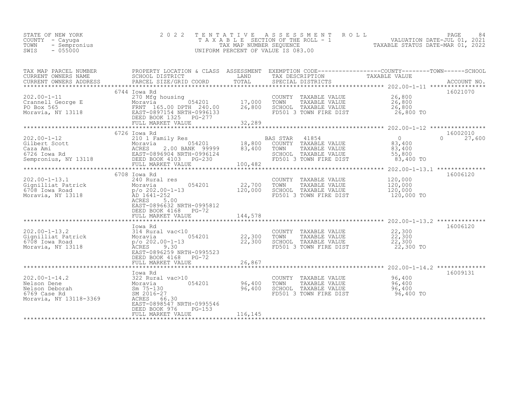| SWIS | STATE OF NEW YORK<br>COUNTY - Cayuga<br>TOWN - Sempronius<br>- 055000 |                                                                                                                   |      | 2022 TENTATIVE ASSESSMENT ROLL<br>TAXABLE SECTION OF THE ROLL - 1<br>TAX MAP NUMBER SEOUENCE<br>UNIFORM PERCENT OF VALUE IS 083.00 | TAXABLE STATUS DATE-MAR 01, 2022 | PAGE<br>VALUATION DATE-JUL 01, 2021 | -84 |
|------|-----------------------------------------------------------------------|-------------------------------------------------------------------------------------------------------------------|------|------------------------------------------------------------------------------------------------------------------------------------|----------------------------------|-------------------------------------|-----|
|      | TAX MAP PARCEL NUMBER<br>CURRENT OWNERS NAME                          | PROPERTY LOCATION & CLASS ASSESSMENT EXEMPTION CODE---------------COUNTY-------TOWN-----SCHOOL<br>SCHOOL DISTRICT | LAND | TAX DESCRIPTION                                                                                                                    | TAXABLE VALUE                    |                                     |     |

| CURRENT OWNERS ADDRESS                                                                         | PARCEL SIZE/GRID COORD                                                                                                                                                                  | TOTAL                                     |                                             | SPECIAL DISTRICTS<br>*****************                                                                                           | $202.00 - 1 - 11$                                   | ACCOUNT NO.    |
|------------------------------------------------------------------------------------------------|-----------------------------------------------------------------------------------------------------------------------------------------------------------------------------------------|-------------------------------------------|---------------------------------------------|----------------------------------------------------------------------------------------------------------------------------------|-----------------------------------------------------|----------------|
| $202.00 - 1 - 11$<br>Crannell George E<br>PO Box 565<br>Moravia, NY 13118                      | 6744 Iowa Rd<br>270 Mfg housing<br>054201<br>Moravia<br>FRNT 165.00 DPTH 240.00<br>EAST-0897154 NRTH-0996133<br>DEED BOOK 1325<br>PG-277<br>FULL MARKET VALUE                           | 17,000<br>26,800<br>32,289<br>*********** | COUNTY<br>TOWN                              | TAXABLE VALUE<br>TAXABLE VALUE<br>SCHOOL TAXABLE VALUE<br>FD501 3 TOWN FIRE DIST<br>************** 202.00-1-12 ***************** | 26,800<br>26,800<br>26,800<br>26,800 TO             | 16021070       |
|                                                                                                | 6726 Iowa Rd                                                                                                                                                                            |                                           |                                             |                                                                                                                                  |                                                     | 16002010       |
| $202.00 - 1 - 12$<br>Gilbert Scott<br>Caza Ami<br>6726 Iowa Rd<br>Sempronius, NY 13118         | 210 1 Family Res<br>054201<br>Moravia<br>ACRES<br>2.00 BANK 99999<br>EAST-0896904 NRTH-0996124<br>DEED BOOK 4103<br>$PG - 230$<br>FULL MARKET VALUE                                     | 18,800<br>83,400<br>100,482               | <b>BAS STAR</b><br>COUNTY<br>TOWN<br>SCHOOL | 41854<br>TAXABLE VALUE<br>TAXABLE VALUE<br>TAXABLE VALUE<br>FD501 3 TOWN FIRE DIST                                               | $\Omega$<br>83,400<br>83,400<br>55,800<br>83,400 TO | 27,600<br>0    |
|                                                                                                |                                                                                                                                                                                         |                                           |                                             |                                                                                                                                  | ********** 202.00-1-13.1                            | ************** |
| $202.00 - 1 - 13.1$<br>Gignilliat Patrick<br>6708 Iowa Road<br>Moravia, NY 13118               | 6708 Iowa Rd<br>240 Rural res<br>054201<br>Moravia<br>$p$ /o 202.00-1-13<br>AD 1641-252<br>ACRES<br>5.00<br>EAST-0896632 NRTH-0995812<br>DEED BOOK 4168<br>$PG-72$<br>FULL MARKET VALUE | 22,700<br>120,000<br>144,578              | COUNTY<br>TOWN<br>SCHOOL                    | TAXABLE VALUE<br>TAXABLE VALUE<br>TAXABLE VALUE<br>FD501 3 TOWN FIRE DIST                                                        | 120,000<br>120,000<br>120,000<br>120,000 TO         | 16006120       |
|                                                                                                |                                                                                                                                                                                         |                                           |                                             |                                                                                                                                  |                                                     |                |
| $202.00 - 1 - 13.2$<br>Gignilliat Patrick<br>6708 Iowa Road<br>Moravia, NY 13118               | Iowa Rd<br>314 Rural vac<10<br>054201<br>Moravia<br>$p$ /o 202.00-1-13<br>9.30<br><b>ACRES</b><br>EAST-0896259 NRTH-0995523                                                             | 22,300<br>22,300                          | TOWN<br>SCHOOL                              | COUNTY TAXABLE VALUE<br>TAXABLE VALUE<br>TAXABLE VALUE<br>FD501 3 TOWN FIRE DIST                                                 | 22,300<br>22,300<br>22,300<br>22,300 TO             | 16006120       |
|                                                                                                | DEED BOOK 4168<br>PG-72                                                                                                                                                                 |                                           |                                             |                                                                                                                                  |                                                     |                |
|                                                                                                | FULL MARKET VALUE                                                                                                                                                                       | 26,867<br>********************            |                                             | ********************** 202.00-1-14.2 **************                                                                              |                                                     |                |
|                                                                                                | Iowa Rd                                                                                                                                                                                 |                                           |                                             |                                                                                                                                  |                                                     | 16009131       |
| $202.00 - 1 - 14.2$<br>Nelson Dene<br>Nelson Deborah<br>6769 Case Rd<br>Moravia, NY 13118-3369 | 322 Rural vac>10<br>054201<br>Moravia<br>$Sm$ 75-130<br>SM 2016-27<br>66.30<br>ACRES<br>EAST-0898547 NRTH-0995546                                                                       | 96,400<br>96,400                          | COUNTY<br>TOWN<br>SCHOOL                    | TAXABLE VALUE<br>TAXABLE VALUE<br>TAXABLE VALUE<br>FD501 3 TOWN FIRE DIST                                                        | 96,400<br>96,400<br>96,400<br>96,400 TO             |                |
|                                                                                                | DEED BOOK 976<br>$PG-153$<br>FULL MARKET VALUE                                                                                                                                          | 116,145                                   |                                             |                                                                                                                                  |                                                     |                |
|                                                                                                |                                                                                                                                                                                         |                                           |                                             |                                                                                                                                  |                                                     |                |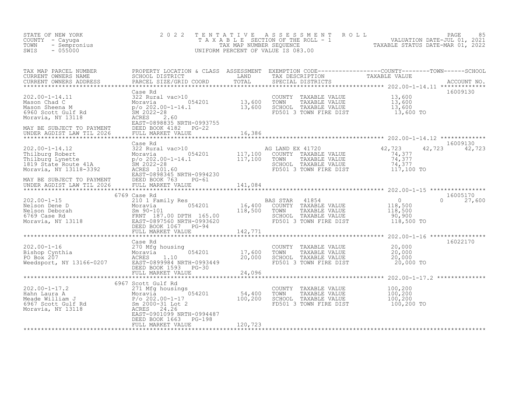| STATE OF NEW YORK<br>COUNTY - Cayuga<br>- Sempronius<br>TOWN<br>$-055000$<br>SWIS                                                                                                                                                                                                                                                                                                                                                                                | 2 0 2 2                      | TENTATIVE     | TENTATIVE ASSESSMENT ROLL PAGE 85<br>TAXABLE SECTION OF THE ROLL - 1 VALUATION DATE-JUL 01, 2021<br>TAX MAP NUMBER SEQUENCE TAXABLE STATUS DATE-MAR 01, 2022<br>JNIFORM PERCENT OF VALUE IS 083.00<br>UNIFORM PERCENT OF VALUE IS 083.00 |                                        |                           |
|------------------------------------------------------------------------------------------------------------------------------------------------------------------------------------------------------------------------------------------------------------------------------------------------------------------------------------------------------------------------------------------------------------------------------------------------------------------|------------------------------|---------------|------------------------------------------------------------------------------------------------------------------------------------------------------------------------------------------------------------------------------------------|----------------------------------------|---------------------------|
|                                                                                                                                                                                                                                                                                                                                                                                                                                                                  | PARCEL SIZE/GRID COORD       |               |                                                                                                                                                                                                                                          |                                        |                           |
| $\begin{tabular}{lllllllllllll} \multicolumn{3}{l}{{\small\sc{Case Rd}}}&\multicolumn{3}{l}{{\small\sc{Case Rd}}}&\multicolumn{3}{l}{{\small\sc{Case Rd}}}&\multicolumn{3}{l}{{\small\sc{COMNTY}}} &\multicolumn{3}{l}{{\small\sc{TAXABLE}}}&\multicolumn{3}{l}{\small\sc{XLUE}}&\multicolumn{3}{l}{\small\sc{MASon Chad C}}&\multicolumn{3}{l}{\small\sc{MASon Sheena}}&\multicolumn{3}{l}{\small\sc{MULIE}}&\multicolumn{3}{l}{\small\sc{MSLE}}&\multicolumn{$ | Case Rd                      |               | COUNTY TAXABLE VALUE 13,600<br>TOWN TAXABLE VALUE 13,600<br>SCHOOL TAXABLE VALUE 13,600<br>FD501 3 TOWN FIRE DIST 13,600 TO                                                                                                              |                                        | 16009130                  |
|                                                                                                                                                                                                                                                                                                                                                                                                                                                                  |                              |               |                                                                                                                                                                                                                                          |                                        |                           |
| 202.00-1-14.12<br>Thilburg Robert<br>Thilburg Lynette<br>Thilburg Lynette<br>117,100<br>117,100<br>117,100<br>117,100<br>117,100<br>117,100<br>117,100<br>117,100<br>2022-28<br>2022-28<br>2022-28<br>2022-28<br>2022-28<br>2022-28<br>2022-28<br>2022-28<br>2022-28<br>                                                                                                                                                                                         | Case Rd                      |               | AG LAND EX 41720<br>COUNTY TAXABLE VALUE<br>TOWN TAXABLE VALUE<br>SCHOOL TAXABLE VALUE<br>DELO1 2 TOUN TILE VALUE<br>FD501 3 TOWN FIRE DIST 117,100 TO                                                                                   | 42, 723<br>74, 377<br>74,377<br>74,377 | 16009130<br>42,723 42,723 |
| 11/2007 12/2008 12/2008 12/2008 12/2008 12/2008 12/2008 12/2008 12/2008 12/2008 12/2008 12/2008 12/2008 12/20<br>MAY BE SUBJECT TO PAYMENT DEED BOOK 763 PG-61 141,084<br>UNDER AGDIST LAW TIL 2026 FULL MARKET VALUE 141,084<br>***                                                                                                                                                                                                                             |                              |               |                                                                                                                                                                                                                                          |                                        |                           |
|                                                                                                                                                                                                                                                                                                                                                                                                                                                                  | 6769 Case Rd                 |               |                                                                                                                                                                                                                                          |                                        | 16005170                  |
| $\begin{array}{llllll} 202.00-1-15 & 0.09 & \text{Case KU} & 210 & \text{Family Res} \\ \text{Nelson Dene D} & 210 & \text{Family Res} & 0.54201 \\ \text{Nelson Deborah} & 6769 & \text{Case Rd} & \text{FRNT} & 187.00 DFTH} & 165.00 \\ \text{Moravia, NY} & 13118 & 0.00 & \text{RST}-0897560 NRTH} & 0.00 & \text{RST}-0993620 \\ \text{FCLL} & 0.00 & 0.00 & 0.00$                                                                                         |                              |               | BAS STAR 41854 0<br>16,400 COUNTY TAXABLE VALUE 118,500<br>118,500 TOWN TAXABLE VALUE 118,500<br>SCHOOL TAXABLE VALUE 90,900<br>SCHOOL TAXABLE VALUE<br>FD501 3 TOWN FIRE DIST 118,500 TO                                                |                                        | $\Omega$<br>27,600        |
|                                                                                                                                                                                                                                                                                                                                                                                                                                                                  | FULL MARKET VALUE            | 142,771       |                                                                                                                                                                                                                                          |                                        |                           |
| 202.00-1-16<br>Bishop Cynthia<br>PO Box 207<br>Weedsport, NY 13166-0207<br>Weedsport, NY 13166-0207<br>DEED BOSS 20,000<br>DEED BOSS 20,000<br>DEED BOSS 20,000<br>DEED BOSS 20,000<br>DEED BOSS 20,000<br>DEED BOSS 20,000<br>DEED BOSS 20,000<br>DEE                                                                                                                                                                                                           | Case Rd<br>FULL MARKET VALUE | 24,096        | COUNTY TAXABLE VALUE<br>TOWN TAXABLE VALUE 20,000<br>SCHOOL TAXABLE VALUE 20,000<br>TREST 3 TOWN FIRE DIST 20,000 TO                                                                                                                     |                                        | 16022170                  |
|                                                                                                                                                                                                                                                                                                                                                                                                                                                                  | 6967 Scott Gulf Rd           | ************* | ******************************** 202.00-1-17.2 **************                                                                                                                                                                            |                                        |                           |
| 202.00-1-17.2<br>Hahn Laura A<br>Meade William J<br>6967 Scott Gulf Rd<br>Moravia, NY 13118<br>Moravia, NY 13118<br>Alliam Sm 2000-31 Lot 2<br>EAST-0901099 NRTH-0994487<br>EAST-0901099 NRTH-0994487<br>EAST-0901099 NRTH-0994487<br>EAST-0901099                                                                                                                                                                                                               | DEED BOOK 1663 PG-198        |               | COUNTY TAXABLE VALUE<br>COUNTY TAXABLE VALUE<br>TOWN TAXABLE VALUE 100,200<br>SCHOOL TAXABLE VALUE 100,200<br>TAXABLE VALUE 100,200 TO                                                                                                   | 100,200                                |                           |
|                                                                                                                                                                                                                                                                                                                                                                                                                                                                  | FULL MARKET VALUE            | 120,723       |                                                                                                                                                                                                                                          |                                        |                           |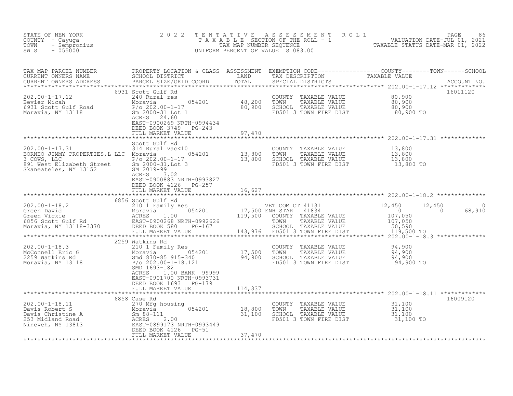| TENTATIVE ASSESSMENT ROLL PAGE 86<br>TAXABLE SECTION OF THE ROLL - 1 VALUATION DATE-JUL 01, 2021<br>TAX MAP NUMBER SEQUENCE TAXABLE STATUS DATE-MAR 01, 2022<br>UNIFORM PERCENT OF VALUE IS 083.00<br>NEW YORK<br>- Cayuga<br>- Sempronius<br>- 055000<br>2 0 2 2<br>STATE OF NEW YORK<br>COUNTY - Cayuga<br>TOWN<br>SWIS                                                                             |          |
|-------------------------------------------------------------------------------------------------------------------------------------------------------------------------------------------------------------------------------------------------------------------------------------------------------------------------------------------------------------------------------------------------------|----------|
| TAX MAP PARCEL NUMBER PROPERTY LOCATION & CLASS ASSESSMENT EXEMPTION CODE------------------COUNTY--------TOWN------SCHOOL SCHOOL DISTRICT LAND TAX DESCRIPTION TAXABLE VALUE<br>CURRENT OWNERS ADDRESS PARCEL SIZE/GRID COORD TOT                                                                                                                                                                     |          |
| 6931 Scott Gulf Rd<br>0531 SCOL GUIL RG<br>202.00-1-17.12 2<br>Bevier Micah Moravia Moravia 054201 48,200 TOWN TAXABLE VALUE 80,900<br>6931 Scott Gulf Road P/o 202.00-1-17 80,900 SCHOOL TAXABLE VALUE 80,900<br>Moravia, NY 13118 3 2000-31 Lot 1 FD501 3<br>EAST-0900269 NRTH-0994434<br>DEED BOOK 3749 PG-243<br>97,470<br>FULL MARKET VALUE                                                      | 16011120 |
|                                                                                                                                                                                                                                                                                                                                                                                                       |          |
| 202.00-1-17.31<br>BORNEC JIMMY PROPERTIES, L LLC Moravia 054201 13,800 TOMNY<br>32 COWS, LLC Moravia 054201 13,800 TOMN<br>891 West Elizabeth Street 5/0 202.00-1-17<br>Skaneateles, NY 13152 5M 2019-99<br>ACRES 3 02<br>ACRES 3 02<br>COUNTY TAXABLE VALUE $13,800$<br>TOWN TAXABLE VALUE $13,800$<br>SCHOOL TAXABLE VALUE $13,800$<br>FD501 3 TOWN FIRE DIST $13,800$<br>EAST-0900883 NRTH-0993827 |          |
| DEED BOOK 4126 PG-257<br>FULL MARKET VALUE<br>16,627                                                                                                                                                                                                                                                                                                                                                  |          |
| 6856 Scott Gulf Rd<br>VET COM CT 41131 12,450<br>ENH STAR 41834 0<br>COUNTY TAXABLE VALUE 107,050<br>TOWN TAXABLE VALUE 107,050<br>SCHOOL TAXABLE VALUE 50,590<br>FD501 3 TOWN FIRE DIST<br>12,450<br>$0 \t 68,910$<br>119,500 TO                                                                                                                                                                     | $\Omega$ |
|                                                                                                                                                                                                                                                                                                                                                                                                       |          |
| ACRES<br>1.00 BANK 99999<br>EAST-0901700 NRTH-0993731                                                                                                                                                                                                                                                                                                                                                 |          |
| DEED BOOK 1693 PG-179<br>FULL MARKET VALUE<br>114,337                                                                                                                                                                                                                                                                                                                                                 |          |
| 6858 Case Rd                                                                                                                                                                                                                                                                                                                                                                                          | 16009120 |
| COUNTY TAXABLE VALUE $31,100$<br>TOWN TAXABLE VALUE $31,100$<br>SCHOOL TAXABLE VALUE $31,100$<br>FD501 3 TOWN FIRE DIST $31,100$ TO<br>202.00-1-18.11<br>Davis Robert S<br>Davis Christine A<br>253 Midland Road<br>Nineveh, NY 13813<br>263 Mineveh, NY 13813<br>2685 2.00<br>2685 2.00<br>2685 2.00<br>2685 2.00<br>2685 2.00<br>2685 2.00<br>2686 2.00<br>2686 2.00<br>2686 2.00<br>2686 2.00<br>2 |          |
| FULL MARKET VALUE<br>37,470                                                                                                                                                                                                                                                                                                                                                                           |          |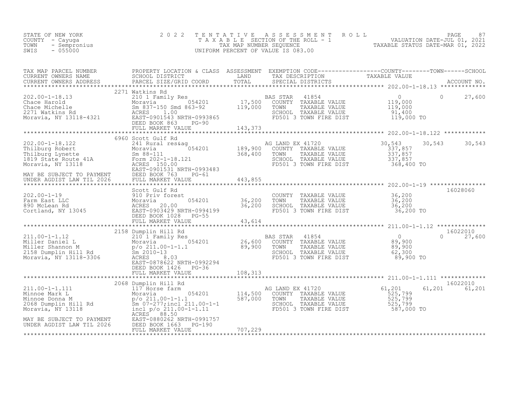| STATE OF NEW YORK<br>COUNTY - Cayuga<br>TOWN<br>- Sempronius<br>$-055000$<br>SWIS                                                                                                                                                                                                                                                                                                | 2 0 2 2              |         | TENTATIVE ASSESSMENT ROLL PACE 87<br>TAXABLE SECTION OF THE ROLL - 1 VALUATION DATE-JUL 01, 2021<br>TAX MAP NUMBER SEQUENCE TAXABLE STATUS DATE-MAR 01, 2022<br>UNIFORM PERCENT OF VALUE IS 083.00 |               |
|----------------------------------------------------------------------------------------------------------------------------------------------------------------------------------------------------------------------------------------------------------------------------------------------------------------------------------------------------------------------------------|----------------------|---------|----------------------------------------------------------------------------------------------------------------------------------------------------------------------------------------------------|---------------|
| TAX MAP PARCEL NUMBER PROPERTY LOCATION & CLASS ASSESSMENT EXEMPTION CODE----------------COUNTY--------TOWN------SCHOOL CURRENT OWNERS NAME SCHOOL DISTRICT LAND TAX DESCRIPTION TAXABLE VALUE TAXABLE VALUE PARCEL SIZE/GRID                                                                                                                                                    |                      |         |                                                                                                                                                                                                    |               |
| $\begin{array}{lllllllllllllll} 202.00-1-18.13 & 2271 \text{ Wattkins Rd} & 202.00-1-18.13 & 2101 \text{ Family Res} & 0 & 27,600 \\ \text{Chace Harold} & 210 & 2101 \text{ Family Res} & 054201 & 17,500 & \text{COUNTY} & \text{TXABLE VALUE} & 119,000 & 0 & 27,600 \\ \text{Chace Michael} & 201 & 201 & 201 & 119,000 & 0 & 0 & 0 & 0 \\ \text{Cace Michael} & 2271 & 0 &$ | 2271 Watkins Rd      |         |                                                                                                                                                                                                    |               |
|                                                                                                                                                                                                                                                                                                                                                                                  | 6960 Scott Gulf Rd   |         |                                                                                                                                                                                                    |               |
|                                                                                                                                                                                                                                                                                                                                                                                  |                      |         |                                                                                                                                                                                                    |               |
|                                                                                                                                                                                                                                                                                                                                                                                  |                      |         |                                                                                                                                                                                                    |               |
|                                                                                                                                                                                                                                                                                                                                                                                  |                      |         |                                                                                                                                                                                                    |               |
|                                                                                                                                                                                                                                                                                                                                                                                  |                      |         |                                                                                                                                                                                                    |               |
|                                                                                                                                                                                                                                                                                                                                                                                  |                      |         |                                                                                                                                                                                                    |               |
|                                                                                                                                                                                                                                                                                                                                                                                  |                      |         |                                                                                                                                                                                                    | 16022010      |
|                                                                                                                                                                                                                                                                                                                                                                                  | DEED BOOK 1426 PG-36 |         | $\Omega$                                                                                                                                                                                           | 27,600        |
|                                                                                                                                                                                                                                                                                                                                                                                  |                      |         |                                                                                                                                                                                                    |               |
|                                                                                                                                                                                                                                                                                                                                                                                  |                      |         |                                                                                                                                                                                                    |               |
|                                                                                                                                                                                                                                                                                                                                                                                  |                      |         |                                                                                                                                                                                                    | 61,201 61,201 |
| MAY BE SUBJECT TO PAYMENT<br>UNDER AGDIST LAW TIL 2026 DEED BOOK 1663 PG-190<br>FULL MARKET VALUE                                                                                                                                                                                                                                                                                | FULL MARKET VALUE    | 707,229 |                                                                                                                                                                                                    |               |
|                                                                                                                                                                                                                                                                                                                                                                                  |                      |         |                                                                                                                                                                                                    |               |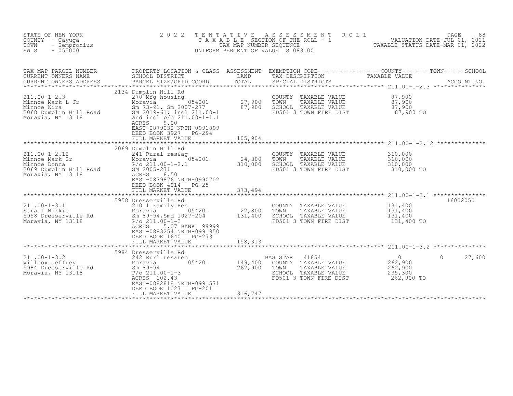| STATE OF NEW YORK<br>COUNTY - Cayuga<br>TOWN<br>- Sempronius<br>SWIS<br>$-055000$                    | 2 0 2 2<br>TENTATIVE                                                                                                                                                                                                                             | TAX MAP NUMBER SEQUENCE     | ASSESSMENT<br>T A X A B L E SECTION OF THE ROLL - 1<br>UNIFORM PERCENT OF VALUE IS 083.00           | ROLL                           | 88 FAGE<br>VALUATION DATE-JUL 01, 2021<br>TAXABLE STATIS DATE MARICAL | PAGE<br>88                     |
|------------------------------------------------------------------------------------------------------|--------------------------------------------------------------------------------------------------------------------------------------------------------------------------------------------------------------------------------------------------|-----------------------------|-----------------------------------------------------------------------------------------------------|--------------------------------|-----------------------------------------------------------------------|--------------------------------|
| TAX MAP PARCEL NUMBER<br>CURRENT OWNERS NAME<br>CURRENT OWNERS ADDRESS<br>************************   | PROPERTY LOCATION & CLASS ASSESSMENT EXEMPTION CODE----------------COUNTY-------TOWN-----SCHOOL<br>SCHOOL DISTRICT<br>PARCEL SIZE/GRID COORD                                                                                                     | LAND<br>TOTAL               | TAX DESCRIPTION<br>SPECIAL DISTRICTS                                                                |                                | TAXABLE VALUE                                                         | ACCOUNT NO.<br>*************** |
| $211.00 - 1 - 2.3$<br>Minnoe Mark L Jr<br>Minnoe Kira<br>2068 Dumplin Hill Road<br>Moravia, NY 13118 | 2134 Dumplin Hill Rd<br>270 Mfg housing<br>054201<br>Moravia<br>Sm 73-91, Sm 2007-277<br>SM 2019-61; incl 211.00-1<br>and incl p/o 211.00-1-1.1<br>9.00<br>ACRES<br>EAST-0879032 NRTH-0991899<br>DEED BOOK 3927<br>$PG-294$<br>FULL MARKET VALUE | 27,900<br>87,900<br>105,904 | COUNTY<br>TOWN<br>SCHOOL TAXABLE VALUE<br>FD501 3 TOWN FIRE DIST                                    | TAXABLE VALUE<br>TAXABLE VALUE | 87,900<br>87,900<br>87,900<br>87,900 TO                               |                                |
|                                                                                                      |                                                                                                                                                                                                                                                  |                             |                                                                                                     |                                |                                                                       |                                |
| $211.00 - 1 - 2.12$<br>Minnoe Mark Sr<br>Minnoe Donna<br>2069 Dumplin Hill Road<br>Moravia, NY 13118 | 2069 Dumplin Hill Rd<br>241 Rural res&aq<br>Moravia (1974)<br>P/o_211.00-1-2.1<br>054201<br>SM 2005-271<br>ACRES<br>8.50<br>EAST-0879876 NRTH-0990702<br>DEED BOOK 4014<br>$PG-25$                                                               | 24,300<br>310,000           | COUNTY TAXABLE VALUE<br>TOWN<br>SCHOOL TAXABLE VALUE<br>FD501 3 TOWN FIRE DIST                      | TAXABLE VALUE                  | 310,000<br>310,000<br>310,000<br>310,000 TO                           |                                |
|                                                                                                      | FULL MARKET VALUE                                                                                                                                                                                                                                | 373,494                     |                                                                                                     |                                |                                                                       |                                |
| $211.00 - 1 - 3.1$<br>Strauf Nikkie<br>5958 Dresserville Rd<br>Moravia, NY 13118                     | 5958 Dresserville Rd<br>210 1 Family Res<br>054201<br>Moravia<br>Sm 89-54, Smd 1027-204<br>$P/O$ 211.00-1-3<br>5.07 BANK 99999<br>ACRES<br>EAST-0883254 NRTH-0991950<br>DEED BOOK 1640<br>$PG-273$                                               | 22,800<br>131,400           | COUNTY TAXABLE VALUE<br>TOWN<br>SCHOOL TAXABLE VALUE<br>FD501 3 TOWN FIRE DIST                      | TAXABLE VALUE                  | 131,400<br>131,400<br>131,400<br>131,400 TO                           | 16002050                       |
|                                                                                                      | FULL MARKET VALUE                                                                                                                                                                                                                                | 158,313                     |                                                                                                     |                                |                                                                       |                                |
|                                                                                                      | 5984 Dresserville Rd                                                                                                                                                                                                                             |                             |                                                                                                     |                                |                                                                       |                                |
| $211.00 - 1 - 3.2$<br>Willcox Jeffrey<br>5984 Dresserville Rd<br>Moravia, NY 13118                   | 242 Rurl res&rec<br>054201<br>Moravia<br>$Sm$ 89-54<br>$P/O$ 211.00-1-3<br>ACRES 102.43<br>EAST-0882818 NRTH-0991571<br><b>PG-201</b><br>DEED BOOK 1027                                                                                          | 149,400<br>262,900          | 41854<br>BAS STAR<br>COUNTY TAXABLE VALUE<br>TOWN<br>SCHOOL TAXABLE VALUE<br>FD501 3 TOWN FIRE DIST | TAXABLE VALUE                  | $\overline{0}$<br>262,900<br>262,900<br>235,300<br>262,900 TO         | 27,600<br>$\Omega$             |
|                                                                                                      | FULL MARKET VALUE                                                                                                                                                                                                                                | 316,747                     |                                                                                                     |                                |                                                                       |                                |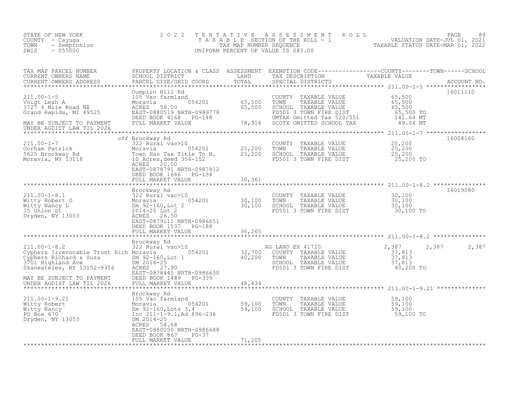| STATE OF NEW YORK<br>COUNTY - Cayuga<br>TOWN<br>$-055000$<br>SWIS                                                                                                                                                                                            | 2 0 2 2                                                                 |        | TENTATIVE ASSESSMENT ROLL PAGE 89<br>TAXABLE SECTION OF THE ROLL - 1 VALUATION DATE-JUL 01, 2021<br>TAX MAP NUMBER SEQUENCE TAXABLE STATUS DATE-MAR 01, 2022<br>UNIFORM PERCENT OF VALUE IS 083.00 |                                                          |                |
|--------------------------------------------------------------------------------------------------------------------------------------------------------------------------------------------------------------------------------------------------------------|-------------------------------------------------------------------------|--------|----------------------------------------------------------------------------------------------------------------------------------------------------------------------------------------------------|----------------------------------------------------------|----------------|
| TAX MAP PARCEL NUMBER BROPERTY LOCATION & CLASS ASSESSMENT EXEMPTION CODE----------------COUNTY--------TOWN------SCHOOL CURRENT OWNERS NAME SCHOOL DISTRICT LAND TAX DESCRIPTION TAXABLE VALUE<br>CURRENT OWNERS ADDRESS PARCEL S<br>*********************** |                                                                         |        |                                                                                                                                                                                                    |                                                          |                |
| 100-1-5<br>211.00-1-5<br>211.00-1-5<br>2000 Moravia Dumplin Hill Rd<br>211.00-1-5<br>2000 Moravia 054201<br>2000 Moravia 054201<br>2000 MORAVABLE VALUE 65,500<br>3727 4 Mile Road NE<br>2008 Moravia 20080519 NRTH-0989778<br>2000 MORAVABLE VALU           |                                                                         |        |                                                                                                                                                                                                    |                                                          | 16011110       |
| MAY BE SUBJECT TO PAYMENT<br>UNDER AGDIST LAW TIL 2026<br>UNDER AGDIST LAW TIL 2026                                                                                                                                                                          |                                                                         |        |                                                                                                                                                                                                    |                                                          |                |
|                                                                                                                                                                                                                                                              |                                                                         |        |                                                                                                                                                                                                    |                                                          | 16008160       |
| 311.00-1-7<br>322 Rural vac>10<br>5625 Brockway Rd<br>Moravia (1992)<br>Moravia (1992)<br>25,200 TOWN TAXABLE VALUE<br>Moravia, NY 13118<br>25,200 TOWN TAXABLE VALUE<br>25,200 TOWN TAXABLE VALUE<br>25,200 TOWN TAXABLE VALUE<br>25,200 SCHOOL T           | EAST-0878791 NRTH-0987812                                               |        |                                                                                                                                                                                                    |                                                          |                |
|                                                                                                                                                                                                                                                              | DEED BOOK 1646 PG-134<br>FULL MARKET VALUE 30,361                       |        |                                                                                                                                                                                                    |                                                          |                |
|                                                                                                                                                                                                                                                              |                                                                         |        |                                                                                                                                                                                                    |                                                          | 16019080       |
|                                                                                                                                                                                                                                                              |                                                                         |        | COUNTY TAXABLE VALUE $30,100$<br>TOWN TAXABLE VALUE $30,100$<br>SCHOOL TAXABLE VALUE $30,100$<br>FD501 3 TOWN FIRE DIST $30,100$ TO                                                                |                                                          |                |
|                                                                                                                                                                                                                                                              |                                                                         |        |                                                                                                                                                                                                    |                                                          |                |
|                                                                                                                                                                                                                                                              | EAST-0879111 NRTH-0986651<br>DEED BOOK 1537 PG-188<br>FULL MARKET VALUE | 36,265 |                                                                                                                                                                                                    |                                                          |                |
|                                                                                                                                                                                                                                                              |                                                                         |        |                                                                                                                                                                                                    |                                                          |                |
|                                                                                                                                                                                                                                                              |                                                                         |        | AG LAND EX 41720                                                                                                                                                                                   | 2,387                                                    | 2,387<br>2,387 |
| Brockway Rd<br>211.00-1-8.2<br>Cyphers Irrevocable Trust Rich Moravia 054201 32,700<br>Cyphers Richard & Suza 5m 92-160, Lot 1 32,700<br>3701 Highland Ave 5M 2014-25<br>2014-25<br>2014-25<br>2014-25<br>2014-25<br>2014-25<br>2014-25                      | EAST-0878445 NRTH-0986630                                               |        | COUNTY TAXABLE VALUE<br>TOWN     TAXABLE VALUE<br>SCHOOL TAXABLE VALUE<br>FD501 3 TOWN FIRE DIST                                                                                                   | $\frac{37}{37}$ , 813<br>37, 813<br>37, 813<br>40,200 TO |                |
| MAY BE SUBJECT TO PAYMENT<br>UNDER AGDIST LAW TIL 2026                                                                                                                                                                                                       | DEED BOOK 1489 PG-339<br>FULL MARKET VALUE                              | 48,434 |                                                                                                                                                                                                    |                                                          |                |
|                                                                                                                                                                                                                                                              |                                                                         |        |                                                                                                                                                                                                    |                                                          |                |
|                                                                                                                                                                                                                                                              |                                                                         |        | COUNTY TAXABLE VALUE 59,100<br>TOWN TAXABLE VALUE 59,100<br>SCHOOL TAXABLE VALUE 59,100<br>FD501 3 TOWN FIRE DIST 59,100 TO                                                                        |                                                          |                |
|                                                                                                                                                                                                                                                              |                                                                         |        |                                                                                                                                                                                                    |                                                          |                |
| 211.00-1-9.21<br>Witty Robert<br>Witty Nancy<br>PO Box 670<br>Dryden, NY 13053<br>Dryden, NY 13053<br>PO BOX 670<br>Dryden, NY 13053<br>PO BOX 670<br>Dryden, NY 13053<br>PO BOX 670<br>PO BOX 670<br>Microsoft Dryden, NY 13053<br>PO BOX 670<br>ACRES 54   | EAST-0880050 NRTH-0986688                                               |        |                                                                                                                                                                                                    |                                                          |                |
|                                                                                                                                                                                                                                                              | DEED BOOK 867 PG-37<br>FULL MARKET VALUE                                | 71,205 |                                                                                                                                                                                                    |                                                          |                |
|                                                                                                                                                                                                                                                              |                                                                         |        |                                                                                                                                                                                                    |                                                          |                |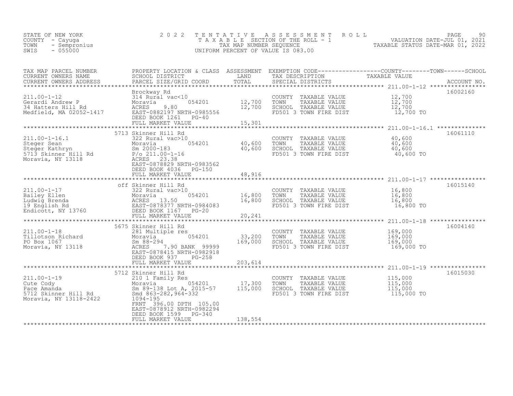| STATE OF NEW YORK<br>COUNTY - Cayuga<br>TOWN<br>- Sempronius<br>$-055000$<br>SWIS                         | 2 0 2 2                                                                                                                                                                                        | TENTATIVE<br>TAX MAP NUMBER SEQUENCE | ASSESSMENT<br>ROLL<br>T A X A B L E SECTION OF THE ROLL - 1<br>UNIFORM PERCENT OF VALUE IS 083.00  | 90<br>PAGE<br>VALUATION DATE-JUL 01, 2021<br>TAXABLE STATUS DATE-MAR 01, 2022                |
|-----------------------------------------------------------------------------------------------------------|------------------------------------------------------------------------------------------------------------------------------------------------------------------------------------------------|--------------------------------------|----------------------------------------------------------------------------------------------------|----------------------------------------------------------------------------------------------|
| TAX MAP PARCEL NUMBER<br>CURRENT OWNERS NAME<br>CURRENT OWNERS ADDRESS                                    | PROPERTY LOCATION & CLASS ASSESSMENT<br>SCHOOL DISTRICT<br>PARCEL SIZE/GRID COORD                                                                                                              | LAND<br>TOTAL                        | TAX DESCRIPTION<br>SPECIAL DISTRICTS                                                               | EXEMPTION CODE-----------------COUNTY-------TOWN------SCHOOL<br>TAXABLE VALUE<br>ACCOUNT NO. |
| $211.00 - 1 - 12$<br>Gerardi Andrew P<br>34 Hatters Hill Rd<br>Medfield, MA 02052-1417                    | Brockway Rd<br>314 Rural vac<10<br>054201<br>Moravia<br>ACRES<br>9.80<br>EAST-0882197 NRTH-0985556<br>DEED BOOK 1261<br>PG-40<br>FULL MARKET VALUE                                             | 12,700<br>12,700<br>15,301           | COUNTY TAXABLE VALUE<br>TOWN<br>TAXABLE VALUE<br>SCHOOL TAXABLE VALUE<br>FD501 3 TOWN FIRE DIST    | 16002160<br>12,700<br>12,700<br>12,700<br>12,700 TO                                          |
| $211.00 - 1 - 16.1$<br>Steger Sean<br>Steger Kathryn<br>5713 Skinner Hill Rd<br>Moravia, NY 13118         | 5713 Skinner Hill Rd<br>322 Rural vac>10<br>Moravia<br>054201<br>Sm 2000-183<br>$P/O$ 211.00-1-16<br>ACRES 23.38<br>EAST-0878829 NRTH-0983562<br>DEED BOOK 4036<br>PG-150<br>FULL MARKET VALUE | 40,600<br>40,600<br>48,916           | COUNTY TAXABLE VALUE<br>TOWN<br>TAXABLE VALUE<br>SCHOOL TAXABLE VALUE<br>FD501 3 TOWN FIRE DIST    | 16061110<br>40,600<br>40,600<br>40,600<br>40,600 TO                                          |
| $211.00 - 1 - 17$<br>Bailey Ellen<br>Luitey Bilen<br>Ludwig Brenda<br>19 English Rd<br>Endicott, NY 13760 | off Skinner Hill Rd<br>322 Rural vac>10<br>054201<br>Moravia<br>ACRES 13.50<br>EAST-0878377 NRTH-0984083<br>DEED BOOK 1167 PG-20<br>FULL MARKET VALUE                                          | 16,800<br>16,800<br>20,241           | COUNTY TAXABLE VALUE<br>TOWN<br>TAXABLE VALUE<br>SCHOOL TAXABLE VALUE<br>FD501 3 TOWN FIRE DIST    | 16015140<br>16,800<br>16,800<br>16,800<br>16,800 TO                                          |
| $211.00 - 1 - 18$<br>Tillotson Richard<br>PO Box 1067<br>Moravia, NY 13118                                | 5675 Skinner Hill Rd<br>281 Multiple res<br>054201<br>Moravia<br>$Sm$ 88-294<br>ACRES<br>7.90 BANK 99999<br>EAST-0878415 NRTH-0982918<br>DEED BOOK 937<br>PG-258<br>FULL MARKET VALUE          | 33,200<br>169,000<br>203,614         | COUNTY<br>TAXABLE VALUE<br>TOWN<br>TAXABLE VALUE<br>SCHOOL TAXABLE VALUE<br>FD501 3 TOWN FIRE DIST | 16004140<br>169,000<br>169,000<br>169,000<br>169,000 TO                                      |
| $211.00 - 1 - 19$<br>Cute Cody<br>Pace Amanda<br>5712 Skinner Hill Rd<br>Moravia, NY 13118-2422           | 5712 Skinner Hill Rd<br>210 1 Family Res<br>054201<br>Moravia<br>Sm 89-138 Lot A, 2015-57<br>Smd 863-282, 964-332<br>1094-195<br>FRNT 396.00 DPTH 105.00                                       | 17,300<br>115,000                    | COUNTY TAXABLE VALUE<br>TOWN<br>TAXABLE VALUE<br>SCHOOL TAXABLE VALUE<br>FD501 3 TOWN FIRE DIST    | 16015030<br>115,000<br>115,000<br>115,000<br>115,000 TO                                      |

\*\*\*\*\*\*\*\*\*\*\*\*\*\*\*\*\*\*\*\*\*\*\*\*\*\*\*\*\*\*\*\*\*\*\*\*\*\*\*\*\*\*\*\*\*\*\*\*\*\*\*\*\*\*\*\*\*\*\*\*\*\*\*\*\*\*\*\*\*\*\*\*\*\*\*\*\*\*\*\*\*\*\*\*\*\*\*\*\*\*\*\*\*\*\*\*\*\*\*\*\*\*\*\*\*\*\*\*\*\*\*\*\*\*\*\*\*\*\*\*\*\*\*\*\*\*\*\*\*\*\*\*

EAST-0878912 NRTH-0982294

DEED BOOK 1599 PG-340 FULL MARKET VALUE 138,554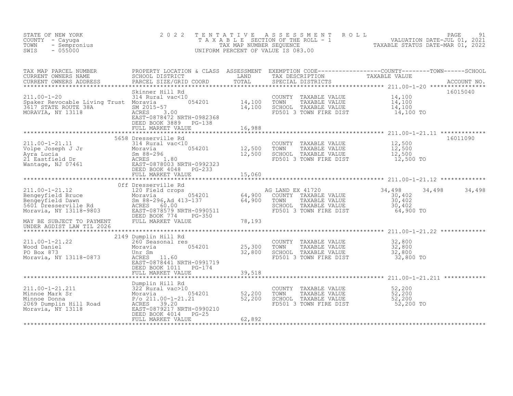| STATE OF NEW YORK<br>COUNTY - Cayuga<br>- Sempronius<br>TOWN<br>$-055000$<br>SWIS                                                                                                                               | 2 0 2 2<br>TAXABLE                                                                                                                                                             | TENTATIVE<br>TAX MAP NUMBER SEQUENCE | ASSESSMENT ROLL<br>UNIFORM PERCENT OF VALUE IS 083.00                                                                | PAGE<br>91<br>SECTION OF THE ROLL - 1 WALUATION DATE-JUL 01, 2021<br>NUMBER SEQUENCE TAXABLE STATUS DATE-MAR 01, 2022                                                                                                                                   |
|-----------------------------------------------------------------------------------------------------------------------------------------------------------------------------------------------------------------|--------------------------------------------------------------------------------------------------------------------------------------------------------------------------------|--------------------------------------|----------------------------------------------------------------------------------------------------------------------|---------------------------------------------------------------------------------------------------------------------------------------------------------------------------------------------------------------------------------------------------------|
| TAX MAP PARCEL NUMBER<br>CURRENT OWNERS NAME<br>CURRENT OWNERS ADDRESS<br>$211.00 - 1 - 20$<br>Spaker Revocable Living Trust Moravia 654201<br>Spare: Novodate 38A<br>3617 STATE ROUTE 38A<br>MORAVIA, NY 13118 | PARCEL SIZE/GRID COORD<br>Skinner Hill Rd<br>314 Rural vac<10<br>SM 2015-57<br>ACRES<br>3.00<br>EAST-0878472 NRTH-0982368<br>DEED BOOK 3889 PG-138<br>FULL MARKET VALUE        | TOTAL<br>14,100<br>14,100<br>16,988  | SPECIAL DISTRICTS<br>COUNTY TAXABLE VALUE<br>TOWN<br>TAXABLE VALUE<br>SCHOOL TAXABLE VALUE<br>FD501 3 TOWN FIRE DIST | PROPERTY LOCATION & CLASS ASSESSMENT EXEMPTION CODE----------------COUNTY--------TOWN------SCHOOL<br>SCHOOL DISTRICT________________LAND TAX_DESCRIPTION____________TAXABLE_VALUE<br>ACCOUNT NO.<br>16015040<br>14,100<br>14,100<br>14,100<br>14,100 TO |
| 211.00-1-21.11                                                                                                                                                                                                  | 5658 Dresserville Rd<br>314 Rural vac<10                                                                                                                                       | 12,500<br>12,500                     | COUNTY TAXABLE VALUE<br>TOWN<br>TAXABLE VALUE<br>SCHOOL TAXABLE VALUE<br>FD501 3 TOWN FIRE DIST                      | 16011090<br>12,500<br>12,500<br>12,500<br>12,500 TO                                                                                                                                                                                                     |
|                                                                                                                                                                                                                 | FULL MARKET VALUE                                                                                                                                                              | 15,060<br>*************              |                                                                                                                      |                                                                                                                                                                                                                                                         |
| $211.00 - 1 - 21.12$<br>Engeyfield Bruce<br>Bengeyfield Dawn<br>Sm 88-296, Ad 413-137<br>5601 Dresserville Rd<br>Moravia, NY 13118-9803<br>EAST-0878579 NRTH-0990511<br>EAST-0878579 NRTH-0990511               | Off Dresserville Rd<br>120 Field crops<br>054201<br>Sm 88-296, Ad 413-137<br>ACRES 60.00<br>DEED BOOK 774<br>PG-350                                                            | 64,900<br>64,900                     | AG LAND EX 41720<br>COUNTY TAXABLE VALUE<br>TAXABLE VALUE<br>TOWN<br>SCHOOL TAXABLE VALUE<br>FD501 3 TOWN FIRE DIST  | 34,498<br>34,498 34,498<br>30,402<br>30,402<br>30,402<br>64,900 TO                                                                                                                                                                                      |
| MAY BE SUBJECT TO PAYMENT<br>UNDER AGDIST LAW TIL 2026                                                                                                                                                          | FULL MARKET VALUE                                                                                                                                                              | 78,193                               |                                                                                                                      |                                                                                                                                                                                                                                                         |
|                                                                                                                                                                                                                 |                                                                                                                                                                                |                                      |                                                                                                                      |                                                                                                                                                                                                                                                         |
| $211.00 - 1 - 21.22$<br>Wood Daniel<br>PO Box 873<br>Moravia, NY 13118-0873                                                                                                                                     | 2149 Dumplin Hill Rd<br>260 Seasonal res<br>054201<br>Moravia<br>Unr Sm<br>ACRES 11.60<br>EAST-0878441 NRTH-0991719<br>DEED BOOK 1011 PG-174                                   | 25,300<br>32,800                     | COUNTY<br>TAXABLE VALUE<br>TOWN<br>TAXABLE VALUE<br>SCHOOL TAXABLE VALUE<br>FD501 3 TOWN FIRE DIST                   | 32,800<br>32,800<br>32,800<br>32,800 TO                                                                                                                                                                                                                 |
|                                                                                                                                                                                                                 | FULL MARKET VALUE                                                                                                                                                              | 39,518                               |                                                                                                                      | ************** 211.00-1-21.211                                                                                                                                                                                                                          |
| 211.00-1-21.211<br>Minnoe Mark Sr<br>Minnoe Donna<br>2069 Dumplin Hill Road<br>Moravia, NY 13118                                                                                                                | Dumplin Hill Rd<br>322 Rural vac>10<br>054201<br>Moravia<br>$P/O$ 211.00-1-21.21<br>ACRES 39.20<br>EAST-0879217 NRTH-0990210<br>DEED BOOK 4014<br>$PG-25$<br>FULL MARKET VALUE | $\frac{52}{52}$ , 200<br>62,892      | COUNTY TAXABLE VALUE<br>TOWN<br>TAXABLE VALUE<br>SCHOOL TAXABLE VALUE<br>FD501 3 TOWN FIRE DIST                      | 52,200<br>52,200<br>52,200<br>52,200 TO                                                                                                                                                                                                                 |
|                                                                                                                                                                                                                 |                                                                                                                                                                                |                                      |                                                                                                                      |                                                                                                                                                                                                                                                         |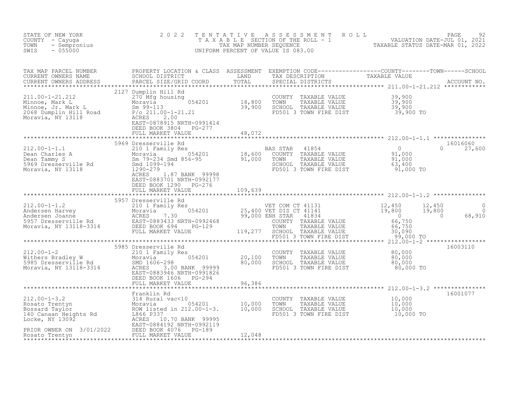| STATE OF NEW YORK<br>COUNTY - Cayuga<br>- Sempronius<br>TOWN<br>$-055000$<br>SWIS                                      | 2 0 2 2                                                                                                                  | TENTATIVE | UNIFORM PERCENT OF VALUE IS 083.00                                                                                               | TENTATIVE ASSESSMENT ROLL UNIVALUATION DATE-JUL 01, 2021<br>TAXABLE SECTION OF THE ROLL - 1 VALUATION DATE-JUL 01, 2021<br>TAXABLE STATUS DATE-MAR 01, 2022<br>JNIFORM PERCENT OF VALUE IS 083.00 |                      |
|------------------------------------------------------------------------------------------------------------------------|--------------------------------------------------------------------------------------------------------------------------|-----------|----------------------------------------------------------------------------------------------------------------------------------|---------------------------------------------------------------------------------------------------------------------------------------------------------------------------------------------------|----------------------|
|                                                                                                                        |                                                                                                                          |           |                                                                                                                                  |                                                                                                                                                                                                   |                      |
|                                                                                                                        | 2127 Dumplin Hill Rd<br>FULL MARKET VALUE                                                                                | 48,072    |                                                                                                                                  |                                                                                                                                                                                                   |                      |
|                                                                                                                        | EAST-0883701 NRTH-0992177<br>DEED BOOK 1290 PG-276<br>FULL MARKET VALUE                                                  | 109,639   |                                                                                                                                  | 16016060<br>$\Omega$<br>27,600                                                                                                                                                                    |                      |
|                                                                                                                        | 5957 Dresserville Rd                                                                                                     |           |                                                                                                                                  | 12,450<br>19,800<br>68,910<br>$\overline{0}$                                                                                                                                                      | $\Omega$<br>$\Omega$ |
| 212.00-1-2<br>Withers Bradley W 210 1 Fam<br>5985 Dresserville Rd 500 5005<br>Moravia, NY 13118-3314 2CRES<br>EAST-088 | 5985 Dresserville Rd<br>ACRES 3.00 BANK 99999<br>EAST-0883946 NRTH-0991826<br>DEED BOOK 1606 PG-294<br>FULL MARKET VALUE | 96,386    | COUNTY TAXABLE VALUE $80,000$<br>TOWN TAXABLE VALUE $80,000$<br>SCHOOL TAXABLE VALUE $80,000$<br>FD501 3 TOWN FIRE DIST          | 16003110<br>80,000 TO                                                                                                                                                                             |                      |
|                                                                                                                        |                                                                                                                          |           | COUNTY TAXABLE VALUE $10,000$<br>TOWN TAXABLE VALUE $10,000$<br>SCHOOL TAXABLE VALUE $10,000$<br>FD501 3 TOWN FIRE DIST $10,000$ | 16001077<br>10,000 TO                                                                                                                                                                             |                      |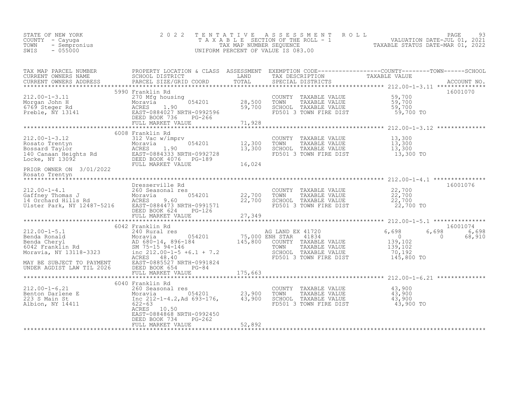| STATE OF NEW YORK<br>COUNTY - Cayuqa<br>TOWN - Sempronius<br>- 055000<br>SWIS | 2022 TENTATIVE ASSESSMENT ROLL<br>TAXABLE SECTION OF THE ROLL - 1<br>TAX MAP NUMBER SEOUENCE<br>UNIFORM PERCENT OF VALUE IS 083.00 | TAXABLE STATUS DATE-MAR 01, 2022 | PAGE<br>VALUATION DATE-JUL 01, 2021 | 93 |
|-------------------------------------------------------------------------------|------------------------------------------------------------------------------------------------------------------------------------|----------------------------------|-------------------------------------|----|
|                                                                               |                                                                                                                                    |                                  |                                     |    |

| TAX MAP PARCEL NUMBER<br>CURRENT OWNERS NAME<br>CURRENT OWNERS NAME SCHOOL DISTRICT - - ------ ------- TAND TAX DESCRIPTION TAXABLE VALUE<br>CURRENT OWNERS ADDRESS PARCEL SIZE/GRID COORD TOTAL SPECIAL DISTRICTS ACCOUNT NO.<br>****************************** | PROPERTY LOCATION & CLASS ASSESSMENT EXEMPTION CODE----------------COUNTY-------TOWN-----SCHOOL |                     |                                                                                                                                  |          |
|------------------------------------------------------------------------------------------------------------------------------------------------------------------------------------------------------------------------------------------------------------------|-------------------------------------------------------------------------------------------------|---------------------|----------------------------------------------------------------------------------------------------------------------------------|----------|
|                                                                                                                                                                                                                                                                  |                                                                                                 |                     |                                                                                                                                  |          |
| 212.00-1-3.11 5990 Franklin Ku<br>Morgan John H 270 Mfg housing<br>6769 Steger Rd MCRES 1.90 59,700 SCHOOL<br>Preble, NY 13141 EAST-0884027 NRTH-0992596 FD501 3<br>PEED BOOK 736 PG-266 FULL MARKET VALUE 71,928                                                | 5990 Franklin Rd                                                                                |                     | COUNTY TAXABLE VALUE 59,700<br>TOWN TAXABLE VALUE 59,700<br>SCHOOL TAXABLE VALUE 59,700<br>FD501 3 TOWN FIRE DIST 59,700 TO      | 16001070 |
|                                                                                                                                                                                                                                                                  |                                                                                                 |                     |                                                                                                                                  |          |
| 212.00-1-3.12<br>Rosato Trentyn Moravia Moravia Dall Vimprv<br>Bossard Taylor Moravia 054201 12,300<br>140 Canaan Heights Rd EAST-0884333 NRTH-0992728<br>Locke, NY 13092 DEED BOOK 4076 PG-189<br>PRIOR OWNER ON 3/01/2022 FULL MARKET                          | 6008 Franklin Rd                                                                                |                     | COUNTY TAXABLE VALUE $13,300$<br>TOWN TAXABLE VALUE $13,300$<br>SCHOOL TAXABLE VALUE $13,300$<br>FD501 3 TOWN FIRE DIST $13,300$ |          |
| PRIOR OWNER ON 3/01/2022<br>Rosato Trentyn                                                                                                                                                                                                                       |                                                                                                 |                     |                                                                                                                                  |          |
|                                                                                                                                                                                                                                                                  |                                                                                                 |                     |                                                                                                                                  |          |
|                                                                                                                                                                                                                                                                  | Dresserville Rd                                                                                 |                     |                                                                                                                                  | 16001076 |
| Dresserville Rd 260 Seasonal res 22,700 TOWN TAXABLE VALUE 22,700<br>Gaffney Thomas J<br>14 Orchard Hills Rd 22,700<br>Ulster Park, NY 12487-5216 EAST-0884473 NRTH-0991571 PD501 3 TOWN FIRE DIST<br>EED BOOK 624 PG-126<br>PG-126<br>PG-                       |                                                                                                 |                     | FD501 3 TOWN FIRE DIST 22,700 TO                                                                                                 |          |
|                                                                                                                                                                                                                                                                  |                                                                                                 |                     |                                                                                                                                  |          |
|                                                                                                                                                                                                                                                                  |                                                                                                 |                     |                                                                                                                                  | 16001074 |
|                                                                                                                                                                                                                                                                  | 6042 Franklin Rd                                                                                |                     |                                                                                                                                  | 6,698    |
|                                                                                                                                                                                                                                                                  |                                                                                                 |                     |                                                                                                                                  | 68,910   |
|                                                                                                                                                                                                                                                                  |                                                                                                 | ******************* |                                                                                                                                  |          |
|                                                                                                                                                                                                                                                                  |                                                                                                 |                     |                                                                                                                                  |          |
| 6040 Franklin Rd<br>260 Seasonal res<br>Benton Darlene E Moravia (1990)<br>23,900 TOWN TAXABLE VALUE 43,900<br>23 S Main St Inc 212-1-4.2, Ad 693-176, 43,900 SCHOOL TAXABLE VALUE 43,900<br>Albion, NY 14411 (22-63 10.50)<br>225-63 10.5                       | ACRES 10.50<br>EAST-0884868 NRTH-0992450                                                        |                     |                                                                                                                                  |          |
|                                                                                                                                                                                                                                                                  | DEED BOOK 734<br>PG-262<br>FULL MARKET VALUE                                                    | 52,892              |                                                                                                                                  |          |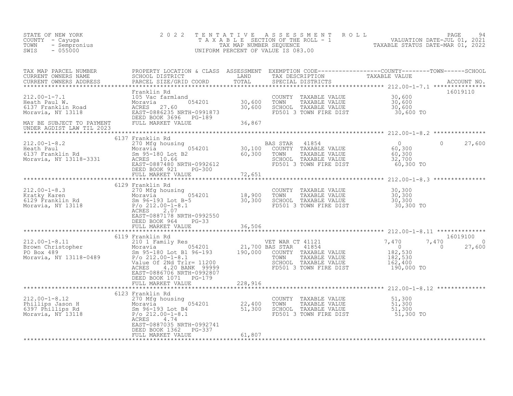| STATE OF NEW YORK<br>COUNTY – Cayuga<br>- Sempronius<br>TOWN<br>$-055000$<br>SWIS                                                                                                                                                                                                                                                                                                                                                     | 2 0 2 2                                                                                                                                                                                                                                      | TENTATIVE | UNIFORM PERCENT OF VALUE IS 083.00                                                                                                                                                                               | T E N T A T I V E A S S E S S M E N T R O L L<br>T A X A B L E SECTION OF THE ROLL - 1 VALUATION DATE-JUL 01, 2021<br>TAX MAP NUMBER SEQUENCE TAXABLE STATUS DATE-MAR 01, 2022<br>JNIFORM PERCENT OF VALUE IS 083.00 |                                |
|---------------------------------------------------------------------------------------------------------------------------------------------------------------------------------------------------------------------------------------------------------------------------------------------------------------------------------------------------------------------------------------------------------------------------------------|----------------------------------------------------------------------------------------------------------------------------------------------------------------------------------------------------------------------------------------------|-----------|------------------------------------------------------------------------------------------------------------------------------------------------------------------------------------------------------------------|----------------------------------------------------------------------------------------------------------------------------------------------------------------------------------------------------------------------|--------------------------------|
|                                                                                                                                                                                                                                                                                                                                                                                                                                       | PROPERTY LOCATION & CLASS ASSESSMENT EXEMPTION CODE----------------COUNTY--------TOWN------SCHOOL<br>SCHOOL DISTRICT               LAND       TAX DESCRIPTION             TAXABLE VALUE<br>PARCEL SIZE/GRID COORD       TOTAL<br>Franklin Rd |           | COUNTY TAXABLE VALUE                                                                                                                                                                                             |                                                                                                                                                                                                                      | 16019110                       |
| 212.00-1-7.1<br>Heath Paul W. Moravia Moravia (105 Vac farmland<br>6137 Franklin Road (107 MCRES 27.60 137 Franklin Road (108 MCRES 27.60 1086235 NRTH-0991873<br>MAY BE SUBJECT TO PAYMENT (FILL MADER UATILE 20086235 NRTH-099187<br>MAY BE SUBJECT TO PAYMENT<br>UNDER AGDIST LAW TIL 2023                                                                                                                                         | FULL MARKET VALUE 36,867                                                                                                                                                                                                                     |           | TAXABLE VALUE<br>TOWN<br>SCHOOL TAXABLE VALUE<br>FD501 3 TOWN FIRE DIST                                                                                                                                          | 30,600<br>30,600<br>30,600<br>30,600 TO                                                                                                                                                                              |                                |
|                                                                                                                                                                                                                                                                                                                                                                                                                                       | *******************<br>6137 Franklin Rd                                                                                                                                                                                                      |           |                                                                                                                                                                                                                  |                                                                                                                                                                                                                      |                                |
| $\begin{array}{lllllllllllll} \text{212.00-1-8.2} & & & & & & & & \text{BA} \\ \text{Heath Paul} & & & & & & & & \text{BA} \\ \text{Heath Paul} & & & & & & & & \text{054201} & \\ \text{6137 Franklin Rd} & & & & & & & \text{054201} & \\ \text{Moravia} & & & & & & & \text{054201} & \\ \text{Moravia} & & & & & & & \text{054201} & \\ \text{Moravia} & & & & & & & \text{054201} & \\ \text{Moravia} & & & & & & & \text{05420$ |                                                                                                                                                                                                                                              |           | BAS STAR<br>41854<br>COUNTY TAXABLE VALUE<br>TAXABLE VALUE<br>TOWN<br>SCHOOL TAXABLE VALUE<br>FD501 3 TOWN FIRE DIST                                                                                             | $\overline{0}$<br>$\Omega$<br>$60,300$<br>$60,300$<br>$32,700$<br>$60,300$ TO                                                                                                                                        | 27,600                         |
|                                                                                                                                                                                                                                                                                                                                                                                                                                       | DEED BOOK 921 PG-300<br>FULL MARKET VALUE 72,651                                                                                                                                                                                             |           |                                                                                                                                                                                                                  |                                                                                                                                                                                                                      |                                |
|                                                                                                                                                                                                                                                                                                                                                                                                                                       | 6129 Franklin Rd<br>ACRES<br>2.07<br>EAST-0887178 NRTH-0992550<br>DEED BOOK 964 PG-33                                                                                                                                                        |           | COUNTY TAXABLE VALUE<br>TAXABLE VALUE<br>SCHOOL TAXABLE VALUE<br>FD501 3 TOWN FIRE DIST                                                                                                                          | 30,300<br>30,300<br>30,300<br>$30,300$ TO                                                                                                                                                                            |                                |
|                                                                                                                                                                                                                                                                                                                                                                                                                                       | FULL MARKET VALUE<br>**************************                                                                                                                                                                                              | 36,506    |                                                                                                                                                                                                                  |                                                                                                                                                                                                                      |                                |
| 312.00-1-8.11<br>8119 Franklin Rd<br>8119 Franily Res<br>821,700 BAS STAR 41854<br>821,700 BAS STAR 41854<br>821,700 BAS STAR 41854<br>821,700 BAS STAR 41854<br>821,700 BAS STAR 41854<br>821,700 BAS STAR 41854<br>821,700 BAS STAR 41854<br>82H                                                                                                                                                                                    | 6119 Franklin Rd<br>4.20 BANK 99999<br><b>ACRES</b><br>EAST-0886706 NRTH-0992807<br>DEED BOOK 1071 PG-179                                                                                                                                    |           | ET WAR CT 41121 7,470<br>AS STAR 41854 7,470<br>COUNTY TAXABLE VALUE 182,530<br>TOWN TAXABLE VALUE 182,530<br>CCHOOL TAXABLE VALUE 182,530<br>VET WAR CT 41121<br>SCHOOL TAXABLE VALUE<br>FD501 3 TOWN FIRE DIST | 7,470<br>$\overline{0}$<br>162,400<br>190,000 TO                                                                                                                                                                     | 16019100<br>$\Omega$<br>27,600 |
|                                                                                                                                                                                                                                                                                                                                                                                                                                       | FULL MARKET VALUE                                                                                                                                                                                                                            | 228,916   |                                                                                                                                                                                                                  | ****************** 212.00-1-8.12 **************                                                                                                                                                                      |                                |
| 212.00-1-8.12<br>Phillips Jason H 270 Mfg housing<br>6397 Phillips Rd Sm 96-193 Lot B4<br>Moravia, NY 13118<br>$P(0 \ge 22,400$<br>Moravia, NY 13118<br>$P(0 \ge 22,400)$<br>$P(0 \ge 22,400)$<br>$P(0 \ge 22,400)$<br>$P(0 \ge 22,400)$<br>$P(0 \ge 22,400)$                                                                                                                                                                         | 6123 Franklin Rd<br>ACRES<br>4.74<br>EAST-0887035 NRTH-0992741<br>DEED BOOK 1362 PG-337                                                                                                                                                      |           | COUNTY TAXABLE VALUE 51,300<br>TOWN TAXABLE VALUE 51,300<br>SCHOOL TAXABLE VALUE 51,300<br>FD501 3 TOWN FIRE DIST 51,300 TO                                                                                      |                                                                                                                                                                                                                      |                                |
|                                                                                                                                                                                                                                                                                                                                                                                                                                       | FULL MARKET VALUE                                                                                                                                                                                                                            | 61,807    |                                                                                                                                                                                                                  |                                                                                                                                                                                                                      |                                |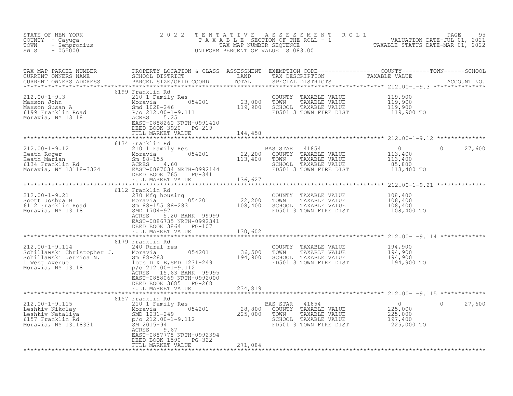| STATE OF NEW YORK 2022<br>COUNTY - Cayuga<br>TOWN - Sempronius<br>SWIS - 055000                                                                                                                                                                                                                    |                                                                                      |         | TENTATIVE ASSESSMENT ROLL PAGE 95<br>TAXABLE SECTION OF THE ROLL - 1 VALUATION DATE-JUL 01, 2021<br>TAX MAP NUMBER SEQUENCE TAXABLE STATUS DATE-MAR 01, 2022<br>UNIFORM PERCENT OF VALUE IS 083.00 |                    |
|----------------------------------------------------------------------------------------------------------------------------------------------------------------------------------------------------------------------------------------------------------------------------------------------------|--------------------------------------------------------------------------------------|---------|----------------------------------------------------------------------------------------------------------------------------------------------------------------------------------------------------|--------------------|
|                                                                                                                                                                                                                                                                                                    |                                                                                      |         |                                                                                                                                                                                                    |                    |
| 312.00-1-9.3<br>Maxson John 210 1 Family Res<br>Maxson John Moravia 54201<br>Maxson John Moravia 54201<br>Maxson Susan A Shortavia 54201<br>Maxson Susan A Shortavia 54201<br>Maxson Susan A Shortavia 54201<br>Maxson Susan A Shortavia 542                                                       | FULL MARKET VALUE 144,458                                                            |         |                                                                                                                                                                                                    |                    |
|                                                                                                                                                                                                                                                                                                    | 6134 Franklin Rd                                                                     |         |                                                                                                                                                                                                    |                    |
| $\begin{array}{cccccccc} 212.00-1-9.12 & 6134 & FranK11n& \text{Rd} & 210 & 1-9.12 & 6134 & FranK11n& \text{Rd} & 210 & 113,400 & 210 & 113,400 & 113,400 & 22,200 & 200\text{NOT} & TAXABLE VALUE & 113,400 & 113,400 & 113,400 & 113,400 & 113,400 & 113,400 & 113,400 & 113,400 & 113,400 & 11$ |                                                                                      |         |                                                                                                                                                                                                    | $\circ$<br>27,600  |
|                                                                                                                                                                                                                                                                                                    |                                                                                      |         |                                                                                                                                                                                                    |                    |
|                                                                                                                                                                                                                                                                                                    |                                                                                      |         |                                                                                                                                                                                                    |                    |
| 312.00-1-9.21<br>270 Mfg housing<br>270 Mfg housing<br>270 Mfg housing<br>270 Mfg housing<br>22,200 TOWN TAXABLE VALUE<br>22,200 TOWN TAXABLE VALUE<br>22,200 TOWN TAXABLE VALUE<br>22,200 TOWN TAXABLE VALUE<br>22,200 TOWN TAXABLE VALUE<br>22,2                                                 | EAST-0886735 NRTH-0992341<br>DEED BOOK 3864 PG-107<br>FULL MARKET VALUE              | 130,602 |                                                                                                                                                                                                    |                    |
|                                                                                                                                                                                                                                                                                                    |                                                                                      |         |                                                                                                                                                                                                    |                    |
|                                                                                                                                                                                                                                                                                                    |                                                                                      |         |                                                                                                                                                                                                    |                    |
|                                                                                                                                                                                                                                                                                                    | DEED BOOK 3685 PG-268<br>FULL MARKET VALUE                                           | 234,819 |                                                                                                                                                                                                    |                    |
|                                                                                                                                                                                                                                                                                                    |                                                                                      |         |                                                                                                                                                                                                    |                    |
|                                                                                                                                                                                                                                                                                                    | 6157 Franklin Rd<br>ACRES 9.67<br>EAST-0887778 NRTH-0992394<br>DEED BOOK 1590 PG-322 |         | AS STAR 41854 0<br>COUNTY TAXABLE VALUE 225,000<br>TOWN TAXABLE VALUE 225,000<br>SCHOOL TAXABLE VALUE 197,400<br>FD501 3 TOWN FIRE DIST 225,000 TO                                                 | 27,600<br>$\Omega$ |
|                                                                                                                                                                                                                                                                                                    |                                                                                      |         |                                                                                                                                                                                                    |                    |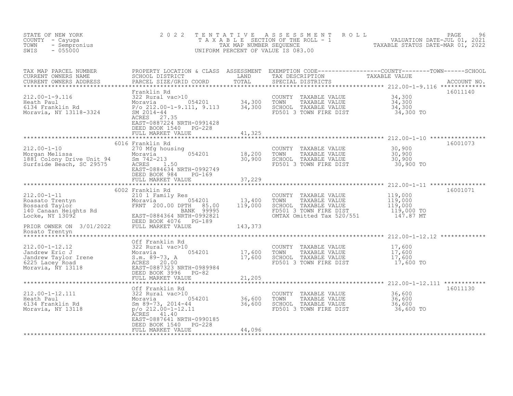| STATE OF NEW YORK<br>COUNTY - Cayuga<br>- Sempronius<br>TOWN<br>SWIS<br>$-055000$                                                                                                                                                                | 2 0 2 2                                                                                                                                                                                   | TENTATIVE                   | A S S E S S M E N T A O L L<br>TAXABLE SECTION OF THE ROLL - 1 WALUATION DATE-JUL 01, 2021<br>UNIFORM PERCENT OF VALUE IS 083.00                                                                                                                          |                                                                 | PAGE<br>96 |
|--------------------------------------------------------------------------------------------------------------------------------------------------------------------------------------------------------------------------------------------------|-------------------------------------------------------------------------------------------------------------------------------------------------------------------------------------------|-----------------------------|-----------------------------------------------------------------------------------------------------------------------------------------------------------------------------------------------------------------------------------------------------------|-----------------------------------------------------------------|------------|
| TAX MAP PARCEL NUMBER<br>CURRENT OWNERS NAME<br>CURRENT OWNERS ADDRESS                                                                                                                                                                           |                                                                                                                                                                                           |                             | PROPERTY LOCATION & CLASS ASSESSMENT EXEMPTION CODE----------------COUNTY-------TOWN------SCHOOL<br>SCHOOL DISTRICT                         LAND       TAX DESCRIPTION             TAXABLE VALUE<br>PARCEL SIZE/GRID COORD         T<br>SPECIAL DISTRICTS |                                                                 |            |
| 212.00-1-9.116<br>Heath Paul Moravia Moravia 054201 34,300<br>6134 Franklin Rd Moravia 054201 34,300<br>Moravia, NY 13118-3324 SM 2014-44<br>Moravia, NY 13118-3324                                                                              | Franklin Rd<br>$SM 2014 - 44$<br>ACRES 27.35<br>EAST-0887224 NRTH-0991428<br>DEED BOOK 1540 PG-228<br>FULL MARKET VALUE                                                                   | 41,325                      | COUNTY TAXABLE VALUE<br>TAXABLE VALUE<br>TOWN<br>SCHOOL TAXABLE VALUE<br>FD501 3 TOWN FIRE DIST                                                                                                                                                           | 34, 300<br>34, 300<br>34, 300<br>34,300 TO                      | 16011140   |
|                                                                                                                                                                                                                                                  |                                                                                                                                                                                           |                             |                                                                                                                                                                                                                                                           |                                                                 |            |
| $212.00 - 1 - 10$<br>212.00-1-10<br>Morgan Melissa<br>1881 Colony Drive Unit 94<br>Surfside Beach, SC 29575                                                                                                                                      | 6016 Franklin Rd<br>270 Mfg housing<br>054201<br>Moravia<br>$Sm$ 742-213<br>ACRES 1.50<br>EAST-0884634 NRTH-0992749<br>DEED BOOK 984<br>$PG-169$                                          | 18,200<br>30,900            | COUNTY TAXABLE VALUE<br>TOWN<br>TAXABLE VALUE<br>SCHOOL TAXABLE VALUE<br>FD501 3 TOWN FIRE DIST<br>FD501 3 TOWN FIRE DIST                                                                                                                                 | 30,900<br>30,900<br>30,900<br>30,900 TO                         | 16001073   |
|                                                                                                                                                                                                                                                  | FULL MARKET VALUE                                                                                                                                                                         | 37,229                      |                                                                                                                                                                                                                                                           |                                                                 |            |
|                                                                                                                                                                                                                                                  | 6002 Franklin Rd                                                                                                                                                                          | * * * * * * * * * * * * * * |                                                                                                                                                                                                                                                           | ********************* 212.00-1-11 *****************             | 16001071   |
| 212.00-1-11<br>Roasato Trentyn<br>Bossard Taylor Moravia 054201<br>140 Canaan Heights Rd<br>Locke, NY 13092<br>PRIOR OWNER ON 3/01/2022<br>PRIOR OWNER ON 3/01/2022<br>PRIOR OWNER ON 3/01/2022<br>PRIOR OWNER ON 3/01/2022<br>PRIOR OWNER ON 3/ | 13,400                                                                                                                                                                                    | 119,000                     | COUNTY TAXABLE VALUE<br>TOWN<br>TAXABLE VALUE<br>SCHOOL TAXABLE VALUE<br>FD501 3 TOWN FIRE DIST<br>OMTAX Omitted Tax 520/551                                                                                                                              | 119,000<br>$\frac{119,000}{119,000}$<br>119,000 TO<br>147.87 MT |            |
| Rosato Trentyn                                                                                                                                                                                                                                   |                                                                                                                                                                                           | 143,373                     |                                                                                                                                                                                                                                                           |                                                                 |            |
|                                                                                                                                                                                                                                                  | Off Franklin Rd                                                                                                                                                                           |                             |                                                                                                                                                                                                                                                           |                                                                 |            |
| % 12.00-1-12.12<br>Jandrew Eric J<br>Jandrew Taylor Irene (1997)<br>Moravia (1997)<br>6225 Lacey Road (1997)<br>Moravia, NY 13118<br>Moravia, NY 13118<br>SAST-0887323 NRTH-0989984<br>DEED BOOK 3996                                            | 054201                                                                                                                                                                                    | 17,600<br>17,600            | COUNTY TAXABLE VALUE<br>TAXABLE VALUE<br>TOWN<br>SCHOOL TAXABLE VALUE<br>FD501 3 TOWN FIRE DIST                                                                                                                                                           | 17,600<br>17,600<br>17,600<br>17,600 TO                         |            |
|                                                                                                                                                                                                                                                  | FULL MARKET VALUE                                                                                                                                                                         | 21,205<br>************      |                                                                                                                                                                                                                                                           | ********************** 212.00-1-12.111 ************             |            |
| 212.00-1-12.111<br>Heath Paul<br>6134 Franklin Rd<br>Moravia, NY 13118                                                                                                                                                                           | Off Franklin Rd<br>322 Rural vac>10<br>322 Rural vac>10<br>Moravia 054201<br>Sm 89-73, 2014-44<br>p/o 212.00-1-12.11<br>$p$ /o 212.00-1-12.11<br>ACRES 41.40<br>EAST-0887641 NRTH-0990185 | 36,600<br>36,600            | COUNTY TAXABLE VALUE<br>TOWN<br>TAXABLE VALUE<br>SCHOOL TAXABLE VALUE<br>FD501 3 TOWN FIRE DIST                                                                                                                                                           | 36,600<br>36,600<br>36,600<br>36,600 TO                         | 16011130   |
|                                                                                                                                                                                                                                                  | DEED BOOK 1540<br>PG-228<br>FULL MARKET VALUE                                                                                                                                             | 44,096                      |                                                                                                                                                                                                                                                           |                                                                 |            |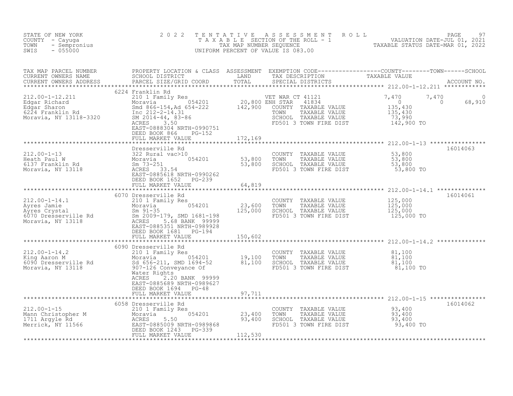| STATE OF NEW YORK<br>COUNTY - Cayuga<br>TOWN<br>- Sempronius<br>SWIS<br>$-055000$                                                                                                                                                     | 2 0 2 2                                                                                                     |                             | TENTATIVE ASSESSMENT<br>UNIFORM PERCENT OF VALUE IS 083.00                                                                      | R O L L<br>TAXABLE SECTION OF THE ROLL - 1 WOLL WALUATION DATE-JUL 01, 2021                                                                                                                                 | PAGE<br>97         |
|---------------------------------------------------------------------------------------------------------------------------------------------------------------------------------------------------------------------------------------|-------------------------------------------------------------------------------------------------------------|-----------------------------|---------------------------------------------------------------------------------------------------------------------------------|-------------------------------------------------------------------------------------------------------------------------------------------------------------------------------------------------------------|--------------------|
| TAX MAP PARCEL NUMBER<br>CURRENT OWNERS NAME<br>CURRENT OWNERS ADDRESS                                                                                                                                                                |                                                                                                             |                             |                                                                                                                                 | PROPERTY LOCATION & CLASS ASSESSMENT EXEMPTION CODE------------------COUNTY--------TOWN------SCHOOL<br>SCHOOL DISTRICT LAND TAX DESCRIPTION TAXABLE VALUE<br>PARCEL SIZE/GRID COORD TOTAL SPECIAL DISTRICTS |                    |
| 212.00-1-12.211 222<br>Edgar Richard 20,800 ENH STAR<br>Edgar Sharon 524 Eranily Res 54201<br>Edgar Sharon 5224 Eranklin Rd Inc 212-2-14.31<br>Moravia, NY 13118-3320 3M 2014-44, 83-86 54-222<br>Moravia, NY 13118-3320 3.50 FD501 3 | 6224 Franklin Rd<br>EAST-0888304 NRTH-0990751<br>DEED BOOK 866 PG-152<br>FULL MARKET VALUE                  | 172,169                     | VET WAR CT 41121<br>$41121$<br>41834<br>COUNTY TAXABLE VALUE<br>TAXABLE VALUE<br>SCHOOL TAXABLE VALUE<br>FD501 3 TOWN FIRE DIST | 7,470<br>7,470<br>$\overline{0}$<br>$\begin{array}{r} 0 \ 135,430 \ 135,430 \ 73,990 \ 142,900 \text{~TO} \end{array}$                                                                                      | $\Omega$<br>68,910 |
|                                                                                                                                                                                                                                       |                                                                                                             |                             |                                                                                                                                 |                                                                                                                                                                                                             |                    |
|                                                                                                                                                                                                                                       | DEED BOOK 1652 PG-239                                                                                       |                             | COUNTY TAXABLE VALUE<br>TAXABLE VALUE<br>TOWN<br>SCHOOL TAXABLE VALUE<br>FD501 3 TOWN FIRE DIST                                 | 53,800<br>53,800<br>53,800<br>53,800 TO                                                                                                                                                                     | 16014063           |
|                                                                                                                                                                                                                                       | FULL MARKET VALUE                                                                                           | 64,819                      |                                                                                                                                 |                                                                                                                                                                                                             |                    |
|                                                                                                                                                                                                                                       | 6070 Dresserville Rd                                                                                        | * * * * * * * * * * * * * * |                                                                                                                                 |                                                                                                                                                                                                             | 16014061           |
| $212.00 - 1 - 14.1$<br>212.00-1-14.1<br>Ayres Jamie<br>Ayres Crystal Sm 91-35<br>6070 Dresserville Rd Sm 2009-179, SMD 1681-198<br>Moravia, NY 13118 (EAST-0885351 NRTH-0989928                                                       | 210 1 Family Res<br>054201<br>DEED BOOK 1681 PG-194                                                         | 23,600<br>125,000           | COUNTY TAXABLE VALUE<br>TOWN<br>TAXABLE VALUE<br>SCHOOL TAXABLE VALUE<br>FD501 3 TOWN FIRE DIST                                 | 125,000<br>125,000<br>125,000<br>125,000 TO                                                                                                                                                                 |                    |
|                                                                                                                                                                                                                                       | FULL MARKET VALUE                                                                                           | 150,602                     |                                                                                                                                 |                                                                                                                                                                                                             |                    |
| 212.00-1-14.2<br>King Aaron M<br>6090 Dresserville Rd<br>Moravia (54201 19,100<br>6090 Dresserville Rd<br>Moravia, NY 13118<br>907-126 Cohveyance Of<br>907-126 Cohveyance Of                                                         | 6090 Dresserville Rd<br>Water Rights<br>ACRES<br>2.20 BANK 99999<br>EAST-0885689 NRTH-0989627               |                             | COUNTY TAXABLE VALUE<br>TOWN      TAXABLE VALUE<br>SCHOOL   TAXABLE VALUE<br>FD501 3 TOWN FIRE DIST                             | 81,100<br>$\frac{81,100}{81,100}$<br>81,100 TO                                                                                                                                                              |                    |
|                                                                                                                                                                                                                                       | DEED BOOK 1694 PG-48<br>FULL MARKET VALUE                                                                   | 97,711                      |                                                                                                                                 |                                                                                                                                                                                                             |                    |
|                                                                                                                                                                                                                                       | ************************                                                                                    |                             |                                                                                                                                 |                                                                                                                                                                                                             |                    |
| $212.00 - 1 - 15$<br>212.00-1-15<br>Mann Christopher M<br>1711 Argyle Rd<br>Merrick, NY 11566<br>Merrick, NY 11566<br>Merrick, NY 11566<br>20085009 NRTH-0989868<br>2009 NRTH-0989868<br>2009 NRTH-0989868                            | 6058 Dresserville Rd<br>210 1 Family Res<br>$054201$ $23,400$<br>DEED BOOK 1243 PG-339<br>FULL MARKET VALUE | 112,530                     | COUNTY TAXABLE VALUE<br>TAXABLE VALUE<br>TOWN<br>SCHOOL TAXABLE VALUE<br>FD501 3 TOWN FIRE DIST                                 | 93,400<br>93,400<br>93,400<br>93,400 TO                                                                                                                                                                     | 16014062           |
|                                                                                                                                                                                                                                       |                                                                                                             |                             |                                                                                                                                 |                                                                                                                                                                                                             |                    |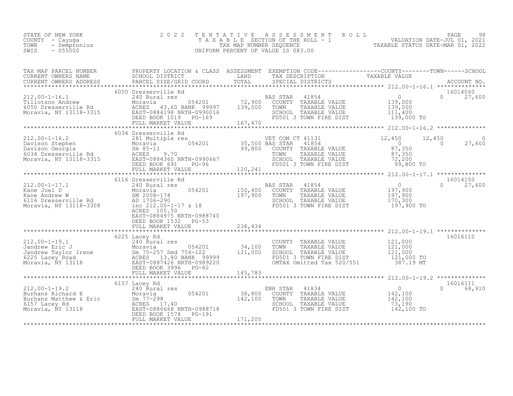| STATE OF NEW YORK | 2022 TENTATIVE ASSESSMENT ROLL     |                                  | PAGE | 98 |
|-------------------|------------------------------------|----------------------------------|------|----|
| COUNTY – Cayuqa   | TAXABLE SECTION OF THE ROLL - 1    | VALUATION DATE-JUL 01, 2021      |      |    |
| TOWN - Sempronius | TAX MAP NUMBER SEOUENCE            | TAXABLE STATUS DATE-MAR 01, 2022 |      |    |
| $-055000$<br>SWIS | UNIFORM PERCENT OF VALUE IS 083.00 |                                  |      |    |

| TAX MAP PARCEL NUMBER                                                                                                                                                                                                                                                                                                                                                                                                                                | PROPERTY LOCATION & CLASS ASSESSMENT EXEMPTION CODE----------------COUNTY-------TOWN-----SCHOOL |         |                                                                                                                                                                                                                    |                                                        |                                |
|------------------------------------------------------------------------------------------------------------------------------------------------------------------------------------------------------------------------------------------------------------------------------------------------------------------------------------------------------------------------------------------------------------------------------------------------------|-------------------------------------------------------------------------------------------------|---------|--------------------------------------------------------------------------------------------------------------------------------------------------------------------------------------------------------------------|--------------------------------------------------------|--------------------------------|
|                                                                                                                                                                                                                                                                                                                                                                                                                                                      |                                                                                                 |         |                                                                                                                                                                                                                    |                                                        |                                |
|                                                                                                                                                                                                                                                                                                                                                                                                                                                      | 6050 Dresserville Rd                                                                            |         |                                                                                                                                                                                                                    |                                                        | 16014060<br>$0 \t 27,600$      |
|                                                                                                                                                                                                                                                                                                                                                                                                                                                      |                                                                                                 |         |                                                                                                                                                                                                                    |                                                        |                                |
| $[0.34 \text{ Dreseserving}] \setlength{\footnotesize{0.1200-1}} \begin{minipage}[t]{.5em} \begin{minipage}[t]{.05em} \begin{minipage}[t]{.05em} \begin{minipage}[t]{.05em} \begin{minipage}[t]{.05em} \begin{minipage}[t]{.05em} \begin{minipage}[t]{.05em} \begin{minipage}[t]{.05em} \begin{minipage}[t]{.05em} \begin{minipage}[t]{.05em} \begin{minipage}[t]{.05em} \begin{minipage}[t]{.05em} \begin{minipage}[t]{.05em} \begin{minipage}[t]{$ | 6034 Dresserville Rd                                                                            |         |                                                                                                                                                                                                                    |                                                        |                                |
|                                                                                                                                                                                                                                                                                                                                                                                                                                                      |                                                                                                 |         |                                                                                                                                                                                                                    |                                                        |                                |
| 212.00-1-17.1<br>Kane Joel D<br>Xane Andrew W<br>6116 Dresserville Rd<br>6116 Dresserville Rd<br>6116 Dresserville Rd<br>6116 Dresserville Rd<br>6116 Dresserville Rd<br>6116 Dresserville Rd<br>6116 Dresserville Rd<br>61212.00-1-17 & 18                                                                                                                                                                                                          | 6116 Dresserville Rd<br>ACRES 105.50<br>EAST-0884975 NRTH-0988740<br>DEED BOOK 1532 PG-53       |         | e Rd<br>es<br>054201 150,400 COUNTY TAXABLE VALUE 197,900<br>197,900 TOWN TAXABLE VALUE 197,900<br>197,900 SCHOOL TAXABLE VALUE 170,300<br>197,900 TOPS<br>197,900 TOPS<br>197,900 TOPS                            |                                                        | 16014150<br>$0 \t 27,600$      |
|                                                                                                                                                                                                                                                                                                                                                                                                                                                      | FULL MARKET VALUE                                                                               | 238,434 |                                                                                                                                                                                                                    |                                                        |                                |
|                                                                                                                                                                                                                                                                                                                                                                                                                                                      | 6225 Lacey Rd                                                                                   |         |                                                                                                                                                                                                                    |                                                        | 16016110                       |
|                                                                                                                                                                                                                                                                                                                                                                                                                                                      |                                                                                                 |         |                                                                                                                                                                                                                    |                                                        |                                |
| 212.00-1-19.2<br>Burhans Richard E<br>Burhans Matthew & Eric<br>6157 Lacey Rd<br>Moravia, NY 13118<br>Moravia, NY 13118<br>CEED BOOK 1578<br>CEED BOOK 1578<br>CEED BOOK 1578<br>PG-191<br>FULL MARKET VALUE<br>FULL MARKET VALUE<br>FULL MARKET VALU                                                                                                                                                                                                | 6157 Lacey Rd                                                                                   |         | ENH STAR 41834<br>054201 38,800 COUNTY TAXABLE VALUE<br>142,100 TOWN TAXABLE VALUE<br>SCHOOL TAXABLE VALUE<br>FD501 3 TOWN FIRE DIST<br>RE-191<br>SCHOOL TAXABLE VALUE 73,190<br>FD501 3 TOWN FIRE DIST 142,100 TO | $\begin{array}{c} 0 \\ 142,100 \\ 142,100 \end{array}$ | 16016111<br>$\Omega$<br>68,910 |
|                                                                                                                                                                                                                                                                                                                                                                                                                                                      |                                                                                                 |         |                                                                                                                                                                                                                    |                                                        |                                |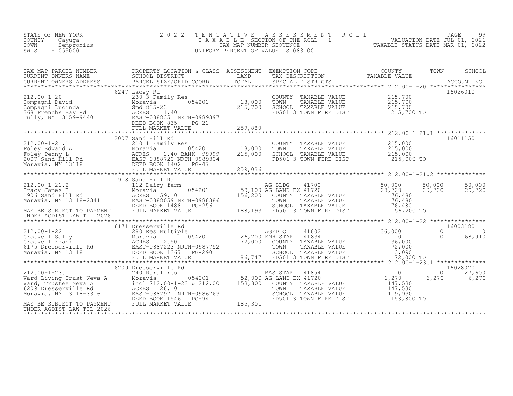| STATE OF NEW YORK<br>COUNTY - Cayuga<br>- Sempronius<br>TOWN<br>$-055000$<br>SWIS                                                                                                                                                        | 2 0 2 2<br>TENTATIVE                                                                                 | UNIFORM PERCENT OF VALUE IS 083.00 |                | ASSESSMENT ROLL                                                                                                         | T A X A B L E SECTION OF THE ROLL - 1 VALUATION DATE-JUL 01, 2021<br>TAX MAP NUMBER SEQUENCE<br>INIFORM PERCENT OF VALUE IS 083.00 |                        | PAGE<br>99         |
|------------------------------------------------------------------------------------------------------------------------------------------------------------------------------------------------------------------------------------------|------------------------------------------------------------------------------------------------------|------------------------------------|----------------|-------------------------------------------------------------------------------------------------------------------------|------------------------------------------------------------------------------------------------------------------------------------|------------------------|--------------------|
|                                                                                                                                                                                                                                          |                                                                                                      |                                    |                |                                                                                                                         |                                                                                                                                    |                        |                    |
| $212.00 - 1 - 20$<br>212.00-1-20<br>Compagni David<br>Compagni Lucinda<br>368 Frenchs Bay Rd<br>Tully, NY 13159-9440<br>2008 Bay Rd<br>2008351 BASET-0888351 BASET-0888351 BASET-0888351 BASET-0888351 BASET                             | 6247 Lacey Rd<br>230 3 Family Res<br>054201<br>EAST-0888351 NRTH-0989397<br>DEED BOOK 835<br>$PG-21$ | 18,000<br>215,700                  | TOWN           | COUNTY TAXABLE VALUE<br>TAXABLE VALUE<br>SCHOOL TAXABLE VALUE<br>FD501 3 TOWN FIRE DIST                                 | $215,700$<br>$215,700$<br>215,700<br>215,700 TO                                                                                    |                        | 16026010           |
|                                                                                                                                                                                                                                          | FULL MARKET VALUE                                                                                    | 259,880                            |                |                                                                                                                         |                                                                                                                                    |                        |                    |
| $212.00 - 1 - 21.1$<br>212.00-1-21.1<br>Foley Edward A Moravia (1.40 BANK 99999<br>2007 Sand Hill Rd ACRES 1.40 BANK 99999<br>2007 Sand Hill Rd EAST-0888720 NRTH-0989304<br>Moravia, NY 13118 ELED BOOK 1402 PG-47                      | 2007 Sand Hill Rd<br>210 1 Family Res<br>$054201$ 18,000                                             | 215,000<br>259,036                 | TOWN           | COUNTY TAXABLE VALUE<br>TAXABLE VALUE<br>SCHOOL TAXABLE VALUE<br>FD501 3 TOWN FIRE DIST                                 | 215,000<br>215,000<br>215,000<br>215,000<br>215,000 TO                                                                             |                        | 16011150           |
|                                                                                                                                                                                                                                          |                                                                                                      |                                    |                |                                                                                                                         |                                                                                                                                    |                        |                    |
| $212.00 - 1 - 21.2$<br>212.00-1-21.2<br>Tracy James E Moravia 054201<br>1906 Sand Hill Rd ACRES 59.10<br>Moravia, NY 13118-2341<br>MAY BE SUBJECT TO PAYMENT FULL MARKET VALUE<br>INDER AGDIST LAW TIL 2026<br>FULL MARKET VALUE         | 1918 Sand Hill Rd                                                                                    | 156,200                            | TOWN           | $41700$<br>$41720$<br>COUNTY TAXABLE VALUE<br>TAXABLE VALUE<br>SCHOOL TAXABLE VALUE<br>188,193 FD501 3 TOWN FIRE DIST   | 50,000<br>29,720<br>76,480<br>76,480<br>76,480<br>156,200 TO                                                                       | 50,000<br>29,720       | 50,000<br>29,720   |
| UNDER AGDIST LAW TIL 2026                                                                                                                                                                                                                |                                                                                                      |                                    |                |                                                                                                                         |                                                                                                                                    |                        |                    |
|                                                                                                                                                                                                                                          | 6171 Dresserville Rd                                                                                 | 86,747                             |                | 41802<br>41834<br><br>COUNTY TAXABLE VALUE<br>TOWN      TAXABLE VALUE<br>SCHOOL TAXABLE VALUE<br>FD501 3 TOWN FIRE DIST | 36,000<br>$\overline{0}$<br>36,000<br>36,000<br>72,000<br>3,090<br>72,000 TO                                                       | $\Omega$<br>$\bigcirc$ | 16003180<br>68,910 |
|                                                                                                                                                                                                                                          |                                                                                                      |                                    | BAS STAR 41854 |                                                                                                                         | $\overline{0}$                                                                                                                     | $\Omega$               | 16028020<br>27,600 |
| 212.00-1-23.1<br>Ward Living Trust Neva A Moravia<br>Ward, Trustee Neva A incl 212.00-1-23 & 212.00<br>6209 Dresserville Rd ACRES 28.10<br>Moravia, NY 13118-3316 EAST-0887971 NRTH-0986763<br>Moravia, NY 13118-3316 EAST-0887971 NRTH- | 054201 52,000 AG LAND EX 41720                                                                       | 153,800                            | TOWN           | COUNTY TAXABLE VALUE<br>TAXABLE VALUE<br>SCHOOL TAXABLE VALUE<br>FD501 3 TOWN FIRE DIST                                 | 6,270<br>147,530<br>147,530<br>119,930<br>153,800 TO                                                                               | 6,270                  | 6,270              |
| UNDER AGDIST LAW TIL 2026                                                                                                                                                                                                                |                                                                                                      | 185,301                            |                |                                                                                                                         |                                                                                                                                    |                        |                    |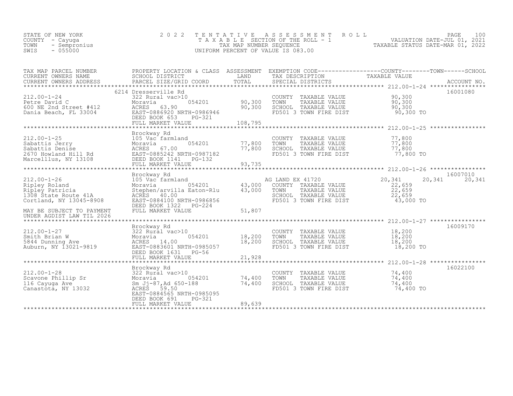| STATE OF NEW YORK    | 2022 TENTATIVE ASSESSMENT ROLL     |                                  | PAGE                        | 100 |
|----------------------|------------------------------------|----------------------------------|-----------------------------|-----|
| COUNTY - Cayuqa      | TAXABLE SECTION OF THE ROLL - 1    |                                  | VALUATION DATE-JUL 01, 2021 |     |
| TOWN<br>- Sempronius | TAX MAP NUMBER SEOUENCE            | TAXABLE STATUS DATE-MAR 01, 2022 |                             |     |
| $-055000$<br>SWIS    | UNIFORM PERCENT OF VALUE IS 083.00 |                                  |                             |     |
|                      |                                    |                                  |                             |     |

| PROPERTY LOCATION & CLASS ASSESSMENT EXEMPTION CODE----------------COUNTY-------TOWN-----SCHOOL<br>TAX DESCRIPTION<br>TAXABLE VALUE                                                                                                                                                                                                                                                  | LAND                              | SCHOOL DISTRICT                                                                                                                                                                         | TAX MAP PARCEL NUMBER<br>CURRENT OWNERS NAME                                                                                                                                                                                                                                                                     |
|--------------------------------------------------------------------------------------------------------------------------------------------------------------------------------------------------------------------------------------------------------------------------------------------------------------------------------------------------------------------------------------|-----------------------------------|-----------------------------------------------------------------------------------------------------------------------------------------------------------------------------------------|------------------------------------------------------------------------------------------------------------------------------------------------------------------------------------------------------------------------------------------------------------------------------------------------------------------|
| 16001080<br>COUNTY TAXABLE VALUE $90,300$<br>TOWN TAXABLE VALUE $90,300$<br>SCHOOL TAXABLE VALUE $90,300$<br>FD501 3 TOWN FIRE DIST 90,300<br>212.00-1-24<br>Petre David C Moravia 322 Rural vac>10<br>Moravia 054201 90,300 TOWN TAXABLE VALUE 90,300<br>Moravia 90,300 SCHOOL TAXABLE VALUE 90,300<br>DE 2nd Street #412 ACRES 63.90 NRTH-0986946 90,300 SCHOOL TAXABLE VALUE 90,3 |                                   | 6214 Dresserville Rd                                                                                                                                                                    | $212.00 - 1 - 24$                                                                                                                                                                                                                                                                                                |
| COUNTY TAXABLE VALUE<br>77,800<br>TOWN TAXABLE VALUE 77,800<br>SCHOOL TAXABLE VALUE 77,800<br>FD501 3 TOWN FIRE DIST 77,800 TO                                                                                                                                                                                                                                                       | 77,800<br>93,735                  | Brockway Rd<br>$054201$ $77,800$<br>FULL MARKET VALUE                                                                                                                                   | 212.00-1-25<br>105 Vac farmland<br>Sabattis Jerry Moravia 054201<br>Sabattis Denise Moravia 054201<br>2670 Howland Hill Rd EAST-0885242 NRTH-0987182<br>Marcelllus, NY 13108 DEED BOOK 1141 PG-132<br>FULL MARKET VALUE                                                                                          |
| 16007010<br>20,341<br>20,341 20,341<br>22,659<br>FOWN TAXABLE VALUE<br>SCHOOL TAXABLE VALUE<br>FD501 3 TOWN FIRE DIST 43,000 TO                                                                                                                                                                                                                                                      | 43,000<br>51,807                  | Brockway Rd<br>DEED BOOK 1322 PG-224<br>FULL MARKET VALUE                                                                                                                               | 212.00-1-26<br>Ripley Roland<br>Ripley Patricia<br>105 Vac farmland<br>105 Vac farmland<br>105 Vac farmland<br>105 Vac farmland<br>105 Vac farmland<br>105 Vac farmland<br>105 Vac farmland<br>105 Vac farmland<br>105 Vac farmland<br>105 Vac farmlan<br>MAY BE SUBJECT TO PAYMENT<br>UNDER AGDIST LAW TIL 2026 |
| 16009170<br>COUNTY TAXABLE VALUE 18,200<br>TOWN TAXABLE VALUE 18,200<br>SCHOOL TAXABLE VALUE 18,200<br>FD501 3 TOWN FIRE DIST 18,200<br>18,200 TO                                                                                                                                                                                                                                    | 21,928                            | Brockway Rd<br>FULL MARKET VALUE                                                                                                                                                        |                                                                                                                                                                                                                                                                                                                  |
| 16022100<br>$\begin{tabular}{llllll} \multicolumn{2}{c}{\text{COUNTY}} & \text{TAXABLE VALUE} & & & & \text{74,400} \\ \text{TOWN} & \text{TAXABLE VALUE} & & & \text{74,400} \end{tabular}$<br>SCHOOL TAXABLE VALUE<br>FD501 3 TOWN FIRE DIST<br>74,400<br>74,400 TO                                                                                                                | 054201 74,400<br>74,400<br>89,639 | Brockway Rd<br>322 Rural vac>10<br>Moravia<br>$\text{Sm}_{2}$ $\text{J}_2$ - 87, Ad 650-188<br>ACRES 59.50<br>EAST-0884565 NRTH-0985095<br>DEED BOOK 691<br>PG-321<br>FULL MARKET VALUE | 212.00-1-28<br>Scavone Phillip Sr<br>116 Cayuga Ave<br>Canastota, NY 13032<br>Canastota, NY 13032                                                                                                                                                                                                                |
| *********************** 212.00-1-28 *****************                                                                                                                                                                                                                                                                                                                                |                                   |                                                                                                                                                                                         |                                                                                                                                                                                                                                                                                                                  |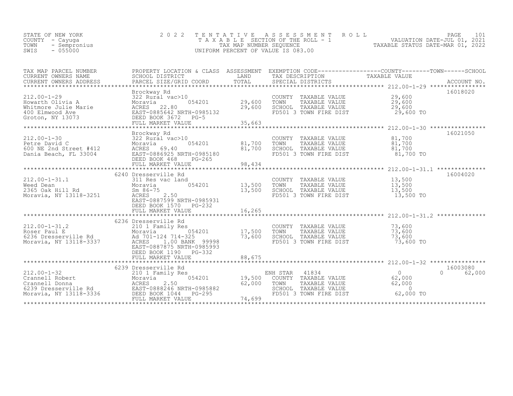| VALUATION DATE-JUL 01, 2021      |
|----------------------------------|
| TAXABLE STATUS DATE-MAR 01, 2022 |
|                                  |
|                                  |

| TAX MAP PARCEL NUMBER<br>CURRENT OWNERS NAME<br>CURRENT OWNERS ADDRESS                                 | PROPERTY LOCATION & CLASS ASSESSMENT EXEMPTION CODE----------------COUNTY-------TOWN-----SCHOOL<br>SCHOOL DISTRICT<br>PARCEL SIZE/GRID COORD                                                                                                                                                                                | LAND                                | TAX DESCRIPTION                                                                                                                 | TAXABLE VALUE                           |                                |
|--------------------------------------------------------------------------------------------------------|-----------------------------------------------------------------------------------------------------------------------------------------------------------------------------------------------------------------------------------------------------------------------------------------------------------------------------|-------------------------------------|---------------------------------------------------------------------------------------------------------------------------------|-----------------------------------------|--------------------------------|
| *********************************<br>$212.00 - 1 - 29$                                                 | Brockway Rd<br>322 Rural vac>10<br>212.00-1-29<br>Howarth Olivia A<br>Whitmore Julie Marie<br>Mhitmore Julie Marie<br>22.80<br>400 Elmwood Ave<br>EAST-0885642 NRTH-0985132<br>Groton, NY 13073<br>DEED BOOK 3672PG-5<br>FULL MARKET VALUE                                                                                  | $054201$ 29,600<br>29,600<br>35,663 | COUNTY TAXABLE VALUE $29,600$<br>TOWN TAXABLE VALUE $29,600$<br>SCHOOL TAXABLE VALUE<br>FD501 3 TOWN FIRE DIST                  | 29,600<br>29,600 TO                     | 16018020                       |
|                                                                                                        | Brockway Rd<br>212.00-1-30<br>22 Rural vac>10<br>Petre David C Moravia 054201<br>600 NE 2nd Street #412<br>Dania Beach, FL 33004<br>232 Rural vac>10<br>22 Rural vac>10<br>22 Rural vac>10<br>22 Rural vac>10<br>22 Rural vac>10<br>22 Rural vac>10<br>22 Rural v<br>DEED BOOK 468<br>$PG - 265$<br>FULL MARKET VALUE       | 81,700<br>98,434                    | COUNTY TAXABLE VALUE<br>TAXABLE VALUE<br>SCHOOL TAXABLE VALUE<br>FD501 3 TOWN FIRE DIST 81,700<br>FD501 3 TOWN FIRE DIST 81,700 | 81,700<br>81,700<br>81,700 TO           | 16021050                       |
| $212.00 - 1 - 31.1$<br>311 Res<br>2365 Oak Hill Rd<br>2365 Oak Hill Rd<br>Moravia, NY 13118-3251 ACRES | 6240 Dresserville Rd<br>311 Res vac land<br>ACRES 2.50<br>EAST-0887599 NRTH-0985931<br>DEED BOOK 1570 PG-232                                                                                                                                                                                                                | 054201 13,500<br>13,500             | COUNTY TAXABLE VALUE 13,500<br>TOWN TAXABLE VALUE 13,500<br>TOWN<br>SCHOOL TAXABLE VALUE 13,500<br>FD501 3 TOWN FIRE DIST       | 13,500 TO                               | 16004020                       |
|                                                                                                        | 6236 Dresserville Rd<br>212.00-1-31.2<br>Roser Paul E Moravia 054201<br>6236 Dresserville Rd Ad 701-124 714-325<br>Moravia, NY 13118-3337 ACRES 1.00 BANK 99998<br>054201 17,500<br>EAST-0887875 NRTH-0985993<br>DEED BOOK 1190 PG-332                                                                                      | 73,600                              | COUNTY TAXABLE VALUE<br>TOWN<br>TAXABLE VALUE<br>SCHOOL TAXABLE VALUE<br>FD501 3 TOWN FIRE DIST                                 | 73,600<br>73,600<br>73,600<br>73,600 TO |                                |
|                                                                                                        | 6239 Dresserville Rd<br>212.00-1-32<br>Crannell Robert<br>Crannell Donna<br>6239 Dresserville Rd<br>Moravia, NY 13118-3336<br>210 1 Family Res<br>2.50<br>2.50<br>2.50<br>2.50<br>2.50<br>2.50<br>2.50<br>2.50<br>2.50<br>2.50<br>2.50<br>2.50<br>2.50<br>2.50<br>2.50<br>2.50<br>2.50<br>2.50<br>2.50<br>FULL MARKET VALUE | 62,000<br>74,699                    | 5<br>0 19,500 COUNTY TAXABLE VALUE 62,000<br>TAXABLE VALUE<br>TOWN<br>SCHOOL TAXABLE VALUE<br>FD501 3 TOWN FIRE DIST            | 62,000<br>$\bigcap$<br>62,000 TO        | 16003080<br>$\Omega$<br>62,000 |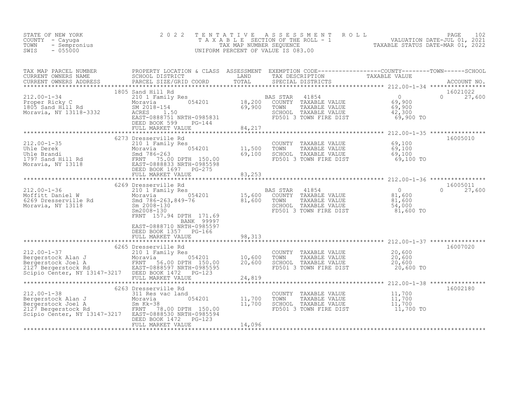| STATE OF NEW YORK<br>COUNTY - Cayuga<br>- Sempronius<br>TOWN<br>$-055000$<br>SWIS                                                                                                                                                                                                                                                                                                                                                                  | 2 0 2 2                                                          | TENTATIVE ASSESSMENT ROLL PAGE 102<br>TAXABLE SECTION OF THE ROLL - 1 VALUATION DATE-JUL 01, 2021<br>TAX MAP NUMBER SEQUENCE TAXABLE STATUS DATE-MAR 01, 2022<br>UNIFORM PERCENT OF VALUE IS 083.00 |               |
|----------------------------------------------------------------------------------------------------------------------------------------------------------------------------------------------------------------------------------------------------------------------------------------------------------------------------------------------------------------------------------------------------------------------------------------------------|------------------------------------------------------------------|-----------------------------------------------------------------------------------------------------------------------------------------------------------------------------------------------------|---------------|
|                                                                                                                                                                                                                                                                                                                                                                                                                                                    |                                                                  |                                                                                                                                                                                                     |               |
| $\begin{tabular}{lllllllllllllllllllllll} \textsc{TAY} & \textsc{PAP} & \textsc{PARCEL} & \textsc{PROBERTY} & \textsc{DCAPTION} & \textsc{CLAS} & \textsc{ASSESSMENT} & \textsc{EXEMPTION} & \textsc{CODE----------------C-COUNTY------C-MN------SCHOOL \\ \textsc{CURERENT ONNERS} & \textsc{ADDRESS} & \textsc{PARCEL} & \textsc{BACEL} & \textsc{GMDR} & \textsc{TAY} & \textsc{SACCDINY} & \textsc{RAXABLE} & \textsc{VALUE} & \textsc{COCUNY$ |                                                                  |                                                                                                                                                                                                     |               |
|                                                                                                                                                                                                                                                                                                                                                                                                                                                    | 6273 Dresserville Rd                                             |                                                                                                                                                                                                     | 16005010      |
| 312.00-1-36<br>212.00-1-36<br>212.00-1-36<br>212.00-1-36<br>212.00-1-36<br>212.00-1-36<br>212.00-1-36<br>212.00-1-36<br>212.00-1-36<br>212.00-1-36<br>212.00-1-36<br>212.00-1-36<br>212.00-1-36<br>212.00-1-36<br>212.00-1-36<br>212.00-1-36<br>212.00-1-36<br>2                                                                                                                                                                                   | BANK 99997<br>EAST-0888710 NRTH-0985597<br>DEED BOOK 1357 PG-166 |                                                                                                                                                                                                     | $0 \t 27,600$ |
|                                                                                                                                                                                                                                                                                                                                                                                                                                                    |                                                                  |                                                                                                                                                                                                     |               |
|                                                                                                                                                                                                                                                                                                                                                                                                                                                    |                                                                  |                                                                                                                                                                                                     | 16002180      |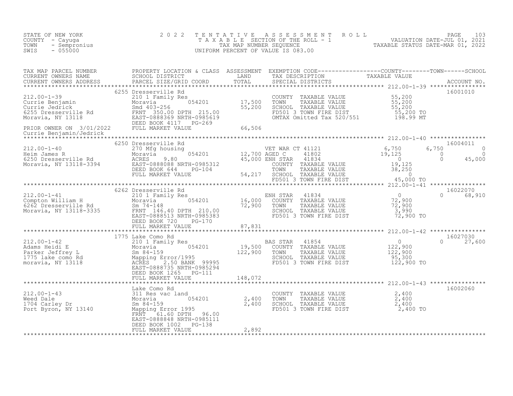| STATE OF NEW YORK<br>COUNTY - Cayuga<br>- Sempronius<br>TOWN<br>$-055000$<br>SWIS                                                                                                                                                 | 2 0 2 2                                                                                          | TENTATIVE<br>UNIFORM PERCENT OF VALUE IS 083.00 |  | FENTATIVE ASSESSMENT ROLL MALUATION DATE-JUL 01, 2021<br>TAXABLE SECTION OF THE ROLL - 1<br>TAX MAP NUMBER SEQUENCE TAXABLE STATUS DATE-MAR 01, 2022<br>JNIFORM PERCENT OF VALUE IS 083.00 |               |
|-----------------------------------------------------------------------------------------------------------------------------------------------------------------------------------------------------------------------------------|--------------------------------------------------------------------------------------------------|-------------------------------------------------|--|--------------------------------------------------------------------------------------------------------------------------------------------------------------------------------------------|---------------|
| TAX MAP PARCEL NUMBER PROPERTY LOCATION & CLASS ASSESSMENT EXEMPTION CODE----------------COUNTY--------TOWN------SCHOOL CURRENT OWNERS NAME SCHOOL DISTRICT LAND TAX DESCRIPTION TAXABLE VALUE<br>CURRENT OWNERS ADDRESS PARCEL S |                                                                                                  |                                                 |  |                                                                                                                                                                                            |               |
|                                                                                                                                                                                                                                   |                                                                                                  |                                                 |  |                                                                                                                                                                                            |               |
|                                                                                                                                                                                                                                   |                                                                                                  |                                                 |  |                                                                                                                                                                                            |               |
|                                                                                                                                                                                                                                   |                                                                                                  |                                                 |  |                                                                                                                                                                                            |               |
|                                                                                                                                                                                                                                   |                                                                                                  |                                                 |  |                                                                                                                                                                                            |               |
|                                                                                                                                                                                                                                   | FULL MARKET VALUE                                                                                | 87,831                                          |  |                                                                                                                                                                                            |               |
|                                                                                                                                                                                                                                   |                                                                                                  |                                                 |  |                                                                                                                                                                                            |               |
|                                                                                                                                                                                                                                   |                                                                                                  |                                                 |  |                                                                                                                                                                                            | $0 \t 27,600$ |
|                                                                                                                                                                                                                                   |                                                                                                  |                                                 |  |                                                                                                                                                                                            |               |
| 212.00-1-43<br>Weed Dale<br>1704 Carley Dr. 311 Res vac land<br>1704 Carley Dr. 3140<br>1704 Carley Dr. 3140<br>2,400<br>Port Byron, NY 13140<br>Mapping Error 1995<br>FRNT 61.60 DPTH 96.00                                      | FRNT 61.60 DPTH 96.00<br>EAST-0888848 NRTH-0985111<br>DEED BOOK 1002 PG-138<br>FULL MARKET VALUE | 2,892                                           |  | COUNTY TAXABLE VALUE<br>TOWN TAXABLE VALUE 2,400<br>SCHOOL TAXABLE VALUE 2,400<br>FD501 3 TOWN FIRE DIST 2,400 TO                                                                          | 16002060      |
|                                                                                                                                                                                                                                   |                                                                                                  |                                                 |  |                                                                                                                                                                                            |               |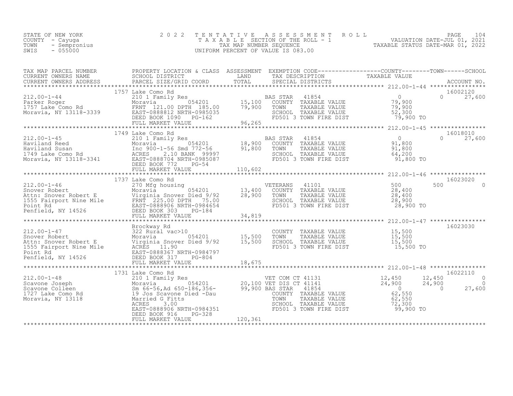| VALUATION DATE-JUL 01, 2021<br>T A X A B L E SECTION OF THE ROLL - 1<br>COUNTY - Cayuga<br>TAXABLE STATUS DATE-MAR 01, 2022<br>TOWN<br>- Sempronius<br>TAX MAP NUMBER SEOUENCE<br>$-055000$<br>UNIFORM PERCENT OF VALUE IS 083.00<br>SWIS | STATE OF NEW YORK |  | 2022 TENTATIVE ASSESSMENT ROLL |  |  | PAGE 104 |  |
|-------------------------------------------------------------------------------------------------------------------------------------------------------------------------------------------------------------------------------------------|-------------------|--|--------------------------------|--|--|----------|--|
|-------------------------------------------------------------------------------------------------------------------------------------------------------------------------------------------------------------------------------------------|-------------------|--|--------------------------------|--|--|----------|--|

| TAX MAP PARCEL NUMBER | PROPERTY LOCATION & CLASS ASSESSMENT EXEMPTION CODE-----------------COUNTY-------TOWN------SCHOOL<br>TAX MAP PARCER TRINING TRINING A CONSUMING A CONSUMING TRINING TRINING TRINING TRINING TRINING TRINING TRINING<br>CURRENT OWNERS ADDRESS FOR BORD TOTAL TRINING TRINING TRINING TRINING TRINING TRINING TRINING TRINING TRINING T                                                                                              |  |                                                  |
|-----------------------|-------------------------------------------------------------------------------------------------------------------------------------------------------------------------------------------------------------------------------------------------------------------------------------------------------------------------------------------------------------------------------------------------------------------------------------|--|--------------------------------------------------|
|                       |                                                                                                                                                                                                                                                                                                                                                                                                                                     |  |                                                  |
|                       | 1757 Lake Como Rd                                                                                                                                                                                                                                                                                                                                                                                                                   |  | 16002120                                         |
|                       | $\begin{array}{cccccccc} 212.00-1-44 & 1757 \text{ Lake Como Rd} & 210 1 \text{ Family Res} & 254201 & 0 & 210 1 \text{ Family Res} & 0 & 210 1 \text{ Family Res} & 0 & 210 1 \text{ Family Res} & 0 & 210 1 \text{ Family Res} & 0 & 210 1 \text{ Family Res} & 0 & 210 1 \text{ Family Res} & 0 & 210 1 \text{ Family Res} & 0 & 210 1 \text{ Family Res} & 0 & 210 1 \text{ Family Res} & 0 & 210 1 \text{ Family Res} & 0 & 2$ |  | $0 \t 27,600$                                    |
|                       |                                                                                                                                                                                                                                                                                                                                                                                                                                     |  |                                                  |
|                       | 1749 Lake Como Rd                                                                                                                                                                                                                                                                                                                                                                                                                   |  | 16018010                                         |
|                       |                                                                                                                                                                                                                                                                                                                                                                                                                                     |  |                                                  |
|                       | 1737 Lake Como Rd                                                                                                                                                                                                                                                                                                                                                                                                                   |  | 16023020                                         |
|                       |                                                                                                                                                                                                                                                                                                                                                                                                                                     |  |                                                  |
|                       |                                                                                                                                                                                                                                                                                                                                                                                                                                     |  |                                                  |
|                       |                                                                                                                                                                                                                                                                                                                                                                                                                                     |  |                                                  |
|                       |                                                                                                                                                                                                                                                                                                                                                                                                                                     |  | 16022110<br>$\overline{0}$<br>$\frac{0}{27.600}$ |
|                       |                                                                                                                                                                                                                                                                                                                                                                                                                                     |  |                                                  |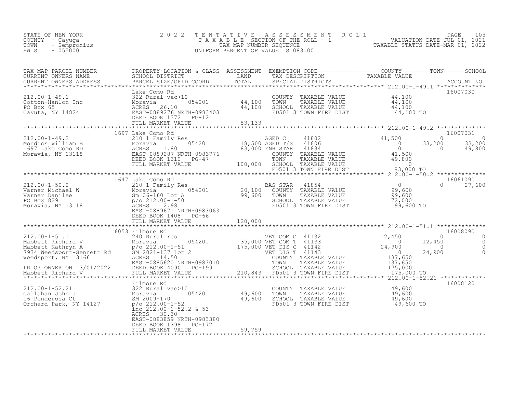| 2 0 2 2<br>COUNTY - Cayuga<br>TOWN - Sempronius<br>SWIS - 055000 |                                                                   |  | TENTATIVE ASSESSMENT ROLL PAGE 105<br>TAXABLE SECTION OF THE ROLL - 1 VALUATION DATE-JUL 01, 2021<br>TAX MAP NUMBER SEQUENCE TAXABLE STATUS DATE-MAR 01, 2022<br>UNIFORM PERCENT OF VALUE IS 083.00                                                                                                                                                                                       |
|------------------------------------------------------------------|-------------------------------------------------------------------|--|-------------------------------------------------------------------------------------------------------------------------------------------------------------------------------------------------------------------------------------------------------------------------------------------------------------------------------------------------------------------------------------------|
|                                                                  |                                                                   |  |                                                                                                                                                                                                                                                                                                                                                                                           |
|                                                                  |                                                                   |  |                                                                                                                                                                                                                                                                                                                                                                                           |
|                                                                  |                                                                   |  |                                                                                                                                                                                                                                                                                                                                                                                           |
|                                                                  |                                                                   |  |                                                                                                                                                                                                                                                                                                                                                                                           |
|                                                                  |                                                                   |  |                                                                                                                                                                                                                                                                                                                                                                                           |
|                                                                  |                                                                   |  |                                                                                                                                                                                                                                                                                                                                                                                           |
|                                                                  |                                                                   |  |                                                                                                                                                                                                                                                                                                                                                                                           |
|                                                                  |                                                                   |  | $\begin{tabular}{lcccc} \texttt{\small 12.00-1-51.1 & \texttt{\small 14.32} & \texttt{\small 15.000-1-51.1} & \texttt{\small 14.32} & \texttt{\small 15.000-1-51.1} & \texttt{\small 14.32} & \texttt{\small 15.000-1-51.1} & \texttt{\small 14.32} & \texttt{\small 15.000-1-51.1} & \texttt{\small 15.008090} & \texttt{\small 15.008090} & \texttt{\small 15.008090} & \texttt{\small$ |
|                                                                  |                                                                   |  |                                                                                                                                                                                                                                                                                                                                                                                           |
|                                                                  | ACRES 30.30<br>EAST-0883859 NRTH-0983380<br>DEED BOOK 1398 PG-172 |  | 16008120                                                                                                                                                                                                                                                                                                                                                                                  |
|                                                                  | FULL MARKET VALUE 59,759                                          |  |                                                                                                                                                                                                                                                                                                                                                                                           |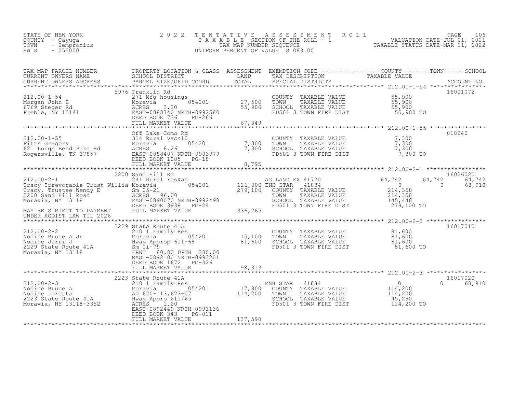| STATE OF NEW YORK<br>COUNTY – Cayuga<br>TOWN<br>- Sempronius<br>SWIS<br>$-055000$ | 2022 TENTATIVE ASSESSMENT ROLL<br>TAXABLE SECTION OF THE ROLL - 1<br>TAX MAP NUMBER SEOUENCE<br>UNIFORM PERCENT OF VALUE IS 083.00 | TAXABLE STATUS DATE-MAR 01, 2022 | PAGE<br>VALUATION DATE-JUL 01, 2021 | 106 |
|-----------------------------------------------------------------------------------|------------------------------------------------------------------------------------------------------------------------------------|----------------------------------|-------------------------------------|-----|
|                                                                                   |                                                                                                                                    |                                  |                                     |     |

| TAX MAP PARCEL NUMBER<br>TAX MAP PARCER TRIVIERS AND PROPERTION A CHANGE TRIVIER OWNER TRIVIER TRIVIER TRIVIER TRIVIER TRIVIER OF THE CON<br>CURRENT OWNERS ADDRESS BORGE DISTRICT TOTAL TRIVIER TRIVIER TRIVIER TRIVIER ACCOUNT NO.<br>FARCEL SIZE/GRID COOR | PROPERTY LOCATION & CLASS ASSESSMENT EXEMPTION CODE----------------COUNTY-------TOWN------SCHOOL |                                       |          |
|---------------------------------------------------------------------------------------------------------------------------------------------------------------------------------------------------------------------------------------------------------------|--------------------------------------------------------------------------------------------------|---------------------------------------|----------|
|                                                                                                                                                                                                                                                               |                                                                                                  |                                       |          |
|                                                                                                                                                                                                                                                               |                                                                                                  |                                       |          |
| 312.00-1-54<br>Morgan John H 271 Mfg housings<br>Morgan John H 271 Mfg housings<br>Morgan John H 271 Mfg housings<br>Morgan John H 27,500 TOWN TAXABLE VALUE<br>S5,900 SCHOOL TAXABLE VALUE<br>THE DIST<br>THE DIST<br>THE DIST<br>THE DIST<br>THE            | 5976 Franklin Rd                                                                                 |                                       | 16001072 |
|                                                                                                                                                                                                                                                               |                                                                                                  |                                       |          |
|                                                                                                                                                                                                                                                               |                                                                                                  |                                       |          |
|                                                                                                                                                                                                                                                               |                                                                                                  |                                       |          |
|                                                                                                                                                                                                                                                               |                                                                                                  |                                       |          |
|                                                                                                                                                                                                                                                               |                                                                                                  |                                       |          |
|                                                                                                                                                                                                                                                               |                                                                                                  |                                       | 018240   |
|                                                                                                                                                                                                                                                               |                                                                                                  |                                       |          |
|                                                                                                                                                                                                                                                               |                                                                                                  |                                       |          |
|                                                                                                                                                                                                                                                               |                                                                                                  |                                       |          |
|                                                                                                                                                                                                                                                               |                                                                                                  |                                       |          |
|                                                                                                                                                                                                                                                               |                                                                                                  |                                       |          |
|                                                                                                                                                                                                                                                               |                                                                                                  |                                       |          |
|                                                                                                                                                                                                                                                               |                                                                                                  |                                       |          |
|                                                                                                                                                                                                                                                               |                                                                                                  |                                       |          |
|                                                                                                                                                                                                                                                               |                                                                                                  |                                       |          |
|                                                                                                                                                                                                                                                               |                                                                                                  |                                       |          |
|                                                                                                                                                                                                                                                               |                                                                                                  |                                       |          |
|                                                                                                                                                                                                                                                               |                                                                                                  |                                       |          |
|                                                                                                                                                                                                                                                               |                                                                                                  |                                       |          |
|                                                                                                                                                                                                                                                               |                                                                                                  |                                       |          |
| 212.00-2-2<br>2229 State Route 41A<br>Moravia 054201<br>Moravia 054201<br>2229 State Route 41A<br>2229 State Route 41A<br>2229 State Route 41A<br>2229 State Route 41A<br>2229 State Route 41A<br>2229 State Route 41A<br>2229 State Route 41A<br>22          |                                                                                                  |                                       | 16017010 |
|                                                                                                                                                                                                                                                               |                                                                                                  |                                       |          |
|                                                                                                                                                                                                                                                               |                                                                                                  |                                       |          |
|                                                                                                                                                                                                                                                               |                                                                                                  |                                       |          |
|                                                                                                                                                                                                                                                               |                                                                                                  |                                       |          |
|                                                                                                                                                                                                                                                               |                                                                                                  |                                       |          |
|                                                                                                                                                                                                                                                               | DEED BOOK 1672 PG-326                                                                            |                                       |          |
|                                                                                                                                                                                                                                                               |                                                                                                  |                                       |          |
|                                                                                                                                                                                                                                                               | 2223 State Route 41A                                                                             |                                       | 16017020 |
|                                                                                                                                                                                                                                                               |                                                                                                  |                                       | 0 68,910 |
|                                                                                                                                                                                                                                                               |                                                                                                  |                                       |          |
|                                                                                                                                                                                                                                                               |                                                                                                  |                                       |          |
|                                                                                                                                                                                                                                                               |                                                                                                  | $FD501$ 3 TOWN FIRE DIST $114,200$ TO |          |
|                                                                                                                                                                                                                                                               | EAST-0892449 NRTH-0993136                                                                        |                                       |          |
|                                                                                                                                                                                                                                                               | DEED BOOK 343<br>PG-811                                                                          |                                       |          |
|                                                                                                                                                                                                                                                               |                                                                                                  |                                       |          |
|                                                                                                                                                                                                                                                               |                                                                                                  |                                       |          |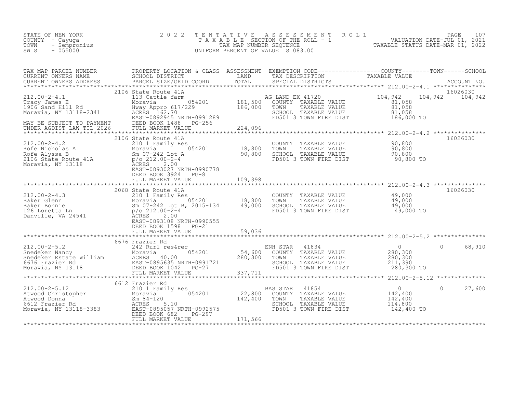| TAXABLE STATUS DATE-MAR 01, 2022<br>SWIS<br>$-055000$<br>UNIFORM PERCENT OF VALUE IS 083.00 | STATE OF NEW YORK<br>COUNTY - Cayuga<br>TOWN<br>- Sempronius |  | 2022 TENTATIVE ASSESSMENT ROLL<br>TAXABLE SECTION OF THE ROLL - 1<br>TAX MAP NUMBER SEOUENCE |  |  | PAGE 107<br>VALUATION DATE-JUL 01, 2021 |  |
|---------------------------------------------------------------------------------------------|--------------------------------------------------------------|--|----------------------------------------------------------------------------------------------|--|--|-----------------------------------------|--|
|---------------------------------------------------------------------------------------------|--------------------------------------------------------------|--|----------------------------------------------------------------------------------------------|--|--|-----------------------------------------|--|

| TAX MAP PARCEL NUMBER                                                                                                                                                                                                                  | PROPERTY LOCATION & CLASS ASSESSMENT EXEMPTION CODE----------------COUNTY-------TOWN------SCHOOL                                     |         |                                                                                                                                                                          | TAXABLE VALUE                                      |                             |
|----------------------------------------------------------------------------------------------------------------------------------------------------------------------------------------------------------------------------------------|--------------------------------------------------------------------------------------------------------------------------------------|---------|--------------------------------------------------------------------------------------------------------------------------------------------------------------------------|----------------------------------------------------|-----------------------------|
|                                                                                                                                                                                                                                        |                                                                                                                                      |         |                                                                                                                                                                          |                                                    |                             |
|                                                                                                                                                                                                                                        |                                                                                                                                      |         |                                                                                                                                                                          |                                                    |                             |
| 212.00-2-4.1<br>Tracy James E Moravia 054201 181,500<br>1906 Sand Hill Rd Hway Appro 617/229 186,000<br>Moravia, NY 13118-2341 ACRES 162.70<br>Moravia, NY 13118-2341 EAST-0892945 NRTH-0991289                                        | 2106 State Route 41A                                                                                                                 |         | Le farm<br>181,500 COUNTY TAXABLE VALUE 054201 181,500 COUNTY TAXABLE VALUE<br>TOWN<br>TAXABLE VALUE<br>SCHOOL TAXABLE VALUE 81,058<br>FD501 3 TOWN FIRE DIST 186,000 TO | 104,942<br>81,058<br>$81,058$<br>$81,058$          | 16026030<br>104,942 104,942 |
|                                                                                                                                                                                                                                        |                                                                                                                                      |         |                                                                                                                                                                          |                                                    |                             |
| 212.00-2-4.2<br>Rofe Nicholas A<br>Rofe Alyssa B<br>2106 State Route 41A<br>Moravia, NY 13118<br>Po 212.00-2-4<br>Moravia, NY 13118<br>Po 212.00-2-4<br>ACRES                                                                          | 2106 State Route 41A<br>te 41A<br>aily Res<br>054201 18,800<br>18,800<br>190,800<br>EAST-0893027 NRTH-0990778<br>DEED BOOK 3924 PG-8 |         | COUNTY TAXABLE VALUE 90,800<br>FD501 3 TOWN FIRE DIST 90,800 TO                                                                                                          |                                                    | 16026030                    |
|                                                                                                                                                                                                                                        |                                                                                                                                      |         |                                                                                                                                                                          |                                                    |                             |
|                                                                                                                                                                                                                                        | 2068 State Route 41A<br>EAST-0893108 NRTH-0990555<br>DEED BOOK 1598 PG-21                                                            |         | FD501 3 TOWN FIRE DIST 49,000 TO                                                                                                                                         |                                                    | 16026030                    |
|                                                                                                                                                                                                                                        |                                                                                                                                      |         |                                                                                                                                                                          |                                                    |                             |
|                                                                                                                                                                                                                                        | 6676 Frazier Rd                                                                                                                      |         |                                                                                                                                                                          |                                                    |                             |
| 12.00-2-5.2 66/6 Frazier Kd<br>Shedeker Nancy Moravia (1834 280,300 0 68,910<br>Shedeker Estate William ACRES 40.00 280,300 TOWN TAXABLE VALUE 280,300<br>Shedeker Estate William ACRES 40.00 280,300 TOWN TAXABLE VALUE 280,300<br>Mo |                                                                                                                                      |         |                                                                                                                                                                          |                                                    |                             |
|                                                                                                                                                                                                                                        |                                                                                                                                      |         |                                                                                                                                                                          |                                                    |                             |
| 212.00-2-5.12<br>Atwood Christopher<br>Atwood Donna<br>6612 Frazier Rd<br>Moravia, NY 13118-3383<br>210 RCRES 5.10<br>Moravia, NY 13118-3383<br>2297 PC-297                                                                            | 6612 Frazier Rd<br>DEED BOOK 682<br>$PG-297$<br>FULL MARKET VALUE                                                                    | 171,566 | mily Res 654201 142,800 BAS STAR 41854<br>054201 22,800 COUNTY TAXABLE VALUE 142,400 TOWN TAXABLE VALUE<br>SCHOOL TAXABLE VALUE<br>FD501 3 TOWN FIRE DIST                | $0$<br>142,400<br>142,400<br>114,800<br>142,400 TO | 27,600<br>$\Omega$          |
|                                                                                                                                                                                                                                        |                                                                                                                                      |         |                                                                                                                                                                          |                                                    |                             |
|                                                                                                                                                                                                                                        |                                                                                                                                      |         |                                                                                                                                                                          |                                                    |                             |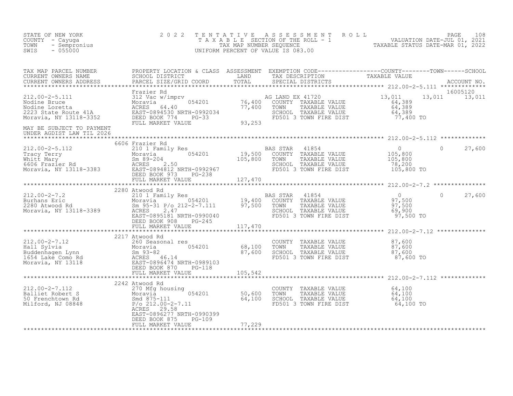| STATE OF NEW YORK<br>COUNTY - Cayuga<br>TOWN - Sempronius<br>SWIS - 055000                                                                                                                                                                                                                                                                                                                                | 2 0 2 2                                           |                                                                                                                             | TENTATIVE ASSESSMENT ROLL PAGE 108<br>TAXABLE SECTION OF THE ROLL - 1 VALUATION DATE-JUL 01, 2021<br>TAX MAP NUMBER SEQUENCE TAXABLE STATUS DATE-MAR 01, 2022<br>UNIFORM PERCENT OF VALUE IS 083.00 |                           |
|-----------------------------------------------------------------------------------------------------------------------------------------------------------------------------------------------------------------------------------------------------------------------------------------------------------------------------------------------------------------------------------------------------------|---------------------------------------------------|-----------------------------------------------------------------------------------------------------------------------------|-----------------------------------------------------------------------------------------------------------------------------------------------------------------------------------------------------|---------------------------|
|                                                                                                                                                                                                                                                                                                                                                                                                           |                                                   |                                                                                                                             |                                                                                                                                                                                                     |                           |
|                                                                                                                                                                                                                                                                                                                                                                                                           |                                                   |                                                                                                                             |                                                                                                                                                                                                     | 16005120<br>13,011 13,011 |
| UNDER AGDIST LAW TIL 2026                                                                                                                                                                                                                                                                                                                                                                                 |                                                   |                                                                                                                             |                                                                                                                                                                                                     |                           |
|                                                                                                                                                                                                                                                                                                                                                                                                           | 6606 Frazier Rd                                   |                                                                                                                             |                                                                                                                                                                                                     |                           |
|                                                                                                                                                                                                                                                                                                                                                                                                           |                                                   |                                                                                                                             |                                                                                                                                                                                                     |                           |
| $\begin{tabular}{lcccc} \texttt{11111} & \texttt{1211} & \texttt{1311} & \texttt{141} & \texttt{151} & \texttt{151} & \texttt{151} & \texttt{151} & \texttt{151} & \texttt{151} & \texttt{151} & \texttt{151} & \texttt{151} & \texttt{151} & \texttt{151} & \texttt{151} & \texttt{151} & \texttt{151} & \texttt{151} & \texttt{151} & \texttt{151} & \texttt{151} & \texttt{151} &$                     |                                                   |                                                                                                                             |                                                                                                                                                                                                     |                           |
|                                                                                                                                                                                                                                                                                                                                                                                                           |                                                   |                                                                                                                             |                                                                                                                                                                                                     |                           |
| $\begin{tabular}{lllllllllllll} \multicolumn{3}{c c c c c} \multicolumn{3}{c c c c} \multicolumn{3}{c c c c} \multicolumn{3}{c c c} \multicolumn{3}{c c c} \multicolumn{3}{c c c} \multicolumn{3}{c c c} \multicolumn{3}{c c c} \multicolumn{3}{c c c} \multicolumn{3}{c c c} \multicolumn{3}{c c c} \multicolumn{3}{c c c} \multicolumn{3}{c c c} \multicolumn{3}{c c c} \multicolumn{3}{c c c} \multic$ |                                                   |                                                                                                                             |                                                                                                                                                                                                     |                           |
|                                                                                                                                                                                                                                                                                                                                                                                                           |                                                   |                                                                                                                             |                                                                                                                                                                                                     |                           |
| $\begin{tabular}{lllllllllllllllllllll} \multicolumn{3}{c}{212.00-2-7.112} & & & & 2242 {\rm Atwood~Rd} \\ \multicolumn{3}{c}{\tt Balliet~Robert~S} & & & 270~{\tt Mfg~housing} & & 50,600 \\ \multicolumn{3}{c}{\tt Balliet~Robert~S} & & & & 054201 & & 50,600 \\ \multicolumn{3}{c}{\tt Nilford,~NJ~08848} & & & & 0542.00-2-7.11 & & 64,100 \\ \multicolumn{3}{c}{\tt Milford,~NJ~08848} &$           | ACRES 29.58<br>EAST-0896277 NRTH-0990399          | COUNTY TAXABLE VALUE 64,100<br>TOWN TAXABLE VALUE 64,100<br>SCHOOL TAXABLE VALUE 64,100<br>FD501 3 TOWN FIRE DIST 64,100 TO |                                                                                                                                                                                                     |                           |
|                                                                                                                                                                                                                                                                                                                                                                                                           | DEED BOOK 875 PG-109<br>FULL MARKET VALUE 77, 229 |                                                                                                                             |                                                                                                                                                                                                     |                           |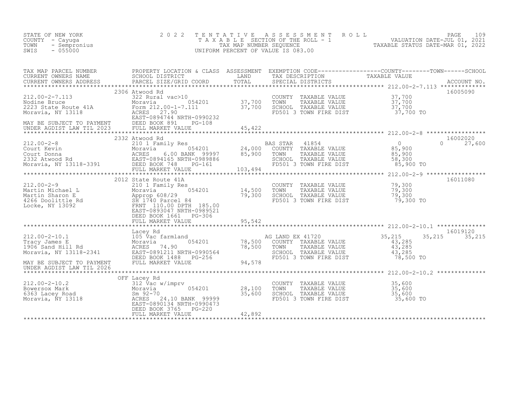| STATE OF NEW YORK<br>COUNTY - Cayuga<br>- Sempronius<br>TOWN<br>$-055000$<br>SWIS                                                                                                                                                                  | 2 0 2 2                                     | TENTATIVE                    | UNIFORM PERCENT OF VALUE IS 083.00                                                                                                                             | PAGE 109<br>TAXABLE SECTION OF THE ROLL - 1 WALUATION DATE-JUL 01, 2021<br>TAX MAP NUMBER SEQUENCE TAXABLE STATUS DATE-MAR 01, 2022<br>NIFORM PERCENT OF VALUE IS 083.00 |
|----------------------------------------------------------------------------------------------------------------------------------------------------------------------------------------------------------------------------------------------------|---------------------------------------------|------------------------------|----------------------------------------------------------------------------------------------------------------------------------------------------------------|--------------------------------------------------------------------------------------------------------------------------------------------------------------------------|
|                                                                                                                                                                                                                                                    |                                             |                              |                                                                                                                                                                |                                                                                                                                                                          |
|                                                                                                                                                                                                                                                    | 2306 Atwood Rd                              |                              |                                                                                                                                                                | 16005090                                                                                                                                                                 |
|                                                                                                                                                                                                                                                    | 2332 Atwood Rd                              |                              | AS STAR 41854<br>COUNTY TAXABLE VALUE 85,900<br>TOWN TAXABLE VALUE 85,900<br>SCHOOL TAXABLE VALUE 58,300<br>FD501 3 TOWN FIRE DIST 85,900 TO<br>BAS STAR 41854 | 16002020<br>$0 \t 27,600$                                                                                                                                                |
| 2012 State Route 41A<br>2012 State Route 41A<br>2012 State Route 41A<br>2012 State Route 41A<br>2012 State Route 41A<br>2012 State Route 41A<br>2012 State Route 41A<br>2012 State Route 41A<br>2012 State Route 41A<br>2012 State Route 41A<br>20 | 2012 State Route 41A                        |                              | COUNTY TAXABLE VALUE 79,300<br>TOWN TAXABLE VALUE 79,300<br>TOWN     TAXABLE VALUE<br>SCHOOL   TAXABLE VALUE<br>FD501 3 TOWN FIRE DIST                         | ************** 212.00-2-9 ******************<br>16011080<br>79,300<br>79,300 TO                                                                                          |
|                                                                                                                                                                                                                                                    |                                             |                              |                                                                                                                                                                |                                                                                                                                                                          |
| 105 Water Manusch Manusch (1998)<br>212.00-2-10.1 (1998)<br>Tracy James E Moravia (1906 Sand Hill Rd Moravia (1906 Sand Hill Rd Moravia (1906 Sand Hill Rd Moravia (1998)<br>MAY BE SUBJECT TO PAYMENT FULL MARKET VALUE 94,578<br>IND             |                                             |                              | AG LAND EX 41720<br>)0    COUNTY   TAXABLE VALUE<br>)0    TOWN      TAXABLE VALUE<br>SCHOOL TAXABLE VALUE 43,285<br>FD501 3 TOWN FIRE DIST 78,500 TO           | 16019120<br>35,215<br>35, 215 35, 215<br>$\frac{43}{43}$ , 285                                                                                                           |
| UNDER AGDIST LAW TIL 2026                                                                                                                                                                                                                          |                                             |                              |                                                                                                                                                                |                                                                                                                                                                          |
|                                                                                                                                                                                                                                                    | OFF Lacey Rd<br>054201<br>FULL MARKET VALUE | $28,100$<br>35.600<br>42,892 | COUNTY TAXABLE VALUE<br>TOWN TAXABLE VALUE 35,600<br>SCHOOL TAXABLE VALUE 35,600<br>FD501 3 TOWN FIRE DIST                                                     | 35,600<br>35,600 TO                                                                                                                                                      |
|                                                                                                                                                                                                                                                    |                                             |                              |                                                                                                                                                                |                                                                                                                                                                          |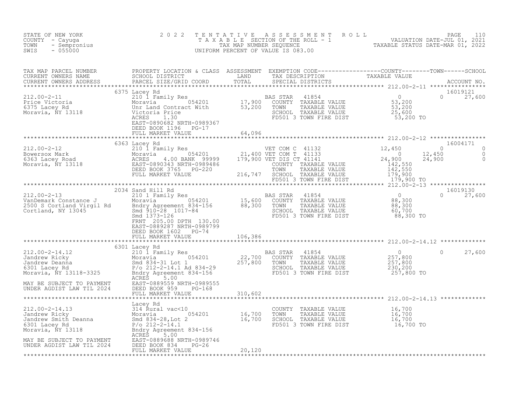| F NEW YORK 2022<br>- Cayuga 2022<br>- Sempronius<br>- 055000<br>STATE OF NEW YORK<br>COUNTY - Cayuga<br>TOWN<br>SWIS                                                                                                                                       |                           | TENTATIVE ASSESSMENT ROLL PAGE 110<br>TAXABLE SECTION OF THE ROLL - 1 VALUATION DATE-JUL 01, 2021<br>TAX MAP NUMBER SEQUENCE TAXABLE STATUS DATE-MAR 01, 2022<br>UNIFORM PERCENT OF VALUE IS 083.00 |               |
|------------------------------------------------------------------------------------------------------------------------------------------------------------------------------------------------------------------------------------------------------------|---------------------------|-----------------------------------------------------------------------------------------------------------------------------------------------------------------------------------------------------|---------------|
| TAX MAP PARCEL NUMBER PROPERTY LOCATION & CLASS ASSESSMENT EXEMPTION CODE-----------------COUNTY--------TOWN------SCHOOL CURRENT OWNERS NAME SCHOOL DISTRICT LAND TAX DESCRIPTION TAXABLE VALUE<br>CURRENT OWNERS ADDRESS PARCEL                           |                           |                                                                                                                                                                                                     |               |
|                                                                                                                                                                                                                                                            |                           |                                                                                                                                                                                                     |               |
|                                                                                                                                                                                                                                                            |                           |                                                                                                                                                                                                     |               |
|                                                                                                                                                                                                                                                            |                           |                                                                                                                                                                                                     |               |
|                                                                                                                                                                                                                                                            |                           |                                                                                                                                                                                                     |               |
|                                                                                                                                                                                                                                                            | EAST-0889287 NRTH-0989799 |                                                                                                                                                                                                     |               |
|                                                                                                                                                                                                                                                            | 6301 Lacey Rd             |                                                                                                                                                                                                     |               |
|                                                                                                                                                                                                                                                            |                           |                                                                                                                                                                                                     | $0 \t 27,600$ |
|                                                                                                                                                                                                                                                            |                           |                                                                                                                                                                                                     |               |
|                                                                                                                                                                                                                                                            |                           |                                                                                                                                                                                                     |               |
| XABLE VALUE<br>212.00-2-14.13<br>212.00-2-14.13<br>212.00-2-14.13<br>212.00-2-14.13<br>214 Rural vac<10<br>2010 16,700<br>2010 16,700<br>2010 16,700<br>2010 16,700<br>2010 16,700<br>2010 TAXABLE VALUE<br>2021 16,700<br>2010 TAXABLE VALUE<br>2021 16,7 |                           |                                                                                                                                                                                                     |               |
|                                                                                                                                                                                                                                                            |                           |                                                                                                                                                                                                     |               |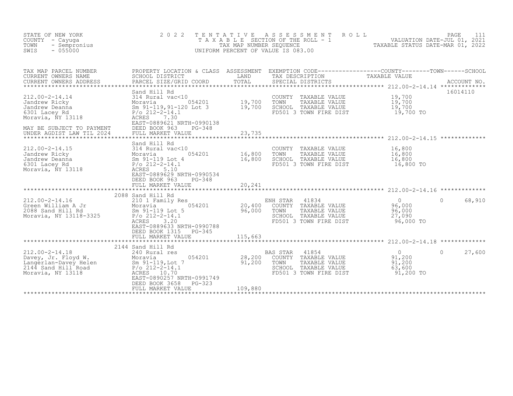| STATE OF NEW YORK<br>COUNTY<br>- Cayuqa<br>TOWN<br>- Sempronius<br>$-055000$<br>SWIS                                          | 2 0 2 2                                                                                                                                                                                              | TENTATIVE<br>TAX MAP NUMBER SEQUENCE | ASSESSMENT<br>ROLL<br>T A X A B L E SECTION OF THE ROLL - 1<br>UNIFORM PERCENT OF VALUE IS 083.00                                       | TAXABLE STATUS DATE-MAR 01, 2022                          | PAGE<br>111<br>VALUATION DATE-JUL 01, 2021 |
|-------------------------------------------------------------------------------------------------------------------------------|------------------------------------------------------------------------------------------------------------------------------------------------------------------------------------------------------|--------------------------------------|-----------------------------------------------------------------------------------------------------------------------------------------|-----------------------------------------------------------|--------------------------------------------|
| TAX MAP PARCEL NUMBER<br>CURRENT OWNERS NAME<br>CURRENT OWNERS ADDRESS                                                        | SCHOOL DISTRICT<br>PARCEL SIZE/GRID COORD                                                                                                                                                            | LAND<br>TOTAL                        | PROPERTY LOCATION & CLASS ASSESSMENT EXEMPTION CODE----------------COUNTY-------TOWN-----SCHOOL<br>TAX DESCRIPTION<br>SPECIAL DISTRICTS | TAXABLE VALUE                                             | ACCOUNT NO.                                |
| $212.00 - 2 - 14.14$<br>Jandrew Ricky<br>Jandrew Deanna<br>6301 Lacey Rd<br>Moravia, NY 13118<br>MAY BE SUBJECT TO PAYMENT    | Sand Hill Rd<br>314 Rural vac<10<br>054201<br>Moravia<br>Sm 91-119, 91-120 Lot 3<br>$P/O$ 212-2-14.1<br><b>ACRES</b><br>7.30<br>EAST-0889621 NRTH-0990138<br>DEED BOOK 963<br>$PG-348$               | 19,700<br>19,700                     | COUNTY TAXABLE VALUE<br>TOWN<br>TAXABLE VALUE<br>SCHOOL TAXABLE VALUE<br>FD501 3 TOWN FIRE DIST                                         | 19,700<br>19,700<br>19,700<br>19,700 TO                   | 16014110                                   |
| UNDER AGDIST LAW TIL 2024                                                                                                     | FULL MARKET VALUE                                                                                                                                                                                    | 23,735                               |                                                                                                                                         |                                                           |                                            |
| $212.00 - 2 - 14.15$<br>Jandrew Ricky<br>Jandrew Deanna<br>6301 Lacey Rd<br>Moravia, NY 13118                                 | Sand Hill Rd<br>314 Rural vac<10<br>054201<br>Moravia<br>Sm 91-119 Lot 4<br>$P/O$ 212-2-14.1<br>ACRES<br>5.10<br>EAST-0889629 NRTH-0990534<br>DEED BOOK 963<br>$PG-348$<br>FULL MARKET VALUE         | 16,800<br>16,800<br>20,241           | COUNTY<br>TAXABLE VALUE<br>TOWN<br>TAXABLE VALUE<br>SCHOOL TAXABLE VALUE<br>FD501 3 TOWN FIRE DIST                                      | 16,800<br>16,800<br>16,800<br>16,800 TO                   |                                            |
|                                                                                                                               |                                                                                                                                                                                                      |                                      |                                                                                                                                         |                                                           |                                            |
| $212.00 - 2 - 14.16$<br>Green William A Jr<br>2088 Sand Hill Rd<br>Moravia, NY 13118-3325                                     | 2088 Sand Hill Rd<br>210 1 Family Res<br>054201<br>Moravia<br>Sm 91-119 Lot 5<br>$P/O$ 212-2-14.1<br>ACRES<br>3.20<br>EAST-0889633 NRTH-0990788<br>DEED BOOK 1315<br>$PG - 345$<br>FULL MARKET VALUE | 20,400<br>96,000<br>115,663          | ENH STAR<br>41834<br>COUNTY<br>TAXABLE VALUE<br>TOWN<br>TAXABLE VALUE<br>SCHOOL TAXABLE VALUE<br>FD501 3 TOWN FIRE DIST                 | $\overline{0}$<br>96,000<br>96,000<br>27,090<br>96,000 TO | $\Omega$<br>68,910                         |
|                                                                                                                               |                                                                                                                                                                                                      |                                      |                                                                                                                                         |                                                           |                                            |
| $212.00 - 2 - 14.18$<br>Davey, Jr. Floyd W.<br>Langerlan-Davey Helen<br>$214\overline{4}$ Sand Hill Road<br>Moravia, NY 13118 | 2144 Sand Hill Rd<br>240 Rural res<br>054201<br>Moravia<br>Sm 91-119, Lot 7<br>$P/O$ 212-2-14.1<br>ACRES 10.70<br>EAST-0890257 NRTH-0991749<br>DEED BOOK 3658<br>$PG-323$<br>FULL MARKET VALUE       | 28,200<br>91,200<br>109,880          | <b>BAS STAR</b><br>41854<br>COUNTY TAXABLE VALUE<br>TOWN<br>TAXABLE VALUE<br>SCHOOL TAXABLE VALUE<br>FD501 3 TOWN FIRE DIST             | $\Omega$<br>91,200<br>91,200<br>63,600<br>91,200 TO       | 27,600<br>$\Omega$                         |
|                                                                                                                               |                                                                                                                                                                                                      |                                      |                                                                                                                                         |                                                           |                                            |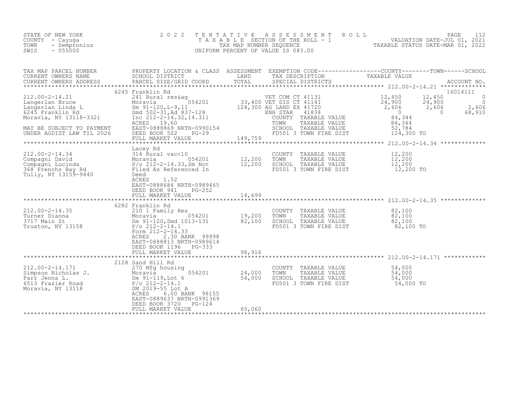| STATE OF NEW YORK<br>COUNTY – Cayuga<br>TOWN - Sempronius<br>SWIS<br>- 055000 | 2022 TENTATIVE ASSESSMENT ROLL<br>T A X A B L E SECTION OF THE ROLL - 1<br>TAX MAP NUMBER SEOUENCE<br>UNIFORM PERCENT OF VALUE IS 083.00 | PAGE 112<br>VALUATION DATE-JUL 01, 2021<br>TAXABLE STATUS DATE-MAR 01, 2022 |
|-------------------------------------------------------------------------------|------------------------------------------------------------------------------------------------------------------------------------------|-----------------------------------------------------------------------------|
|-------------------------------------------------------------------------------|------------------------------------------------------------------------------------------------------------------------------------------|-----------------------------------------------------------------------------|

| TAX MAP PARCEL NUMBER<br>CURRENT OWNERS NAME                                                                                                                                                                                                                        | PROPERTY LOCATION & CLASS ASSESSMENT<br>SCHOOL DISTRICT<br><b>EXAMPLE TERMS</b>                                                                                                          |                                                                     | EXEMPTION CODE-----------------COUNTY-------TOWN------SCHOOL<br>TAX DESCRIPTION                                                                                  | TAXABLE VALUE                                                                                                                                   |                                                        |
|---------------------------------------------------------------------------------------------------------------------------------------------------------------------------------------------------------------------------------------------------------------------|------------------------------------------------------------------------------------------------------------------------------------------------------------------------------------------|---------------------------------------------------------------------|------------------------------------------------------------------------------------------------------------------------------------------------------------------|-------------------------------------------------------------------------------------------------------------------------------------------------|--------------------------------------------------------|
| CURRENT OWNERS ADDRESS                                                                                                                                                                                                                                              |                                                                                                                                                                                          |                                                                     |                                                                                                                                                                  |                                                                                                                                                 |                                                        |
| *************************                                                                                                                                                                                                                                           | 6245 Franklin Rd                                                                                                                                                                         |                                                                     |                                                                                                                                                                  |                                                                                                                                                 | 16014111                                               |
| $212.00 - 2 - 14.21$<br>212.00-2-14.21<br>Langerlan Bruce Moravia 054201<br>Langerlan Linda L Sm 91-120, L-9, 11<br>6245 Franklin Rd Sm 91-120, L-9, 11<br>Moravia, NY 13118-3321 Inc 212-2-14.32, 14.311<br>MAY BE SUBJECT TO PAYMENT<br>UNDER AGDIST LAW TIL 2026 | ACRES 19.60<br>EAST-088869 NRTH-0990154<br>DEED BOOK 502 PG-29<br>FULL MARKET VALUE 149,759                                                                                              |                                                                     | ENH STAR 41834<br>COUNTY TAXABLE VALUE<br>TOWN<br>TAXABLE VALUE<br>COMM TAXABLE VALUE 52,784<br>FOROOL TAXABLE VALUE 52,784<br>FORO1 3 TOWN FIRE DIST 124,300 TO | $12,450$ $12,450$<br>$\frac{24}{2}$ , 900 $\frac{24}{2}$ , 900<br>2, 606 $\frac{24}{2}$ , 606<br>$\overline{a}$<br>84,344<br>$84,344$<br>52,784 | - 0<br>$\bigcirc$<br>2,606<br>68,910<br>$\overline{0}$ |
|                                                                                                                                                                                                                                                                     |                                                                                                                                                                                          |                                                                     |                                                                                                                                                                  |                                                                                                                                                 |                                                        |
| 212.00-2-14.34<br>Compagni David<br>Compagni Lucinda<br>314 Rural vac<10<br>Moravia 054201<br>268 Frenchs Bay Rd<br>368 Frenchs Bay Rd<br>Filed As Referenced In<br>Tully, NY 13159-9440                                                                            | Lacey Rd<br>12,200<br>-14.33, Sm Not 12,200<br>Referenced In 12,200<br>Deed<br>ACRES<br>1.52<br>EAST-0888684 NRTH-0989465<br>DEED BOOK 941<br>$PG-252$                                   |                                                                     | COUNTY TAXABLE VALUE<br>TOWN<br>TAXABLE VALUE<br>SCHOOL TAXABLE VALUE<br>FD501 3 TOWN FIRE DIST                                                                  | 12,200<br>12,200<br>12,200<br>12,200 TO                                                                                                         |                                                        |
|                                                                                                                                                                                                                                                                     | FULL MARKET VALUE                                                                                                                                                                        | 14,699                                                              |                                                                                                                                                                  |                                                                                                                                                 |                                                        |
|                                                                                                                                                                                                                                                                     | 6282 Franklin Rd                                                                                                                                                                         |                                                                     |                                                                                                                                                                  |                                                                                                                                                 |                                                        |
| $212.00 - 2 - 14.35$<br>Turner Dianna<br>3717 Main St<br>Truxton, NY 13158                                                                                                                                                                                          | 210 1 ram1-1<br>Moravia 054201<br>Sm 91-120, Smd 1013-131<br>P/o 212-2-14.1<br>Form 212-2-14.33<br>2.30 BANK 99998<br><b>ACRES</b><br>EAST-0888813 NRTH-0989614<br>DEED BOOK 1196 PG-333 | $\begin{array}{cc} 054201 & 19,200 \\ 213-131 & 82,100 \end{array}$ | COUNTY TAXABLE VALUE 82,100<br>TOWN<br>SCHOOL TAXABLE VALUE<br>FD501 3 TOWN FIRE DIST                                                                            | TAXABLE VALUE $82,100$<br>TAXABLE VALUE $82,100$<br>82,100<br>82,100 TO                                                                         |                                                        |
|                                                                                                                                                                                                                                                                     | FULL MARKET VALUE                                                                                                                                                                        | 98,916                                                              |                                                                                                                                                                  |                                                                                                                                                 |                                                        |
| 212.00-2-14.171 ---- 270 Mfg housing<br>Simpson Nicholas J.<br>Parr Jenna L.<br>6513 Frazier Road<br>Moravia, NY 13118 5M_2019-55 Lot A                                                                                                                             | 2128 Sand Hill Rd<br>SM 2019-55 Lot A<br>ACRES<br>6.00 BANK 98155<br>EAST-0889637 NRTH-0991369<br>DEED BOOK 3720 PG-124                                                                  | 054201 24,000<br>54,000                                             | COUNTY TAXABLE VALUE<br>TOWN<br>TAXABLE VALUE<br>SCHOOL TAXABLE VALUE<br>FD501 3 TOWN FIRE DIST                                                                  | 54,000<br>54,000<br>54,000<br>$54,000$ TO                                                                                                       |                                                        |
|                                                                                                                                                                                                                                                                     | FULL MARKET VALUE                                                                                                                                                                        | 65,060                                                              |                                                                                                                                                                  |                                                                                                                                                 |                                                        |
|                                                                                                                                                                                                                                                                     |                                                                                                                                                                                          |                                                                     |                                                                                                                                                                  |                                                                                                                                                 |                                                        |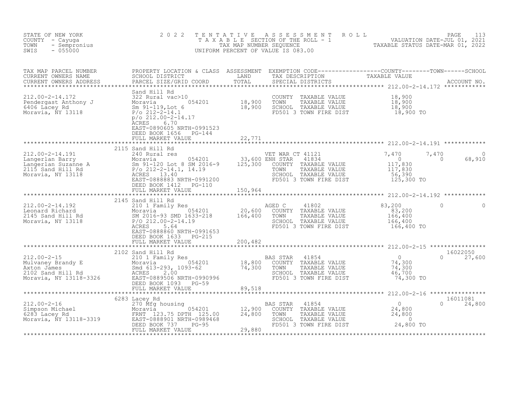| STATE OF NEW YORK<br>COUNTY - Cayuga<br>TOWN<br>- Sempronius<br>$-055000$<br>SWIS                                                                                                                                                                                                                                                                                           | 2 0 2 2                                                                                                                                                                                                                                                         | TENTATIVE      | FENTATIVE ASSESSMENT ROLL UNIVERSITY PAGE 113<br>TAXABLE SECTION OF THE ROLL - 1 VALUATION DATE-JUL 01, 2021<br>TAXABLE STATUS DATE-MAR 01, 2022<br>JNIFORM PERCENT OF VALUE IS 083.00<br>UNIFORM PERCENT OF VALUE IS 083.00 |                                                                                         |                                         |
|-----------------------------------------------------------------------------------------------------------------------------------------------------------------------------------------------------------------------------------------------------------------------------------------------------------------------------------------------------------------------------|-----------------------------------------------------------------------------------------------------------------------------------------------------------------------------------------------------------------------------------------------------------------|----------------|------------------------------------------------------------------------------------------------------------------------------------------------------------------------------------------------------------------------------|-----------------------------------------------------------------------------------------|-----------------------------------------|
| TAX MAP PARCEL NUMBER<br>CURRENT OWNERS NAME<br>CURRENT OWNERS ADDRESS                                                                                                                                                                                                                                                                                                      | PROPERTY LOCATION & CLASS ASSESSMENT EXEMPTION CODE----------------COUNTY--------TOWN------SCHOOL<br>SCHOOL DISTRICT         LAND     TAX DESCRIPTION       TAXABLE VALUE<br>PARCEL SIZE/GRID COORD     TOTAL     SPECIAL DISTRICTS                             |                |                                                                                                                                                                                                                              |                                                                                         |                                         |
| 212.00-2-14.172<br>Pendergast Anthony J<br>6406 Lacey Rd<br>Moravia, NY 13118                                                                                                                                                                                                                                                                                               | Sand Hill Rd<br>Sand HII Rd<br>322 Rural vac>10<br>Moravia 054201 18,900<br>Sm 91-119,Lot 6 18,900<br>P/o 212-2-14.1<br>p/o 212.00-2-14.17<br>$p$ /o 212.00-2-14.17<br>ACRES<br>6.70<br>EAST-0890605 NRTH-0991523<br>DEED BOOK 1656 PG-144<br>FULL MARKET VALUE | 22,771         | COUNTY TAXABLE VALUE 18,900<br>TOWN TAXABLE VALUE 18,900<br>SCHOOL TAXABLE VALUE 18,900<br>FD501 3 TOWN FIRE DIST 18,900 TO                                                                                                  |                                                                                         |                                         |
|                                                                                                                                                                                                                                                                                                                                                                             |                                                                                                                                                                                                                                                                 | ************** |                                                                                                                                                                                                                              |                                                                                         |                                         |
| 112.00-2-14.191<br>1212.00-2-14.191<br>1212.00-2-14.191<br>1215 Band Hill Rd<br>2115 Sand Hill Rd<br>1215 Sand Hill Rd<br>125,300 COUNTY<br>2115 Sand Hill Rd<br>125,300 COUNTY<br>2115 Sand Hill Rd<br>212-2-14.1, 14.19<br>2212-2-14.1, 14.19<br>221                                                                                                                      | 2115 Sand Hill Rd<br>DEED BOOK 1412 PG-110<br>FULL MARKET VALUE                                                                                                                                                                                                 | 150,964        | VET WAR CT 41121<br>41834<br>COUNTY TAXABLE VALUE<br>TAXABLE VALUE<br>SCHOOL TAXABLE VALUE<br>FD501 3 TOWN FIRE DIST                                                                                                         | 7,470<br>$\begin{array}{c} 0 \\ 117,830 \\ 117,830 \end{array}$<br>56,390<br>125,300 TO | 7,470<br>$\Omega$<br>$\Omega$<br>68,910 |
|                                                                                                                                                                                                                                                                                                                                                                             |                                                                                                                                                                                                                                                                 |                |                                                                                                                                                                                                                              |                                                                                         |                                         |
| $\begin{array}{llllll} 212.00\hbox{-}2\hbox{-}14.192 & 2145\hbox{ Sand Hill Rd} & \\ \text{Leonard Richard} & 210\hbox{ I Family Res} & 054201 & \\ 2145\hbox{ Sand Hill Rd} & 054201 & 20,600 \\ 2145\hbox{ Sand Hill Rd} & 054201 & 20,600 \\ \text{Moravia, NY 13118} & 2040 & 2040 & 2040 \\ \text{Moravia, NY 13118} & 2040 & 2040 & 2040 \\ \text{Morava & 212.00} &$ | ACRES 5.64<br>EAST-0888860 NRTH-0991653<br>DEED BOOK 1633 PG-215<br>FULL MARKET VALUE                                                                                                                                                                           | 200,482        | AGED C<br>41802<br>COUNTY TAXABLE VALUE<br>TAXABLE VALUE<br>TOWN<br>SCHOOL TAXABLE VALUE<br>FD501 3 TOWN FIRE DIST                                                                                                           | 83,200<br>83,200<br>166,400<br>166,400<br>166,400 TO                                    | $\Omega$<br>$\Omega$                    |
|                                                                                                                                                                                                                                                                                                                                                                             |                                                                                                                                                                                                                                                                 |                |                                                                                                                                                                                                                              |                                                                                         |                                         |
| 212.00-2-15<br>Mulvaney Brandy E<br>Mulvaney Brandy E<br>Muranes<br>2102 Sand Hill Rd<br>2102 Sand Hill Rd<br>2102 Sand Hill Rd<br>2102 Sand Hill Rd<br>2102 Sand Hill Rd<br>2102 Sand Hill Rd<br>200<br>Moravia, NY 13118-3326<br>EED BOOK 1093 PG-59                                                                                                                      | 2102 Sand Hill Rd                                                                                                                                                                                                                                               |                | <b>BAS STAR</b><br>41854<br>COUNTY TAXABLE VALUE<br>TAXABLE VALUE<br>TOWN<br>SCHOOL TAXABLE VALUE<br>FD501 3 TOWN FIRE DIST                                                                                                  | $\overline{0}$<br>74,300<br>74,300<br>46,700<br>$74,300$ TO                             | 16022050<br>$\Omega$<br>27,600          |
|                                                                                                                                                                                                                                                                                                                                                                             |                                                                                                                                                                                                                                                                 |                |                                                                                                                                                                                                                              |                                                                                         |                                         |
|                                                                                                                                                                                                                                                                                                                                                                             | DEED BOOK 737<br>$PG-95$<br>FULL MARKET VALUE                                                                                                                                                                                                                   | 29,880         | TOWN TAXABLE VALUE $24,800$<br>SCHOOL TAXABLE VALUE 0<br>FD501 3 TOWN FIRE DIST 24,800 TO                                                                                                                                    | $\begin{array}{c} 0 \\ 24,800 \\ 24,800 \end{array}$                                    | 16011081<br>$0 \t 24,800$               |
|                                                                                                                                                                                                                                                                                                                                                                             |                                                                                                                                                                                                                                                                 |                |                                                                                                                                                                                                                              |                                                                                         |                                         |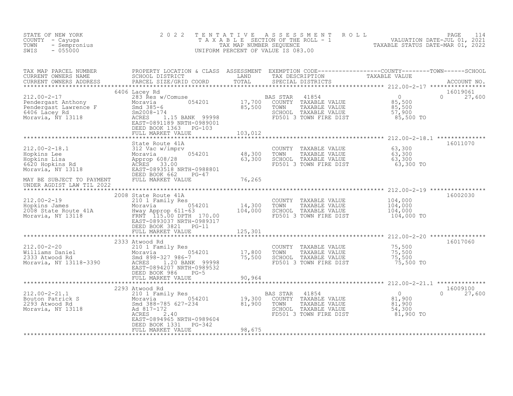| STATE OF NEW YORK<br>COUNTY - Cayuga<br>- Sempronius<br>TOWN<br>$-055000$<br>SWIS                                                                                                                                                                                                                       | 2 0 2 2<br>TENTATIVE                                                                                                                                                                                                                                           |                            | ASSESSMENT ROLL<br>UNIFORM PERCENT OF VALUE IS 083.00                                                                | T A X A B L E SECTION OF THE ROLL - 1<br>TAX MAP NUMBER SEQUENCE - 1 VALUATION DATE-JUL 01, 2021<br>INIFORM PERCENT OF VALUE IS A RESOURNED TO A TAXABLE STATUS DATE-MAR 01, 2022 | PAGE<br>114        |
|---------------------------------------------------------------------------------------------------------------------------------------------------------------------------------------------------------------------------------------------------------------------------------------------------------|----------------------------------------------------------------------------------------------------------------------------------------------------------------------------------------------------------------------------------------------------------------|----------------------------|----------------------------------------------------------------------------------------------------------------------|-----------------------------------------------------------------------------------------------------------------------------------------------------------------------------------|--------------------|
| TAX MAP PARCEL NUMBER<br>CURRENT OWNERS NAME<br>CURRENT OWNERS ADDRESS                                                                                                                                                                                                                                  | PROPERTY LOCATION & CLASS ASSESSMENT EXEMPTION CODE----------------COUNTY--------TOWN------SCHOOL<br>SCHOOL DISTRICT                         LAND       TAX DESCRIPTION             TAXABLE VALUE<br>PARCEL SIZE/GRID COORD       TO<br>PARCEL SIZE/GRID COORD |                            | SPECIAL DISTRICTS                                                                                                    |                                                                                                                                                                                   | ACCOUNT NO.        |
|                                                                                                                                                                                                                                                                                                         | 6406 Lacey Rd<br>DEED BOOK 1363 PG-103<br>FULL MARKET VALUE                                                                                                                                                                                                    | 103,012                    |                                                                                                                      | $\overline{0}$<br>$\Omega$<br>85,500<br>85,500<br>57,900<br>85,500 TO                                                                                                             | 16019061<br>27,600 |
| 212.00-2-18.1<br>Hopkins Lee Moravia 054201<br>Hopkins Lisa Approp 608/28<br>Moravia, NY 13118<br>May RE SUB TECH TO BEED BOOK 662<br>MAY RE SUB TECH TO BEED BOOK 662<br>DEED BOOK 662<br>PAY RE SUB TECH TO BEED BOOK 662<br>PAY RE SUB TEC<br>MAY BE SUBJECT TO PAYMENT<br>UNDER AGDIST LAW TIL 2022 | FULL MARKET VALUE                                                                                                                                                                                                                                              | 48,300<br>63,300<br>76,265 | COUNTY TAXABLE VALUE<br>TOWN<br>TAXABLE VALUE<br>SCHOOL TAXABLE VALUE<br>FD501 3 TOWN FIRE DIST                      | 63,300<br>$63,300$<br>$63,300$<br>63,300 TO                                                                                                                                       | 16011070           |
|                                                                                                                                                                                                                                                                                                         |                                                                                                                                                                                                                                                                |                            |                                                                                                                      |                                                                                                                                                                                   |                    |
| 212.00-2-19<br>Hopkins James<br>2008 State Route 41A<br>Moravia dia 14,300<br>Moravia, NY 13118<br>Moravia, NY 13118<br>Moravia, NY 13118<br>Moravia, NY 13118<br>Moravia, NY 13118<br>Moravia, NY 13118<br>Moravia, NY 13118<br>Moravia, NY 13118<br>                                                  | 2008 State Route 41A<br>EAST-0893037 NRTH-0989317<br>DEED BOOK 3821 PG-11<br>FULL MARKET VALUE                                                                                                                                                                 | 125,301                    | COUNTY TAXABLE VALUE<br>TOWN<br>TAXABLE VALUE<br>SCHOOL TAXABLE VALUE<br>FD501 3 TOWN FIRE DIST                      | 104,000<br>104,000<br>104,000<br>104,000 TO                                                                                                                                       | 16002030           |
|                                                                                                                                                                                                                                                                                                         | 2333 Atwood Rd                                                                                                                                                                                                                                                 |                            |                                                                                                                      |                                                                                                                                                                                   | 16017060           |
| 212.00-2-20                                                                                                                                                                                                                                                                                             | 210 1 Family Res<br>EAST-0894207 NRTH-0989532<br>DEED BOOK 986<br>$PG-5$<br>FULL MARKET VALUE                                                                                                                                                                  | 17,800<br>75,500<br>90,964 | COUNTY TAXABLE VALUE<br>TOWN<br>TAXABLE VALUE<br>SCHOOL TAXABLE VALUE<br>FD501 3 TOWN FIRE DIST                      | 75,500<br>75,500<br>75,500<br>75,500 TO                                                                                                                                           |                    |
|                                                                                                                                                                                                                                                                                                         |                                                                                                                                                                                                                                                                | *************              |                                                                                                                      | ********************** 212.00-2-21.1 **************                                                                                                                               |                    |
| $212.00 - 2 - 21.1$<br>Bouton Patrick S<br>2293 Atwood Rd<br>Moravia, NY 13118                                                                                                                                                                                                                          | 2293 Atwood Rd<br>210 1 Family Res<br>Moravia 054201 19,300<br>Smd 388-785 627-234 81,900<br>Ad 817-172<br>ACRES 2.40<br>EAST-0894965 NRTH-0989604<br>DEED BOOK 1331 PG-342<br>FULL MARKET VALUE                                                               | 98,675                     | BAS STAR<br>41854<br>COUNTY TAXABLE VALUE<br>TOWN<br>TAXABLE VALUE<br>SCHOOL TAXABLE VALUE<br>FD501 3 TOWN FIRE DIST | $\overline{0}$<br>$\Omega$<br>$81,900$<br>$81,900$<br>54,300<br>81,900 TO                                                                                                         | 16009100<br>27,600 |
|                                                                                                                                                                                                                                                                                                         |                                                                                                                                                                                                                                                                |                            |                                                                                                                      |                                                                                                                                                                                   |                    |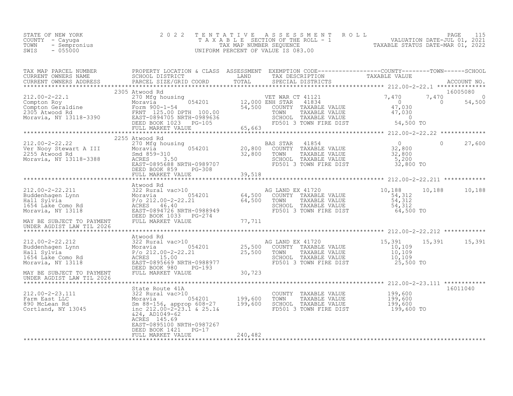| STATE OF NEW YORK<br>COUNTY - Cayuga<br>TOWN<br>- Sempronius<br>$-055000$<br>SWIS                                                                                                                                                                                                                                                                                                 | 2 0 2 2                                                                                                                                                                                                                                                                              | TENTATIVE | UNIFORM PERCENT OF VALUE IS 083.00                                                                                   | TAXABLE SECTION OF THE ROLL - 1<br>TAXABLE SECTION OF THE ROLL - 1<br>TAXABLE STATUS DATE-JUL 01, 2021<br>JNIFORM PERCENT OF VALUE IS 083.00 |                                                      |
|-----------------------------------------------------------------------------------------------------------------------------------------------------------------------------------------------------------------------------------------------------------------------------------------------------------------------------------------------------------------------------------|--------------------------------------------------------------------------------------------------------------------------------------------------------------------------------------------------------------------------------------------------------------------------------------|-----------|----------------------------------------------------------------------------------------------------------------------|----------------------------------------------------------------------------------------------------------------------------------------------|------------------------------------------------------|
|                                                                                                                                                                                                                                                                                                                                                                                   |                                                                                                                                                                                                                                                                                      |           |                                                                                                                      |                                                                                                                                              |                                                      |
| $\begin{array}{cccccccc} 212.00-2-22.1 & 2303&\text{AUWOO} & \text{KE} & \text{WER} & \text{WER} & \text{1121} & 7,470 & 7,470\\ \text{Compton Roy} & 2500&\text{Mofg housing} & 054201 & 12,000&\text{ENH} & \text{STAR} & 41834 & 0\\ \text{Compton Geradaine} & 500-1-54 & 54,500&\text{COUNTY} & \text{TXABLE VALUE} & 47,030\\ \text{2305 Atwood Rd} & \text{FERNT} & 125.0$ | 2305 Atwood Rd                                                                                                                                                                                                                                                                       |           |                                                                                                                      |                                                                                                                                              | 16005080<br>$7,470$<br>0 54,50<br>$\Omega$<br>54,500 |
| 212.00-2-22.22<br>Ver Nooy Stewart A III<br>2255 Atwood Rd<br>Moravia, NY 13118-3388                                                                                                                                                                                                                                                                                              | 2255 Atwood Rd<br>A Atwood Ku and Moravia and 1854<br>Moravia 054201 20,800 COUNTY TAXABLE VALUE 32,800<br>Moravia 3.50 32,800 TOWN TAXABLE VALUE 32,800<br>ACRES 3.50 SCHOOL TAXABLE VALUE 32,800<br>EAST-0895688 NRTH-0989707 FD501 3 TOWN FIRE DIST 3<br>FULL MARKET VALUE 39,518 |           |                                                                                                                      | $\bigcap$<br>32,800 TO                                                                                                                       | 27,600                                               |
| UNDER AGDIST LAW TIL 2026                                                                                                                                                                                                                                                                                                                                                         | Atwood Rd                                                                                                                                                                                                                                                                            |           | SCHOOL TAXABLE VALUE<br>FD501 3 TOWN FIRE DIST 64,500 TO                                                             | 10,188<br>10,188<br>$\frac{54,312}{54,312}$                                                                                                  | 10,188                                               |
|                                                                                                                                                                                                                                                                                                                                                                                   |                                                                                                                                                                                                                                                                                      |           |                                                                                                                      |                                                                                                                                              |                                                      |
| MAY BE SUBJECT TO PAYMENT                                                                                                                                                                                                                                                                                                                                                         | Atwood Rd<br>DEED BOOK 980 PG-193<br>FULL MARKET VALUE                                                                                                                                                                                                                               | 30,723    | AG LAND EX 41720<br>TOWN TAXABLE VALUE 10,109<br>SCHOOL TAXABLE VALUE 10,109<br>FD501 3 TOWN FIRE DIST 25,500 TO     | $15,391$<br>$10,109$                                                                                                                         | 15,391 15,391                                        |
| UNDER AGDIST LAW TIL 2026                                                                                                                                                                                                                                                                                                                                                         |                                                                                                                                                                                                                                                                                      |           |                                                                                                                      |                                                                                                                                              |                                                      |
|                                                                                                                                                                                                                                                                                                                                                                                   | State Route 41A<br>$&24, AD1049-62$<br>ACRES 145.69<br>EAST-0895100 NRTH-0987267<br>DEED BOOK 1421 PG-17                                                                                                                                                                             |           | COUNTY TAXABLE VALUE 199,600<br>TOWN TAXABLE VALUE 199,600<br>SCHOOL TAXABLE VALUE 199,600<br>FD501 3 TOWN FIRE DIST | 199,600 TO                                                                                                                                   | 16011040                                             |
|                                                                                                                                                                                                                                                                                                                                                                                   | FULL MARKET VALUE                                                                                                                                                                                                                                                                    | 240,482   |                                                                                                                      |                                                                                                                                              |                                                      |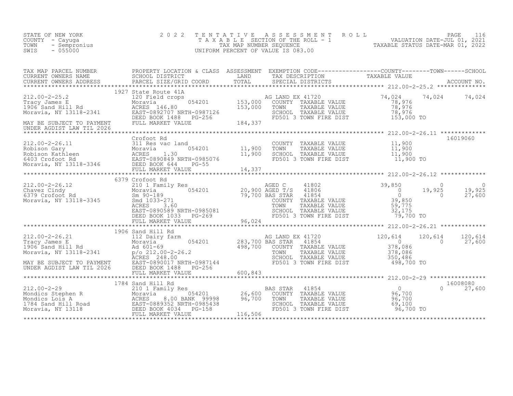| STATE OF NEW YORK<br>COUNTY - Cayuga<br>TOWN<br>- Sempronius<br>$-055000$<br>SWIS                                                                                                                                                                      | 2 0 2 2              | TENTATIVE ASSESSMENT ROLL PAGE 116<br>TAXABLE SECTION OF THE ROLL - 1 VALUATION DATE-JUL 01, 2021<br>TAX MAP NUMBER SEQUENCE TAXABLE STATUS DATE-MAR 01, 2022<br>UNIFORM PERCENT OF VALUE IS 083.00 |                                                  |               |                       |
|--------------------------------------------------------------------------------------------------------------------------------------------------------------------------------------------------------------------------------------------------------|----------------------|-----------------------------------------------------------------------------------------------------------------------------------------------------------------------------------------------------|--------------------------------------------------|---------------|-----------------------|
|                                                                                                                                                                                                                                                        |                      |                                                                                                                                                                                                     |                                                  |               |                       |
|                                                                                                                                                                                                                                                        | 1927 State Route 41A | G LAND EX 41720<br>COUNTY TAXABLE VALUE<br>TOWN _ TAXABLE VALUE<br>AG LAND EX 41720<br>SCHOOL TAXABLE VALUE 78,976<br>FD501 3 TOWN FIRE DIST 153,000 TO                                             | $74,024$<br>$78,976$<br>78,976                   | 74,024 74,024 |                       |
|                                                                                                                                                                                                                                                        |                      |                                                                                                                                                                                                     |                                                  |               |                       |
| 212.00-2-26.11<br>Robison Gary<br>Robison Kathleen<br>6403 Crofoot Rd<br>Moravia, NY 13118-3346<br>Horavia, NY 13118-3346<br>FEED BOOK 644<br>FG-55<br>Horavia, NY 13118-3346<br>FULL MARKET VALUE<br>FULL MARKET VALUE<br>FULL MARKET VALUE<br>FULL M | Crofoot Rd           | COUNTY TAXABLE VALUE $11,900$<br>TOWN TAXABLE VALUE $11,900$<br>SCHOOL TAXABLE VALUE $11,900$<br>FD501 3 TOWN FIRE DIST $11,900$ TO                                                                 |                                                  |               | 16019060              |
|                                                                                                                                                                                                                                                        |                      |                                                                                                                                                                                                     |                                                  |               |                       |
|                                                                                                                                                                                                                                                        | 6379 Crofoot Rd      |                                                                                                                                                                                                     |                                                  |               |                       |
| 212.00-2-26.12 6379 Crofoot Rd<br>Chavez Cindy Moravia Moravia 954201 20,900 AGED T/S 41806 39,850 0<br>6379 Crofoot Rd Sm 90-189 054201 20,900 AGED T/S 41806 0 19,925<br>6379 Crofoot Rd Sm 90-189<br>Moravia, NY 13118-3345 Smd 10                  |                      |                                                                                                                                                                                                     |                                                  |               | 0<br>19,925<br>27,600 |
|                                                                                                                                                                                                                                                        |                      |                                                                                                                                                                                                     | ****************** 212.00-2-26.21 ************** |               |                       |
|                                                                                                                                                                                                                                                        |                      |                                                                                                                                                                                                     |                                                  |               | 120,614<br>27,600     |
|                                                                                                                                                                                                                                                        |                      |                                                                                                                                                                                                     |                                                  |               |                       |
|                                                                                                                                                                                                                                                        |                      | ******************************** 212.00-2-29 ****************                                                                                                                                       |                                                  |               |                       |
|                                                                                                                                                                                                                                                        |                      | TOWN TAXABLE VALUE 96,700<br>SCHOOL TAXABLE VALUE 69,100<br>FD501 3 TOWN FIRE DIST 96,700 TO                                                                                                        |                                                  | $\cap$        | 16008080<br>27,600    |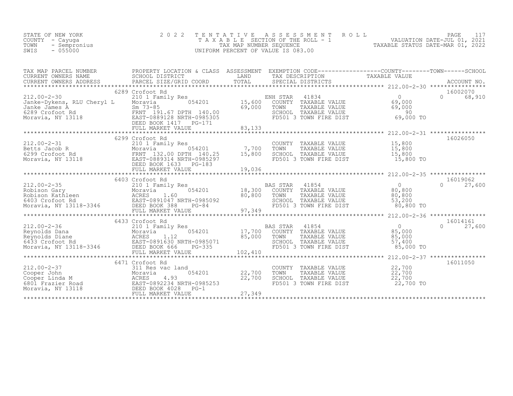| STATE OF NEW YORK<br>COUNTY - Cayuga<br>TOWN<br>- Sempronius<br>$-055000$<br>SWIS                        | 2 0 2 2                                                                                                                                                                                                           | TENTATIVE<br>TAX MAP NUMBER SEQUENCE                      | A S S E S S M E N T<br>TAXABLE SECTION OF THE ROLL - 1<br>UNIFORM PERCENT OF VALUE IS 083.00                                | ROLL                                                                                                                                       | PAGE<br>117<br>VALUATION DATE-JUL 01, 2021<br>TAXABLE STATUS DATE-MAR 01, 2022 |
|----------------------------------------------------------------------------------------------------------|-------------------------------------------------------------------------------------------------------------------------------------------------------------------------------------------------------------------|-----------------------------------------------------------|-----------------------------------------------------------------------------------------------------------------------------|--------------------------------------------------------------------------------------------------------------------------------------------|--------------------------------------------------------------------------------|
| TAX MAP PARCEL NUMBER<br>CURRENT OWNERS NAME<br>CURRENT OWNERS ADDRESS                                   | PROPERTY LOCATION & CLASS ASSESSMENT EXEMPTION CODE----------------COUNTY-------TOWN-----SCHOOL<br>SCHOOL DISTRICT<br>PARCEL SIZE/GRID COORD                                                                      | LAND<br>TOTAL                                             | TAX DESCRIPTION<br>SPECIAL DISTRICTS                                                                                        | TAXABLE VALUE                                                                                                                              | ACCOUNT NO.                                                                    |
| $212.00 - 2 - 30$<br>Janke-Dykens, RLU Cheryl L<br>Janke James A<br>6289 Crofoot Rd<br>Moravia, NY 13118 | 6289 Crofoot Rd<br>210 1 Family Res<br>054201<br>Moravia<br>$Sm$ 73-85<br>FRNT 191.67 DPTH 140.00<br>EAST-0889128 NRTH-0985305<br>DEED BOOK 1417    PG-171<br>FULL MARKET VALUE                                   | 15,600<br>69,000<br>83,133                                | ENH STAR<br>41834<br>TAXABLE VALUE<br>COUNTY<br>TOWN<br>TAXABLE VALUE<br>SCHOOL TAXABLE VALUE<br>FD501 3 TOWN FIRE DIST     | $\Omega$<br>69,000<br>69,000<br>90<br>69,000 TO                                                                                            | 16002070<br>$\cap$<br>68,910                                                   |
| $212.00 - 2 - 31$<br>Betts Jacob R<br>6299 Crofoot Rd<br>Moravia, NY 13118                               | 6299 Crofoot Rd<br>210 1 Family Res<br>054201<br>Moravia<br>FRNT 132.00 DPTH 140.25<br>EAST-0889314 NRTH-0985297<br>DEED BOOK 1633<br>$PG-183$<br>FULL MARKET VALUE                                               | 7,700<br>15,800<br>19,036                                 | COUNTY TAXABLE VALUE<br>TOWN<br>TAXABLE VALUE<br>SCHOOL TAXABLE VALUE<br>FD501 3 TOWN FIRE DIST                             | ********************** 212.00-2-31 ****************<br>15,800<br>15,800<br>15,800<br>15,800 TO                                             | 16026050                                                                       |
| $212.00 - 2 - 35$<br>Robison Gary<br>Robison Kathleen<br>6403 Crofoot Rd<br>Moravia, NY 13118-3346       | **************************<br>6403 Crofoot Rd<br>210 1 Family Res<br>054201<br>Moravia<br>ACRES<br>1.60<br>EAST-0891047 NRTH-0985092<br>DEED BOOK 388<br>$PG-84$<br>FULL MARKET VALUE<br>************************ | ************<br>18,300<br>80,800<br>97,349<br>*********** | 41854<br><b>BAS STAR</b><br>COUNTY TAXABLE VALUE<br>TOWN<br>TAXABLE VALUE<br>SCHOOL TAXABLE VALUE<br>FD501 3 TOWN FIRE DIST | $**********************212.00-2-35$<br>$\Omega$<br>80,800<br>80,800<br>53,200<br>80,800 TO<br>************** 212.00-2-36 ***************** | 16019062<br>27,600<br>$\Omega$                                                 |
| $212.00 - 2 - 36$<br>Reynolds Dana<br>Reynolds Diane<br>6433 Crofoot Rd<br>Moravia, NY 13118-3346        | 6433 Crofoot Rd<br>210 1 Family Res<br>054201<br>Moravia<br>1.12<br>ACRES<br>EAST-0891630 NRTH-0985071<br>DEED BOOK 666<br>PG-335<br>FULL MARKET VALUE                                                            | 17,700<br>85,000<br>102,410                               | 41854<br>BAS STAR<br>COUNTY TAXABLE VALUE<br>TOWN<br>TAXABLE VALUE<br>SCHOOL TAXABLE VALUE<br>FD501 3 TOWN FIRE DIST        | $\circ$<br>85,000<br>85,000<br>57,400<br>85,000 TO                                                                                         | 16014161<br>$\cap$<br>27,600                                                   |
| $212.00 - 2 - 37$<br>Cooper John<br>Cooper Linda M<br>6801 Frazier Road<br>Moravia, NY 13118             | 6471 Crofoot Rd<br>311 Res vac land<br>054201<br>Moravia<br>ACRES<br>4.93<br>EAST-0892234 NRTH-0985253<br>DEED BOOK 4028<br>$PG-1$<br>FULL MARKET VALUE                                                           | 22,700<br>22,700<br>27,349                                | COUNTY<br>TAXABLE VALUE<br>TOWN<br>TAXABLE VALUE<br>SCHOOL TAXABLE VALUE<br>FD501 3 TOWN FIRE DIST                          | ************* 212.00-2-37 ****************<br>22,700<br>22,700<br>22,700<br>22,700 TO                                                      | 16011050                                                                       |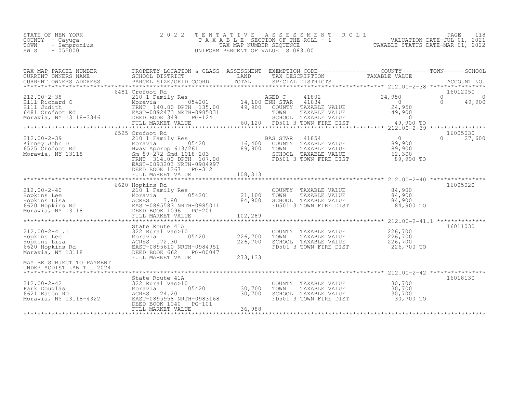|      | STATE OF NEW YORK | 2022 TENTATIVE ASSESSMENT ROLL     | PAGE                             |  |
|------|-------------------|------------------------------------|----------------------------------|--|
|      | COUNTY – Cayuga   | TAXABLE SECTION OF THE ROLL - 1    | VALUATION DATE-JUL 01, 2021      |  |
| TOWN | - Sempronius      | TAX MAP NUMBER SEOUENCE            | TAXABLE STATUS DATE-MAR 01, 2022 |  |
| SWIS | $-055000$         | UNIFORM PERCENT OF VALUE IS 083.00 |                                  |  |
|      |                   |                                    |                                  |  |

| TAX MAP PARCEL NUMBER                                                                                                                                                                                                                                    | PROPERTY LOCATION & CLASS ASSESSMENT EXEMPTION CODE----------------COUNTY-------TOWN------SCHOOL |                            |                                                                                                                                  |            |                                        |
|----------------------------------------------------------------------------------------------------------------------------------------------------------------------------------------------------------------------------------------------------------|--------------------------------------------------------------------------------------------------|----------------------------|----------------------------------------------------------------------------------------------------------------------------------|------------|----------------------------------------|
|                                                                                                                                                                                                                                                          |                                                                                                  |                            |                                                                                                                                  |            |                                        |
|                                                                                                                                                                                                                                                          | 6481 Crofoot Rd                                                                                  |                            |                                                                                                                                  |            | 16012050<br>$\Omega$<br>$\overline{0}$ |
|                                                                                                                                                                                                                                                          |                                                                                                  |                            |                                                                                                                                  |            | 49,900<br>$\bigcirc$                   |
|                                                                                                                                                                                                                                                          |                                                                                                  |                            |                                                                                                                                  |            |                                        |
| 6481 Crofoot Rd  Crofoot Rd  Crofoot Rd  CRISSIS ENST-0892473 NRTH-0985031 TOWN TAXABLE VALUE<br>Moravia, NY 13118-3346 DEED BOOK 349 PG-124 SCHOOL TAXABLE VALUE<br>FULL MARKET VALUE 60,120 FD501 3 TOWN FIRE DIST 49,900 TO<br>**                     |                                                                                                  |                            |                                                                                                                                  |            |                                        |
|                                                                                                                                                                                                                                                          |                                                                                                  |                            |                                                                                                                                  |            |                                        |
|                                                                                                                                                                                                                                                          | 6525 Crofoot Rd                                                                                  |                            |                                                                                                                                  |            | 16005030                               |
| 12.00-2-39 6525 Crofoot Rd<br>210.00-2-39 6525 Crofoot Rd<br>210 16,400 COUNTY TAXABLE VALUE 89,900<br>6525 Crofoot Rd Moray Approp 613/261 89,900 TOWN TAXABLE VALUE 89,900<br>Moravia, NY 13118 5m 89-272 Smd 1018-203<br>FRNT 314.00                  |                                                                                                  |                            |                                                                                                                                  |            | $0 \t 27,600$                          |
|                                                                                                                                                                                                                                                          |                                                                                                  |                            |                                                                                                                                  |            |                                        |
|                                                                                                                                                                                                                                                          |                                                                                                  |                            |                                                                                                                                  |            |                                        |
|                                                                                                                                                                                                                                                          | EAST-0893203 NRTH-0984997                                                                        |                            |                                                                                                                                  |            |                                        |
|                                                                                                                                                                                                                                                          | DEED BOOK 1267 PG-312<br>FULL MARKET VALUE                                                       | 108,313                    |                                                                                                                                  |            |                                        |
|                                                                                                                                                                                                                                                          |                                                                                                  |                            |                                                                                                                                  |            |                                        |
|                                                                                                                                                                                                                                                          | 6620 Hopkins Rd                                                                                  |                            |                                                                                                                                  |            | 16005020                               |
|                                                                                                                                                                                                                                                          | 210 1 Family Res<br>Moravia 054201 21,100<br>CORE 200                                            |                            | COUNTY TAXABLE VALUE $84,900$<br>TOWN TAXABLE VALUE $84,900$<br>SCHOOL TAXABLE VALUE $84,900$<br>FD501 3 TOWN FIRE DIST $84,900$ |            |                                        |
|                                                                                                                                                                                                                                                          |                                                                                                  | 84,900                     |                                                                                                                                  |            |                                        |
| 212.00-2-40<br>Hopkins Lee<br>Hopkins Lisa<br>6620 Hopkins Rd<br>Moravia, NY 13118<br>210 1 Family Res<br>210 1 Family Res<br>210 1 Family Res<br>210 1 Family Res<br>210 1 Family Res<br>210 1 Family Res<br>210 1 Family Res<br>210 1 Family Res<br>21 |                                                                                                  |                            |                                                                                                                                  |            |                                        |
|                                                                                                                                                                                                                                                          | FULL MARKET VALUE                                                                                | 102,289                    |                                                                                                                                  |            |                                        |
|                                                                                                                                                                                                                                                          |                                                                                                  |                            |                                                                                                                                  |            | 16011030                               |
|                                                                                                                                                                                                                                                          |                                                                                                  | 054201 226,700             | COUNTY TAXABLE VALUE 226,700<br>TOWN TAXABLE VALUE 226,700                                                                       |            |                                        |
|                                                                                                                                                                                                                                                          |                                                                                                  | $T_{H-0.984951}$ 226,700   | TOWN TAXABLE VALUE<br>SCHOOL TAXABLE VALUE                                                                                       | 226,700    |                                        |
|                                                                                                                                                                                                                                                          |                                                                                                  |                            | FD501 3 TOWN FIRE DIST                                                                                                           | 226,700 TO |                                        |
|                                                                                                                                                                                                                                                          |                                                                                                  | 273,133                    |                                                                                                                                  |            |                                        |
| UNDER AGDIST LAW TIL 2024                                                                                                                                                                                                                                |                                                                                                  |                            |                                                                                                                                  |            |                                        |
|                                                                                                                                                                                                                                                          | State Route 41A                                                                                  |                            |                                                                                                                                  |            | 16018130                               |
|                                                                                                                                                                                                                                                          |                                                                                                  |                            |                                                                                                                                  |            |                                        |
|                                                                                                                                                                                                                                                          |                                                                                                  | $054201$ $30,700$ $30,700$ |                                                                                                                                  |            |                                        |
| 212.00-2-42<br>Park Douglas<br>Fark Douglas<br>6621 Eaton Rd<br>Moravia, NY 13118-4322<br>Moravia, NY 13118-4322<br>PEED BOOK 1040 PG-101                                                                                                                |                                                                                                  |                            | COUNTY TAXABLE VALUE $30,700$<br>TOWN TAXABLE VALUE $30,700$<br>SCHOOL TAXABLE VALUE $30,700$<br>FD501 3 TOWN FIRE DIST $30,700$ |            |                                        |
|                                                                                                                                                                                                                                                          |                                                                                                  |                            |                                                                                                                                  |            |                                        |
|                                                                                                                                                                                                                                                          |                                                                                                  |                            |                                                                                                                                  |            |                                        |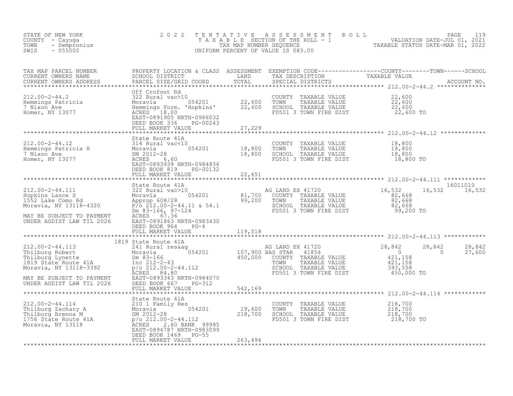| NEW YORK 2020<br>- Cayuga 2020<br>- Sempronius<br>055000<br>STATE OF NEW YORK<br>COUNTY - Cayuga<br>TOWN<br>SWIS                                                                                                                                                                                                                                                                                                                           | 2 0 2 2                                                            |         |                                                                                                                                      | TENTATIVE ASSESSMENT ROLL PALUATION DATE-JUL 01, 2021<br>TAXABLE SECTION OF THE ROLL - 1 VALUATION DATE-JUL 01, 2021<br>UNIFORM PERCENT OF VALUE IS 083.00<br>UNIFORM PERCENT OF VALUE IS 083.00 |  |
|--------------------------------------------------------------------------------------------------------------------------------------------------------------------------------------------------------------------------------------------------------------------------------------------------------------------------------------------------------------------------------------------------------------------------------------------|--------------------------------------------------------------------|---------|--------------------------------------------------------------------------------------------------------------------------------------|--------------------------------------------------------------------------------------------------------------------------------------------------------------------------------------------------|--|
|                                                                                                                                                                                                                                                                                                                                                                                                                                            |                                                                    |         |                                                                                                                                      |                                                                                                                                                                                                  |  |
|                                                                                                                                                                                                                                                                                                                                                                                                                                            |                                                                    |         |                                                                                                                                      |                                                                                                                                                                                                  |  |
|                                                                                                                                                                                                                                                                                                                                                                                                                                            |                                                                    |         |                                                                                                                                      |                                                                                                                                                                                                  |  |
| COUNTY TAXABLE VALUE<br>212.00-2-44.12<br>212.00-2-44.12<br>212.00-2-44.12<br>212.00-2-44.12<br>212.00-2-44.12<br>212.00-2-44.12<br>214 Rural vac<10<br>Moravia<br>2012-28<br>2012-28<br>2012-28<br>2012-28<br>2012-28<br>2012-28<br>2012-28<br>2012-28<br>2012                                                                                                                                                                            | DEED BOOK 819 PG-00132                                             |         |                                                                                                                                      |                                                                                                                                                                                                  |  |
|                                                                                                                                                                                                                                                                                                                                                                                                                                            | FULL MARKET VALUE                                                  | 22,651  |                                                                                                                                      |                                                                                                                                                                                                  |  |
| 312.00-2-44.111 State Route 41A<br>Hopkins Lance S<br>Moravia, NY 13118-4320 Reprop 608/28 approp 608/28<br>Moravia, NY 13118-4320 P/o 212.00-2-44.11 & 54.1<br>MAY BE SUBJECT TO PAYMENT ACRES 67.36<br>MAY BE SUBJECT TO PAYMENT ACRES                                                                                                                                                                                                   | State Route 41A<br>DEED BOOK 964 PG-4<br>FULL MARKET VALUE 119,518 |         |                                                                                                                                      | 16011010<br>16,532 16,532                                                                                                                                                                        |  |
|                                                                                                                                                                                                                                                                                                                                                                                                                                            |                                                                    |         |                                                                                                                                      |                                                                                                                                                                                                  |  |
| $\begin{tabular}{lllllllllllllllllllll} & & & & & & 1819\text{ State Route 41A} & & & & & & 1819\text{ State Route 41A} & & & & & & 1819\text{ State Route 41A} & & & & & & 1819\text{ State Route 41A} & & & & & & & 1819\text{ State Route 41A} & & & & & & & & 1819\text{ State Route 41A} & & & & & & & & 1819\text{ State Route 41A} & & & & & & & & 1819\text{ State Route 41A} & & & & & & & 1819\text{ State Route 41A} & & & & &$ |                                                                    |         |                                                                                                                                      | 28,842<br>28,842<br>$\overline{0}$<br>27,600                                                                                                                                                     |  |
|                                                                                                                                                                                                                                                                                                                                                                                                                                            |                                                                    |         |                                                                                                                                      |                                                                                                                                                                                                  |  |
|                                                                                                                                                                                                                                                                                                                                                                                                                                            | DEED BOOK 1469 PG-55                                               |         | COUNTY TAXABLE VALUE $218,700$<br>TOWN TAXABLE VALUE $218,700$<br>SCHOOL TAXABLE VALUE $218,700$<br>FD501 3 TOWN FIRE DIST $218,700$ |                                                                                                                                                                                                  |  |
|                                                                                                                                                                                                                                                                                                                                                                                                                                            | FULL MARKET VALUE                                                  | 263,494 |                                                                                                                                      |                                                                                                                                                                                                  |  |
|                                                                                                                                                                                                                                                                                                                                                                                                                                            |                                                                    |         |                                                                                                                                      |                                                                                                                                                                                                  |  |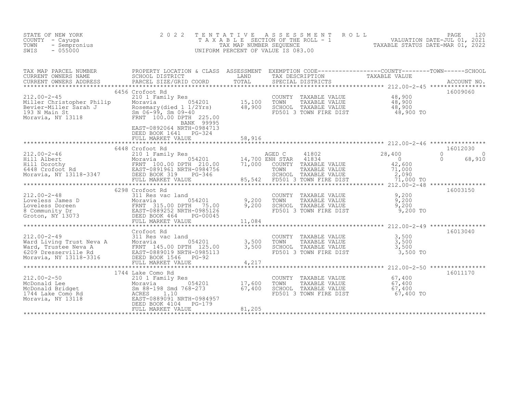| STATE OF NEW YORK<br>COUNTY - Cayuga<br>TOWN<br>- Sempronius<br>SWIS<br>$-055000$                                                                                                                                                                                                                                                                                                                                                  | 2 0 2 2                                                                                                                                                  | TENTATIVE<br>TAX MAP NUMBER SEQUENCE | ASSESSMENT<br>T A X A B L E SECTION OF THE ROLL - 1<br>UNIFORM PERCENT OF VALUE IS 083.00                                                             | R O L L<br>1 VALUATION DATE-JUL 01, 2021<br>TAXABLE STATUS DATE-MAR 01, 2022 | PAGE<br>120                  |
|------------------------------------------------------------------------------------------------------------------------------------------------------------------------------------------------------------------------------------------------------------------------------------------------------------------------------------------------------------------------------------------------------------------------------------|----------------------------------------------------------------------------------------------------------------------------------------------------------|--------------------------------------|-------------------------------------------------------------------------------------------------------------------------------------------------------|------------------------------------------------------------------------------|------------------------------|
| TAX MAP PARCEL NUMBER<br>CURRENT OWNERS NAME<br>CURRENT OWNERS ADDRESS                                                                                                                                                                                                                                                                                                                                                             | PROPERTY LOCATION & CLASS ASSESSMENT EXEMPTION CODE----------------COUNTY-------TOWN-----SCHOOL<br>SCHOOL DISTRICT<br>PARCEL SIZE/GRID COORD             | LAND<br>TOTAL                        | TAX DESCRIPTION TAXABLE VALUE<br>SPECIAL DISTRICTS                                                                                                    |                                                                              | ACCOUNT NO.                  |
| $212.00 - 2 - 45$<br>Miller Christopher Philip<br>Noravia 1931<br>Noravia 1931<br>Main St Sm 06-99, Sm 09-40<br>Moravia, NY 13118<br>Moravia, NY 13118<br>Moravia, NY 13118<br>Moravia, NY 13118                                                                                                                                                                                                                                   | 6456 Crofoot Rd<br>210 1 Family Res<br>BANK 99995<br>EAST-0892064 NRTH-0984713<br>DEED BOOK 1641    PG-324<br>FULL MARKET VALUE                          | 15,100<br>48,900<br>58,916           | COUNTY<br>TAXABLE VALUE<br>TOWN<br>TAXABLE VALUE<br>SCHOOL TAXABLE VALUE<br>FD501 3 TOWN FIRE DIST                                                    | 48,900<br>48,900<br>48,900<br>48,900 TO                                      | 16009060                     |
|                                                                                                                                                                                                                                                                                                                                                                                                                                    | 6448 Crofoot Rd                                                                                                                                          | ************                         |                                                                                                                                                       |                                                                              | 16012030                     |
| 212.00-2-46<br>Hill Albert<br>Hill Borothy<br>Hill Docthy<br>FRNT 100.00 DPTH 210.00<br>6448 Crofoot Rd<br>Moravia, NY 13118-3347<br>ERST-0891961 NRTH-0984756<br>ERST-0891961 NRTH-0984756<br>FULL MARKET VALUE                                                                                                                                                                                                                   | $-1$ $-054201$<br>FULL MARKET VALUE                                                                                                                      | 71,000                               | 41802<br>AGED C<br>41834<br>14,700 ENH STAR<br>COUNTY TAXABLE VALUE<br>TOWN<br>TAXABLE VALUE<br>SCHOOL TAXABLE VALUE<br>85,542 FD501 3 TOWN FIRE DIST | 28,400<br>$\overline{0}$<br>42,600<br>71,000<br>2,090<br>71,000 TO           | 0<br>0<br>$\Omega$<br>68,910 |
|                                                                                                                                                                                                                                                                                                                                                                                                                                    | ***************************<br>6298 Crofoot Rd                                                                                                           |                                      |                                                                                                                                                       |                                                                              | 16003150                     |
|                                                                                                                                                                                                                                                                                                                                                                                                                                    | 054201<br>FULL MARKET VALUE                                                                                                                              | 9,200<br>9,200<br>11,084             | COUNTY TAXABLE VALUE<br>TOWN TAXABLE VALUE<br>SCHOOL TAXABLE VALUE<br>FD501 3 TOWN FIRE DIST                                                          | 9,200<br>9,200<br>9,200<br>9,200 TO                                          |                              |
|                                                                                                                                                                                                                                                                                                                                                                                                                                    | *******************************                                                                                                                          | **********************               |                                                                                                                                                       | ************************ 212.00-2-49 *****************                       |                              |
| $212.00 - 2 - 49$                                                                                                                                                                                                                                                                                                                                                                                                                  | Crofoot Rd<br>311 Res vac land<br>054201<br>Moravia<br>FRNT 145.00 DPTH 125.00<br>EAST-0889019 NRTH-0985113<br>DEED BOOK 1546 PG-92<br>FULL MARKET VALUE | 3,500<br>3,500<br>4,217              | COUNTY TAXABLE VALUE<br>TOWN<br>TAXABLE VALUE<br>SCHOOL TAXABLE VALUE<br>FD501 3 TOWN FIRE DIST                                                       | 3,500<br>3,500<br>3,500<br>3,500 TO                                          | 16013040                     |
|                                                                                                                                                                                                                                                                                                                                                                                                                                    |                                                                                                                                                          |                                      |                                                                                                                                                       |                                                                              | 16011170                     |
| $\begin{tabular}{lllllllllll} $\text{144} \text{ Lake} & \text{Como} & \text{R} & \text{R} & \text{R} & \text{R} & \text{R} & \text{R} & \text{R} & \text{R} & \text{R} & \text{R} & \text{R} & \text{R} & \text{R} & \text{R} & \text{R} & \text{R} & \text{R} & \text{R} & \text{R} & \text{R} & \text{R} & \text{R} & \text{R} & \text{R} & \text{R} & \text{R} & \text{R} & \text{R} & \text{R} & \text{R} & \text{R} & \text$ | FULL MARKET VALUE                                                                                                                                        | 17,600<br>67,400<br>81,205           | COUNTY TAXABLE VALUE<br>TOWN<br>TAXABLE VALUE<br>SCHOOL TAXABLE VALUE<br>FD501 3 TOWN FIRE DIST                                                       | 67,400<br>67,400<br>67,400<br>67,400 TO                                      |                              |
|                                                                                                                                                                                                                                                                                                                                                                                                                                    |                                                                                                                                                          |                                      |                                                                                                                                                       |                                                                              |                              |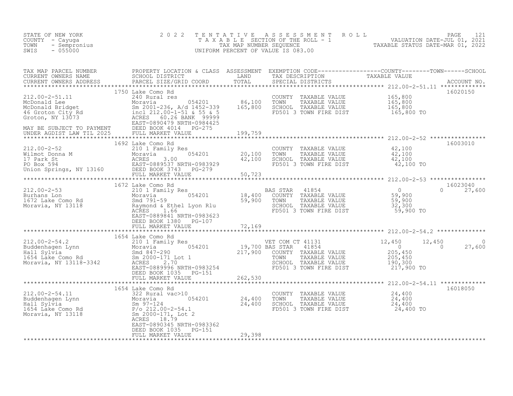| F NEW YORK 2022<br>- Cayuga 2022<br>- Sempronius<br>- 055000<br>STATE OF NEW YORK<br>COUNTY - Cayuqa<br>TOWN<br>SWIS                                                                                                                                                                                                                                                   |                                                    |        | TENTATIVE ASSESSMENT ROLL PAGE 121<br>TAXABLE SECTION OF THE ROLL - 1 VALUATION DATE-JUL 01, 2021<br>TAX MAP NUMBER SEQUENCE TAXABLE STATUS DATE-MAR 01, 2022<br>UNIFORM PERCENT OF VALUE IS 083.00 |                        |
|------------------------------------------------------------------------------------------------------------------------------------------------------------------------------------------------------------------------------------------------------------------------------------------------------------------------------------------------------------------------|----------------------------------------------------|--------|-----------------------------------------------------------------------------------------------------------------------------------------------------------------------------------------------------|------------------------|
| TAX MAP PARCEL NUMBER PROPERTY LOCATION & CLASS ASSESSMENT EXEMPTION CODE----------------COUNTY--------TOWN------SCHOOL SCHOOL DISTRICT<br>CURRENT OWNERS NAME SCHOOL DISTRICT LAND TAX DESCRIPTION TAXABLE VALUE<br>CURRENT OWNERS                                                                                                                                    |                                                    |        |                                                                                                                                                                                                     |                        |
|                                                                                                                                                                                                                                                                                                                                                                        | 1750 Lake Como Rd                                  |        |                                                                                                                                                                                                     | 16020150               |
|                                                                                                                                                                                                                                                                                                                                                                        |                                                    |        |                                                                                                                                                                                                     |                        |
|                                                                                                                                                                                                                                                                                                                                                                        |                                                    |        |                                                                                                                                                                                                     | $0 \t 27,600$          |
|                                                                                                                                                                                                                                                                                                                                                                        |                                                    |        |                                                                                                                                                                                                     |                        |
|                                                                                                                                                                                                                                                                                                                                                                        |                                                    |        |                                                                                                                                                                                                     | $12,450$ 0<br>0 27,600 |
|                                                                                                                                                                                                                                                                                                                                                                        |                                                    |        |                                                                                                                                                                                                     |                        |
|                                                                                                                                                                                                                                                                                                                                                                        | 1654 Lake Como Rd                                  |        |                                                                                                                                                                                                     | 16018050               |
| $\begin{array}{cccc} 212.00-2-54.11 & 1654 \text{ Lake Como Rd} \\ \text{Buddenhagen Lyn} & 322 \text{ Rural vac}>10 & 24,400 \\ \text{Hall Sylvia} & 8m 97-124 & 054201 & 24,400 \\ \text{Hall Sylvia} & 8m 97-124 & 24,400 \\ \text{I654 Lake Como Rd} & 8m 97-124 & 24,400 \\ \text{Moravia, NY 13118} & 8m 2000-171, \text{ Lot} & 24,400 \\ \text{Moravia, NY 13$ | EAST-0890345 NRTH-0983362<br>DEED BOOK 1035 PG-151 |        |                                                                                                                                                                                                     |                        |
|                                                                                                                                                                                                                                                                                                                                                                        | FULL MARKET VALUE                                  | 29,398 |                                                                                                                                                                                                     |                        |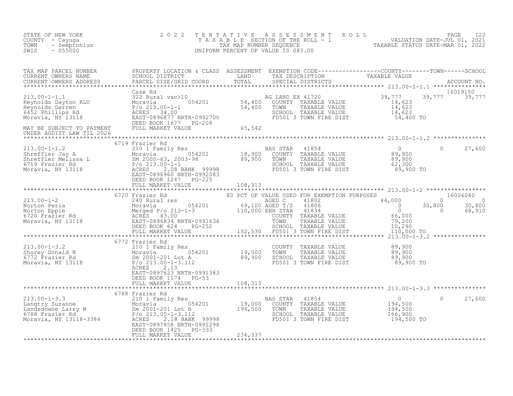| STATE OF NEW YORK<br>COUNTY - Cayuga<br>TOWN - Sempronius<br>SWIS - 055000 | 2 0 2 2                   |  | TENTATIVE ASSESSMENT ROLL PAGE 122<br>TAXABLE SECTION OF THE ROLL - 1 VALUATION DATE-JUL 01, 2021<br>TAX MAP NUMBER SEQUENCE TAXABLE STATUS DATE-MAR 01, 2022<br>UNIFORM PERCENT OF VALUE IS 083.00                                                                                                                                                                                                                                                                             |        |
|----------------------------------------------------------------------------|---------------------------|--|---------------------------------------------------------------------------------------------------------------------------------------------------------------------------------------------------------------------------------------------------------------------------------------------------------------------------------------------------------------------------------------------------------------------------------------------------------------------------------|--------|
|                                                                            |                           |  |                                                                                                                                                                                                                                                                                                                                                                                                                                                                                 |        |
|                                                                            |                           |  | $\begin{tabular}{lllllllllllllllllllll} \textsc{rank} & \textsc{PROE1 NUMBER} & \textsc{PROBERTY LOGATION & \textsc{CLASS} & \textsc{ASSS ESSIMENTION} & \textsc{CDEFI} & \textsc{FCMPITION} & \textsc{CDEFI} & \textsc{TONN} & \textsc{SCHOOL} & \textsc{TANABLE} & \textsc{VALUP} & \textsc{TANABLE} & \textsc{VALUP} \\ \textsc{CURERENT & \textsc{ONRESS} & \textsc{PARCEL SIEZ (GRLD COOD) & \textsc{TANAL} & \textsc{SPESCIAL DISTRIBUTION} & \textsc{TANABLE VALUE} & \$ |        |
|                                                                            |                           |  |                                                                                                                                                                                                                                                                                                                                                                                                                                                                                 |        |
|                                                                            |                           |  |                                                                                                                                                                                                                                                                                                                                                                                                                                                                                 |        |
|                                                                            |                           |  |                                                                                                                                                                                                                                                                                                                                                                                                                                                                                 |        |
|                                                                            |                           |  |                                                                                                                                                                                                                                                                                                                                                                                                                                                                                 |        |
|                                                                            |                           |  |                                                                                                                                                                                                                                                                                                                                                                                                                                                                                 |        |
|                                                                            |                           |  |                                                                                                                                                                                                                                                                                                                                                                                                                                                                                 |        |
|                                                                            |                           |  |                                                                                                                                                                                                                                                                                                                                                                                                                                                                                 |        |
|                                                                            | EAST-0897623 NRTH-0991383 |  |                                                                                                                                                                                                                                                                                                                                                                                                                                                                                 |        |
|                                                                            |                           |  |                                                                                                                                                                                                                                                                                                                                                                                                                                                                                 |        |
|                                                                            |                           |  |                                                                                                                                                                                                                                                                                                                                                                                                                                                                                 | 27,600 |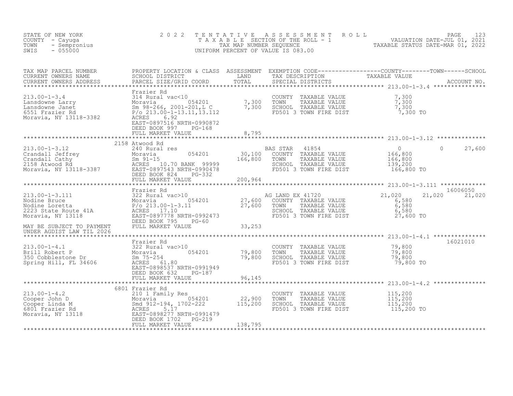| STATE OF NEW YORK<br>COUNTY - Cayuga<br>- Sempronius<br>TOWN<br>$-055000$<br>SWIS                                                                                                                                                                                                                                                                                                                               | 2 0 2 2                                                                                   | TENTATIVE | ASSESSMENT ROLL<br>T A X A B L E SECTION OF THE ROLL - 1<br>TAX MAP NUMBER SEQUENCE<br>INIFORM PERCENT OF VALUE IS 083.00<br>UNIFORM PERCENT OF VALUE IS 083.00                                                                          |                                                                           | PAGE<br>123        |
|-----------------------------------------------------------------------------------------------------------------------------------------------------------------------------------------------------------------------------------------------------------------------------------------------------------------------------------------------------------------------------------------------------------------|-------------------------------------------------------------------------------------------|-----------|------------------------------------------------------------------------------------------------------------------------------------------------------------------------------------------------------------------------------------------|---------------------------------------------------------------------------|--------------------|
| TAX MAP PARCEL NUMBER<br>CURRENT OWNERS NAME<br>CURRENT OWNERS ADDRESS                                                                                                                                                                                                                                                                                                                                          |                                                                                           |           |                                                                                                                                                                                                                                          |                                                                           |                    |
| Frazier Rd 213.00-1-3.4 213.00-1-3.4 213.00-1-3.4 213.00-1-3.4 213.00-1-3.4 213.00-1-3.1 2<br>Lansdowne Janet 2 Moravia 2 Moravia 2001-201, L C<br>6551 Frazier Rd 2 P/o 213.00-1-13.11,13.112 2<br>2 ACRESS 6.9201<br>2 ACRESS 6.9201                                                                                                                                                                          | Frazier Rd<br>EAST-0897516 NRTH-0990872<br>DEED BOOK 997<br>$PG-168$<br>FULL MARKET VALUE | 8,795     | COUNTY TAXABLE VALUE $\begin{array}{ccc} 7,300 \ \text{TOWN} & \text{TAXABLE VALUE} & 7,300 \ \text{SCHOL} & \text{TAXABLE VALUE} & 7,300 \ \text{EDD501 3 TOWN FIRE DIST} & 7,300 \ \text{FDD501 3 TOWN FIRE DIST} & 7,300 \end{array}$ |                                                                           |                    |
|                                                                                                                                                                                                                                                                                                                                                                                                                 |                                                                                           |           |                                                                                                                                                                                                                                          |                                                                           |                    |
| 213.00-1-3.12<br>Crandall Jeffrey<br>Crandall Cathy<br>2158 Atwood Rd<br>Moravia, NY 13118-3387<br>PEED BOOK 824<br>PEED BOOK 824<br>PEED BOOK 824<br>PEED BOOK 824<br>PEED BOOK 824<br>PEED BOOK 824<br>PEED BOOK 824<br>PEED BOOK 824<br>PEED BOOK 82                                                                                                                                                         | 2158 Atwood Rd                                                                            |           | BAS STAR<br>41854<br>COUNTY TAXABLE VALUE<br>TAXABLE VALUE<br>TOWN<br>SCHOOL TAXABLE VALUE<br>FD501 3 TOWN FIRE DIST                                                                                                                     | $\overline{0}$<br>$\Omega$<br>166,800<br>166,800<br>139,200<br>166,800 TO | 27,600             |
|                                                                                                                                                                                                                                                                                                                                                                                                                 |                                                                                           |           |                                                                                                                                                                                                                                          |                                                                           |                    |
|                                                                                                                                                                                                                                                                                                                                                                                                                 |                                                                                           |           |                                                                                                                                                                                                                                          |                                                                           |                    |
| $\begin{tabular}{lllllllllllllllllllllll} \hline 213.00-1-3.111 & Frazier Rd & 322 Rural vac & 1054201\\ \hline \multicolumn{2}{c}{\mbox{Nodine Bruce}} & & 322 Rural vac & 1054201 & 27,600 & COUNTY TAXABLE VALUE\\ \hline \multicolumn{2}{c}{\mbox{Nodine Loreta}} & & 054201 & 27,600 & COUNTY TAXABLE VALUE\\ \hline 2223 State Route 41A & & 0.0213.00-1-3.11 & & 27,600 & COUNTY TAXABLE VALUE\\ \hline$ |                                                                                           |           |                                                                                                                                                                                                                                          | 21,020<br>21,020<br>6,580<br>$6,580$<br>$6,580$<br>$27,600$ TO            | 16006050<br>21,020 |
|                                                                                                                                                                                                                                                                                                                                                                                                                 |                                                                                           |           |                                                                                                                                                                                                                                          |                                                                           |                    |
|                                                                                                                                                                                                                                                                                                                                                                                                                 | Frazier Rd                                                                                |           |                                                                                                                                                                                                                                          |                                                                           | 16021010           |
| 213.00-1-4.1<br>Brill Robert P<br>350 Cobblestone Dr<br>Spring Hill, FL 34606<br>$\begin{array}{ccc}\n & \text{if } 322 \text{ Rural vac}>10 \\ \text{Moravia} & 054201 & 79,800 \\ \text{Spring Hill, FL 34606} & \text{ACRES} & 61.80 \\ \text{Exrem-000537 NDFUL-0001040} & & \\ \end{array}$                                                                                                                | EAST-0898537 NRTH-0991949<br>DEED BOOK 632 PG-187                                         |           | COUNTY TAXABLE VALUE 79,800<br>TOWN<br>TAXABLE VALUE<br>SCHOOL TAXABLE VALUE<br>FD501 3 TOWN FIRE DIST                                                                                                                                   | 79,800<br>79,800<br>79,800 TO                                             |                    |
|                                                                                                                                                                                                                                                                                                                                                                                                                 | FULL MARKET VALUE                                                                         | 96,145    |                                                                                                                                                                                                                                          |                                                                           |                    |
|                                                                                                                                                                                                                                                                                                                                                                                                                 | 6801 Frazier Rd                                                                           |           |                                                                                                                                                                                                                                          |                                                                           |                    |
| 213.00-1-4.2<br>Cooper John D<br>Cooper Linda M<br>6801 Frazier Rd<br>Moravia, NY 13118<br>Moravia, NY 13118<br>22,900<br>EAST-0898277 NRTH-0991479<br>EAST-0898277 NRTH-0991479<br>EAST-0898277 NRTH-0991479<br>ELED BOOK 1702-219<br>COOPERES<br>EAS                                                                                                                                                          | FULL MARKET VALUE                                                                         | 138,795   | COUNTY TAXABLE VALUE<br>TAXABLE VALUE<br>TOWN<br>SCHOOL TAXABLE VALUE<br>FD501 3 TOWN FIRE DIST                                                                                                                                          | 115,200<br>115,200<br>115,200<br>115,200 TO                               |                    |
|                                                                                                                                                                                                                                                                                                                                                                                                                 |                                                                                           |           |                                                                                                                                                                                                                                          |                                                                           |                    |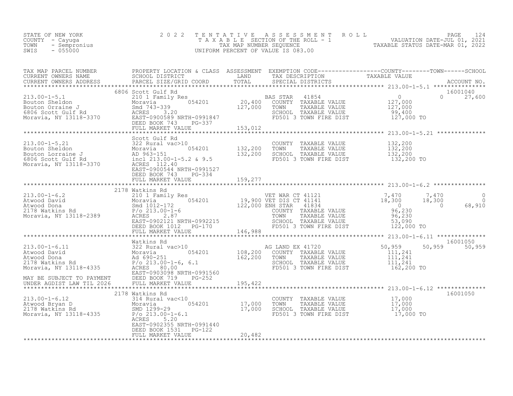| STATE OF NEW YORK<br>F NEW YORK 2020<br>- Cayuga<br>- Sempronius<br>- 055000<br>COUNTY - Cayuga<br>TOWN<br>SWIS                                                                                                                                                                                                                            | 2 0 2 2                                    |        |                                                                                                                                      | TENTATIVE ASSESSMENT ROLL PACE 124<br>TAXABLE SECTION OF THE ROLL - 1 VALUATION DATE-JUL 01, 2021<br>TAX MAP NUMBER SEQUENCE TAXABLE STATUS DATE-MAR 01, 2022<br>UNIFORM PERCENT OF VALUE IS 083.00 |                           |
|--------------------------------------------------------------------------------------------------------------------------------------------------------------------------------------------------------------------------------------------------------------------------------------------------------------------------------------------|--------------------------------------------|--------|--------------------------------------------------------------------------------------------------------------------------------------|-----------------------------------------------------------------------------------------------------------------------------------------------------------------------------------------------------|---------------------------|
| TAX MAP PARCEL NUMBER PROPERTY LOCATION & CLASS ASSESSMENT EXEMPTION CODE----------------COUNTY--------TOWN------SCHOOL CURRENT OWNERS NAME SCHOOL DISTRICT LAND TAX DESCRIPTION TAXABLE VALUE<br>CURRENT OWNERS ADDRESS PARCEL S                                                                                                          |                                            |        |                                                                                                                                      |                                                                                                                                                                                                     |                           |
|                                                                                                                                                                                                                                                                                                                                            | FULL MARKET VALUE 19 33, 193, 012          |        |                                                                                                                                      |                                                                                                                                                                                                     |                           |
|                                                                                                                                                                                                                                                                                                                                            |                                            |        |                                                                                                                                      |                                                                                                                                                                                                     |                           |
|                                                                                                                                                                                                                                                                                                                                            |                                            |        | COUNTY TAXABLE VALUE $132,200$<br>TOWN TAXABLE VALUE $132,200$<br>SCHOOL TAXABLE VALUE $132,200$<br>FD501 3 TOWN FIRE DIST $132,200$ |                                                                                                                                                                                                     |                           |
|                                                                                                                                                                                                                                                                                                                                            | FULL MARKET VALUE 159,277                  |        |                                                                                                                                      |                                                                                                                                                                                                     |                           |
|                                                                                                                                                                                                                                                                                                                                            |                                            |        |                                                                                                                                      |                                                                                                                                                                                                     |                           |
|                                                                                                                                                                                                                                                                                                                                            | 2178 Watkins Rd                            |        |                                                                                                                                      |                                                                                                                                                                                                     |                           |
|                                                                                                                                                                                                                                                                                                                                            |                                            |        |                                                                                                                                      |                                                                                                                                                                                                     |                           |
|                                                                                                                                                                                                                                                                                                                                            |                                            |        |                                                                                                                                      |                                                                                                                                                                                                     |                           |
| $(213.00-1-6.11\nAtwood David\nAtwood Donald\nAtwood Dona\n2178 Waktins Rd\n218 Warkins Rd\n2198 Waktins Rd\nMoxvia, NY 13118-4335\nMoxvia, NY 13118-4335\nMox325\nMax BE SUBJECT TO PAYMENT\nEABST-0903098 NRTH-0991560\nMAX BE SUBJECT TO PAYMENT\n05013000\nMAY BE SUBJECT TO PAYMENT\n05013 TOWN FIRE DIST\n05013 TOWN FIRE DIST\n051$ |                                            |        |                                                                                                                                      | 162,200 TO                                                                                                                                                                                          | 16001050<br>50,959 50,959 |
|                                                                                                                                                                                                                                                                                                                                            |                                            |        |                                                                                                                                      |                                                                                                                                                                                                     |                           |
|                                                                                                                                                                                                                                                                                                                                            | EAST-0902355 NRTH-0991440                  |        |                                                                                                                                      |                                                                                                                                                                                                     | 16001050                  |
|                                                                                                                                                                                                                                                                                                                                            | DEED BOOK 1531 PG-122<br>FULL MARKET VALUE | 20,482 |                                                                                                                                      |                                                                                                                                                                                                     |                           |
|                                                                                                                                                                                                                                                                                                                                            |                                            |        |                                                                                                                                      |                                                                                                                                                                                                     |                           |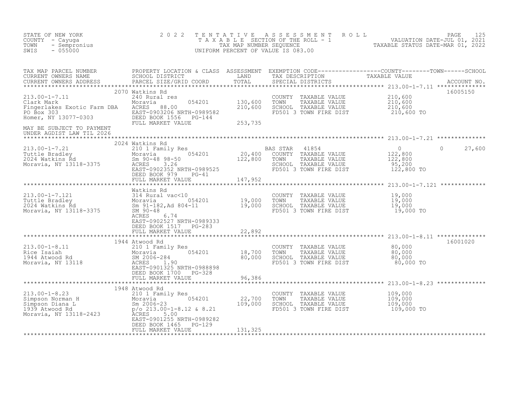| STATE OF NEW YORK<br>COUNTY - Cayuga<br>- Sempronius<br>TOWN<br>$-055000$<br>SWIS                                                   | 2 0 2 2<br>TENTATIVE                                                                                                                                                                          |                               | ASSESSMENT ROLL<br>UNIFORM PERCENT OF VALUE IS 083.00                                                                | TAXABLE SECTION OF THE ROLL - 1 (1994) VALUATION DATE-JUL 01, 2021<br>TAX MAP NUMBER SEQUENCE TAXABLE STATUS DATE-MAR 01, 2022 | PAGE<br>125 |
|-------------------------------------------------------------------------------------------------------------------------------------|-----------------------------------------------------------------------------------------------------------------------------------------------------------------------------------------------|-------------------------------|----------------------------------------------------------------------------------------------------------------------|--------------------------------------------------------------------------------------------------------------------------------|-------------|
| TAX MAP PARCEL NUMBER<br>CURRENT OWNERS NAME<br>CURRENT OWNERS ADDRESS                                                              | PROPERTY LOCATION & CLASS ASSESSMENT EXEMPTION CODE----------------COUNTY-------TOWN------SCHOOL SCHOOL SCHOOL<br>PARCEL SIZE/GRID COORD                                                      | TOTAL                         | SPECIAL DISTRICTS                                                                                                    |                                                                                                                                | ACCOUNT NO. |
| $213.00 - 1 - 7.11$<br>Clark Mark<br>Fingerlakes Exotic Farm DBA<br>PO Box 303<br>Homer, NY 13077-0303<br>MAY BE SUBJECT TO PAYMENT | 2070 Watkins Rd<br>240 Rural res<br>054201<br>Moravia<br>88.00<br>ACRES<br>EAST-0903206 NRTH-0989582<br>DEED BOOK 1556 PG-144<br>FULL MARKET VALUE                                            | 130,600<br>210,600<br>253,735 | COUNTY<br>TAXABLE VALUE<br>TAXABLE VALUE<br>TOWN<br>SCHOOL TAXABLE VALUE<br>FD501 3 TOWN FIRE DIST                   | 210,600<br>210,600<br>210,600<br>210,600 TO                                                                                    | 16005150    |
| UNDER AGDIST LAW TIL 2026                                                                                                           |                                                                                                                                                                                               |                               |                                                                                                                      |                                                                                                                                |             |
| $213.00 - 1 - 7.21$<br>ruttle Bradley<br>2024 Watkins Rd<br>Monard III 2011<br>Moravia, NY 13118-3375                               | 2024 Watkins Rd<br>210 1 Family Res<br>054201<br>Moravia<br>Sm $90-48$ 98-50<br>3.26<br>ACRES<br>EAST-0902352 NRTH-0989525<br>DEED BOOK 979<br>$PG-41$                                        | 20,400<br>122,800             | BAS STAR<br>41854<br>COUNTY TAXABLE VALUE<br>TAXABLE VALUE<br>TOWN<br>SCHOOL TAXABLE VALUE<br>FD501 3 TOWN FIRE DIST | $\overline{0}$<br>$\Omega$<br>122,800<br>122,800<br>95,200<br>122,800 TO                                                       | 27,600      |
|                                                                                                                                     | FULL MARKET VALUE                                                                                                                                                                             | 147,952<br>*****************  |                                                                                                                      | ************************ 213.00-1-7.121 **************                                                                         |             |
| $213.00 - 1 - 7.121$<br>Tuttle Bradley<br>2024 Watkins Rd<br>Moravia, NY 13118-3375                                                 | Watkins Rd<br>314 Rural vac<10<br>Moravia 054201<br>Sm 91-182, Ad 804-11<br>054201<br>Sm 91-182, Ad 804-11<br>SM 90-48<br>ACRES<br>6.74<br>EAST-0902527 NRTH-0989333<br>DEED BOOK 1517 PG-283 | 19,000<br>19,000              | COUNTY<br>TAXABLE VALUE<br>TOWN<br>TAXABLE VALUE<br>SCHOOL TAXABLE VALUE<br>FD501 3 TOWN FIRE DIST                   | 19,000<br>19,000<br>19,000<br>19,000 TO                                                                                        |             |
|                                                                                                                                     | FULL MARKET VALUE                                                                                                                                                                             | 22,892                        |                                                                                                                      |                                                                                                                                |             |
| $213.00 - 1 - 8.11$<br>Rice Isaiah<br>سير Atwood Rd<br>Moravia, NY 13118                                                            | 1944 Atwood Rd<br>210 1 Family Res<br>054201<br>Moravia<br>SM 2006-284<br>ACRES<br>1.90<br>EAST-0901325 NRTH-0988898<br>DEED BOOK 1700<br>PG-328<br>FULL MARKET VALUE                         | 18,700<br>80,000<br>96,386    | COUNTY TAXABLE VALUE<br>TOWN<br>TAXABLE VALUE<br>SCHOOL TAXABLE VALUE<br>FD501 3 TOWN FIRE DIST                      | 80,000<br>80,000<br>80,000<br>80,000 TO                                                                                        | 16001020    |
|                                                                                                                                     | ************<br>*****************                                                                                                                                                             |                               |                                                                                                                      | ****************** 213.00-1-8.23 **************                                                                                |             |
| $213.00 - 1 - 8.23$<br>Simpson Norman H<br>Simpson Diana L<br>1939 Atwood Rd<br>Moravia, NY 13118-2423                              | 1948 Atwood Rd<br>210 1 Family Res<br>054201<br>Moravia<br>Sm 2006-23<br>$p/o 213.00-1-8.12 & 8.21$<br>ACRES<br>5.00<br>EAST-0901255 NRTH-0989282<br>PG-129<br>DEED BOOK 1465                 | 22,700<br>109,000             | COUNTY TAXABLE VALUE<br>TOWN<br>TAXABLE VALUE<br>SCHOOL TAXABLE VALUE<br>FD501 3 TOWN FIRE DIST                      | 109,000<br>109,000<br>109,000<br>109,000 TO                                                                                    |             |
|                                                                                                                                     | FULL MARKET VALUE                                                                                                                                                                             | 131,325                       |                                                                                                                      |                                                                                                                                |             |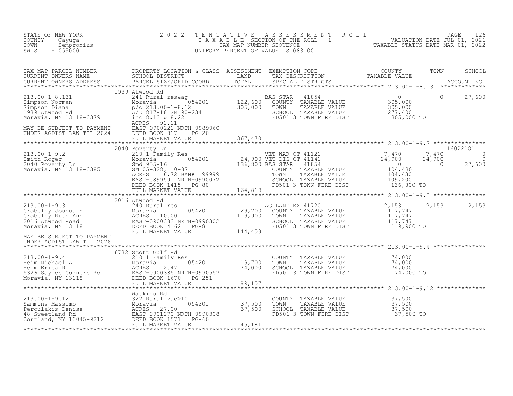| STATE OF NEW YORK<br>COUNTY - Cayuga<br>- Sempronius<br>TOWN<br>$-055000$<br>SWIS | 2 0 2 2        |                                                                                                                                  | TENTATIVE ASSESSMENT ROLL PAGE 126<br>TAXABLE SECTION OF THE ROLL - 1 VALUATION DATE-JUL 01, 2021<br>TAX MAP NUMBER SEQUENCE TAXABLE STATUS DATE-MAR 01, 2022<br>UNIFORM PERCENT OF VALUE IS 083.00 |       |
|-----------------------------------------------------------------------------------|----------------|----------------------------------------------------------------------------------------------------------------------------------|-----------------------------------------------------------------------------------------------------------------------------------------------------------------------------------------------------|-------|
|                                                                                   |                |                                                                                                                                  |                                                                                                                                                                                                     |       |
|                                                                                   |                |                                                                                                                                  |                                                                                                                                                                                                     |       |
|                                                                                   |                |                                                                                                                                  |                                                                                                                                                                                                     |       |
|                                                                                   |                |                                                                                                                                  |                                                                                                                                                                                                     |       |
|                                                                                   | 2016 Atwood Rd |                                                                                                                                  | 2,153                                                                                                                                                                                               | 2,153 |
| UNDER AGDIST LAW TIL 2026                                                         |                |                                                                                                                                  |                                                                                                                                                                                                     |       |
|                                                                                   |                |                                                                                                                                  |                                                                                                                                                                                                     |       |
|                                                                                   |                | COUNTY TAXABLE VALUE $37,500$<br>TOWN TAXABLE VALUE $37,500$<br>SCHOOL TAXABLE VALUE $37,500$<br>FD501 3 TOWN FIRE DIST $37,500$ |                                                                                                                                                                                                     |       |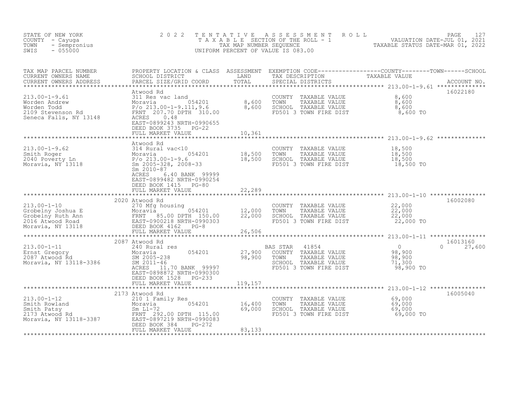| STATE OF NEW YORK<br>COUNTY - Cayuga<br>- Sempronius<br>TOWN<br>$-055000$<br>SWIS                                                                                                                                                                                | 2 0 2 2                                                                |         | TENTATIVE ASSESSMENT ROLL PAGE 127<br>TAXABLE SECTION OF THE ROLL - 1 VALUATION DATE-JUL 01, 2021<br>TAX MAP NUMBER SEQUENCE TAXABLE STATUS DATE-MAR 01, 2022<br>UNIFORM PERCENT OF VALUE IS 083.00 |             |                           |
|------------------------------------------------------------------------------------------------------------------------------------------------------------------------------------------------------------------------------------------------------------------|------------------------------------------------------------------------|---------|-----------------------------------------------------------------------------------------------------------------------------------------------------------------------------------------------------|-------------|---------------------------|
|                                                                                                                                                                                                                                                                  |                                                                        |         |                                                                                                                                                                                                     |             |                           |
|                                                                                                                                                                                                                                                                  |                                                                        |         | COUNTY TAXABLE VALUE $\begin{array}{cccc} 8,600 \ \text{TOWN} & \text{TAXABLE VALUE} & 8,600 \ \text{SCHOOL} & \text{TAXABLE VALUE} & 8,600 \ \text{FD501 3 TOWN FIRE DIST} & 8,600 \ \end{array}$  |             | 16022180                  |
|                                                                                                                                                                                                                                                                  |                                                                        |         |                                                                                                                                                                                                     |             |                           |
| 213.00-1-9.62<br>213.00-1-9.62<br>Smith Roger<br>2040 Poverty Ln<br>2040 Poverty Ln<br>2040 Poverty Ln<br>2040 Poverty Ln<br>2040 Poverty Ln<br>2010-87<br>2005-328, 2008-33<br>2010-87<br>2010-87<br>2010-87<br>2020-202<br>2020-87<br>2020-202<br>2020-202<br> | ACRES<br>6.40 BANK 99999                                               |         |                                                                                                                                                                                                     |             |                           |
|                                                                                                                                                                                                                                                                  | EAST-0899482 NRTH-0990254<br>DEED BOOK 1415 PG-80                      |         |                                                                                                                                                                                                     |             |                           |
|                                                                                                                                                                                                                                                                  | FULL MARKET VALUE                                                      | 22,289  |                                                                                                                                                                                                     |             |                           |
| 2020 Atwood Rd<br>Crobelny Joshua E 270 Mfg housing<br>Crobelny Ruth Ann<br>2016 Atwood Road<br>2016 Atwood Road<br>Moravia, NY 13118<br>PEED BOOK 4162 PG-8<br>PEED BOOK 4162 PG-8<br>PEED BOOK 4162 PG-8<br>PEED BOOK 4162 PG-8<br>PEED BOOK 41                | 2020 Atwood Rd                                                         |         | COUNTY TAXABLE VALUE $22,000$<br>TOWN TAXABLE VALUE $22,000$<br>SCHOOL TAXABLE VALUE $22,000$<br>FD501 3 TOWN FIRE DIST $22,000$ TO                                                                 |             | 16002080                  |
|                                                                                                                                                                                                                                                                  |                                                                        |         |                                                                                                                                                                                                     |             |                           |
|                                                                                                                                                                                                                                                                  | 2087 Atwood Rd                                                         |         |                                                                                                                                                                                                     |             | 16013160<br>$0 \t 27,600$ |
| 2087 Atwood Rd 2087 Atwood Rd 2087 Atwood Rd 2087 Atwood Rd 2087 Atwood Rd 2087 Atwood Rd 2087 Atwood Rd 2087 Atwood Rd 2087 Atwood Rd 2087 Atwood Rd 2087 Atwood Rd 2087 Atwood Rd 2087 Atwood Rd 2005-238 2005-238 2005-238                                    | EAST-0898872 NRTH-0990300<br>DEED BOOK 1528 PG-233                     |         |                                                                                                                                                                                                     | 98,900 TO   |                           |
|                                                                                                                                                                                                                                                                  | FULL MARKET VALUE                                                      | 119,157 |                                                                                                                                                                                                     |             |                           |
|                                                                                                                                                                                                                                                                  | 2173 Atwood Rd                                                         |         |                                                                                                                                                                                                     |             | 16005040                  |
| 213.00-1-12<br>Smith Rowland<br>Smith Patsy<br>2173 Atwood Rd<br>Moravia, NY 13118-3387<br>2174 Atwood Rd<br>Moravia, NY 13118-3387<br>2179 Atwood Rd<br>2173 Atwood Rd<br>2173 Atwood Rd<br>22.00 DPTH 115.00<br>EED BOOK 384 PG-272<br>FULL MARKET V           | i<br>nily Res<br>054201 16,400<br>09,000<br>115,00<br>115,00<br>115,00 |         | COUNTY TAXABLE VALUE 69,000<br>TOWN TAXABLE VALUE 69,000<br>SCHOOL TAXABLE VALUE 69,000<br>TOWN<br>SCHOOL TAXABLE VALUE<br>FD501 3 TOWN FIRE DIST                                                   | $69,000$ TO |                           |
|                                                                                                                                                                                                                                                                  |                                                                        | 83,133  |                                                                                                                                                                                                     |             |                           |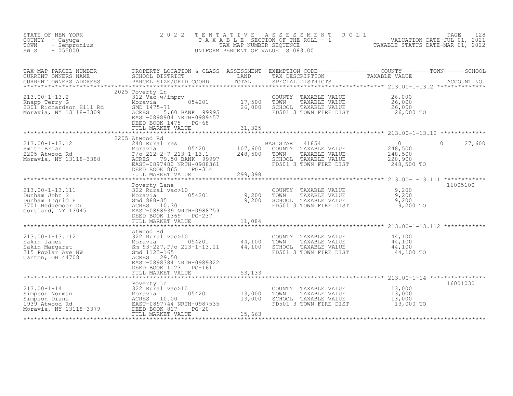| STATE OF NEW YORK<br>COUNTY - Cayuqa<br>TOWN<br>- Sempronius<br>$-055000$<br>SWIS                | 2 0 2 2                                                                                                                                                                                                                                                                                                           | TENTATIVE<br>TAX MAP NUMBER SEQUENCE | A S S E S S M E N T<br>T A X A B L E SECTION OF THE ROLL - 1<br>UNIFORM PERCENT OF VALUE IS 083.00                                                                                                                                                                                                                              | ROLL<br>VALUATION DATE-JUL 01, 2021<br>TAXABLE STATUS DATE-MAR 01, 2022 | PAGE<br>128        |
|--------------------------------------------------------------------------------------------------|-------------------------------------------------------------------------------------------------------------------------------------------------------------------------------------------------------------------------------------------------------------------------------------------------------------------|--------------------------------------|---------------------------------------------------------------------------------------------------------------------------------------------------------------------------------------------------------------------------------------------------------------------------------------------------------------------------------|-------------------------------------------------------------------------|--------------------|
| TAX MAP PARCEL NUMBER<br>CURRENT OWNERS NAME<br>CURRENT OWNERS ADDRESS<br>******************     | PROPERTY LOCATION & CLASS ASSESSMENT<br>SCHOOL DISTRICT<br>PARCEL SIZE/GRID COORD                                                                                                                                                                                                                                 | LAND<br>TOTAL                        | $\begin{tabular}{ll} \texttt{EXEMPTION} & \texttt{CODE} \texttt{---}\texttt{---}\texttt{---}\texttt{---}\texttt{---}\texttt{COUNTY}\texttt{---}\texttt{---}\texttt{TOWN} \texttt{---}\texttt{---}\texttt{SCHOOL} \\ \texttt{TAX} & \texttt{DESCRIPTION} & \texttt{TAXABLE} & \texttt{VALUE} \end{tabular}$<br>SPECIAL DISTRICTS |                                                                         | ACCOUNT NO.        |
| $213.00 - 1 - 13.2$<br>Knapp Terry G<br>2301 Richardson Hill Rd<br>Moravia, NY 13118-3309        | 2025 Poverty Ln<br>312 Vac w/imprv<br>054201<br>Moravia<br>SMD 1475-71<br>ACRES 5.60 BANK 99995<br>EAST-0898904 NRTH-0989457<br>DEED BOOK 1475 PG-68<br>FULL MARKET VALUE                                                                                                                                         | 17,500<br>26,000<br>31,325           | COUNTY TAXABLE VALUE<br>TOWN<br>TAXABLE VALUE<br>SCHOOL TAXABLE VALUE<br>FD501 3 TOWN FIRE DIST                                                                                                                                                                                                                                 | 26,000<br>26,000<br>26,000<br>26,000 TO                                 |                    |
|                                                                                                  |                                                                                                                                                                                                                                                                                                                   |                                      |                                                                                                                                                                                                                                                                                                                                 |                                                                         |                    |
| $213.00 - 1 - 13.12$<br>Smith Brian<br>2205 Atwood Rd<br>Moravia, NY 13118-3388                  | 2205 Atwood Rd<br>240 Rural res<br>054201<br>Moravia<br>$P/O$ 212-2-7 213-1-13.1<br>ACRES 79.50 BANK 99997<br>EAST-0897480 NRTH-0988361<br>DEED BOOK 865<br>PG-314                                                                                                                                                | 107,600<br>248,500                   | 41854<br>BAS STAR<br>COUNTY TAXABLE VALUE<br>TOWN<br>TAXABLE VALUE<br>SCHOOL TAXABLE VALUE<br>FD501 3 TOWN FIRE DIST                                                                                                                                                                                                            | $\overline{0}$<br>248,500<br>248,500<br>220,900<br>248,500 TO           | $\Omega$<br>27,600 |
|                                                                                                  | FULL MARKET VALUE                                                                                                                                                                                                                                                                                                 | 299,398                              |                                                                                                                                                                                                                                                                                                                                 |                                                                         |                    |
| 213.00-1-13.111<br>Dunham John S<br>Dunham Ingrid H<br>3701 Hedgemoor Dr<br>Cortland, NY 13045   | Poverty Lane<br>322 Rural vac>10<br>054201<br>Moravia<br>Smd 888-35<br>ACRES 10.30<br>EAST-0898939 NRTH-0988759<br>DEED BOOK 1369 PG-237                                                                                                                                                                          | 9,200<br>9,200                       | COUNTY TAXABLE VALUE<br>TOWN<br>TAXABLE VALUE<br>SCHOOL TAXABLE VALUE<br>FD501 3 TOWN FIRE DIST                                                                                                                                                                                                                                 | 9,200<br>9,200<br>9,200<br>9,200 TO                                     | 16005100           |
|                                                                                                  | FULL MARKET VALUE                                                                                                                                                                                                                                                                                                 | 11,084                               |                                                                                                                                                                                                                                                                                                                                 |                                                                         |                    |
| $213.00 - 1 - 13.112$<br>Eakin James<br>Eakin Margaret<br>315 Poplar Ave NW<br>Canton, OH 44708  | Atwood Rd<br>322 Rural vac>10<br>$\begin{array}{ll}\n322 & \text{num} \\ \text{Moravia} \\ \text{Sm} & 93-2' \\ \text{Smd} & 112 \\ \text{nms}\n\end{array}$<br>054201<br>Sm 93-227, P/o 213-1-13.11<br>Smd 1123-165<br>ACRES 29.50<br>EAST-0898384 NRTH-0989322<br>DEED BOOK 1123<br>PG-161<br>FULL MARKET VALUE | 44,100<br>44,100<br>53,133           | COUNTY TAXABLE VALUE<br>TOWN<br>TAXABLE VALUE<br>SCHOOL TAXABLE VALUE<br>FD501 3 TOWN FIRE DIST                                                                                                                                                                                                                                 | 44,100<br>44,100<br>44,100<br>44,100 TO                                 |                    |
|                                                                                                  |                                                                                                                                                                                                                                                                                                                   | ************                         |                                                                                                                                                                                                                                                                                                                                 | ******************************** 213.00-1-14 ****************           |                    |
| $213.00 - 1 - 14$<br>Simpson Norman<br>Simpson Diana<br>1939 Atwood Rd<br>Moravia, NY 13118-3379 | Poverty Ln<br>322 Rural vac>10<br>-overt <sub>)</sub><br>322 Rur<br>Moravia<br>ACRF°<br>054201<br>ACRES 10.00<br>EAST-0897744 NRTH-0987535<br>DEED BOOK 817<br>$PG-20$<br>FULL MARKET VALUE                                                                                                                       | 13,000<br>13,000<br>15,663           | COUNTY<br>TAXABLE VALUE<br>TOWN<br>TAXABLE VALUE<br>SCHOOL TAXABLE VALUE<br>FD501 3 TOWN FIRE DIST                                                                                                                                                                                                                              | 13,000<br>13,000<br>13,000<br>13,000 TO                                 | 16001030           |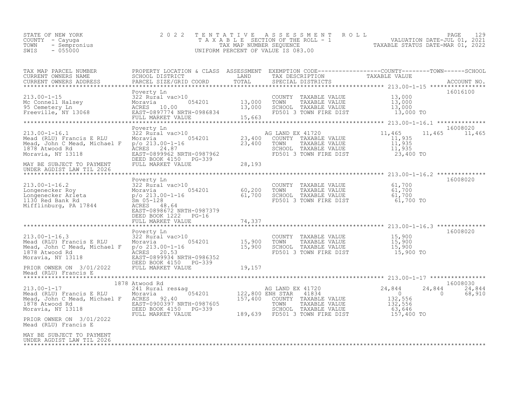| STATE OF NEW YORK<br>COUNTY - Cayuga<br>- Sempronius<br>TOWN<br>$-055000$<br>SWIS                                                                                                                                                                        | 2 0 2 2                                                                                                                                                                                                                                                        | TENTATIVE | A S S E S S M E N T<br>T A X A B L E SECTION OF THE ROLL - 1 (VALUATION DATE-JUL 01, 2021)<br>TAX MAP NUMBER SEQUENCE TANGER TAXABLE STATUS DATE-MAR 01, 2022<br>UNIFORM PERCENT OF VALUE IS 083.00 | R O L L                                                                                                                                                                                                                       | 129<br>PAGE                  |
|----------------------------------------------------------------------------------------------------------------------------------------------------------------------------------------------------------------------------------------------------------|----------------------------------------------------------------------------------------------------------------------------------------------------------------------------------------------------------------------------------------------------------------|-----------|-----------------------------------------------------------------------------------------------------------------------------------------------------------------------------------------------------|-------------------------------------------------------------------------------------------------------------------------------------------------------------------------------------------------------------------------------|------------------------------|
| TAX MAP PARCEL NUMBER<br>CURRENT OWNERS NAME<br>CURRENT OWNERS ADDRESS                                                                                                                                                                                   | PROPERTY LOCATION & CLASS ASSESSMENT EXEMPTION CODE----------------COUNTY--------TOWN------SCHOOL<br>SCHOOL DISTRICT               LAND       TAX DESCRIPTION         TAXABLE VALUE<br>PARCEL SIZE/GRID COORD       TOTAL     SPECIA<br>PARCEL SIZE/GRID COORD | TOTAL     | SPECIAL DISTRICTS                                                                                                                                                                                   |                                                                                                                                                                                                                               | ACCOUNT NO.                  |
|                                                                                                                                                                                                                                                          | EASI-0097774 NAIR-0900034<br>FULL MARKET VALUE 15,663                                                                                                                                                                                                          |           | COUNTY TAXABLE VALUE<br>TOWN<br>TAXABLE VALUE<br>SCHOOL TAXABLE VALUE<br>FD501 3 TOWN FIRE DIST                                                                                                     | 13,000<br>13,000<br>13,000<br>13,000 TO                                                                                                                                                                                       | 16016100                     |
|                                                                                                                                                                                                                                                          |                                                                                                                                                                                                                                                                |           |                                                                                                                                                                                                     |                                                                                                                                                                                                                               | 16008020                     |
| $213.00 - 1 - 16.1$<br>Mead (RLU) Francis E RLU<br>Mead, John C Mead, Michael F<br>1878 Atwood Rd<br>Moravia, NY 13118                                                                                                                                   | Poverty Ln<br>ACRES 24.87<br>EAST-0899962 NRTH-0987962                                                                                                                                                                                                         |           | AG LAND EX 41720<br>COUNTY TAXABLE VALUE<br>TAXABLE VALUE<br>TOWN<br>SCHOOL TAXABLE VALUE<br>FD501 3 TOWN FIRE DIST 23,400 TO                                                                       | 11,465<br>11,465<br>$\begin{array}{c} 11,935 \\ 11,935 \end{array}$<br>11,935                                                                                                                                                 | 11,465                       |
| MAY BE SUBJECT TO PAYMENT<br>UNDER AGDIST LAW TIL 2026                                                                                                                                                                                                   | DEED BOOK 4150 PG-339<br>FULL MARKET VALUE                                                                                                                                                                                                                     | 28,193    |                                                                                                                                                                                                     |                                                                                                                                                                                                                               |                              |
| 213.00-1-16.2<br>Longenecker Roy<br>Longenecker Arleta<br>Longenecker Arleta<br>1130 Red Bank Rd<br>Mifflinburg, PA 17844<br>Mifflinburg, PA 17844<br>RACRES A8.64<br>RACRES A8.64<br>RACRES A8.64<br>RACRES A8.64<br>RACRES A8.64<br>RACRES A8.64<br>RA | Poverty Ln<br>EAST-0898672 NRTH-0987379                                                                                                                                                                                                                        |           | COUNTY TAXABLE VALUE<br>TOWN<br>SCHOOL TAXABLE VALUE<br>FD501 3 TOWN FIRE DIST                                                                                                                      | TAXABLE VALUE $\begin{array}{ccc} 61,700 \\ \text{TAXABLE} \text{ VALUE} \\ \text{TAXABLE} \text{ VALUE} \\ \text{TOWN} \text{ FIRE DIST} \\ \end{array} \qquad \begin{array}{ccc} 61,700 \\ 61,700 \\ 61,700 \\ \end{array}$ | 16008020                     |
|                                                                                                                                                                                                                                                          | DEED BOOK 1222 PG-16<br>FULL MARKET VALUE                                                                                                                                                                                                                      | 74,337    |                                                                                                                                                                                                     |                                                                                                                                                                                                                               |                              |
| $213.00 - 1 - 16.3$<br>Mead (RLU) Francis E RLU<br>Mead, John C Mead, Michael F<br>1878 Atwood Rd                                                                                                                                                        | Poverty Ln<br>322 Rural vac>10<br>322 Rural vac>10<br>p/o 213.00-1-16 15,900<br>ACRES 20.53 15,900<br>ACRES 20.53                                                                                                                                              |           | COUNTY TAXABLE VALUE 15,900<br>TOWN TAXABLE VALUE 15,900<br>SCHOOL TAXABLE VALUE 15,900<br>FD501 3 TOWN FIRE DIST 15,900                                                                            | 15,900 TO                                                                                                                                                                                                                     | 16008020                     |
| Moravia, NY 13118<br>PRIOR OWNER ON 3/01/2022                                                                                                                                                                                                            | EAST-0899934 NRTH-0986352<br>DEED BOOK 4150 PG-339<br>FULL MARKET VALUE                                                                                                                                                                                        | 19,157    |                                                                                                                                                                                                     |                                                                                                                                                                                                                               |                              |
| Mead (RLU) Francis E                                                                                                                                                                                                                                     |                                                                                                                                                                                                                                                                |           |                                                                                                                                                                                                     |                                                                                                                                                                                                                               |                              |
|                                                                                                                                                                                                                                                          | 1878 Atwood Rd                                                                                                                                                                                                                                                 |           |                                                                                                                                                                                                     |                                                                                                                                                                                                                               | 16008030                     |
| $213.00 - 1 - 17$<br>Mead (RLU) Francis E RLU<br>Mead, John C Mead, Michael F<br>1878 Atwood Rd<br>Moravia, NY 13118                                                                                                                                     | 241 Rural res&ag and an AG LAND EX 41720<br>Moravia 054201 122,800 ENH STAR 41834<br>ACRES 92.40<br>EAST-0900397 NRTH-0987605<br>DEED BOOK 4150 PG-339<br>FULL MARKET VALUE                                                                                    | 157,400   | AG LAND EX 41720 24,844 ENH STAR 41834<br>COUNTY TAXABLE VALUE<br>TOWN TAXABLE VALUE<br>10WIN TAXABLE VALUE<br>SCHOOL TAXABLE VALUE<br>189,639 FD501 3 TOWN FIRE DIST                               | 24,844<br>$\begin{matrix} 0 \\ 132,556 \\ 132,556 \end{matrix}$<br>63,646<br>157,400 TO                                                                                                                                       | 24,844<br>$\Omega$<br>68,910 |
| PRIOR OWNER ON 3/01/2022<br>Mead (RLU) Francis E                                                                                                                                                                                                         |                                                                                                                                                                                                                                                                |           |                                                                                                                                                                                                     |                                                                                                                                                                                                                               |                              |
| MAY BE SUBJECT TO PAYMENT<br>UNDER AGDIST LAW TIL 2026                                                                                                                                                                                                   |                                                                                                                                                                                                                                                                |           |                                                                                                                                                                                                     |                                                                                                                                                                                                                               |                              |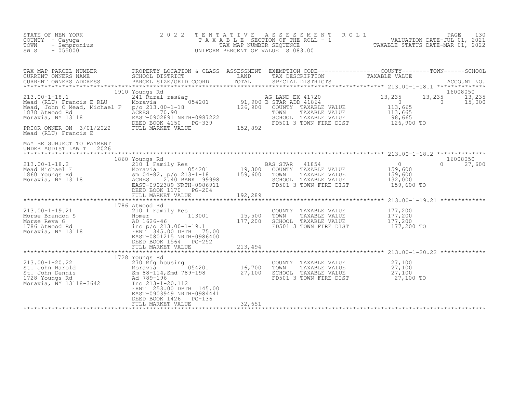| STATE OF NEW YORK<br>F NEW YORK<br>- Cayuga<br>- Sempronius<br>- 055000<br>COUNTY - Cayuqa<br>TOWN<br>SWIS                                                                                                                                                                         | 2 0 2 2                                                                                                                 |                           | UNIFORM PERCENT OF VALUE IS 083.00                                                                                                          | TENTATIVE ASSESSMENT ROLL PAGE 130<br>TAXABLE SECTION OF THE ROLL - 1 VALUATION DATE-JUL 01, 2021<br>TAXABLE STATUS DATE-MAR 01, 2022                                                                                             |
|------------------------------------------------------------------------------------------------------------------------------------------------------------------------------------------------------------------------------------------------------------------------------------|-------------------------------------------------------------------------------------------------------------------------|---------------------------|---------------------------------------------------------------------------------------------------------------------------------------------|-----------------------------------------------------------------------------------------------------------------------------------------------------------------------------------------------------------------------------------|
|                                                                                                                                                                                                                                                                                    |                                                                                                                         |                           |                                                                                                                                             | TAX MAP PARCEL NUMBER BROPERTY LOCATION & CLASS ASSESSMENT EXEMPTION CODE-----------------COUNTY--------TOWN-----SCHOOL CURRENT OWNERS NAME SCHOOL DISTRICT LAND TAX DESCRIPTION TAXABLE VALUE<br>CURRENT OWNERS ADDRESS PARCEL S |
| 1910 YOUNG KO<br>1910 YOUNG KO<br>213.00-1-18.1<br>Mead (RLU) Francis E RLU<br>Mead, John C Mead, Michael F = p/o 213.00-1-18<br>1878 Atwood Rd<br>Moravia, NY 13118<br>26,900 COUNTY TAXABLE VALUE<br>26,900 COUNTY TAXABLE VALUE<br>26,900 COU<br>Mead (RLU) Francis E           | 1910 Youngs Rd                                                                                                          |                           | COUNTY TAXABLE VALUE<br>TOWN TAXABLE VALUE 113,665<br>SCHOOL TAXABLE VALUE 113,665<br>SCHOOL TAXABLE VALUE 98,665<br>FD501 3 TOWN FIRE DIST | 16008050<br>13,235<br>13,235<br>13,235<br>15,000<br>$\overline{0}$<br>126,900 TO                                                                                                                                                  |
| MAY BE SUBJECT TO PAYMENT<br>UNDER AGDIST LAW TIL 2026                                                                                                                                                                                                                             |                                                                                                                         |                           |                                                                                                                                             |                                                                                                                                                                                                                                   |
|                                                                                                                                                                                                                                                                                    | 1860 Youngs Rd<br>DEED BOOK 1170 PG-204<br>FULL MARKET VALUE                                                            | 192,289                   | BAS STAR 41854                                                                                                                              | 16008050<br>$\begin{array}{c}0\\159,600\\159,600\\132,600\end{array}$<br>$0 \t 27,600$<br>132,000<br>159,600 TO                                                                                                                   |
| $213.00 - 1 - 19.21$<br>213.00-1-19.21<br>Morse Brandon S<br>Morse Reva G<br>177,200<br>177,200<br>177,200<br>Moravia, NY 13118<br>210 1 Family Res<br>210 1 Family Res<br>210 1 Family Res<br>210 1 Family Res<br>210 15,500<br>213.00-1-19.1<br>FRNT 345.00 DPTH 75.00<br>FRNT 3 | 1786 Atwood Rd<br>EAST-0801215 NRTH-0986400<br>DEED BOOK 1564 PG-252<br>FULL MARKET VALUE                               | **************<br>213,494 | COUNTY TAXABLE VALUE<br>TOWN<br>TAXABLE VALUE<br>SCHOOL TAXABLE VALUE<br>FD501 3 TOWN FIRE DIST                                             | *********************** 213.00-1-19.21 *************<br>177,200<br>177,200<br>177,200<br>$177,200$ TO                                                                                                                             |
| 213.00-1-20.22<br>St. John Harold<br>St. John Dennis<br>1728 Youngs Rd<br>Moravia 27,100<br>1728 Youngs Rd<br>Moravia, NY 13118-3642<br>27,100<br>27,100<br>27,100<br>27,100<br>27,100<br>27,100<br>27,100<br>27,100<br>27,100<br>27,100<br>27,100<br>27,100                       | 1728 Youngs Rd<br>FRNT 253.00 DPTH 145.00<br>EAST-0903949 NRTH-0984441<br>DEED BOOK 1426<br>PG-136<br>FULL MARKET VALUE | 32,651                    | COUNTY TAXABLE VALUE 27,100<br>TOWN TAXABLE VALUE $27,100$<br>SCHOOL TAXABLE VALUE $27,100$<br>FD501 3 TOWN FIRE DIST                       | 27,100 TO                                                                                                                                                                                                                         |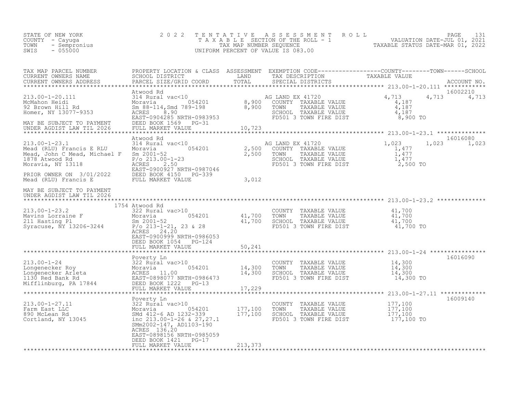| COUNTY - Cayuga<br>TOWN - Cayuga<br>SWIS - 055000                                                                                                                                                                                                                                                                                                                                                                                                                                    | 2 0 2 2                                                                                      |         | TENTATIVE ASSESSMENT ROLL PAGE 131<br>TAXABLE SECTION OF THE ROLL - 1 VALUATION DATE-JUL 01, 2021<br>TAX MAP NUMBER SEQUENCE TAXABLE STATUS DATE-MAR 01, 2022<br>UNIFORM PERCENT OF VALUE IS 083.00 |
|--------------------------------------------------------------------------------------------------------------------------------------------------------------------------------------------------------------------------------------------------------------------------------------------------------------------------------------------------------------------------------------------------------------------------------------------------------------------------------------|----------------------------------------------------------------------------------------------|---------|-----------------------------------------------------------------------------------------------------------------------------------------------------------------------------------------------------|
|                                                                                                                                                                                                                                                                                                                                                                                                                                                                                      |                                                                                              |         |                                                                                                                                                                                                     |
|                                                                                                                                                                                                                                                                                                                                                                                                                                                                                      |                                                                                              |         |                                                                                                                                                                                                     |
|                                                                                                                                                                                                                                                                                                                                                                                                                                                                                      |                                                                                              |         |                                                                                                                                                                                                     |
| 213.00-1-23.1<br>Mead (RLU) Francis E RLU Moravia 314 Rural vac<10<br>Mead, John C Mead, Michael F Sm 2001-52<br>1,477<br>1878 Atwood Rd P/o 213.00-1-23<br>Moravia, NY 13118<br>Moravia, NY 13118<br>2,500 TOWN TAXABLE VALUE 1,477<br>2,500                                                                                                                                                                                                                                        | Atwood Rd                                                                                    |         | 16016080<br>1,023 1,023                                                                                                                                                                             |
| PRIOR OWNER ON 3/01/2022 DEED BOOK 4150 PG-339<br>Mead (RLU) Francis E FULL MARKET VALUE                                                                                                                                                                                                                                                                                                                                                                                             |                                                                                              | 3,012   |                                                                                                                                                                                                     |
| MAY BE SUBJECT TO PAYMENT<br>UNDER AGDIST LAW TIL 2026                                                                                                                                                                                                                                                                                                                                                                                                                               |                                                                                              |         |                                                                                                                                                                                                     |
|                                                                                                                                                                                                                                                                                                                                                                                                                                                                                      | 1754 Atwood Rd<br>ACRES 24.20<br>EAST-0900999 NRTH-0986053                                   |         |                                                                                                                                                                                                     |
|                                                                                                                                                                                                                                                                                                                                                                                                                                                                                      | DEED BOOK 1054 PG-124<br>FULL MARKET VALUE                                                   | 50,241  |                                                                                                                                                                                                     |
| $\begin{tabular}{lllllllllllllllllll} \multicolumn{3}{c }{\text{\small{213.00--1--24}} & \text{\small{Dover1--24}} & \text{\small{Dover1--24}} & \text{\small{Dover1--24}} & \text{\small{Dover1--24}} & \text{\small{Dover1--24}} & \text{\small{Dover1--24}} & \text{\small{Dover1--24}} & \text{\small{Dover1--24}} & \text{\small{Dover1--24}} & \text{\small{Dover1--24}} & \text{\small{Dover1--24}} & \text{\small{Dover1--24}} & \text{\small{Dover1--24}} & \text{\small{D$ | FULL MARKET VALUE                                                                            | 17,229  | 16016090                                                                                                                                                                                            |
|                                                                                                                                                                                                                                                                                                                                                                                                                                                                                      | Poverty Ln                                                                                   |         | 16009140                                                                                                                                                                                            |
|                                                                                                                                                                                                                                                                                                                                                                                                                                                                                      | SMm2002-147, AD1103-190<br>ACRES 136.20<br>EAST-0898156 NRTH-0985059<br>DEED BOOK 1421 PG-17 |         |                                                                                                                                                                                                     |
|                                                                                                                                                                                                                                                                                                                                                                                                                                                                                      | FULL MARKET VALUE                                                                            | 213,373 |                                                                                                                                                                                                     |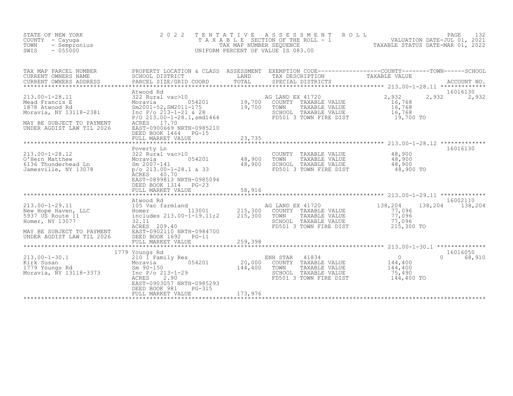| STATE OF NEW YORK<br>COUNTY - Cayuga<br>TOWN<br>- Sempronius<br>$-055000$<br>SWIS                                                            | 2 0 2 2<br>TENTATIVE<br>TAXABLE                                                                                                                                                                                                    | TAX MAP NUMBER SEQUENCE      | ROLL<br>A S S E S S M E N T<br>UNIFORM PERCENT OF VALUE IS 083.00                                                          | 132<br>PAGE<br>SECTION OF THE ROLL - 1 VALUATION DATE-JUL 01, 2021<br>NUMBER SEQUENCE TAXABLE STATUS DATE-MAR 01, 2022          |  |
|----------------------------------------------------------------------------------------------------------------------------------------------|------------------------------------------------------------------------------------------------------------------------------------------------------------------------------------------------------------------------------------|------------------------------|----------------------------------------------------------------------------------------------------------------------------|---------------------------------------------------------------------------------------------------------------------------------|--|
| TAX MAP PARCEL NUMBER<br>CURRENT OWNERS NAME<br>CURRENT OWNERS ADDRESS                                                                       | SCHOOL DISTRICT<br>PARCEL SIZE/GRID COORD                                                                                                                                                                                          | LAND<br>TOTAL                | TAX DESCRIPTION<br>SPECIAL DISTRICTS                                                                                       | PROPERTY LOCATION & CLASS ASSESSMENT EXEMPTION CODE----------------COUNTY-------TOWN-----SCHOOL<br>TAXABLE VALUE<br>ACCOUNT NO. |  |
| $213.00 - 1 - 28.11$<br>Mead Francis E<br>1878 Atwood Rd<br>Moravia, NY 13118-2381<br>MAY BE SUBJECT TO PAYMENT<br>UNDER AGDIST LAW TIL 2026 | Atwood Rd<br>322 Rural vac>10<br>Moravia 054201<br>Sm2001-52, SM2011-175<br>Inc $P/O$ 213-1-21 & 28<br>$P/O$ 213.00-1-28.1, smd1464<br>ACRES<br>17.70<br>EAST-0900669 NRTH-0985210<br>DEED BOOK 1464<br>PG-15<br>FULL MARKET VALUE | 19,700<br>19,700<br>23,735   | AG LAND EX 41720<br>COUNTY TAXABLE VALUE<br>TOWN<br>TAXABLE VALUE<br>SCHOOL TAXABLE VALUE<br>FD501 3 TOWN FIRE DIST        | 16016130<br>2,932<br>2,932<br>2,932<br>16,768<br>16,768<br>16,768<br>19,700 TO                                                  |  |
|                                                                                                                                              | Poverty Ln                                                                                                                                                                                                                         | * * * * * * * * * *          |                                                                                                                            | 16016130                                                                                                                        |  |
| $213.00 - 1 - 28.12$<br>O'Hern Matthew<br>6136 Thunderhead Ln<br>Jamesville, NY 13078                                                        | 322 Rural vac>10<br>Moravia<br>054201<br>Sm 2007-141<br>$p$ /o 213.00-1-28.1 & 33<br>ACRES<br>40.70<br>EAST-0899813 NRTH-0985094<br>DEED BOOK 1314<br>$PG-23$                                                                      | 48,900<br>48,900             | TAXABLE VALUE<br>COUNTY<br>TOWN<br>TAXABLE VALUE<br>SCHOOL<br>TAXABLE VALUE<br>FD501 3 TOWN FIRE DIST                      | 48,900<br>48,900<br>48,900<br>48,900 TO                                                                                         |  |
|                                                                                                                                              | FULL MARKET VALUE                                                                                                                                                                                                                  | 58,916<br>************       |                                                                                                                            |                                                                                                                                 |  |
| $213.00 - 1 - 29.11$<br>New Hope Haven, LLC<br>5937 US Route 11<br>Homer, NY 13077<br>MAY BE SUBJECT TO PAYMENT<br>UNDER AGDIST LAW TIL 2026 | Atwood Rd<br>105 Vac farmland<br>113001<br>Homer<br>includes 213.00-1-19.11;2<br>32.11<br>ACRES 209.40<br>EAST-0902110 NRTH-0984700<br>DEED BOOK 1692<br>$PG-11$                                                                   | 215,300<br>215,300           | AG LAND EX 41720<br>COUNTY TAXABLE VALUE<br>TOWN<br>TAXABLE VALUE<br>SCHOOL TAXABLE VALUE<br>FD501 3 TOWN FIRE DIST        | 16002110<br>138,204<br>138,204<br>138,204<br>77,096<br>77,096<br>77,096<br>215,300 TO                                           |  |
|                                                                                                                                              | FULL MARKET VALUE<br>* * * * * * * * * * * * * *                                                                                                                                                                                   | 259,398                      |                                                                                                                            |                                                                                                                                 |  |
| $213.00 - 1 - 30.1$<br>Kirk Susan<br>1779 Youngs Rd<br>Moravia, NY 13118-3373                                                                | 1779 Youngs Rd<br>210 1 Family Res<br>054201<br>Moravia<br>$Sm$ 90-150<br>Inc $P/O$ 213-1-29<br>ACRES<br>2.90<br>EAST-0903057 NRTH-0985293<br>DEED BOOK 981<br>PG-315<br>FULL MARKET VALUE                                         | 20,000<br>144,400<br>173,976 | ENH STAR<br>41834<br>TAXABLE VALUE<br>COUNTY<br>TAXABLE VALUE<br>TOWN<br>SCHOOL<br>TAXABLE VALUE<br>FD501 3 TOWN FIRE DIST | 16016050<br>$\Omega$<br>68,910<br>$\overline{0}$<br>144,400<br>144,400<br>75,490<br>144,400 TO                                  |  |
|                                                                                                                                              |                                                                                                                                                                                                                                    |                              |                                                                                                                            |                                                                                                                                 |  |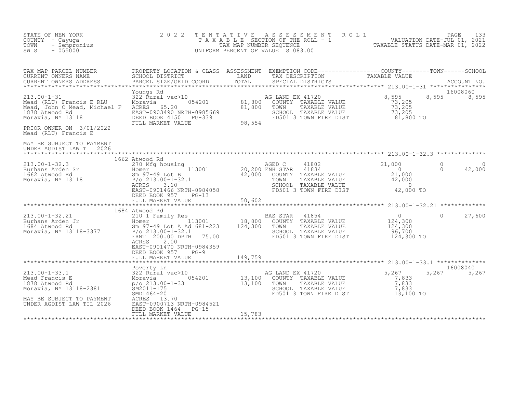| COUNTY - Cayuga<br>TOWN - Sempronius<br>SWIS - 055000                                                                                                                                                                                                                                                                                                                                           | 2 0 2 2                                                                                 |         | TENTATIVE ASSESSMENT ROLL PACE 133<br>TAXABLE SECTION OF THE ROLL - 1 VALUATION DATE-JUL 01, 2021<br>TAX MAP NUMBER SEQUENCE TAXABLE STATUS DATE-MAR 01, 2022<br>UNIFORM PERCENT OF VALUE IS 083.00 |            |                      |                    |
|-------------------------------------------------------------------------------------------------------------------------------------------------------------------------------------------------------------------------------------------------------------------------------------------------------------------------------------------------------------------------------------------------|-----------------------------------------------------------------------------------------|---------|-----------------------------------------------------------------------------------------------------------------------------------------------------------------------------------------------------|------------|----------------------|--------------------|
| CURRENT OWNERS ADDRESS                                                                                                                                                                                                                                                                                                                                                                          |                                                                                         |         | SPECIAL DISTRICTS                                                                                                                                                                                   |            |                      |                    |
| Youngs Rd<br>213.00-1-31 322 Rural vac>10 AG<br>Mead (RLU) Francis E RLU Moravia 054201 81,800<br>Mead, John C Mead, Michael F ACRES 65.20 81,800<br>1878 Atwood Rd<br>Moravia, NY 13118 BEED BOOK 4150 PG-339<br>FULL MARKET VALUE 98,554<br>PRIOR OWNER ON 3/01/2022<br>Mead (RLU) Francis E                                                                                                  |                                                                                         |         | AG LAND EX 41720<br>G LAND EX 41720<br>COUNTY TAXABLE VALUE 73,205<br>TOWN TAXABLE VALUE 73,205<br>SCHOOL TAXABLE VALUE 73,205<br>FD501 3 TOWN FIRE DIST 81,800 TO                                  | 8,595      | 8,595                | 16008060<br>8,595  |
| MAY BE SUBJECT TO PAYMENT<br>UNDER AGDIST LAW TIL 2026                                                                                                                                                                                                                                                                                                                                          |                                                                                         |         |                                                                                                                                                                                                     |            |                      |                    |
| $\begin{array}{cccccccc} 213.00-1-32.3 & & & & & 1662 & {\text{Atwood Rd}} & & & & & & & 270 & {\text{AGED C}} & & & 41802 & & & & & 21,000 & \\ \text{Burhans Arden Sr} & & & & & & & & & & & 13001 & & & & 20,200 & \text{ENH STAR} & & 41834 & & & & & 0 \\ \text{Burhans Arden Sr} & & & & & & & & & & & 13001 & & & 20,200 & \text{ENH STAR} & & 41834 & & & & 0 \\ \text{Moravia, NY 131$ | 1662 Atwood Rd<br>DEED BOOK 957 PG-13                                                   |         |                                                                                                                                                                                                     |            | $\Omega$<br>$\Omega$ | $\Omega$<br>42,000 |
|                                                                                                                                                                                                                                                                                                                                                                                                 | FULL MARKET VALUE                                                                       | 50,602  |                                                                                                                                                                                                     |            |                      |                    |
| 1904 ALWOU RU RES 1999 BAS STAR 41854 (1854 1999)<br>213.00-1-32.21 21 210 1 Family Res 113001 18,800 COUNTY TAXABLE VALUE<br>1684 Atwood Rd Sm 97-49 Lot A Ad 681-223 124,300 TOWN TAXABLE VALUE 124,300<br>Moravia, NY 13118-3377                                                                                                                                                             | 1684 Atwood Rd<br>2.00<br>ACRES<br>EAST-0901470 NRTH-0984359<br>DEED BOOK 957<br>$PG-9$ |         |                                                                                                                                                                                                     | 124,300 TO | $\Omega$             | 27,600             |
|                                                                                                                                                                                                                                                                                                                                                                                                 | FULL MARKET VALUE                                                                       | 149,759 |                                                                                                                                                                                                     |            |                      |                    |
|                                                                                                                                                                                                                                                                                                                                                                                                 | Poverty Ln                                                                              |         | TOWN TAXABLE VALUE 7,833<br>SCHOOL TAXABLE VALUE 7,833<br>FD501 3 TOWN FIRE DIST 13,100 TO                                                                                                          |            | 5,267                | 16008040<br>5,267  |
| UNDER AGDIST LAW TIL 2026                                                                                                                                                                                                                                                                                                                                                                       | EAST-0900713 NRTH-0984521<br>DEED BOOK 1464<br>PG-15<br>FULL MARKET VALUE               | 15,783  |                                                                                                                                                                                                     |            |                      |                    |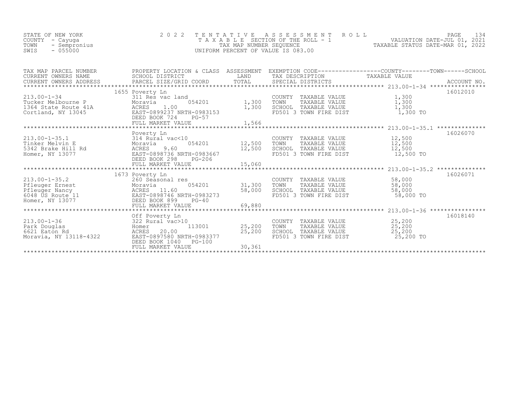| PROPERTY LOCATION & CLASS |                                                                                                                                                                                                                                                                                                                                                                                                                                                    |                          | ASSESSMENT EXEMPTION CODE-----------------COUNTY-------TOWN------SCHOOL                                                                                                                                                                                                                                                                                                                                                                                                                                                            |
|---------------------------|----------------------------------------------------------------------------------------------------------------------------------------------------------------------------------------------------------------------------------------------------------------------------------------------------------------------------------------------------------------------------------------------------------------------------------------------------|--------------------------|------------------------------------------------------------------------------------------------------------------------------------------------------------------------------------------------------------------------------------------------------------------------------------------------------------------------------------------------------------------------------------------------------------------------------------------------------------------------------------------------------------------------------------|
|                           |                                                                                                                                                                                                                                                                                                                                                                                                                                                    |                          |                                                                                                                                                                                                                                                                                                                                                                                                                                                                                                                                    |
|                           |                                                                                                                                                                                                                                                                                                                                                                                                                                                    |                          | 16012010                                                                                                                                                                                                                                                                                                                                                                                                                                                                                                                           |
|                           |                                                                                                                                                                                                                                                                                                                                                                                                                                                    |                          | 1,300                                                                                                                                                                                                                                                                                                                                                                                                                                                                                                                              |
|                           |                                                                                                                                                                                                                                                                                                                                                                                                                                                    |                          | 1,300                                                                                                                                                                                                                                                                                                                                                                                                                                                                                                                              |
|                           |                                                                                                                                                                                                                                                                                                                                                                                                                                                    |                          | 1,300                                                                                                                                                                                                                                                                                                                                                                                                                                                                                                                              |
|                           |                                                                                                                                                                                                                                                                                                                                                                                                                                                    |                          | 1,300 TO                                                                                                                                                                                                                                                                                                                                                                                                                                                                                                                           |
| FULL MARKET VALUE         | 1,566                                                                                                                                                                                                                                                                                                                                                                                                                                              |                          |                                                                                                                                                                                                                                                                                                                                                                                                                                                                                                                                    |
|                           |                                                                                                                                                                                                                                                                                                                                                                                                                                                    |                          |                                                                                                                                                                                                                                                                                                                                                                                                                                                                                                                                    |
|                           |                                                                                                                                                                                                                                                                                                                                                                                                                                                    |                          | 16026070                                                                                                                                                                                                                                                                                                                                                                                                                                                                                                                           |
|                           |                                                                                                                                                                                                                                                                                                                                                                                                                                                    | TOWN                     |                                                                                                                                                                                                                                                                                                                                                                                                                                                                                                                                    |
|                           |                                                                                                                                                                                                                                                                                                                                                                                                                                                    |                          | 12,500                                                                                                                                                                                                                                                                                                                                                                                                                                                                                                                             |
|                           |                                                                                                                                                                                                                                                                                                                                                                                                                                                    |                          | 12,500 TO                                                                                                                                                                                                                                                                                                                                                                                                                                                                                                                          |
|                           |                                                                                                                                                                                                                                                                                                                                                                                                                                                    |                          |                                                                                                                                                                                                                                                                                                                                                                                                                                                                                                                                    |
|                           |                                                                                                                                                                                                                                                                                                                                                                                                                                                    |                          |                                                                                                                                                                                                                                                                                                                                                                                                                                                                                                                                    |
|                           |                                                                                                                                                                                                                                                                                                                                                                                                                                                    |                          | 16026071<br>58,000                                                                                                                                                                                                                                                                                                                                                                                                                                                                                                                 |
|                           |                                                                                                                                                                                                                                                                                                                                                                                                                                                    |                          | 58,000                                                                                                                                                                                                                                                                                                                                                                                                                                                                                                                             |
|                           |                                                                                                                                                                                                                                                                                                                                                                                                                                                    |                          | 58,000                                                                                                                                                                                                                                                                                                                                                                                                                                                                                                                             |
|                           |                                                                                                                                                                                                                                                                                                                                                                                                                                                    |                          | 58,000 TO                                                                                                                                                                                                                                                                                                                                                                                                                                                                                                                          |
|                           |                                                                                                                                                                                                                                                                                                                                                                                                                                                    |                          |                                                                                                                                                                                                                                                                                                                                                                                                                                                                                                                                    |
|                           |                                                                                                                                                                                                                                                                                                                                                                                                                                                    |                          |                                                                                                                                                                                                                                                                                                                                                                                                                                                                                                                                    |
| Off Poverty Ln            |                                                                                                                                                                                                                                                                                                                                                                                                                                                    |                          | 16018140                                                                                                                                                                                                                                                                                                                                                                                                                                                                                                                           |
|                           |                                                                                                                                                                                                                                                                                                                                                                                                                                                    |                          |                                                                                                                                                                                                                                                                                                                                                                                                                                                                                                                                    |
|                           |                                                                                                                                                                                                                                                                                                                                                                                                                                                    |                          |                                                                                                                                                                                                                                                                                                                                                                                                                                                                                                                                    |
| EAST-0897580 NRTH-0983377 |                                                                                                                                                                                                                                                                                                                                                                                                                                                    | FD501 3 TOWN FIRE DIST   | 25,200 TO                                                                                                                                                                                                                                                                                                                                                                                                                                                                                                                          |
|                           |                                                                                                                                                                                                                                                                                                                                                                                                                                                    |                          |                                                                                                                                                                                                                                                                                                                                                                                                                                                                                                                                    |
|                           |                                                                                                                                                                                                                                                                                                                                                                                                                                                    |                          |                                                                                                                                                                                                                                                                                                                                                                                                                                                                                                                                    |
|                           | SCHOOL DISTRICT<br>1655 Poverty Ln<br>Fucker Melbourne P Moravia (194201)<br>1364 State Route 41A (1958) ACRES 1.00<br>Cortland, NY 13045 (2051) DEED BOOK 724 PG-57<br>DEED BOOK 724<br>$PG-57$<br>Poverty Ln<br>DEED BOOK 298<br>PG-206<br>1673 Poverty Ln<br>260 Seasonal res<br>Moravia 054201<br>ACRES 11.60<br>EAST-0898746 NRTH-0983273<br>DEED BOOK 899 PG-40<br>FULL MARKET VALUE<br>DEED BOOK 1040<br><b>PG-100</b><br>FULL MARKET VALUE | LAND<br>25,200<br>30,361 | TAX DESCRIPTION TAXABLE VALUE<br>COUNTY TAXABLE VALUE<br>TOWN TAXABLE VALUE<br>SCHOOL TAXABLE VALUE<br>FD501 3 TOWN FIRE DIST<br>1,300<br>COUNTY TAXABLE VALUE 12,500<br>)<br>054201     12,500<br>TAXABLE VALUE 12,500<br>SCHOOL TAXABLE VALUE<br>12,500<br>FD501 3 TOWN FIRE DIST<br>COUNTY TAXABLE VALUE<br>$054201$ 31,300<br>TAXABLE VALUE<br>TOWN<br>SCHOOL TAXABLE VALUE<br>FD501 3 TOWN FIRE DIST<br>58,000<br>COUNTY TAXABLE VALUE 25,200<br>113001 25,200<br>TAXABLE VALUE 25,200<br>TOWN<br>SCHOOL TAXABLE VALUE 25,200 |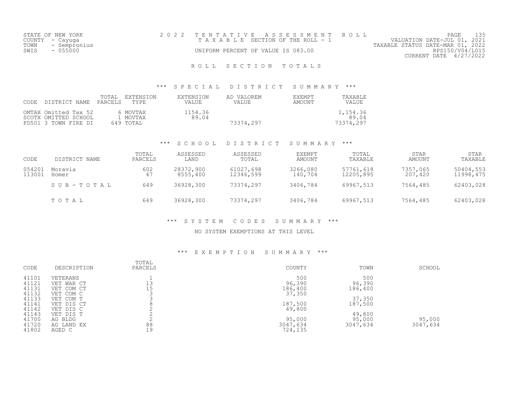| STATE OF NEW YORK    |  | 2022 TENTATIVE ASSESSMENT ROLL     |  |                                  | PAGE                   |  |
|----------------------|--|------------------------------------|--|----------------------------------|------------------------|--|
| COUNTY – Cayuga      |  | TAXABLE SECTION OF THE ROLL - 1    |  | VALUATION DATE-JUL 01, 2021      |                        |  |
| TOWN<br>- Sempronius |  |                                    |  | TAXABLE STATUS DATE-MAR 01, 2022 |                        |  |
| SWIS<br>- 055000     |  | UNIFORM PERCENT OF VALUE IS 083.00 |  |                                  | RPS150/V04/L015        |  |
|                      |  |                                    |  |                                  | CURRENT DATE 4/27/2022 |  |
|                      |  |                                    |  |                                  |                        |  |

# ROLL SECTION TOTALS

### \*\*\* S P E C I A L D I S T R I C T S U M M A R Y \*\*\*

| CODE. | DISTRICT NAME                                                        | TOTAI.<br>PARCELS | EXTENSION<br>TYPE.                | EXTENSION<br>VALUE | AD VALOREM<br>VALUE | <b>F.XFMPT</b><br>AMOUNT | TAXABLE<br>VALUE               |
|-------|----------------------------------------------------------------------|-------------------|-----------------------------------|--------------------|---------------------|--------------------------|--------------------------------|
|       | OMTAX Omitted Tax 52<br>SCOTX OMITTED SCHOOL<br>FD501 3 TOWN FIRE DI |                   | 6 MOVTAX<br>1 MOVTAX<br>649 TOTAL | 1154.36<br>89.04   | 73374.297           |                          | 1,154.36<br>89.04<br>73374.297 |

### \*\*\* S C H O O L D I S T R I C T S U M M A R Y \*\*\*

| CODE             | DISTRICT NAME    | TOTAL<br>PARCELS | ASSESSED<br>LAND      | ASSESSED<br>TOTAL      | EXEMPT<br>AMOUNT    | TOTAL<br>TAXABLE       | STAR<br>AMOUNT      | STAR<br>TAXABLE        |
|------------------|------------------|------------------|-----------------------|------------------------|---------------------|------------------------|---------------------|------------------------|
| 054201<br>113001 | Moravia<br>Homer | 602<br>47        | 28372,900<br>8555,400 | 61027,698<br>12346,599 | 3266,080<br>140,704 | 57761,618<br>12205,895 | 7357,065<br>207,420 | 50404,553<br>11998,475 |
|                  | SUB-TOTAL        | 649              | 36928,300             | 73374,297              | 3406,784            | 69967,513              | 7564,485            | 62403,028              |
|                  | TOTAL            | 649              | 36928,300             | 73374,297              | 3406,784            | 69967,513              | 7564,485            | 62403,028              |

### \*\*\* S Y S T E M C O D E S S U M M A R Y \*\*\*

### NO SYSTEM EXEMPTIONS AT THIS LEVEL

### \*\*\* E X E M P T I O N S U M M A R Y \*\*\*

| CODE  | DESCRIPTION | TOTAL<br>PARCELS | COUNTY   | TOWN     | SCHOOL   |
|-------|-------------|------------------|----------|----------|----------|
| 41101 | VETERANS    |                  | 500      | 500      |          |
| 41121 | VET WAR CT  | 13               | 96,390   | 96,390   |          |
| 41131 | VET COM CT  | 15               | 186,400  | 186,400  |          |
| 41132 | VET COM C   |                  | 37,350   |          |          |
| 41133 | VET COM T   |                  |          | 37,350   |          |
| 41141 | VET DIS CT  |                  | 187,500  | 187,500  |          |
| 41142 | VET DIS C   |                  | 49,800   |          |          |
| 41143 | VET DIS T   |                  |          | 49,800   |          |
| 41700 | AG BLDG     |                  | 95,000   | 95,000   | 95,000   |
| 41720 | AG LAND EX  | 88               | 3047,634 | 3047,634 | 3047,634 |
| 41802 | AGED C      | 19               | 724,135  |          |          |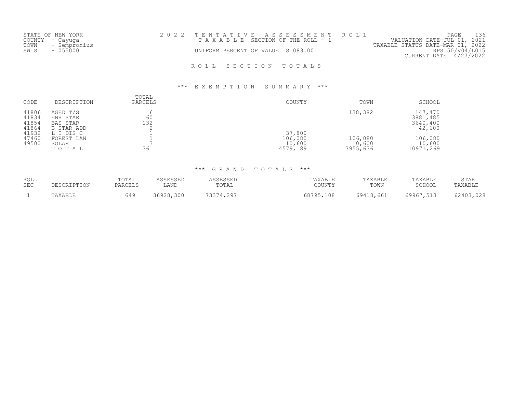|  |  |                                                                             |                                | 136                                                                                                                                         |
|--|--|-----------------------------------------------------------------------------|--------------------------------|---------------------------------------------------------------------------------------------------------------------------------------------|
|  |  |                                                                             |                                |                                                                                                                                             |
|  |  |                                                                             |                                |                                                                                                                                             |
|  |  |                                                                             |                                |                                                                                                                                             |
|  |  |                                                                             |                                |                                                                                                                                             |
|  |  |                                                                             |                                |                                                                                                                                             |
|  |  | T A X A B L E SECTION OF THE ROLL - 1<br>UNIFORM PERCENT OF VALUE IS 083.00 | 2022 TENTATIVE ASSESSMENT ROLL | PAGE<br>VALUATION DATE-JUL 01, 2021<br>TAXABLE STATUS DATE-MAR 01, 2022<br>RPS150/V04/L015<br>CURRENT DATE 4/27/2022<br>ROLL SECTION TOTALS |

### \*\*\* E X E M P T I O N S U M M A R Y \*\*\*

| CODE                                      | DESCRIPTION                                                        | TOTAL<br>PARCELS | COUNTY                        | TOWN                          | SCHOOL                                    |
|-------------------------------------------|--------------------------------------------------------------------|------------------|-------------------------------|-------------------------------|-------------------------------------------|
| 41806<br>41834<br>41854<br>41864<br>41932 | AGED T/S<br>ENH STAR<br>BAS STAR<br><b>B STAR ADD</b><br>L I DIS C | 60<br>132        | 37,800                        | 138,382                       | 147,470<br>3881,485<br>3640,400<br>42,600 |
| 47460<br>49500                            | FOREST LAN<br>SOLAR<br>TOTAL                                       | 361              | 106,080<br>10,600<br>4579,189 | 106,080<br>10,600<br>3955,636 | 106,080<br>10,600<br>10971,269            |

## \*\*\* G R A N D T O T A L S \*\*\*

| ROLL<br><b>SEC</b> | DESCRIPTION | TOTAL<br>PARCELS | ACCFCCFP<br>LAND | 1 C C F C C F L<br>. مىن بىن سىن ب<br>TOTAL | TAXABLE<br>COUNTY | TAXABLE<br>TOWN | TAXABLE<br>$CCTI$ $\bigcap T$<br>JUUUI | STAR<br>TAXABLE |
|--------------------|-------------|------------------|------------------|---------------------------------------------|-------------------|-----------------|----------------------------------------|-----------------|
|                    | TAXABLE     | 549              | 36928,300        | 73374,297                                   | 68795.<br>95,108  | 69418,661       | 69967,513                              | 62403,028       |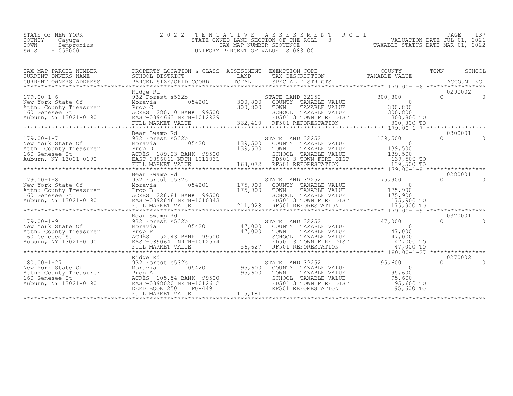STATE OF NEW YORK 2 0 2 2 T E N T A T I V E A S S E S S M E N T R O L L PAGE 137 COUNTY - Cayuga STATE OWNED LAND SECTION OF THE ROLL - 3 VALUATION DATE-JUL 01, 2021 TOWN - Sempronius TAX MAP NUMBER SEQUENCE TAXABLE STATUS DATE-MAR 01, 2022 SUITE - CAPITAL COUNTY - CAPITAL COUNTY - CAPITAL COUNTY - CAPITAL COUNTY - CAPITAL COUNTY - CAPITAL COUNTY - CAPITA<br>
TOWN - SEMPTONIUS - 055000 UNIFORM PERCENT OF VALUE IS 083.00

| TAX MAP PARCEL NUMBER                                                                                                                                                                                                                              | PROPERTY LOCATION & CLASS ASSESSMENT EXEMPTION CODE-----------------COUNTY-------TOWN-----SCHOOL |         |                                                                                                                                                                                                                           |                        |                   |                |
|----------------------------------------------------------------------------------------------------------------------------------------------------------------------------------------------------------------------------------------------------|--------------------------------------------------------------------------------------------------|---------|---------------------------------------------------------------------------------------------------------------------------------------------------------------------------------------------------------------------------|------------------------|-------------------|----------------|
|                                                                                                                                                                                                                                                    | Ridge Rd                                                                                         |         |                                                                                                                                                                                                                           |                        | 0290002           |                |
| $179.00 - 1 - 6$                                                                                                                                                                                                                                   | 932 Forest s532b                                                                                 |         | t s532b<br>054201 300,800 COUNTY TAXABLE VALUE 054201 300,800 COUNTY TAXABLE VALUE 300,800<br>300,800 TOWN TAXABLE VALUE 300,800                                                                                          |                        | $\cap$            | $\overline{0}$ |
|                                                                                                                                                                                                                                                    |                                                                                                  |         |                                                                                                                                                                                                                           |                        |                   |                |
|                                                                                                                                                                                                                                                    | Bear Swamp Rd                                                                                    |         |                                                                                                                                                                                                                           |                        | 0300001           |                |
|                                                                                                                                                                                                                                                    |                                                                                                  |         |                                                                                                                                                                                                                           |                        |                   |                |
|                                                                                                                                                                                                                                                    | Bear Swamp Rd                                                                                    |         |                                                                                                                                                                                                                           |                        | 0280001           |                |
|                                                                                                                                                                                                                                                    | Bear Swamp Rd                                                                                    |         |                                                                                                                                                                                                                           |                        | 0320001           |                |
|                                                                                                                                                                                                                                                    |                                                                                                  |         |                                                                                                                                                                                                                           |                        |                   |                |
|                                                                                                                                                                                                                                                    |                                                                                                  |         |                                                                                                                                                                                                                           |                        |                   |                |
| 180.00-1-27<br>New York State Of B32 Forest s532b<br>Attn: County Treasurer<br>160 Genese St<br>2001<br>2007 Auburn, NY 13021-0190<br>2007 Auburn, NY 13021-0190<br>2008020 NRTH-1012612<br>2008020 NRTH-1012612<br>2008020 NRTH-1012612<br>200802 | Ridge Rd<br>054201                                                                               | 115,181 | 31201 57ATE LAND 32252 95,600<br>54201 95,600 COUNTY TAXABLE VALUE<br>85,600 TOWN TAXABLE VALUE 95,600<br>85,600 SCHOOL TAXABLE VALUE 95,600<br>85,600 FD501 3 TOWN FIRE DIST 95,600<br>PG-449 RF501 REFORESTATION 95,600 | 95,600 TO<br>95,600 TO | 0270002<br>$\cap$ | $\Omega$       |
|                                                                                                                                                                                                                                                    |                                                                                                  |         |                                                                                                                                                                                                                           |                        |                   |                |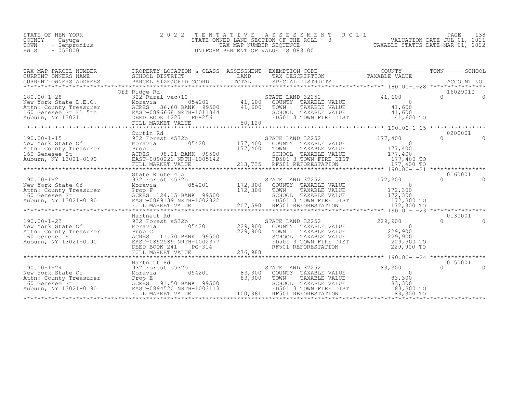| STATE OF NEW YORK    | 2022 TENTATIVE ASSESSMENT ROLL           | 138<br>PAGE                      |
|----------------------|------------------------------------------|----------------------------------|
| COUNTY – Cayuqa      | STATE OWNED LAND SECTION OF THE ROLL - 3 | VALUATION DATE-JUL 01, 2021      |
| TOWN<br>- Sempronius | TAX MAP NUMBER SEOUENCE                  | TAXABLE STATUS DATE-MAR 01, 2022 |
| SWIS<br>$-055000$    | UNIFORM PERCENT OF VALUE IS 083.00       |                                  |

| TAX MAP PARCEL NUMBER THE PROPERTY LOCATION & CLASS ASSESSMENT EXEMPTION CODE----------------COUNTY--------TOWN-----SCHOOL                                                                                                                                       |  |  |          |
|------------------------------------------------------------------------------------------------------------------------------------------------------------------------------------------------------------------------------------------------------------------|--|--|----------|
|                                                                                                                                                                                                                                                                  |  |  |          |
| 180.00-1-28<br>180.00-1-28<br>180.00-1-28<br>16029010<br>16029010<br>16029010<br>New York State D.E.C.<br>New York State D.E.C.<br>MEXES<br>22 Rural vac>10<br>1600 500001 141,600 700001 17 TAXABLE VALUE<br>21,600 100001 1204<br>21,600 100001 1204           |  |  |          |
|                                                                                                                                                                                                                                                                  |  |  |          |
| 190.00-1-15<br>190.00-1-15<br>2000001<br>2000001 177,400<br>New York State Of Moravia 180<br>New York STATE LAND 32252<br>Attn: County Treasurer Prop J<br>200001 177,400 10<br>200001 177,400 10<br>200001 177,400 10<br>200001 177,400 10<br>20000             |  |  |          |
|                                                                                                                                                                                                                                                                  |  |  |          |
|                                                                                                                                                                                                                                                                  |  |  |          |
|                                                                                                                                                                                                                                                                  |  |  |          |
| 190.00-1-23<br>190.00-1-23<br>200.00-1-23<br>200.00-1-23<br>200.00-1-23<br>200.00-1-23<br>200.00-1-23<br>200.00-1-23<br>200.00-1-23<br>200.00-1-23<br>200.00-1-23<br>200.00-1-23<br>200.00-1-23<br>200.00-1-23<br>229,900<br>200.00-1-24<br>200.00-1-24<br>200.0 |  |  |          |
|                                                                                                                                                                                                                                                                  |  |  |          |
| 190.00-1-24 33.300 Morals (190.00-1-24 31.30001)<br>Narthett Rd STATE LAND 32252<br>New York State of 932 Forest s532b<br>Mew York State 20150001 (190.00-1-24 33.300 COUNTY TAXABLE VALUE<br>New York State 20150001 (190.0001)<br>New                          |  |  | $\Omega$ |
|                                                                                                                                                                                                                                                                  |  |  |          |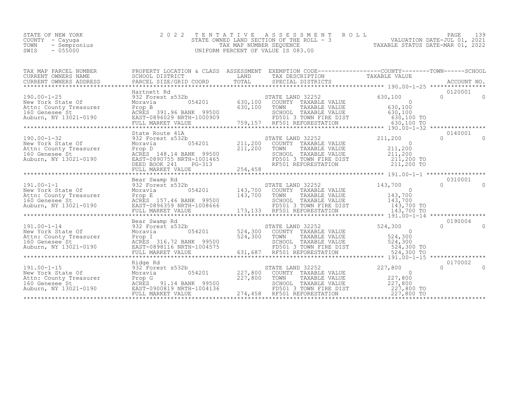| STATE OF NEW YORK |           |              |
|-------------------|-----------|--------------|
| COUNTY            | - Cayuga  |              |
| TOWN              |           | - Sempronius |
| SWIS              | $-055000$ |              |

STATE OF NEW YORK 2 0 2 2 T E N T A T I V E A S S E S S M E N T R O L L PAGE 139 COUNTY - Cayuga STATE OWNED LAND SECTION OF THE ROLL - 3 VALUATION DATE-JUL 01, 2021 TOWN - Sempronius TAX MAP NUMBER SEQUENCE TAXABLE STATUS DATE-MAR 01, 2022 SWITS - 055000 UNIFORM PERCENT OF VALUE IS 083.00

| TAX MAP PARCEL NUMBER                                                                                                                                                                                                                              | PROPERTY LOCATION & CLASS ASSESSMENT EXEMPTION CODE----------------COUNTY-------TOWN-----SCHOOL |                         |                                                                                                                                                                                                      |                                 |                               |
|----------------------------------------------------------------------------------------------------------------------------------------------------------------------------------------------------------------------------------------------------|-------------------------------------------------------------------------------------------------|-------------------------|------------------------------------------------------------------------------------------------------------------------------------------------------------------------------------------------------|---------------------------------|-------------------------------|
|                                                                                                                                                                                                                                                    | Hartnett Rd                                                                                     |                         |                                                                                                                                                                                                      |                                 | 0120001                       |
| 190.00-1-25<br>New York State Of 832 Forest s532b<br>New York State Of 8201<br>Attn: County Treasurer Prop B<br>160 Genesee St<br>Auburn, NY 13021-0190<br>2007 EAST-0896029 NRTH-1000909<br>EAST-0896029 NRTH-1000909<br>EAST-0896029 NRTH-10     |                                                                                                 | 630,100                 | STATE LAND 32252<br>COUNTY TAXABLE VALUE<br>TOWN<br>TAXABLE VALUE<br>SCHOOL TAXABLE VALUE 630,100<br>FD501 3 TOWN FIRE DIST 630,100 TO<br>T59,157 RE501 REFORESTATION 630,100 TO                     | 630,100<br>$\bigcap$<br>630,100 | $\Omega$<br>$\Omega$          |
|                                                                                                                                                                                                                                                    | *************************************                                                           |                         |                                                                                                                                                                                                      |                                 |                               |
|                                                                                                                                                                                                                                                    | State Route 41A                                                                                 |                         |                                                                                                                                                                                                      |                                 | 0140001                       |
|                                                                                                                                                                                                                                                    |                                                                                                 |                         |                                                                                                                                                                                                      |                                 |                               |
| 191.00-1-1<br>New York State Of Ball Short and the Same County Treasurer<br>160 Genesee St<br>Auburn, NY 13021-0190<br>Auburn, NY 13021-0190<br>Auburn, NY 13021-0190<br>Auburn, NY 13021-0190<br>FULL MARKES<br>FULL MARKET VALUE<br>FULL MARKE   | Bear Swamp Rd                                                                                   | 143,700                 | STATE LAND 32252<br>COONTT TAXABLE VALUE 143,700<br>TOWN TAXABLE VALUE 143,700<br>SCHOOL TAXABLE VALUE 143,700<br>FD501 3 TOWN FIRE DIST 143,700 TO<br>RE501 REFORESTATION 143,700 TO                | 143,700                         | 0310001<br>$\cap$<br>$\Omega$ |
|                                                                                                                                                                                                                                                    |                                                                                                 |                         |                                                                                                                                                                                                      |                                 |                               |
|                                                                                                                                                                                                                                                    | Bear Swamp Rd                                                                                   |                         |                                                                                                                                                                                                      |                                 | 0190004                       |
|                                                                                                                                                                                                                                                    |                                                                                                 |                         |                                                                                                                                                                                                      |                                 |                               |
|                                                                                                                                                                                                                                                    |                                                                                                 |                         |                                                                                                                                                                                                      |                                 |                               |
| Ridge Rd<br>New York State Of<br>New York State Of B22 Forest s532b<br>Attn: County Treasurer<br>160 Genesee St<br>Auburn, NY 13021-0190<br>160 TULL MARKET VALUE<br>TULL MARKET VALUE<br>TULL MARKET VALUE<br>TULL MARKET VALUE<br>TULL MARKET VA | Ridge Rd                                                                                        | $227,800$ S!<br>227,800 | STATE LAND 32252<br>TOUNTY TAXABLE VALUE<br>TOUNTY TAXABLE VALUE $227,800$<br>327,800<br>SCHOOL TAXABLE VALUE 227,800<br>FD501 3 TOWN FIRE DIST 227,800 TO<br>274,458 RF501 REFORESTATION 227,800 TO | 227,800                         | 0170002<br>$\cap$<br>$\Omega$ |
|                                                                                                                                                                                                                                                    |                                                                                                 |                         |                                                                                                                                                                                                      |                                 |                               |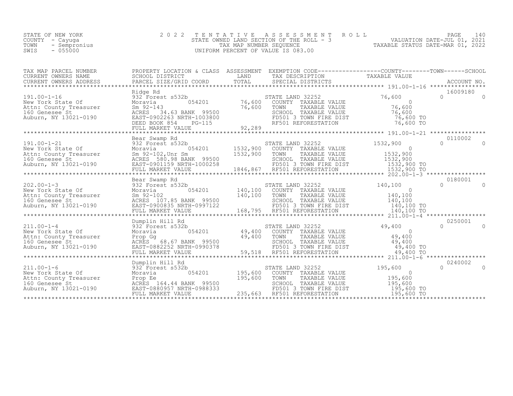| COUNTY<br>- Cayuqa<br>TOWN<br>- Sempronius<br>$-055000$<br>SWIS                                                                                                                                                                              | STATE OWNED LAND SECTION OF THE ROLI<br>TAX MAP NUMBER SEQUENCE<br>UNIFORM PERCENT OF VALUE IS 083.00 | STATE OWNED LAND SECTION OF THE ROLL - 3 WALUATION DATE-JUL 01, 2021<br>TAXABLE STATUS DATE-MAR 01, 2022                                                                                                                                                                                                                                                                                                     |  |                                      |
|----------------------------------------------------------------------------------------------------------------------------------------------------------------------------------------------------------------------------------------------|-------------------------------------------------------------------------------------------------------|--------------------------------------------------------------------------------------------------------------------------------------------------------------------------------------------------------------------------------------------------------------------------------------------------------------------------------------------------------------------------------------------------------------|--|--------------------------------------|
|                                                                                                                                                                                                                                              |                                                                                                       |                                                                                                                                                                                                                                                                                                                                                                                                              |  |                                      |
| 191.00-1-16<br>New York State Of Moravia 054201 76,600 STATE LAND 32252 76.600<br>New York State Of Moravia 054201 76,600 COUNTY TAXABLE VALUE 20<br>160 Genesee St 2012 143<br>2021-0190 EAST-0902263 NRTH-1003800 FD501 3 TOWN FIRE        |                                                                                                       |                                                                                                                                                                                                                                                                                                                                                                                                              |  | 16009180<br>$\cap$<br>$\overline{a}$ |
| Bear Swamp Rd<br>New York State Of 532 Forest s532b<br>New York State Of 532 Forest s532b<br>Attn: County Treasurer 5m 92-102, Unr Sm<br>160 Genesee St<br>Auburn, NY 13021-0190 EAST-0901159 NRTH-1000258<br>FULL MARKET VALUE<br>FULL MARK | Bear Swamp Rd                                                                                         | $054201$ 1532,900 COUNTY TAXABLE VALUE<br>${\small \begin{tabular}{cc} \tt 1532,900 & \tt 1532,900 & \tt 1532,900 & \tt 1532,900 & \tt 1532,900 & \tt 1532,900 & \tt 1532,900 & \tt 1532,900 & \tt 1532,900 & \tt 1532,900 & \tt 1532,900 & \tt 1532,900 & \tt 1532,900 & \tt 1532,900 & \tt 1532,900 & \tt 1532,900 & \tt 1532,900 & \tt 153$                                                               |  | 0110002<br>$\cap$<br>$\Omega$        |
|                                                                                                                                                                                                                                              |                                                                                                       |                                                                                                                                                                                                                                                                                                                                                                                                              |  |                                      |
|                                                                                                                                                                                                                                              | Dumplin Hill Rd                                                                                       |                                                                                                                                                                                                                                                                                                                                                                                                              |  | 0250001                              |
|                                                                                                                                                                                                                                              |                                                                                                       | $\begin{tabular}{lllllllllllll} \texttt{b} & \texttt{STATE} & \texttt{LAND} & 32252 & 195,600 \\ 054201 & 195,600 & \texttt{COUNTY} & \texttt{TAXABLE VALUE} & 0 \\ 195,600 & \texttt{TONN} & \texttt{TAXABLE VALUE} & 195,600 \\ \texttt{ANK} & 99500 & \texttt{SCHOOL} & \texttt{TAXABLE VALUE} & 195,600 \\ \texttt{TH}-0988333 & \texttt{FDS01} & \texttt{RFORESTATION} & 195,600 \\ \texttt{UE} & & 19$ |  | 0240002<br>$\cap$<br>$\Omega$        |

STATE OF NEW YORK 2 0 2 2 T E N T A T I V E A S S E S S M E N T R O L L PAGE 140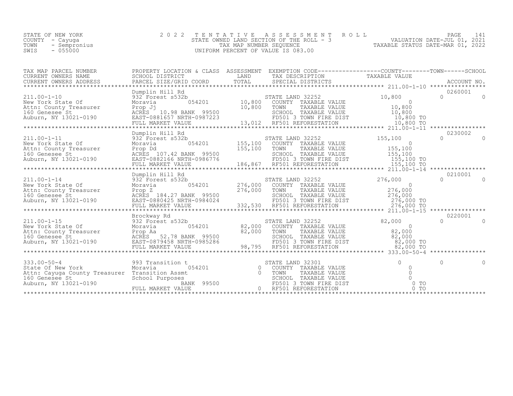| STATE OF NEW YORK |           |              |
|-------------------|-----------|--------------|
| COUNTY            | - Cayuqa  |              |
| TOWN              |           | - Sempronius |
| SWIS              | $-055000$ |              |

STATE OF NEW YORK 2 0 2 2 T E N T A T I V E A S S E S S M E N T R O L L PAGE 141 COUNTY - Cayuga STATE OWNED LAND SECTION OF THE ROLL - 3 VALUATION DATE-JUL 01, 2021 TOWN - Sempronius TAX MAP NUMBER SEQUENCE TAXABLE STATUS DATE-MAR 01, 2022 SWIS - 055000 UNIFORM PERCENT OF VALUE IS 083.00

| TAX MAP PARCEL NUMBER                                                                                                                                                                             | PROPERTY LOCATION & CLASS ASSESSMENT EXEMPTION CODE----------------COUNTY-------TOWN------SCHOOL |                           |                                                                                                                                                                                                                                                                                                                                                                                                               |                                         |                               |
|---------------------------------------------------------------------------------------------------------------------------------------------------------------------------------------------------|--------------------------------------------------------------------------------------------------|---------------------------|---------------------------------------------------------------------------------------------------------------------------------------------------------------------------------------------------------------------------------------------------------------------------------------------------------------------------------------------------------------------------------------------------------------|-----------------------------------------|-------------------------------|
| $211.00 - 1 - 10$<br>New York State Of<br>Attn: County Treasurer Prop Jj<br>160 Genesee St MCRES 10.98 BANK 99500<br>Auburn, NY 13021-0190 EAST-0881657 NRTH-0987223                              | Dumplin Hill Rd                                                                                  |                           |                                                                                                                                                                                                                                                                                                                                                                                                               |                                         | 0260001                       |
|                                                                                                                                                                                                   | Dumplin Hill Rd                                                                                  |                           |                                                                                                                                                                                                                                                                                                                                                                                                               |                                         | 0230002                       |
| $211.00 - 1 - 11$<br>New York State Of Moravia (1992)<br>New York State Of Moravia (1992)<br>160 Genesee St (1992)<br>Auburn, NY 13021-0190 (1993)<br>EAST-0882166 NRTH-0986776                   | 932 Forest s532b<br>FULL MARKET VALUE                                                            | 054201 155,100<br>155,100 | STATE LAND 32252<br>COUNTY TAXABLE VALUE<br>TOWN<br>TAXABLE VALUE                                                                                                                                                                                                                                                                                                                                             | 155, 100<br>$\bigcap$<br>$0$<br>155,100 | $\cap$<br>$\Omega$            |
|                                                                                                                                                                                                   | Dumplin Hill Rd                                                                                  |                           |                                                                                                                                                                                                                                                                                                                                                                                                               |                                         | 0210001                       |
| $211.00 - 1 - 14$<br>New York State Of<br>New York State of the Maria County Treasurer<br>160 Genesee St<br>Auburn, NY 13021-0190<br>EAST-0884024<br>EAST-0884024<br>EAST-0884024<br>EAST-0884024 | 932 Forest s532b<br>054201<br>Moravia<br>FULL MARKET VALUE                                       |                           | STATE LAND 32252 276,000<br>276,000 COUNTY TAXABLE VALUE 0<br>276,000 TOWN TAXABLE VALUE 276,000<br>SCHOOL TAXABLE VALUE 276,000<br>FD501 3 TOWN FIRE DIST 276,000 TO<br>332,530 RE501 REFORESTATION 276,000 TO                                                                                                                                                                                               |                                         | $\Omega$<br>$\Omega$          |
|                                                                                                                                                                                                   |                                                                                                  |                           |                                                                                                                                                                                                                                                                                                                                                                                                               |                                         |                               |
| 211.00-1-15<br>New York State Of Barry Barry Moravia<br>Musical Barry Treasurer<br>160 Genesee St Barry Barry Barry 2016<br>2016 Auburn, NY 13021-0190 EAST-0879458 NRTH-0985286                  | Brockway Rd<br>82,000<br>BANK 99500<br>RTH-0985286<br>FULL MARKET VALUE                          |                           | $\begin{tabular}{lllllllllll} \texttt{b} & \texttt{STATE} & \texttt{LAND} & 32252 & 82,000 \\ 054201 & 82,000 & \texttt{COUNTY} & \texttt{TXABLE} & \texttt{VALUE} & 0 \\ 082,000 & \texttt{TOUNY} & \texttt{TXABLE} & \texttt{VALUE} & 82,000 \\ 0 & \texttt{S2,000} & \texttt{TOWN} & \texttt{TXABLE} & \texttt{VALUE} & 82,000 \\ \texttt{TH-0985286} & \texttt{P5501} & 3 & \texttt{TOWN} & \texttt{FIRE$ |                                         | 0220001<br>$\cap$<br>$\Omega$ |
|                                                                                                                                                                                                   | ************************                                                                         |                           |                                                                                                                                                                                                                                                                                                                                                                                                               |                                         |                               |
| $333.00 - 50 - 4$<br>State Of New York<br>Attn: Cayuga County Treasurer Transition Assmt<br>160 Genesee St<br>Auburn, NY 13021-0190                                                               |                                                                                                  |                           | FATE LAND 32301 0<br>COUNTY TAXABLE VALUE 0<br>TOWN TAXABLE VALUE 0<br>SCHOOL TAXABLE VALUE 0<br>FD501 3 TOWN FIRE DIST 0 TO<br>RF501 REFORESTATION 1<br>RF501 REFORESTATION                                                                                                                                                                                                                                  |                                         | $\Omega$                      |
|                                                                                                                                                                                                   |                                                                                                  |                           |                                                                                                                                                                                                                                                                                                                                                                                                               |                                         |                               |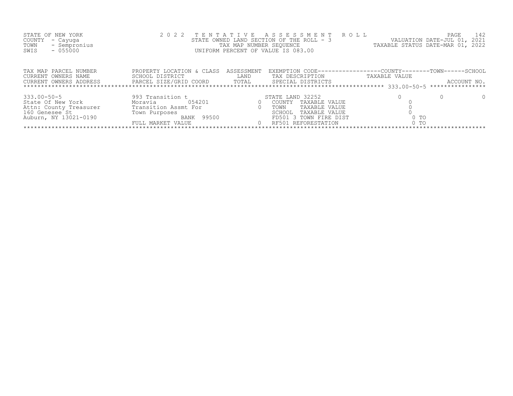| STATE OF NEW YORK<br>COUNTY<br>- Cayuga<br>- Sempronius<br>TOWN<br>$-055000$<br>SWIS                        |                                                                                                                   |                           | 2022 TENTATIVE ASSESSMENT ROLL<br>STATE OWNED LAND SECTION OF THE ROLL - 3<br>TAX MAP NUMBER SEQUENCE<br>UNIFORM PERCENT OF VALUE IS 083.00     |                          | PAGE<br>142<br>VALUATION DATE-JUL 01, 2021<br>TAXABLE STATUS DATE-MAR 01, 2022 |
|-------------------------------------------------------------------------------------------------------------|-------------------------------------------------------------------------------------------------------------------|---------------------------|-------------------------------------------------------------------------------------------------------------------------------------------------|--------------------------|--------------------------------------------------------------------------------|
| TAX MAP PARCEL NUMBER<br>CURRENT OWNERS NAME                                                                | PROPERTY LOCATION & CLASS<br>SCHOOL DISTRICT                                                                      | ASSESSMENT<br><b>LAND</b> | EXEMPTION CODE-----------------COUNTY-------TOWN------SCHOOL<br>TAX DESCRIPTION                                                                 | TAXABLE VALUE            |                                                                                |
| $333.00 - 50 - 5$<br>State Of New York<br>Attn: County Treasurer<br>160 Genesee St<br>Auburn, NY 13021-0190 | 993 Transition t<br>054201<br>Moravia<br>Transition Assmt For<br>Town Purposes<br>BANK 99500<br>FULL MARKET VALUE |                           | STATE LAND 32252<br>COUNTY TAXABLE VALUE<br>TAXABLE VALUE<br>TOWN<br>SCHOOL<br>TAXABLE VALUE<br>FD501 3 TOWN FIRE DIST<br>0 RF501 REFORESTATION | 0 <sub>T</sub><br>$0$ TO |                                                                                |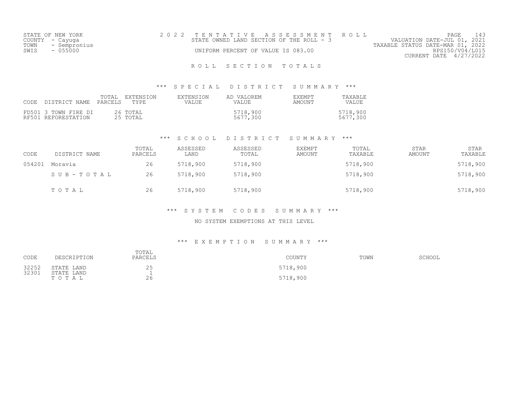|      | STATE OF NEW YORK | 2022 TENTATIVE ASSESSMENT ROLL           |  |  |                                  |                        | PAGE |  |
|------|-------------------|------------------------------------------|--|--|----------------------------------|------------------------|------|--|
|      | COUNTY - Cayuga   | STATE OWNED LAND SECTION OF THE ROLL - 3 |  |  | VALUATION DATE-JUL 01, 2021      |                        |      |  |
|      | TOWN - Sempronius |                                          |  |  | TAXABLE STATUS DATE-MAR 01, 2022 |                        |      |  |
| SWIS | - 055000          | UNIFORM PERCENT OF VALUE IS 083.00       |  |  |                                  | RPS150/V04/L015        |      |  |
|      |                   |                                          |  |  |                                  | CURRENT DATE 4/27/2022 |      |  |

# ROLL SECTION TOTALS

### \*\*\* S P E C I A L D I S T R I C T S U M M A R Y \*\*\*

| CODE | DISTRICT NAME PARCELS                       | TOTAL | EXTENSION<br>TYPE.   | EXTENSION<br>VALUE. | AD VALOREM<br>VALUE  | <b>F.XFMPT</b><br>AMOUNT | TAXABLE<br>VALUE     |
|------|---------------------------------------------|-------|----------------------|---------------------|----------------------|--------------------------|----------------------|
|      | FD501 3 TOWN FIRE DI<br>RF501 REFORESTATION |       | 26 TOTAL<br>25 TOTAL |                     | 5718,900<br>5677,300 |                          | 5718,900<br>5677,300 |

## \*\*\* S C H O O L D I S T R I C T S U M M A R Y \*\*\*

| CODE   | DISTRICT NAME | TOTAL<br>PARCELS | ASSESSED<br>LAND | ASSESSED<br>TOTAL | EXEMPT<br>AMOUNT | TOTAL<br>TAXABLE | STAR<br>AMOUNT | STAR<br>TAXABLE |
|--------|---------------|------------------|------------------|-------------------|------------------|------------------|----------------|-----------------|
| 054201 | Moravia       | 26               | 5718,900         | 5718,900          |                  | 5718,900         |                | 5718,900        |
|        | SUB-TOTAL     | 26               | 5718,900         | 5718,900          |                  | 5718,900         |                | 5718,900        |
|        | TOTAL         | 26               | 5718,900         | 5718,900          |                  | 5718,900         |                | 5718,900        |

### \*\*\* S Y S T E M C O D E S S U M M A R Y \*\*\*

### NO SYSTEM EXEMPTIONS AT THIS LEVEL

#### \*\*\* E X E M P T I O N S U M M A R Y \*\*\*

| CODE           | DESCRIPTION              | TOTAL<br>PARCELS | COUNTY   | TOWN | SCHOOL |
|----------------|--------------------------|------------------|----------|------|--------|
| 32252<br>32301 | STATE LAND<br>STATE LAND | 25               | 5718,900 |      |        |
|                | тотац                    | 26               | 5718,900 |      |        |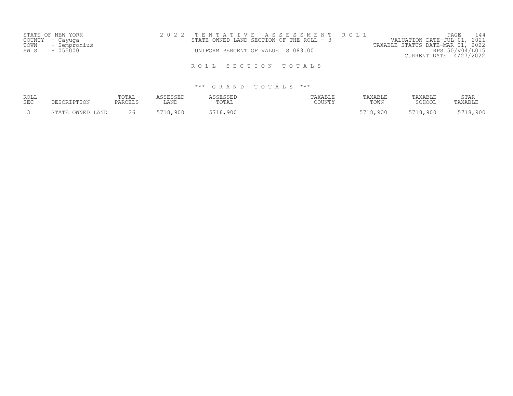|      | STATE OF NEW YORK |  |  | 2022 TENTATIVE ASSESSMENT ROLL           |                                  | PAGE                        |  |
|------|-------------------|--|--|------------------------------------------|----------------------------------|-----------------------------|--|
|      | COUNTY - Cayuga   |  |  | STATE OWNED LAND SECTION OF THE ROLL - 3 |                                  | VALUATION DATE-JUL 01, 2021 |  |
| TOWN | - Sempronius      |  |  |                                          | TAXABLE STATUS DATE-MAR 01, 2022 |                             |  |
| SWIS | $-055000$         |  |  | UNIFORM PERCENT OF VALUE IS 083.00       |                                  | RPS150/V04/L015             |  |
|      |                   |  |  |                                          |                                  | CURRENT DATE 4/27/2022      |  |
|      |                   |  |  |                                          |                                  |                             |  |
|      |                   |  |  | ROLL SECTION TOTALS                      |                                  |                             |  |

| ROLL<br><b>SEC</b> |                            | TOTAL<br>PARCELS | <i>I</i> G G E G G E L<br>LAND | TOTAL        | AXABLE<br>COUNTY | <b><i>TAXABLE</i></b><br>TOWN | PAXABLE<br>$\cap$ $\cap$ $\cap$ $\cap$ $\cap$ $\cap$ | <b>STAR</b><br>'AXABL! |
|--------------------|----------------------------|------------------|--------------------------------|--------------|------------------|-------------------------------|------------------------------------------------------|------------------------|
|                    | OWNED LAND<br><b>STATE</b> | 26               | 5718,900                       | 5718<br>,900 |                  | 5718,900                      | 5718,900                                             | ,900                   |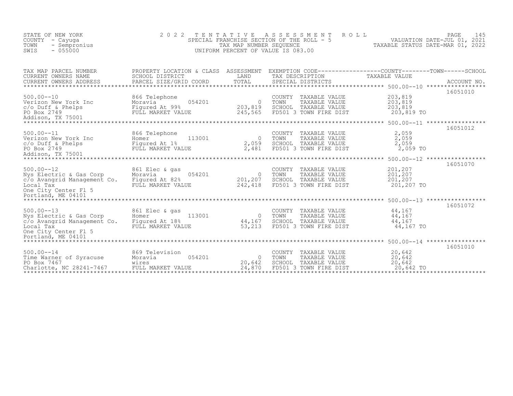| STATE OF NEW YORK<br>COUNTY<br>- Cayuqa<br>TOWN<br>- Sempronius<br>$-055000$<br>SWIS                         | 2 0 2 2                                                                           | TENTATIVE<br>SPECIAL FRANCHISE SECTION OF THE ROLL - 5<br>UNIFORM PERCENT OF VALUE IS 083.00 | A S S E S S M E N T<br>TAX MAP NUMBER SEQUENCE |                                                                                  | ROLL                                                                             | PAGE<br>145<br>VALUATION DATE-JUL 01, 2021<br>TAXABLE STATUS DATE-MAR 01, 2022 |
|--------------------------------------------------------------------------------------------------------------|-----------------------------------------------------------------------------------|----------------------------------------------------------------------------------------------|------------------------------------------------|----------------------------------------------------------------------------------|----------------------------------------------------------------------------------|--------------------------------------------------------------------------------|
| TAX MAP PARCEL NUMBER<br>CURRENT OWNERS NAME<br>CURRENT OWNERS ADDRESS                                       | PROPERTY LOCATION & CLASS ASSESSMENT<br>SCHOOL DISTRICT<br>PARCEL SIZE/GRID COORD | LAND<br>TOTAL                                                                                |                                                | TAX DESCRIPTION<br>SPECIAL DISTRICTS                                             | EXEMPTION CODE-----------------COUNTY-------TOWN------SCHOOL<br>TAXABLE VALUE    | ACCOUNT NO.                                                                    |
| $500.00 - 10$<br>Verizon New York Inc<br>$c/O$ Duff & Phelps<br>PO Box 2749<br>Addison, TX 75001             | 866 Telephone<br>Moravia<br>Fiqured At 99%<br>FULL MARKET VALUE                   | 054201<br>203,819<br>245,565                                                                 | COUNTY<br>$\bigcirc$<br>TOWN<br>SCHOOL         | TAXABLE VALUE<br>TAXABLE VALUE<br>TAXABLE VALUE<br>FD501 3 TOWN FIRE DIST        | 203,819<br>203,819<br>203,819<br>203,819 TO                                      | 16051010                                                                       |
| *****************************                                                                                |                                                                                   |                                                                                              |                                                |                                                                                  | *********************** 500.00--11 ******************                            | 16051012                                                                       |
| $500.00 - -11$<br>Verizon New York Inc<br>c/o Duff & Phelps<br>PO Box 2749<br>Addison, TX 75001              | 866 Telephone<br>Homer<br>Figured At 1%<br>FULL MARKET V<br>FULL MARKET VALUE     | 113001<br>2,059<br>2,481                                                                     | COUNTY<br>$\bigcirc$<br>TOWN                   | TAXABLE VALUE<br>TAXABLE VALUE<br>SCHOOL TAXABLE VALUE<br>FD501 3 TOWN FIRE DIST | 2,059<br>2,059<br>2,059<br>2,059 TO                                              |                                                                                |
| ********************                                                                                         |                                                                                   |                                                                                              |                                                |                                                                                  |                                                                                  | 16051070                                                                       |
| $500.00 - 12$<br>Nys Electric & Gas Corp<br>c/o Avangrid Management Co.<br>Local Tax<br>One City Center Fl 5 | 861 Elec & gas<br>Moravia<br>Figured At 82%<br>FULL MARKET VALUE                  | 054201<br>$\overline{0}$<br>201,207<br>242,418                                               | COUNTY<br>TOWN                                 | TAXABLE VALUE<br>TAXABLE VALUE<br>SCHOOL TAXABLE VALUE<br>FD501 3 TOWN FIRE DIST | 201,207<br>201,207<br>201, 207<br>201,207 TO                                     |                                                                                |
| Portland, ME 04101                                                                                           |                                                                                   |                                                                                              |                                                |                                                                                  |                                                                                  |                                                                                |
| $500.00 - 13$<br>Nys Electric & Gas Corp<br>c/o Avangrid Management Co.<br>Local Tax<br>One City Center Fl 5 | 861 Elec & gas<br>Homer<br>Figured At 18%<br>FULL MARKET VALUE                    | 113001<br>$\overline{0}$<br>44,167<br>53,213                                                 | TOWN<br>SCHOOL                                 | COUNTY TAXABLE VALUE<br>TAXABLE VALUE<br>TAXABLE VALUE<br>FD501 3 TOWN FIRE DIST | 44,167<br>44,167<br>44,167<br>44,167 TO                                          | 16051072                                                                       |
|                                                                                                              |                                                                                   |                                                                                              |                                                |                                                                                  |                                                                                  | 16051010                                                                       |
| $500.00 - 14$<br>Time Warner of Syracuse<br>PO Box 7467<br>Charlotte, NC 28241-7467                          | 869 Television<br>Moravia<br>wires<br>FULL MARKET VALUE                           | 054201<br>20,642<br>24,870                                                                   | COUNTY<br>$\bigcirc$<br>TOWN<br>SCHOOL         | TAXABLE VALUE<br>TAXABLE VALUE<br>TAXABLE VALUE<br>FD501 3 TOWN FIRE DIST        | 20,642<br>20,642<br>20,642<br>20,642 TO<br>************************************* |                                                                                |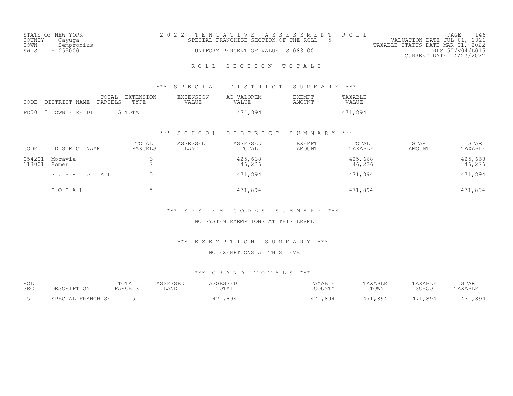| STATE OF NEW YORK    | 2022 TENTATIVE ASSESSMENT ROLL            |                                  | PAGE                        |  |
|----------------------|-------------------------------------------|----------------------------------|-----------------------------|--|
| COUNTY – Cayuga      | SPECIAL FRANCHISE SECTION OF THE ROLL - 5 |                                  | VALUATION DATE-JUL 01, 2021 |  |
| TOWN<br>- Sempronius |                                           | TAXABLE STATUS DATE-MAR 01, 2022 |                             |  |
| SWIS<br>- 055000     | UNIFORM PERCENT OF VALUE IS 083.00        |                                  | RPS150/V04/L015             |  |
|                      |                                           |                                  | CURRENT DATE $4/27/2022$    |  |
|                      |                                           |                                  |                             |  |

## ROLL SECTION TOTALS

### \*\*\* S P E C I A L D I S T R I C T S U M M A R Y \*\*\*

|                      | TOTAL EXTENSION<br>CODE DISTRICT NAME PARCELS TYPE | AD VALOREM<br>EXTENSION<br>VALUE<br><b>VALUE</b> | TAXABLE<br><b>EXEMPT</b><br>VALUE<br>AMOUNT |
|----------------------|----------------------------------------------------|--------------------------------------------------|---------------------------------------------|
| FD501 3 TOWN FIRE DI | 5 TOTAL                                            | 471,894                                          | 471,894                                     |

### \*\*\* S C H O O L D I S T R I C T S U M M A R Y \*\*\*

| CODE             | DISTRICT NAME    | TOTAL<br>PARCELS | ASSESSED<br>LAND | ASSESSED<br>TOTAL | EXEMPT<br>AMOUNT | TOTAL<br>TAXABLE  | <b>STAR</b><br>AMOUNT | STAR<br>TAXABLE   |
|------------------|------------------|------------------|------------------|-------------------|------------------|-------------------|-----------------------|-------------------|
| 054201<br>113001 | Moravia<br>Homer |                  |                  | 425,668<br>46,226 |                  | 425,668<br>46,226 |                       | 425,668<br>46,226 |
|                  | SUB-TOTAL        |                  |                  | 471,894           |                  | 471,894           |                       | 471,894           |
|                  | TOTAL            |                  |                  | 471,894           |                  | 471,894           |                       | 471,894           |

### \*\*\* S Y S T E M C O D E S S U M M A R Y \*\*\*

### NO SYSTEM EXEMPTIONS AT THIS LEVEL

### \*\*\* E X E M P T I O N S U M M A R Y \*\*\*

#### NO EXEMPTIONS AT THIS LEVEL

| ROLL<br><b>SEC</b> |                  | TOTAL<br><b>PARCELS</b> | $\alpha$ $\alpha$ $\pi$ $\tau$<br>LAND | <b>TOTA</b><br>UTAL   | <b>AVARTT</b><br>AAAD LE<br>COUNTY | <b>TAXABLF</b><br>TOWN | PAXABLE<br>SCHOOL | STAR |
|--------------------|------------------|-------------------------|----------------------------------------|-----------------------|------------------------------------|------------------------|-------------------|------|
|                    | <b>PRANCHICE</b> |                         |                                        | 171 894<br>・・・・ いし ・・ | <b>RG4</b>                         | 90/                    | 99/               | 99/  |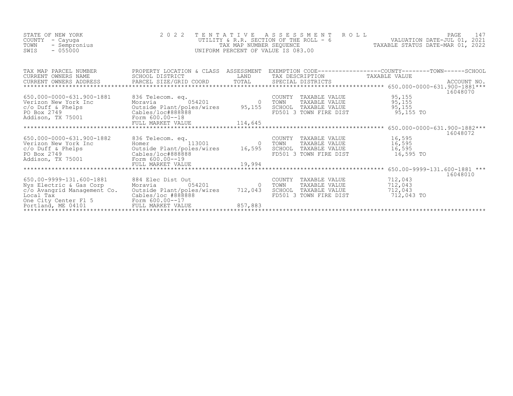| STATE OF NEW YORK<br>COUNTY<br>- Cayuga<br>TOWN<br>- Sempronius<br>$-055000$<br>SWIS            | 2022 TENTATIVE<br>2022                                                                    |                           | A S S E S S M E N T<br>ROLL<br>UTILITY & R.R. SECTION OF THE ROLL - $6$ VALUATION DATE-JUL 01, 2021<br>TAXABLE STATUS DATE-MAR 01, 2022<br>UNIFORM PERCENT OF VALUE IS 083.00 |                                             | PAGE<br>147 |
|-------------------------------------------------------------------------------------------------|-------------------------------------------------------------------------------------------|---------------------------|-------------------------------------------------------------------------------------------------------------------------------------------------------------------------------|---------------------------------------------|-------------|
|                                                                                                 |                                                                                           |                           |                                                                                                                                                                               |                                             | 16048070    |
|                                                                                                 |                                                                                           |                           | COUNTY TAXABLE VALUE<br>TOWN TAXABLE VALUE<br>SCHOOL TAXABLE VALUE<br>FD501 3 TOWN FIRE DIST                                                                                  | 95,155<br>95,155<br>95, 155<br>95,155 TO    |             |
|                                                                                                 |                                                                                           |                           |                                                                                                                                                                               |                                             | 16048072    |
| Addison, TX 75001 Form 600.00--19                                                               | 836 Telecom. eq.<br>Homer 113001 0                                                        |                           | COUNTY TAXABLE VALUE 16,595<br>TOWN      TAXABLE VALUE<br>SCHOOL   TAXABLE VALUE<br>FD501 3 TOWN FIRE DIST                                                                    | 16,595<br>16,595<br>16,595 TO               |             |
|                                                                                                 |                                                                                           |                           |                                                                                                                                                                               |                                             | 16048010    |
| 650.00-9999-131.600-1881<br>Nys Electric & Gas Corp<br>c/o Avangrid Management Co.<br>Local Tax | 884 Elec Dist Out<br>054201<br>Moravia<br>Outside Plant/poles/wires<br>Cables/loc #888888 | 712,043<br>857,883        | COUNTY TAXABLE VALUE<br>TOWN<br>TAXABLE VALUE<br>SCHOOL TAXABLE VALUE<br>FD501 3 TOWN FIRE DIST                                                                               | 712,043<br>712,043<br>712,043<br>712,043 TO |             |
|                                                                                                 |                                                                                           | ************************* |                                                                                                                                                                               |                                             |             |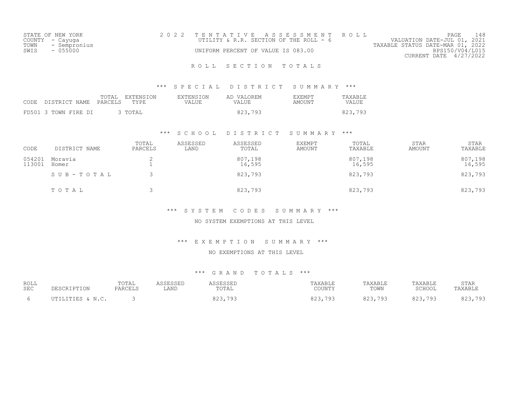| STATE OF NEW YORK    | 2022 TENTATIVE ASSESSMENT ROLL          |  |  |                                  |                        | PAGE |  |
|----------------------|-----------------------------------------|--|--|----------------------------------|------------------------|------|--|
| COUNTY - Cayuga      | UTILITY & R.R. SECTION OF THE ROLL $-6$ |  |  | VALUATION DATE-JUL 01, 2021      |                        |      |  |
| TOWN<br>- Sempronius |                                         |  |  | TAXABLE STATUS DATE-MAR 01, 2022 |                        |      |  |
| - 055000<br>SWIS     | UNIFORM PERCENT OF VALUE IS 083.00      |  |  |                                  | RPS150/V04/L015        |      |  |
|                      |                                         |  |  |                                  | CURRENT DATE 4/27/2022 |      |  |

## ROLL SECTION TOTALS

### \*\*\* S P E C I A L D I S T R I C T S U M M A R Y \*\*\*

| CODE DISTRICT NAME PARCELS | TOTAL | EXTENSION<br>TYPE | EXTENSION<br><b>VALUE</b> | AD VALOREM<br>VALUE | EXEMPT<br>AMOUNT | TAXABLE<br>VALUE |
|----------------------------|-------|-------------------|---------------------------|---------------------|------------------|------------------|
| FD501 3 TOWN FIRE DI       |       | 3 TOTAL           |                           | 823,793             |                  | 823,793          |

### \*\*\* S C H O O L D I S T R I C T S U M M A R Y \*\*\*

| CODE             | DISTRICT NAME    | TOTAL<br>PARCELS | ASSESSED<br>LAND | ASSESSED<br>TOTAL | EXEMPT<br>AMOUNT | TOTAL<br>TAXABLE  | <b>STAR</b><br>AMOUNT | STAR<br>TAXABLE   |
|------------------|------------------|------------------|------------------|-------------------|------------------|-------------------|-----------------------|-------------------|
| 054201<br>113001 | Moravia<br>Homer |                  |                  | 807,198<br>16,595 |                  | 807,198<br>16,595 |                       | 807,198<br>16,595 |
|                  | SUB-TOTAL        |                  |                  | 823,793           |                  | 823,793           |                       | 823,793           |
|                  | TOTAL            |                  |                  | 823,793           |                  | 823,793           |                       | 823,793           |

### \*\*\* S Y S T E M C O D E S S U M M A R Y \*\*\*

### NO SYSTEM EXEMPTIONS AT THIS LEVEL

#### \*\*\* E X E M P T I O N S U M M A R Y \*\*\*

#### NO EXEMPTIONS AT THIS LEVEL

| ROLL       | DESCRIPTION      | TOTAL   | ASSESSED | ASSESSED                | TAXABLE      | TAXABLE | TAXABLE | STAR    |
|------------|------------------|---------|----------|-------------------------|--------------|---------|---------|---------|
| <b>SEC</b> |                  | PARCELS | LAND     | TOTAL                   | COUNTY       | TOWN    | SCHOOL  | TAXABLE |
|            | UTILITIES & N.C. |         |          | . 792<br>022<br>049,799 | 823,<br>.793 | 823,793 | 823,793 | 823,793 |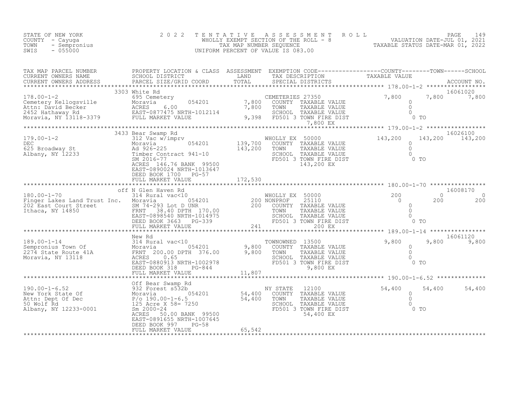| STATE OF NEW YORK<br>COUNTY – Cayuga<br>TOWN<br>- Sempronius<br>$-055000$<br>SWIS                                                                                                                                                                                                                                                                                                                                                                                                                                                      | 2 0 2 2                                                         | TENTATIVE | UNIFORM PERCENT OF VALUE IS 083.00                                                                                                              | WHOLLY EXEMPT SECTION OF THE ROLL - 8<br>WALUATION DATE-JUL 01, 2021<br>TAX MAP NUMBER SEQUENCE<br>IFORM PERCENT OF VALUE IS 083.00                                                                                                                                         |
|----------------------------------------------------------------------------------------------------------------------------------------------------------------------------------------------------------------------------------------------------------------------------------------------------------------------------------------------------------------------------------------------------------------------------------------------------------------------------------------------------------------------------------------|-----------------------------------------------------------------|-----------|-------------------------------------------------------------------------------------------------------------------------------------------------|-----------------------------------------------------------------------------------------------------------------------------------------------------------------------------------------------------------------------------------------------------------------------------|
|                                                                                                                                                                                                                                                                                                                                                                                                                                                                                                                                        | 3303 White Rd                                                   |           |                                                                                                                                                 | TAX MAP PARCEL NUMBER PROPERTY LOCATION & CLASS ASSESSMENT EXEMPTION CODE-----------------COUNTY---------TOWN------SCHOOL CURRENT OWNERS NAME SCHOOL DISTRICT LAND TAX DESCRIPTION TAXABLE VALUE<br>CURRENT OWNERS ADDRESS PARCEL                                           |
|                                                                                                                                                                                                                                                                                                                                                                                                                                                                                                                                        | 3433 Bear Swamp Rd<br>DEED BOOK 1700 PG-57<br>FULL MARKET VALUE |           |                                                                                                                                                 | 16026100<br>179.00-1-2<br>$3433$ Bear Swamp Rd<br>$312$ Vac w/imprv<br>Moravia 054201<br>Ad 926-225<br>Albany, NY 12233<br>Super Contract 941-10<br>SM 2016-77<br>ACRES 146.76 BANK 99500<br>EAST-0890024 NRTH-1013647<br>EAST-0890024 NRTH-1013647<br>ARTH-101             |
| $\begin{tabular}{lcccc} \texttt{****}{\texttt{****}} & \texttt{****}{\texttt{****}} & \texttt{****}{\texttt{****}} & \texttt{****}{\texttt{****}} & \texttt{****}{\texttt{****}} & \texttt{****}{\texttt{****}} & \texttt{****}{\texttt{****}} & \texttt{****}{\texttt{****}} & \texttt{****}{\texttt{****}} & \texttt{****}{\texttt{****}} & \texttt{****}{\texttt{****}} & \texttt{****}{\texttt{****}} & \texttt{****}{\texttt{****}} & \texttt{****}{\texttt{****}} & \texttt{314} & \texttt{Rarea} & \texttt{WOLLY EX} & \texttt$ |                                                                 |           |                                                                                                                                                 | $\begin{array}{c} 16008170 \\ 0 \\ 200 \end{array}$<br>$\Omega$<br>200<br>200<br>********************** 189.00-1-14 *****************                                                                                                                                       |
|                                                                                                                                                                                                                                                                                                                                                                                                                                                                                                                                        |                                                                 |           |                                                                                                                                                 | 189.00-1-14<br>189.00-1-14<br>189.00-1-14<br>189.00-1-14<br>189.00-1-14<br>189.00-1-14<br>189.00-1-14<br>189.00-1-14<br>199.00-1-14<br>199.00-1-14<br>199.00-1-14<br>199.00-1-14<br>199.00-1-14<br>199.00-1-14<br>2274 State Route 41A<br>ISBN 199800 TOWN T<br>9,800 9,800 |
|                                                                                                                                                                                                                                                                                                                                                                                                                                                                                                                                        | FULL MARKET VALUE                                               | 65,542    | Y STATE 12100 54,400 54<br>COUNTY TAXABLE VALUE 0<br>TOWN TAXABLE VALUE 0<br>SCHOOL TAXABLE VALUE 0<br>FD501 3 TOWN FIRE DIST 0 TO<br>54,400 EX | 54,400 54,400                                                                                                                                                                                                                                                               |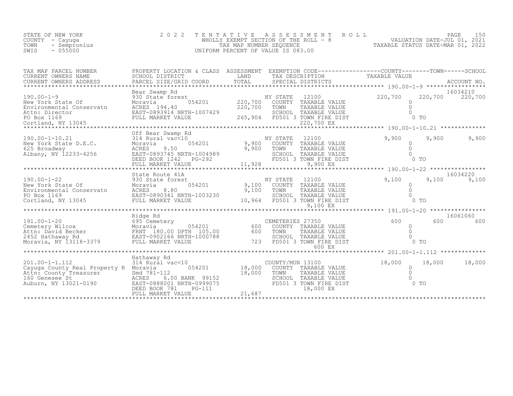| STATE OF NEW YORK    | 2022 TENTATIVE ASSESSMENT ROLL        | PAGE 150                         |  |
|----------------------|---------------------------------------|----------------------------------|--|
| COUNTY - Cayuqa      | WHOLLY EXEMPT SECTION OF THE ROLL - 8 | VALUATION DATE-JUL 01, 2021      |  |
| TOWN<br>- Sempronius | TAX MAP NUMBER SEOUENCE               | TAXABLE STATUS DATE-MAR 01, 2022 |  |
| $-055000$<br>SWIS    | UNIFORM PERCENT OF VALUE IS 083.00    |                                  |  |

| TAX MAP PARCEL NUMBER<br>CURRENT OWNERS NAME                                                                                                                                                                           | PROPERTY LOCATION & CLASS<br>SCHOOL DISTRICT                                                                                      | LAND                       | ASSESSMENT EXEMPTION CODE-----------------COUNTY-------TOWN------SCHOOL<br>TAX DESCRIPTION                  |                                             | TAXABLE VALUE                                             |                         |          |
|------------------------------------------------------------------------------------------------------------------------------------------------------------------------------------------------------------------------|-----------------------------------------------------------------------------------------------------------------------------------|----------------------------|-------------------------------------------------------------------------------------------------------------|---------------------------------------------|-----------------------------------------------------------|-------------------------|----------|
| CURRENT OWNERS ADDRESS<br>***************************                                                                                                                                                                  | PARCEL SIZE/GRID COORD                                                                                                            |                            |                                                                                                             |                                             |                                                           |                         |          |
|                                                                                                                                                                                                                        | Bear Swamp Rd                                                                                                                     |                            |                                                                                                             |                                             |                                                           |                         | 16034210 |
| $190.00 - 1 - 9$<br>New York State Of<br>Environmental Conservatn                                                                                                                                                      | 930 State forest<br>054201<br>Moravia<br>ACRES 194.40<br>EAST-0893914 NRTH-1007429<br>EAST-0893914 NRTH-<br>FULL MARKET VALUE     | 220,700<br>220,700         | NY STATE<br>12100<br>COUNTY TAXABLE VALUE<br>TOWN<br>SCHOOL TAXABLE VALUE<br>265,904 FD501 3 TOWN FIRE DIST | TAXABLE VALUE<br>220,700 EX                 | 220,700<br>$\Omega$<br>$\Omega$                           | 220,700<br>$0$ To       | 220,700  |
|                                                                                                                                                                                                                        |                                                                                                                                   |                            |                                                                                                             |                                             |                                                           |                         |          |
| $190.00 - 1 - 10.21$<br>New York State D.E.C.<br>625 Broadway<br>Albany, NY 12233-4256                                                                                                                                 | Off Bear Swamp Rd<br>314 Rural vac<10<br>054201<br>Moravia<br>ACRES<br>9.50<br>EAST-0893745 NRTH-1004989<br>DEED BOOK 1242 PG-292 | 9,900<br>9,900             | NY STATE<br>12100<br>COUNTY TAXABLE VALUE<br>TOWN<br>SCHOOL TAXABLE VALUE<br>FD501 3 TOWN FIRE DIST         | TAXABLE VALUE                               | 9,900<br>0<br>$\Omega$                                    | 9,900<br>$0$ TO         | 9,900    |
|                                                                                                                                                                                                                        | State Route 41A                                                                                                                   |                            |                                                                                                             |                                             |                                                           |                         | 16034220 |
| $190.00 - 1 - 22$<br>New York State Of<br>Environmental Conservation<br>Po Box 1169<br>Cortland, NY 13045<br>Cortland, NY 13045<br>PULL MARKET VALUE                                                                   | 930 State forest<br>Moravia                                                                                                       | 9,100<br>10,964            | NY STATE<br>12100<br>COUNTY TAXABLE VALUE<br>TOWN<br>SCHOOL TAXABLE VALUE<br>FD501 3 TOWN FIRE DIST         | TAXABLE VALUE<br>9,100 EX                   | 9,100<br>$\Omega$<br>$\Omega$                             | 9,100<br>0 <sub>T</sub> | 9,100    |
|                                                                                                                                                                                                                        |                                                                                                                                   |                            |                                                                                                             |                                             |                                                           |                         |          |
|                                                                                                                                                                                                                        | Ridge Rd                                                                                                                          |                            |                                                                                                             |                                             |                                                           |                         | 16061060 |
| $191.00 - 1 - 20$<br>191.00-1-20<br>Cemetery Wilcox Moravia 180.00 DPTH 105.00<br>Attn: David Becker FRNT 180.00 DPTH 105.00<br>2452 Hathaway Rd<br>Moravia, NY 13118-3379 FULL MARKET VALUE<br>Moravia, NY 13118-3379 | 695 Cemetery<br>054201<br>FULL MARKET VALUE                                                                                       | 600<br>600<br>723          | CEMETERIES 27350<br>COUNTY TAXABLE VALUE<br>TOWN<br>SCHOOL TAXABLE VALUE<br>FD501 3 TOWN FIRE DIST          | TAXABLE VALUE<br>600 EX                     | 600<br>$\Omega$<br>$\begin{matrix}0\\0\\0\\0\end{matrix}$ | 600                     | 600      |
|                                                                                                                                                                                                                        |                                                                                                                                   |                            |                                                                                                             |                                             |                                                           |                         |          |
| $201.00 - 1 - 1.112$<br>Cayuga County Real Property R Moravia<br>Extra: County Treasurer<br>Attn: County Treasurer<br>160 Genesee St<br>Auburn, NY 13021-0190<br>EAST-0888001 NRTH-0999075<br>DEED BOOK 781<br>PG-111  | Hathaway Rd<br>314 Rural vac<10<br>054201<br>DEED BOOK 781<br><b>PG-111</b><br>FULL MARKET VALUE                                  | 18,000<br>18,000<br>21,687 | COUNTY/MUN 13100<br>COUNTY TAXABLE VALUE<br>TOWN<br>SCHOOL<br>FD501 3 TOWN FIRE DIST                        | TAXABLE VALUE<br>TAXABLE VALUE<br>18,000 EX | 18,000<br>$\Omega$<br>$\Omega$                            | 18,000<br>$0$ TO        | 18,000   |
|                                                                                                                                                                                                                        | **************************                                                                                                        |                            |                                                                                                             |                                             |                                                           |                         |          |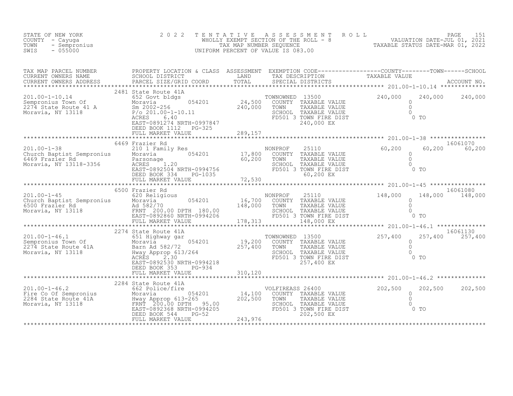| STATE OF NEW YORK<br>COUNTY - Cayuqa<br>TOWN<br>- Sempronius<br>$-055000$<br>SWIS                                                                                                                                                                                                                                                                                                                                                                                                                          | 2022                                         |                                                                                                                                  | TENTATIVE ASSESSMENT ROLL PAGE 151<br>WHOLLY EXEMPT SECTION OF THE ROLL - 8 VALUATION DATE-JUL 01, 2021<br>TAX MAP NUMBER SEQUENCE TAXABLE STATUS DATE-MAR 01, 2022<br>UNIFORM PERCENT OF VALUE IS 083.00 |                             |
|------------------------------------------------------------------------------------------------------------------------------------------------------------------------------------------------------------------------------------------------------------------------------------------------------------------------------------------------------------------------------------------------------------------------------------------------------------------------------------------------------------|----------------------------------------------|----------------------------------------------------------------------------------------------------------------------------------|-----------------------------------------------------------------------------------------------------------------------------------------------------------------------------------------------------------|-----------------------------|
|                                                                                                                                                                                                                                                                                                                                                                                                                                                                                                            |                                              |                                                                                                                                  |                                                                                                                                                                                                           |                             |
|                                                                                                                                                                                                                                                                                                                                                                                                                                                                                                            |                                              |                                                                                                                                  |                                                                                                                                                                                                           |                             |
|                                                                                                                                                                                                                                                                                                                                                                                                                                                                                                            | 6469 Frazier Rd                              |                                                                                                                                  | 16061070                                                                                                                                                                                                  |                             |
| 148,000 Extermined More Church Baptist Sempronius and More More and the Mondayia of the Mondayia of the More of the More of the More of the More of the More of the More of the More of the More of the More of the More of th                                                                                                                                                                                                                                                                             | 6500 Frazier Rd                              |                                                                                                                                  | $0$ TO                                                                                                                                                                                                    | 16061080<br>148,000 148,000 |
|                                                                                                                                                                                                                                                                                                                                                                                                                                                                                                            | 2274 State Route 41A<br>DEED BOOK 353 PG-934 | NWNOWNED 13500<br>COUNTY TAXABLE VALUE<br>TOWN TAXABLE VALUE 0<br>SCHOOL TAXABLE VALUE 0<br>FD501 3 TOWN FIRE DIST<br>757.400 EX |                                                                                                                                                                                                           | 16061130<br>257,400 257,400 |
| $\begin{tabular}{lcccc} \texttt{\textbf{****}} & \texttt{\textbf{FULL}} & \texttt{\textbf{MARKET}} & \texttt{\textbf{WOL}} & \texttt{\textbf{MARKET}} & \texttt{\textbf{WOL}} & \texttt{\textbf{MOL}} & \texttt{\textbf{MOL}} & \texttt{\textbf{MOL}} & \texttt{\textbf{MOL}} & \texttt{\textbf{MOL}} & \texttt{\textbf{MOL}} & \texttt{\textbf{MOL}} & \texttt{\textbf{MOL}} & \texttt{\textbf{MOL}} & \texttt{\textbf{MOL}} & \texttt{\textbf{MOL}} & \texttt{\textbf{MOL}} & \texttt{\textbf{MOL}} & \$ |                                              | VOLFIREASS 26400<br>COUNTY TAXABLE VALUE<br>TOWN TAXABLE VALUE<br>SCHOOL TAXABLE VALUE<br>FD501 3 TOWN FIRE DIST<br>202,500 EX   | 202,500<br>$\circ$<br>$\overline{0}$<br>$\bigcirc$<br>$0$ TO                                                                                                                                              | 202,500                     |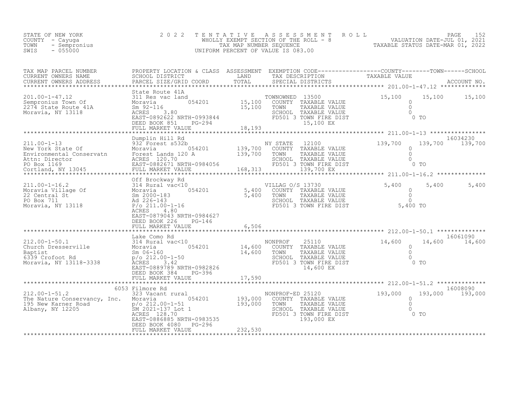| STATE OF NEW YORK<br>COUNTY - Cayuga<br>TOWN<br>- Sempronius<br>$-055000$<br>SWIS | 2 0 2 2                                                                                                                                                                                                                                                                                                                                                                                                                                                                                 |        | TENTATIVE ASSESSMENT ROLL PACE 152<br>WHOLLY EXEMPT SECTION OF THE ROLL - 8 VALUATION DATE-JUL 01, 2021<br>TAX MAP NUMBER SEQUENCE TAXABLE STATUS DATE-MAR 01, 2022<br>UNIFORM PERCENT OF VALUE IS 083.00 |                                                        |                                |
|-----------------------------------------------------------------------------------|-----------------------------------------------------------------------------------------------------------------------------------------------------------------------------------------------------------------------------------------------------------------------------------------------------------------------------------------------------------------------------------------------------------------------------------------------------------------------------------------|--------|-----------------------------------------------------------------------------------------------------------------------------------------------------------------------------------------------------------|--------------------------------------------------------|--------------------------------|
| TAX MAP PARCEL NUMBER<br>CURRENT OWNERS NAME<br>CURRENT OWNERS ADDRESS            | $\begin{tabular}{lllllllll} \multicolumn{2}{c}{\textbf{PROPERTY LOCATION & CLASS} & \textbf{ASSESSMENT} & \textbf{EXEMPITION} & \textbf{CODE} \texttt{-------------COUNTY--------TOWN------SCHOOL} \\ \multicolumn{2}{c}{\textbf{SCHOOL DISTRICT} & \textbf{LAND} & \textbf{TAX} & \textbf{DESCRIPTION} & \textbf{TAXABLE VALUE} \\ \multicolumn{2}{c}{\textbf{PANCE}} & \textbf{SCE/GRID COORD} & \textbf{TOTAL} & \textbf{SPECIAL DISTRICTS} & \textbf{ACCOUNT NO.} \\ \end{tabular}$ |        |                                                                                                                                                                                                           |                                                        |                                |
|                                                                                   | State Route 41A                                                                                                                                                                                                                                                                                                                                                                                                                                                                         |        |                                                                                                                                                                                                           |                                                        |                                |
|                                                                                   |                                                                                                                                                                                                                                                                                                                                                                                                                                                                                         |        |                                                                                                                                                                                                           |                                                        |                                |
|                                                                                   |                                                                                                                                                                                                                                                                                                                                                                                                                                                                                         |        |                                                                                                                                                                                                           |                                                        |                                |
|                                                                                   |                                                                                                                                                                                                                                                                                                                                                                                                                                                                                         |        |                                                                                                                                                                                                           |                                                        |                                |
|                                                                                   | EAST-0879043 NRTH-0984627<br>DEED BOOK 226<br>PG-146<br>FULL MARKET VALUE                                                                                                                                                                                                                                                                                                                                                                                                               | 6,506  |                                                                                                                                                                                                           |                                                        | 5,400<br>5,400                 |
|                                                                                   |                                                                                                                                                                                                                                                                                                                                                                                                                                                                                         |        |                                                                                                                                                                                                           |                                                        |                                |
|                                                                                   | Lake Como Rd<br>FULL MARKET VALUE                                                                                                                                                                                                                                                                                                                                                                                                                                                       | 17,590 | TOWN TAXABLE VALUE<br>SCHOOL TAXABLE VALUE                                                                                                                                                                | 14,600<br>$\Omega$<br>$\Omega$<br>$\Omega$<br>$0$ To   | 16061090<br>14,600 14,600      |
|                                                                                   | ***************************                                                                                                                                                                                                                                                                                                                                                                                                                                                             |        |                                                                                                                                                                                                           |                                                        |                                |
|                                                                                   |                                                                                                                                                                                                                                                                                                                                                                                                                                                                                         |        | 193,000<br>SCHOOL TAXABLE VALUE<br>FD501 3 TOWN FIRE DIST<br>193,000 EX<br>Atternal 193,000 EX                                                                                                            | 193,000<br>$\circ$<br>$\Omega$<br>$\bigcirc$<br>$0$ TO | 16008090<br>193,000<br>193,000 |
|                                                                                   |                                                                                                                                                                                                                                                                                                                                                                                                                                                                                         |        |                                                                                                                                                                                                           |                                                        |                                |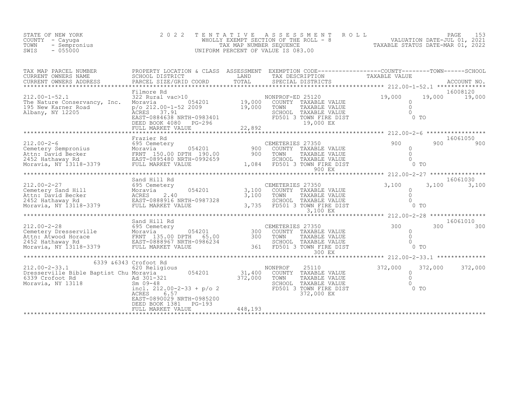| STATE OF NEW YORK<br>COUNTY - Cayuga<br>TOWN<br>- Sempronius<br>$-055000$<br>SWIS                                                                                                                                                                                                                                                                                                                                                 | 2 0 2 2                                                              |         |                                                | TENTATIVE ASSESSMENT ROLL PACE 153<br>WHOLLY EXEMPT SECTION OF THE ROLL - 8<br>TAX MAP NUMBER SEQUENCE TAXABLE STATUS DATE-MAR 01, 2022<br>UNIFORM PERCENT OF VALUE IS 083.00                                                          |
|-----------------------------------------------------------------------------------------------------------------------------------------------------------------------------------------------------------------------------------------------------------------------------------------------------------------------------------------------------------------------------------------------------------------------------------|----------------------------------------------------------------------|---------|------------------------------------------------|----------------------------------------------------------------------------------------------------------------------------------------------------------------------------------------------------------------------------------------|
|                                                                                                                                                                                                                                                                                                                                                                                                                                   |                                                                      |         |                                                |                                                                                                                                                                                                                                        |
| $212.00 - 1 - 52.1$<br>The Nature Conservancy, Inc.<br>The Nature Conservancy,<br>195 New Karner Road<br>Albany, NY 12205                                                                                                                                                                                                                                                                                                         |                                                                      |         |                                                | Filmore Rd<br>:e Conservancy, Inc. More Road<br>(arner Road Mone Pole 212.00-1-52 2009 19,000 COUNTY TAXABLE VALUE<br>(arner Road p/o 212.00-1-52 2009 19,000 TOWN TAXABLE VALUE o 19,000 19,000 19,000<br>ISABLE VALUE (2009 19,000 T |
|                                                                                                                                                                                                                                                                                                                                                                                                                                   |                                                                      |         |                                                |                                                                                                                                                                                                                                        |
|                                                                                                                                                                                                                                                                                                                                                                                                                                   |                                                                      |         |                                                | 16061050<br>900 900<br>$0$ TO                                                                                                                                                                                                          |
|                                                                                                                                                                                                                                                                                                                                                                                                                                   |                                                                      |         |                                                | ********** 212.00-2-27 ****************                                                                                                                                                                                                |
|                                                                                                                                                                                                                                                                                                                                                                                                                                   | Sand Hill Rd                                                         |         |                                                | 16061030                                                                                                                                                                                                                               |
|                                                                                                                                                                                                                                                                                                                                                                                                                                   |                                                                      |         |                                                |                                                                                                                                                                                                                                        |
| 300 COUNTY TAXABLE VALUE<br>Moravia 135.00 DPTH 65.00<br>Moravia 54201 300 COUNTY TAXABLE VALUE 2452 Hathaway Rd<br>Moravia, NY 13118-3379 FULL MARKET VALUE<br>Moravia, NY 13118-3379 FULL MARKET VALUE<br>Moravia, NY 13118-3379 FULL                                                                                                                                                                                           |                                                                      |         | 300 EX                                         | 16061010<br>300 300                                                                                                                                                                                                                    |
|                                                                                                                                                                                                                                                                                                                                                                                                                                   |                                                                      |         |                                                |                                                                                                                                                                                                                                        |
| $\begin{tabular}{lllllllllllllllllllll} \multicolumn{3}{c }{5339$ & $6343$ Crofoot Rd & $620 \text{ Religious} & $11,400$ & $10\text{NORROF} & $25110$ \\ \multicolumn{3}{c }{Dresserville} & \multicolumn{3}{c }{Bible} & \multicolumn{3}{c }{Baptist} & \multicolumn{3}{c }{A301-321} & $31,400$ & \multicolumn{3}{c }{COUNTY} & \multicolumn{3}{c }{TAXABLE} & \multicolumn{3}{c }{VALUE} \\ \multicolumn{3}{c }{539$ Crofoot$ | 6339 & 6343 Crofoot Rd<br>DEED BOOK 1381 PG-193<br>FULL MARKET VALUE | 448,193 | SCHOOL TAXABLE VALUE<br>FD501 3 TOWN FIRE DIST | 372,000<br>372,000 372,000<br>$\frac{0}{0}$<br>0<br>0<br>0 TO                                                                                                                                                                          |
|                                                                                                                                                                                                                                                                                                                                                                                                                                   |                                                                      |         |                                                |                                                                                                                                                                                                                                        |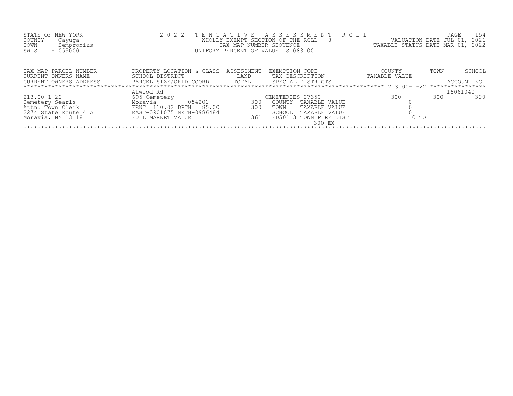| STATE OF NEW YORK<br>COUNTY<br>- Cayuga<br>TOWN<br>- Sempronius<br>$-055000$<br>SWIS | 2 0 2 2                                      | TAX MAP NUMBER SEOUENCE | TENTATIVE ASSESSMENT ROLL<br>WHOLLY EXEMPT SECTION OF THE ROLL - 8<br>UNIFORM PERCENT OF VALUE IS 083.00 | VALUATION DATE-JUL 01, 2021<br>TAXABLE STATUS DATE-MAR 01, 2022 | PAGE<br>154 |  |  |
|--------------------------------------------------------------------------------------|----------------------------------------------|-------------------------|----------------------------------------------------------------------------------------------------------|-----------------------------------------------------------------|-------------|--|--|
| TAX MAP PARCEL NUMBER<br>CURRENT OWNERS NAME                                         | PROPERTY LOCATION & CLASS<br>SCHOOL DISTRICT | ASSESSMENT<br>LAND      | EXEMPTION CODE-----------------COUNTY-------TOWN------SCHOOL<br>TAX DESCRIPTION                          | TAXABLE VALUE                                                   |             |  |  |
| CURRENT OWNERS ADDRESS                                                               |                                              |                         | PARCEL SIZE/GRID COORD TOTAL SPECIAL DISTRICTS                                                           |                                                                 | ACCOUNT NO. |  |  |
|                                                                                      | Atwood Rd                                    |                         |                                                                                                          |                                                                 | 16061040    |  |  |
| $213.00 - 1 - 22$                                                                    | 695 Cemetery                                 |                         | CEMETERIES 27350                                                                                         | 300<br>300                                                      | 300         |  |  |
| Cemetery Searls                                                                      | 054201<br>Moravia                            | 300                     | COUNTY TAXABLE VALUE                                                                                     |                                                                 |             |  |  |
| Attn: Town Clerk                                                                     | FRNT 110.02 DPTH 85.00                       | 300                     | TOWN<br>TAXABLE VALUE                                                                                    |                                                                 |             |  |  |
| 2274 State Route 41A                                                                 | EAST-0901075 NRTH-0986484                    |                         | SCHOOL<br>TAXABLE VALUE                                                                                  |                                                                 |             |  |  |
| Moravia, NY 13118                                                                    | FULL MARKET VALUE                            | 361                     | FD501 3<br>TOWN FIRE DIST<br>300 EX                                                                      | 0 <sub>T</sub>                                                  |             |  |  |
|                                                                                      |                                              |                         |                                                                                                          |                                                                 |             |  |  |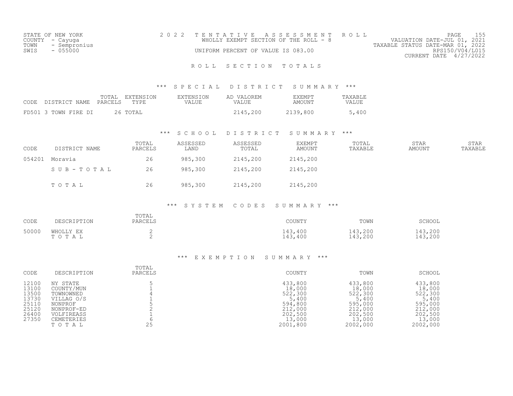|      | STATE OF NEW YORK | 2022 TENTATIVE ASSESSMENT ROLL        |  |  |                                  | PAGE                   |  |
|------|-------------------|---------------------------------------|--|--|----------------------------------|------------------------|--|
|      | COUNTY - Cayuga   | WHOLLY EXEMPT SECTION OF THE ROLL - 8 |  |  | VALUATION DATE-JUL 01, 2021      |                        |  |
|      | TOWN - Sempronius |                                       |  |  | TAXABLE STATUS DATE-MAR 01, 2022 |                        |  |
| SWIS | - 055000          | UNIFORM PERCENT OF VALUE IS 083.00    |  |  |                                  | RPS150/V04/L015        |  |
|      |                   |                                       |  |  |                                  | CURRENT DATE 4/27/2022 |  |

# ROLL SECTION TOTALS

### \*\*\* S P E C I A L D I S T R I C T S U M M A R Y \*\*\*

| CODE DISTRICT NAME PARCELS TYPE | TOTAL EXTENSION | EXTENSION<br>VALUE | AD VALOREM<br><b>VALUE</b> | EXEMPT<br>AMOUNT | TAXABLE<br>VALUE |
|---------------------------------|-----------------|--------------------|----------------------------|------------------|------------------|
| FD501 3 TOWN FIRE DI            | 26 TOTAL        |                    | 2145,200                   | 2139,800         | 5,400            |

### \*\*\* S C H O O L D I S T R I C T S U M M A R Y \*\*\*

| CODE   | DISTRICT NAME | TOTAL<br>PARCELS | ASSESSED<br>LAND | ASSESSED<br>TOTAL | EXEMPT<br>AMOUNT | TOTAL<br>TAXABLE | <b>STAR</b><br>AMOUNT | <b>STAR</b><br>TAXABLE |
|--------|---------------|------------------|------------------|-------------------|------------------|------------------|-----------------------|------------------------|
| 054201 | Moravia       | 26               | 985,300          | 2145,200          | 2145,200         |                  |                       |                        |
|        | SUB-TOTAL     | 26               | 985,300          | 2145,200          | 2145,200         |                  |                       |                        |
|        | TOTAL         | 26               | 985,300          | 2145,200          | 2145,200         |                  |                       |                        |

### \*\*\* S Y S T E M C O D E S S U M M A R Y \*\*\*

| CODE  | DESCRIPTION        | TOTAL<br>PARCELS | COUNTY             | TOWN               | SCHOOL             |
|-------|--------------------|------------------|--------------------|--------------------|--------------------|
| 50000 | WHOLLY EX<br>TOTAL | ∼                | 143,400<br>143,400 | 143,200<br>143,200 | 143,200<br>143,200 |

### \*\*\* E X E M P T I O N S U M M A R Y \*\*\*

| CODE                                                                 | DESCRIPTION                                                                                                     | TOTAL<br>PARCELS | COUNTY                                                                                       | TOWN                                                                                         | SCHOOL                                                                                       |
|----------------------------------------------------------------------|-----------------------------------------------------------------------------------------------------------------|------------------|----------------------------------------------------------------------------------------------|----------------------------------------------------------------------------------------------|----------------------------------------------------------------------------------------------|
| 12100<br>13100<br>13500<br>13730<br>25110<br>25120<br>26400<br>27350 | NY STATE<br>COUNTY/MUN<br>TOWNOWNED<br>VILLAG O/S<br>NONPROF<br>NONPROF-ED<br>VOLFIREASS<br>CEMETERIES<br>TOTAL | 25               | 433,800<br>18,000<br>522,300<br>5,400<br>594,800<br>212,000<br>202,500<br>13,000<br>2001,800 | 433,800<br>18,000<br>522,300<br>5,400<br>595,000<br>212,000<br>202,500<br>13,000<br>2002,000 | 433,800<br>18,000<br>522,300<br>5,400<br>595,000<br>212,000<br>202,500<br>13,000<br>2002,000 |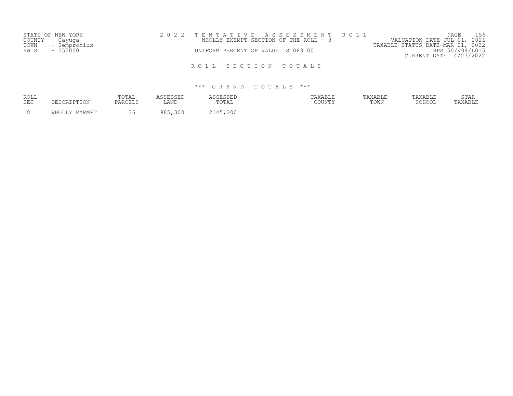|      | STATE OF NEW YORK | 2022 TENTATIVE ASSESSMENT ROLL                                       | 156<br>PAGE            |
|------|-------------------|----------------------------------------------------------------------|------------------------|
|      | COUNTY – Cayuga   | VALUATION DATE-JUL 01, 2021<br>WHOLLY EXEMPT SECTION OF THE ROLL - 8 |                        |
| TOWN | - Sempronius      | TAXABLE STATUS DATE-MAR 01, 2022                                     |                        |
| SWIS | $-055000$         | UNIFORM PERCENT OF VALUE IS 083.00                                   | RPS150/V04/L015        |
|      |                   |                                                                      | CURRENT DATE 4/27/2022 |
|      |                   | ROLL SECTION TOTALS                                                  |                        |

| ROLL<br><b>SEC</b> | DESCRIPTION          | TOTAL<br><b>PARCELS</b> | SSESSED<br>LAND | <b>CORCORT</b><br>שטטשטט<br>TOTAL | TAXABLE<br>COUNTY | 'AXABLE<br>TOWN | 'AXABLE<br>QQHQQT | <b>STAR</b><br>AXABLE |
|--------------------|----------------------|-------------------------|-----------------|-----------------------------------|-------------------|-----------------|-------------------|-----------------------|
|                    | <b>WHOLLY FYFMPT</b> |                         | 300<br>QQE      | , 200                             |                   |                 |                   |                       |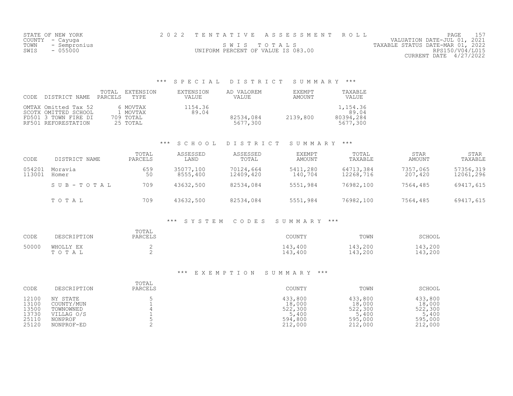| STATE OF NEW YORK    |                                    | 2022 TENTATIVE ASSESSMENT ROLL |                                  | PAGE                        |  |
|----------------------|------------------------------------|--------------------------------|----------------------------------|-----------------------------|--|
| COUNTY - Cayuga      |                                    |                                |                                  | VALUATION DATE-JUL 01, 2021 |  |
| TOWN<br>- Sempronius |                                    | SWIS TOTALS                    | TAXABLE STATUS DATE-MAR 01, 2022 |                             |  |
| SWIS<br>$-055000$    | UNIFORM PERCENT OF VALUE IS 083.00 |                                |                                  | RPS150/V04/L015             |  |
|                      |                                    |                                |                                  | CURRENT DATE $4/27/2022$    |  |

# \*\*\* S P E C I A L D I S T R I C T S U M M A R Y \*\*\*

| CODE | DISTRICT NAME                                                                               | TOTAL<br>PARCELS | EXTENSION<br>TYPE                             | EXTENSION<br>VALUE | AD VALOREM<br>VALUE   | EXEMPT<br>AMOUNT | TAXABLE<br>VALUE                           |
|------|---------------------------------------------------------------------------------------------|------------------|-----------------------------------------------|--------------------|-----------------------|------------------|--------------------------------------------|
|      | OMTAX Omitted Tax 52<br>SCOTX OMITTED SCHOOL<br>FD501 3 TOWN FIRE DI<br>RF501 REFORESTATION |                  | 6 MOVTAX<br>1 MOVTAX<br>709 TOTAL<br>25 TOTAL | 1154.36<br>89.04   | 82534,084<br>5677,300 | 2139,800         | 1,154.36<br>89.04<br>80394,284<br>5677,300 |

### \*\*\* S C H O O L D I S T R I C T S U M M A R Y \*\*\*

| CODE             | DISTRICT NAME    | TOTAL<br>PARCELS | ASSESSED<br>LAND      | ASSESSED<br>TOTAL      | EXEMPT<br>AMOUNT    | TOTAL<br>TAXABLE       | <b>STAR</b><br>AMOUNT | <b>STAR</b><br>TAXABLE |
|------------------|------------------|------------------|-----------------------|------------------------|---------------------|------------------------|-----------------------|------------------------|
| 054201<br>113001 | Moravia<br>Homer | 659<br>50        | 35077,100<br>8555,400 | 70124,664<br>12409,420 | 5411,280<br>140,704 | 64713,384<br>12268,716 | 7357,065<br>207,420   | 57356,319<br>12061,296 |
|                  | SUB-TOTAL        | 709              | 43632,500             | 82534,084              | 5551,984            | 76982,100              | 7564,485              | 69417,615              |
|                  | TOTAL            | 709              | 43632,500             | 82534,084              | 5551,984            | 76982,100              | 7564,485              | 69417,615              |

### \*\*\* S Y S T E M C O D E S S U M M A R Y \*\*\*

| CODE  | DESCRIPTION        | TOTAL<br>PARCELS | COUNTY             | TOWN               | SCHOOL             |
|-------|--------------------|------------------|--------------------|--------------------|--------------------|
| 50000 | WHOLLY EX<br>тотаь | ∼                | 143,400<br>143,400 | 143,200<br>143,200 | 143,200<br>143,200 |

### \*\*\* E X E M P T I O N S U M M A R Y \*\*\*

| CODE  | DESCRIPTION | TOTAL<br>PARCELS | COUNTY  | TOWN    | SCHOOL  |
|-------|-------------|------------------|---------|---------|---------|
| 12100 | NY STATE    |                  | 433,800 | 433,800 | 433,800 |
| 13100 | COUNTY/MUN  |                  | 18,000  | 18,000  | 18,000  |
| 13500 | TOWNOWNED   |                  | 522,300 | 522,300 | 522,300 |
| 13730 | VILLAG O/S  |                  | 5,400   | 5,400   | 5,400   |
| 25110 | NONPROF     |                  | 594,800 | 595,000 | 595,000 |
| 25120 | NONPROF-ED  |                  | 212,000 | 212,000 | 212,000 |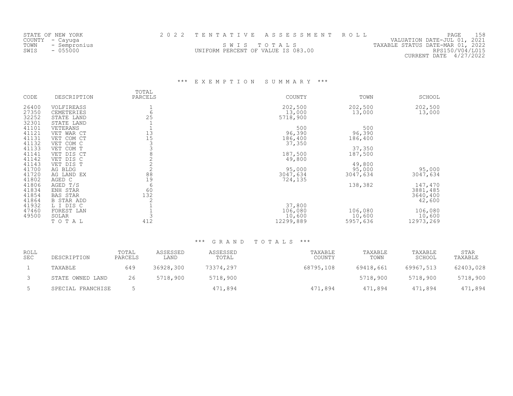|      | STATE OF NEW YORK |                                    | 2022 TENTATIVE ASSESSMENT ROLL |                                  | PAGE            |  |
|------|-------------------|------------------------------------|--------------------------------|----------------------------------|-----------------|--|
|      | COUNTY – Cayuga   |                                    |                                | VALUATION DATE-JUL 01, 2021      |                 |  |
| TOWN | - Sempronius      |                                    | SWIS TOTALS                    | TAXABLE STATUS DATE-MAR 01, 2022 |                 |  |
| SWIS | $-055000$         | UNIFORM PERCENT OF VALUE IS 083.00 |                                |                                  | RPS150/V04/L015 |  |
|      |                   |                                    |                                | CURRENT DATE 4/27/2022           |                 |  |

# \*\*\* E X E M P T I O N S U M M A R Y \*\*\*

| CODE                             | DESCRIPTION                                        | TOTAL<br>PARCELS     | COUNTY                        | TOWN                          | SCHOOL                        |
|----------------------------------|----------------------------------------------------|----------------------|-------------------------------|-------------------------------|-------------------------------|
| 26400<br>27350<br>32252          | VOLFIREASS<br>CEMETERIES<br>STATE LAND             | 6<br>25              | 202,500<br>13,000<br>5718,900 | 202,500<br>13,000             | 202,500<br>13,000             |
| 32301<br>41101<br>41121<br>41131 | STATE LAND<br>VETERANS<br>VET WAR CT<br>VET COM CT | 13<br>15             | 500<br>96,390<br>186,400      | 500<br>96,390<br>186,400      |                               |
| 41132<br>41133<br>41141          | VET COM C<br>VET COM T<br>VET DIS CT               | 3<br>8               | 37,350<br>187,500             | 37,350<br>187,500             |                               |
| 41142<br>41143<br>41700<br>41720 | VET DIS C<br>VET DIS T<br>AG BLDG<br>AG LAND EX    | $\overline{c}$<br>88 | 49,800<br>95,000<br>3047,634  | 49,800<br>95,000<br>3047,634  | 95,000<br>3047,634            |
| 41802<br>41806<br>41834          | AGED C<br>AGED T/S<br>ENH STAR                     | 19<br>6<br>60        | 724,135                       | 138,382                       | 147,470<br>3881,485           |
| 41854<br>41864<br>41932<br>47460 | <b>BAS STAR</b><br>B STAR ADD<br>L I DIS C         | 132                  | 37,800<br>106,080             |                               | 3640,400<br>42,600<br>106,080 |
| 49500                            | FOREST LAN<br>SOLAR<br>TOTAL                       | 412                  | 10,600<br>12299,889           | 106,080<br>10,600<br>5957,636 | 10,600<br>12973,269           |

| ROLL<br><b>SEC</b> | DESCRIPTION       | TOTAL<br>PARCELS | ASSESSED<br>LAND | ASSESSED<br>TOTAL | TAXABLE<br>COUNTY | TAXABLE<br>TOWN | TAXABLE<br>SCHOOL | STAR<br>TAXABLE |
|--------------------|-------------------|------------------|------------------|-------------------|-------------------|-----------------|-------------------|-----------------|
|                    | TAXABLE           | 649              | 36928,300        | 73374,297         | 68795,108         | 69418,661       | 69967,513         | 62403,028       |
|                    | STATE OWNED LAND  | 26               | 5718,900         | 5718,900          |                   | 5718,900        | 5718,900          | 5718,900        |
|                    | SPECIAL FRANCHISE |                  |                  | 471,894           | 471,894           | 471,894         | 471,894           | 471,894         |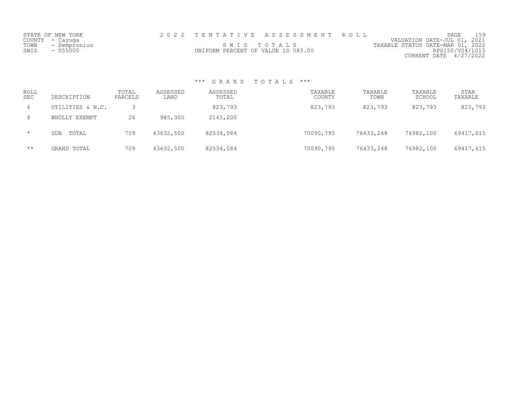| STATE OF NEW YORK    |                                    | 2022 TENTATIVE ASSESSMENT ROLL |                                  | PAGE                        |  |
|----------------------|------------------------------------|--------------------------------|----------------------------------|-----------------------------|--|
| COUNTY - Cayuga      |                                    |                                |                                  | VALUATION DATE-JUL 01, 2021 |  |
| TOWN<br>- Sempronius |                                    | SWIS TOTALS                    | TAXABLE STATUS DATE-MAR 01, 2022 |                             |  |
| SWIS<br>$-055000$    | UNIFORM PERCENT OF VALUE IS 083.00 |                                |                                  | RPS150/V04/L015             |  |
|                      |                                    |                                |                                  | CURRENT DATE $4/27/2022$    |  |

| ROLL<br><b>SEC</b> | DESCRIPTION      | TOTAL<br>PARCELS | ASSESSED<br>LAND | ASSESSED<br>TOTAL | TAXABLE<br>COUNTY | TAXABLE<br>TOWN | TAXABLE<br>SCHOOL | <b>STAR</b><br>TAXABLE |
|--------------------|------------------|------------------|------------------|-------------------|-------------------|-----------------|-------------------|------------------------|
| 6                  | UTILITIES & N.C. |                  |                  | 823,793           | 823,793           | 823,793         | 823,793           | 823,793                |
| 8                  | WHOLLY EXEMPT    | 26               | 985,300          | 2145,200          |                   |                 |                   |                        |
| $\star$            | TOTAL<br>SUB     | 709              | 43632,500        | 82534,084         | 70090,795         | 76433,248       | 76982,100         | 69417,615              |
| $\star\star$       | GRAND TOTAL      | 709              | 43632,500        | 82534,084         | 70090,795         | 76433,248       | 76982,100         | 69417,615              |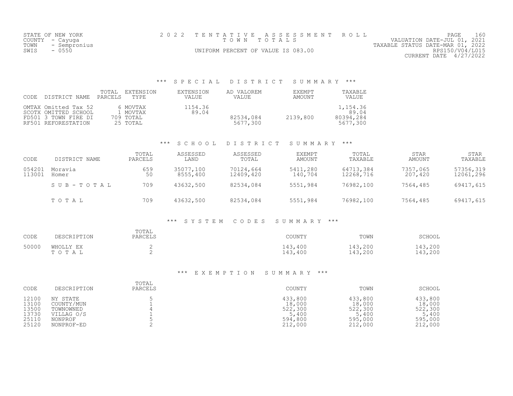| TOWN<br>SWIS     | STATE OF NEW YORK<br>COUNTY - Cayuga<br>- Sempronius<br>$-0550$                             |                                               | 2 0 2 2                   | TENTATIVE<br>T O W N<br>UNIFORM PERCENT OF VALUE IS 083.00 | ASSESSMENT<br>TOTALS           | ROLL                                       | VALUATION DATE-JUL 01, 2021<br>TAXABLE STATUS DATE-MAR 01, 2022<br>CURRENT DATE 4/27/2022 | PAGE<br>160<br>RPS150/V04/L015 |
|------------------|---------------------------------------------------------------------------------------------|-----------------------------------------------|---------------------------|------------------------------------------------------------|--------------------------------|--------------------------------------------|-------------------------------------------------------------------------------------------|--------------------------------|
|                  |                                                                                             | $***$                                         | SPECIAL                   | DISTRICT                                                   | SUMMARY ***                    |                                            |                                                                                           |                                |
| CODE             | TOTAL<br>PARCELS<br>DISTRICT NAME                                                           | EXTENSION<br>TYPE                             | <b>EXTENSION</b><br>VALUE | AD VALOREM<br>VALUE                                        | <b>EXEMPT</b><br><b>AMOUNT</b> | TAXABLE<br>VALUE                           |                                                                                           |                                |
|                  | OMTAX Omitted Tax 52<br>SCOTX OMITTED SCHOOL<br>FD501 3 TOWN FIRE DI<br>RF501 REFORESTATION | 6 MOVTAX<br>1 MOVTAX<br>709 TOTAL<br>25 TOTAL | 1154.36<br>89.04          | 82534,084<br>5677,300                                      | 2139,800                       | 1,154.36<br>89.04<br>80394,284<br>5677,300 |                                                                                           |                                |
|                  |                                                                                             | $***$                                         | SCHOOL                    | DISTRICT                                                   | SUMMARY ***                    |                                            |                                                                                           |                                |
| CODE             | DISTRICT NAME                                                                               | TOTAL<br>PARCELS                              | ASSESSED<br>LAND          | ASSESSED<br>TOTAL                                          | <b>EXEMPT</b><br><b>AMOUNT</b> | TOTAL<br>TAXABLE                           | STAR<br><b>AMOUNT</b>                                                                     | STAR<br>TAXABLE                |
| 054201<br>113001 | Moravia<br>Homer                                                                            | 659<br>50                                     | 35077,100<br>8555,400     | 70124,664<br>12409,420                                     | 5411,280<br>140,704            | 64713,384<br>12268,716                     | 7357,065<br>207,420                                                                       | 57356,319<br>12061,296         |
|                  | SUB-TOTAL                                                                                   | 709                                           | 43632,500                 | 82534,084                                                  | 5551,984                       | 76982,100                                  | 7564,485                                                                                  | 69417,615                      |
|                  | TOTAL                                                                                       | 709                                           | 43632,500                 | 82534,084                                                  | 5551,984                       | 76982,100                                  | 7564,485                                                                                  | 69417,615                      |
|                  |                                                                                             |                                               | $***$<br>SYSTEM           | CODES                                                      | SUMMARY                        | $***$                                      |                                                                                           |                                |
| CODE             | DESCRIPTION                                                                                 | TOTAL<br>PARCELS                              |                           |                                                            | COUNTY                         | TOWN                                       | SCHOOL                                                                                    |                                |
| 50000            | WHOLLY EX<br>TOTAL                                                                          | $\mathbf{2}$<br>2                             |                           |                                                            | 143,400<br>143,400             | 143,200<br>143,200                         | 143,200<br>143,200                                                                        |                                |
|                  |                                                                                             |                                               | *** EXEMPTION             |                                                            | SUMMARY<br>$\star\star\star$   |                                            |                                                                                           |                                |
| CODE             | DESCRIPTION                                                                                 | TOTAL<br>PARCELS                              |                           |                                                            | COUNTY                         | TOWN                                       | SCHOOL                                                                                    |                                |

| 12100 | NY<br>STATE | 433,800 | 433,800 | 433,800 |
|-------|-------------|---------|---------|---------|
| 13100 | COUNTY/MUN  | 18,000  | 18,000  | 18,000  |
| 13500 | TOWNOWNED   | 522,300 | 522,300 | 522,300 |
| 13730 | VILLAG O/S  | 5,400   | 5,400   | 5,400   |
| 25110 | NONPROF     | 594,800 | 595,000 | 595,000 |
| 25120 | NONPROF-ED  | 212,000 | 212,000 | 212,000 |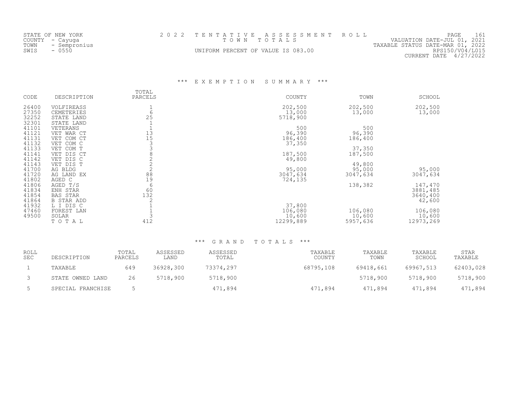|      | STATE OF NEW YORK |                                    | 2022 TENTATIVE ASSESSMENT ROLL |                                  | PAGE                   |  |
|------|-------------------|------------------------------------|--------------------------------|----------------------------------|------------------------|--|
|      | COUNTY – Cayuga   |                                    | TOWN TOTALS                    | VALUATION DATE-JUL 01, 2021      |                        |  |
| TOWN | - Sempronius      |                                    |                                | TAXABLE STATUS DATE-MAR 01, 2022 |                        |  |
| SWIS | $-0550$           | UNIFORM PERCENT OF VALUE IS 083.00 |                                |                                  | RPS150/V04/L015        |  |
|      |                   |                                    |                                |                                  | CURRENT DATE 4/27/2022 |  |

\*\*\* E X E M P T I O N S U M M A R Y \*\*\*

| CODE           | DESCRIPTION            | TOTAL<br>PARCELS | COUNTY    | TOWN     | SCHOOL              |
|----------------|------------------------|------------------|-----------|----------|---------------------|
| 26400          | VOLFIREASS             |                  | 202,500   | 202,500  | 202,500             |
| 27350          | <b>CEMETERIES</b>      | 6                | 13,000    | 13,000   | 13,000              |
| 32252          | STATE LAND             | 25               | 5718,900  |          |                     |
| 32301<br>41101 | STATE LAND             |                  | 500       | 500      |                     |
| 41121          | VETERANS<br>VET WAR CT | 13               | 96,390    | 96,390   |                     |
| 41131          | VET COM CT             | 15               | 186,400   | 186,400  |                     |
| 41132          | VET COM C              |                  | 37,350    |          |                     |
| 41133          | VET COM T              |                  |           | 37,350   |                     |
| 41141          | VET DIS CT             |                  | 187,500   | 187,500  |                     |
| 41142          | VET DIS C              |                  | 49,800    |          |                     |
| 41143          | VET DIS T              |                  |           | 49,800   |                     |
| 41700          | AG BLDG                |                  | 95,000    | 95,000   | 95,000              |
| 41720          | AG LAND EX             | 88               | 3047,634  | 3047,634 | 3047,634            |
| 41802          | AGED C                 | 19<br>6          | 724,135   |          |                     |
| 41806<br>41834 | AGED T/S<br>ENH STAR   | 60               |           | 138,382  | 147,470<br>3881,485 |
| 41854          | <b>BAS STAR</b>        | 132              |           |          | 3640,400            |
| 41864          | <b>B STAR ADD</b>      |                  |           |          | 42,600              |
| 41932          | L I DIS C              |                  | 37,800    |          |                     |
| 47460          | FOREST LAN             |                  | 106,080   | 106,080  | 106,080             |
| 49500          | SOLAR                  |                  | 10,600    | 10,600   | 10,600              |
|                | TOTAL                  | 412              | 12299,889 | 5957,636 | 12973,269           |

| ROLL<br><b>SEC</b> | DESCRIPTION       | TOTAL<br>PARCELS | ASSESSED<br>LAND | ASSESSED<br>TOTAL | TAXABLE<br>COUNTY | TAXABLE<br>TOWN | TAXABLE<br>SCHOOL | STAR<br>TAXABLE |
|--------------------|-------------------|------------------|------------------|-------------------|-------------------|-----------------|-------------------|-----------------|
|                    | TAXABLE           | 649              | 36928,300        | 73374,297         | 68795,108         | 69418,661       | 69967,513         | 62403,028       |
|                    | STATE OWNED LAND  | 26               | 5718,900         | 5718,900          |                   | 5718,900        | 5718,900          | 5718,900        |
|                    | SPECIAL FRANCHISE |                  |                  | 471,894           | 471,894           | 471,894         | 471,894           | 471,894         |